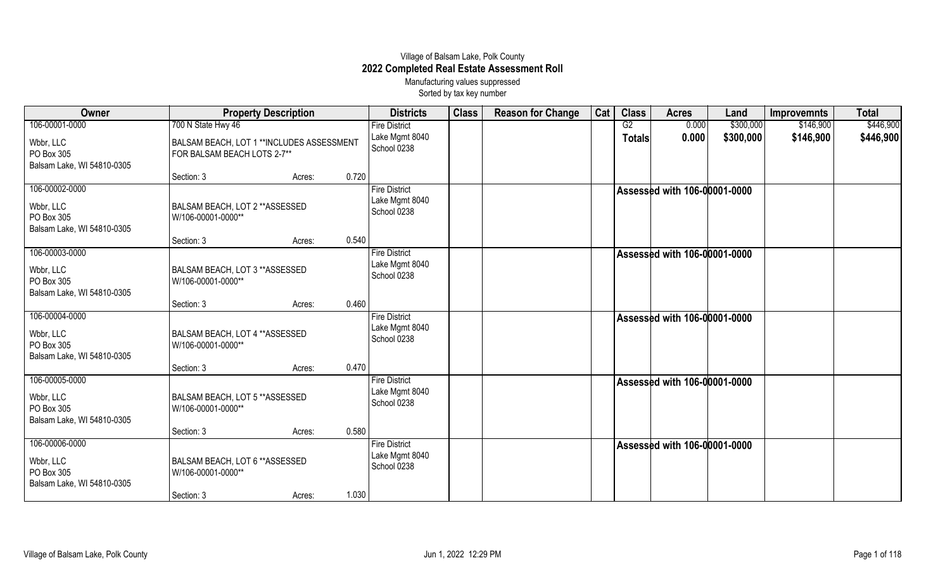## Village of Balsam Lake, Polk County **2022 Completed Real Estate Assessment Roll** Manufacturing values suppressed

Sorted by tax key number

| Owner                                                                   | <b>Property Description</b>                                                                     |        |       | <b>Districts</b>                                      | <b>Class</b> | <b>Reason for Change</b> | Cat | <b>Class</b>        | <b>Acres</b>                 | Land                   | <b>Improvemnts</b>     | <b>Total</b>           |
|-------------------------------------------------------------------------|-------------------------------------------------------------------------------------------------|--------|-------|-------------------------------------------------------|--------------|--------------------------|-----|---------------------|------------------------------|------------------------|------------------------|------------------------|
| 106-00001-0000<br>Wbbr, LLC<br>PO Box 305                               | 700 N State Hwy 46<br>BALSAM BEACH, LOT 1 ** INCLUDES ASSESSMENT<br>FOR BALSAM BEACH LOTS 2-7** |        |       | <b>Fire District</b><br>Lake Mgmt 8040<br>School 0238 |              |                          |     | G2<br><b>Totals</b> | 0.000<br>0.000               | \$300,000<br>\$300,000 | \$146,900<br>\$146,900 | \$446,900<br>\$446,900 |
| Balsam Lake, WI 54810-0305                                              | Section: 3                                                                                      | Acres: | 0.720 |                                                       |              |                          |     |                     |                              |                        |                        |                        |
| 106-00002-0000                                                          |                                                                                                 |        |       | <b>Fire District</b>                                  |              |                          |     |                     | Assessed with 106-00001-0000 |                        |                        |                        |
| Wbbr, LLC<br>PO Box 305<br>Balsam Lake, WI 54810-0305                   | <b>BALSAM BEACH, LOT 2 ** ASSESSED</b><br>W/106-00001-0000**                                    |        |       | Lake Mgmt 8040<br>School 0238                         |              |                          |     |                     |                              |                        |                        |                        |
|                                                                         | Section: 3                                                                                      | Acres: | 0.540 |                                                       |              |                          |     |                     |                              |                        |                        |                        |
| 106-00003-0000                                                          |                                                                                                 |        |       | <b>Fire District</b>                                  |              |                          |     |                     | Assessed with 106-00001-0000 |                        |                        |                        |
| Wbbr, LLC<br>PO Box 305<br>Balsam Lake, WI 54810-0305                   | <b>BALSAM BEACH, LOT 3 ** ASSESSED</b><br>W/106-00001-0000**                                    |        |       | Lake Mgmt 8040<br>School 0238                         |              |                          |     |                     |                              |                        |                        |                        |
|                                                                         | Section: 3                                                                                      | Acres: | 0.460 |                                                       |              |                          |     |                     |                              |                        |                        |                        |
| 106-00004-0000<br>Wbbr, LLC<br>PO Box 305<br>Balsam Lake, WI 54810-0305 | <b>BALSAM BEACH, LOT 4 ** ASSESSED</b><br>W/106-00001-0000**                                    |        |       | <b>Fire District</b><br>Lake Mgmt 8040<br>School 0238 |              |                          |     |                     | Assessed with 106-00001-0000 |                        |                        |                        |
|                                                                         | Section: 3                                                                                      | Acres: | 0.470 |                                                       |              |                          |     |                     |                              |                        |                        |                        |
| 106-00005-0000<br>Wbbr, LLC<br>PO Box 305<br>Balsam Lake, WI 54810-0305 | <b>BALSAM BEACH, LOT 5 ** ASSESSED</b><br>W/106-00001-0000**                                    |        |       | <b>Fire District</b><br>Lake Mgmt 8040<br>School 0238 |              |                          |     |                     | Assessed with 106-00001-0000 |                        |                        |                        |
|                                                                         | Section: 3                                                                                      | Acres: | 0.580 |                                                       |              |                          |     |                     |                              |                        |                        |                        |
| 106-00006-0000<br>Wbbr, LLC<br>PO Box 305<br>Balsam Lake, WI 54810-0305 | BALSAM BEACH, LOT 6 ** ASSESSED<br>W/106-00001-0000**                                           |        |       | <b>Fire District</b><br>Lake Mgmt 8040<br>School 0238 |              |                          |     |                     | Assessed with 106-00001-0000 |                        |                        |                        |
|                                                                         | Section: 3                                                                                      | Acres: | 1.030 |                                                       |              |                          |     |                     |                              |                        |                        |                        |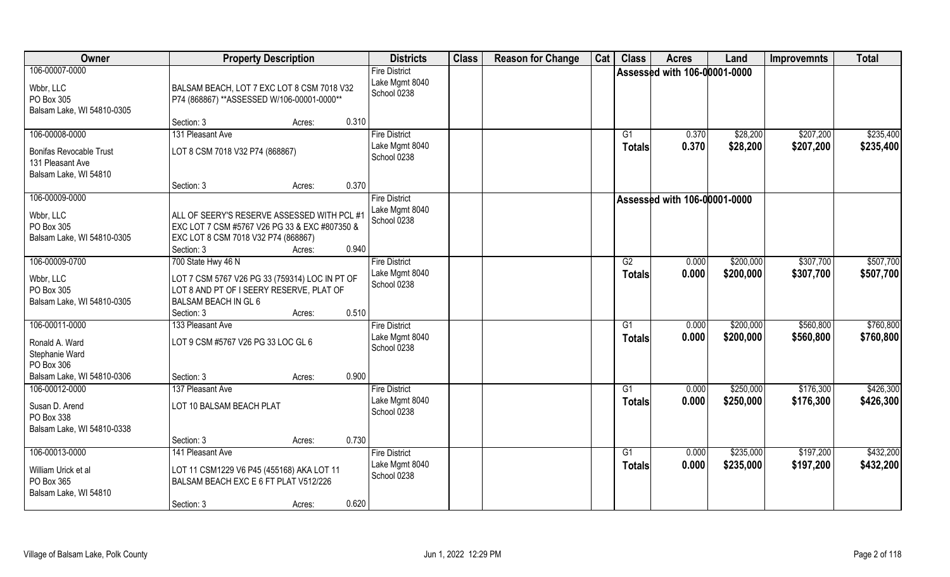| Owner                                                                                          | <b>Property Description</b>                                                                                                                                               | <b>Districts</b>                                      | <b>Class</b> | <b>Reason for Change</b> | Cat | <b>Class</b>        | <b>Acres</b>                        | Land                   | <b>Improvemnts</b>     | <b>Total</b>           |
|------------------------------------------------------------------------------------------------|---------------------------------------------------------------------------------------------------------------------------------------------------------------------------|-------------------------------------------------------|--------------|--------------------------|-----|---------------------|-------------------------------------|------------------------|------------------------|------------------------|
| 106-00007-0000<br>Wbbr, LLC<br>PO Box 305<br>Balsam Lake, WI 54810-0305                        | BALSAM BEACH, LOT 7 EXC LOT 8 CSM 7018 V32<br>P74 (868867) ** ASSESSED W/106-00001-0000 **                                                                                | <b>Fire District</b><br>Lake Mgmt 8040<br>School 0238 |              |                          |     |                     | Assessed with 106-00001-0000        |                        |                        |                        |
|                                                                                                | Section: 3<br>0.310<br>Acres:                                                                                                                                             |                                                       |              |                          |     |                     |                                     |                        |                        |                        |
| 106-00008-0000<br><b>Bonifas Revocable Trust</b><br>131 Pleasant Ave<br>Balsam Lake, WI 54810  | 131 Pleasant Ave<br>LOT 8 CSM 7018 V32 P74 (868867)                                                                                                                       | <b>Fire District</b><br>Lake Mgmt 8040<br>School 0238 |              |                          |     | G1<br><b>Totals</b> | 0.370<br>0.370                      | \$28,200<br>\$28,200   | \$207,200<br>\$207,200 | \$235,400<br>\$235,400 |
|                                                                                                | 0.370<br>Section: 3<br>Acres:                                                                                                                                             |                                                       |              |                          |     |                     |                                     |                        |                        |                        |
| 106-00009-0000<br>Wbbr, LLC<br>PO Box 305<br>Balsam Lake, WI 54810-0305                        | ALL OF SEERY'S RESERVE ASSESSED WITH PCL #1<br>EXC LOT 7 CSM #5767 V26 PG 33 & EXC #807350 &<br>EXC LOT 8 CSM 7018 V32 P74 (868867)<br>0.940<br>Section: 3<br>Acres:      | <b>Fire District</b><br>Lake Mgmt 8040<br>School 0238 |              |                          |     |                     | <b>Assessed with 106-00001-0000</b> |                        |                        |                        |
| 106-00009-0700<br>Wbbr, LLC<br>PO Box 305<br>Balsam Lake, WI 54810-0305                        | 700 State Hwy 46 N<br>LOT 7 CSM 5767 V26 PG 33 (759314) LOC IN PT OF<br>LOT 8 AND PT OF I SEERY RESERVE, PLAT OF<br>BALSAM BEACH IN GL 6<br>0.510<br>Section: 3<br>Acres: | <b>Fire District</b><br>Lake Mgmt 8040<br>School 0238 |              |                          |     | G2<br><b>Totals</b> | 0.000<br>0.000                      | \$200,000<br>\$200,000 | \$307,700<br>\$307,700 | \$507,700<br>\$507,700 |
| 106-00011-0000<br>Ronald A. Ward<br>Stephanie Ward<br>PO Box 306<br>Balsam Lake, WI 54810-0306 | 133 Pleasant Ave<br>LOT 9 CSM #5767 V26 PG 33 LOC GL 6<br>0.900<br>Section: 3<br>Acres:                                                                                   | <b>Fire District</b><br>Lake Mgmt 8040<br>School 0238 |              |                          |     | G1<br><b>Totals</b> | 0.000<br>0.000                      | \$200,000<br>\$200,000 | \$560,800<br>\$560,800 | \$760,800<br>\$760,800 |
| 106-00012-0000<br>Susan D. Arend<br>PO Box 338<br>Balsam Lake, WI 54810-0338                   | 137 Pleasant Ave<br>LOT 10 BALSAM BEACH PLAT<br>0.730<br>Section: 3<br>Acres:                                                                                             | <b>Fire District</b><br>Lake Mgmt 8040<br>School 0238 |              |                          |     | G1<br><b>Totals</b> | 0.000<br>0.000                      | \$250,000<br>\$250,000 | \$176,300<br>\$176,300 | \$426,300<br>\$426,300 |
| 106-00013-0000<br>William Urick et al<br>PO Box 365<br>Balsam Lake, WI 54810                   | 141 Pleasant Ave<br>LOT 11 CSM1229 V6 P45 (455168) AKA LOT 11<br>BALSAM BEACH EXC E 6 FT PLAT V512/226<br>0.620<br>Section: 3<br>Acres:                                   | <b>Fire District</b><br>Lake Mgmt 8040<br>School 0238 |              |                          |     | G1<br><b>Totals</b> | 0.000<br>0.000                      | \$235,000<br>\$235,000 | \$197,200<br>\$197,200 | \$432,200<br>\$432,200 |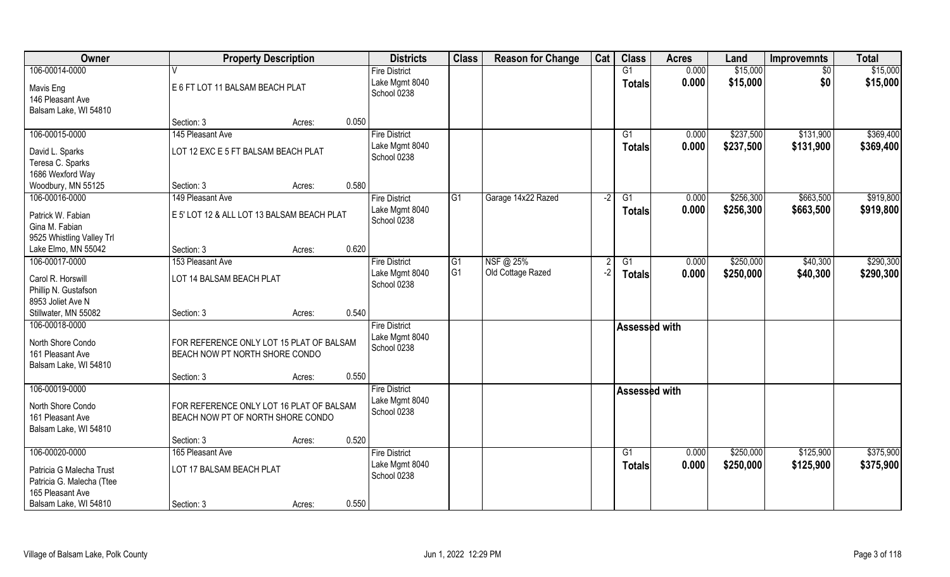| Owner                                       | <b>Property Description</b>                                                |                 | <b>Districts</b>              | <b>Class</b>   | <b>Reason for Change</b> | Cat  | <b>Class</b>    | <b>Acres</b> | Land      | <b>Improvemnts</b> | <b>Total</b> |
|---------------------------------------------|----------------------------------------------------------------------------|-----------------|-------------------------------|----------------|--------------------------|------|-----------------|--------------|-----------|--------------------|--------------|
| 106-00014-0000                              |                                                                            |                 | <b>Fire District</b>          |                |                          |      | G1              | 0.000        | \$15,000  | $\overline{60}$    | \$15,000     |
| Mavis Eng                                   | E 6 FT LOT 11 BALSAM BEACH PLAT                                            |                 | Lake Mgmt 8040<br>School 0238 |                |                          |      | <b>Totals</b>   | 0.000        | \$15,000  | \$0                | \$15,000     |
| 146 Pleasant Ave                            |                                                                            |                 |                               |                |                          |      |                 |              |           |                    |              |
| Balsam Lake, WI 54810                       |                                                                            |                 |                               |                |                          |      |                 |              |           |                    |              |
| 106-00015-0000                              | Section: 3<br>145 Pleasant Ave                                             | 0.050<br>Acres: | <b>Fire District</b>          |                |                          |      | G1              | 0.000        | \$237,500 | \$131,900          | \$369,400    |
|                                             |                                                                            |                 | Lake Mgmt 8040                |                |                          |      |                 | 0.000        | \$237,500 | \$131,900          | \$369,400    |
| David L. Sparks                             | LOT 12 EXC E 5 FT BALSAM BEACH PLAT                                        |                 | School 0238                   |                |                          |      | Totals          |              |           |                    |              |
| Teresa C. Sparks                            |                                                                            |                 |                               |                |                          |      |                 |              |           |                    |              |
| 1686 Wexford Way<br>Woodbury, MN 55125      | Section: 3                                                                 | 0.580<br>Acres: |                               |                |                          |      |                 |              |           |                    |              |
| 106-00016-0000                              | 149 Pleasant Ave                                                           |                 | <b>Fire District</b>          | G <sub>1</sub> | Garage 14x22 Razed       | $-2$ | G1              | 0.000        | \$256,300 | \$663,500          | \$919,800    |
|                                             |                                                                            |                 | Lake Mgmt 8040                |                |                          |      | <b>Totals</b>   | 0.000        | \$256,300 | \$663,500          | \$919,800    |
| Patrick W. Fabian                           | E 5' LOT 12 & ALL LOT 13 BALSAM BEACH PLAT                                 |                 | School 0238                   |                |                          |      |                 |              |           |                    |              |
| Gina M. Fabian<br>9525 Whistling Valley Trl |                                                                            |                 |                               |                |                          |      |                 |              |           |                    |              |
| Lake Elmo, MN 55042                         | Section: 3                                                                 | 0.620<br>Acres: |                               |                |                          |      |                 |              |           |                    |              |
| 106-00017-0000                              | 153 Pleasant Ave                                                           |                 | <b>Fire District</b>          | G <sub>1</sub> | NSF @ 25%                |      | G1              | 0.000        | \$250,000 | \$40,300           | \$290,300    |
|                                             |                                                                            |                 | Lake Mgmt 8040                | G <sub>1</sub> | Old Cottage Razed        | $-2$ | <b>Totals</b>   | 0.000        | \$250,000 | \$40,300           | \$290,300    |
| Carol R. Horswill                           | LOT 14 BALSAM BEACH PLAT                                                   |                 | School 0238                   |                |                          |      |                 |              |           |                    |              |
| Phillip N. Gustafson<br>8953 Joliet Ave N   |                                                                            |                 |                               |                |                          |      |                 |              |           |                    |              |
| Stillwater, MN 55082                        | Section: 3                                                                 | 0.540<br>Acres: |                               |                |                          |      |                 |              |           |                    |              |
| 106-00018-0000                              |                                                                            |                 | <b>Fire District</b>          |                |                          |      | Assessed with   |              |           |                    |              |
|                                             |                                                                            |                 | Lake Mgmt 8040                |                |                          |      |                 |              |           |                    |              |
| North Shore Condo<br>161 Pleasant Ave       | FOR REFERENCE ONLY LOT 15 PLAT OF BALSAM<br>BEACH NOW PT NORTH SHORE CONDO |                 | School 0238                   |                |                          |      |                 |              |           |                    |              |
| Balsam Lake, WI 54810                       |                                                                            |                 |                               |                |                          |      |                 |              |           |                    |              |
|                                             | Section: 3                                                                 | 0.550<br>Acres: |                               |                |                          |      |                 |              |           |                    |              |
| 106-00019-0000                              |                                                                            |                 | <b>Fire District</b>          |                |                          |      | Assessed with   |              |           |                    |              |
| North Shore Condo                           | FOR REFERENCE ONLY LOT 16 PLAT OF BALSAM                                   |                 | Lake Mgmt 8040                |                |                          |      |                 |              |           |                    |              |
| 161 Pleasant Ave                            | BEACH NOW PT OF NORTH SHORE CONDO                                          |                 | School 0238                   |                |                          |      |                 |              |           |                    |              |
| Balsam Lake, WI 54810                       |                                                                            |                 |                               |                |                          |      |                 |              |           |                    |              |
|                                             | Section: 3                                                                 | 0.520<br>Acres: |                               |                |                          |      |                 |              |           |                    |              |
| 106-00020-0000                              | 165 Pleasant Ave                                                           |                 | <b>Fire District</b>          |                |                          |      | $\overline{G1}$ | 0.000        | \$250,000 | \$125,900          | \$375,900    |
| Patricia G Malecha Trust                    | LOT 17 BALSAM BEACH PLAT                                                   |                 | Lake Mgmt 8040                |                |                          |      | Totals          | 0.000        | \$250,000 | \$125,900          | \$375,900    |
| Patricia G. Malecha (Ttee                   |                                                                            |                 | School 0238                   |                |                          |      |                 |              |           |                    |              |
| 165 Pleasant Ave                            |                                                                            |                 |                               |                |                          |      |                 |              |           |                    |              |
| Balsam Lake, WI 54810                       | Section: 3                                                                 | 0.550<br>Acres: |                               |                |                          |      |                 |              |           |                    |              |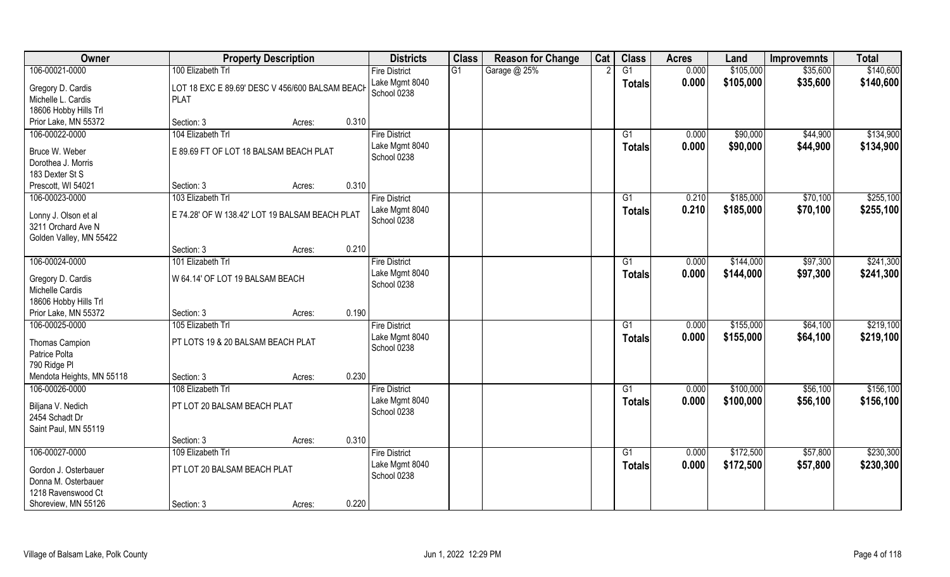| <b>Owner</b>                                                          |                                                                | <b>Property Description</b> |       | <b>Districts</b>              | <b>Class</b> | <b>Reason for Change</b> | Cat | <b>Class</b>    | <b>Acres</b> | Land      | <b>Improvemnts</b> | <b>Total</b> |
|-----------------------------------------------------------------------|----------------------------------------------------------------|-----------------------------|-------|-------------------------------|--------------|--------------------------|-----|-----------------|--------------|-----------|--------------------|--------------|
| 106-00021-0000                                                        | 100 Elizabeth Trl                                              |                             |       | <b>Fire District</b>          | G1           | Garage @ 25%             |     | G1              | 0.000        | \$105,000 | \$35,600           | \$140,600    |
| Gregory D. Cardis<br>Michelle L. Cardis<br>18606 Hobby Hills Trl      | LOT 18 EXC E 89.69' DESC V 456/600 BALSAM BEACH<br><b>PLAT</b> |                             |       | Lake Mgmt 8040<br>School 0238 |              |                          |     | <b>Totals</b>   | 0.000        | \$105,000 | \$35,600           | \$140,600    |
| Prior Lake, MN 55372                                                  | Section: 3                                                     | Acres:                      | 0.310 |                               |              |                          |     |                 |              |           |                    |              |
| 106-00022-0000                                                        | 104 Elizabeth Trl                                              |                             |       | <b>Fire District</b>          |              |                          |     | G1              | 0.000        | \$90,000  | \$44,900           | \$134,900    |
| Bruce W. Weber<br>Dorothea J. Morris<br>183 Dexter St S               | E 89.69 FT OF LOT 18 BALSAM BEACH PLAT                         |                             |       | Lake Mgmt 8040<br>School 0238 |              |                          |     | <b>Totals</b>   | 0.000        | \$90,000  | \$44,900           | \$134,900    |
| Prescott, WI 54021                                                    | Section: 3                                                     | Acres:                      | 0.310 |                               |              |                          |     |                 |              |           |                    |              |
| 106-00023-0000                                                        | 103 Elizabeth Trl                                              |                             |       | <b>Fire District</b>          |              |                          |     | G1              | 0.210        | \$185,000 | \$70,100           | \$255,100    |
| Lonny J. Olson et al<br>3211 Orchard Ave N<br>Golden Valley, MN 55422 | E 74.28' OF W 138.42' LOT 19 BALSAM BEACH PLAT                 |                             |       | Lake Mgmt 8040<br>School 0238 |              |                          |     | <b>Totals</b>   | 0.210        | \$185,000 | \$70,100           | \$255,100    |
|                                                                       | Section: 3                                                     | Acres:                      | 0.210 |                               |              |                          |     |                 |              |           |                    |              |
| 106-00024-0000                                                        | 101 Elizabeth Trl                                              |                             |       | <b>Fire District</b>          |              |                          |     | G1              | 0.000        | \$144,000 | \$97,300           | \$241,300    |
| Gregory D. Cardis<br>Michelle Cardis<br>18606 Hobby Hills Trl         | W 64.14' OF LOT 19 BALSAM BEACH                                |                             |       | Lake Mgmt 8040<br>School 0238 |              |                          |     | <b>Totals</b>   | 0.000        | \$144,000 | \$97,300           | \$241,300    |
| Prior Lake, MN 55372                                                  | Section: 3                                                     | Acres:                      | 0.190 |                               |              |                          |     |                 |              |           |                    |              |
| 106-00025-0000                                                        | 105 Elizabeth Trl                                              |                             |       | <b>Fire District</b>          |              |                          |     | G1              | 0.000        | \$155,000 | \$64,100           | \$219,100    |
| Thomas Campion<br>Patrice Polta<br>790 Ridge PI                       | PT LOTS 19 & 20 BALSAM BEACH PLAT                              |                             |       | Lake Mgmt 8040<br>School 0238 |              |                          |     | <b>Totals</b>   | 0.000        | \$155,000 | \$64,100           | \$219,100    |
| Mendota Heights, MN 55118                                             | Section: 3                                                     | Acres:                      | 0.230 |                               |              |                          |     |                 |              |           |                    |              |
| 106-00026-0000                                                        | 108 Elizabeth Trl                                              |                             |       | <b>Fire District</b>          |              |                          |     | G1              | 0.000        | \$100,000 | \$56,100           | \$156,100    |
| Biljana V. Nedich<br>2454 Schadt Dr<br>Saint Paul, MN 55119           | PT LOT 20 BALSAM BEACH PLAT                                    |                             |       | Lake Mgmt 8040<br>School 0238 |              |                          |     | <b>Totals</b>   | 0.000        | \$100,000 | \$56,100           | \$156,100    |
|                                                                       | Section: 3                                                     | Acres:                      | 0.310 |                               |              |                          |     |                 |              |           |                    |              |
| 106-00027-0000                                                        | 109 Elizabeth Trl                                              |                             |       | <b>Fire District</b>          |              |                          |     | $\overline{G1}$ | 0.000        | \$172,500 | \$57,800           | \$230,300    |
| Gordon J. Osterbauer<br>Donna M. Osterbauer<br>1218 Ravenswood Ct     | PT LOT 20 BALSAM BEACH PLAT                                    |                             |       | Lake Mgmt 8040<br>School 0238 |              |                          |     | <b>Totals</b>   | 0.000        | \$172,500 | \$57,800           | \$230,300    |
| Shoreview, MN 55126                                                   | Section: 3                                                     | Acres:                      | 0.220 |                               |              |                          |     |                 |              |           |                    |              |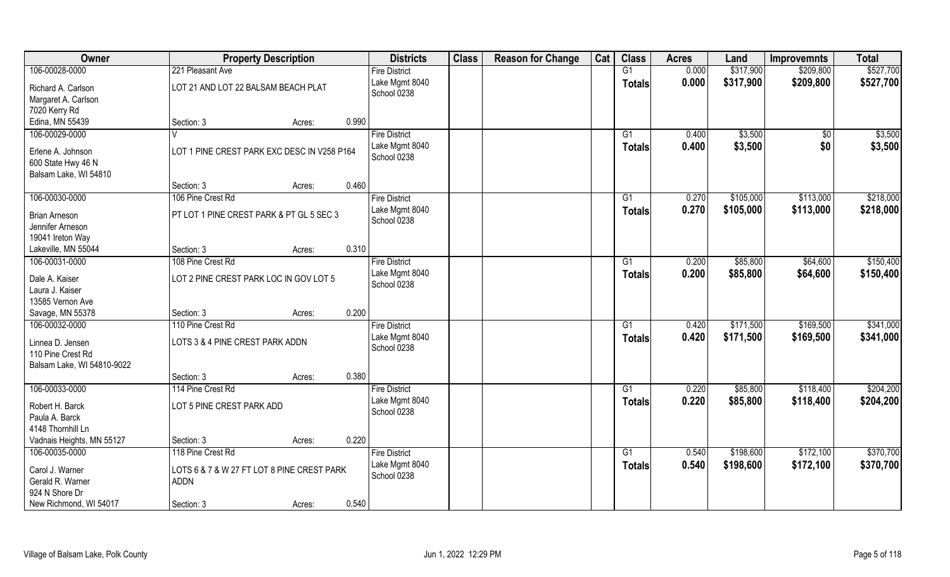| Owner                                     | <b>Property Description</b>                 |        |       | <b>Districts</b>              | <b>Class</b> | <b>Reason for Change</b> | Cat | <b>Class</b>    | <b>Acres</b> | Land      | <b>Improvemnts</b> | <b>Total</b> |
|-------------------------------------------|---------------------------------------------|--------|-------|-------------------------------|--------------|--------------------------|-----|-----------------|--------------|-----------|--------------------|--------------|
| 106-00028-0000                            | 221 Pleasant Ave                            |        |       | <b>Fire District</b>          |              |                          |     | G1              | 0.000        | \$317,900 | \$209,800          | \$527,700    |
| Richard A. Carlson<br>Margaret A. Carlson | LOT 21 AND LOT 22 BALSAM BEACH PLAT         |        |       | Lake Mgmt 8040<br>School 0238 |              |                          |     | <b>Totals</b>   | 0.000        | \$317,900 | \$209,800          | \$527,700    |
| 7020 Kerry Rd                             |                                             |        |       |                               |              |                          |     |                 |              |           |                    |              |
| Edina, MN 55439                           | Section: 3                                  | Acres: | 0.990 |                               |              |                          |     |                 |              |           |                    |              |
| 106-00029-0000                            |                                             |        |       | <b>Fire District</b>          |              |                          |     | G1              | 0.400        | \$3,500   | $\overline{50}$    | \$3,500      |
|                                           |                                             |        |       | Lake Mgmt 8040                |              |                          |     | Totals          | 0.400        | \$3,500   | \$0                | \$3,500      |
| Erlene A. Johnson                         | LOT 1 PINE CREST PARK EXC DESC IN V258 P164 |        |       | School 0238                   |              |                          |     |                 |              |           |                    |              |
| 600 State Hwy 46 N                        |                                             |        |       |                               |              |                          |     |                 |              |           |                    |              |
| Balsam Lake, WI 54810                     | Section: 3                                  |        | 0.460 |                               |              |                          |     |                 |              |           |                    |              |
| 106-00030-0000                            | 106 Pine Crest Rd                           | Acres: |       | <b>Fire District</b>          |              |                          |     | G1              | 0.270        | \$105,000 | \$113,000          | \$218,000    |
|                                           |                                             |        |       | Lake Mgmt 8040                |              |                          |     |                 |              |           |                    |              |
| <b>Brian Arneson</b>                      | PT LOT 1 PINE CREST PARK & PT GL 5 SEC 3    |        |       | School 0238                   |              |                          |     | <b>Totals</b>   | 0.270        | \$105,000 | \$113,000          | \$218,000    |
| Jennifer Arneson                          |                                             |        |       |                               |              |                          |     |                 |              |           |                    |              |
| 19041 Ireton Way                          |                                             |        |       |                               |              |                          |     |                 |              |           |                    |              |
| Lakeville, MN 55044                       | Section: 3                                  | Acres: | 0.310 |                               |              |                          |     |                 |              |           |                    |              |
| 106-00031-0000                            | 108 Pine Crest Rd                           |        |       | <b>Fire District</b>          |              |                          |     | G1              | 0.200        | \$85,800  | \$64,600           | \$150,400    |
| Dale A. Kaiser                            | LOT 2 PINE CREST PARK LOC IN GOV LOT 5      |        |       | Lake Mgmt 8040                |              |                          |     | <b>Totals</b>   | 0.200        | \$85,800  | \$64,600           | \$150,400    |
| Laura J. Kaiser                           |                                             |        |       | School 0238                   |              |                          |     |                 |              |           |                    |              |
| 13585 Vernon Ave                          |                                             |        |       |                               |              |                          |     |                 |              |           |                    |              |
| Savage, MN 55378                          | Section: 3                                  | Acres: | 0.200 |                               |              |                          |     |                 |              |           |                    |              |
| 106-00032-0000                            | 110 Pine Crest Rd                           |        |       | <b>Fire District</b>          |              |                          |     | $\overline{G1}$ | 0.420        | \$171,500 | \$169,500          | \$341,000    |
|                                           |                                             |        |       | Lake Mgmt 8040                |              |                          |     | <b>Totals</b>   | 0.420        | \$171,500 | \$169,500          | \$341,000    |
| Linnea D. Jensen                          | LOTS 3 & 4 PINE CREST PARK ADDN             |        |       | School 0238                   |              |                          |     |                 |              |           |                    |              |
| 110 Pine Crest Rd                         |                                             |        |       |                               |              |                          |     |                 |              |           |                    |              |
| Balsam Lake, WI 54810-9022                |                                             |        | 0.380 |                               |              |                          |     |                 |              |           |                    |              |
| 106-00033-0000                            | Section: 3<br>114 Pine Crest Rd             | Acres: |       |                               |              |                          |     | G1              | 0.220        | \$85,800  |                    | \$204,200    |
|                                           |                                             |        |       | <b>Fire District</b>          |              |                          |     |                 |              |           | \$118,400          |              |
| Robert H. Barck                           | LOT 5 PINE CREST PARK ADD                   |        |       | Lake Mgmt 8040<br>School 0238 |              |                          |     | <b>Totals</b>   | 0.220        | \$85,800  | \$118,400          | \$204,200    |
| Paula A. Barck                            |                                             |        |       |                               |              |                          |     |                 |              |           |                    |              |
| 4148 Thornhill Ln                         |                                             |        |       |                               |              |                          |     |                 |              |           |                    |              |
| Vadnais Heights, MN 55127                 | Section: 3                                  | Acres: | 0.220 |                               |              |                          |     |                 |              |           |                    |              |
| 106-00035-0000                            | 118 Pine Crest Rd                           |        |       | <b>Fire District</b>          |              |                          |     | G1              | 0.540        | \$198,600 | \$172,100          | \$370,700    |
| Carol J. Warner                           | LOTS 6 & 7 & W 27 FT LOT 8 PINE CREST PARK  |        |       | Lake Mgmt 8040                |              |                          |     | Totals          | 0.540        | \$198,600 | \$172,100          | \$370,700    |
| Gerald R. Warner                          | <b>ADDN</b>                                 |        |       | School 0238                   |              |                          |     |                 |              |           |                    |              |
| 924 N Shore Dr                            |                                             |        |       |                               |              |                          |     |                 |              |           |                    |              |
| New Richmond, WI 54017                    | Section: 3                                  | Acres: | 0.540 |                               |              |                          |     |                 |              |           |                    |              |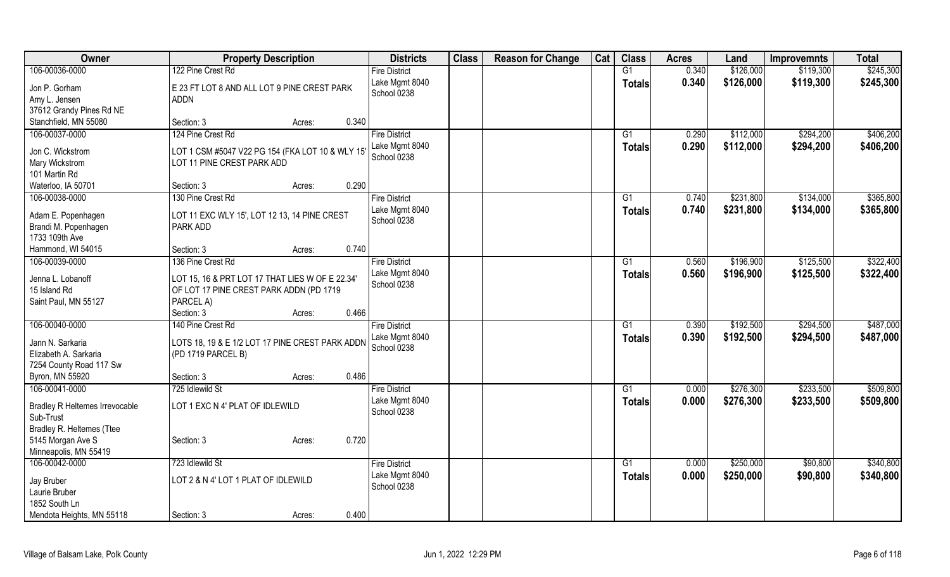| Owner                                 | <b>Property Description</b>                      | <b>Districts</b>     | <b>Class</b> | <b>Reason for Change</b> | Cat | <b>Class</b>    | <b>Acres</b> | Land      | <b>Improvemnts</b> | <b>Total</b> |
|---------------------------------------|--------------------------------------------------|----------------------|--------------|--------------------------|-----|-----------------|--------------|-----------|--------------------|--------------|
| 106-00036-0000                        | 122 Pine Crest Rd                                | <b>Fire District</b> |              |                          |     | G1              | 0.340        | \$126,000 | \$119,300          | \$245,300    |
| Jon P. Gorham                         | E 23 FT LOT 8 AND ALL LOT 9 PINE CREST PARK      | Lake Mgmt 8040       |              |                          |     | <b>Totals</b>   | 0.340        | \$126,000 | \$119,300          | \$245,300    |
| Amy L. Jensen                         | <b>ADDN</b>                                      | School 0238          |              |                          |     |                 |              |           |                    |              |
| 37612 Grandy Pines Rd NE              |                                                  |                      |              |                          |     |                 |              |           |                    |              |
| Stanchfield, MN 55080                 | 0.340<br>Section: 3<br>Acres:                    |                      |              |                          |     |                 |              |           |                    |              |
| 106-00037-0000                        | 124 Pine Crest Rd                                | <b>Fire District</b> |              |                          |     | G <sub>1</sub>  | 0.290        | \$112,000 | \$294,200          | \$406,200    |
|                                       |                                                  | Lake Mgmt 8040       |              |                          |     | <b>Totals</b>   | 0.290        | \$112,000 | \$294,200          | \$406,200    |
| Jon C. Wickstrom                      | LOT 1 CSM #5047 V22 PG 154 (FKA LOT 10 & WLY 15' | School 0238          |              |                          |     |                 |              |           |                    |              |
| Mary Wickstrom                        | LOT 11 PINE CREST PARK ADD                       |                      |              |                          |     |                 |              |           |                    |              |
| 101 Martin Rd                         |                                                  |                      |              |                          |     |                 |              |           |                    |              |
| Waterloo, IA 50701                    | 0.290<br>Section: 3<br>Acres:                    |                      |              |                          |     |                 |              |           |                    |              |
| 106-00038-0000                        | 130 Pine Crest Rd                                | <b>Fire District</b> |              |                          |     | G1              | 0.740        | \$231,800 | \$134,000          | \$365,800    |
| Adam E. Popenhagen                    | LOT 11 EXC WLY 15', LOT 12 13, 14 PINE CREST     | Lake Mgmt 8040       |              |                          |     | <b>Totals</b>   | 0.740        | \$231,800 | \$134,000          | \$365,800    |
| Brandi M. Popenhagen                  | PARK ADD                                         | School 0238          |              |                          |     |                 |              |           |                    |              |
| 1733 109th Ave                        |                                                  |                      |              |                          |     |                 |              |           |                    |              |
| Hammond, WI 54015                     | 0.740<br>Section: 3<br>Acres:                    |                      |              |                          |     |                 |              |           |                    |              |
| 106-00039-0000                        | 136 Pine Crest Rd                                | <b>Fire District</b> |              |                          |     | G1              | 0.560        | \$196,900 | \$125,500          | \$322,400    |
|                                       |                                                  | Lake Mgmt 8040       |              |                          |     | <b>Totals</b>   | 0.560        | \$196,900 | \$125,500          | \$322,400    |
| Jenna L. Lobanoff                     | LOT 15, 16 & PRT LOT 17 THAT LIES W OF E 22.34'  | School 0238          |              |                          |     |                 |              |           |                    |              |
| 15 Island Rd                          | OF LOT 17 PINE CREST PARK ADDN (PD 1719          |                      |              |                          |     |                 |              |           |                    |              |
| Saint Paul, MN 55127                  | PARCEL A)<br>0.466                               |                      |              |                          |     |                 |              |           |                    |              |
|                                       | Section: 3<br>Acres:                             |                      |              |                          |     |                 |              |           |                    |              |
| 106-00040-0000                        | 140 Pine Crest Rd                                | <b>Fire District</b> |              |                          |     | G1              | 0.390        | \$192,500 | \$294,500          | \$487,000    |
| Jann N. Sarkaria                      | LOTS 18, 19 & E 1/2 LOT 17 PINE CREST PARK ADDN  | Lake Mgmt 8040       |              |                          |     | <b>Totals</b>   | 0.390        | \$192,500 | \$294,500          | \$487,000    |
| Elizabeth A. Sarkaria                 | (PD 1719 PARCEL B)                               | School 0238          |              |                          |     |                 |              |           |                    |              |
| 7254 County Road 117 Sw               |                                                  |                      |              |                          |     |                 |              |           |                    |              |
| Byron, MN 55920                       | 0.486<br>Section: 3<br>Acres:                    |                      |              |                          |     |                 |              |           |                    |              |
| 106-00041-0000                        | 725 Idlewild St                                  | <b>Fire District</b> |              |                          |     | G <sub>1</sub>  | 0.000        | \$276,300 | \$233,500          | \$509,800    |
| <b>Bradley R Heltemes Irrevocable</b> | LOT 1 EXC N 4' PLAT OF IDLEWILD                  | Lake Mgmt 8040       |              |                          |     | <b>Totals</b>   | 0.000        | \$276,300 | \$233,500          | \$509,800    |
| Sub-Trust                             |                                                  | School 0238          |              |                          |     |                 |              |           |                    |              |
| Bradley R. Heltemes (Ttee             |                                                  |                      |              |                          |     |                 |              |           |                    |              |
| 5145 Morgan Ave S                     | 0.720<br>Section: 3<br>Acres:                    |                      |              |                          |     |                 |              |           |                    |              |
| Minneapolis, MN 55419                 |                                                  |                      |              |                          |     |                 |              |           |                    |              |
| 106-00042-0000                        | 723 Idlewild St                                  | <b>Fire District</b> |              |                          |     | $\overline{G1}$ | 0.000        | \$250,000 | \$90,800           | \$340,800    |
|                                       |                                                  | Lake Mgmt 8040       |              |                          |     | <b>Totals</b>   | 0.000        | \$250,000 | \$90,800           | \$340,800    |
| Jay Bruber                            | LOT 2 & N 4' LOT 1 PLAT OF IDLEWILD              | School 0238          |              |                          |     |                 |              |           |                    |              |
| Laurie Bruber                         |                                                  |                      |              |                          |     |                 |              |           |                    |              |
| 1852 South Ln                         |                                                  |                      |              |                          |     |                 |              |           |                    |              |
| Mendota Heights, MN 55118             | 0.400<br>Section: 3<br>Acres:                    |                      |              |                          |     |                 |              |           |                    |              |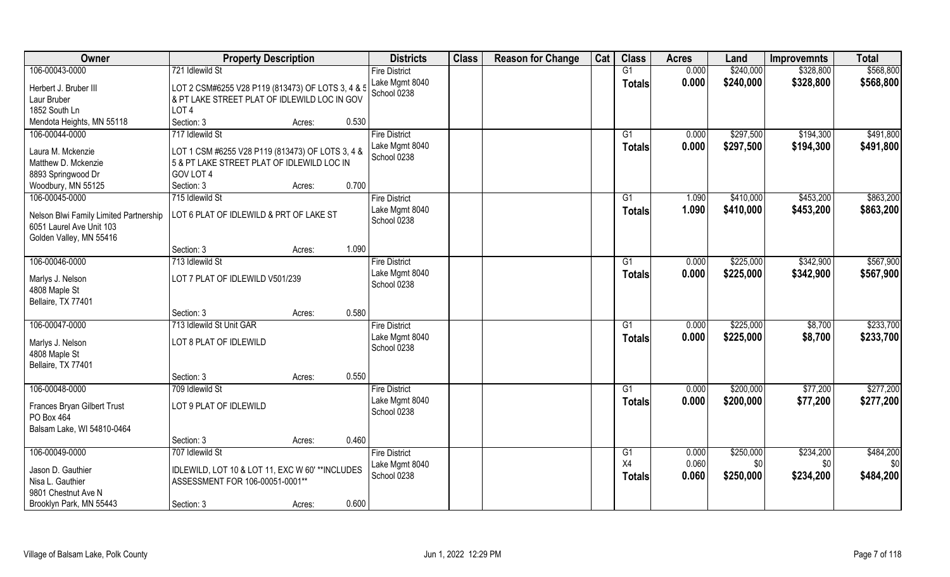| Owner                                                              | <b>Property Description</b>                       |        |       | <b>Districts</b>              | <b>Class</b> | <b>Reason for Change</b> | Cat | <b>Class</b>   | <b>Acres</b> | Land      | <b>Improvemnts</b> | <b>Total</b> |
|--------------------------------------------------------------------|---------------------------------------------------|--------|-------|-------------------------------|--------------|--------------------------|-----|----------------|--------------|-----------|--------------------|--------------|
| 106-00043-0000                                                     | 721 Idlewild St                                   |        |       | <b>Fire District</b>          |              |                          |     | G1             | 0.000        | \$240,000 | \$328,800          | \$568,800    |
| Herbert J. Bruber III                                              | LOT 2 CSM#6255 V28 P119 (813473) OF LOTS 3, 4 & 5 |        |       | Lake Mgmt 8040<br>School 0238 |              |                          |     | <b>Totals</b>  | 0.000        | \$240,000 | \$328,800          | \$568,800    |
| Laur Bruber                                                        | & PT LAKE STREET PLAT OF IDLEWILD LOC IN GOV      |        |       |                               |              |                          |     |                |              |           |                    |              |
| 1852 South Ln                                                      | LOT <sub>4</sub>                                  |        |       |                               |              |                          |     |                |              |           |                    |              |
| Mendota Heights, MN 55118                                          | Section: 3                                        | Acres: | 0.530 |                               |              |                          |     |                |              |           |                    |              |
| 106-00044-0000                                                     | 717 Idlewild St                                   |        |       | <b>Fire District</b>          |              |                          |     | G <sub>1</sub> | 0.000        | \$297,500 | \$194,300          | \$491,800    |
| Laura M. Mckenzie                                                  | LOT 1 CSM #6255 V28 P119 (813473) OF LOTS 3, 4 &  |        |       | Lake Mgmt 8040                |              |                          |     | Totals         | 0.000        | \$297,500 | \$194,300          | \$491,800    |
| Matthew D. Mckenzie                                                | 5 & PT LAKE STREET PLAT OF IDLEWILD LOC IN        |        |       | School 0238                   |              |                          |     |                |              |           |                    |              |
| 8893 Springwood Dr                                                 | GOV LOT 4                                         |        |       |                               |              |                          |     |                |              |           |                    |              |
| Woodbury, MN 55125                                                 | Section: 3                                        | Acres: | 0.700 |                               |              |                          |     |                |              |           |                    |              |
| 106-00045-0000                                                     | 715 Idlewild St                                   |        |       | <b>Fire District</b>          |              |                          |     | G1             | 1.090        | \$410,000 | \$453,200          | \$863,200    |
| Nelson Blwi Family Limited Partnership<br>6051 Laurel Ave Unit 103 | LOT 6 PLAT OF IDLEWILD & PRT OF LAKE ST           |        |       | Lake Mgmt 8040<br>School 0238 |              |                          |     | <b>Totals</b>  | 1.090        | \$410,000 | \$453,200          | \$863,200    |
| Golden Valley, MN 55416                                            |                                                   |        |       |                               |              |                          |     |                |              |           |                    |              |
|                                                                    | Section: 3                                        | Acres: | 1.090 |                               |              |                          |     |                |              |           |                    |              |
| 106-00046-0000                                                     | 713 Idlewild St                                   |        |       | <b>Fire District</b>          |              |                          |     | G1             | 0.000        | \$225,000 | \$342,900          | \$567,900    |
| Marlys J. Nelson<br>4808 Maple St<br>Bellaire, TX 77401            | LOT 7 PLAT OF IDLEWILD V501/239                   |        |       | Lake Mgmt 8040<br>School 0238 |              |                          |     | <b>Totals</b>  | 0.000        | \$225,000 | \$342,900          | \$567,900    |
|                                                                    | Section: 3                                        | Acres: | 0.580 |                               |              |                          |     |                |              |           |                    |              |
| 106-00047-0000                                                     | 713 Idlewild St Unit GAR                          |        |       | <b>Fire District</b>          |              |                          |     | G1             | 0.000        | \$225,000 | \$8,700            | \$233,700    |
|                                                                    |                                                   |        |       | Lake Mgmt 8040                |              |                          |     | <b>Totals</b>  | 0.000        | \$225,000 | \$8,700            | \$233,700    |
| Marlys J. Nelson                                                   | LOT 8 PLAT OF IDLEWILD                            |        |       | School 0238                   |              |                          |     |                |              |           |                    |              |
| 4808 Maple St                                                      |                                                   |        |       |                               |              |                          |     |                |              |           |                    |              |
| Bellaire, TX 77401                                                 |                                                   |        |       |                               |              |                          |     |                |              |           |                    |              |
|                                                                    | Section: 3                                        | Acres: | 0.550 |                               |              |                          |     |                |              |           |                    |              |
| 106-00048-0000                                                     | 709 Idlewild St                                   |        |       | <b>Fire District</b>          |              |                          |     | G1             | 0.000        | \$200,000 | \$77,200           | \$277,200    |
| Frances Bryan Gilbert Trust<br>PO Box 464                          | LOT 9 PLAT OF IDLEWILD                            |        |       | Lake Mgmt 8040<br>School 0238 |              |                          |     | <b>Totals</b>  | 0.000        | \$200,000 | \$77,200           | \$277,200    |
| Balsam Lake, WI 54810-0464                                         |                                                   |        |       |                               |              |                          |     |                |              |           |                    |              |
|                                                                    | Section: 3                                        | Acres: | 0.460 |                               |              |                          |     |                |              |           |                    |              |
| 106-00049-0000                                                     | 707 Idlewild St                                   |        |       | <b>Fire District</b>          |              |                          |     | G <sub>1</sub> | 0.000        | \$250,000 | \$234,200          | \$484,200    |
| Jason D. Gauthier                                                  | IDLEWILD, LOT 10 & LOT 11, EXC W 60' **INCLUDES   |        |       | Lake Mgmt 8040                |              |                          |     | X4             | 0.060        | \$0       | \$0                | \$0          |
| Nisa L. Gauthier                                                   | ASSESSMENT FOR 106-00051-0001**                   |        |       | School 0238                   |              |                          |     | <b>Totals</b>  | 0.060        | \$250,000 | \$234,200          | \$484,200    |
| 9801 Chestnut Ave N                                                |                                                   |        |       |                               |              |                          |     |                |              |           |                    |              |
| Brooklyn Park, MN 55443                                            | Section: 3                                        | Acres: | 0.600 |                               |              |                          |     |                |              |           |                    |              |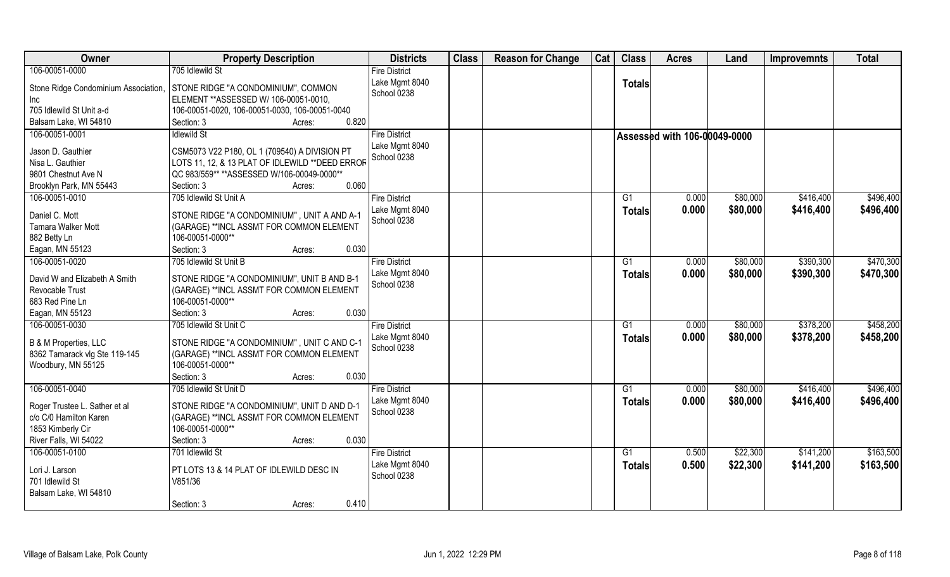| <b>Owner</b>                                                                                          | <b>Property Description</b>                                                                                                                  | <b>Districts</b>                       | <b>Class</b> | <b>Reason for Change</b> | Cat | <b>Class</b>        | <b>Acres</b>                 | Land                 | <b>Improvemnts</b>     | <b>Total</b>           |
|-------------------------------------------------------------------------------------------------------|----------------------------------------------------------------------------------------------------------------------------------------------|----------------------------------------|--------------|--------------------------|-----|---------------------|------------------------------|----------------------|------------------------|------------------------|
| 106-00051-0000                                                                                        | 705 Idlewild St                                                                                                                              | <b>Fire District</b>                   |              |                          |     |                     |                              |                      |                        |                        |
| Stone Ridge Condominium Association,<br><b>Inc</b><br>705 Idlewild St Unit a-d                        | STONE RIDGE "A CONDOMINIUM", COMMON<br>ELEMENT ** ASSESSED W/ 106-00051-0010,<br>106-00051-0020, 106-00051-0030, 106-00051-0040              | Lake Mgmt 8040<br>School 0238          |              |                          |     | <b>Totals</b>       |                              |                      |                        |                        |
| Balsam Lake, WI 54810                                                                                 | 0.820<br>Section: 3<br>Acres:                                                                                                                |                                        |              |                          |     |                     |                              |                      |                        |                        |
| 106-00051-0001                                                                                        | <b>Idlewild St</b>                                                                                                                           | <b>Fire District</b><br>Lake Mgmt 8040 |              |                          |     |                     | Assessed with 106-00049-0000 |                      |                        |                        |
| Jason D. Gauthier                                                                                     | CSM5073 V22 P180, OL 1 (709540) A DIVISION PT                                                                                                | School 0238                            |              |                          |     |                     |                              |                      |                        |                        |
| Nisa L. Gauthier                                                                                      | LOTS 11, 12, & 13 PLAT OF IDLEWILD ** DEED ERROR                                                                                             |                                        |              |                          |     |                     |                              |                      |                        |                        |
| 9801 Chestnut Ave N                                                                                   | QC 983/559** ** ASSESSED W/106-00049-0000**                                                                                                  |                                        |              |                          |     |                     |                              |                      |                        |                        |
| Brooklyn Park, MN 55443                                                                               | 0.060<br>Section: 3<br>Acres:                                                                                                                |                                        |              |                          |     |                     |                              |                      |                        |                        |
| 106-00051-0010                                                                                        | 705 Idlewild St Unit A                                                                                                                       | <b>Fire District</b>                   |              |                          |     | G1                  | 0.000                        | \$80,000             | \$416,400              | \$496,400              |
| Daniel C. Mott                                                                                        | STONE RIDGE "A CONDOMINIUM", UNIT A AND A-1                                                                                                  | Lake Mgmt 8040                         |              |                          |     | <b>Totals</b>       | 0.000                        | \$80,000             | \$416,400              | \$496,400              |
| <b>Tamara Walker Mott</b>                                                                             | (GARAGE) **INCL ASSMT FOR COMMON ELEMENT                                                                                                     | School 0238                            |              |                          |     |                     |                              |                      |                        |                        |
| 882 Betty Ln                                                                                          | 106-00051-0000**                                                                                                                             |                                        |              |                          |     |                     |                              |                      |                        |                        |
| Eagan, MN 55123                                                                                       | 0.030<br>Section: 3<br>Acres:                                                                                                                |                                        |              |                          |     |                     |                              |                      |                        |                        |
| 106-00051-0020                                                                                        | 705 Idlewild St Unit B                                                                                                                       | <b>Fire District</b><br>Lake Mgmt 8040 |              |                          |     | G1                  | 0.000                        | \$80,000             | \$390,300              | \$470,300              |
| David W and Elizabeth A Smith<br>Revocable Trust<br>683 Red Pine Ln                                   | STONE RIDGE "A CONDOMINIUM", UNIT B AND B-1<br>(GARAGE) **INCL ASSMT FOR COMMON ELEMENT<br>106-00051-0000**                                  | School 0238                            |              |                          |     | Totals              | 0.000                        | \$80,000             | \$390,300              | \$470,300              |
| Eagan, MN 55123                                                                                       | 0.030<br>Section: 3<br>Acres:                                                                                                                |                                        |              |                          |     |                     |                              |                      |                        |                        |
| 106-00051-0030                                                                                        | 705 Idlewild St Unit C                                                                                                                       | <b>Fire District</b><br>Lake Mgmt 8040 |              |                          |     | G1<br><b>Totals</b> | 0.000<br>0.000               | \$80,000<br>\$80,000 | \$378,200<br>\$378,200 | \$458,200<br>\$458,200 |
| B & M Properties, LLC<br>8362 Tamarack vlg Ste 119-145<br>Woodbury, MN 55125                          | STONE RIDGE "A CONDOMINIUM", UNIT C AND C-1<br>(GARAGE) ** INCL ASSMT FOR COMMON ELEMENT<br>106-00051-0000**                                 | School 0238                            |              |                          |     |                     |                              |                      |                        |                        |
|                                                                                                       | 0.030<br>Section: 3<br>Acres:                                                                                                                |                                        |              |                          |     |                     |                              |                      |                        |                        |
| 106-00051-0040                                                                                        | 705 Idlewild St Unit D                                                                                                                       | <b>Fire District</b>                   |              |                          |     | G1                  | 0.000                        | \$80,000             | \$416,400              | \$496,400              |
| Roger Trustee L. Sather et al<br>c/o C/0 Hamilton Karen<br>1853 Kimberly Cir<br>River Falls, WI 54022 | STONE RIDGE "A CONDOMINIUM", UNIT D AND D-1<br>(GARAGE) **INCL ASSMT FOR COMMON ELEMENT<br>106-00051-0000**<br>0.030<br>Section: 3<br>Acres: | Lake Mgmt 8040<br>School 0238          |              |                          |     | <b>Totals</b>       | 0.000                        | \$80,000             | \$416,400              | \$496,400              |
| 106-00051-0100                                                                                        | 701 Idlewild St                                                                                                                              | <b>Fire District</b>                   |              |                          |     | G1                  | 0.500                        | \$22,300             | \$141,200              | \$163,500              |
| Lori J. Larson<br>701 Idlewild St<br>Balsam Lake, WI 54810                                            | PT LOTS 13 & 14 PLAT OF IDLEWILD DESC IN<br>V851/36                                                                                          | Lake Mgmt 8040<br>School 0238          |              |                          |     | <b>Totals</b>       | 0.500                        | \$22,300             | \$141,200              | \$163,500              |
|                                                                                                       | 0.410<br>Section: 3<br>Acres:                                                                                                                |                                        |              |                          |     |                     |                              |                      |                        |                        |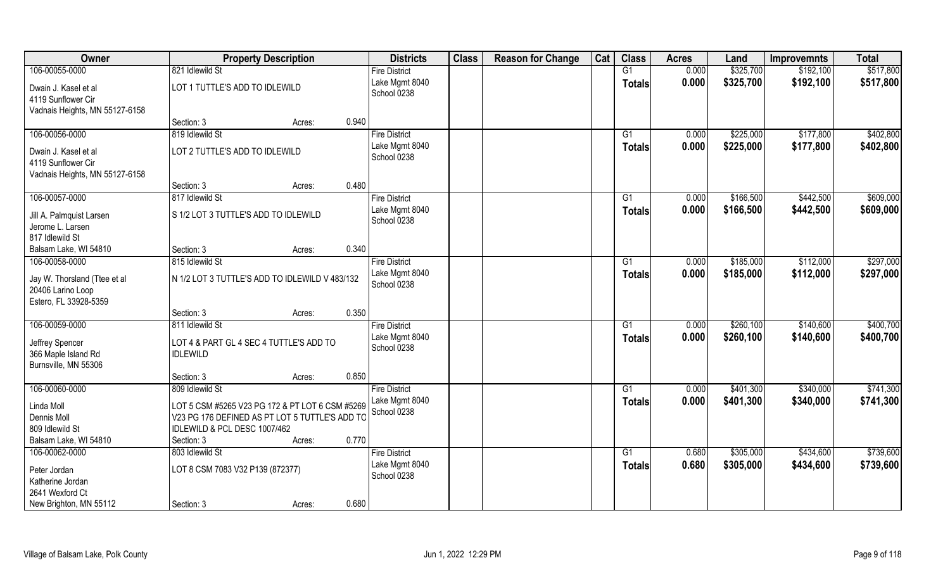| Owner                                                                      |                                                 | <b>Property Description</b> |       | <b>Districts</b>                       | <b>Class</b> | <b>Reason for Change</b> | Cat | <b>Class</b>    | <b>Acres</b> | Land      | <b>Improvemnts</b> | <b>Total</b> |
|----------------------------------------------------------------------------|-------------------------------------------------|-----------------------------|-------|----------------------------------------|--------------|--------------------------|-----|-----------------|--------------|-----------|--------------------|--------------|
| 106-00055-0000                                                             | 821 Idlewild St                                 |                             |       | <b>Fire District</b>                   |              |                          |     | $\overline{G1}$ | 0.000        | \$325,700 | \$192,100          | \$517,800    |
| Dwain J. Kasel et al<br>4119 Sunflower Cir                                 | LOT 1 TUTTLE'S ADD TO IDLEWILD                  |                             |       | Lake Mgmt 8040<br>School 0238          |              |                          |     | <b>Totals</b>   | 0.000        | \$325,700 | \$192,100          | \$517,800    |
| Vadnais Heights, MN 55127-6158                                             |                                                 |                             |       |                                        |              |                          |     |                 |              |           |                    |              |
|                                                                            | Section: 3                                      | Acres:                      | 0.940 |                                        |              |                          |     |                 |              |           |                    |              |
| 106-00056-0000                                                             | 819 Idlewild St                                 |                             |       | <b>Fire District</b>                   |              |                          |     | G1              | 0.000        | \$225,000 | \$177,800          | \$402,800    |
| Dwain J. Kasel et al                                                       | LOT 2 TUTTLE'S ADD TO IDLEWILD                  |                             |       | Lake Mgmt 8040                         |              |                          |     | Totals          | 0.000        | \$225,000 | \$177,800          | \$402,800    |
| 4119 Sunflower Cir                                                         |                                                 |                             |       | School 0238                            |              |                          |     |                 |              |           |                    |              |
| Vadnais Heights, MN 55127-6158                                             |                                                 |                             |       |                                        |              |                          |     |                 |              |           |                    |              |
|                                                                            | Section: 3                                      | Acres:                      | 0.480 |                                        |              |                          |     |                 |              |           |                    |              |
| 106-00057-0000                                                             | 817 Idlewild St                                 |                             |       | <b>Fire District</b>                   |              |                          |     | G1              | 0.000        | \$166,500 | \$442,500          | \$609,000    |
| Jill A. Palmquist Larsen                                                   | S 1/2 LOT 3 TUTTLE'S ADD TO IDLEWILD            |                             |       | Lake Mgmt 8040                         |              |                          |     | <b>Totals</b>   | 0.000        | \$166,500 | \$442,500          | \$609,000    |
| Jerome L. Larsen                                                           |                                                 |                             |       | School 0238                            |              |                          |     |                 |              |           |                    |              |
| 817 Idlewild St                                                            |                                                 |                             |       |                                        |              |                          |     |                 |              |           |                    |              |
| Balsam Lake, WI 54810                                                      | Section: 3                                      | Acres:                      | 0.340 |                                        |              |                          |     |                 |              |           |                    |              |
| 106-00058-0000                                                             | 815 Idlewild St                                 |                             |       | <b>Fire District</b>                   |              |                          |     | G1              | 0.000        | \$185,000 | \$112,000          | \$297,000    |
| Jay W. Thorsland (Ttee et al<br>20406 Larino Loop<br>Estero, FL 33928-5359 | N 1/2 LOT 3 TUTTLE'S ADD TO IDLEWILD V 483/132  |                             |       | Lake Mgmt 8040<br>School 0238          |              |                          |     | <b>Totals</b>   | 0.000        | \$185,000 | \$112,000          | \$297,000    |
|                                                                            | Section: 3                                      | Acres:                      | 0.350 |                                        |              |                          |     |                 |              |           |                    |              |
| 106-00059-0000                                                             | 811 Idlewild St                                 |                             |       | <b>Fire District</b>                   |              |                          |     | $\overline{G1}$ | 0.000        | \$260,100 | \$140,600          | \$400,700    |
|                                                                            |                                                 |                             |       | Lake Mgmt 8040                         |              |                          |     | <b>Totals</b>   | 0.000        | \$260,100 | \$140,600          | \$400,700    |
| Jeffrey Spencer                                                            | LOT 4 & PART GL 4 SEC 4 TUTTLE'S ADD TO         |                             |       | School 0238                            |              |                          |     |                 |              |           |                    |              |
| 366 Maple Island Rd                                                        | <b>IDLEWILD</b>                                 |                             |       |                                        |              |                          |     |                 |              |           |                    |              |
| Burnsville, MN 55306                                                       | Section: 3                                      | Acres:                      | 0.850 |                                        |              |                          |     |                 |              |           |                    |              |
| 106-00060-0000                                                             | 809 Idlewild St                                 |                             |       | <b>Fire District</b>                   |              |                          |     | G1              | 0.000        | \$401,300 | \$340,000          | \$741,300    |
|                                                                            |                                                 |                             |       | Lake Mgmt 8040                         |              |                          |     | <b>Totals</b>   | 0.000        | \$401,300 | \$340,000          | \$741,300    |
| Linda Moll                                                                 | LOT 5 CSM #5265 V23 PG 172 & PT LOT 6 CSM #5269 |                             |       | School 0238                            |              |                          |     |                 |              |           |                    |              |
| Dennis Moll                                                                | V23 PG 176 DEFINED AS PT LOT 5 TUTTLE'S ADD TO  |                             |       |                                        |              |                          |     |                 |              |           |                    |              |
| 809 Idlewild St                                                            | IDLEWILD & PCL DESC 1007/462                    |                             |       |                                        |              |                          |     |                 |              |           |                    |              |
| Balsam Lake, WI 54810                                                      | Section: 3                                      | Acres:                      | 0.770 |                                        |              |                          |     |                 |              |           |                    |              |
| 106-00062-0000                                                             | 803 Idlewild St                                 |                             |       | <b>Fire District</b><br>Lake Mgmt 8040 |              |                          |     | $\overline{G1}$ | 0.680        | \$305,000 | \$434,600          | \$739,600    |
| Peter Jordan                                                               | LOT 8 CSM 7083 V32 P139 (872377)                |                             |       | School 0238                            |              |                          |     | <b>Totals</b>   | 0.680        | \$305,000 | \$434,600          | \$739,600    |
| Katherine Jordan                                                           |                                                 |                             |       |                                        |              |                          |     |                 |              |           |                    |              |
| 2641 Wexford Ct                                                            |                                                 |                             |       |                                        |              |                          |     |                 |              |           |                    |              |
| New Brighton, MN 55112                                                     | Section: 3                                      | Acres:                      | 0.680 |                                        |              |                          |     |                 |              |           |                    |              |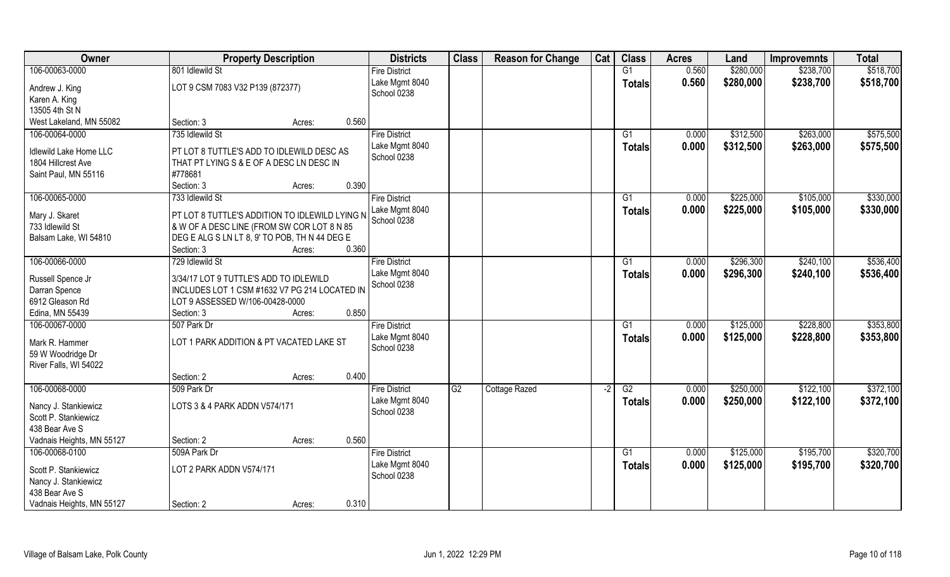| Owner                         | <b>Property Description</b>                    |        |       | <b>Districts</b>              | <b>Class</b> | <b>Reason for Change</b> | Cat  | <b>Class</b>    | <b>Acres</b> | Land      | <b>Improvemnts</b> | <b>Total</b> |
|-------------------------------|------------------------------------------------|--------|-------|-------------------------------|--------------|--------------------------|------|-----------------|--------------|-----------|--------------------|--------------|
| 106-00063-0000                | 801 Idlewild St                                |        |       | <b>Fire District</b>          |              |                          |      | G1              | 0.560        | \$280,000 | \$238,700          | \$518,700    |
| Andrew J. King                | LOT 9 CSM 7083 V32 P139 (872377)               |        |       | Lake Mgmt 8040                |              |                          |      | <b>Totals</b>   | 0.560        | \$280,000 | \$238,700          | \$518,700    |
| Karen A. King                 |                                                |        |       | School 0238                   |              |                          |      |                 |              |           |                    |              |
| 13505 4th St N                |                                                |        |       |                               |              |                          |      |                 |              |           |                    |              |
| West Lakeland, MN 55082       | Section: 3                                     | Acres: | 0.560 |                               |              |                          |      |                 |              |           |                    |              |
| 106-00064-0000                | 735 Idlewild St                                |        |       | <b>Fire District</b>          |              |                          |      | G1              | 0.000        | \$312,500 | \$263,000          | \$575,500    |
|                               |                                                |        |       | Lake Mgmt 8040                |              |                          |      | Totals          | 0.000        | \$312,500 | \$263,000          | \$575,500    |
| <b>Idlewild Lake Home LLC</b> | PT LOT 8 TUTTLE'S ADD TO IDLEWILD DESC AS      |        |       | School 0238                   |              |                          |      |                 |              |           |                    |              |
| 1804 Hillcrest Ave            | THAT PT LYING S & E OF A DESC LN DESC IN       |        |       |                               |              |                          |      |                 |              |           |                    |              |
| Saint Paul, MN 55116          | #778681                                        |        | 0.390 |                               |              |                          |      |                 |              |           |                    |              |
|                               | Section: 3                                     | Acres: |       |                               |              |                          |      |                 |              |           |                    |              |
| 106-00065-0000                | 733 Idlewild St                                |        |       | <b>Fire District</b>          |              |                          |      | G1              | 0.000        | \$225,000 | \$105,000          | \$330,000    |
| Mary J. Skaret                | PT LOT 8 TUTTLE'S ADDITION TO IDLEWILD LYING N |        |       | Lake Mgmt 8040<br>School 0238 |              |                          |      | <b>Totals</b>   | 0.000        | \$225,000 | \$105,000          | \$330,000    |
| 733 Idlewild St               | & W OF A DESC LINE (FROM SW COR LOT 8 N 85     |        |       |                               |              |                          |      |                 |              |           |                    |              |
| Balsam Lake, WI 54810         | DEG E ALG S LN LT 8, 9' TO POB, TH N 44 DEG E  |        |       |                               |              |                          |      |                 |              |           |                    |              |
|                               | Section: 3                                     | Acres: | 0.360 |                               |              |                          |      |                 |              |           |                    |              |
| 106-00066-0000                | 729 Idlewild St                                |        |       | <b>Fire District</b>          |              |                          |      | G1              | 0.000        | \$296,300 | \$240,100          | \$536,400    |
| Russell Spence Jr             | 3/34/17 LOT 9 TUTTLE'S ADD TO IDLEWILD         |        |       | Lake Mgmt 8040                |              |                          |      | <b>Totals</b>   | 0.000        | \$296,300 | \$240,100          | \$536,400    |
| Darran Spence                 | INCLUDES LOT 1 CSM #1632 V7 PG 214 LOCATED IN  |        |       | School 0238                   |              |                          |      |                 |              |           |                    |              |
| 6912 Gleason Rd               | LOT 9 ASSESSED W/106-00428-0000                |        |       |                               |              |                          |      |                 |              |           |                    |              |
| Edina, MN 55439               | Section: 3                                     | Acres: | 0.850 |                               |              |                          |      |                 |              |           |                    |              |
| 106-00067-0000                | 507 Park Dr                                    |        |       | <b>Fire District</b>          |              |                          |      | $\overline{G1}$ | 0.000        | \$125,000 | \$228,800          | \$353,800    |
|                               |                                                |        |       | Lake Mgmt 8040                |              |                          |      | <b>Totals</b>   | 0.000        | \$125,000 | \$228,800          | \$353,800    |
| Mark R. Hammer                | LOT 1 PARK ADDITION & PT VACATED LAKE ST       |        |       | School 0238                   |              |                          |      |                 |              |           |                    |              |
| 59 W Woodridge Dr             |                                                |        |       |                               |              |                          |      |                 |              |           |                    |              |
| River Falls, WI 54022         |                                                |        |       |                               |              |                          |      |                 |              |           |                    |              |
|                               | Section: 2                                     | Acres: | 0.400 |                               |              |                          |      |                 |              |           |                    |              |
| 106-00068-0000                | 509 Park Dr                                    |        |       | <b>Fire District</b>          | G2           | <b>Cottage Razed</b>     | $-2$ | G2              | 0.000        | \$250,000 | \$122,100          | \$372,100    |
| Nancy J. Stankiewicz          | LOTS 3 & 4 PARK ADDN V574/171                  |        |       | Lake Mgmt 8040                |              |                          |      | <b>Totals</b>   | 0.000        | \$250,000 | \$122,100          | \$372,100    |
| Scott P. Stankiewicz          |                                                |        |       | School 0238                   |              |                          |      |                 |              |           |                    |              |
| 438 Bear Ave S                |                                                |        |       |                               |              |                          |      |                 |              |           |                    |              |
| Vadnais Heights, MN 55127     | Section: 2                                     | Acres: | 0.560 |                               |              |                          |      |                 |              |           |                    |              |
| 106-00068-0100                | 509A Park Dr                                   |        |       | <b>Fire District</b>          |              |                          |      | G1              | 0.000        | \$125,000 | \$195,700          | \$320,700    |
| Scott P. Stankiewicz          | LOT 2 PARK ADDN V574/171                       |        |       | Lake Mgmt 8040                |              |                          |      | <b>Totals</b>   | 0.000        | \$125,000 | \$195,700          | \$320,700    |
| Nancy J. Stankiewicz          |                                                |        |       | School 0238                   |              |                          |      |                 |              |           |                    |              |
| 438 Bear Ave S                |                                                |        |       |                               |              |                          |      |                 |              |           |                    |              |
| Vadnais Heights, MN 55127     | Section: 2                                     | Acres: | 0.310 |                               |              |                          |      |                 |              |           |                    |              |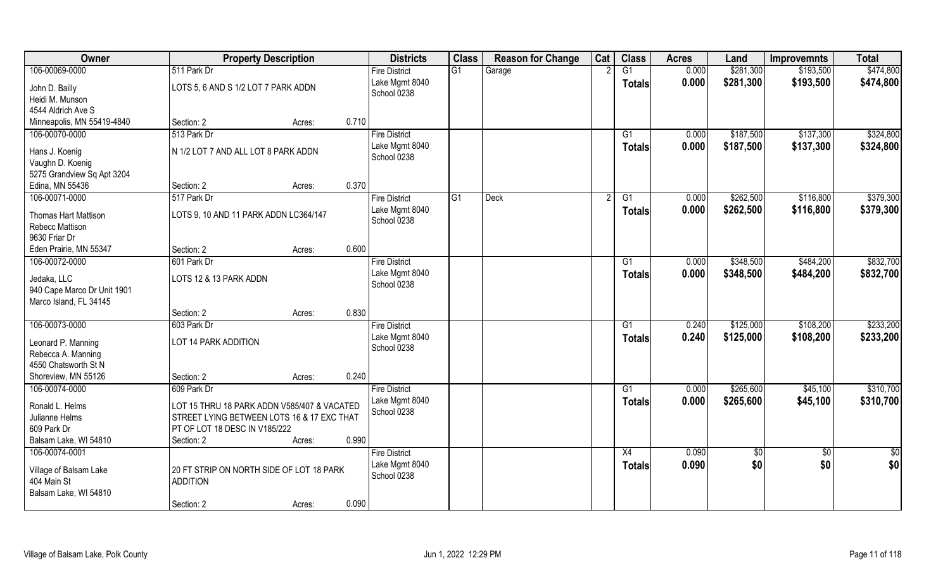| Owner                                   | <b>Property Description</b>                 |        |       | <b>Districts</b>     | <b>Class</b> | <b>Reason for Change</b> | Cat | <b>Class</b>    | <b>Acres</b> | Land       | <b>Improvemnts</b> | <b>Total</b>  |
|-----------------------------------------|---------------------------------------------|--------|-------|----------------------|--------------|--------------------------|-----|-----------------|--------------|------------|--------------------|---------------|
| 106-00069-0000                          | 511 Park Dr                                 |        |       | <b>Fire District</b> | G1           | Garage                   |     | $\overline{G1}$ | 0.000        | \$281,300  | \$193,500          | \$474,800     |
| John D. Bailly                          | LOTS 5, 6 AND S 1/2 LOT 7 PARK ADDN         |        |       | Lake Mgmt 8040       |              |                          |     | <b>Totals</b>   | 0.000        | \$281,300  | \$193,500          | \$474,800     |
| Heidi M. Munson                         |                                             |        |       | School 0238          |              |                          |     |                 |              |            |                    |               |
| 4544 Aldrich Ave S                      |                                             |        |       |                      |              |                          |     |                 |              |            |                    |               |
| Minneapolis, MN 55419-4840              | Section: 2                                  | Acres: | 0.710 |                      |              |                          |     |                 |              |            |                    |               |
| 106-00070-0000                          | 513 Park Dr                                 |        |       | <b>Fire District</b> |              |                          |     | $\overline{G1}$ | 0.000        | \$187,500  | \$137,300          | \$324,800     |
|                                         | N 1/2 LOT 7 AND ALL LOT 8 PARK ADDN         |        |       | Lake Mgmt 8040       |              |                          |     | Totals          | 0.000        | \$187,500  | \$137,300          | \$324,800     |
| Hans J. Koenig<br>Vaughn D. Koenig      |                                             |        |       | School 0238          |              |                          |     |                 |              |            |                    |               |
| 5275 Grandview Sq Apt 3204              |                                             |        |       |                      |              |                          |     |                 |              |            |                    |               |
| Edina, MN 55436                         | Section: 2                                  | Acres: | 0.370 |                      |              |                          |     |                 |              |            |                    |               |
| 106-00071-0000                          | 517 Park Dr                                 |        |       | <b>Fire District</b> | G1           | <b>Deck</b>              |     | G1              | 0.000        | \$262,500  | \$116,800          | \$379,300     |
|                                         |                                             |        |       | Lake Mgmt 8040       |              |                          |     | <b>Totals</b>   | 0.000        | \$262,500  | \$116,800          | \$379,300     |
| <b>Thomas Hart Mattison</b>             | LOTS 9, 10 AND 11 PARK ADDN LC364/147       |        |       | School 0238          |              |                          |     |                 |              |            |                    |               |
| Rebecc Mattison                         |                                             |        |       |                      |              |                          |     |                 |              |            |                    |               |
| 9630 Friar Dr<br>Eden Prairie, MN 55347 | Section: 2                                  |        | 0.600 |                      |              |                          |     |                 |              |            |                    |               |
| 106-00072-0000                          | 601 Park Dr                                 | Acres: |       | <b>Fire District</b> |              |                          |     | G1              | 0.000        | \$348,500  | \$484,200          | \$832,700     |
|                                         |                                             |        |       | Lake Mgmt 8040       |              |                          |     |                 | 0.000        | \$348,500  | \$484,200          | \$832,700     |
| Jedaka, LLC                             | LOTS 12 & 13 PARK ADDN                      |        |       | School 0238          |              |                          |     | <b>Totals</b>   |              |            |                    |               |
| 940 Cape Marco Dr Unit 1901             |                                             |        |       |                      |              |                          |     |                 |              |            |                    |               |
| Marco Island, FL 34145                  |                                             |        |       |                      |              |                          |     |                 |              |            |                    |               |
|                                         | Section: 2                                  | Acres: | 0.830 |                      |              |                          |     |                 |              |            |                    |               |
| 106-00073-0000                          | 603 Park Dr                                 |        |       | <b>Fire District</b> |              |                          |     | $\overline{G1}$ | 0.240        | \$125,000  | \$108,200          | \$233,200     |
| Leonard P. Manning                      | LOT 14 PARK ADDITION                        |        |       | Lake Mgmt 8040       |              |                          |     | Totals          | 0.240        | \$125,000  | \$108,200          | \$233,200     |
| Rebecca A. Manning                      |                                             |        |       | School 0238          |              |                          |     |                 |              |            |                    |               |
| 4550 Chatsworth St N                    |                                             |        |       |                      |              |                          |     |                 |              |            |                    |               |
| Shoreview, MN 55126                     | Section: 2                                  | Acres: | 0.240 |                      |              |                          |     |                 |              |            |                    |               |
| 106-00074-0000                          | 609 Park Dr                                 |        |       | <b>Fire District</b> |              |                          |     | G1              | 0.000        | \$265,600  | \$45,100           | \$310,700     |
| Ronald L. Helms                         | LOT 15 THRU 18 PARK ADDN V585/407 & VACATED |        |       | Lake Mgmt 8040       |              |                          |     | <b>Totals</b>   | 0.000        | \$265,600  | \$45,100           | \$310,700     |
| Julianne Helms                          | STREET LYING BETWEEN LOTS 16 & 17 EXC THAT  |        |       | School 0238          |              |                          |     |                 |              |            |                    |               |
| 609 Park Dr                             | PT OF LOT 18 DESC IN V185/222               |        |       |                      |              |                          |     |                 |              |            |                    |               |
| Balsam Lake, WI 54810                   | Section: 2                                  | Acres: | 0.990 |                      |              |                          |     |                 |              |            |                    |               |
| 106-00074-0001                          |                                             |        |       | <b>Fire District</b> |              |                          |     | X4              | 0.090        | $\sqrt{6}$ | $\sqrt{6}$         | $\frac{1}{2}$ |
|                                         |                                             |        |       | Lake Mgmt 8040       |              |                          |     | <b>Totals</b>   | 0.090        | \$0        | \$0                | \$0           |
| Village of Balsam Lake                  | 20 FT STRIP ON NORTH SIDE OF LOT 18 PARK    |        |       | School 0238          |              |                          |     |                 |              |            |                    |               |
| 404 Main St<br>Balsam Lake, WI 54810    | <b>ADDITION</b>                             |        |       |                      |              |                          |     |                 |              |            |                    |               |
|                                         | Section: 2                                  | Acres: | 0.090 |                      |              |                          |     |                 |              |            |                    |               |
|                                         |                                             |        |       |                      |              |                          |     |                 |              |            |                    |               |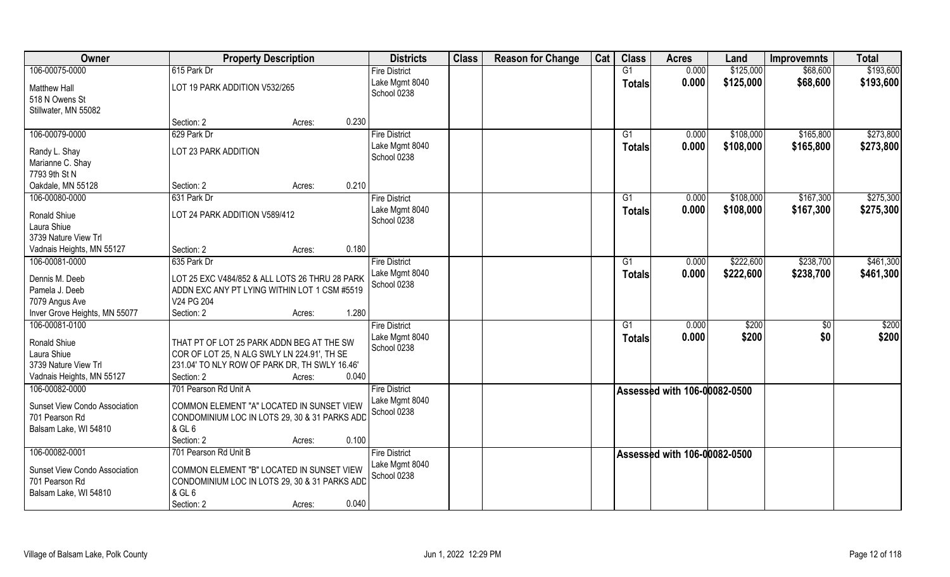| Owner                                                                    | <b>Property Description</b>                                                                          |        |       | <b>Districts</b>              | <b>Class</b> | <b>Reason for Change</b> | Cat | <b>Class</b>    | <b>Acres</b>                 | Land      | <b>Improvemnts</b> | <b>Total</b>      |
|--------------------------------------------------------------------------|------------------------------------------------------------------------------------------------------|--------|-------|-------------------------------|--------------|--------------------------|-----|-----------------|------------------------------|-----------|--------------------|-------------------|
| 106-00075-0000                                                           | 615 Park Dr                                                                                          |        |       | <b>Fire District</b>          |              |                          |     | G <sub>1</sub>  | 0.000                        | \$125,000 | \$68,600           | \$193,600         |
| <b>Matthew Hall</b><br>518 N Owens St                                    | LOT 19 PARK ADDITION V532/265                                                                        |        |       | Lake Mgmt 8040<br>School 0238 |              |                          |     | <b>Totals</b>   | 0.000                        | \$125,000 | \$68,600           | \$193,600         |
| Stillwater, MN 55082                                                     |                                                                                                      |        |       |                               |              |                          |     |                 |                              |           |                    |                   |
|                                                                          | Section: 2                                                                                           | Acres: | 0.230 |                               |              |                          |     |                 |                              |           |                    |                   |
| 106-00079-0000                                                           | 629 Park Dr                                                                                          |        |       | <b>Fire District</b>          |              |                          |     | $\overline{G1}$ | 0.000                        | \$108,000 | \$165,800          | \$273,800         |
| Randy L. Shay                                                            | LOT 23 PARK ADDITION                                                                                 |        |       | Lake Mgmt 8040<br>School 0238 |              |                          |     | Totals          | 0.000                        | \$108,000 | \$165,800          | \$273,800         |
| Marianne C. Shay                                                         |                                                                                                      |        |       |                               |              |                          |     |                 |                              |           |                    |                   |
| 7793 9th St N                                                            |                                                                                                      |        |       |                               |              |                          |     |                 |                              |           |                    |                   |
| Oakdale, MN 55128                                                        | Section: 2                                                                                           | Acres: | 0.210 |                               |              |                          |     |                 |                              |           |                    |                   |
| 106-00080-0000                                                           | 631 Park Dr                                                                                          |        |       | <b>Fire District</b>          |              |                          |     | G1              | 0.000                        | \$108,000 | \$167,300          | \$275,300         |
| Ronald Shiue                                                             | LOT 24 PARK ADDITION V589/412                                                                        |        |       | Lake Mgmt 8040<br>School 0238 |              |                          |     | <b>Totals</b>   | 0.000                        | \$108,000 | \$167,300          | \$275,300         |
| Laura Shiue                                                              |                                                                                                      |        |       |                               |              |                          |     |                 |                              |           |                    |                   |
| 3739 Nature View Trl                                                     |                                                                                                      |        |       |                               |              |                          |     |                 |                              |           |                    |                   |
| Vadnais Heights, MN 55127                                                | Section: 2                                                                                           | Acres: | 0.180 |                               |              |                          |     |                 |                              |           |                    |                   |
| 106-00081-0000                                                           | 635 Park Dr                                                                                          |        |       | <b>Fire District</b>          |              |                          |     | G1              | 0.000                        | \$222,600 | \$238,700          | \$461,300         |
| Dennis M. Deeb                                                           | LOT 25 EXC V484/852 & ALL LOTS 26 THRU 28 PARK                                                       |        |       | Lake Mgmt 8040<br>School 0238 |              |                          |     | Totals          | 0.000                        | \$222,600 | \$238,700          | \$461,300         |
| Pamela J. Deeb                                                           | ADDN EXC ANY PT LYING WITHIN LOT 1 CSM #5519                                                         |        |       |                               |              |                          |     |                 |                              |           |                    |                   |
| 7079 Angus Ave                                                           | V24 PG 204                                                                                           |        |       |                               |              |                          |     |                 |                              |           |                    |                   |
| Inver Grove Heights, MN 55077                                            | Section: 2                                                                                           | Acres: | 1.280 |                               |              |                          |     |                 |                              |           |                    |                   |
| 106-00081-0100                                                           |                                                                                                      |        |       | <b>Fire District</b>          |              |                          |     | $\overline{G1}$ | 0.000                        | \$200     | \$0                | $\overline{$200}$ |
| Ronald Shiue                                                             | THAT PT OF LOT 25 PARK ADDN BEG AT THE SW                                                            |        |       | Lake Mgmt 8040                |              |                          |     | <b>Totals</b>   | 0.000                        | \$200     | \$0                | \$200             |
| Laura Shiue                                                              | COR OF LOT 25, N ALG SWLY LN 224.91', TH SE                                                          |        |       | School 0238                   |              |                          |     |                 |                              |           |                    |                   |
| 3739 Nature View Trl                                                     | 231.04' TO NLY ROW OF PARK DR, TH SWLY 16.46'                                                        |        |       |                               |              |                          |     |                 |                              |           |                    |                   |
| Vadnais Heights, MN 55127                                                | Section: 2                                                                                           | Acres: | 0.040 |                               |              |                          |     |                 |                              |           |                    |                   |
| 106-00082-0000                                                           | 701 Pearson Rd Unit A                                                                                |        |       | <b>Fire District</b>          |              |                          |     |                 | Assessed with 106-00082-0500 |           |                    |                   |
| Sunset View Condo Association<br>701 Pearson Rd                          | COMMON ELEMENT "A" LOCATED IN SUNSET VIEW<br>CONDOMINIUM LOC IN LOTS 29, 30 & 31 PARKS ADD           |        |       | Lake Mgmt 8040<br>School 0238 |              |                          |     |                 |                              |           |                    |                   |
| Balsam Lake, WI 54810                                                    | & GL 6                                                                                               |        |       |                               |              |                          |     |                 |                              |           |                    |                   |
|                                                                          | Section: 2                                                                                           | Acres: | 0.100 |                               |              |                          |     |                 |                              |           |                    |                   |
| 106-00082-0001                                                           | 701 Pearson Rd Unit B                                                                                |        |       | <b>Fire District</b>          |              |                          |     |                 | Assessed with 106-00082-0500 |           |                    |                   |
| Sunset View Condo Association<br>701 Pearson Rd<br>Balsam Lake, WI 54810 | COMMON ELEMENT "B" LOCATED IN SUNSET VIEW<br>CONDOMINIUM LOC IN LOTS 29, 30 & 31 PARKS ADD<br>& GL 6 |        | 0.040 | Lake Mgmt 8040<br>School 0238 |              |                          |     |                 |                              |           |                    |                   |
|                                                                          | Section: 2                                                                                           | Acres: |       |                               |              |                          |     |                 |                              |           |                    |                   |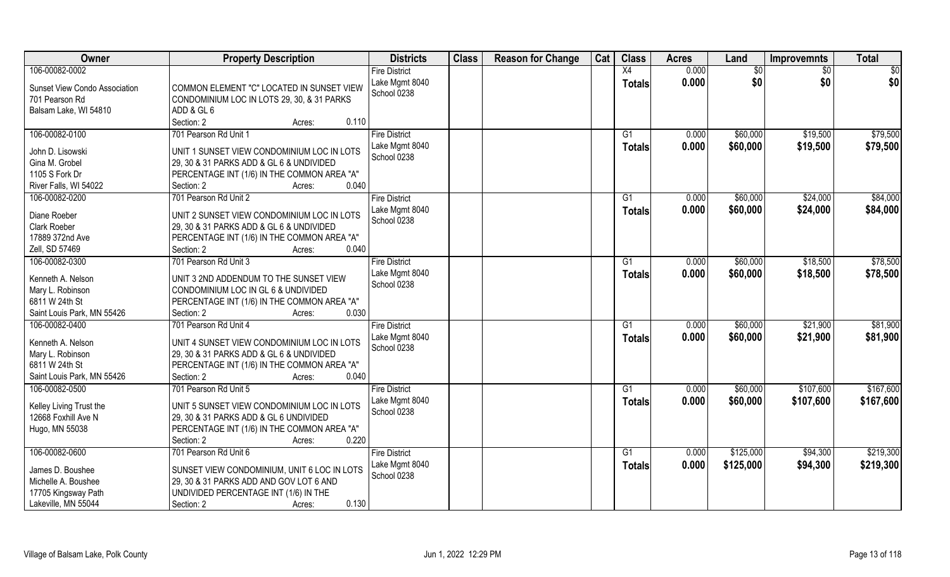| Owner                              | <b>Property Description</b>                          | <b>Districts</b>              | <b>Class</b> | <b>Reason for Change</b> | Cat | <b>Class</b>  | <b>Acres</b> | Land      | <b>Improvemnts</b> | <b>Total</b> |
|------------------------------------|------------------------------------------------------|-------------------------------|--------------|--------------------------|-----|---------------|--------------|-----------|--------------------|--------------|
| 106-00082-0002                     |                                                      | <b>Fire District</b>          |              |                          |     | X4            | 0.000        | \$0       | \$0                | \$0          |
| Sunset View Condo Association      | COMMON ELEMENT "C" LOCATED IN SUNSET VIEW            | Lake Mgmt 8040                |              |                          |     | <b>Totals</b> | 0.000        | \$0       | \$0                | \$0          |
| 701 Pearson Rd                     | CONDOMINIUM LOC IN LOTS 29, 30, & 31 PARKS           | School 0238                   |              |                          |     |               |              |           |                    |              |
| Balsam Lake, WI 54810              | ADD & GL 6                                           |                               |              |                          |     |               |              |           |                    |              |
|                                    | Section: 2<br>0.110<br>Acres:                        |                               |              |                          |     |               |              |           |                    |              |
| 106-00082-0100                     | 701 Pearson Rd Unit 1                                | <b>Fire District</b>          |              |                          |     | G1            | 0.000        | \$60,000  | \$19,500           | \$79,500     |
| John D. Lisowski                   | UNIT 1 SUNSET VIEW CONDOMINIUM LOC IN LOTS           | Lake Mgmt 8040                |              |                          |     | Totals        | 0.000        | \$60,000  | \$19,500           | \$79,500     |
| Gina M. Grobel                     | 29, 30 & 31 PARKS ADD & GL 6 & UNDIVIDED             | School 0238                   |              |                          |     |               |              |           |                    |              |
| 1105 S Fork Dr                     | PERCENTAGE INT (1/6) IN THE COMMON AREA "A"          |                               |              |                          |     |               |              |           |                    |              |
| River Falls, WI 54022              | 0.040<br>Section: 2<br>Acres:                        |                               |              |                          |     |               |              |           |                    |              |
| 106-00082-0200                     | 701 Pearson Rd Unit 2                                | <b>Fire District</b>          |              |                          |     | G1            | 0.000        | \$60,000  | \$24,000           | \$84,000     |
|                                    |                                                      | Lake Mgmt 8040                |              |                          |     | <b>Totals</b> | 0.000        | \$60,000  | \$24,000           | \$84,000     |
| Diane Roeber                       | UNIT 2 SUNSET VIEW CONDOMINIUM LOC IN LOTS           | School 0238                   |              |                          |     |               |              |           |                    |              |
| Clark Roeber                       | 29, 30 & 31 PARKS ADD & GL 6 & UNDIVIDED             |                               |              |                          |     |               |              |           |                    |              |
| 17889 372nd Ave                    | PERCENTAGE INT (1/6) IN THE COMMON AREA "A"          |                               |              |                          |     |               |              |           |                    |              |
| Zell, SD 57469                     | 0.040<br>Section: 2<br>Acres:                        |                               |              |                          |     |               |              |           |                    |              |
| 106-00082-0300                     | 701 Pearson Rd Unit 3                                | <b>Fire District</b>          |              |                          |     | G1            | 0.000        | \$60,000  | \$18,500           | \$78,500     |
| Kenneth A. Nelson                  | UNIT 3 2ND ADDENDUM TO THE SUNSET VIEW               | Lake Mgmt 8040                |              |                          |     | <b>Totals</b> | 0.000        | \$60,000  | \$18,500           | \$78,500     |
| Mary L. Robinson                   | CONDOMINIUM LOC IN GL 6 & UNDIVIDED                  | School 0238                   |              |                          |     |               |              |           |                    |              |
| 6811 W 24th St                     | PERCENTAGE INT (1/6) IN THE COMMON AREA "A"          |                               |              |                          |     |               |              |           |                    |              |
| Saint Louis Park, MN 55426         | 0.030<br>Section: 2<br>Acres:                        |                               |              |                          |     |               |              |           |                    |              |
| 106-00082-0400                     | 701 Pearson Rd Unit 4                                | <b>Fire District</b>          |              |                          |     | G1            | 0.000        | \$60,000  | \$21,900           | \$81,900     |
|                                    |                                                      | Lake Mgmt 8040                |              |                          |     | <b>Totals</b> | 0.000        | \$60,000  | \$21,900           | \$81,900     |
| Kenneth A. Nelson                  | UNIT 4 SUNSET VIEW CONDOMINIUM LOC IN LOTS           | School 0238                   |              |                          |     |               |              |           |                    |              |
| Mary L. Robinson<br>6811 W 24th St | 29, 30 & 31 PARKS ADD & GL 6 & UNDIVIDED             |                               |              |                          |     |               |              |           |                    |              |
| Saint Louis Park, MN 55426         | PERCENTAGE INT (1/6) IN THE COMMON AREA "A"<br>0.040 |                               |              |                          |     |               |              |           |                    |              |
| 106-00082-0500                     | Section: 2<br>Acres:<br>701 Pearson Rd Unit 5        |                               |              |                          |     | G1            | 0.000        | \$60,000  |                    | \$167,600    |
|                                    |                                                      | <b>Fire District</b>          |              |                          |     |               |              |           | \$107,600          |              |
| Kelley Living Trust the            | UNIT 5 SUNSET VIEW CONDOMINIUM LOC IN LOTS           | Lake Mgmt 8040<br>School 0238 |              |                          |     | <b>Totals</b> | 0.000        | \$60,000  | \$107,600          | \$167,600    |
| 12668 Foxhill Ave N                | 29, 30 & 31 PARKS ADD & GL 6 UNDIVIDED               |                               |              |                          |     |               |              |           |                    |              |
| Hugo, MN 55038                     | PERCENTAGE INT (1/6) IN THE COMMON AREA "A"          |                               |              |                          |     |               |              |           |                    |              |
|                                    | 0.220<br>Section: 2<br>Acres:                        |                               |              |                          |     |               |              |           |                    |              |
| 106-00082-0600                     | 701 Pearson Rd Unit 6                                | <b>Fire District</b>          |              |                          |     | G1            | 0.000        | \$125,000 | \$94,300           | \$219,300    |
| James D. Boushee                   | SUNSET VIEW CONDOMINIUM, UNIT 6 LOC IN LOTS          | Lake Mgmt 8040                |              |                          |     | <b>Totals</b> | 0.000        | \$125,000 | \$94,300           | \$219,300    |
| Michelle A. Boushee                | 29, 30 & 31 PARKS ADD AND GOV LOT 6 AND              | School 0238                   |              |                          |     |               |              |           |                    |              |
| 17705 Kingsway Path                | UNDIVIDED PERCENTAGE INT (1/6) IN THE                |                               |              |                          |     |               |              |           |                    |              |
|                                    |                                                      |                               |              |                          |     |               |              |           |                    |              |
| Lakeville, MN 55044                | 0.130<br>Section: 2<br>Acres:                        |                               |              |                          |     |               |              |           |                    |              |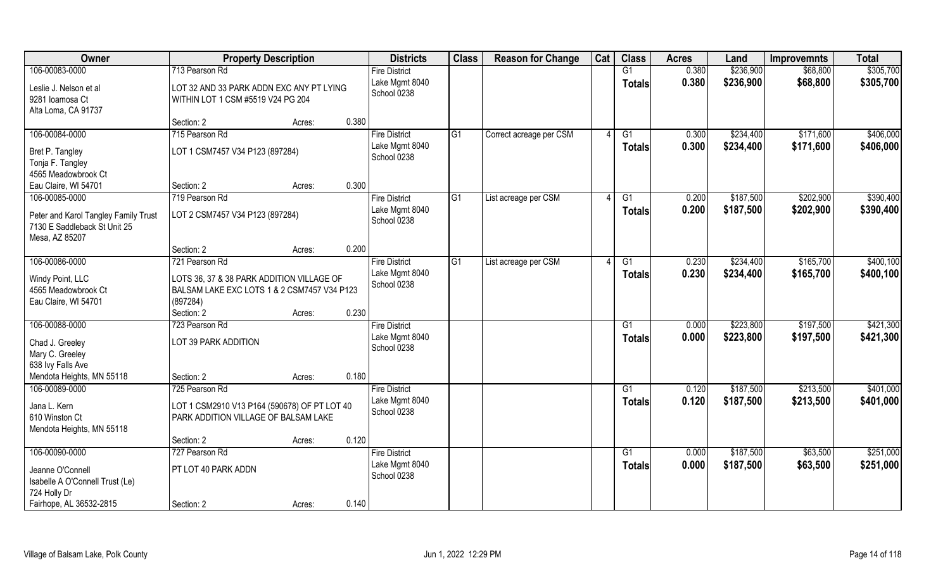| Owner                                     | <b>Property Description</b>                                                   |        |       | <b>Districts</b>                       | <b>Class</b> | <b>Reason for Change</b> | Cat | <b>Class</b>    | <b>Acres</b>   | Land      | <b>Improvemnts</b> | <b>Total</b> |
|-------------------------------------------|-------------------------------------------------------------------------------|--------|-------|----------------------------------------|--------------|--------------------------|-----|-----------------|----------------|-----------|--------------------|--------------|
| 106-00083-0000                            | 713 Pearson Rd                                                                |        |       | <b>Fire District</b>                   |              |                          |     | G1              | 0.380          | \$236,900 | \$68,800           | \$305,700    |
| Leslie J. Nelson et al<br>9281 Ioamosa Ct | LOT 32 AND 33 PARK ADDN EXC ANY PT LYING<br>WITHIN LOT 1 CSM #5519 V24 PG 204 |        |       | Lake Mgmt 8040<br>School 0238          |              |                          |     | <b>Totals</b>   | 0.380          | \$236,900 | \$68,800           | \$305,700    |
| Alta Loma, CA 91737                       |                                                                               |        | 0.380 |                                        |              |                          |     |                 |                |           |                    |              |
| 106-00084-0000                            | Section: 2<br>715 Pearson Rd                                                  | Acres: |       | <b>Fire District</b>                   | G1           |                          |     |                 |                | \$234,400 | \$171,600          | \$406,000    |
|                                           |                                                                               |        |       | Lake Mgmt 8040                         |              | Correct acreage per CSM  |     | G1              | 0.300<br>0.300 | \$234,400 | \$171,600          | \$406,000    |
| Bret P. Tangley                           | LOT 1 CSM7457 V34 P123 (897284)                                               |        |       | School 0238                            |              |                          |     | <b>Totals</b>   |                |           |                    |              |
| Tonja F. Tangley                          |                                                                               |        |       |                                        |              |                          |     |                 |                |           |                    |              |
| 4565 Meadowbrook Ct                       |                                                                               |        |       |                                        |              |                          |     |                 |                |           |                    |              |
| Eau Claire, WI 54701                      | Section: 2                                                                    | Acres: | 0.300 |                                        |              |                          |     |                 |                |           |                    |              |
| 106-00085-0000                            | 719 Pearson Rd                                                                |        |       | <b>Fire District</b><br>Lake Mgmt 8040 | G1           | List acreage per CSM     |     | G1              | 0.200          | \$187,500 | \$202,900          | \$390,400    |
| Peter and Karol Tangley Family Trust      | LOT 2 CSM7457 V34 P123 (897284)                                               |        |       | School 0238                            |              |                          |     | <b>Totals</b>   | 0.200          | \$187,500 | \$202,900          | \$390,400    |
| 7130 E Saddleback St Unit 25              |                                                                               |        |       |                                        |              |                          |     |                 |                |           |                    |              |
| Mesa, AZ 85207                            |                                                                               |        |       |                                        |              |                          |     |                 |                |           |                    |              |
|                                           | Section: 2                                                                    | Acres: | 0.200 |                                        |              |                          |     |                 |                |           |                    |              |
| 106-00086-0000                            | 721 Pearson Rd                                                                |        |       | <b>Fire District</b>                   | G1           | List acreage per CSM     |     | G1              | 0.230          | \$234,400 | \$165,700          | \$400,100    |
| Windy Point, LLC                          | LOTS 36, 37 & 38 PARK ADDITION VILLAGE OF                                     |        |       | Lake Mgmt 8040<br>School 0238          |              |                          |     | <b>Totals</b>   | 0.230          | \$234,400 | \$165,700          | \$400,100    |
| 4565 Meadowbrook Ct                       | BALSAM LAKE EXC LOTS 1 & 2 CSM7457 V34 P123                                   |        |       |                                        |              |                          |     |                 |                |           |                    |              |
| Eau Claire, WI 54701                      | (897284)                                                                      |        |       |                                        |              |                          |     |                 |                |           |                    |              |
|                                           | Section: 2                                                                    | Acres: | 0.230 |                                        |              |                          |     |                 |                |           |                    |              |
| 106-00088-0000                            | 723 Pearson Rd                                                                |        |       | <b>Fire District</b>                   |              |                          |     | G1              | 0.000          | \$223,800 | \$197,500          | \$421,300    |
| Chad J. Greeley                           | LOT 39 PARK ADDITION                                                          |        |       | Lake Mgmt 8040                         |              |                          |     | <b>Totals</b>   | 0.000          | \$223,800 | \$197,500          | \$421,300    |
| Mary C. Greeley                           |                                                                               |        |       | School 0238                            |              |                          |     |                 |                |           |                    |              |
| 638 Ivy Falls Ave                         |                                                                               |        |       |                                        |              |                          |     |                 |                |           |                    |              |
| Mendota Heights, MN 55118                 | Section: 2                                                                    | Acres: | 0.180 |                                        |              |                          |     |                 |                |           |                    |              |
| 106-00089-0000                            | 725 Pearson Rd                                                                |        |       | <b>Fire District</b>                   |              |                          |     | G1              | 0.120          | \$187,500 | \$213,500          | \$401,000    |
| Jana L. Kern                              | LOT 1 CSM2910 V13 P164 (590678) OF PT LOT 40                                  |        |       | Lake Mgmt 8040                         |              |                          |     | <b>Totals</b>   | 0.120          | \$187,500 | \$213,500          | \$401,000    |
| 610 Winston Ct                            | PARK ADDITION VILLAGE OF BALSAM LAKE                                          |        |       | School 0238                            |              |                          |     |                 |                |           |                    |              |
| Mendota Heights, MN 55118                 |                                                                               |        |       |                                        |              |                          |     |                 |                |           |                    |              |
|                                           | Section: 2                                                                    | Acres: | 0.120 |                                        |              |                          |     |                 |                |           |                    |              |
| 106-00090-0000                            | 727 Pearson Rd                                                                |        |       | <b>Fire District</b>                   |              |                          |     | $\overline{G1}$ | 0.000          | \$187,500 | \$63,500           | \$251,000    |
| Jeanne O'Connell                          | PT LOT 40 PARK ADDN                                                           |        |       | Lake Mgmt 8040                         |              |                          |     | <b>Totals</b>   | 0.000          | \$187,500 | \$63,500           | \$251,000    |
| Isabelle A O'Connell Trust (Le)           |                                                                               |        |       | School 0238                            |              |                          |     |                 |                |           |                    |              |
| 724 Holly Dr                              |                                                                               |        |       |                                        |              |                          |     |                 |                |           |                    |              |
| Fairhope, AL 36532-2815                   | Section: 2                                                                    | Acres: | 0.140 |                                        |              |                          |     |                 |                |           |                    |              |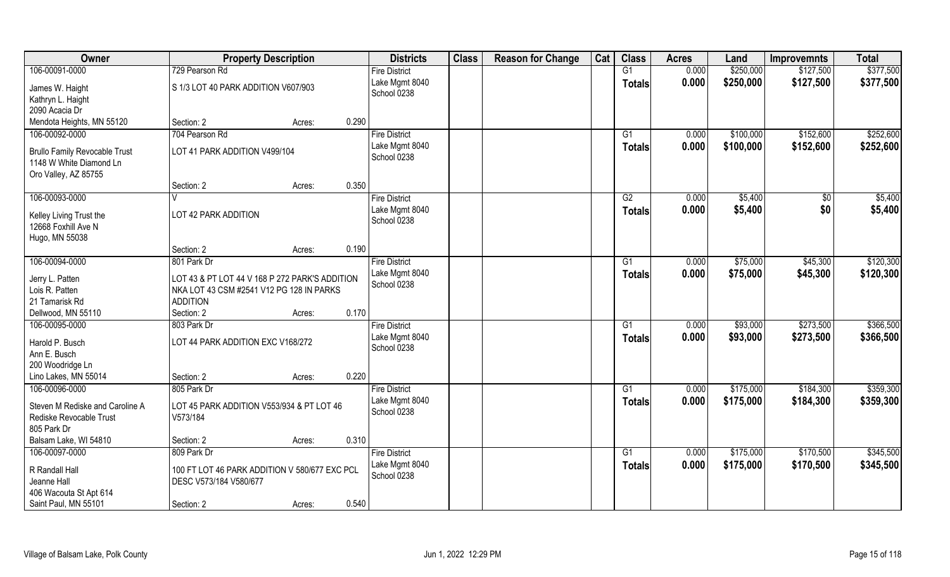| Owner                                                                                   | <b>Property Description</b>                                                                                   |        |       | <b>Districts</b>              | <b>Class</b> | <b>Reason for Change</b> | Cat | <b>Class</b>  | <b>Acres</b> | Land      | <b>Improvemnts</b> | <b>Total</b> |
|-----------------------------------------------------------------------------------------|---------------------------------------------------------------------------------------------------------------|--------|-------|-------------------------------|--------------|--------------------------|-----|---------------|--------------|-----------|--------------------|--------------|
| 106-00091-0000                                                                          | 729 Pearson Rd                                                                                                |        |       | <b>Fire District</b>          |              |                          |     | G1            | 0.000        | \$250,000 | \$127,500          | \$377,500    |
| James W. Haight<br>Kathryn L. Haight                                                    | S 1/3 LOT 40 PARK ADDITION V607/903                                                                           |        |       | Lake Mgmt 8040<br>School 0238 |              |                          |     | <b>Totals</b> | 0.000        | \$250,000 | \$127,500          | \$377,500    |
| 2090 Acacia Dr                                                                          |                                                                                                               |        |       |                               |              |                          |     |               |              |           |                    |              |
| Mendota Heights, MN 55120                                                               | Section: 2                                                                                                    | Acres: | 0.290 |                               |              |                          |     |               |              |           |                    |              |
| 106-00092-0000                                                                          | 704 Pearson Rd                                                                                                |        |       | <b>Fire District</b>          |              |                          |     | G1            | 0.000        | \$100,000 | \$152,600          | \$252,600    |
| <b>Brullo Family Revocable Trust</b><br>1148 W White Diamond Ln<br>Oro Valley, AZ 85755 | LOT 41 PARK ADDITION V499/104                                                                                 |        |       | Lake Mgmt 8040<br>School 0238 |              |                          |     | Totals        | 0.000        | \$100,000 | \$152,600          | \$252,600    |
|                                                                                         | Section: 2                                                                                                    | Acres: | 0.350 |                               |              |                          |     |               |              |           |                    |              |
| 106-00093-0000                                                                          |                                                                                                               |        |       | <b>Fire District</b>          |              |                          |     | G2            | 0.000        | \$5,400   | $\sqrt{6}$         | \$5,400      |
| Kelley Living Trust the<br>12668 Foxhill Ave N<br>Hugo, MN 55038                        | LOT 42 PARK ADDITION                                                                                          |        |       | Lake Mgmt 8040<br>School 0238 |              |                          |     | <b>Totals</b> | 0.000        | \$5,400   | \$0                | \$5,400      |
|                                                                                         | Section: 2                                                                                                    | Acres: | 0.190 |                               |              |                          |     |               |              |           |                    |              |
| 106-00094-0000                                                                          | 801 Park Dr                                                                                                   |        |       | <b>Fire District</b>          |              |                          |     | G1            | 0.000        | \$75,000  | \$45,300           | \$120,300    |
| Jerry L. Patten<br>Lois R. Patten<br>21 Tamarisk Rd                                     | LOT 43 & PT LOT 44 V 168 P 272 PARK'S ADDITION<br>NKA LOT 43 CSM #2541 V12 PG 128 IN PARKS<br><b>ADDITION</b> |        |       | Lake Mgmt 8040<br>School 0238 |              |                          |     | <b>Totals</b> | 0.000        | \$75,000  | \$45,300           | \$120,300    |
| Dellwood, MN 55110                                                                      | Section: 2                                                                                                    | Acres: | 0.170 |                               |              |                          |     |               |              |           |                    |              |
| 106-00095-0000                                                                          | 803 Park Dr                                                                                                   |        |       | <b>Fire District</b>          |              |                          |     | G1            | 0.000        | \$93,000  | \$273,500          | \$366,500    |
| Harold P. Busch<br>Ann E. Busch<br>200 Woodridge Ln                                     | LOT 44 PARK ADDITION EXC V168/272                                                                             |        |       | Lake Mgmt 8040<br>School 0238 |              |                          |     | <b>Totals</b> | 0.000        | \$93,000  | \$273,500          | \$366,500    |
| Lino Lakes, MN 55014                                                                    | Section: 2                                                                                                    | Acres: | 0.220 |                               |              |                          |     |               |              |           |                    |              |
| 106-00096-0000                                                                          | 805 Park Dr                                                                                                   |        |       | <b>Fire District</b>          |              |                          |     | G1            | 0.000        | \$175,000 | \$184,300          | \$359,300    |
| Steven M Rediske and Caroline A<br>Rediske Revocable Trust<br>805 Park Dr               | LOT 45 PARK ADDITION V553/934 & PT LOT 46<br>V573/184                                                         |        |       | Lake Mgmt 8040<br>School 0238 |              |                          |     | <b>Totals</b> | 0.000        | \$175,000 | \$184,300          | \$359,300    |
| Balsam Lake, WI 54810                                                                   | Section: 2                                                                                                    | Acres: | 0.310 |                               |              |                          |     |               |              |           |                    |              |
| 106-00097-0000                                                                          | 809 Park Dr                                                                                                   |        |       | <b>Fire District</b>          |              |                          |     | G1            | 0.000        | \$175,000 | \$170,500          | \$345,500    |
| R Randall Hall<br>Jeanne Hall<br>406 Wacouta St Apt 614                                 | 100 FT LOT 46 PARK ADDITION V 580/677 EXC PCL<br>DESC V573/184 V580/677                                       |        |       | Lake Mgmt 8040<br>School 0238 |              |                          |     | Totals        | 0.000        | \$175,000 | \$170,500          | \$345,500    |
| Saint Paul, MN 55101                                                                    | Section: 2                                                                                                    | Acres: | 0.540 |                               |              |                          |     |               |              |           |                    |              |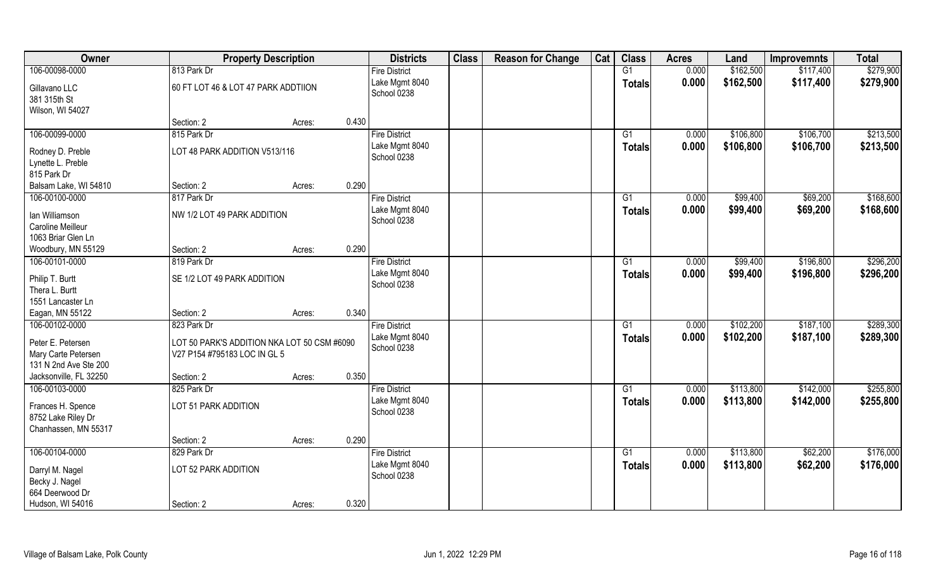| Owner                               | <b>Property Description</b>                 |                 | <b>Districts</b>     | <b>Class</b> | <b>Reason for Change</b> | Cat | <b>Class</b>    | <b>Acres</b> | Land      | <b>Improvemnts</b> | <b>Total</b> |
|-------------------------------------|---------------------------------------------|-----------------|----------------------|--------------|--------------------------|-----|-----------------|--------------|-----------|--------------------|--------------|
| 106-00098-0000                      | 813 Park Dr                                 |                 | <b>Fire District</b> |              |                          |     | G1              | 0.000        | \$162,500 | \$117,400          | \$279,900    |
| Gillavano LLC                       | 60 FT LOT 46 & LOT 47 PARK ADDTIION         |                 | Lake Mgmt 8040       |              |                          |     | <b>Totals</b>   | 0.000        | \$162,500 | \$117,400          | \$279,900    |
| 381 315th St                        |                                             |                 | School 0238          |              |                          |     |                 |              |           |                    |              |
| Wilson, WI 54027                    |                                             |                 |                      |              |                          |     |                 |              |           |                    |              |
|                                     | Section: 2                                  | 0.430<br>Acres: |                      |              |                          |     |                 |              |           |                    |              |
| 106-00099-0000                      | 815 Park Dr                                 |                 | <b>Fire District</b> |              |                          |     | G1              | 0.000        | \$106,800 | \$106,700          | \$213,500    |
| Rodney D. Preble                    | LOT 48 PARK ADDITION V513/116               |                 | Lake Mgmt 8040       |              |                          |     | <b>Totals</b>   | 0.000        | \$106,800 | \$106,700          | \$213,500    |
| Lynette L. Preble                   |                                             |                 | School 0238          |              |                          |     |                 |              |           |                    |              |
| 815 Park Dr                         |                                             |                 |                      |              |                          |     |                 |              |           |                    |              |
| Balsam Lake, WI 54810               | Section: 2                                  | 0.290<br>Acres: |                      |              |                          |     |                 |              |           |                    |              |
| 106-00100-0000                      | 817 Park Dr                                 |                 | <b>Fire District</b> |              |                          |     | G1              | 0.000        | \$99,400  | \$69,200           | \$168,600    |
|                                     | NW 1/2 LOT 49 PARK ADDITION                 |                 | Lake Mgmt 8040       |              |                          |     | <b>Totals</b>   | 0.000        | \$99,400  | \$69,200           | \$168,600    |
| Ian Williamson<br>Caroline Meilleur |                                             |                 | School 0238          |              |                          |     |                 |              |           |                    |              |
| 1063 Briar Glen Ln                  |                                             |                 |                      |              |                          |     |                 |              |           |                    |              |
| Woodbury, MN 55129                  | Section: 2                                  | 0.290<br>Acres: |                      |              |                          |     |                 |              |           |                    |              |
| 106-00101-0000                      | 819 Park Dr                                 |                 | <b>Fire District</b> |              |                          |     | G1              | 0.000        | \$99,400  | \$196,800          | \$296,200    |
|                                     |                                             |                 | Lake Mgmt 8040       |              |                          |     | Totals          | 0.000        | \$99,400  | \$196,800          | \$296,200    |
| Philip T. Burtt                     | SE 1/2 LOT 49 PARK ADDITION                 |                 | School 0238          |              |                          |     |                 |              |           |                    |              |
| Thera L. Burtt                      |                                             |                 |                      |              |                          |     |                 |              |           |                    |              |
| 1551 Lancaster Ln                   |                                             |                 |                      |              |                          |     |                 |              |           |                    |              |
| Eagan, MN 55122<br>106-00102-0000   | Section: 2<br>823 Park Dr                   | 0.340<br>Acres: | <b>Fire District</b> |              |                          |     | $\overline{G1}$ | 0.000        | \$102,200 | \$187,100          | \$289,300    |
|                                     |                                             |                 | Lake Mgmt 8040       |              |                          |     |                 | 0.000        | \$102,200 |                    |              |
| Peter E. Petersen                   | LOT 50 PARK'S ADDITION NKA LOT 50 CSM #6090 |                 | School 0238          |              |                          |     | <b>Totals</b>   |              |           | \$187,100          | \$289,300    |
| Mary Carte Petersen                 | V27 P154 #795183 LOC IN GL 5                |                 |                      |              |                          |     |                 |              |           |                    |              |
| 131 N 2nd Ave Ste 200               |                                             |                 |                      |              |                          |     |                 |              |           |                    |              |
| Jacksonville, FL 32250              | Section: 2                                  | 0.350<br>Acres: |                      |              |                          |     |                 |              |           |                    |              |
| 106-00103-0000                      | 825 Park Dr                                 |                 | <b>Fire District</b> |              |                          |     | G1              | 0.000        | \$113,800 | \$142,000          | \$255,800    |
| Frances H. Spence                   | LOT 51 PARK ADDITION                        |                 | Lake Mgmt 8040       |              |                          |     | <b>Totals</b>   | 0.000        | \$113,800 | \$142,000          | \$255,800    |
| 8752 Lake Riley Dr                  |                                             |                 | School 0238          |              |                          |     |                 |              |           |                    |              |
| Chanhassen, MN 55317                |                                             |                 |                      |              |                          |     |                 |              |           |                    |              |
|                                     | Section: 2                                  | 0.290<br>Acres: |                      |              |                          |     |                 |              |           |                    |              |
| 106-00104-0000                      | 829 Park Dr                                 |                 | <b>Fire District</b> |              |                          |     | $\overline{G1}$ | 0.000        | \$113,800 | \$62,200           | \$176,000    |
| Darryl M. Nagel                     | LOT 52 PARK ADDITION                        |                 | Lake Mgmt 8040       |              |                          |     | <b>Totals</b>   | 0.000        | \$113,800 | \$62,200           | \$176,000    |
| Becky J. Nagel                      |                                             |                 | School 0238          |              |                          |     |                 |              |           |                    |              |
| 664 Deerwood Dr                     |                                             |                 |                      |              |                          |     |                 |              |           |                    |              |
| Hudson, WI 54016                    | Section: 2                                  | 0.320<br>Acres: |                      |              |                          |     |                 |              |           |                    |              |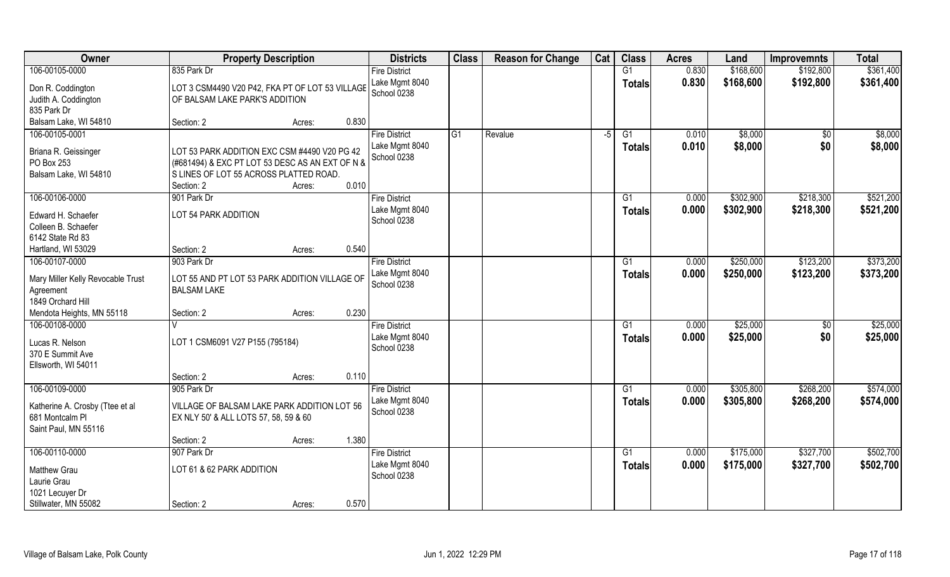| <b>Class</b><br>Owner<br><b>Class</b><br>Cat<br><b>Districts</b><br><b>Reason for Change</b><br><b>Property Description</b><br><b>Acres</b><br>Land | <b>Total</b><br><b>Improvemnts</b> |
|-----------------------------------------------------------------------------------------------------------------------------------------------------|------------------------------------|
| 0.830<br>\$168,600<br>106-00105-0000<br>835 Park Dr<br>G1<br><b>Fire District</b>                                                                   | \$361,400<br>\$192,800             |
| Lake Mgmt 8040<br>0.830<br>\$168,600<br><b>Totals</b><br>Don R. Coddington<br>LOT 3 CSM4490 V20 P42, FKA PT OF LOT 53 VILLAGE<br>School 0238        | \$192,800<br>\$361,400             |
| Judith A. Coddington<br>OF BALSAM LAKE PARK'S ADDITION                                                                                              |                                    |
| 835 Park Dr                                                                                                                                         |                                    |
| Balsam Lake, WI 54810<br>0.830<br>Section: 2<br>Acres:                                                                                              |                                    |
| 106-00105-0001<br>G1<br>\$8,000<br><b>Fire District</b><br>Revalue<br>G1<br>0.010<br>$-5$                                                           | \$8,000<br>$\frac{1}{30}$          |
| \$8,000<br>0.010<br>Lake Mgmt 8040<br>Totals<br>Briana R. Geissinger<br>LOT 53 PARK ADDITION EXC CSM #4490 V20 PG 42                                | \$0<br>\$8,000                     |
| School 0238<br>PO Box 253<br>(#681494) & EXC PT LOT 53 DESC AS AN EXT OF N &                                                                        |                                    |
| S LINES OF LOT 55 ACROSS PLATTED ROAD.<br>Balsam Lake, WI 54810                                                                                     |                                    |
| 0.010<br>Section: 2<br>Acres:                                                                                                                       |                                    |
| 106-00106-0000<br>901 Park Dr<br>\$302,900<br><b>Fire District</b><br>G1<br>0.000                                                                   | \$521,200<br>\$218,300             |
| Lake Mgmt 8040<br>0.000<br>\$302,900<br>Totals<br>Edward H. Schaefer<br>LOT 54 PARK ADDITION                                                        | \$218,300<br>\$521,200             |
| School 0238<br>Colleen B. Schaefer                                                                                                                  |                                    |
| 6142 State Rd 83                                                                                                                                    |                                    |
| 0.540<br>Hartland, WI 53029<br>Section: 2<br>Acres:                                                                                                 |                                    |
| 106-00107-0000<br>903 Park Dr<br>\$250,000<br><b>Fire District</b><br>0.000<br>G1                                                                   | \$373,200<br>\$123,200             |
| Lake Mgmt 8040<br>0.000<br>\$250,000<br><b>Totals</b>                                                                                               | \$123,200<br>\$373,200             |
| LOT 55 AND PT LOT 53 PARK ADDITION VILLAGE OF<br>Mary Miller Kelly Revocable Trust<br>School 0238                                                   |                                    |
| <b>BALSAM LAKE</b><br>Agreement                                                                                                                     |                                    |
| 1849 Orchard Hill                                                                                                                                   |                                    |
| 0.230<br>Mendota Heights, MN 55118<br>Section: 2<br>Acres:                                                                                          |                                    |
| 106-00108-0000<br>0.000<br>\$25,000<br><b>Fire District</b><br>G1                                                                                   | \$25,000<br>\$0                    |
| \$25,000<br>0.000<br>Lake Mgmt 8040<br><b>Totals</b><br>LOT 1 CSM6091 V27 P155 (795184)<br>Lucas R. Nelson<br>School 0238                           | \$0<br>\$25,000                    |
| 370 E Summit Ave                                                                                                                                    |                                    |
| Ellsworth, WI 54011                                                                                                                                 |                                    |
| 0.110<br>Section: 2<br>Acres:                                                                                                                       |                                    |
| 106-00109-0000<br>\$305,800<br>905 Park Dr<br><b>Fire District</b><br>G1<br>0.000                                                                   | \$268,200<br>\$574,000             |
| Lake Mgmt 8040<br>0.000<br>\$305,800<br><b>Totals</b><br>VILLAGE OF BALSAM LAKE PARK ADDITION LOT 56<br>Katherine A. Crosby (Ttee et al             | \$268,200<br>\$574,000             |
| School 0238<br>681 Montcalm Pl<br>EX NLY 50' & ALL LOTS 57, 58, 59 & 60                                                                             |                                    |
| Saint Paul, MN 55116                                                                                                                                |                                    |
| 1.380<br>Section: 2<br>Acres:                                                                                                                       |                                    |
| 106-00110-0000<br>907 Park Dr<br><b>Fire District</b><br>$\overline{G1}$<br>0.000<br>\$175,000                                                      | \$327,700<br>\$502,700             |
| Lake Mgmt 8040<br>0.000<br>\$175,000<br>Totals                                                                                                      | \$327,700<br>\$502,700             |
| LOT 61 & 62 PARK ADDITION<br><b>Matthew Grau</b><br>School 0238<br>Laurie Grau                                                                      |                                    |
| 1021 Lecuyer Dr                                                                                                                                     |                                    |
| Stillwater, MN 55082<br>0.570<br>Section: 2<br>Acres:                                                                                               |                                    |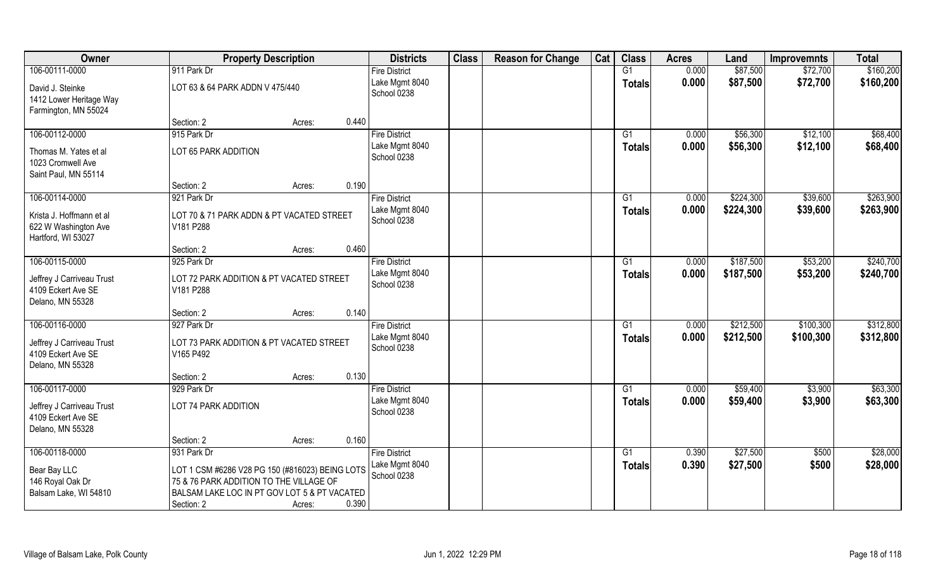| Owner                                                                  | <b>Property Description</b>                                                                                                                | <b>Districts</b>              | <b>Class</b> | <b>Reason for Change</b> | Cat | <b>Class</b>    | <b>Acres</b> | Land      | <b>Improvemnts</b> | <b>Total</b> |
|------------------------------------------------------------------------|--------------------------------------------------------------------------------------------------------------------------------------------|-------------------------------|--------------|--------------------------|-----|-----------------|--------------|-----------|--------------------|--------------|
| 106-00111-0000                                                         | 911 Park Dr                                                                                                                                | <b>Fire District</b>          |              |                          |     | G1              | 0.000        | \$87,500  | \$72,700           | \$160,200    |
| David J. Steinke<br>1412 Lower Heritage Way<br>Farmington, MN 55024    | LOT 63 & 64 PARK ADDN V 475/440                                                                                                            | Lake Mgmt 8040<br>School 0238 |              |                          |     | <b>Totals</b>   | 0.000        | \$87,500  | \$72,700           | \$160,200    |
|                                                                        | 0.440<br>Section: 2<br>Acres:                                                                                                              |                               |              |                          |     |                 |              |           |                    |              |
| 106-00112-0000                                                         | 915 Park Dr                                                                                                                                | <b>Fire District</b>          |              |                          |     | $\overline{G1}$ | 0.000        | \$56,300  | \$12,100           | \$68,400     |
| Thomas M. Yates et al<br>1023 Cromwell Ave                             | LOT 65 PARK ADDITION                                                                                                                       | Lake Mgmt 8040<br>School 0238 |              |                          |     | <b>Totals</b>   | 0.000        | \$56,300  | \$12,100           | \$68,400     |
| Saint Paul, MN 55114                                                   |                                                                                                                                            |                               |              |                          |     |                 |              |           |                    |              |
|                                                                        | 0.190<br>Section: 2<br>Acres:                                                                                                              |                               |              |                          |     |                 |              |           |                    |              |
| 106-00114-0000                                                         | 921 Park Dr                                                                                                                                | <b>Fire District</b>          |              |                          |     | G <sub>1</sub>  | 0.000        | \$224,300 | \$39,600           | \$263,900    |
| Krista J. Hoffmann et al<br>622 W Washington Ave<br>Hartford, WI 53027 | LOT 70 & 71 PARK ADDN & PT VACATED STREET<br>V181 P288                                                                                     | Lake Mgmt 8040<br>School 0238 |              |                          |     | <b>Totals</b>   | 0.000        | \$224,300 | \$39,600           | \$263,900    |
|                                                                        | 0.460<br>Section: 2<br>Acres:                                                                                                              |                               |              |                          |     |                 |              |           |                    |              |
| 106-00115-0000                                                         | 925 Park Dr                                                                                                                                | <b>Fire District</b>          |              |                          |     | G1              | 0.000        | \$187,500 | \$53,200           | \$240,700    |
| Jeffrey J Carriveau Trust<br>4109 Eckert Ave SE<br>Delano, MN 55328    | LOT 72 PARK ADDITION & PT VACATED STREET<br>V181 P288                                                                                      | Lake Mgmt 8040<br>School 0238 |              |                          |     | <b>Totals</b>   | 0.000        | \$187,500 | \$53,200           | \$240,700    |
|                                                                        | 0.140<br>Section: 2<br>Acres:                                                                                                              |                               |              |                          |     |                 |              |           |                    |              |
| 106-00116-0000                                                         | 927 Park Dr                                                                                                                                | <b>Fire District</b>          |              |                          |     | G1              | 0.000        | \$212,500 | \$100,300          | \$312,800    |
| Jeffrey J Carriveau Trust<br>4109 Eckert Ave SE<br>Delano, MN 55328    | LOT 73 PARK ADDITION & PT VACATED STREET<br>V165 P492                                                                                      | Lake Mgmt 8040<br>School 0238 |              |                          |     | <b>Totals</b>   | 0.000        | \$212,500 | \$100,300          | \$312,800    |
|                                                                        | 0.130<br>Section: 2<br>Acres:                                                                                                              |                               |              |                          |     |                 |              |           |                    |              |
| 106-00117-0000                                                         | 929 Park Dr                                                                                                                                | <b>Fire District</b>          |              |                          |     | G1              | 0.000        | \$59,400  | \$3,900            | \$63,300     |
| Jeffrey J Carriveau Trust<br>4109 Eckert Ave SE<br>Delano, MN 55328    | LOT 74 PARK ADDITION                                                                                                                       | Lake Mgmt 8040<br>School 0238 |              |                          |     | <b>Totals</b>   | 0.000        | \$59,400  | \$3,900            | \$63,300     |
|                                                                        | 0.160<br>Section: 2<br>Acres:                                                                                                              |                               |              |                          |     |                 |              |           |                    |              |
| 106-00118-0000                                                         | 931 Park Dr                                                                                                                                | <b>Fire District</b>          |              |                          |     | G1              | 0.390        | \$27,500  | \$500              | \$28,000     |
| Bear Bay LLC<br>146 Royal Oak Dr<br>Balsam Lake, WI 54810              | LOT 1 CSM #6286 V28 PG 150 (#816023) BEING LOTS<br>75 & 76 PARK ADDITION TO THE VILLAGE OF<br>BALSAM LAKE LOC IN PT GOV LOT 5 & PT VACATED | Lake Mgmt 8040<br>School 0238 |              |                          |     | <b>Totals</b>   | 0.390        | \$27,500  | \$500              | \$28,000     |
|                                                                        | 0.390<br>Section: 2<br>Acres:                                                                                                              |                               |              |                          |     |                 |              |           |                    |              |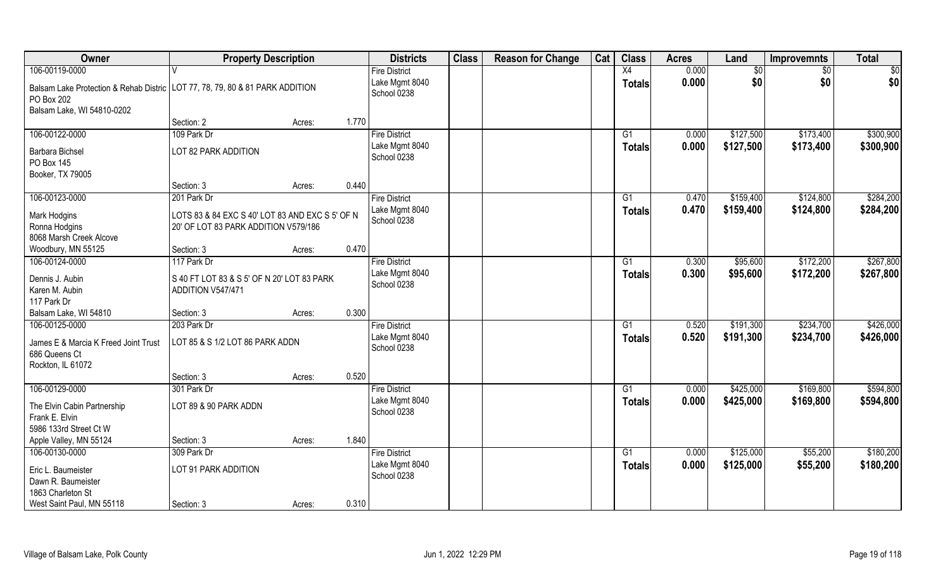| Owner                                                                                        | <b>Property Description</b>                     |        |                      | <b>Districts</b> | <b>Class</b> | <b>Reason for Change</b> | Cat | <b>Class</b>    | <b>Acres</b> | Land            | <b>Improvemnts</b> | <b>Total</b> |
|----------------------------------------------------------------------------------------------|-------------------------------------------------|--------|----------------------|------------------|--------------|--------------------------|-----|-----------------|--------------|-----------------|--------------------|--------------|
| 106-00119-0000                                                                               |                                                 |        | <b>Fire District</b> |                  |              |                          |     | $\overline{X4}$ | 0.000        | $\overline{50}$ | $\sqrt{6}$         | \$0          |
| Balsam Lake Protection & Rehab Distric   LOT 77, 78, 79, 80 & 81 PARK ADDITION<br>PO Box 202 |                                                 |        | School 0238          | Lake Mgmt 8040   |              |                          |     | <b>Totals</b>   | 0.000        | \$0             | \$0                | \$0          |
| Balsam Lake, WI 54810-0202                                                                   | Section: 2                                      | Acres: | 1.770                |                  |              |                          |     |                 |              |                 |                    |              |
| 106-00122-0000                                                                               | 109 Park Dr                                     |        | <b>Fire District</b> |                  |              |                          |     | G1              | 0.000        | \$127,500       | \$173,400          | \$300,900    |
|                                                                                              |                                                 |        |                      |                  |              |                          |     |                 |              |                 |                    |              |
| <b>Barbara Bichsel</b>                                                                       | LOT 82 PARK ADDITION                            |        | School 0238          | Lake Mgmt 8040   |              |                          |     | <b>Totals</b>   | 0.000        | \$127,500       | \$173,400          | \$300,900    |
| PO Box 145                                                                                   |                                                 |        |                      |                  |              |                          |     |                 |              |                 |                    |              |
| Booker, TX 79005                                                                             |                                                 |        |                      |                  |              |                          |     |                 |              |                 |                    |              |
|                                                                                              | Section: 3                                      | Acres: | 0.440                |                  |              |                          |     |                 |              |                 |                    |              |
| 106-00123-0000                                                                               | 201 Park Dr                                     |        | <b>Fire District</b> |                  |              |                          |     | G1              | 0.470        | \$159,400       | \$124,800          | \$284,200    |
| <b>Mark Hodgins</b>                                                                          | LOTS 83 & 84 EXC S 40' LOT 83 AND EXC S 5' OF N |        |                      | Lake Mgmt 8040   |              |                          |     | <b>Totals</b>   | 0.470        | \$159,400       | \$124,800          | \$284,200    |
| Ronna Hodgins                                                                                | 20' OF LOT 83 PARK ADDITION V579/186            |        | School 0238          |                  |              |                          |     |                 |              |                 |                    |              |
| 8068 Marsh Creek Alcove                                                                      |                                                 |        |                      |                  |              |                          |     |                 |              |                 |                    |              |
| Woodbury, MN 55125                                                                           | Section: 3                                      | Acres: | 0.470                |                  |              |                          |     |                 |              |                 |                    |              |
| 106-00124-0000                                                                               | 117 Park Dr                                     |        | <b>Fire District</b> |                  |              |                          |     | G1              | 0.300        | \$95,600        | \$172,200          | \$267,800    |
|                                                                                              |                                                 |        |                      | Lake Mgmt 8040   |              |                          |     | <b>Totals</b>   | 0.300        | \$95,600        | \$172,200          | \$267,800    |
| Dennis J. Aubin                                                                              | S 40 FT LOT 83 & S 5' OF N 20' LOT 83 PARK      |        | School 0238          |                  |              |                          |     |                 |              |                 |                    |              |
| Karen M. Aubin                                                                               | ADDITION V547/471                               |        |                      |                  |              |                          |     |                 |              |                 |                    |              |
| 117 Park Dr                                                                                  |                                                 |        |                      |                  |              |                          |     |                 |              |                 |                    |              |
| Balsam Lake, WI 54810                                                                        | Section: 3                                      | Acres: | 0.300                |                  |              |                          |     |                 |              |                 |                    |              |
| 106-00125-0000                                                                               | 203 Park Dr                                     |        | <b>Fire District</b> |                  |              |                          |     | G1              | 0.520        | \$191,300       | \$234,700          | \$426,000    |
| James E & Marcia K Freed Joint Trust                                                         | LOT 85 & S 1/2 LOT 86 PARK ADDN                 |        |                      | Lake Mgmt 8040   |              |                          |     | Totals          | 0.520        | \$191,300       | \$234,700          | \$426,000    |
| 686 Queens Ct                                                                                |                                                 |        | School 0238          |                  |              |                          |     |                 |              |                 |                    |              |
| Rockton, IL 61072                                                                            |                                                 |        |                      |                  |              |                          |     |                 |              |                 |                    |              |
|                                                                                              | Section: 3                                      | Acres: | 0.520                |                  |              |                          |     |                 |              |                 |                    |              |
| 106-00129-0000                                                                               | 301 Park Dr                                     |        | <b>Fire District</b> |                  |              |                          |     | $\overline{G1}$ | 0.000        | \$425,000       | \$169,800          | \$594,800    |
| The Elvin Cabin Partnership                                                                  | LOT 89 & 90 PARK ADDN                           |        |                      | Lake Mgmt 8040   |              |                          |     | <b>Totals</b>   | 0.000        | \$425,000       | \$169,800          | \$594,800    |
| Frank E. Elvin                                                                               |                                                 |        | School 0238          |                  |              |                          |     |                 |              |                 |                    |              |
| 5986 133rd Street Ct W                                                                       |                                                 |        |                      |                  |              |                          |     |                 |              |                 |                    |              |
| Apple Valley, MN 55124                                                                       | Section: 3                                      | Acres: | 1.840                |                  |              |                          |     |                 |              |                 |                    |              |
| 106-00130-0000                                                                               | 309 Park Dr                                     |        | <b>Fire District</b> |                  |              |                          |     | G1              | 0.000        | \$125,000       | \$55,200           | \$180,200    |
|                                                                                              |                                                 |        |                      | Lake Mgmt 8040   |              |                          |     | <b>Totals</b>   | 0.000        | \$125,000       | \$55,200           | \$180,200    |
| Eric L. Baumeister                                                                           | LOT 91 PARK ADDITION                            |        | School 0238          |                  |              |                          |     |                 |              |                 |                    |              |
| Dawn R. Baumeister                                                                           |                                                 |        |                      |                  |              |                          |     |                 |              |                 |                    |              |
| 1863 Charleton St                                                                            |                                                 |        |                      |                  |              |                          |     |                 |              |                 |                    |              |
| West Saint Paul, MN 55118                                                                    | Section: 3                                      | Acres: | 0.310                |                  |              |                          |     |                 |              |                 |                    |              |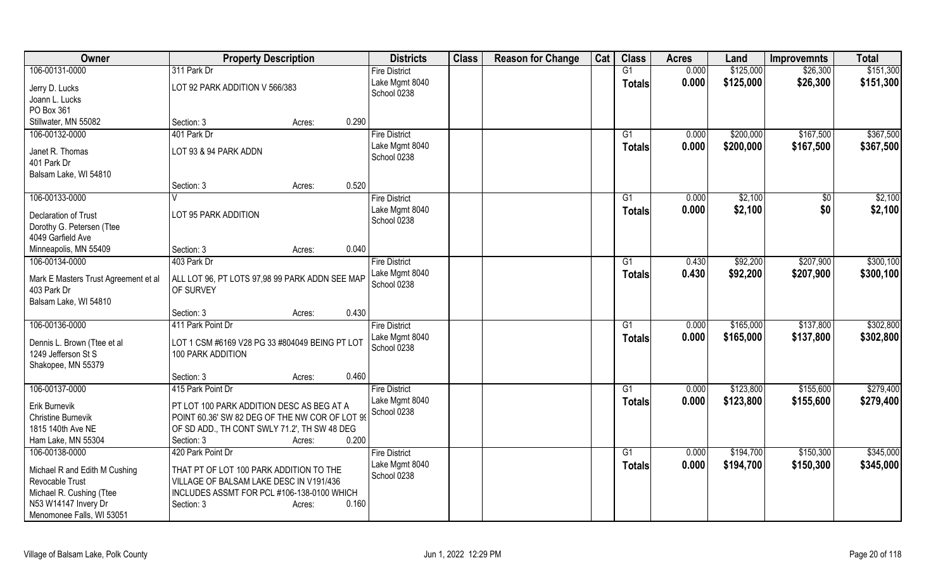| Owner                                                                                                                             | <b>Property Description</b>                                                                                                                               |        |       | <b>Districts</b>              | <b>Class</b> | <b>Reason for Change</b> | Cat | <b>Class</b>    | <b>Acres</b> | Land      | <b>Improvemnts</b> | <b>Total</b> |
|-----------------------------------------------------------------------------------------------------------------------------------|-----------------------------------------------------------------------------------------------------------------------------------------------------------|--------|-------|-------------------------------|--------------|--------------------------|-----|-----------------|--------------|-----------|--------------------|--------------|
| 106-00131-0000                                                                                                                    | 311 Park Dr                                                                                                                                               |        |       | <b>Fire District</b>          |              |                          |     | G1              | 0.000        | \$125,000 | \$26,300           | \$151,300    |
| Jerry D. Lucks<br>Joann L. Lucks                                                                                                  | LOT 92 PARK ADDITION V 566/383                                                                                                                            |        |       | Lake Mgmt 8040<br>School 0238 |              |                          |     | <b>Totals</b>   | 0.000        | \$125,000 | \$26,300           | \$151,300    |
| PO Box 361                                                                                                                        |                                                                                                                                                           |        |       |                               |              |                          |     |                 |              |           |                    |              |
| Stillwater, MN 55082                                                                                                              | Section: 3                                                                                                                                                | Acres: | 0.290 |                               |              |                          |     |                 |              |           |                    |              |
| 106-00132-0000                                                                                                                    | 401 Park Dr                                                                                                                                               |        |       | <b>Fire District</b>          |              |                          |     | G1              | 0.000        | \$200,000 | \$167,500          | \$367,500    |
| Janet R. Thomas<br>401 Park Dr<br>Balsam Lake, WI 54810                                                                           | LOT 93 & 94 PARK ADDN                                                                                                                                     |        |       | Lake Mgmt 8040<br>School 0238 |              |                          |     | <b>Totals</b>   | 0.000        | \$200,000 | \$167,500          | \$367,500    |
|                                                                                                                                   | Section: 3                                                                                                                                                | Acres: | 0.520 |                               |              |                          |     |                 |              |           |                    |              |
| 106-00133-0000                                                                                                                    |                                                                                                                                                           |        |       | <b>Fire District</b>          |              |                          |     | G1              | 0.000        | \$2,100   | \$0                | \$2,100      |
| <b>Declaration of Trust</b><br>Dorothy G. Petersen (Ttee<br>4049 Garfield Ave                                                     | LOT 95 PARK ADDITION                                                                                                                                      |        |       | Lake Mgmt 8040<br>School 0238 |              |                          |     | Totals          | 0.000        | \$2,100   | \$0                | \$2,100      |
| Minneapolis, MN 55409                                                                                                             | Section: 3                                                                                                                                                | Acres: | 0.040 |                               |              |                          |     |                 |              |           |                    |              |
| 106-00134-0000                                                                                                                    | 403 Park Dr                                                                                                                                               |        |       | <b>Fire District</b>          |              |                          |     | $\overline{G1}$ | 0.430        | \$92,200  | \$207,900          | \$300,100    |
| Mark E Masters Trust Agreement et al<br>403 Park Dr<br>Balsam Lake, WI 54810                                                      | ALL LOT 96, PT LOTS 97,98 99 PARK ADDN SEE MAP<br>OF SURVEY                                                                                               |        |       | Lake Mgmt 8040<br>School 0238 |              |                          |     | <b>Totals</b>   | 0.430        | \$92,200  | \$207,900          | \$300,100    |
|                                                                                                                                   | Section: 3                                                                                                                                                | Acres: | 0.430 |                               |              |                          |     |                 |              |           |                    |              |
| 106-00136-0000                                                                                                                    | 411 Park Point Dr                                                                                                                                         |        |       | <b>Fire District</b>          |              |                          |     | G1              | 0.000        | \$165,000 | \$137,800          | \$302,800    |
| Dennis L. Brown (Ttee et al<br>1249 Jefferson St S<br>Shakopee, MN 55379                                                          | LOT 1 CSM #6169 V28 PG 33 #804049 BEING PT LOT<br>100 PARK ADDITION                                                                                       |        |       | Lake Mgmt 8040<br>School 0238 |              |                          |     | <b>Totals</b>   | 0.000        | \$165,000 | \$137,800          | \$302,800    |
|                                                                                                                                   | Section: 3                                                                                                                                                | Acres: | 0.460 |                               |              |                          |     |                 |              |           |                    |              |
| 106-00137-0000                                                                                                                    | 415 Park Point Dr                                                                                                                                         |        |       | <b>Fire District</b>          |              |                          |     | G1              | 0.000        | \$123,800 | \$155,600          | \$279,400    |
| Erik Burnevik<br><b>Christine Burnevik</b><br>1815 140th Ave NE<br>Ham Lake, MN 55304                                             | PT LOT 100 PARK ADDITION DESC AS BEG AT A<br>POINT 60.36' SW 82 DEG OF THE NW COR OF LOT 99<br>OF SD ADD., TH CONT SWLY 71.2', TH SW 48 DEG<br>Section: 3 | Acres: | 0.200 | Lake Mgmt 8040<br>School 0238 |              |                          |     | Totals          | 0.000        | \$123,800 | \$155,600          | \$279,400    |
| 106-00138-0000                                                                                                                    | 420 Park Point Dr                                                                                                                                         |        |       | <b>Fire District</b>          |              |                          |     | $\overline{G1}$ | 0.000        | \$194,700 | \$150,300          | \$345,000    |
| Michael R and Edith M Cushing<br>Revocable Trust<br>Michael R. Cushing (Ttee<br>N53 W14147 Invery Dr<br>Menomonee Falls, WI 53051 | THAT PT OF LOT 100 PARK ADDITION TO THE<br>VILLAGE OF BALSAM LAKE DESC IN V191/436<br>INCLUDES ASSMT FOR PCL #106-138-0100 WHICH<br>Section: 3            | Acres: | 0.160 | Lake Mgmt 8040<br>School 0238 |              |                          |     | <b>Totals</b>   | 0.000        | \$194,700 | \$150,300          | \$345,000    |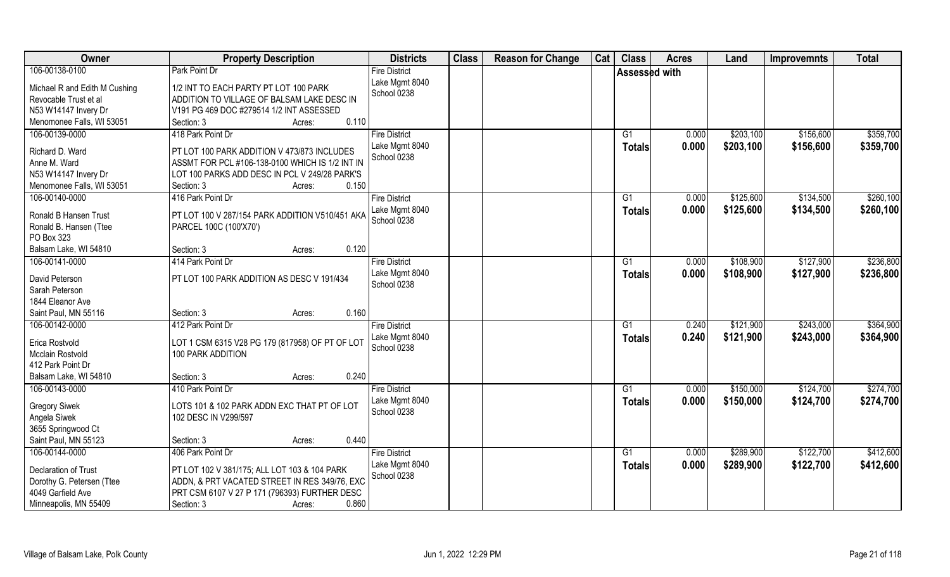| <b>Owner</b>                                                                                                | <b>Property Description</b>                                                                                                                                                      | <b>Districts</b>                                      | <b>Class</b> | <b>Reason for Change</b> | Cat | <b>Class</b>         | <b>Acres</b>   | Land                   | <b>Improvemnts</b>     | <b>Total</b>           |
|-------------------------------------------------------------------------------------------------------------|----------------------------------------------------------------------------------------------------------------------------------------------------------------------------------|-------------------------------------------------------|--------------|--------------------------|-----|----------------------|----------------|------------------------|------------------------|------------------------|
| 106-00138-0100                                                                                              | Park Point Dr                                                                                                                                                                    | <b>Fire District</b>                                  |              |                          |     | <b>Assessed with</b> |                |                        |                        |                        |
| Michael R and Edith M Cushing<br>Revocable Trust et al<br>N53 W14147 Invery Dr<br>Menomonee Falls, WI 53051 | 1/2 INT TO EACH PARTY PT LOT 100 PARK<br>ADDITION TO VILLAGE OF BALSAM LAKE DESC IN<br>V191 PG 469 DOC #279514 1/2 INT ASSESSED<br>0.110<br>Section: 3<br>Acres:                 | Lake Mgmt 8040<br>School 0238                         |              |                          |     |                      |                |                        |                        |                        |
| 106-00139-0000                                                                                              | 418 Park Point Dr                                                                                                                                                                | <b>Fire District</b>                                  |              |                          |     | G1                   | 0.000          | \$203,100              | \$156,600              | \$359,700              |
| Richard D. Ward<br>Anne M. Ward<br>N53 W14147 Invery Dr<br>Menomonee Falls, WI 53051                        | PT LOT 100 PARK ADDITION V 473/873 INCLUDES<br>ASSMT FOR PCL #106-138-0100 WHICH IS 1/2 INT IN<br>LOT 100 PARKS ADD DESC IN PCL V 249/28 PARK'S<br>0.150<br>Section: 3<br>Acres: | Lake Mgmt 8040<br>School 0238                         |              |                          |     | Totals               | 0.000          | \$203,100              | \$156,600              | \$359,700              |
| 106-00140-0000                                                                                              | 416 Park Point Dr                                                                                                                                                                | <b>Fire District</b>                                  |              |                          |     | G1                   | 0.000          | \$125,600              | \$134,500              | \$260,100              |
| Ronald B Hansen Trust<br>Ronald B. Hansen (Ttee<br>PO Box 323                                               | PT LOT 100 V 287/154 PARK ADDITION V510/451 AKA<br>PARCEL 100C (100'X70')                                                                                                        | Lake Mgmt 8040<br>School 0238                         |              |                          |     | <b>Totals</b>        | 0.000          | \$125,600              | \$134,500              | \$260,100              |
| Balsam Lake, WI 54810                                                                                       | 0.120<br>Section: 3<br>Acres:                                                                                                                                                    |                                                       |              |                          |     |                      |                |                        |                        |                        |
| 106-00141-0000                                                                                              | 414 Park Point Dr                                                                                                                                                                | <b>Fire District</b>                                  |              |                          |     | G1                   | 0.000          | \$108,900              | \$127,900              | \$236,800              |
| David Peterson<br>Sarah Peterson<br>1844 Eleanor Ave                                                        | PT LOT 100 PARK ADDITION AS DESC V 191/434                                                                                                                                       | Lake Mgmt 8040<br>School 0238                         |              |                          |     | <b>Totals</b>        | 0.000          | \$108,900              | \$127,900              | \$236,800              |
| Saint Paul, MN 55116                                                                                        | 0.160<br>Section: 3<br>Acres:                                                                                                                                                    |                                                       |              |                          |     |                      |                |                        |                        |                        |
| 106-00142-0000<br>Erica Rostvold<br>Mcclain Rostvold<br>412 Park Point Dr                                   | 412 Park Point Dr<br>LOT 1 CSM 6315 V28 PG 179 (817958) OF PT OF LOT<br>100 PARK ADDITION                                                                                        | <b>Fire District</b><br>Lake Mgmt 8040<br>School 0238 |              |                          |     | G1<br><b>Totals</b>  | 0.240<br>0.240 | \$121,900<br>\$121,900 | \$243,000<br>\$243,000 | \$364,900<br>\$364,900 |
| Balsam Lake, WI 54810                                                                                       | 0.240<br>Section: 3<br>Acres:                                                                                                                                                    |                                                       |              |                          |     |                      |                |                        |                        |                        |
| 106-00143-0000                                                                                              | 410 Park Point Dr                                                                                                                                                                | <b>Fire District</b>                                  |              |                          |     | G1                   | 0.000          | \$150,000              | \$124,700              | \$274,700              |
| <b>Gregory Siwek</b><br>Angela Siwek<br>3655 Springwood Ct                                                  | LOTS 101 & 102 PARK ADDN EXC THAT PT OF LOT<br>102 DESC IN V299/597                                                                                                              | Lake Mgmt 8040<br>School 0238                         |              |                          |     | <b>Totals</b>        | 0.000          | \$150,000              | \$124,700              | \$274,700              |
| Saint Paul, MN 55123                                                                                        | 0.440<br>Section: 3<br>Acres:                                                                                                                                                    |                                                       |              |                          |     |                      |                |                        |                        |                        |
| 106-00144-0000                                                                                              | 406 Park Point Dr                                                                                                                                                                | <b>Fire District</b>                                  |              |                          |     | G1                   | 0.000          | \$289,900              | \$122,700              | \$412,600              |
| Declaration of Trust<br>Dorothy G. Petersen (Ttee<br>4049 Garfield Ave                                      | PT LOT 102 V 381/175; ALL LOT 103 & 104 PARK<br>ADDN, & PRT VACATED STREET IN RES 349/76, EXC<br>PRT CSM 6107 V 27 P 171 (796393) FURTHER DESC                                   | Lake Mgmt 8040<br>School 0238                         |              |                          |     | <b>Totals</b>        | 0.000          | \$289,900              | \$122,700              | \$412,600              |
| Minneapolis, MN 55409                                                                                       | 0.860<br>Section: 3<br>Acres:                                                                                                                                                    |                                                       |              |                          |     |                      |                |                        |                        |                        |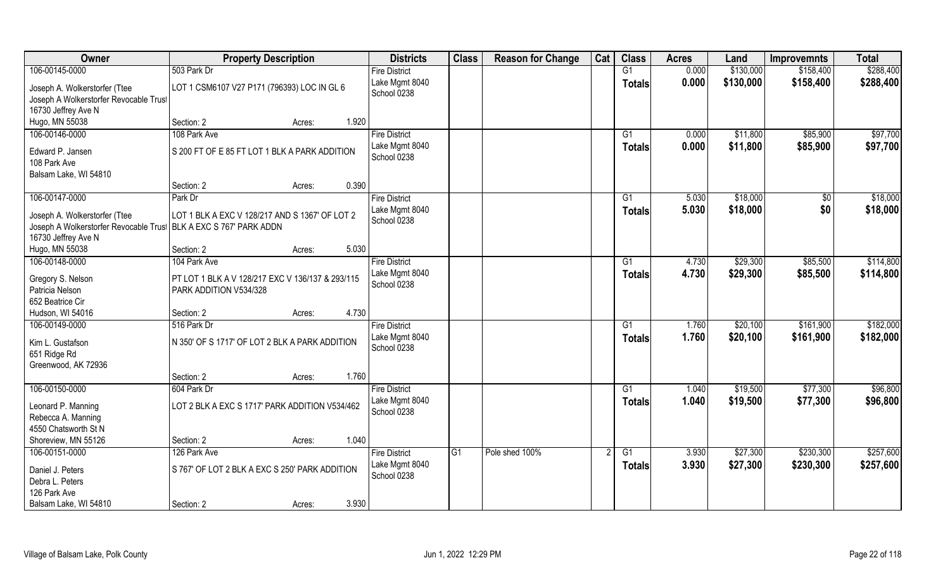| Owner                                                             | <b>Property Description</b>                      | <b>Districts</b>              | <b>Class</b>    | <b>Reason for Change</b> | Cat | <b>Class</b>    | <b>Acres</b> | Land      | <b>Improvemnts</b> | <b>Total</b> |
|-------------------------------------------------------------------|--------------------------------------------------|-------------------------------|-----------------|--------------------------|-----|-----------------|--------------|-----------|--------------------|--------------|
| 106-00145-0000                                                    | 503 Park Dr                                      | <b>Fire District</b>          |                 |                          |     | G1              | 0.000        | \$130,000 | \$158,400          | \$288,400    |
| Joseph A. Wolkerstorfer (Ttee                                     | LOT 1 CSM6107 V27 P171 (796393) LOC IN GL 6      | Lake Mgmt 8040                |                 |                          |     | <b>Totals</b>   | 0.000        | \$130,000 | \$158,400          | \$288,400    |
| Joseph A Wolkerstorfer Revocable Trust                            |                                                  | School 0238                   |                 |                          |     |                 |              |           |                    |              |
| 16730 Jeffrey Ave N                                               |                                                  |                               |                 |                          |     |                 |              |           |                    |              |
| Hugo, MN 55038                                                    | 1.920<br>Section: 2<br>Acres:                    |                               |                 |                          |     |                 |              |           |                    |              |
| 106-00146-0000                                                    | 108 Park Ave                                     | <b>Fire District</b>          |                 |                          |     | G1              | 0.000        | \$11,800  | \$85,900           | \$97,700     |
|                                                                   |                                                  | Lake Mgmt 8040                |                 |                          |     | Totals          | 0.000        | \$11,800  | \$85,900           | \$97,700     |
| Edward P. Jansen                                                  | S 200 FT OF E 85 FT LOT 1 BLK A PARK ADDITION    | School 0238                   |                 |                          |     |                 |              |           |                    |              |
| 108 Park Ave                                                      |                                                  |                               |                 |                          |     |                 |              |           |                    |              |
| Balsam Lake, WI 54810                                             |                                                  |                               |                 |                          |     |                 |              |           |                    |              |
|                                                                   | 0.390<br>Section: 2<br>Acres:                    |                               |                 |                          |     |                 |              |           |                    |              |
| 106-00147-0000                                                    | Park Dr                                          | <b>Fire District</b>          |                 |                          |     | G1              | 5.030        | \$18,000  | $\sqrt[6]{3}$      | \$18,000     |
| Joseph A. Wolkerstorfer (Ttee                                     | LOT 1 BLK A EXC V 128/217 AND S 1367' OF LOT 2   | Lake Mgmt 8040                |                 |                          |     | <b>Totals</b>   | 5.030        | \$18,000  | \$0                | \$18,000     |
| Joseph A Wolkerstorfer Revocable Trus! BLK A EXC S 767' PARK ADDN |                                                  | School 0238                   |                 |                          |     |                 |              |           |                    |              |
| 16730 Jeffrey Ave N                                               |                                                  |                               |                 |                          |     |                 |              |           |                    |              |
| Hugo, MN 55038                                                    | 5.030<br>Section: 2<br>Acres:                    |                               |                 |                          |     |                 |              |           |                    |              |
| 106-00148-0000                                                    | 104 Park Ave                                     | <b>Fire District</b>          |                 |                          |     | G1              | 4.730        | \$29,300  | \$85,500           | \$114,800    |
|                                                                   |                                                  | Lake Mgmt 8040                |                 |                          |     | <b>Totals</b>   | 4.730        | \$29,300  | \$85,500           | \$114,800    |
| Gregory S. Nelson                                                 | PT LOT 1 BLK A V 128/217 EXC V 136/137 & 293/115 | School 0238                   |                 |                          |     |                 |              |           |                    |              |
| Patricia Nelson<br>652 Beatrice Cir                               | PARK ADDITION V534/328                           |                               |                 |                          |     |                 |              |           |                    |              |
| Hudson, WI 54016                                                  | 4.730<br>Section: 2                              |                               |                 |                          |     |                 |              |           |                    |              |
| 106-00149-0000                                                    | Acres:<br>516 Park Dr                            |                               |                 |                          |     | $\overline{G1}$ | 1.760        | \$20,100  | \$161,900          | \$182,000    |
|                                                                   |                                                  | <b>Fire District</b>          |                 |                          |     |                 |              |           |                    |              |
| Kim L. Gustafson                                                  | N 350' OF S 1717' OF LOT 2 BLK A PARK ADDITION   | Lake Mgmt 8040<br>School 0238 |                 |                          |     | Totals          | 1.760        | \$20,100  | \$161,900          | \$182,000    |
| 651 Ridge Rd                                                      |                                                  |                               |                 |                          |     |                 |              |           |                    |              |
| Greenwood, AK 72936                                               |                                                  |                               |                 |                          |     |                 |              |           |                    |              |
|                                                                   | 1.760<br>Section: 2<br>Acres:                    |                               |                 |                          |     |                 |              |           |                    |              |
| 106-00150-0000                                                    | 604 Park Dr                                      | <b>Fire District</b>          |                 |                          |     | G1              | 1.040        | \$19,500  | \$77,300           | \$96,800     |
| Leonard P. Manning                                                | LOT 2 BLK A EXC S 1717' PARK ADDITION V534/462   | Lake Mgmt 8040                |                 |                          |     | <b>Totals</b>   | 1.040        | \$19,500  | \$77,300           | \$96,800     |
| Rebecca A. Manning                                                |                                                  | School 0238                   |                 |                          |     |                 |              |           |                    |              |
| 4550 Chatsworth St N                                              |                                                  |                               |                 |                          |     |                 |              |           |                    |              |
| Shoreview, MN 55126                                               | 1.040<br>Section: 2<br>Acres:                    |                               |                 |                          |     |                 |              |           |                    |              |
| 106-00151-0000                                                    | 126 Park Ave                                     | <b>Fire District</b>          | $\overline{G1}$ | Pole shed 100%           |     | $\overline{G1}$ | 3.930        | \$27,300  | \$230,300          | \$257,600    |
|                                                                   |                                                  | Lake Mgmt 8040                |                 |                          |     | Totals          | 3.930        | \$27,300  | \$230,300          | \$257,600    |
| Daniel J. Peters                                                  | S 767' OF LOT 2 BLK A EXC S 250' PARK ADDITION   | School 0238                   |                 |                          |     |                 |              |           |                    |              |
| Debra L. Peters                                                   |                                                  |                               |                 |                          |     |                 |              |           |                    |              |
| 126 Park Ave                                                      |                                                  |                               |                 |                          |     |                 |              |           |                    |              |
| Balsam Lake, WI 54810                                             | 3.930<br>Section: 2<br>Acres:                    |                               |                 |                          |     |                 |              |           |                    |              |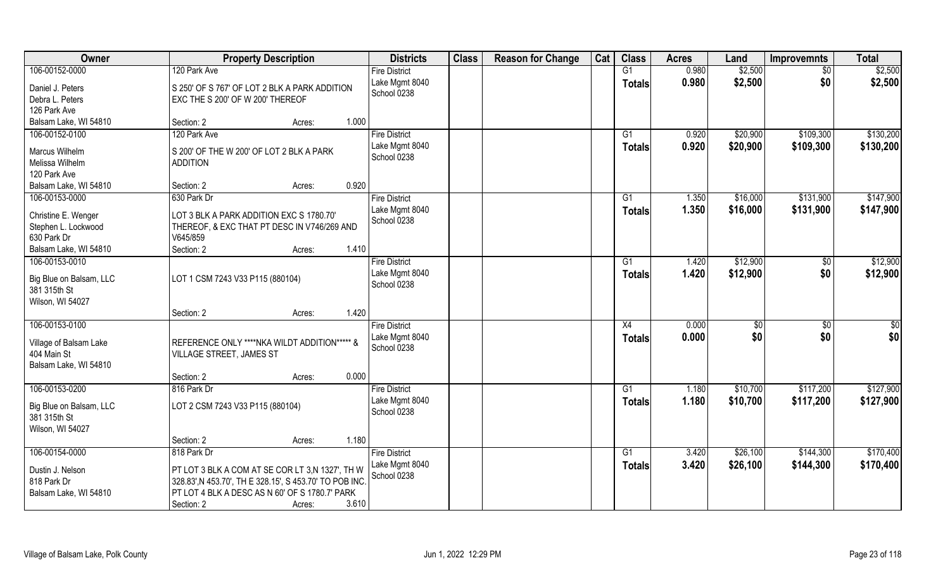| <b>Class</b><br><b>Class</b><br>Owner<br>Cat<br><b>Districts</b><br><b>Reason for Change</b><br><b>Property Description</b><br><b>Acres</b><br>Land<br><b>Improvemnts</b> | <b>Total</b>                      |
|---------------------------------------------------------------------------------------------------------------------------------------------------------------------------|-----------------------------------|
| 106-00152-0000<br>0.980<br>120 Park Ave<br>G1<br>\$2,500<br><b>Fire District</b>                                                                                          | \$2,500<br>$\overline{30}$        |
| 0.980<br>\$2,500<br>Lake Mgmt 8040<br><b>Totals</b><br>Daniel J. Peters<br>S 250' OF S 767' OF LOT 2 BLK A PARK ADDITION                                                  | \$0<br>\$2,500                    |
| School 0238<br>Debra L. Peters<br>EXC THE S 200' OF W 200' THEREOF                                                                                                        |                                   |
| 126 Park Ave                                                                                                                                                              |                                   |
| Balsam Lake, WI 54810<br>Section: 2<br>1.000<br>Acres:                                                                                                                    |                                   |
| 106-00152-0100<br>\$20,900<br>120 Park Ave<br><b>Fire District</b><br>0.920<br>G1                                                                                         | \$130,200<br>\$109,300            |
| Lake Mgmt 8040<br>0.920<br>\$20,900<br><b>Totals</b><br>Marcus Wilhelm<br>S 200' OF THE W 200' OF LOT 2 BLK A PARK                                                        | \$109,300<br>\$130,200            |
| School 0238<br>Melissa Wilhelm<br><b>ADDITION</b>                                                                                                                         |                                   |
| 120 Park Ave                                                                                                                                                              |                                   |
| Balsam Lake, WI 54810<br>0.920<br>Section: 2<br>Acres:                                                                                                                    |                                   |
| 106-00153-0000<br>\$16,000<br>630 Park Dr<br><b>Fire District</b><br>G1<br>1.350                                                                                          | \$147,900<br>\$131,900            |
| Lake Mgmt 8040<br>1.350<br>\$16,000<br><b>Totals</b><br>Christine E. Wenger<br>LOT 3 BLK A PARK ADDITION EXC S 1780.70'                                                   | \$131,900<br>\$147,900            |
| School 0238<br>Stephen L. Lockwood<br>THEREOF, & EXC THAT PT DESC IN V746/269 AND                                                                                         |                                   |
| 630 Park Dr<br>V645/859                                                                                                                                                   |                                   |
| 1.410<br>Balsam Lake, WI 54810<br>Section: 2<br>Acres:                                                                                                                    |                                   |
| 106-00153-0010<br><b>Fire District</b><br>\$12,900<br>G1<br>1.420                                                                                                         | \$12,900<br>$\sqrt[6]{3}$         |
| 1.420<br>Lake Mgmt 8040<br>\$12,900<br><b>Totals</b><br>LOT 1 CSM 7243 V33 P115 (880104)<br>Big Blue on Balsam, LLC                                                       | \$0<br>\$12,900                   |
| School 0238<br>381 315th St                                                                                                                                               |                                   |
| Wilson, WI 54027                                                                                                                                                          |                                   |
| 1.420<br>Section: 2<br>Acres:                                                                                                                                             |                                   |
| 106-00153-0100<br>0.000<br>X4<br>$\sqrt[6]{3}$<br><b>Fire District</b>                                                                                                    | $\overline{50}$<br>$\sqrt[6]{30}$ |
| 0.000<br>Lake Mgmt 8040<br>\$0<br><b>Totals</b><br>REFERENCE ONLY ****NKA WILDT ADDITION***** &                                                                           | \$0<br>\$0                        |
| Village of Balsam Lake<br>School 0238<br>404 Main St<br>VILLAGE STREET, JAMES ST                                                                                          |                                   |
| Balsam Lake, WI 54810                                                                                                                                                     |                                   |
| 0.000<br>Section: 2<br>Acres:                                                                                                                                             |                                   |
| 106-00153-0200<br><b>Fire District</b><br>G1<br>1.180<br>\$10,700<br>816 Park Dr                                                                                          | \$127,900<br>\$117,200            |
| Lake Mgmt 8040<br>1.180<br>\$10,700<br><b>Totals</b>                                                                                                                      | \$117,200<br>\$127,900            |
| LOT 2 CSM 7243 V33 P115 (880104)<br>Big Blue on Balsam, LLC<br>School 0238<br>381 315th St                                                                                |                                   |
| Wilson, WI 54027                                                                                                                                                          |                                   |
| 1.180<br>Section: 2<br>Acres:                                                                                                                                             |                                   |
| 106-00154-0000<br>\$26,100<br>818 Park Dr<br><b>Fire District</b><br>G1<br>3.420                                                                                          | \$170,400<br>\$144,300            |
| 3.420<br>Lake Mgmt 8040<br>\$26,100<br><b>Totals</b>                                                                                                                      | \$144,300<br>\$170,400            |
| PT LOT 3 BLK A COM AT SE COR LT 3,N 1327', TH W<br>Dustin J. Nelson<br>School 0238<br>818 Park Dr<br>328.83', N 453.70', TH E 328.15', S 453.70' TO POB INC               |                                   |
| PT LOT 4 BLK A DESC AS N 60' OF S 1780.7' PARK<br>Balsam Lake, WI 54810                                                                                                   |                                   |
| 3.610<br>Section: 2<br>Acres:                                                                                                                                             |                                   |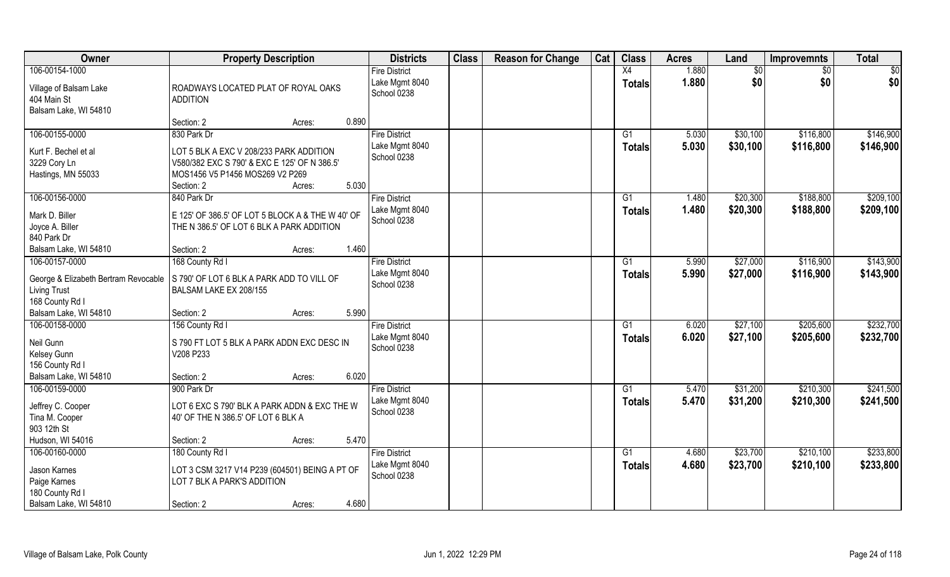| <b>Owner</b>                                                                                                              | <b>Property Description</b>                                                                                                                                                | <b>Districts</b>                                      | <b>Class</b> | <b>Reason for Change</b> | Cat | <b>Class</b>                     | <b>Acres</b>   | Land                 | <b>Improvemnts</b>     | <b>Total</b>           |
|---------------------------------------------------------------------------------------------------------------------------|----------------------------------------------------------------------------------------------------------------------------------------------------------------------------|-------------------------------------------------------|--------------|--------------------------|-----|----------------------------------|----------------|----------------------|------------------------|------------------------|
| 106-00154-1000<br>Village of Balsam Lake<br>404 Main St<br>Balsam Lake, WI 54810                                          | ROADWAYS LOCATED PLAT OF ROYAL OAKS<br><b>ADDITION</b>                                                                                                                     | <b>Fire District</b><br>Lake Mgmt 8040<br>School 0238 |              |                          |     | X4<br><b>Totals</b>              | 1.880<br>1.880 | \$0<br>\$0           | $\sqrt{$0}$<br>\$0     | $\sqrt{50}$<br>\$0     |
|                                                                                                                           | 0.890<br>Section: 2<br>Acres:                                                                                                                                              |                                                       |              |                          |     |                                  |                |                      |                        |                        |
| 106-00155-0000<br>Kurt F. Bechel et al<br>3229 Cory Ln<br>Hastings, MN 55033                                              | 830 Park Dr<br>LOT 5 BLK A EXC V 208/233 PARK ADDITION<br>V580/382 EXC S 790' & EXC E 125' OF N 386.5'<br>MOS1456 V5 P1456 MOS269 V2 P269<br>5.030<br>Section: 2<br>Acres: | <b>Fire District</b><br>Lake Mgmt 8040<br>School 0238 |              |                          |     | $\overline{G1}$<br>Totals        | 5.030<br>5.030 | \$30,100<br>\$30,100 | \$116,800<br>\$116,800 | \$146,900<br>\$146,900 |
| 106-00156-0000<br>Mark D. Biller<br>Joyce A. Biller<br>840 Park Dr<br>Balsam Lake, WI 54810                               | 840 Park Dr<br>E 125' OF 386.5' OF LOT 5 BLOCK A & THE W 40' OF<br>THE N 386.5' OF LOT 6 BLK A PARK ADDITION<br>1.460<br>Section: 2<br>Acres:                              | <b>Fire District</b><br>Lake Mgmt 8040<br>School 0238 |              |                          |     | G1<br><b>Totals</b>              | 1.480<br>1.480 | \$20,300<br>\$20,300 | \$188,800<br>\$188,800 | \$209,100<br>\$209,100 |
| 106-00157-0000<br>George & Elizabeth Bertram Revocable<br><b>Living Trust</b><br>168 County Rd I<br>Balsam Lake, WI 54810 | 168 County Rd I<br>S 790' OF LOT 6 BLK A PARK ADD TO VILL OF<br>BALSAM LAKE EX 208/155<br>5.990<br>Section: 2<br>Acres:                                                    | <b>Fire District</b><br>Lake Mgmt 8040<br>School 0238 |              |                          |     | G1<br><b>Totals</b>              | 5.990<br>5.990 | \$27,000<br>\$27,000 | \$116,900<br>\$116,900 | \$143,900<br>\$143,900 |
| 106-00158-0000<br>Neil Gunn<br>Kelsey Gunn<br>156 County Rd I<br>Balsam Lake, WI 54810                                    | 156 County Rd I<br>S 790 FT LOT 5 BLK A PARK ADDN EXC DESC IN<br>V208 P233<br>6.020<br>Section: 2<br>Acres:                                                                | <b>Fire District</b><br>Lake Mgmt 8040<br>School 0238 |              |                          |     | $\overline{G1}$<br><b>Totals</b> | 6.020<br>6.020 | \$27,100<br>\$27,100 | \$205,600<br>\$205,600 | \$232,700<br>\$232,700 |
| 106-00159-0000<br>Jeffrey C. Cooper<br>Tina M. Cooper<br>903 12th St<br>Hudson, WI 54016                                  | 900 Park Dr<br>LOT 6 EXC S 790' BLK A PARK ADDN & EXC THE W<br>40' OF THE N 386.5' OF LOT 6 BLK A<br>5.470<br>Section: 2<br>Acres:                                         | <b>Fire District</b><br>Lake Mgmt 8040<br>School 0238 |              |                          |     | G1<br><b>Totals</b>              | 5.470<br>5.470 | \$31,200<br>\$31,200 | \$210,300<br>\$210,300 | \$241,500<br>\$241,500 |
| 106-00160-0000<br>Jason Karnes<br>Paige Karnes<br>180 County Rd I<br>Balsam Lake, WI 54810                                | 180 County Rd I<br>LOT 3 CSM 3217 V14 P239 (604501) BEING A PT OF<br>LOT 7 BLK A PARK'S ADDITION<br>4.680<br>Section: 2<br>Acres:                                          | <b>Fire District</b><br>Lake Mgmt 8040<br>School 0238 |              |                          |     | G1<br><b>Totals</b>              | 4.680<br>4.680 | \$23,700<br>\$23,700 | \$210,100<br>\$210,100 | \$233,800<br>\$233,800 |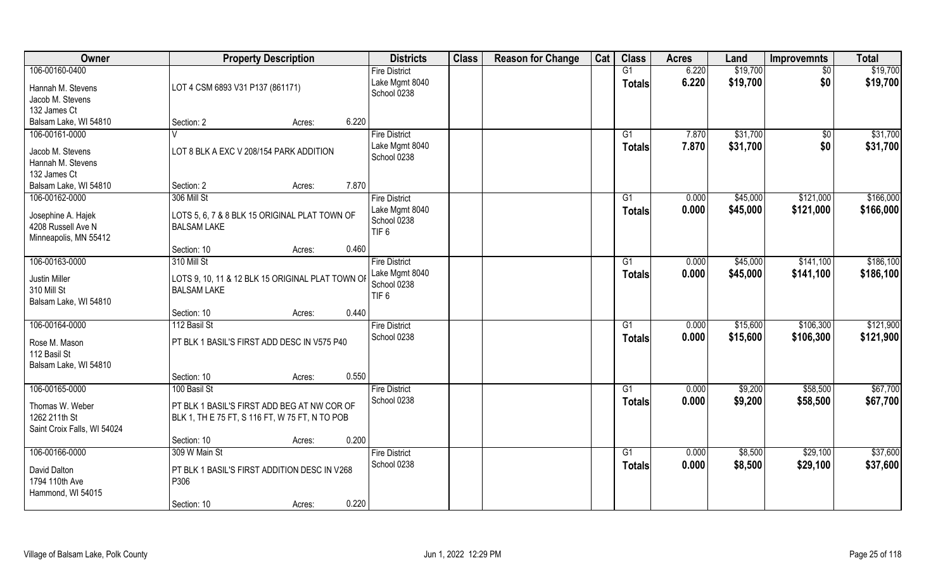| <b>Owner</b>                                                                        | <b>Property Description</b>                                                                                   | <b>Districts</b>                                                          | <b>Class</b> | <b>Reason for Change</b> | Cat | <b>Class</b>        | <b>Acres</b>   | Land                 | <b>Improvemnts</b>     | <b>Total</b>           |
|-------------------------------------------------------------------------------------|---------------------------------------------------------------------------------------------------------------|---------------------------------------------------------------------------|--------------|--------------------------|-----|---------------------|----------------|----------------------|------------------------|------------------------|
| 106-00160-0400<br>Hannah M. Stevens<br>Jacob M. Stevens<br>132 James Ct             | LOT 4 CSM 6893 V31 P137 (861171)                                                                              | <b>Fire District</b><br>Lake Mgmt 8040<br>School 0238                     |              |                          |     | G1<br><b>Totals</b> | 6.220<br>6.220 | \$19,700<br>\$19,700 | $\sqrt{6}$<br>\$0      | \$19,700<br>\$19,700   |
| Balsam Lake, WI 54810                                                               | Section: 2<br>Acres:                                                                                          | 6.220                                                                     |              |                          |     |                     |                |                      |                        |                        |
| 106-00161-0000<br>Jacob M. Stevens<br>Hannah M. Stevens<br>132 James Ct             | LOT 8 BLK A EXC V 208/154 PARK ADDITION                                                                       | <b>Fire District</b><br>Lake Mgmt 8040<br>School 0238                     |              |                          |     | G1<br>Totals        | 7.870<br>7.870 | \$31,700<br>\$31,700 | $\overline{50}$<br>\$0 | \$31,700<br>\$31,700   |
| Balsam Lake, WI 54810                                                               | Section: 2<br>Acres:                                                                                          | 7.870                                                                     |              |                          |     |                     |                |                      |                        |                        |
| 106-00162-0000<br>Josephine A. Hajek<br>4208 Russell Ave N<br>Minneapolis, MN 55412 | 306 Mill St<br>LOTS 5, 6, 7 & 8 BLK 15 ORIGINAL PLAT TOWN OF<br><b>BALSAM LAKE</b>                            | <b>Fire District</b><br>Lake Mgmt 8040<br>School 0238<br>TIF <sub>6</sub> |              |                          |     | G1<br><b>Totals</b> | 0.000<br>0.000 | \$45,000<br>\$45,000 | \$121,000<br>\$121,000 | \$166,000<br>\$166,000 |
|                                                                                     | Section: 10<br>Acres:                                                                                         | 0.460                                                                     |              |                          |     |                     |                |                      |                        |                        |
| 106-00163-0000<br><b>Justin Miller</b><br>310 Mill St<br>Balsam Lake, WI 54810      | 310 Mill St<br>LOTS 9, 10, 11 & 12 BLK 15 ORIGINAL PLAT TOWN OF<br><b>BALSAM LAKE</b>                         | <b>Fire District</b><br>Lake Mgmt 8040<br>School 0238<br>TIF <sub>6</sub> |              |                          |     | G1<br>Totals        | 0.000<br>0.000 | \$45,000<br>\$45,000 | \$141,100<br>\$141,100 | \$186,100<br>\$186,100 |
|                                                                                     | Section: 10<br>Acres:                                                                                         | 0.440                                                                     |              |                          |     |                     |                |                      |                        |                        |
| 106-00164-0000<br>Rose M. Mason<br>112 Basil St<br>Balsam Lake, WI 54810            | 112 Basil St<br>PT BLK 1 BASIL'S FIRST ADD DESC IN V575 P40                                                   | <b>Fire District</b><br>School 0238                                       |              |                          |     | G1<br>Totals        | 0.000<br>0.000 | \$15,600<br>\$15,600 | \$106,300<br>\$106,300 | \$121,900<br>\$121,900 |
|                                                                                     | Section: 10<br>Acres:                                                                                         | 0.550                                                                     |              |                          |     |                     |                |                      |                        |                        |
| 106-00165-0000<br>Thomas W. Weber<br>1262 211th St<br>Saint Croix Falls, WI 54024   | 100 Basil St<br>PT BLK 1 BASIL'S FIRST ADD BEG AT NW COR OF<br>BLK 1, TH E 75 FT, S 116 FT, W 75 FT, N TO POB | <b>Fire District</b><br>School 0238                                       |              |                          |     | G1<br><b>Totals</b> | 0.000<br>0.000 | \$9,200<br>\$9,200   | \$58,500<br>\$58,500   | \$67,700<br>\$67,700   |
|                                                                                     | Section: 10<br>Acres:                                                                                         | 0.200                                                                     |              |                          |     |                     |                |                      |                        |                        |
| 106-00166-0000<br>David Dalton<br>1794 110th Ave<br>Hammond, WI 54015               | 309 W Main St<br>PT BLK 1 BASIL'S FIRST ADDITION DESC IN V268<br>P306<br>Section: 10<br>Acres:                | <b>Fire District</b><br>School 0238<br>0.220                              |              |                          |     | G1<br><b>Totals</b> | 0.000<br>0.000 | \$8,500<br>\$8,500   | \$29,100<br>\$29,100   | \$37,600<br>\$37,600   |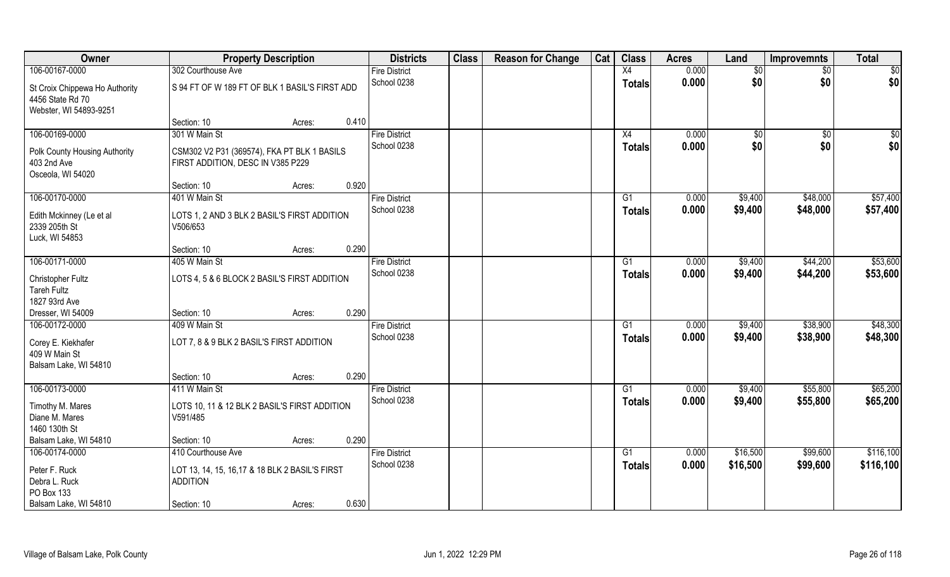| Owner                                                                        | <b>Property Description</b>                                                      | <b>Districts</b>                    | <b>Class</b> | <b>Reason for Change</b> | Cat | <b>Class</b>        | <b>Acres</b>   | Land       | <b>Improvemnts</b> | <b>Total</b> |
|------------------------------------------------------------------------------|----------------------------------------------------------------------------------|-------------------------------------|--------------|--------------------------|-----|---------------------|----------------|------------|--------------------|--------------|
| 106-00167-0000                                                               | 302 Courthouse Ave                                                               | <b>Fire District</b>                |              |                          |     | X4                  | 0.000          | \$0        | \$0                | \$0          |
| St Croix Chippewa Ho Authority<br>4456 State Rd 70<br>Webster, WI 54893-9251 | S 94 FT OF W 189 FT OF BLK 1 BASIL'S FIRST ADD                                   | School 0238                         |              |                          |     | <b>Totals</b>       | 0.000          | \$0        | \$0                | \$0          |
|                                                                              | 0.410<br>Section: 10<br>Acres:                                                   |                                     |              |                          |     |                     |                |            |                    |              |
| 106-00169-0000                                                               | 301 W Main St                                                                    | <b>Fire District</b><br>School 0238 |              |                          |     | X4<br><b>Totals</b> | 0.000<br>0.000 | \$0<br>\$0 | \$0<br>\$0         | \$0<br>\$0   |
| Polk County Housing Authority<br>403 2nd Ave<br>Osceola, WI 54020            | CSM302 V2 P31 (369574), FKA PT BLK 1 BASILS<br>FIRST ADDITION, DESC IN V385 P229 |                                     |              |                          |     |                     |                |            |                    |              |
|                                                                              | 0.920<br>Section: 10<br>Acres:                                                   |                                     |              |                          |     |                     |                |            |                    |              |
| 106-00170-0000                                                               | 401 W Main St                                                                    | <b>Fire District</b>                |              |                          |     | G1                  | 0.000          | \$9,400    | \$48,000           | \$57,400     |
| Edith Mckinney (Le et al<br>2339 205th St<br>Luck, WI 54853                  | LOTS 1, 2 AND 3 BLK 2 BASIL'S FIRST ADDITION<br>V506/653                         | School 0238                         |              |                          |     | <b>Totals</b>       | 0.000          | \$9,400    | \$48,000           | \$57,400     |
|                                                                              | 0.290<br>Section: 10<br>Acres:                                                   |                                     |              |                          |     |                     |                |            |                    |              |
| 106-00171-0000                                                               | 405 W Main St                                                                    | <b>Fire District</b>                |              |                          |     | G1                  | 0.000          | \$9,400    | \$44,200           | \$53,600     |
| Christopher Fultz<br><b>Tareh Fultz</b><br>1827 93rd Ave                     | LOTS 4, 5 & 6 BLOCK 2 BASIL'S FIRST ADDITION                                     | School 0238                         |              |                          |     | <b>Totals</b>       | 0.000          | \$9,400    | \$44,200           | \$53,600     |
| Dresser, WI 54009                                                            | 0.290<br>Section: 10<br>Acres:                                                   |                                     |              |                          |     |                     |                |            |                    |              |
| 106-00172-0000                                                               | 409 W Main St                                                                    | <b>Fire District</b>                |              |                          |     | G1                  | 0.000          | \$9,400    | \$38,900           | \$48,300     |
| Corey E. Kiekhafer<br>409 W Main St<br>Balsam Lake, WI 54810                 | LOT 7, 8 & 9 BLK 2 BASIL'S FIRST ADDITION                                        | School 0238                         |              |                          |     | <b>Totals</b>       | 0.000          | \$9,400    | \$38,900           | \$48,300     |
|                                                                              | 0.290<br>Section: 10<br>Acres:                                                   |                                     |              |                          |     |                     |                |            |                    |              |
| 106-00173-0000                                                               | 411 W Main St                                                                    | <b>Fire District</b>                |              |                          |     | G1                  | 0.000          | \$9,400    | \$55,800           | \$65,200     |
| Timothy M. Mares<br>Diane M. Mares<br>1460 130th St                          | LOTS 10, 11 & 12 BLK 2 BASIL'S FIRST ADDITION<br>V591/485                        | School 0238                         |              |                          |     | <b>Totals</b>       | 0.000          | \$9,400    | \$55,800           | \$65,200     |
| Balsam Lake, WI 54810                                                        | 0.290<br>Section: 10<br>Acres:                                                   |                                     |              |                          |     |                     |                |            |                    |              |
| 106-00174-0000                                                               | 410 Courthouse Ave                                                               | <b>Fire District</b>                |              |                          |     | G1                  | 0.000          | \$16,500   | \$99,600           | \$116,100    |
| Peter F. Ruck<br>Debra L. Ruck                                               | LOT 13, 14, 15, 16, 17 & 18 BLK 2 BASIL'S FIRST<br><b>ADDITION</b>               | School 0238                         |              |                          |     | <b>Totals</b>       | 0.000          | \$16,500   | \$99,600           | \$116,100    |
| PO Box 133                                                                   |                                                                                  |                                     |              |                          |     |                     |                |            |                    |              |
| Balsam Lake, WI 54810                                                        | 0.630<br>Section: 10<br>Acres:                                                   |                                     |              |                          |     |                     |                |            |                    |              |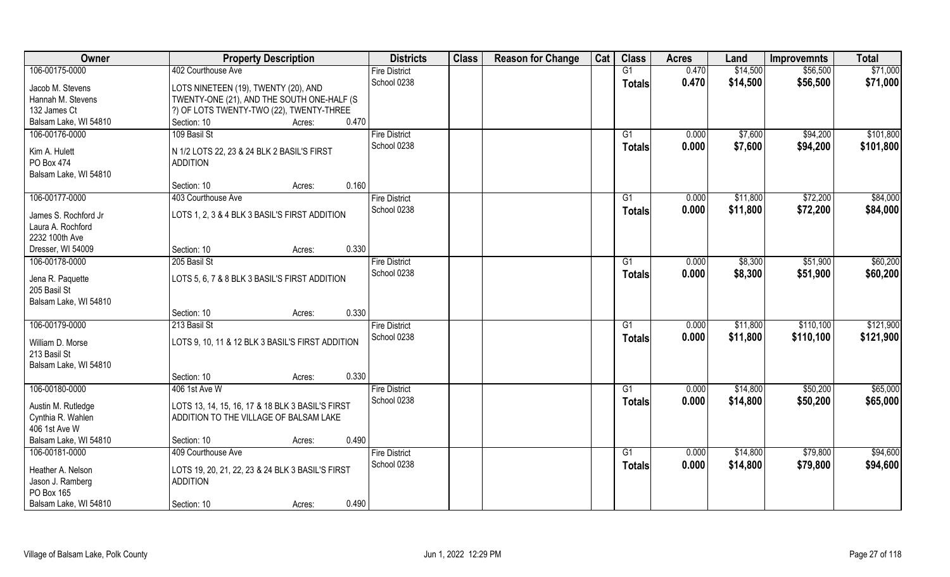| Owner                 | <b>Property Description</b>                      |       | <b>Districts</b>     | <b>Class</b> | <b>Reason for Change</b> | Cat | <b>Class</b>  | <b>Acres</b> | Land     | <b>Improvemnts</b> | <b>Total</b> |
|-----------------------|--------------------------------------------------|-------|----------------------|--------------|--------------------------|-----|---------------|--------------|----------|--------------------|--------------|
| 106-00175-0000        | 402 Courthouse Ave                               |       | <b>Fire District</b> |              |                          |     | G1            | 0.470        | \$14,500 | \$56,500           | \$71,000     |
| Jacob M. Stevens      | LOTS NINETEEN (19), TWENTY (20), AND             |       | School 0238          |              |                          |     | <b>Totals</b> | 0.470        | \$14,500 | \$56,500           | \$71,000     |
| Hannah M. Stevens     | TWENTY-ONE (21), AND THE SOUTH ONE-HALF (S       |       |                      |              |                          |     |               |              |          |                    |              |
| 132 James Ct          | ?) OF LOTS TWENTY-TWO (22), TWENTY-THREE         |       |                      |              |                          |     |               |              |          |                    |              |
| Balsam Lake, WI 54810 | Section: 10<br>Acres:                            | 0.470 |                      |              |                          |     |               |              |          |                    |              |
| 106-00176-0000        | 109 Basil St                                     |       | <b>Fire District</b> |              |                          |     | G1            | 0.000        | \$7,600  | \$94,200           | \$101,800    |
|                       |                                                  |       | School 0238          |              |                          |     |               |              |          |                    |              |
| Kim A. Hulett         | N 1/2 LOTS 22, 23 & 24 BLK 2 BASIL'S FIRST       |       |                      |              |                          |     | <b>Totals</b> | 0.000        | \$7,600  | \$94,200           | \$101,800    |
| PO Box 474            | <b>ADDITION</b>                                  |       |                      |              |                          |     |               |              |          |                    |              |
| Balsam Lake, WI 54810 |                                                  |       |                      |              |                          |     |               |              |          |                    |              |
|                       | Section: 10<br>Acres:                            | 0.160 |                      |              |                          |     |               |              |          |                    |              |
| 106-00177-0000        | 403 Courthouse Ave                               |       | <b>Fire District</b> |              |                          |     | G1            | 0.000        | \$11,800 | \$72,200           | \$84,000     |
|                       |                                                  |       | School 0238          |              |                          |     | <b>Totals</b> | 0.000        | \$11,800 | \$72,200           | \$84,000     |
| James S. Rochford Jr  | LOTS 1, 2, 3 & 4 BLK 3 BASIL'S FIRST ADDITION    |       |                      |              |                          |     |               |              |          |                    |              |
| Laura A. Rochford     |                                                  |       |                      |              |                          |     |               |              |          |                    |              |
| 2232 100th Ave        |                                                  |       |                      |              |                          |     |               |              |          |                    |              |
| Dresser, WI 54009     | Section: 10<br>Acres:                            | 0.330 |                      |              |                          |     |               |              |          |                    |              |
| 106-00178-0000        | 205 Basil St                                     |       | <b>Fire District</b> |              |                          |     | G1            | 0.000        | \$8,300  | \$51,900           | \$60,200     |
| Jena R. Paquette      | LOTS 5, 6, 7 & 8 BLK 3 BASIL'S FIRST ADDITION    |       | School 0238          |              |                          |     | <b>Totals</b> | 0.000        | \$8,300  | \$51,900           | \$60,200     |
| 205 Basil St          |                                                  |       |                      |              |                          |     |               |              |          |                    |              |
| Balsam Lake, WI 54810 |                                                  |       |                      |              |                          |     |               |              |          |                    |              |
|                       | Section: 10<br>Acres:                            | 0.330 |                      |              |                          |     |               |              |          |                    |              |
| 106-00179-0000        | 213 Basil St                                     |       | <b>Fire District</b> |              |                          |     | G1            | 0.000        | \$11,800 | \$110,100          | \$121,900    |
|                       |                                                  |       | School 0238          |              |                          |     | <b>Totals</b> | 0.000        | \$11,800 | \$110,100          | \$121,900    |
| William D. Morse      | LOTS 9, 10, 11 & 12 BLK 3 BASIL'S FIRST ADDITION |       |                      |              |                          |     |               |              |          |                    |              |
| 213 Basil St          |                                                  |       |                      |              |                          |     |               |              |          |                    |              |
| Balsam Lake, WI 54810 |                                                  |       |                      |              |                          |     |               |              |          |                    |              |
|                       | Section: 10<br>Acres:                            | 0.330 |                      |              |                          |     |               |              |          |                    |              |
| 106-00180-0000        | 406 1st Ave W                                    |       | <b>Fire District</b> |              |                          |     | G1            | 0.000        | \$14,800 | \$50,200           | \$65,000     |
| Austin M. Rutledge    | LOTS 13, 14, 15, 16, 17 & 18 BLK 3 BASIL'S FIRST |       | School 0238          |              |                          |     | <b>Totals</b> | 0.000        | \$14,800 | \$50,200           | \$65,000     |
| Cynthia R. Wahlen     | ADDITION TO THE VILLAGE OF BALSAM LAKE           |       |                      |              |                          |     |               |              |          |                    |              |
| 406 1st Ave W         |                                                  |       |                      |              |                          |     |               |              |          |                    |              |
| Balsam Lake, WI 54810 | Section: 10<br>Acres:                            | 0.490 |                      |              |                          |     |               |              |          |                    |              |
| 106-00181-0000        | 409 Courthouse Ave                               |       | Fire District        |              |                          |     | G1            | 0.000        | \$14,800 | \$79,800           | \$94,600     |
|                       |                                                  |       | School 0238          |              |                          |     |               | 0.000        | \$14,800 | \$79,800           | \$94,600     |
| Heather A. Nelson     | LOTS 19, 20, 21, 22, 23 & 24 BLK 3 BASIL'S FIRST |       |                      |              |                          |     | <b>Totals</b> |              |          |                    |              |
| Jason J. Ramberg      | <b>ADDITION</b>                                  |       |                      |              |                          |     |               |              |          |                    |              |
| PO Box 165            |                                                  |       |                      |              |                          |     |               |              |          |                    |              |
| Balsam Lake, WI 54810 | Section: 10<br>Acres:                            | 0.490 |                      |              |                          |     |               |              |          |                    |              |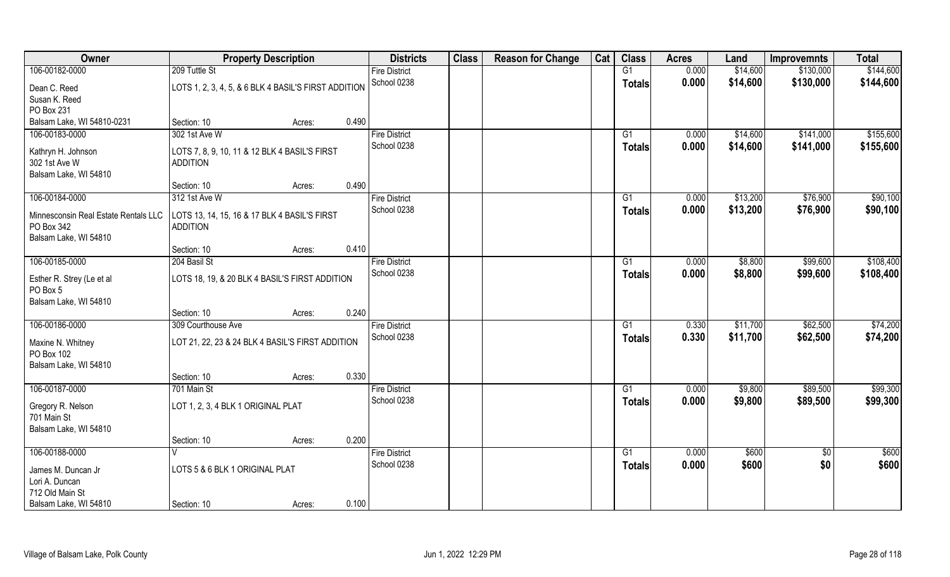| Owner                                 | <b>Property Description</b>                          |        |       | <b>Districts</b>     | <b>Class</b> | <b>Reason for Change</b> | Cat | <b>Class</b>  | <b>Acres</b> | Land     | <b>Improvemnts</b> | <b>Total</b> |
|---------------------------------------|------------------------------------------------------|--------|-------|----------------------|--------------|--------------------------|-----|---------------|--------------|----------|--------------------|--------------|
| 106-00182-0000                        | 209 Tuttle St                                        |        |       | <b>Fire District</b> |              |                          |     | G1            | 0.000        | \$14,600 | \$130,000          | \$144,600    |
| Dean C. Reed                          | LOTS 1, 2, 3, 4, 5, & 6 BLK 4 BASIL'S FIRST ADDITION |        |       | School 0238          |              |                          |     | Totals        | 0.000        | \$14,600 | \$130,000          | \$144,600    |
| Susan K. Reed                         |                                                      |        |       |                      |              |                          |     |               |              |          |                    |              |
| PO Box 231                            |                                                      |        |       |                      |              |                          |     |               |              |          |                    |              |
| Balsam Lake, WI 54810-0231            | Section: 10                                          | Acres: | 0.490 |                      |              |                          |     |               |              |          |                    |              |
| 106-00183-0000                        | 302 1st Ave W                                        |        |       | <b>Fire District</b> |              |                          |     | G1            | 0.000        | \$14,600 | \$141,000          | \$155,600    |
| Kathryn H. Johnson                    | LOTS 7, 8, 9, 10, 11 & 12 BLK 4 BASIL'S FIRST        |        |       | School 0238          |              |                          |     | Totals        | 0.000        | \$14,600 | \$141,000          | \$155,600    |
| 302 1st Ave W                         | <b>ADDITION</b>                                      |        |       |                      |              |                          |     |               |              |          |                    |              |
| Balsam Lake, WI 54810                 |                                                      |        |       |                      |              |                          |     |               |              |          |                    |              |
|                                       | Section: 10                                          | Acres: | 0.490 |                      |              |                          |     |               |              |          |                    |              |
| 106-00184-0000                        | 312 1st Ave W                                        |        |       | <b>Fire District</b> |              |                          |     | G1            | 0.000        | \$13,200 | \$76,900           | \$90,100     |
| Minnesconsin Real Estate Rentals LLC  | LOTS 13, 14, 15, 16 & 17 BLK 4 BASIL'S FIRST         |        |       | School 0238          |              |                          |     | <b>Totals</b> | 0.000        | \$13,200 | \$76,900           | \$90,100     |
| PO Box 342                            | <b>ADDITION</b>                                      |        |       |                      |              |                          |     |               |              |          |                    |              |
| Balsam Lake, WI 54810                 |                                                      |        |       |                      |              |                          |     |               |              |          |                    |              |
|                                       | Section: 10                                          | Acres: | 0.410 |                      |              |                          |     |               |              |          |                    |              |
| 106-00185-0000                        | 204 Basil St                                         |        |       | <b>Fire District</b> |              |                          |     | G1            | 0.000        | \$8,800  | \$99,600           | \$108,400    |
|                                       |                                                      |        |       | School 0238          |              |                          |     | <b>Totals</b> | 0.000        | \$8,800  | \$99,600           | \$108,400    |
| Esther R. Strey (Le et al<br>PO Box 5 | LOTS 18, 19, & 20 BLK 4 BASIL'S FIRST ADDITION       |        |       |                      |              |                          |     |               |              |          |                    |              |
| Balsam Lake, WI 54810                 |                                                      |        |       |                      |              |                          |     |               |              |          |                    |              |
|                                       | Section: 10                                          | Acres: | 0.240 |                      |              |                          |     |               |              |          |                    |              |
| 106-00186-0000                        | 309 Courthouse Ave                                   |        |       | <b>Fire District</b> |              |                          |     | G1            | 0.330        | \$11,700 | \$62,500           | \$74,200     |
|                                       |                                                      |        |       | School 0238          |              |                          |     | <b>Totals</b> | 0.330        | \$11,700 | \$62,500           | \$74,200     |
| Maxine N. Whitney                     | LOT 21, 22, 23 & 24 BLK 4 BASIL'S FIRST ADDITION     |        |       |                      |              |                          |     |               |              |          |                    |              |
| PO Box 102                            |                                                      |        |       |                      |              |                          |     |               |              |          |                    |              |
| Balsam Lake, WI 54810                 |                                                      |        |       |                      |              |                          |     |               |              |          |                    |              |
|                                       | Section: 10                                          | Acres: | 0.330 |                      |              |                          |     |               |              |          |                    |              |
| 106-00187-0000                        | 701 Main St                                          |        |       | <b>Fire District</b> |              |                          |     | G1            | 0.000        | \$9,800  | \$89,500           | \$99,300     |
| Gregory R. Nelson                     | LOT 1, 2, 3, 4 BLK 1 ORIGINAL PLAT                   |        |       | School 0238          |              |                          |     | <b>Totals</b> | 0.000        | \$9,800  | \$89,500           | \$99,300     |
| 701 Main St                           |                                                      |        |       |                      |              |                          |     |               |              |          |                    |              |
| Balsam Lake, WI 54810                 |                                                      |        |       |                      |              |                          |     |               |              |          |                    |              |
|                                       | Section: 10                                          | Acres: | 0.200 |                      |              |                          |     |               |              |          |                    |              |
| 106-00188-0000                        |                                                      |        |       | <b>Fire District</b> |              |                          |     | G1            | 0.000        | \$600    | $\sqrt{6}$         | \$600        |
| James M. Duncan Jr                    | LOTS 5 & 6 BLK 1 ORIGINAL PLAT                       |        |       | School 0238          |              |                          |     | <b>Totals</b> | 0.000        | \$600    | \$0                | \$600        |
| Lori A. Duncan                        |                                                      |        |       |                      |              |                          |     |               |              |          |                    |              |
| 712 Old Main St                       |                                                      |        |       |                      |              |                          |     |               |              |          |                    |              |
| Balsam Lake, WI 54810                 | Section: 10                                          | Acres: | 0.100 |                      |              |                          |     |               |              |          |                    |              |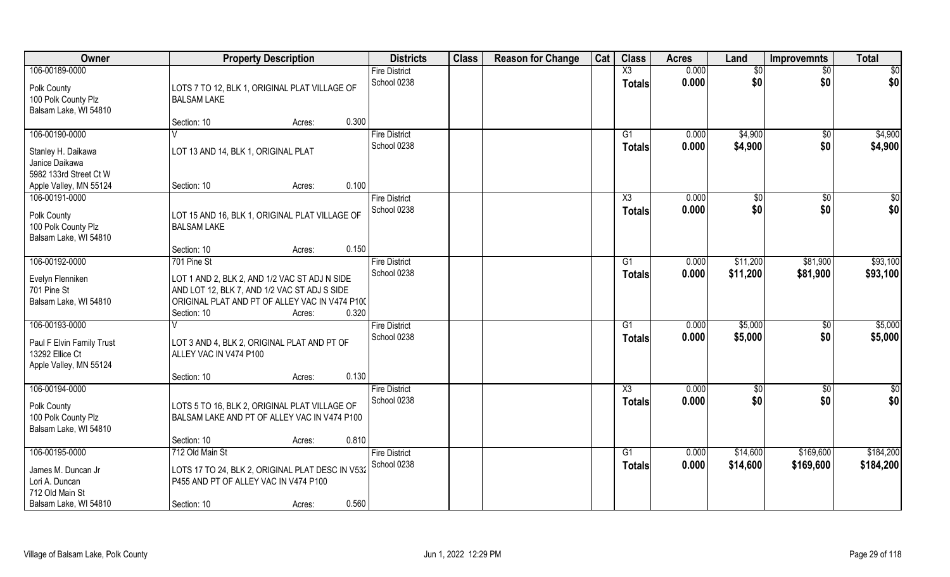| Owner                                                                  | <b>Property Description</b>                                                                                                                                    |                 | <b>Districts</b>                    | <b>Class</b> | <b>Reason for Change</b> | Cat | <b>Class</b>                            | <b>Acres</b>   | Land                   | Improvemnts            | <b>Total</b> |
|------------------------------------------------------------------------|----------------------------------------------------------------------------------------------------------------------------------------------------------------|-----------------|-------------------------------------|--------------|--------------------------|-----|-----------------------------------------|----------------|------------------------|------------------------|--------------|
| 106-00189-0000<br>Polk County                                          | LOTS 7 TO 12, BLK 1, ORIGINAL PLAT VILLAGE OF                                                                                                                  |                 | <b>Fire District</b><br>School 0238 |              |                          |     | $\overline{\text{X3}}$<br><b>Totals</b> | 0.000<br>0.000 | $\overline{50}$<br>\$0 | $\overline{50}$<br>\$0 | \$0<br>\$0   |
| 100 Polk County Plz<br>Balsam Lake, WI 54810                           | <b>BALSAM LAKE</b>                                                                                                                                             |                 |                                     |              |                          |     |                                         |                |                        |                        |              |
|                                                                        | Section: 10                                                                                                                                                    | 0.300<br>Acres: |                                     |              |                          |     |                                         |                |                        |                        |              |
| 106-00190-0000                                                         |                                                                                                                                                                |                 | <b>Fire District</b>                |              |                          |     | G1                                      | 0.000          | \$4,900                | $\overline{50}$        | \$4,900      |
| Stanley H. Daikawa<br>Janice Daikawa<br>5982 133rd Street Ct W         | LOT 13 AND 14, BLK 1, ORIGINAL PLAT                                                                                                                            |                 | School 0238                         |              |                          |     | <b>Totals</b>                           | 0.000          | \$4,900                | \$0                    | \$4,900      |
| Apple Valley, MN 55124                                                 | Section: 10                                                                                                                                                    | 0.100<br>Acres: |                                     |              |                          |     |                                         |                |                        |                        |              |
| 106-00191-0000                                                         |                                                                                                                                                                |                 | <b>Fire District</b>                |              |                          |     | X3                                      | 0.000          | $\sqrt[6]{2}$          | $\sqrt{6}$             | \$0          |
| Polk County<br>100 Polk County Plz<br>Balsam Lake, WI 54810            | LOT 15 AND 16, BLK 1, ORIGINAL PLAT VILLAGE OF<br><b>BALSAM LAKE</b>                                                                                           |                 | School 0238                         |              |                          |     | <b>Totals</b>                           | 0.000          | \$0                    | \$0                    | \$0          |
|                                                                        | Section: 10                                                                                                                                                    | 0.150<br>Acres: |                                     |              |                          |     |                                         |                |                        |                        |              |
| 106-00192-0000                                                         | 701 Pine St                                                                                                                                                    |                 | <b>Fire District</b>                |              |                          |     | G <sub>1</sub>                          | 0.000          | \$11,200               | \$81,900               | \$93,100     |
| Evelyn Flenniken<br>701 Pine St<br>Balsam Lake, WI 54810               | LOT 1 AND 2, BLK 2, AND 1/2 VAC ST ADJ N SIDE<br>AND LOT 12, BLK 7, AND 1/2 VAC ST ADJ S SIDE<br>ORIGINAL PLAT AND PT OF ALLEY VAC IN V474 P100<br>Section: 10 | 0.320<br>Acres: | School 0238                         |              |                          |     | <b>Totals</b>                           | 0.000          | \$11,200               | \$81,900               | \$93,100     |
| 106-00193-0000                                                         |                                                                                                                                                                |                 | <b>Fire District</b>                |              |                          |     | G <sub>1</sub>                          | 0.000          | \$5,000                | \$0                    | \$5,000      |
| Paul F Elvin Family Trust<br>13292 Ellice Ct<br>Apple Valley, MN 55124 | LOT 3 AND 4, BLK 2, ORIGINAL PLAT AND PT OF<br>ALLEY VAC IN V474 P100                                                                                          |                 | School 0238                         |              |                          |     | <b>Totals</b>                           | 0.000          | \$5,000                | \$0                    | \$5,000      |
|                                                                        | Section: 10                                                                                                                                                    | 0.130<br>Acres: |                                     |              |                          |     |                                         |                |                        |                        |              |
| 106-00194-0000                                                         |                                                                                                                                                                |                 | <b>Fire District</b>                |              |                          |     | X3                                      | 0.000          | \$0                    | \$0                    | \$0          |
| Polk County<br>100 Polk County Plz<br>Balsam Lake, WI 54810            | LOTS 5 TO 16, BLK 2, ORIGINAL PLAT VILLAGE OF<br>BALSAM LAKE AND PT OF ALLEY VAC IN V474 P100                                                                  |                 | School 0238                         |              |                          |     | <b>Totals</b>                           | 0.000          | \$0                    | \$0                    | \$0          |
|                                                                        | Section: 10                                                                                                                                                    | 0.810<br>Acres: |                                     |              |                          |     |                                         |                |                        |                        |              |
| 106-00195-0000                                                         | 712 Old Main St                                                                                                                                                |                 | <b>Fire District</b>                |              |                          |     | G1                                      | 0.000          | \$14,600               | \$169,600              | \$184,200    |
| James M. Duncan Jr<br>Lori A. Duncan<br>712 Old Main St                | LOTS 17 TO 24, BLK 2, ORIGINAL PLAT DESC IN V532<br>P455 AND PT OF ALLEY VAC IN V474 P100                                                                      |                 | School 0238                         |              |                          |     | <b>Totals</b>                           | 0.000          | \$14,600               | \$169,600              | \$184,200    |
| Balsam Lake, WI 54810                                                  | Section: 10                                                                                                                                                    | 0.560<br>Acres: |                                     |              |                          |     |                                         |                |                        |                        |              |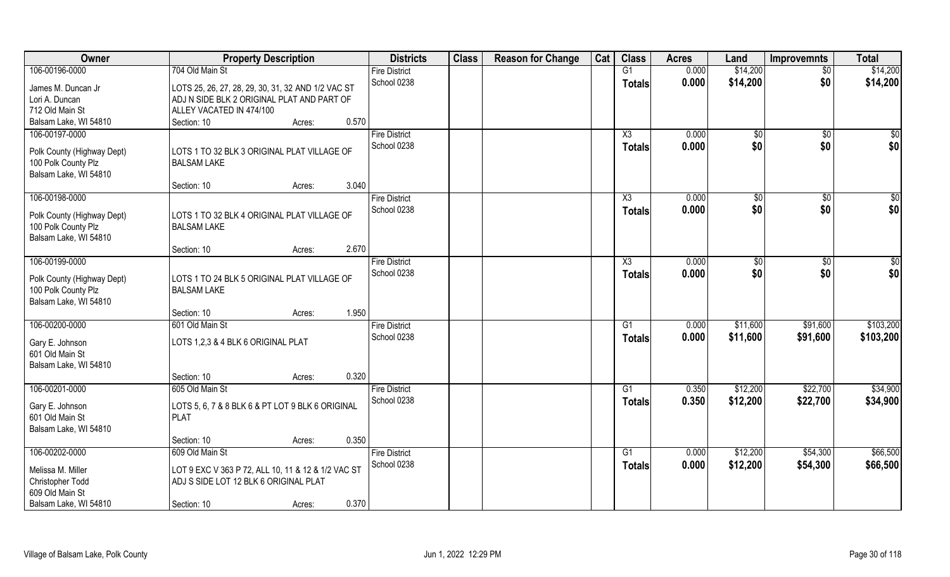| Owner                                             | <b>Property Description</b>                                       | <b>Districts</b>     | <b>Class</b> | <b>Reason for Change</b> | Cat | <b>Class</b>    | <b>Acres</b> | Land          | <b>Improvemnts</b> | <b>Total</b> |
|---------------------------------------------------|-------------------------------------------------------------------|----------------------|--------------|--------------------------|-----|-----------------|--------------|---------------|--------------------|--------------|
| 106-00196-0000                                    | 704 Old Main St                                                   | <b>Fire District</b> |              |                          |     | $\overline{G1}$ | 0.000        | \$14,200      | $\overline{50}$    | \$14,200     |
| James M. Duncan Jr                                | LOTS 25, 26, 27, 28, 29, 30, 31, 32 AND 1/2 VAC ST                | School 0238          |              |                          |     | Totals          | 0.000        | \$14,200      | \$0                | \$14,200     |
| Lori A. Duncan                                    | ADJ N SIDE BLK 2 ORIGINAL PLAT AND PART OF                        |                      |              |                          |     |                 |              |               |                    |              |
| 712 Old Main St                                   | ALLEY VACATED IN 474/100                                          |                      |              |                          |     |                 |              |               |                    |              |
| Balsam Lake, WI 54810                             | 0.570<br>Section: 10<br>Acres:                                    |                      |              |                          |     |                 |              |               |                    |              |
| 106-00197-0000                                    |                                                                   | <b>Fire District</b> |              |                          |     | X3              | 0.000        | $\sqrt[6]{}$  | \$0                | \$0          |
|                                                   |                                                                   | School 0238          |              |                          |     | Totals          | 0.000        | \$0           | \$0                | \$0          |
| Polk County (Highway Dept)<br>100 Polk County Plz | LOTS 1 TO 32 BLK 3 ORIGINAL PLAT VILLAGE OF<br><b>BALSAM LAKE</b> |                      |              |                          |     |                 |              |               |                    |              |
| Balsam Lake, WI 54810                             |                                                                   |                      |              |                          |     |                 |              |               |                    |              |
|                                                   | 3.040<br>Section: 10<br>Acres:                                    |                      |              |                          |     |                 |              |               |                    |              |
| 106-00198-0000                                    |                                                                   | <b>Fire District</b> |              |                          |     | X3              | 0.000        | $\sqrt[6]{3}$ | $\sqrt[6]{3}$      | \$0          |
|                                                   |                                                                   | School 0238          |              |                          |     | <b>Totals</b>   | 0.000        | \$0           | \$0                | \$0          |
| Polk County (Highway Dept)                        | LOTS 1 TO 32 BLK 4 ORIGINAL PLAT VILLAGE OF                       |                      |              |                          |     |                 |              |               |                    |              |
| 100 Polk County Plz                               | <b>BALSAM LAKE</b>                                                |                      |              |                          |     |                 |              |               |                    |              |
| Balsam Lake, WI 54810                             |                                                                   |                      |              |                          |     |                 |              |               |                    |              |
|                                                   | 2.670<br>Section: 10<br>Acres:                                    |                      |              |                          |     |                 |              |               |                    |              |
| 106-00199-0000                                    |                                                                   | <b>Fire District</b> |              |                          |     | X3              | 0.000        | \$0           | $\sqrt[6]{3}$      | \$0          |
| Polk County (Highway Dept)                        | LOTS 1 TO 24 BLK 5 ORIGINAL PLAT VILLAGE OF                       | School 0238          |              |                          |     | <b>Totals</b>   | 0.000        | \$0           | \$0                | \$0          |
| 100 Polk County Plz                               | <b>BALSAM LAKE</b>                                                |                      |              |                          |     |                 |              |               |                    |              |
| Balsam Lake, WI 54810                             |                                                                   |                      |              |                          |     |                 |              |               |                    |              |
|                                                   | 1.950<br>Section: 10<br>Acres:                                    |                      |              |                          |     |                 |              |               |                    |              |
| 106-00200-0000                                    | 601 Old Main St                                                   | <b>Fire District</b> |              |                          |     | G1              | 0.000        | \$11,600      | \$91,600           | \$103,200    |
| Gary E. Johnson                                   | LOTS 1,2,3 & 4 BLK 6 ORIGINAL PLAT                                | School 0238          |              |                          |     | <b>Totals</b>   | 0.000        | \$11,600      | \$91,600           | \$103,200    |
| 601 Old Main St                                   |                                                                   |                      |              |                          |     |                 |              |               |                    |              |
| Balsam Lake, WI 54810                             |                                                                   |                      |              |                          |     |                 |              |               |                    |              |
|                                                   | 0.320<br>Section: 10<br>Acres:                                    |                      |              |                          |     |                 |              |               |                    |              |
| 106-00201-0000                                    | 605 Old Main St                                                   | <b>Fire District</b> |              |                          |     | G1              | 0.350        | \$12,200      | \$22,700           | \$34,900     |
| Gary E. Johnson                                   | LOTS 5, 6, 7 & 8 BLK 6 & PT LOT 9 BLK 6 ORIGINAL                  | School 0238          |              |                          |     | <b>Totals</b>   | 0.350        | \$12,200      | \$22,700           | \$34,900     |
| 601 Old Main St                                   | <b>PLAT</b>                                                       |                      |              |                          |     |                 |              |               |                    |              |
| Balsam Lake, WI 54810                             |                                                                   |                      |              |                          |     |                 |              |               |                    |              |
|                                                   | 0.350<br>Section: 10<br>Acres:                                    |                      |              |                          |     |                 |              |               |                    |              |
| 106-00202-0000                                    | 609 Old Main St                                                   | <b>Fire District</b> |              |                          |     | $\overline{G1}$ | 0.000        | \$12,200      | \$54,300           | \$66,500     |
|                                                   |                                                                   | School 0238          |              |                          |     | <b>Totals</b>   | 0.000        | \$12,200      | \$54,300           | \$66,500     |
| Melissa M. Miller                                 | LOT 9 EXC V 363 P 72, ALL 10, 11 & 12 & 1/2 VAC ST                |                      |              |                          |     |                 |              |               |                    |              |
| Christopher Todd                                  | ADJ S SIDE LOT 12 BLK 6 ORIGINAL PLAT                             |                      |              |                          |     |                 |              |               |                    |              |
| 609 Old Main St                                   |                                                                   |                      |              |                          |     |                 |              |               |                    |              |
| Balsam Lake, WI 54810                             | 0.370<br>Section: 10<br>Acres:                                    |                      |              |                          |     |                 |              |               |                    |              |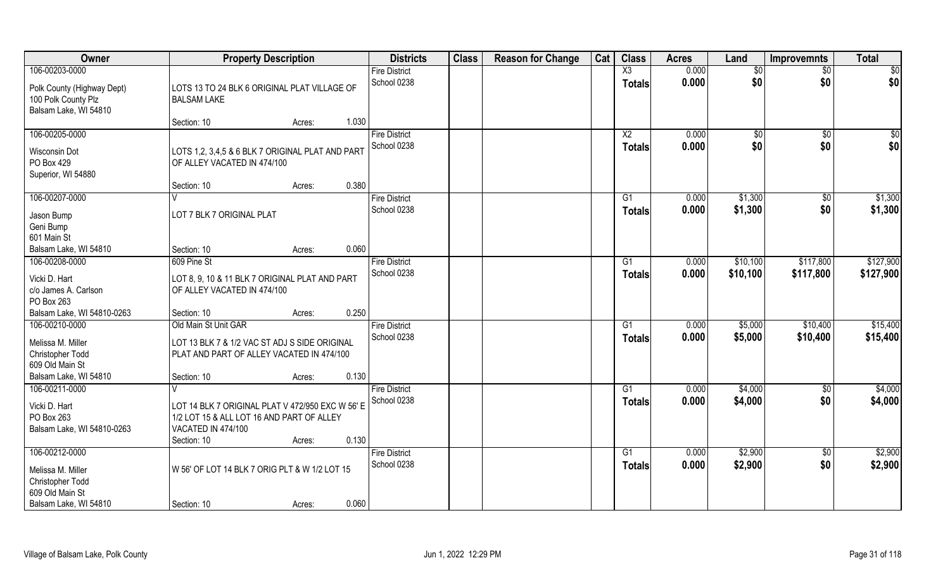| Owner                                                                                               | <b>Property Description</b>                                                                                                                           | <b>Districts</b>                    | <b>Class</b> | <b>Reason for Change</b> | Cat | <b>Class</b>                    | <b>Acres</b>   | Land                | <b>Improvemnts</b>     | <b>Total</b>         |
|-----------------------------------------------------------------------------------------------------|-------------------------------------------------------------------------------------------------------------------------------------------------------|-------------------------------------|--------------|--------------------------|-----|---------------------------------|----------------|---------------------|------------------------|----------------------|
| 106-00203-0000                                                                                      |                                                                                                                                                       | <b>Fire District</b>                |              |                          |     | $\overline{\text{X3}}$          | 0.000          | \$0                 | $\overline{50}$        | $\overline{50}$      |
| Polk County (Highway Dept)<br>100 Polk County Plz<br>Balsam Lake, WI 54810                          | LOTS 13 TO 24 BLK 6 ORIGINAL PLAT VILLAGE OF<br><b>BALSAM LAKE</b>                                                                                    | School 0238                         |              |                          |     | <b>Totals</b>                   | 0.000          | \$0                 | \$0                    | \$0                  |
|                                                                                                     | 1.030<br>Section: 10<br>Acres:                                                                                                                        |                                     |              |                          |     |                                 |                |                     |                        |                      |
| 106-00205-0000<br>Wisconsin Dot<br>PO Box 429                                                       | LOTS 1,2, 3,4,5 & 6 BLK 7 ORIGINAL PLAT AND PART<br>OF ALLEY VACATED IN 474/100                                                                       | <b>Fire District</b><br>School 0238 |              |                          |     | X <sub>2</sub><br><b>Totals</b> | 0.000<br>0.000 | $\sqrt[6]{}$<br>\$0 | $\overline{50}$<br>\$0 | $\sqrt{50}$<br>\$0   |
| Superior, WI 54880                                                                                  | 0.380<br>Section: 10<br>Acres:                                                                                                                        |                                     |              |                          |     |                                 |                |                     |                        |                      |
| 106-00207-0000                                                                                      |                                                                                                                                                       | <b>Fire District</b>                |              |                          |     | G1                              | 0.000          | \$1,300             | $\sqrt[6]{30}$         | \$1,300              |
| Jason Bump<br>Geni Bump<br>601 Main St                                                              | LOT 7 BLK 7 ORIGINAL PLAT                                                                                                                             | School 0238                         |              |                          |     | <b>Totals</b>                   | 0.000          | \$1,300             | \$0                    | \$1,300              |
| Balsam Lake, WI 54810                                                                               | 0.060<br>Section: 10<br>Acres:                                                                                                                        |                                     |              |                          |     |                                 |                |                     |                        |                      |
| 106-00208-0000                                                                                      | 609 Pine St                                                                                                                                           | <b>Fire District</b>                |              |                          |     | G <sub>1</sub>                  | 0.000          | \$10,100            | \$117,800              | \$127,900            |
| Vicki D. Hart<br>c/o James A. Carlson<br>PO Box 263                                                 | LOT 8, 9, 10 & 11 BLK 7 ORIGINAL PLAT AND PART<br>OF ALLEY VACATED IN 474/100                                                                         | School 0238                         |              |                          |     | <b>Totals</b>                   | 0.000          | \$10,100            | \$117,800              | \$127,900            |
| Balsam Lake, WI 54810-0263                                                                          | 0.250<br>Section: 10<br>Acres:                                                                                                                        |                                     |              |                          |     |                                 |                |                     |                        |                      |
| 106-00210-0000<br>Melissa M. Miller<br>Christopher Todd<br>609 Old Main St<br>Balsam Lake, WI 54810 | Old Main St Unit GAR<br>LOT 13 BLK 7 & 1/2 VAC ST ADJ S SIDE ORIGINAL<br>PLAT AND PART OF ALLEY VACATED IN 474/100<br>0.130<br>Section: 10<br>Acres:  | <b>Fire District</b><br>School 0238 |              |                          |     | G1<br><b>Totals</b>             | 0.000<br>0.000 | \$5,000<br>\$5,000  | \$10,400<br>\$10,400   | \$15,400<br>\$15,400 |
| 106-00211-0000                                                                                      |                                                                                                                                                       | <b>Fire District</b>                |              |                          |     | G1                              | 0.000          | \$4,000             | \$0                    | \$4,000              |
| Vicki D. Hart<br>PO Box 263<br>Balsam Lake, WI 54810-0263                                           | LOT 14 BLK 7 ORIGINAL PLAT V 472/950 EXC W 56' E<br>1/2 LOT 15 & ALL LOT 16 AND PART OF ALLEY<br>VACATED IN 474/100<br>0.130<br>Section: 10<br>Acres: | School 0238                         |              |                          |     | <b>Totals</b>                   | 0.000          | \$4,000             | \$0                    | \$4,000              |
| 106-00212-0000<br>Melissa M. Miller<br>Christopher Todd<br>609 Old Main St<br>Balsam Lake, WI 54810 | W 56' OF LOT 14 BLK 7 ORIG PLT & W 1/2 LOT 15<br>0.060<br>Section: 10<br>Acres:                                                                       | <b>Fire District</b><br>School 0238 |              |                          |     | G1<br><b>Totals</b>             | 0.000<br>0.000 | \$2,900<br>\$2,900  | $\overline{50}$<br>\$0 | \$2,900<br>\$2,900   |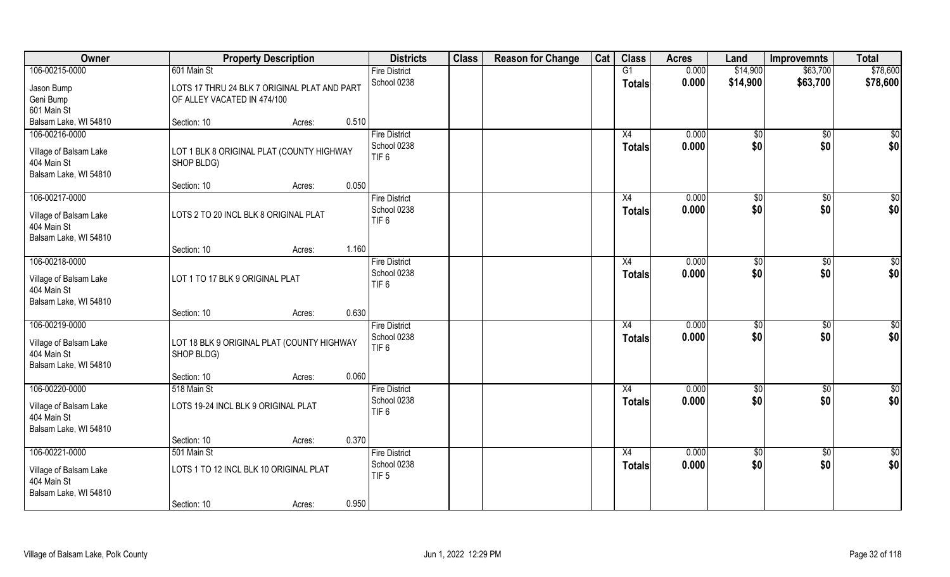| Owner                                                                            | <b>Property Description</b>                                                 | <b>Districts</b>                                        | <b>Class</b> | <b>Reason for Change</b> | Cat | <b>Class</b>        | <b>Acres</b>   | Land          | <b>Improvemnts</b> | <b>Total</b>    |
|----------------------------------------------------------------------------------|-----------------------------------------------------------------------------|---------------------------------------------------------|--------------|--------------------------|-----|---------------------|----------------|---------------|--------------------|-----------------|
| 106-00215-0000                                                                   | 601 Main St                                                                 | <b>Fire District</b>                                    |              |                          |     | G1                  | 0.000          | \$14,900      | \$63,700           | \$78,600        |
| Jason Bump<br>Geni Bump<br>601 Main St                                           | LOTS 17 THRU 24 BLK 7 ORIGINAL PLAT AND PART<br>OF ALLEY VACATED IN 474/100 | School 0238                                             |              |                          |     | <b>Totals</b>       | 0.000          | \$14,900      | \$63,700           | \$78,600        |
| Balsam Lake, WI 54810                                                            | 0.510<br>Section: 10<br>Acres:                                              |                                                         |              |                          |     |                     |                |               |                    |                 |
| 106-00216-0000                                                                   |                                                                             | <b>Fire District</b>                                    |              |                          |     | X4                  | 0.000          | $\sqrt[6]{}$  | $\sqrt{$0}$        | $\sqrt{50}$     |
| Village of Balsam Lake<br>404 Main St<br>Balsam Lake, WI 54810                   | LOT 1 BLK 8 ORIGINAL PLAT (COUNTY HIGHWAY<br>SHOP BLDG)                     | School 0238<br>TIF <sub>6</sub>                         |              |                          |     | Totals              | 0.000          | \$0           | \$0                | \$0             |
|                                                                                  | 0.050<br>Section: 10<br>Acres:                                              |                                                         |              |                          |     |                     |                |               |                    |                 |
| 106-00217-0000                                                                   |                                                                             | <b>Fire District</b>                                    |              |                          |     | X4                  | 0.000          | \$0           | $\sqrt[6]{3}$      | $\sqrt{50}$     |
| Village of Balsam Lake<br>404 Main St                                            | LOTS 2 TO 20 INCL BLK 8 ORIGINAL PLAT                                       | School 0238<br>TIF <sub>6</sub>                         |              |                          |     | <b>Totals</b>       | 0.000          | \$0           | \$0                | \$0             |
| Balsam Lake, WI 54810                                                            | 1.160<br>Section: 10<br>Acres:                                              |                                                         |              |                          |     |                     |                |               |                    |                 |
| 106-00218-0000                                                                   |                                                                             | <b>Fire District</b>                                    |              |                          |     | X4                  | 0.000          | $\sqrt[6]{3}$ | $\sqrt[6]{3}$      | \$0             |
| Village of Balsam Lake<br>404 Main St<br>Balsam Lake, WI 54810                   | LOT 1 TO 17 BLK 9 ORIGINAL PLAT                                             | School 0238<br>TIF <sub>6</sub>                         |              |                          |     | <b>Totals</b>       | 0.000          | \$0           | \$0                | \$0             |
|                                                                                  | 0.630<br>Section: 10<br>Acres:                                              |                                                         |              |                          |     |                     |                |               |                    |                 |
| 106-00219-0000<br>Village of Balsam Lake<br>404 Main St<br>Balsam Lake, WI 54810 | LOT 18 BLK 9 ORIGINAL PLAT (COUNTY HIGHWAY<br>SHOP BLDG)                    | <b>Fire District</b><br>School 0238<br>TIF <sub>6</sub> |              |                          |     | X4<br><b>Totals</b> | 0.000<br>0.000 | \$0<br>\$0    | \$0<br>\$0         | \$0<br>\$0      |
|                                                                                  | 0.060<br>Section: 10<br>Acres:                                              |                                                         |              |                          |     |                     |                |               |                    |                 |
| 106-00220-0000                                                                   | 518 Main St                                                                 | <b>Fire District</b>                                    |              |                          |     | X4                  | 0.000          | \$0           | \$0                | \$0             |
| Village of Balsam Lake<br>404 Main St                                            | LOTS 19-24 INCL BLK 9 ORIGINAL PLAT                                         | School 0238<br>TIF <sub>6</sub>                         |              |                          |     | <b>Totals</b>       | 0.000          | \$0           | \$0                | \$0             |
| Balsam Lake, WI 54810                                                            | 0.370<br>Section: 10                                                        |                                                         |              |                          |     |                     |                |               |                    |                 |
| 106-00221-0000                                                                   | Acres:<br>501 Main St                                                       | <b>Fire District</b>                                    |              |                          |     | X4                  | 0.000          | $\sqrt{$0}$   | $\sqrt{$0}$        | $\overline{50}$ |
| Village of Balsam Lake<br>404 Main St<br>Balsam Lake, WI 54810                   | LOTS 1 TO 12 INCL BLK 10 ORIGINAL PLAT                                      | School 0238<br>TIF <sub>5</sub>                         |              |                          |     | <b>Totals</b>       | 0.000          | \$0           | \$0                | \$0             |
|                                                                                  | 0.950<br>Section: 10<br>Acres:                                              |                                                         |              |                          |     |                     |                |               |                    |                 |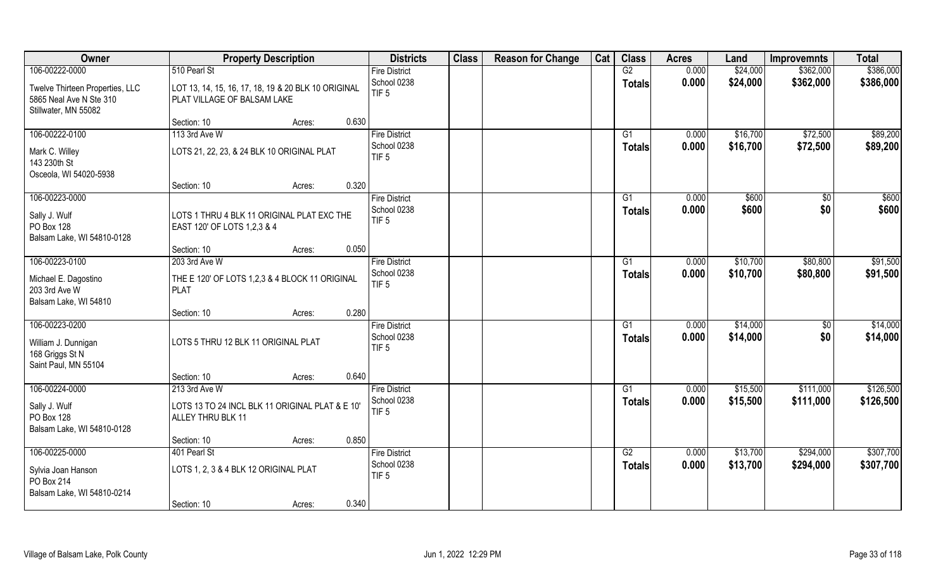| Owner                           | <b>Property Description</b>                         | <b>Districts</b>                | <b>Class</b> | <b>Reason for Change</b> | Cat | <b>Class</b>  | <b>Acres</b> | Land     | <b>Improvemnts</b> | <b>Total</b> |
|---------------------------------|-----------------------------------------------------|---------------------------------|--------------|--------------------------|-----|---------------|--------------|----------|--------------------|--------------|
| 106-00222-0000                  | 510 Pearl St                                        | <b>Fire District</b>            |              |                          |     | G2            | 0.000        | \$24,000 | \$362,000          | \$386,000    |
| Twelve Thirteen Properties, LLC | LOT 13, 14, 15, 16, 17, 18, 19 & 20 BLK 10 ORIGINAL | School 0238                     |              |                          |     | <b>Totals</b> | 0.000        | \$24,000 | \$362,000          | \$386,000    |
| 5865 Neal Ave N Ste 310         | PLAT VILLAGE OF BALSAM LAKE                         | TIF <sub>5</sub>                |              |                          |     |               |              |          |                    |              |
| Stillwater, MN 55082            |                                                     |                                 |              |                          |     |               |              |          |                    |              |
|                                 | 0.630<br>Section: 10<br>Acres:                      |                                 |              |                          |     |               |              |          |                    |              |
| 106-00222-0100                  | 113 3rd Ave W                                       | <b>Fire District</b>            |              |                          |     | G1            | 0.000        | \$16,700 | \$72,500           | \$89,200     |
| Mark C. Willey                  | LOTS 21, 22, 23, & 24 BLK 10 ORIGINAL PLAT          | School 0238                     |              |                          |     | <b>Totals</b> | 0.000        | \$16,700 | \$72,500           | \$89,200     |
| 143 230th St                    |                                                     | TIF <sub>5</sub>                |              |                          |     |               |              |          |                    |              |
| Osceola, WI 54020-5938          |                                                     |                                 |              |                          |     |               |              |          |                    |              |
|                                 | 0.320<br>Section: 10<br>Acres:                      |                                 |              |                          |     |               |              |          |                    |              |
| 106-00223-0000                  |                                                     | <b>Fire District</b>            |              |                          |     | G1            | 0.000        | \$600    | $\sqrt[6]{}$       | \$600        |
| Sally J. Wulf                   | LOTS 1 THRU 4 BLK 11 ORIGINAL PLAT EXC THE          | School 0238                     |              |                          |     | <b>Totals</b> | 0.000        | \$600    | \$0                | \$600        |
| PO Box 128                      | EAST 120' OF LOTS 1,2,3 & 4                         | TIF <sub>5</sub>                |              |                          |     |               |              |          |                    |              |
| Balsam Lake, WI 54810-0128      |                                                     |                                 |              |                          |     |               |              |          |                    |              |
|                                 | 0.050<br>Section: 10<br>Acres:                      |                                 |              |                          |     |               |              |          |                    |              |
| 106-00223-0100                  | 203 3rd Ave W                                       | <b>Fire District</b>            |              |                          |     | G1            | 0.000        | \$10,700 | \$80,800           | \$91,500     |
| Michael E. Dagostino            | THE E 120' OF LOTS 1,2,3 & 4 BLOCK 11 ORIGINAL      | School 0238                     |              |                          |     | <b>Totals</b> | 0.000        | \$10,700 | \$80,800           | \$91,500     |
| 203 3rd Ave W                   | <b>PLAT</b>                                         | TIF <sub>5</sub>                |              |                          |     |               |              |          |                    |              |
| Balsam Lake, WI 54810           |                                                     |                                 |              |                          |     |               |              |          |                    |              |
|                                 | 0.280<br>Section: 10<br>Acres:                      |                                 |              |                          |     |               |              |          |                    |              |
| 106-00223-0200                  |                                                     | <b>Fire District</b>            |              |                          |     | G1            | 0.000        | \$14,000 | \$0                | \$14,000     |
| William J. Dunnigan             | LOTS 5 THRU 12 BLK 11 ORIGINAL PLAT                 | School 0238                     |              |                          |     | <b>Totals</b> | 0.000        | \$14,000 | \$0                | \$14,000     |
| 168 Griggs St N                 |                                                     | TIF <sub>5</sub>                |              |                          |     |               |              |          |                    |              |
| Saint Paul, MN 55104            |                                                     |                                 |              |                          |     |               |              |          |                    |              |
|                                 | 0.640<br>Section: 10<br>Acres:                      |                                 |              |                          |     |               |              |          |                    |              |
| 106-00224-0000                  | 213 3rd Ave W                                       | <b>Fire District</b>            |              |                          |     | G1            | 0.000        | \$15,500 | \$111,000          | \$126,500    |
| Sally J. Wulf                   | LOTS 13 TO 24 INCL BLK 11 ORIGINAL PLAT & E 10'     | School 0238                     |              |                          |     | <b>Totals</b> | 0.000        | \$15,500 | \$111,000          | \$126,500    |
| PO Box 128                      | ALLEY THRU BLK 11                                   | TIF <sub>5</sub>                |              |                          |     |               |              |          |                    |              |
| Balsam Lake, WI 54810-0128      |                                                     |                                 |              |                          |     |               |              |          |                    |              |
|                                 | 0.850<br>Section: 10<br>Acres:                      |                                 |              |                          |     |               |              |          |                    |              |
| 106-00225-0000                  | 401 Pearl St                                        | <b>Fire District</b>            |              |                          |     | G2            | 0.000        | \$13,700 | \$294,000          | \$307,700    |
| Sylvia Joan Hanson              | LOTS 1, 2, 3 & 4 BLK 12 ORIGINAL PLAT               | School 0238<br>TIF <sub>5</sub> |              |                          |     | <b>Totals</b> | 0.000        | \$13,700 | \$294,000          | \$307,700    |
| PO Box 214                      |                                                     |                                 |              |                          |     |               |              |          |                    |              |
| Balsam Lake, WI 54810-0214      |                                                     |                                 |              |                          |     |               |              |          |                    |              |
|                                 | 0.340<br>Section: 10<br>Acres:                      |                                 |              |                          |     |               |              |          |                    |              |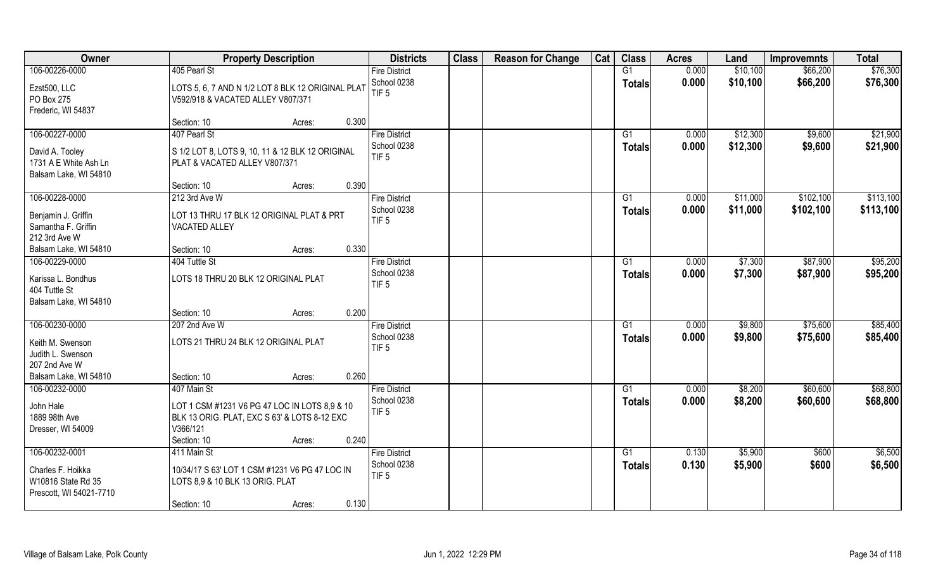| Owner                                                                                | <b>Property Description</b>                                                                                              | <b>Districts</b>                                        | <b>Class</b> | <b>Reason for Change</b> | Cat | <b>Class</b>                     | <b>Acres</b>   | Land               | <b>Improvemnts</b> | <b>Total</b>       |
|--------------------------------------------------------------------------------------|--------------------------------------------------------------------------------------------------------------------------|---------------------------------------------------------|--------------|--------------------------|-----|----------------------------------|----------------|--------------------|--------------------|--------------------|
| 106-00226-0000                                                                       | 405 Pearl St                                                                                                             | <b>Fire District</b>                                    |              |                          |     | G1                               | 0.000          | \$10,100           | \$66,200           | \$76,300           |
| Ezst500, LLC<br>PO Box 275                                                           | LOTS 5, 6, 7 AND N 1/2 LOT 8 BLK 12 ORIGINAL PLAT<br>V592/918 & VACATED ALLEY V807/371                                   | School 0238<br>TIF <sub>5</sub>                         |              |                          |     | <b>Totals</b>                    | 0.000          | \$10,100           | \$66,200           | \$76,300           |
| Frederic, WI 54837                                                                   | 0.300<br>Section: 10<br>Acres:                                                                                           |                                                         |              |                          |     |                                  |                |                    |                    |                    |
| 106-00227-0000                                                                       | 407 Pearl St                                                                                                             | <b>Fire District</b>                                    |              |                          |     | G1                               | 0.000          | \$12,300           | \$9,600            | \$21,900           |
| David A. Tooley<br>1731 A E White Ash Ln<br>Balsam Lake, WI 54810                    | S 1/2 LOT 8, LOTS 9, 10, 11 & 12 BLK 12 ORIGINAL<br>PLAT & VACATED ALLEY V807/371                                        | School 0238<br>TIF <sub>5</sub>                         |              |                          |     | <b>Totals</b>                    | 0.000          | \$12,300           | \$9,600            | \$21,900           |
|                                                                                      | 0.390<br>Section: 10<br>Acres:                                                                                           |                                                         |              |                          |     |                                  |                |                    |                    |                    |
| 106-00228-0000                                                                       | $212$ 3rd Ave W                                                                                                          | <b>Fire District</b>                                    |              |                          |     | G1                               | 0.000          | \$11,000           | \$102,100          | \$113,100          |
| Benjamin J. Griffin<br>Samantha F. Griffin<br>212 3rd Ave W                          | LOT 13 THRU 17 BLK 12 ORIGINAL PLAT & PRT<br><b>VACATED ALLEY</b>                                                        | School 0238<br>TIF <sub>5</sub>                         |              |                          |     | <b>Totals</b>                    | 0.000          | \$11,000           | \$102,100          | \$113,100          |
| Balsam Lake, WI 54810                                                                | 0.330<br>Section: 10<br>Acres:                                                                                           |                                                         |              |                          |     |                                  |                |                    |                    |                    |
| 106-00229-0000                                                                       | 404 Tuttle St                                                                                                            | <b>Fire District</b>                                    |              |                          |     | G1                               | 0.000          | \$7,300            | \$87,900           | \$95,200           |
| Karissa L. Bondhus<br>404 Tuttle St<br>Balsam Lake, WI 54810                         | LOTS 18 THRU 20 BLK 12 ORIGINAL PLAT                                                                                     | School 0238<br>TIF <sub>5</sub>                         |              |                          |     | <b>Totals</b>                    | 0.000          | \$7,300            | \$87,900           | \$95,200           |
|                                                                                      | 0.200<br>Section: 10<br>Acres:                                                                                           |                                                         |              |                          |     |                                  |                |                    |                    |                    |
| 106-00230-0000                                                                       | 207 2nd Ave W                                                                                                            | <b>Fire District</b>                                    |              |                          |     | G1                               | 0.000          | \$9,800            | \$75,600           | \$85,400           |
| Keith M. Swenson<br>Judith L. Swenson<br>207 2nd Ave W                               | LOTS 21 THRU 24 BLK 12 ORIGINAL PLAT                                                                                     | School 0238<br>TIF <sub>5</sub>                         |              |                          |     | <b>Totals</b>                    | 0.000          | \$9,800            | \$75,600           | \$85,400           |
| Balsam Lake, WI 54810                                                                | 0.260<br>Section: 10<br>Acres:                                                                                           |                                                         |              |                          |     |                                  |                |                    |                    |                    |
| 106-00232-0000                                                                       | 407 Main St                                                                                                              | <b>Fire District</b>                                    |              |                          |     | G1                               | 0.000          | \$8,200            | \$60,600           | \$68,800           |
| John Hale<br>1889 98th Ave<br>Dresser, WI 54009                                      | LOT 1 CSM #1231 V6 PG 47 LOC IN LOTS 8,9 & 10<br>BLK 13 ORIG. PLAT, EXC S 63' & LOTS 8-12 EXC<br>V366/121                | School 0238<br>TIF <sub>5</sub>                         |              |                          |     | <b>Totals</b>                    | 0.000          | \$8,200            | \$60,600           | \$68,800           |
|                                                                                      | Section: 10<br>0.240<br>Acres:                                                                                           |                                                         |              |                          |     |                                  |                |                    |                    |                    |
| 106-00232-0001<br>Charles F. Hoikka<br>W10816 State Rd 35<br>Prescott, WI 54021-7710 | 411 Main St<br>10/34/17 S 63' LOT 1 CSM #1231 V6 PG 47 LOC IN<br>LOTS 8,9 & 10 BLK 13 ORIG. PLAT<br>0.130<br>Section: 10 | <b>Fire District</b><br>School 0238<br>TIF <sub>5</sub> |              |                          |     | $\overline{G1}$<br><b>Totals</b> | 0.130<br>0.130 | \$5,900<br>\$5,900 | \$600<br>\$600     | \$6,500<br>\$6,500 |
|                                                                                      | Acres:                                                                                                                   |                                                         |              |                          |     |                                  |                |                    |                    |                    |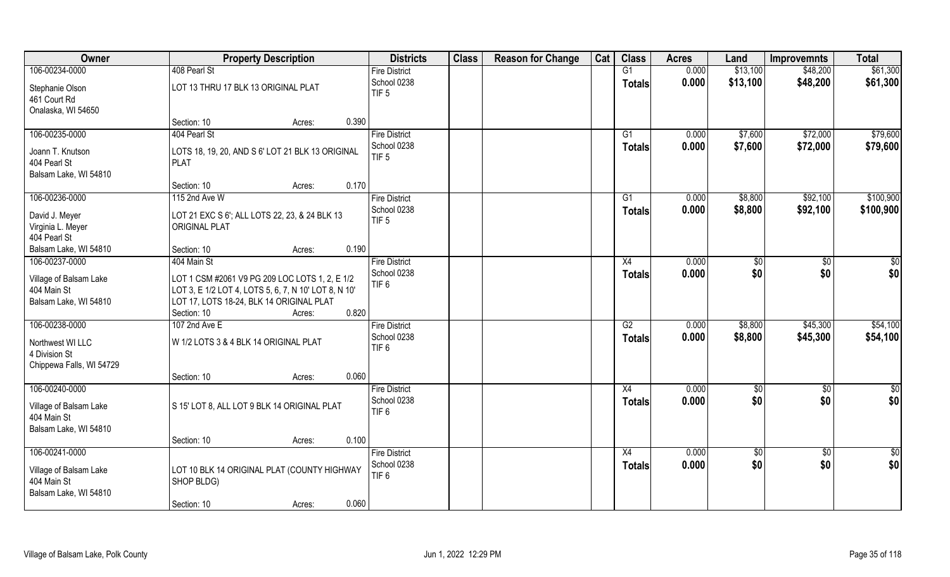| Owner                           |                                                      | <b>Property Description</b> |       | <b>Districts</b>                | <b>Class</b> | <b>Reason for Change</b> | Cat | <b>Class</b>    | <b>Acres</b> | Land        | <b>Improvemnts</b> | <b>Total</b>  |
|---------------------------------|------------------------------------------------------|-----------------------------|-------|---------------------------------|--------------|--------------------------|-----|-----------------|--------------|-------------|--------------------|---------------|
| 106-00234-0000                  | 408 Pearl St                                         |                             |       | <b>Fire District</b>            |              |                          |     | G1              | 0.000        | \$13,100    | \$48,200           | \$61,300      |
| Stephanie Olson<br>461 Court Rd | LOT 13 THRU 17 BLK 13 ORIGINAL PLAT                  |                             |       | School 0238<br>TIF <sub>5</sub> |              |                          |     | <b>Totals</b>   | 0.000        | \$13,100    | \$48,200           | \$61,300      |
| Onalaska, WI 54650              |                                                      |                             |       |                                 |              |                          |     |                 |              |             |                    |               |
|                                 | Section: 10                                          | Acres:                      | 0.390 |                                 |              |                          |     |                 |              |             |                    |               |
| 106-00235-0000                  | 404 Pearl St                                         |                             |       | <b>Fire District</b>            |              |                          |     | G1              | 0.000        | \$7,600     | \$72,000           | \$79,600      |
| Joann T. Knutson                | LOTS 18, 19, 20, AND S 6' LOT 21 BLK 13 ORIGINAL     |                             |       | School 0238                     |              |                          |     | <b>Totals</b>   | 0.000        | \$7,600     | \$72,000           | \$79,600      |
| 404 Pearl St                    | <b>PLAT</b>                                          |                             |       | TIF <sub>5</sub>                |              |                          |     |                 |              |             |                    |               |
| Balsam Lake, WI 54810           |                                                      |                             |       |                                 |              |                          |     |                 |              |             |                    |               |
|                                 | Section: 10                                          | Acres:                      | 0.170 |                                 |              |                          |     |                 |              |             |                    |               |
| 106-00236-0000                  | 115 2nd Ave W                                        |                             |       | <b>Fire District</b>            |              |                          |     | G1              | 0.000        | \$8,800     | \$92,100           | \$100,900     |
| David J. Meyer                  | LOT 21 EXC S 6'; ALL LOTS 22, 23, & 24 BLK 13        |                             |       | School 0238                     |              |                          |     | <b>Totals</b>   | 0.000        | \$8,800     | \$92,100           | \$100,900     |
| Virginia L. Meyer               | <b>ORIGINAL PLAT</b>                                 |                             |       | TIF <sub>5</sub>                |              |                          |     |                 |              |             |                    |               |
| 404 Pearl St                    |                                                      |                             |       |                                 |              |                          |     |                 |              |             |                    |               |
| Balsam Lake, WI 54810           | Section: 10                                          | Acres:                      | 0.190 |                                 |              |                          |     |                 |              |             |                    |               |
| 106-00237-0000                  | 404 Main St                                          |                             |       | <b>Fire District</b>            |              |                          |     | X4              | 0.000        | \$0         | \$0                | \$0           |
| Village of Balsam Lake          | LOT 1 CSM #2061 V9 PG 209 LOC LOTS 1, 2, E 1/2       |                             |       | School 0238                     |              |                          |     | <b>Totals</b>   | 0.000        | \$0         | \$0                | \$0           |
| 404 Main St                     | LOT 3, E 1/2 LOT 4, LOTS 5, 6, 7, N 10' LOT 8, N 10' |                             |       | TIF <sub>6</sub>                |              |                          |     |                 |              |             |                    |               |
| Balsam Lake, WI 54810           | LOT 17, LOTS 18-24, BLK 14 ORIGINAL PLAT             |                             |       |                                 |              |                          |     |                 |              |             |                    |               |
|                                 | Section: 10                                          | Acres:                      | 0.820 |                                 |              |                          |     |                 |              |             |                    |               |
| 106-00238-0000                  | 107 2nd Ave E                                        |                             |       | <b>Fire District</b>            |              |                          |     | $\overline{G2}$ | 0.000        | \$8,800     | \$45,300           | \$54,100      |
|                                 |                                                      |                             |       | School 0238                     |              |                          |     | <b>Totals</b>   | 0.000        | \$8,800     | \$45,300           | \$54,100      |
| Northwest WI LLC                | W 1/2 LOTS 3 & 4 BLK 14 ORIGINAL PLAT                |                             |       | TIF <sub>6</sub>                |              |                          |     |                 |              |             |                    |               |
| 4 Division St                   |                                                      |                             |       |                                 |              |                          |     |                 |              |             |                    |               |
| Chippewa Falls, WI 54729        |                                                      |                             |       |                                 |              |                          |     |                 |              |             |                    |               |
|                                 | Section: 10                                          | Acres:                      | 0.060 |                                 |              |                          |     |                 |              |             |                    |               |
| 106-00240-0000                  |                                                      |                             |       | <b>Fire District</b>            |              |                          |     | X4              | 0.000        | \$0         | $\sqrt{50}$        | $\frac{1}{2}$ |
| Village of Balsam Lake          | S 15' LOT 8, ALL LOT 9 BLK 14 ORIGINAL PLAT          |                             |       | School 0238                     |              |                          |     | <b>Totals</b>   | 0.000        | \$0         | \$0                | \$0           |
| 404 Main St                     |                                                      |                             |       | TIF <sub>6</sub>                |              |                          |     |                 |              |             |                    |               |
| Balsam Lake, WI 54810           |                                                      |                             |       |                                 |              |                          |     |                 |              |             |                    |               |
|                                 | Section: 10                                          | Acres:                      | 0.100 |                                 |              |                          |     |                 |              |             |                    |               |
| 106-00241-0000                  |                                                      |                             |       | <b>Fire District</b>            |              |                          |     | X4              | 0.000        | $\sqrt{$0}$ | $\overline{50}$    | $\frac{1}{2}$ |
| Village of Balsam Lake          | LOT 10 BLK 14 ORIGINAL PLAT (COUNTY HIGHWAY          |                             |       | School 0238                     |              |                          |     | <b>Totals</b>   | 0.000        | \$0         | \$0                | \$0           |
| 404 Main St                     | SHOP BLDG)                                           |                             |       | TIF <sub>6</sub>                |              |                          |     |                 |              |             |                    |               |
| Balsam Lake, WI 54810           |                                                      |                             |       |                                 |              |                          |     |                 |              |             |                    |               |
|                                 | Section: 10                                          | Acres:                      | 0.060 |                                 |              |                          |     |                 |              |             |                    |               |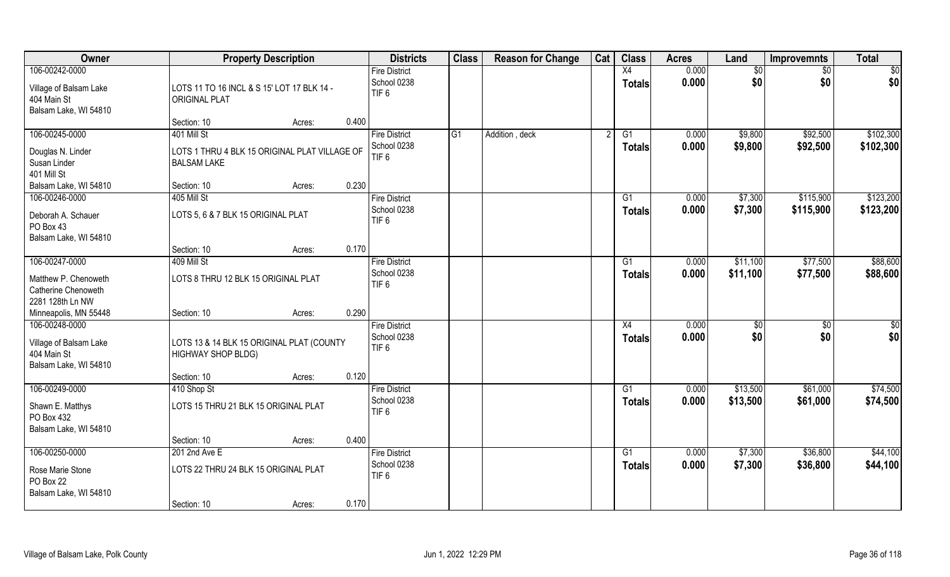| Owner                                                                            |                                                                        | <b>Property Description</b> | <b>Districts</b>                                        | <b>Class</b> | <b>Reason for Change</b> | Cat | <b>Class</b>        | <b>Acres</b>   | Land       | <b>Improvemnts</b>     | <b>Total</b> |
|----------------------------------------------------------------------------------|------------------------------------------------------------------------|-----------------------------|---------------------------------------------------------|--------------|--------------------------|-----|---------------------|----------------|------------|------------------------|--------------|
| 106-00242-0000                                                                   |                                                                        |                             | <b>Fire District</b>                                    |              |                          |     | X4                  | 0.000          | \$0        | \$0                    | \$0          |
| Village of Balsam Lake<br>404 Main St<br>Balsam Lake, WI 54810                   | LOTS 11 TO 16 INCL & S 15' LOT 17 BLK 14 -<br><b>ORIGINAL PLAT</b>     |                             | School 0238<br>TIF <sub>6</sub>                         |              |                          |     | <b>Totals</b>       | 0.000          | \$0        | \$0                    | \$0          |
|                                                                                  | Section: 10                                                            | Acres:                      | 0.400                                                   |              |                          |     |                     |                |            |                        |              |
| 106-00245-0000                                                                   | 401 Mill St                                                            |                             | <b>Fire District</b>                                    | G1           | Addition, deck           |     | G1                  | 0.000          | \$9,800    | \$92,500               | \$102,300    |
| Douglas N. Linder<br>Susan Linder<br>401 Mill St                                 | LOTS 1 THRU 4 BLK 15 ORIGINAL PLAT VILLAGE OF<br><b>BALSAM LAKE</b>    |                             | School 0238<br>TIF <sub>6</sub>                         |              |                          |     | <b>Totals</b>       | 0.000          | \$9,800    | \$92,500               | \$102,300    |
| Balsam Lake, WI 54810                                                            | Section: 10                                                            | Acres:                      | 0.230                                                   |              |                          |     |                     |                |            |                        |              |
| 106-00246-0000                                                                   | 405 Mill St                                                            |                             | <b>Fire District</b>                                    |              |                          |     | G1                  | 0.000          | \$7,300    | \$115,900              | \$123,200    |
| Deborah A. Schauer<br>PO Box 43<br>Balsam Lake, WI 54810                         | LOTS 5, 6 & 7 BLK 15 ORIGINAL PLAT                                     |                             | School 0238<br>TIF <sub>6</sub>                         |              |                          |     | <b>Totals</b>       | 0.000          | \$7,300    | \$115,900              | \$123,200    |
|                                                                                  | Section: 10                                                            | Acres:                      | 0.170                                                   |              |                          |     |                     |                |            |                        |              |
| 106-00247-0000                                                                   | 409 Mill St                                                            |                             | <b>Fire District</b>                                    |              |                          |     | G1                  | 0.000          | \$11,100   | \$77,500               | \$88,600     |
| Matthew P. Chenoweth<br>Catherine Chenoweth<br>2281 128th Ln NW                  | LOTS 8 THRU 12 BLK 15 ORIGINAL PLAT                                    |                             | School 0238<br>TIF <sub>6</sub>                         |              |                          |     | <b>Totals</b>       | 0.000          | \$11,100   | \$77,500               | \$88,600     |
| Minneapolis, MN 55448                                                            | Section: 10                                                            | Acres:                      | 0.290                                                   |              |                          |     |                     |                |            |                        |              |
| 106-00248-0000<br>Village of Balsam Lake<br>404 Main St<br>Balsam Lake, WI 54810 | LOTS 13 & 14 BLK 15 ORIGINAL PLAT (COUNTY<br><b>HIGHWAY SHOP BLDG)</b> |                             | <b>Fire District</b><br>School 0238<br>TIF <sub>6</sub> |              |                          |     | X4<br><b>Totals</b> | 0.000<br>0.000 | \$0<br>\$0 | $\overline{50}$<br>\$0 | \$0<br>\$0   |
|                                                                                  | Section: 10                                                            | Acres:                      | 0.120                                                   |              |                          |     |                     |                |            |                        |              |
| 106-00249-0000                                                                   | 410 Shop St                                                            |                             | <b>Fire District</b>                                    |              |                          |     | G1                  | 0.000          | \$13,500   | \$61,000               | \$74,500     |
| Shawn E. Matthys<br>PO Box 432<br>Balsam Lake, WI 54810                          | LOTS 15 THRU 21 BLK 15 ORIGINAL PLAT                                   |                             | School 0238<br>TIF <sub>6</sub>                         |              |                          |     | <b>Totals</b>       | 0.000          | \$13,500   | \$61,000               | \$74,500     |
|                                                                                  | Section: 10                                                            | Acres:                      | 0.400                                                   |              |                          |     |                     |                |            |                        |              |
| 106-00250-0000                                                                   | 201 2nd Ave E                                                          |                             | <b>Fire District</b>                                    |              |                          |     | G1                  | 0.000          | \$7,300    | \$36,800               | \$44,100     |
| Rose Marie Stone<br>PO Box 22<br>Balsam Lake, WI 54810                           | LOTS 22 THRU 24 BLK 15 ORIGINAL PLAT                                   |                             | School 0238<br>TIF <sub>6</sub>                         |              |                          |     | <b>Totals</b>       | 0.000          | \$7,300    | \$36,800               | \$44,100     |
|                                                                                  | Section: 10                                                            | Acres:                      | 0.170                                                   |              |                          |     |                     |                |            |                        |              |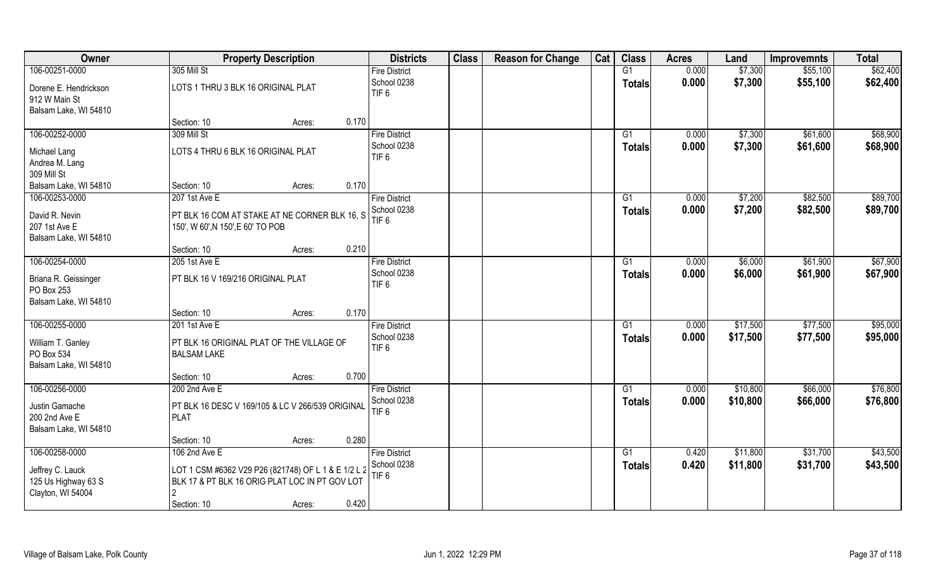| Owner                          | <b>Property Description</b>                         | <b>Districts</b>                | <b>Class</b> | <b>Reason for Change</b> | Cat | <b>Class</b>    | <b>Acres</b> | Land     | <b>Improvemnts</b> | <b>Total</b> |
|--------------------------------|-----------------------------------------------------|---------------------------------|--------------|--------------------------|-----|-----------------|--------------|----------|--------------------|--------------|
| 106-00251-0000                 | 305 Mill St                                         | <b>Fire District</b>            |              |                          |     | G1              | 0.000        | \$7,300  | \$55,100           | \$62,400     |
| Dorene E. Hendrickson          | LOTS 1 THRU 3 BLK 16 ORIGINAL PLAT                  | School 0238                     |              |                          |     | <b>Totals</b>   | 0.000        | \$7,300  | \$55,100           | \$62,400     |
| 912 W Main St                  |                                                     | TIF <sub>6</sub>                |              |                          |     |                 |              |          |                    |              |
| Balsam Lake, WI 54810          |                                                     |                                 |              |                          |     |                 |              |          |                    |              |
|                                | 0.170<br>Section: 10<br>Acres:                      |                                 |              |                          |     |                 |              |          |                    |              |
| 106-00252-0000                 | 309 Mill St                                         | <b>Fire District</b>            |              |                          |     | G1              | 0.000        | \$7,300  | \$61,600           | \$68,900     |
|                                | LOTS 4 THRU 6 BLK 16 ORIGINAL PLAT                  | School 0238                     |              |                          |     | <b>Totals</b>   | 0.000        | \$7,300  | \$61,600           | \$68,900     |
| Michael Lang<br>Andrea M. Lang |                                                     | TIF <sub>6</sub>                |              |                          |     |                 |              |          |                    |              |
| 309 Mill St                    |                                                     |                                 |              |                          |     |                 |              |          |                    |              |
| Balsam Lake, WI 54810          | 0.170<br>Section: 10<br>Acres:                      |                                 |              |                          |     |                 |              |          |                    |              |
| 106-00253-0000                 | 207 1st Ave E                                       | <b>Fire District</b>            |              |                          |     | G1              | 0.000        | \$7,200  | \$82,500           | \$89,700     |
|                                |                                                     | School 0238                     |              |                          |     | <b>Totals</b>   | 0.000        | \$7,200  | \$82,500           | \$89,700     |
| David R. Nevin                 | PT BLK 16 COM AT STAKE AT NE CORNER BLK 16, S       | TIF <sub>6</sub>                |              |                          |     |                 |              |          |                    |              |
| 207 1st Ave E                  | 150', W 60', N 150', E 60' TO POB                   |                                 |              |                          |     |                 |              |          |                    |              |
| Balsam Lake, WI 54810          | 0.210<br>Section: 10<br>Acres:                      |                                 |              |                          |     |                 |              |          |                    |              |
| 106-00254-0000                 | 205 1st Ave E                                       | <b>Fire District</b>            |              |                          |     | G1              | 0.000        | \$6,000  | \$61,900           | \$67,900     |
|                                |                                                     | School 0238                     |              |                          |     | <b>Totals</b>   | 0.000        | \$6,000  | \$61,900           | \$67,900     |
| Briana R. Geissinger           | PT BLK 16 V 169/216 ORIGINAL PLAT                   | TIF <sub>6</sub>                |              |                          |     |                 |              |          |                    |              |
| PO Box 253                     |                                                     |                                 |              |                          |     |                 |              |          |                    |              |
| Balsam Lake, WI 54810          |                                                     |                                 |              |                          |     |                 |              |          |                    |              |
|                                | 0.170<br>Section: 10<br>Acres:                      |                                 |              |                          |     |                 |              |          |                    |              |
| 106-00255-0000                 | 201 1st Ave E                                       | <b>Fire District</b>            |              |                          |     | $\overline{G1}$ | 0.000        | \$17,500 | \$77,500           | \$95,000     |
| William T. Ganley              | PT BLK 16 ORIGINAL PLAT OF THE VILLAGE OF           | School 0238<br>TIF <sub>6</sub> |              |                          |     | <b>Totals</b>   | 0.000        | \$17,500 | \$77,500           | \$95,000     |
| PO Box 534                     | <b>BALSAM LAKE</b>                                  |                                 |              |                          |     |                 |              |          |                    |              |
| Balsam Lake, WI 54810          |                                                     |                                 |              |                          |     |                 |              |          |                    |              |
|                                | 0.700<br>Section: 10<br>Acres:                      |                                 |              |                          |     |                 |              |          |                    |              |
| 106-00256-0000                 | 200 2nd Ave E                                       | <b>Fire District</b>            |              |                          |     | G1              | 0.000        | \$10,800 | \$66,000           | \$76,800     |
| Justin Gamache                 | PT BLK 16 DESC V 169/105 & LC V 266/539 ORIGINAL    | School 0238                     |              |                          |     | <b>Totals</b>   | 0.000        | \$10,800 | \$66,000           | \$76,800     |
| 200 2nd Ave E                  | <b>PLAT</b>                                         | TIF <sub>6</sub>                |              |                          |     |                 |              |          |                    |              |
| Balsam Lake, WI 54810          |                                                     |                                 |              |                          |     |                 |              |          |                    |              |
|                                | 0.280<br>Section: 10<br>Acres:                      |                                 |              |                          |     |                 |              |          |                    |              |
| 106-00258-0000                 | 106 2nd Ave E                                       | <b>Fire District</b>            |              |                          |     | G1              | 0.420        | \$11,800 | \$31,700           | \$43,500     |
| Jeffrey C. Lauck               | LOT 1 CSM #6362 V29 P26 (821748) OF L 1 & E 1/2 L 2 | School 0238                     |              |                          |     | <b>Totals</b>   | 0.420        | \$11,800 | \$31,700           | \$43,500     |
| 125 Us Highway 63 S            | BLK 17 & PT BLK 16 ORIG PLAT LOC IN PT GOV LOT      | TIF <sub>6</sub>                |              |                          |     |                 |              |          |                    |              |
| Clayton, WI 54004              | $\mathfrak{D}$                                      |                                 |              |                          |     |                 |              |          |                    |              |
|                                | 0.420<br>Section: 10<br>Acres:                      |                                 |              |                          |     |                 |              |          |                    |              |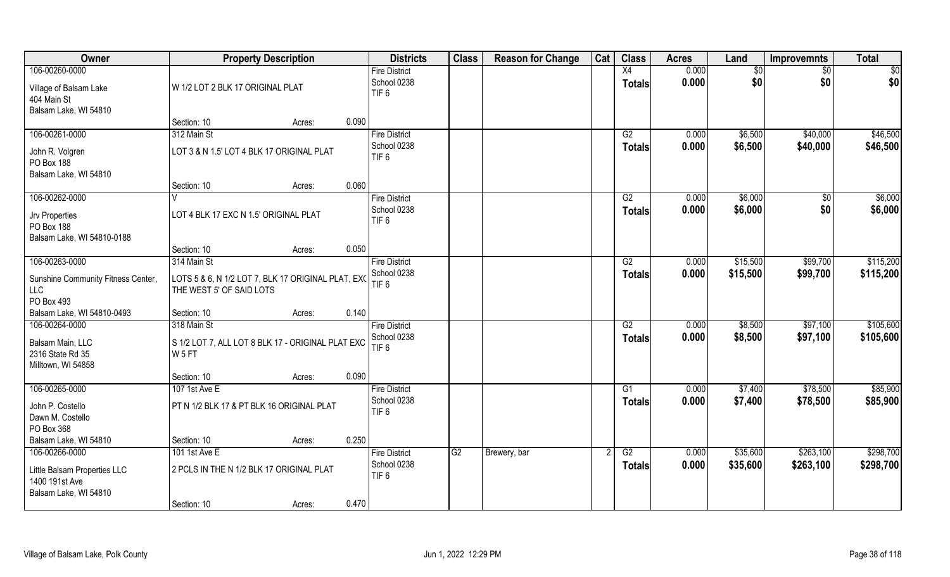| Owner                                                                        | <b>Property Description</b>                                                    |        |       | <b>Districts</b>                                        | <b>Class</b> | <b>Reason for Change</b> | Cat | <b>Class</b>        | <b>Acres</b>   | Land               | <b>Improvemnts</b>   | <b>Total</b>           |
|------------------------------------------------------------------------------|--------------------------------------------------------------------------------|--------|-------|---------------------------------------------------------|--------------|--------------------------|-----|---------------------|----------------|--------------------|----------------------|------------------------|
| 106-00260-0000                                                               |                                                                                |        |       | <b>Fire District</b>                                    |              |                          |     | X4                  | 0.000          | \$0                | \$0                  | \$0                    |
| Village of Balsam Lake<br>404 Main St<br>Balsam Lake, WI 54810               | W 1/2 LOT 2 BLK 17 ORIGINAL PLAT                                               |        |       | School 0238<br>TIF <sub>6</sub>                         |              |                          |     | <b>Totals</b>       | 0.000          | \$0                | \$0                  | \$0                    |
|                                                                              | Section: 10                                                                    | Acres: | 0.090 |                                                         |              |                          |     |                     |                |                    |                      |                        |
| 106-00261-0000<br>John R. Volgren                                            | 312 Main St<br>LOT 3 & N 1.5' LOT 4 BLK 17 ORIGINAL PLAT                       |        |       | <b>Fire District</b><br>School 0238                     |              |                          |     | G2<br><b>Totals</b> | 0.000<br>0.000 | \$6,500<br>\$6,500 | \$40,000<br>\$40,000 | \$46,500<br>\$46,500   |
| PO Box 188<br>Balsam Lake, WI 54810                                          |                                                                                |        |       | TIF <sub>6</sub>                                        |              |                          |     |                     |                |                    |                      |                        |
|                                                                              | Section: 10                                                                    | Acres: | 0.060 |                                                         |              |                          |     |                     |                |                    |                      |                        |
| 106-00262-0000<br>Jrv Properties<br>PO Box 188<br>Balsam Lake, WI 54810-0188 | LOT 4 BLK 17 EXC N 1.5' ORIGINAL PLAT                                          |        |       | <b>Fire District</b><br>School 0238<br>TIF <sub>6</sub> |              |                          |     | G2<br><b>Totals</b> | 0.000<br>0.000 | \$6,000<br>\$6,000 | $\sqrt[6]{}$<br>\$0  | \$6,000<br>\$6,000     |
|                                                                              | Section: 10                                                                    | Acres: | 0.050 |                                                         |              |                          |     |                     |                |                    |                      |                        |
| 106-00263-0000                                                               | 314 Main St                                                                    |        |       | <b>Fire District</b>                                    |              |                          |     | G2                  | 0.000          | \$15,500           | \$99,700             | \$115,200              |
| Sunshine Community Fitness Center,<br>LLC<br>PO Box 493                      | LOTS 5 & 6, N 1/2 LOT 7, BLK 17 ORIGINAL PLAT, EXC<br>THE WEST 5' OF SAID LOTS |        |       | School 0238<br>TIF <sub>6</sub>                         |              |                          |     | <b>Totals</b>       | 0.000          | \$15,500           | \$99,700             | \$115,200              |
| Balsam Lake, WI 54810-0493                                                   | Section: 10                                                                    | Acres: | 0.140 |                                                         |              |                          |     |                     |                |                    |                      |                        |
| 106-00264-0000                                                               | 318 Main St                                                                    |        |       | <b>Fire District</b><br>School 0238                     |              |                          |     | G2<br><b>Totals</b> | 0.000<br>0.000 | \$8,500<br>\$8,500 | \$97,100<br>\$97,100 | \$105,600<br>\$105,600 |
| Balsam Main, LLC<br>2316 State Rd 35<br>Milltown, WI 54858                   | S 1/2 LOT 7, ALL LOT 8 BLK 17 - ORIGINAL PLAT EXC<br>W <sub>5FT</sub>          |        |       | TIF <sub>6</sub>                                        |              |                          |     |                     |                |                    |                      |                        |
|                                                                              | Section: 10                                                                    | Acres: | 0.090 |                                                         |              |                          |     |                     |                |                    |                      |                        |
| 106-00265-0000                                                               | 107 1st Ave E                                                                  |        |       | <b>Fire District</b>                                    |              |                          |     | G1                  | 0.000          | \$7,400            | \$78,500             | \$85,900               |
| John P. Costello<br>Dawn M. Costello<br>PO Box 368                           | PT N 1/2 BLK 17 & PT BLK 16 ORIGINAL PLAT                                      |        |       | School 0238<br>TIF <sub>6</sub>                         |              |                          |     | <b>Totals</b>       | 0.000          | \$7,400            | \$78,500             | \$85,900               |
| Balsam Lake, WI 54810                                                        | Section: 10                                                                    | Acres: | 0.250 |                                                         |              |                          |     |                     |                |                    |                      |                        |
| 106-00266-0000                                                               | 101 1st Ave E                                                                  |        |       | <b>Fire District</b>                                    | G2           | Brewery, bar             |     | G2                  | 0.000          | \$35,600           | \$263,100            | \$298,700              |
| Little Balsam Properties LLC<br>1400 191st Ave<br>Balsam Lake, WI 54810      | 2 PCLS IN THE N 1/2 BLK 17 ORIGINAL PLAT                                       |        |       | School 0238<br>TIF <sub>6</sub>                         |              |                          |     | <b>Totals</b>       | 0.000          | \$35,600           | \$263,100            | \$298,700              |
|                                                                              | Section: 10                                                                    | Acres: | 0.470 |                                                         |              |                          |     |                     |                |                    |                      |                        |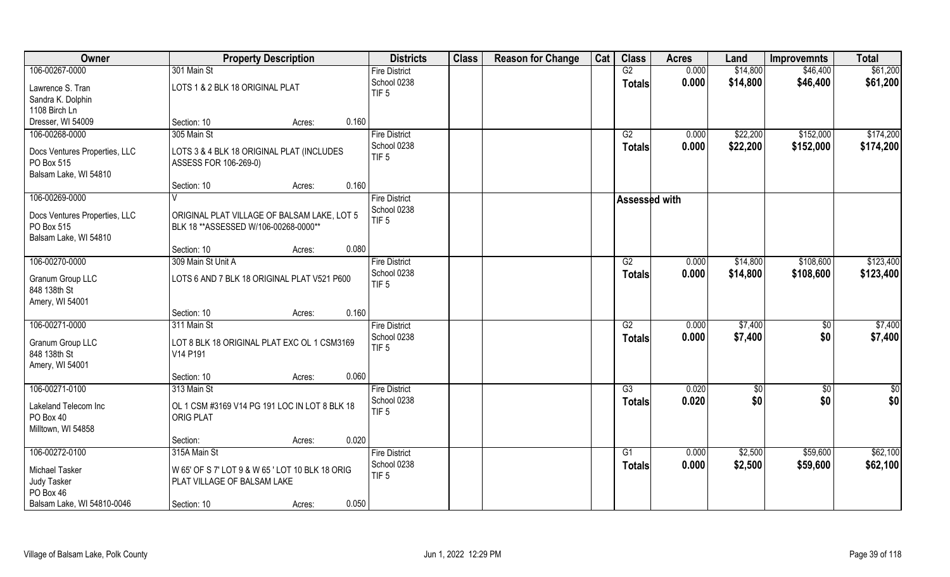| Owner                         | <b>Property Description</b>                                                    | <b>Districts</b>     | <b>Class</b> | <b>Reason for Change</b> | Cat | <b>Class</b>         | <b>Acres</b> | Land     | <b>Improvemnts</b> | <b>Total</b> |
|-------------------------------|--------------------------------------------------------------------------------|----------------------|--------------|--------------------------|-----|----------------------|--------------|----------|--------------------|--------------|
| 106-00267-0000                | 301 Main St                                                                    | <b>Fire District</b> |              |                          |     | G2                   | 0.000        | \$14,800 | \$46,400           | \$61,200     |
| Lawrence S. Tran              | LOTS 1 & 2 BLK 18 ORIGINAL PLAT                                                | School 0238          |              |                          |     | <b>Totals</b>        | 0.000        | \$14,800 | \$46,400           | \$61,200     |
| Sandra K. Dolphin             |                                                                                | TIF <sub>5</sub>     |              |                          |     |                      |              |          |                    |              |
| 1108 Birch Ln                 |                                                                                |                      |              |                          |     |                      |              |          |                    |              |
| Dresser, WI 54009             | Section: 10<br>0.160<br>Acres:                                                 |                      |              |                          |     |                      |              |          |                    |              |
| 106-00268-0000                | 305 Main St                                                                    | <b>Fire District</b> |              |                          |     | G2                   | 0.000        | \$22,200 | \$152,000          | \$174,200    |
| Docs Ventures Properties, LLC | LOTS 3 & 4 BLK 18 ORIGINAL PLAT (INCLUDES                                      | School 0238          |              |                          |     | <b>Totals</b>        | 0.000        | \$22,200 | \$152,000          | \$174,200    |
| PO Box 515                    | ASSESS FOR 106-269-0)                                                          | TIF <sub>5</sub>     |              |                          |     |                      |              |          |                    |              |
| Balsam Lake, WI 54810         |                                                                                |                      |              |                          |     |                      |              |          |                    |              |
|                               | 0.160<br>Section: 10<br>Acres:                                                 |                      |              |                          |     |                      |              |          |                    |              |
| 106-00269-0000                |                                                                                | <b>Fire District</b> |              |                          |     | <b>Assessed with</b> |              |          |                    |              |
| Docs Ventures Properties, LLC | ORIGINAL PLAT VILLAGE OF BALSAM LAKE, LOT 5                                    | School 0238          |              |                          |     |                      |              |          |                    |              |
| PO Box 515                    | BLK 18 ** ASSESSED W/106-00268-0000**                                          | TIF <sub>5</sub>     |              |                          |     |                      |              |          |                    |              |
| Balsam Lake, WI 54810         |                                                                                |                      |              |                          |     |                      |              |          |                    |              |
|                               | 0.080<br>Section: 10<br>Acres:                                                 |                      |              |                          |     |                      |              |          |                    |              |
| 106-00270-0000                | 309 Main St Unit A                                                             | <b>Fire District</b> |              |                          |     | G2                   | 0.000        | \$14,800 | \$108,600          | \$123,400    |
| Granum Group LLC              | LOTS 6 AND 7 BLK 18 ORIGINAL PLAT V521 P600                                    | School 0238          |              |                          |     | <b>Totals</b>        | 0.000        | \$14,800 | \$108,600          | \$123,400    |
| 848 138th St                  |                                                                                | TIF <sub>5</sub>     |              |                          |     |                      |              |          |                    |              |
| Amery, WI 54001               |                                                                                |                      |              |                          |     |                      |              |          |                    |              |
|                               | 0.160<br>Section: 10<br>Acres:                                                 |                      |              |                          |     |                      |              |          |                    |              |
| 106-00271-0000                | 311 Main St                                                                    | <b>Fire District</b> |              |                          |     | G2                   | 0.000        | \$7,400  | $\sqrt[6]{30}$     | \$7,400      |
| Granum Group LLC              | LOT 8 BLK 18 ORIGINAL PLAT EXC OL 1 CSM3169                                    | School 0238          |              |                          |     | Totals               | 0.000        | \$7,400  | \$0                | \$7,400      |
| 848 138th St                  | V14 P191                                                                       | TIF <sub>5</sub>     |              |                          |     |                      |              |          |                    |              |
| Amery, WI 54001               |                                                                                |                      |              |                          |     |                      |              |          |                    |              |
|                               | 0.060<br>Section: 10<br>Acres:                                                 |                      |              |                          |     |                      |              |          |                    |              |
| 106-00271-0100                | 313 Main St                                                                    | <b>Fire District</b> |              |                          |     | G3                   | 0.020        | \$0      | \$0                | \$0          |
| Lakeland Telecom Inc          | OL 1 CSM #3169 V14 PG 191 LOC IN LOT 8 BLK 18                                  | School 0238          |              |                          |     | <b>Totals</b>        | 0.020        | \$0      | \$0                | \$0          |
| PO Box 40                     | <b>ORIG PLAT</b>                                                               | TIF <sub>5</sub>     |              |                          |     |                      |              |          |                    |              |
| Milltown, WI 54858            |                                                                                |                      |              |                          |     |                      |              |          |                    |              |
|                               | 0.020<br>Section:<br>Acres:                                                    |                      |              |                          |     |                      |              |          |                    |              |
| 106-00272-0100                | 315A Main St                                                                   | <b>Fire District</b> |              |                          |     | G1                   | 0.000        | \$2,500  | \$59,600           | \$62,100     |
|                               |                                                                                | School 0238          |              |                          |     | <b>Totals</b>        | 0.000        | \$2,500  | \$59,600           | \$62,100     |
| Michael Tasker<br>Judy Tasker | W 65' OF S 7' LOT 9 & W 65 ' LOT 10 BLK 18 ORIG<br>PLAT VILLAGE OF BALSAM LAKE | TIF <sub>5</sub>     |              |                          |     |                      |              |          |                    |              |
| PO Box 46                     |                                                                                |                      |              |                          |     |                      |              |          |                    |              |
| Balsam Lake, WI 54810-0046    | 0.050<br>Section: 10<br>Acres:                                                 |                      |              |                          |     |                      |              |          |                    |              |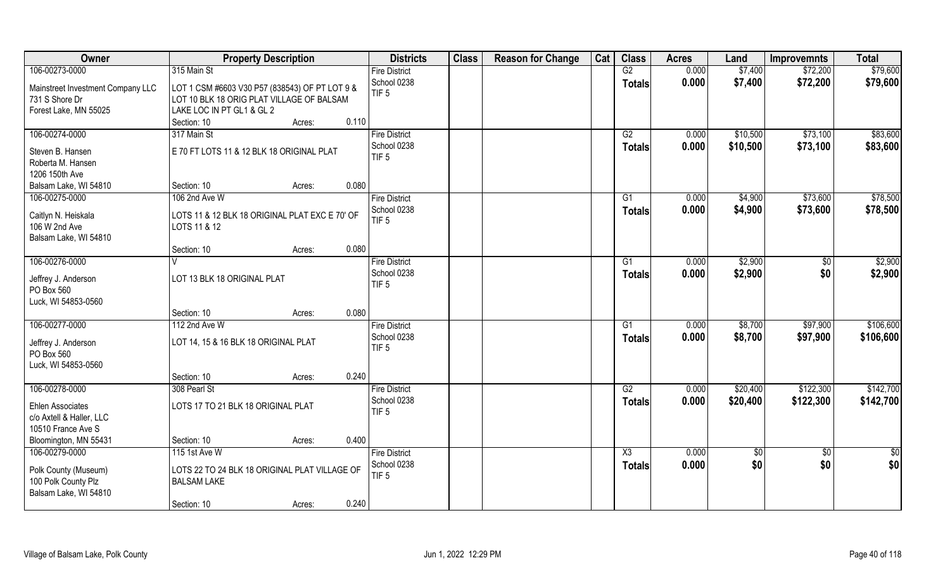| Owner                               | <b>Property Description</b>                    | <b>Districts</b>     | <b>Class</b> | <b>Reason for Change</b> | Cat | <b>Class</b>           | <b>Acres</b> | Land       | <b>Improvemnts</b> | <b>Total</b>  |
|-------------------------------------|------------------------------------------------|----------------------|--------------|--------------------------|-----|------------------------|--------------|------------|--------------------|---------------|
| 106-00273-0000                      | 315 Main St                                    | <b>Fire District</b> |              |                          |     | G2                     | 0.000        | \$7,400    | \$72,200           | \$79,600      |
| Mainstreet Investment Company LLC   | LOT 1 CSM #6603 V30 P57 (838543) OF PT LOT 9 & | School 0238          |              |                          |     | <b>Totals</b>          | 0.000        | \$7,400    | \$72,200           | \$79,600      |
| 731 S Shore Dr                      | LOT 10 BLK 18 ORIG PLAT VILLAGE OF BALSAM      | TIF <sub>5</sub>     |              |                          |     |                        |              |            |                    |               |
| Forest Lake, MN 55025               | LAKE LOC IN PT GL1 & GL 2                      |                      |              |                          |     |                        |              |            |                    |               |
|                                     | 0.110<br>Section: 10<br>Acres:                 |                      |              |                          |     |                        |              |            |                    |               |
| 106-00274-0000                      | 317 Main St                                    | <b>Fire District</b> |              |                          |     | G2                     | 0.000        | \$10,500   | \$73,100           | \$83,600      |
|                                     |                                                | School 0238          |              |                          |     | <b>Totals</b>          | 0.000        | \$10,500   | \$73,100           | \$83,600      |
| Steven B. Hansen                    | E 70 FT LOTS 11 & 12 BLK 18 ORIGINAL PLAT      | TIF <sub>5</sub>     |              |                          |     |                        |              |            |                    |               |
| Roberta M. Hansen<br>1206 150th Ave |                                                |                      |              |                          |     |                        |              |            |                    |               |
| Balsam Lake, WI 54810               | Section: 10<br>0.080<br>Acres:                 |                      |              |                          |     |                        |              |            |                    |               |
| 106-00275-0000                      | 106 2nd Ave W                                  | <b>Fire District</b> |              |                          |     | G1                     | 0.000        | \$4,900    | \$73,600           | \$78,500      |
|                                     |                                                | School 0238          |              |                          |     |                        | 0.000        | \$4,900    | \$73,600           | \$78,500      |
| Caitlyn N. Heiskala                 | LOTS 11 & 12 BLK 18 ORIGINAL PLAT EXC E 70' OF | TIF <sub>5</sub>     |              |                          |     | <b>Totals</b>          |              |            |                    |               |
| 106 W 2nd Ave                       | LOTS 11 & 12                                   |                      |              |                          |     |                        |              |            |                    |               |
| Balsam Lake, WI 54810               |                                                |                      |              |                          |     |                        |              |            |                    |               |
|                                     | 0.080<br>Section: 10<br>Acres:                 |                      |              |                          |     |                        |              |            |                    |               |
| 106-00276-0000                      | V                                              | <b>Fire District</b> |              |                          |     | G1                     | 0.000        | \$2,900    | $\sqrt{50}$        | \$2,900       |
| Jeffrey J. Anderson                 | LOT 13 BLK 18 ORIGINAL PLAT                    | School 0238          |              |                          |     | <b>Totals</b>          | 0.000        | \$2,900    | \$0                | \$2,900       |
| PO Box 560                          |                                                | TIF <sub>5</sub>     |              |                          |     |                        |              |            |                    |               |
| Luck, WI 54853-0560                 |                                                |                      |              |                          |     |                        |              |            |                    |               |
|                                     | 0.080<br>Section: 10<br>Acres:                 |                      |              |                          |     |                        |              |            |                    |               |
| 106-00277-0000                      | 112 2nd Ave W                                  | <b>Fire District</b> |              |                          |     | G1                     | 0.000        | \$8,700    | \$97,900           | \$106,600     |
| Jeffrey J. Anderson                 | LOT 14, 15 & 16 BLK 18 ORIGINAL PLAT           | School 0238          |              |                          |     | <b>Totals</b>          | 0.000        | \$8,700    | \$97,900           | \$106,600     |
| PO Box 560                          |                                                | TIF <sub>5</sub>     |              |                          |     |                        |              |            |                    |               |
| Luck, WI 54853-0560                 |                                                |                      |              |                          |     |                        |              |            |                    |               |
|                                     | 0.240<br>Section: 10<br>Acres:                 |                      |              |                          |     |                        |              |            |                    |               |
| 106-00278-0000                      | 308 Pearl St                                   | <b>Fire District</b> |              |                          |     | G2                     | 0.000        | \$20,400   | \$122,300          | \$142,700     |
|                                     |                                                | School 0238          |              |                          |     | <b>Totals</b>          | 0.000        | \$20,400   | \$122,300          | \$142,700     |
| <b>Ehlen Associates</b>             | LOTS 17 TO 21 BLK 18 ORIGINAL PLAT             | TIF <sub>5</sub>     |              |                          |     |                        |              |            |                    |               |
| c/o Axtell & Haller, LLC            |                                                |                      |              |                          |     |                        |              |            |                    |               |
| 10510 France Ave S                  |                                                |                      |              |                          |     |                        |              |            |                    |               |
| Bloomington, MN 55431               | 0.400<br>Section: 10<br>Acres:                 |                      |              |                          |     |                        |              |            |                    |               |
| 106-00279-0000                      | 115 1st Ave W                                  | <b>Fire District</b> |              |                          |     | $\overline{\text{X3}}$ | 0.000        | $\sqrt{6}$ | $\sqrt{6}$         | $\frac{1}{2}$ |
| Polk County (Museum)                | LOTS 22 TO 24 BLK 18 ORIGINAL PLAT VILLAGE OF  | School 0238          |              |                          |     | <b>Totals</b>          | 0.000        | \$0        | \$0                | \$0           |
| 100 Polk County Plz                 | <b>BALSAM LAKE</b>                             | TIF <sub>5</sub>     |              |                          |     |                        |              |            |                    |               |
| Balsam Lake, WI 54810               |                                                |                      |              |                          |     |                        |              |            |                    |               |
|                                     | 0.240<br>Section: 10<br>Acres:                 |                      |              |                          |     |                        |              |            |                    |               |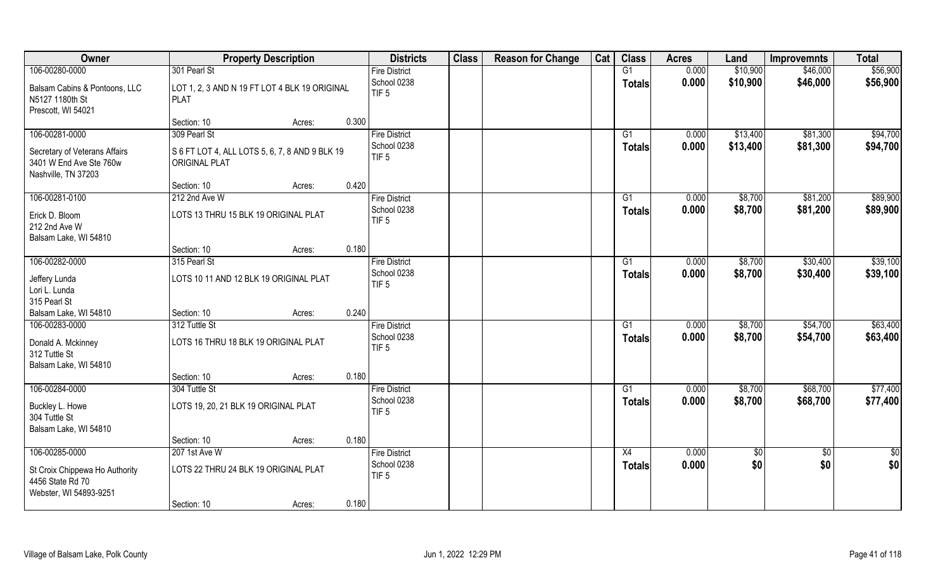| Owner                           |                                                | <b>Property Description</b> |       | <b>Districts</b>                | <b>Class</b> | <b>Reason for Change</b> | Cat | <b>Class</b>  | <b>Acres</b> | Land       | <b>Improvemnts</b> | <b>Total</b>  |
|---------------------------------|------------------------------------------------|-----------------------------|-------|---------------------------------|--------------|--------------------------|-----|---------------|--------------|------------|--------------------|---------------|
| 106-00280-0000                  | 301 Pearl St                                   |                             |       | <b>Fire District</b>            |              |                          |     | G1            | 0.000        | \$10,900   | \$46,000           | \$56,900      |
| Balsam Cabins & Pontoons, LLC   | LOT 1, 2, 3 AND N 19 FT LOT 4 BLK 19 ORIGINAL  |                             |       | School 0238                     |              |                          |     | <b>Totals</b> | 0.000        | \$10,900   | \$46,000           | \$56,900      |
| N5127 1180th St                 | <b>PLAT</b>                                    |                             |       | TIF <sub>5</sub>                |              |                          |     |               |              |            |                    |               |
| Prescott, WI 54021              |                                                |                             |       |                                 |              |                          |     |               |              |            |                    |               |
|                                 | Section: 10                                    | Acres:                      | 0.300 |                                 |              |                          |     |               |              |            |                    |               |
| 106-00281-0000                  | 309 Pearl St                                   |                             |       | <b>Fire District</b>            |              |                          |     | G1            | 0.000        | \$13,400   | \$81,300           | \$94,700      |
| Secretary of Veterans Affairs   | S 6 FT LOT 4, ALL LOTS 5, 6, 7, 8 AND 9 BLK 19 |                             |       | School 0238                     |              |                          |     | <b>Totals</b> | 0.000        | \$13,400   | \$81,300           | \$94,700      |
| 3401 W End Ave Ste 760w         | <b>ORIGINAL PLAT</b>                           |                             |       | TIF <sub>5</sub>                |              |                          |     |               |              |            |                    |               |
| Nashville, TN 37203             |                                                |                             |       |                                 |              |                          |     |               |              |            |                    |               |
|                                 | Section: 10                                    | Acres:                      | 0.420 |                                 |              |                          |     |               |              |            |                    |               |
| 106-00281-0100                  | 212 2nd Ave W                                  |                             |       | <b>Fire District</b>            |              |                          |     | G1            | 0.000        | \$8,700    | \$81,200           | \$89,900      |
|                                 | LOTS 13 THRU 15 BLK 19 ORIGINAL PLAT           |                             |       | School 0238                     |              |                          |     | <b>Totals</b> | 0.000        | \$8,700    | \$81,200           | \$89,900      |
| Erick D. Bloom<br>212 2nd Ave W |                                                |                             |       | TIF <sub>5</sub>                |              |                          |     |               |              |            |                    |               |
| Balsam Lake, WI 54810           |                                                |                             |       |                                 |              |                          |     |               |              |            |                    |               |
|                                 | Section: 10                                    | Acres:                      | 0.180 |                                 |              |                          |     |               |              |            |                    |               |
| 106-00282-0000                  | 315 Pearl St                                   |                             |       | <b>Fire District</b>            |              |                          |     | G1            | 0.000        | \$8,700    | \$30,400           | \$39,100      |
|                                 |                                                |                             |       | School 0238                     |              |                          |     | <b>Totals</b> | 0.000        | \$8,700    | \$30,400           | \$39,100      |
| Jeffery Lunda                   | LOTS 10 11 AND 12 BLK 19 ORIGINAL PLAT         |                             |       | TIF <sub>5</sub>                |              |                          |     |               |              |            |                    |               |
| Lori L. Lunda<br>315 Pearl St   |                                                |                             |       |                                 |              |                          |     |               |              |            |                    |               |
| Balsam Lake, WI 54810           | Section: 10                                    | Acres:                      | 0.240 |                                 |              |                          |     |               |              |            |                    |               |
| 106-00283-0000                  | 312 Tuttle St                                  |                             |       | <b>Fire District</b>            |              |                          |     | G1            | 0.000        | \$8,700    | \$54,700           | \$63,400      |
|                                 |                                                |                             |       | School 0238                     |              |                          |     | <b>Totals</b> | 0.000        | \$8,700    | \$54,700           | \$63,400      |
| Donald A. Mckinney              | LOTS 16 THRU 18 BLK 19 ORIGINAL PLAT           |                             |       | TIF <sub>5</sub>                |              |                          |     |               |              |            |                    |               |
| 312 Tuttle St                   |                                                |                             |       |                                 |              |                          |     |               |              |            |                    |               |
| Balsam Lake, WI 54810           |                                                |                             |       |                                 |              |                          |     |               |              |            |                    |               |
|                                 | Section: 10                                    | Acres:                      | 0.180 |                                 |              |                          |     |               |              |            |                    |               |
| 106-00284-0000                  | 304 Tuttle St                                  |                             |       | <b>Fire District</b>            |              |                          |     | G1            | 0.000        | \$8,700    | \$68,700           | \$77,400      |
| Buckley L. Howe                 | LOTS 19, 20, 21 BLK 19 ORIGINAL PLAT           |                             |       | School 0238<br>TIF <sub>5</sub> |              |                          |     | <b>Totals</b> | 0.000        | \$8,700    | \$68,700           | \$77,400      |
| 304 Tuttle St                   |                                                |                             |       |                                 |              |                          |     |               |              |            |                    |               |
| Balsam Lake, WI 54810           |                                                |                             |       |                                 |              |                          |     |               |              |            |                    |               |
|                                 | Section: 10                                    | Acres:                      | 0.180 |                                 |              |                          |     |               |              |            |                    |               |
| 106-00285-0000                  | 207 1st Ave W                                  |                             |       | <b>Fire District</b>            |              |                          |     | X4            | 0.000        | $\sqrt{6}$ | $\overline{50}$    | $\frac{1}{2}$ |
| St Croix Chippewa Ho Authority  | LOTS 22 THRU 24 BLK 19 ORIGINAL PLAT           |                             |       | School 0238                     |              |                          |     | <b>Totals</b> | 0.000        | \$0        | \$0                | \$0           |
| 4456 State Rd 70                |                                                |                             |       | TIF <sub>5</sub>                |              |                          |     |               |              |            |                    |               |
| Webster, WI 54893-9251          |                                                |                             |       |                                 |              |                          |     |               |              |            |                    |               |
|                                 | Section: 10                                    | Acres:                      | 0.180 |                                 |              |                          |     |               |              |            |                    |               |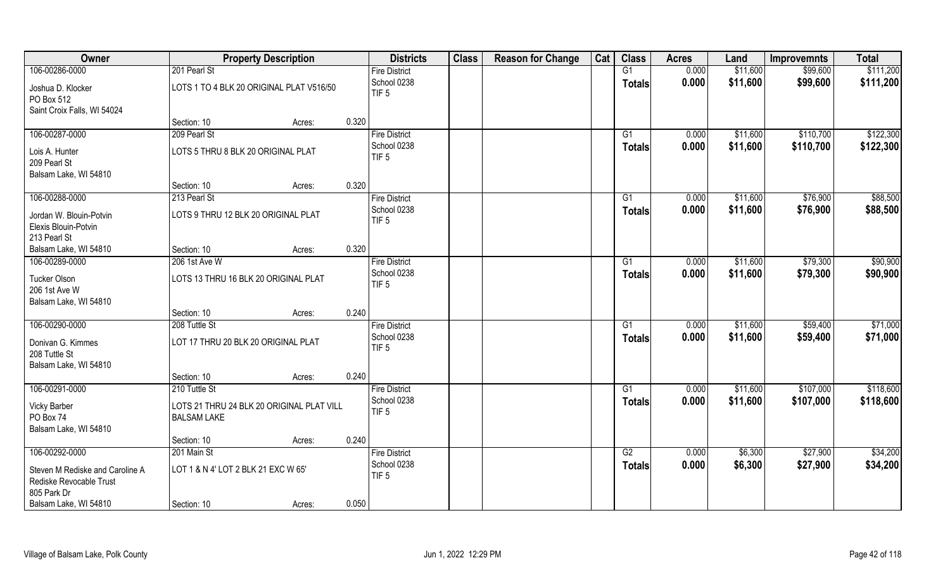| <b>Class</b><br>Owner<br><b>Districts</b><br><b>Property Description</b>                                       | Cat<br><b>Reason for Change</b> | <b>Class</b>  | <b>Acres</b> | Land     | <b>Improvemnts</b> | <b>Total</b> |
|----------------------------------------------------------------------------------------------------------------|---------------------------------|---------------|--------------|----------|--------------------|--------------|
| 106-00286-0000<br>201 Pearl St<br><b>Fire District</b>                                                         |                                 | G1            | 0.000        | \$11,600 | \$99,600           | \$111,200    |
| School 0238<br>Joshua D. Klocker<br>LOTS 1 TO 4 BLK 20 ORIGINAL PLAT V516/50<br>TIF <sub>5</sub><br>PO Box 512 |                                 | <b>Totals</b> | 0.000        | \$11,600 | \$99,600           | \$111,200    |
| Saint Croix Falls, WI 54024                                                                                    |                                 |               |              |          |                    |              |
| 0.320<br>Section: 10<br>Acres:                                                                                 |                                 |               |              |          |                    |              |
| 106-00287-0000<br>209 Pearl St<br><b>Fire District</b>                                                         |                                 | G1            | 0.000        | \$11,600 | \$110,700          | \$122,300    |
| School 0238<br>LOTS 5 THRU 8 BLK 20 ORIGINAL PLAT<br>Lois A. Hunter                                            |                                 | Totals        | 0.000        | \$11,600 | \$110,700          | \$122,300    |
| TIF <sub>5</sub><br>209 Pearl St                                                                               |                                 |               |              |          |                    |              |
| Balsam Lake, WI 54810                                                                                          |                                 |               |              |          |                    |              |
| 0.320<br>Section: 10<br>Acres:                                                                                 |                                 |               |              |          |                    |              |
| 106-00288-0000<br>213 Pearl St<br><b>Fire District</b>                                                         |                                 | G1            | 0.000        | \$11,600 | \$76,900           | \$88,500     |
| School 0238<br>LOTS 9 THRU 12 BLK 20 ORIGINAL PLAT<br>Jordan W. Blouin-Potvin                                  |                                 | <b>Totals</b> | 0.000        | \$11,600 | \$76,900           | \$88,500     |
| TIF <sub>5</sub><br>Elexis Blouin-Potvin                                                                       |                                 |               |              |          |                    |              |
| 213 Pearl St                                                                                                   |                                 |               |              |          |                    |              |
| 0.320<br>Balsam Lake, WI 54810<br>Section: 10<br>Acres:                                                        |                                 |               |              |          |                    |              |
| 106-00289-0000<br>206 1st Ave W<br><b>Fire District</b>                                                        |                                 | G1            | 0.000        | \$11,600 | \$79,300           | \$90,900     |
| School 0238<br>Tucker Olson<br>LOTS 13 THRU 16 BLK 20 ORIGINAL PLAT                                            |                                 | <b>Totals</b> | 0.000        | \$11,600 | \$79,300           | \$90,900     |
| TIF <sub>5</sub><br>206 1st Ave W                                                                              |                                 |               |              |          |                    |              |
| Balsam Lake, WI 54810                                                                                          |                                 |               |              |          |                    |              |
| 0.240<br>Section: 10<br>Acres:                                                                                 |                                 |               |              |          |                    |              |
| 106-00290-0000<br>208 Tuttle St<br><b>Fire District</b>                                                        |                                 | G1            | 0.000        | \$11,600 | \$59,400           | \$71,000     |
| School 0238<br>LOT 17 THRU 20 BLK 20 ORIGINAL PLAT                                                             |                                 | <b>Totals</b> | 0.000        | \$11,600 | \$59,400           | \$71,000     |
| Donivan G. Kimmes<br>TIF <sub>5</sub><br>208 Tuttle St                                                         |                                 |               |              |          |                    |              |
| Balsam Lake, WI 54810                                                                                          |                                 |               |              |          |                    |              |
| 0.240<br>Section: 10<br>Acres:                                                                                 |                                 |               |              |          |                    |              |
| 106-00291-0000<br>210 Tuttle St<br><b>Fire District</b>                                                        |                                 | G1            | 0.000        | \$11,600 | \$107,000          | \$118,600    |
| School 0238                                                                                                    |                                 | <b>Totals</b> | 0.000        | \$11,600 | \$107,000          | \$118,600    |
| <b>Vicky Barber</b><br>LOTS 21 THRU 24 BLK 20 ORIGINAL PLAT VILL<br>TIF <sub>5</sub>                           |                                 |               |              |          |                    |              |
| PO Box 74<br><b>BALSAM LAKE</b><br>Balsam Lake, WI 54810                                                       |                                 |               |              |          |                    |              |
| 0.240<br>Section: 10<br>Acres:                                                                                 |                                 |               |              |          |                    |              |
| 106-00292-0000<br>201 Main St<br><b>Fire District</b>                                                          |                                 | G2            | 0.000        | \$6,300  | \$27,900           | \$34,200     |
| School 0238                                                                                                    |                                 | <b>Totals</b> | 0.000        | \$6,300  | \$27,900           | \$34,200     |
| LOT 1 & N 4' LOT 2 BLK 21 EXC W 65'<br>Steven M Rediske and Caroline A<br>TIF <sub>5</sub>                     |                                 |               |              |          |                    |              |
| Rediske Revocable Trust<br>805 Park Dr                                                                         |                                 |               |              |          |                    |              |
| Balsam Lake, WI 54810<br>0.050<br>Section: 10<br>Acres:                                                        |                                 |               |              |          |                    |              |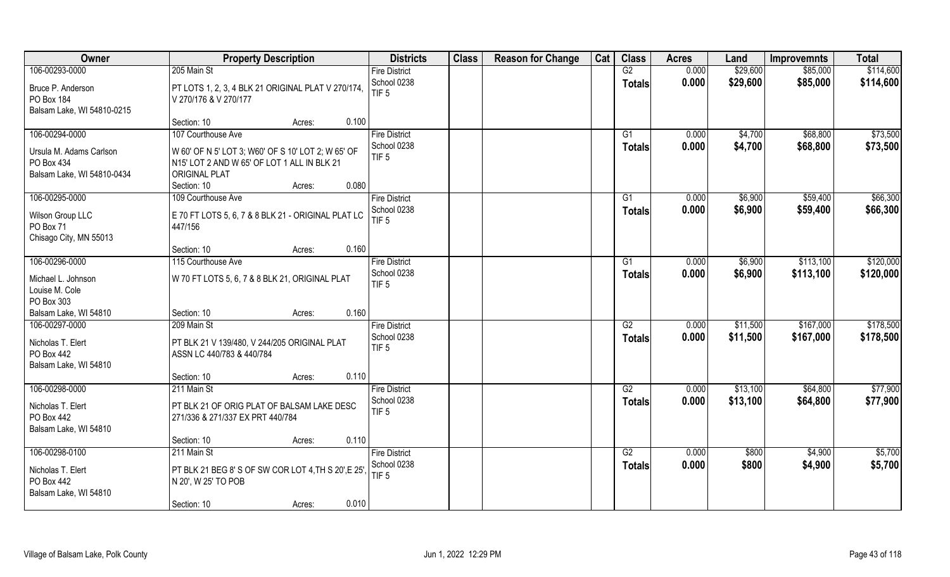| Owner                           | <b>Property Description</b>                         | <b>Districts</b>     | <b>Class</b> | <b>Reason for Change</b> | Cat | <b>Class</b>    | <b>Acres</b> | Land     | <b>Improvemnts</b> | <b>Total</b> |
|---------------------------------|-----------------------------------------------------|----------------------|--------------|--------------------------|-----|-----------------|--------------|----------|--------------------|--------------|
| 106-00293-0000                  | 205 Main St                                         | <b>Fire District</b> |              |                          |     | G2              | 0.000        | \$29,600 | \$85,000           | \$114,600    |
| Bruce P. Anderson               | PT LOTS 1, 2, 3, 4 BLK 21 ORIGINAL PLAT V 270/174,  | School 0238          |              |                          |     | <b>Totals</b>   | 0.000        | \$29,600 | \$85,000           | \$114,600    |
| PO Box 184                      | V 270/176 & V 270/177                               | TIF <sub>5</sub>     |              |                          |     |                 |              |          |                    |              |
| Balsam Lake, WI 54810-0215      |                                                     |                      |              |                          |     |                 |              |          |                    |              |
|                                 | 0.100<br>Section: 10<br>Acres:                      |                      |              |                          |     |                 |              |          |                    |              |
| 106-00294-0000                  | 107 Courthouse Ave                                  | <b>Fire District</b> |              |                          |     | G1              | 0.000        | \$4,700  | \$68,800           | \$73,500     |
| Ursula M. Adams Carlson         | W 60' OF N 5' LOT 3; W60' OF S 10' LOT 2; W 65' OF  | School 0238          |              |                          |     | <b>Totals</b>   | 0.000        | \$4,700  | \$68,800           | \$73,500     |
| PO Box 434                      | N15' LOT 2 AND W 65' OF LOT 1 ALL IN BLK 21         | TIF <sub>5</sub>     |              |                          |     |                 |              |          |                    |              |
| Balsam Lake, WI 54810-0434      | <b>ORIGINAL PLAT</b>                                |                      |              |                          |     |                 |              |          |                    |              |
|                                 | 0.080<br>Section: 10<br>Acres:                      |                      |              |                          |     |                 |              |          |                    |              |
| 106-00295-0000                  | 109 Courthouse Ave                                  | <b>Fire District</b> |              |                          |     | G1              | 0.000        | \$6,900  | \$59,400           | \$66,300     |
|                                 |                                                     | School 0238          |              |                          |     | <b>Totals</b>   | 0.000        | \$6,900  | \$59,400           | \$66,300     |
| Wilson Group LLC                | E 70 FT LOTS 5, 6, 7 & 8 BLK 21 - ORIGINAL PLAT LC  | TIF <sub>5</sub>     |              |                          |     |                 |              |          |                    |              |
| PO Box 71                       | 447/156                                             |                      |              |                          |     |                 |              |          |                    |              |
| Chisago City, MN 55013          | 0.160<br>Section: 10<br>Acres:                      |                      |              |                          |     |                 |              |          |                    |              |
| 106-00296-0000                  | 115 Courthouse Ave                                  | <b>Fire District</b> |              |                          |     | G1              | 0.000        | \$6,900  | \$113,100          | \$120,000    |
|                                 |                                                     | School 0238          |              |                          |     | <b>Totals</b>   | 0.000        | \$6,900  | \$113,100          | \$120,000    |
| Michael L. Johnson              | W 70 FT LOTS 5, 6, 7 & 8 BLK 21, ORIGINAL PLAT      | TIF <sub>5</sub>     |              |                          |     |                 |              |          |                    |              |
| Louise M. Cole                  |                                                     |                      |              |                          |     |                 |              |          |                    |              |
| PO Box 303                      |                                                     |                      |              |                          |     |                 |              |          |                    |              |
| Balsam Lake, WI 54810           | 0.160<br>Section: 10<br>Acres:                      |                      |              |                          |     |                 |              |          |                    |              |
| 106-00297-0000                  | 209 Main St                                         | <b>Fire District</b> |              |                          |     | $\overline{G2}$ | 0.000        | \$11,500 | \$167,000          | \$178,500    |
| Nicholas T. Elert               | PT BLK 21 V 139/480, V 244/205 ORIGINAL PLAT        | School 0238          |              |                          |     | <b>Totals</b>   | 0.000        | \$11,500 | \$167,000          | \$178,500    |
| PO Box 442                      | ASSN LC 440/783 & 440/784                           | TIF <sub>5</sub>     |              |                          |     |                 |              |          |                    |              |
| Balsam Lake, WI 54810           |                                                     |                      |              |                          |     |                 |              |          |                    |              |
|                                 | 0.110<br>Section: 10<br>Acres:                      |                      |              |                          |     |                 |              |          |                    |              |
| 106-00298-0000                  | 211 Main St                                         | <b>Fire District</b> |              |                          |     | G2              | 0.000        | \$13,100 | \$64,800           | \$77,900     |
| Nicholas T. Elert               | PT BLK 21 OF ORIG PLAT OF BALSAM LAKE DESC          | School 0238          |              |                          |     | <b>Totals</b>   | 0.000        | \$13,100 | \$64,800           | \$77,900     |
| PO Box 442                      | 271/336 & 271/337 EX PRT 440/784                    | TIF <sub>5</sub>     |              |                          |     |                 |              |          |                    |              |
| Balsam Lake, WI 54810           |                                                     |                      |              |                          |     |                 |              |          |                    |              |
|                                 | 0.110<br>Section: 10<br>Acres:                      |                      |              |                          |     |                 |              |          |                    |              |
| 106-00298-0100                  | 211 Main St                                         | <b>Fire District</b> |              |                          |     | G2              | 0.000        | \$800    | \$4,900            | \$5,700      |
|                                 |                                                     | School 0238          |              |                          |     | <b>Totals</b>   | 0.000        | \$800    | \$4,900            | \$5,700      |
| Nicholas T. Elert<br>PO Box 442 | PT BLK 21 BEG 8' S OF SW COR LOT 4, TH S 20', E 25' | TIF <sub>5</sub>     |              |                          |     |                 |              |          |                    |              |
|                                 | N 20', W 25' TO POB                                 |                      |              |                          |     |                 |              |          |                    |              |
| Balsam Lake, WI 54810           | 0.010<br>Section: 10                                |                      |              |                          |     |                 |              |          |                    |              |
|                                 | Acres:                                              |                      |              |                          |     |                 |              |          |                    |              |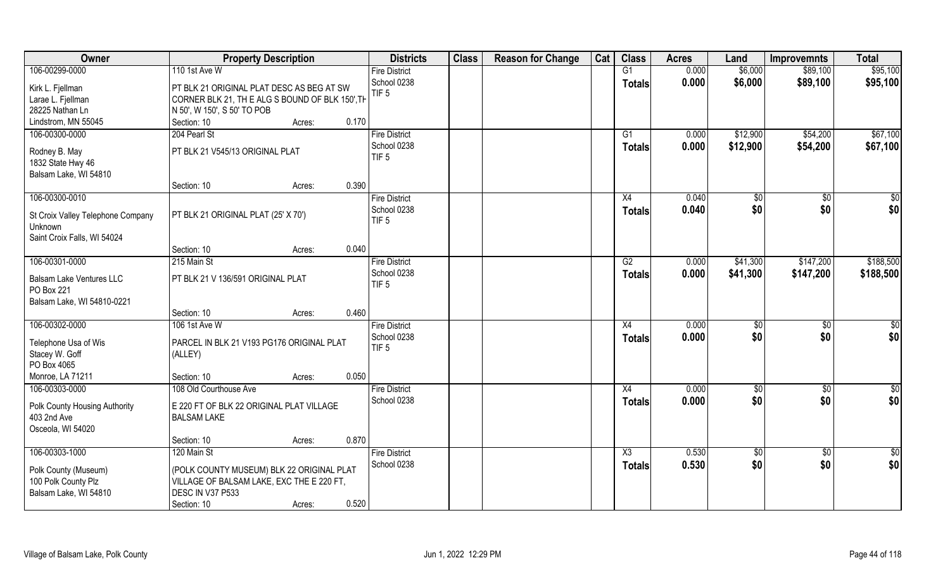| Owner                             | <b>Property Description</b>                     |       | <b>Districts</b>                | <b>Class</b> | <b>Reason for Change</b> | Cat | <b>Class</b>  | <b>Acres</b> | Land     | <b>Improvemnts</b> | <b>Total</b> |
|-----------------------------------|-------------------------------------------------|-------|---------------------------------|--------------|--------------------------|-----|---------------|--------------|----------|--------------------|--------------|
| 106-00299-0000                    | 110 1st Ave W                                   |       | <b>Fire District</b>            |              |                          |     | G1            | 0.000        | \$6,000  | \$89,100           | \$95,100     |
| Kirk L. Fjellman                  | PT BLK 21 ORIGINAL PLAT DESC AS BEG AT SW       |       | School 0238<br>TIF <sub>5</sub> |              |                          |     | <b>Totals</b> | 0.000        | \$6,000  | \$89,100           | \$95,100     |
| Larae L. Fjellman                 | CORNER BLK 21, TH E ALG S BOUND OF BLK 150', TH |       |                                 |              |                          |     |               |              |          |                    |              |
| 28225 Nathan Ln                   | N 50', W 150', S 50' TO POB                     |       |                                 |              |                          |     |               |              |          |                    |              |
| Lindstrom, MN 55045               | Section: 10<br>Acres:                           | 0.170 |                                 |              |                          |     |               |              |          |                    |              |
| 106-00300-0000                    | 204 Pearl St                                    |       | <b>Fire District</b>            |              |                          |     | G1            | 0.000        | \$12,900 | \$54,200           | \$67,100     |
| Rodney B. May                     | PT BLK 21 V545/13 ORIGINAL PLAT                 |       | School 0238                     |              |                          |     | Totals        | 0.000        | \$12,900 | \$54,200           | \$67,100     |
| 1832 State Hwy 46                 |                                                 |       | TIF <sub>5</sub>                |              |                          |     |               |              |          |                    |              |
| Balsam Lake, WI 54810             |                                                 |       |                                 |              |                          |     |               |              |          |                    |              |
|                                   | Section: 10<br>Acres:                           | 0.390 |                                 |              |                          |     |               |              |          |                    |              |
| 106-00300-0010                    |                                                 |       | <b>Fire District</b>            |              |                          |     | X4            | 0.040        | \$0      | \$0                | $\sqrt{50}$  |
| St Croix Valley Telephone Company | PT BLK 21 ORIGINAL PLAT (25' X 70')             |       | School 0238                     |              |                          |     | <b>Totals</b> | 0.040        | \$0      | \$0                | \$0          |
| Unknown                           |                                                 |       | TIF <sub>5</sub>                |              |                          |     |               |              |          |                    |              |
| Saint Croix Falls, WI 54024       |                                                 |       |                                 |              |                          |     |               |              |          |                    |              |
|                                   | Section: 10<br>Acres:                           | 0.040 |                                 |              |                          |     |               |              |          |                    |              |
| 106-00301-0000                    | 215 Main St                                     |       | <b>Fire District</b>            |              |                          |     | G2            | 0.000        | \$41,300 | \$147,200          | \$188,500    |
|                                   |                                                 |       | School 0238                     |              |                          |     | <b>Totals</b> | 0.000        | \$41,300 | \$147,200          | \$188,500    |
| <b>Balsam Lake Ventures LLC</b>   | PT BLK 21 V 136/591 ORIGINAL PLAT               |       | TIF <sub>5</sub>                |              |                          |     |               |              |          |                    |              |
| PO Box 221                        |                                                 |       |                                 |              |                          |     |               |              |          |                    |              |
| Balsam Lake, WI 54810-0221        |                                                 |       |                                 |              |                          |     |               |              |          |                    |              |
|                                   | Section: 10<br>Acres:                           | 0.460 |                                 |              |                          |     |               |              |          |                    |              |
| 106-00302-0000                    | 106 1st Ave W                                   |       | <b>Fire District</b>            |              |                          |     | X4            | 0.000        | \$0      | $\sqrt[6]{3}$      | \$0          |
| Telephone Usa of Wis              | PARCEL IN BLK 21 V193 PG176 ORIGINAL PLAT       |       | School 0238                     |              |                          |     | Totals        | 0.000        | \$0      | \$0                | \$0          |
| Stacey W. Goff                    | (ALLEY)                                         |       | TIF <sub>5</sub>                |              |                          |     |               |              |          |                    |              |
| PO Box 4065                       |                                                 |       |                                 |              |                          |     |               |              |          |                    |              |
| Monroe, LA 71211                  | Section: 10<br>Acres:                           | 0.050 |                                 |              |                          |     |               |              |          |                    |              |
| 106-00303-0000                    | 108 Old Courthouse Ave                          |       | <b>Fire District</b>            |              |                          |     | X4            | 0.000        | \$0      | $\overline{60}$    | \$0          |
|                                   |                                                 |       | School 0238                     |              |                          |     | <b>Totals</b> | 0.000        | \$0      | \$0                | \$0          |
| Polk County Housing Authority     | E 220 FT OF BLK 22 ORIGINAL PLAT VILLAGE        |       |                                 |              |                          |     |               |              |          |                    |              |
| 403 2nd Ave                       | <b>BALSAM LAKE</b>                              |       |                                 |              |                          |     |               |              |          |                    |              |
| Osceola, WI 54020                 | Section: 10                                     | 0.870 |                                 |              |                          |     |               |              |          |                    |              |
| 106-00303-1000                    | Acres:<br>120 Main St                           |       | <b>Fire District</b>            |              |                          |     | X3            | 0.530        | \$0      | $\sqrt{$0}$        |              |
|                                   |                                                 |       | School 0238                     |              |                          |     |               | 0.530        | \$0      | \$0                | \$0          |
| Polk County (Museum)              | (POLK COUNTY MUSEUM) BLK 22 ORIGINAL PLAT       |       |                                 |              |                          |     | <b>Totals</b> |              |          |                    | \$0          |
| 100 Polk County Plz               | VILLAGE OF BALSAM LAKE, EXC THE E 220 FT,       |       |                                 |              |                          |     |               |              |          |                    |              |
| Balsam Lake, WI 54810             | DESC IN V37 P533                                |       |                                 |              |                          |     |               |              |          |                    |              |
|                                   | Section: 10<br>Acres:                           | 0.520 |                                 |              |                          |     |               |              |          |                    |              |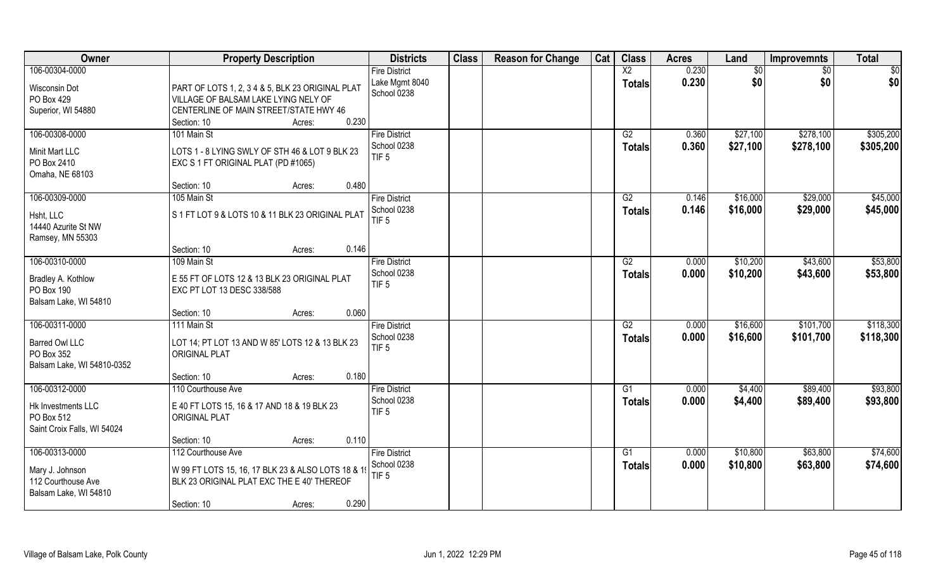| Owner                                                                             | <b>Property Description</b>                                                                                                                                          | <b>Districts</b>                                        | <b>Class</b> | <b>Reason for Change</b> | Cat | <b>Class</b>                     | <b>Acres</b>   | Land                 | <b>Improvemnts</b>     | <b>Total</b>           |
|-----------------------------------------------------------------------------------|----------------------------------------------------------------------------------------------------------------------------------------------------------------------|---------------------------------------------------------|--------------|--------------------------|-----|----------------------------------|----------------|----------------------|------------------------|------------------------|
| 106-00304-0000<br>Wisconsin Dot<br>PO Box 429<br>Superior, WI 54880               | PART OF LOTS 1, 2, 3 4 & 5, BLK 23 ORIGINAL PLAT<br>VILLAGE OF BALSAM LAKE LYING NELY OF<br>CENTERLINE OF MAIN STREET/STATE HWY 46<br>0.230<br>Section: 10<br>Acres: | <b>Fire District</b><br>Lake Mgmt 8040<br>School 0238   |              |                          |     | $\overline{X2}$<br><b>Totals</b> | 0.230<br>0.230 | \$0<br>\$0           | \$0<br>\$0             | \$0<br>\$0             |
| 106-00308-0000<br>Minit Mart LLC<br>PO Box 2410<br>Omaha, NE 68103                | 101 Main St<br>LOTS 1 - 8 LYING SWLY OF STH 46 & LOT 9 BLK 23<br>EXC S 1 FT ORIGINAL PLAT (PD #1065)<br>0.480<br>Section: 10<br>Acres:                               | <b>Fire District</b><br>School 0238<br>TIF <sub>5</sub> |              |                          |     | G2<br>Totals                     | 0.360<br>0.360 | \$27,100<br>\$27,100 | \$278,100<br>\$278,100 | \$305,200<br>\$305,200 |
| 106-00309-0000<br>Hsht, LLC<br>14440 Azurite St NW<br>Ramsey, MN 55303            | 105 Main St<br>S1FT LOT 9 & LOTS 10 & 11 BLK 23 ORIGINAL PLAT<br>0.146<br>Section: 10<br>Acres:                                                                      | <b>Fire District</b><br>School 0238<br>TIF <sub>5</sub> |              |                          |     | G2<br><b>Totals</b>              | 0.146<br>0.146 | \$16,000<br>\$16,000 | \$29,000<br>\$29,000   | \$45,000<br>\$45,000   |
| 106-00310-0000<br>Bradley A. Kothlow<br>PO Box 190<br>Balsam Lake, WI 54810       | 109 Main St<br>E 55 FT OF LOTS 12 & 13 BLK 23 ORIGINAL PLAT<br>EXC PT LOT 13 DESC 338/588<br>0.060<br>Section: 10<br>Acres:                                          | <b>Fire District</b><br>School 0238<br>TIF <sub>5</sub> |              |                          |     | G2<br><b>Totals</b>              | 0.000<br>0.000 | \$10,200<br>\$10,200 | \$43,600<br>\$43,600   | \$53,800<br>\$53,800   |
| 106-00311-0000<br>Barred Owl LLC<br>PO Box 352<br>Balsam Lake, WI 54810-0352      | 111 Main St<br>LOT 14; PT LOT 13 AND W 85' LOTS 12 & 13 BLK 23<br><b>ORIGINAL PLAT</b><br>0.180<br>Section: 10<br>Acres:                                             | <b>Fire District</b><br>School 0238<br>TIF <sub>5</sub> |              |                          |     | $\overline{G2}$<br><b>Totals</b> | 0.000<br>0.000 | \$16,600<br>\$16,600 | \$101,700<br>\$101,700 | \$118,300<br>\$118,300 |
| 106-00312-0000<br>Hk Investments LLC<br>PO Box 512<br>Saint Croix Falls, WI 54024 | 110 Courthouse Ave<br>E 40 FT LOTS 15, 16 & 17 AND 18 & 19 BLK 23<br><b>ORIGINAL PLAT</b><br>0.110<br>Section: 10<br>Acres:                                          | <b>Fire District</b><br>School 0238<br>TIF <sub>5</sub> |              |                          |     | G1<br><b>Totals</b>              | 0.000<br>0.000 | \$4,400<br>\$4,400   | \$89,400<br>\$89,400   | \$93,800<br>\$93,800   |
| 106-00313-0000<br>Mary J. Johnson<br>112 Courthouse Ave<br>Balsam Lake, WI 54810  | 112 Courthouse Ave<br>W 99 FT LOTS 15, 16, 17 BLK 23 & ALSO LOTS 18 & 19<br>BLK 23 ORIGINAL PLAT EXC THE E 40' THEREOF<br>0.290<br>Section: 10<br>Acres:             | <b>Fire District</b><br>School 0238<br>TIF <sub>5</sub> |              |                          |     | G1<br>Totals                     | 0.000<br>0.000 | \$10,800<br>\$10,800 | \$63,800<br>\$63,800   | \$74,600<br>\$74,600   |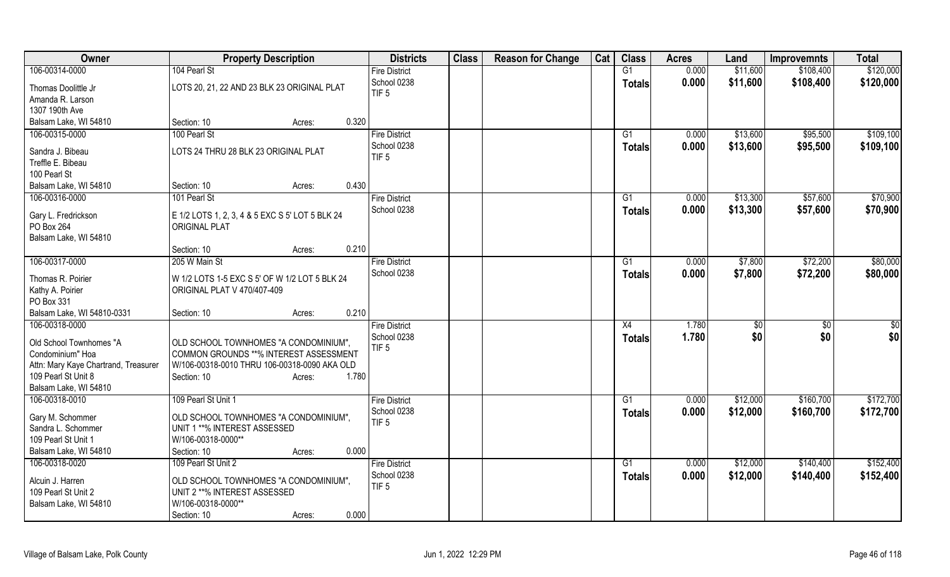| Owner                                 | <b>Property Description</b>                     | <b>Districts</b>                | <b>Class</b> | <b>Reason for Change</b> | Cat | <b>Class</b>    | <b>Acres</b> | Land     | <b>Improvemnts</b> | <b>Total</b>    |
|---------------------------------------|-------------------------------------------------|---------------------------------|--------------|--------------------------|-----|-----------------|--------------|----------|--------------------|-----------------|
| 106-00314-0000                        | 104 Pearl St                                    | <b>Fire District</b>            |              |                          |     | G1              | 0.000        | \$11,600 | \$108,400          | \$120,000       |
| Thomas Doolittle Jr                   | LOTS 20, 21, 22 AND 23 BLK 23 ORIGINAL PLAT     | School 0238                     |              |                          |     | <b>Totals</b>   | 0.000        | \$11,600 | \$108,400          | \$120,000       |
| Amanda R. Larson                      |                                                 | TIF <sub>5</sub>                |              |                          |     |                 |              |          |                    |                 |
| 1307 190th Ave                        |                                                 |                                 |              |                          |     |                 |              |          |                    |                 |
| Balsam Lake, WI 54810                 | 0.320<br>Section: 10<br>Acres:                  |                                 |              |                          |     |                 |              |          |                    |                 |
| 106-00315-0000                        | 100 Pearl St                                    | <b>Fire District</b>            |              |                          |     | G1              | 0.000        | \$13,600 | \$95,500           | \$109,100       |
|                                       |                                                 | School 0238                     |              |                          |     | <b>Totals</b>   | 0.000        | \$13,600 | \$95,500           | \$109,100       |
| Sandra J. Bibeau<br>Treffle E. Bibeau | LOTS 24 THRU 28 BLK 23 ORIGINAL PLAT            | TIF <sub>5</sub>                |              |                          |     |                 |              |          |                    |                 |
| 100 Pearl St                          |                                                 |                                 |              |                          |     |                 |              |          |                    |                 |
| Balsam Lake, WI 54810                 | 0.430<br>Section: 10<br>Acres:                  |                                 |              |                          |     |                 |              |          |                    |                 |
| 106-00316-0000                        | 101 Pearl St                                    | <b>Fire District</b>            |              |                          |     | G1              | 0.000        | \$13,300 | \$57,600           | \$70,900        |
|                                       |                                                 | School 0238                     |              |                          |     | <b>Totals</b>   | 0.000        | \$13,300 | \$57,600           | \$70,900        |
| Gary L. Fredrickson                   | E 1/2 LOTS 1, 2, 3, 4 & 5 EXC S 5' LOT 5 BLK 24 |                                 |              |                          |     |                 |              |          |                    |                 |
| PO Box 264                            | <b>ORIGINAL PLAT</b>                            |                                 |              |                          |     |                 |              |          |                    |                 |
| Balsam Lake, WI 54810                 |                                                 |                                 |              |                          |     |                 |              |          |                    |                 |
|                                       | 0.210<br>Section: 10<br>Acres:                  |                                 |              |                          |     |                 |              |          |                    |                 |
| 106-00317-0000                        | 205 W Main St                                   | <b>Fire District</b>            |              |                          |     | $\overline{G1}$ | 0.000        | \$7,800  | \$72,200           | \$80,000        |
| Thomas R. Poirier                     | W 1/2 LOTS 1-5 EXC S 5' OF W 1/2 LOT 5 BLK 24   | School 0238                     |              |                          |     | <b>Totals</b>   | 0.000        | \$7,800  | \$72,200           | \$80,000        |
| Kathy A. Poirier                      | ORIGINAL PLAT V 470/407-409                     |                                 |              |                          |     |                 |              |          |                    |                 |
| PO Box 331                            |                                                 |                                 |              |                          |     |                 |              |          |                    |                 |
| Balsam Lake, WI 54810-0331            | 0.210<br>Section: 10<br>Acres:                  |                                 |              |                          |     |                 |              |          |                    |                 |
| 106-00318-0000                        |                                                 | Fire District                   |              |                          |     | X4              | 1.780        | \$0      | \$0                | $\overline{50}$ |
| Old School Townhomes "A               | OLD SCHOOL TOWNHOMES "A CONDOMINIUM",           | School 0238                     |              |                          |     | Totals          | 1.780        | \$0      | \$0                | \$0             |
| Condominium" Hoa                      | COMMON GROUNDS **% INTEREST ASSESSMENT          | TIF <sub>5</sub>                |              |                          |     |                 |              |          |                    |                 |
| Attn: Mary Kaye Chartrand, Treasurer  | W/106-00318-0010 THRU 106-00318-0090 AKA OLD    |                                 |              |                          |     |                 |              |          |                    |                 |
| 109 Pearl St Unit 8                   | 1.780<br>Section: 10<br>Acres:                  |                                 |              |                          |     |                 |              |          |                    |                 |
| Balsam Lake, WI 54810                 |                                                 |                                 |              |                          |     |                 |              |          |                    |                 |
| 106-00318-0010                        | 109 Pearl St Unit 1                             | <b>Fire District</b>            |              |                          |     | G1              | 0.000        | \$12,000 | \$160,700          | \$172,700       |
|                                       |                                                 | School 0238                     |              |                          |     | Totals          | 0.000        | \$12,000 | \$160,700          | \$172,700       |
| Gary M. Schommer                      | OLD SCHOOL TOWNHOMES "A CONDOMINIUM",           | TIF <sub>5</sub>                |              |                          |     |                 |              |          |                    |                 |
| Sandra L. Schommer                    | UNIT 1 **% INTEREST ASSESSED                    |                                 |              |                          |     |                 |              |          |                    |                 |
| 109 Pearl St Unit 1                   | W/106-00318-0000**                              |                                 |              |                          |     |                 |              |          |                    |                 |
| Balsam Lake, WI 54810                 | 0.000<br>Section: 10<br>Acres:                  |                                 |              |                          |     |                 |              |          |                    |                 |
| 106-00318-0020                        | 109 Pearl St Unit 2                             | <b>Fire District</b>            |              |                          |     | G1              | 0.000        | \$12,000 | \$140,400          | \$152,400       |
| Alcuin J. Harren                      | OLD SCHOOL TOWNHOMES "A CONDOMINIUM",           | School 0238<br>TIF <sub>5</sub> |              |                          |     | <b>Totals</b>   | 0.000        | \$12,000 | \$140,400          | \$152,400       |
| 109 Pearl St Unit 2                   | UNIT 2 **% INTEREST ASSESSED                    |                                 |              |                          |     |                 |              |          |                    |                 |
| Balsam Lake, WI 54810                 | W/106-00318-0000**                              |                                 |              |                          |     |                 |              |          |                    |                 |
|                                       | 0.000<br>Section: 10<br>Acres:                  |                                 |              |                          |     |                 |              |          |                    |                 |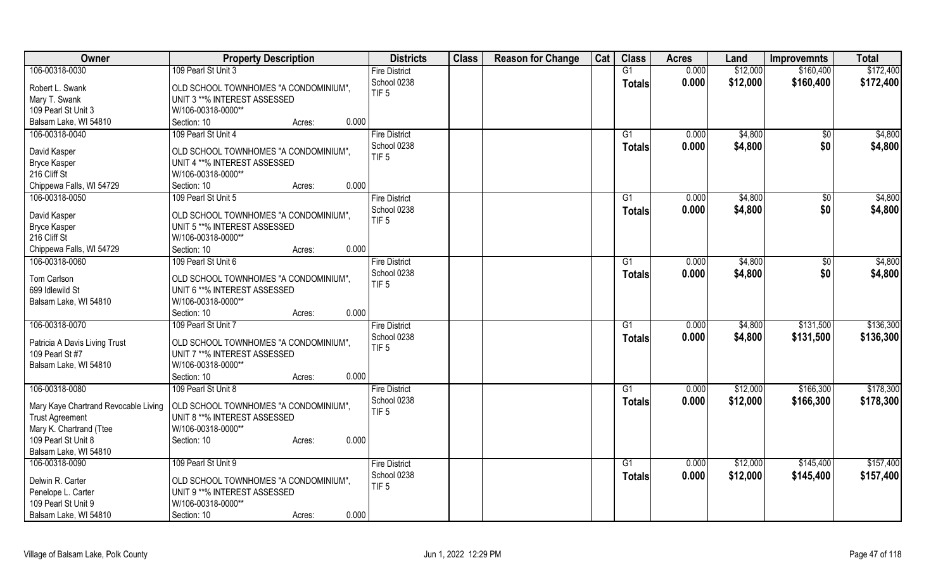| Owner                                | <b>Property Description</b>           | <b>Districts</b>     | <b>Class</b> | <b>Reason for Change</b> | Cat | <b>Class</b>    | <b>Acres</b> | Land     | <b>Improvemnts</b> | <b>Total</b> |
|--------------------------------------|---------------------------------------|----------------------|--------------|--------------------------|-----|-----------------|--------------|----------|--------------------|--------------|
| 106-00318-0030                       | 109 Pearl St Unit 3                   | <b>Fire District</b> |              |                          |     | $\overline{G1}$ | 0.000        | \$12,000 | \$160,400          | \$172,400    |
| Robert L. Swank                      | OLD SCHOOL TOWNHOMES "A CONDOMINIUM", | School 0238          |              |                          |     | <b>Totals</b>   | 0.000        | \$12,000 | \$160,400          | \$172,400    |
| Mary T. Swank                        | UNIT 3 **% INTEREST ASSESSED          | TIF <sub>5</sub>     |              |                          |     |                 |              |          |                    |              |
| 109 Pearl St Unit 3                  | W/106-00318-0000**                    |                      |              |                          |     |                 |              |          |                    |              |
| Balsam Lake, WI 54810                | Section: 10<br>Acres:                 | 0.000                |              |                          |     |                 |              |          |                    |              |
| 106-00318-0040                       | 109 Pearl St Unit 4                   | <b>Fire District</b> |              |                          |     | G1              | 0.000        | \$4,800  | $\sqrt{$0}$        | \$4,800      |
|                                      |                                       | School 0238          |              |                          |     | <b>Totals</b>   | 0.000        | \$4,800  | \$0                | \$4,800      |
| David Kasper                         | OLD SCHOOL TOWNHOMES "A CONDOMINIUM", | TIF <sub>5</sub>     |              |                          |     |                 |              |          |                    |              |
| <b>Bryce Kasper</b>                  | UNIT 4 **% INTEREST ASSESSED          |                      |              |                          |     |                 |              |          |                    |              |
| 216 Cliff St                         | W/106-00318-0000**                    |                      |              |                          |     |                 |              |          |                    |              |
| Chippewa Falls, WI 54729             | Section: 10<br>Acres:                 | 0.000                |              |                          |     |                 |              |          |                    |              |
| 106-00318-0050                       | 109 Pearl St Unit 5                   | <b>Fire District</b> |              |                          |     | G1              | 0.000        | \$4,800  | $\sqrt[6]{30}$     | \$4,800      |
| David Kasper                         | OLD SCHOOL TOWNHOMES "A CONDOMINIUM", | School 0238          |              |                          |     | <b>Totals</b>   | 0.000        | \$4,800  | \$0                | \$4,800      |
| <b>Bryce Kasper</b>                  | UNIT 5 **% INTEREST ASSESSED          | TIF <sub>5</sub>     |              |                          |     |                 |              |          |                    |              |
| 216 Cliff St                         | W/106-00318-0000**                    |                      |              |                          |     |                 |              |          |                    |              |
| Chippewa Falls, WI 54729             | Section: 10<br>Acres:                 | 0.000                |              |                          |     |                 |              |          |                    |              |
| 106-00318-0060                       | 109 Pearl St Unit 6                   | <b>Fire District</b> |              |                          |     | G1              | 0.000        | \$4,800  | $\sqrt[6]{3}$      | \$4,800      |
|                                      |                                       | School 0238          |              |                          |     | <b>Totals</b>   | 0.000        | \$4,800  | \$0                | \$4,800      |
| Tom Carlson                          | OLD SCHOOL TOWNHOMES "A CONDOMINIUM", | TIF <sub>5</sub>     |              |                          |     |                 |              |          |                    |              |
| 699 Idlewild St                      | UNIT 6 **% INTEREST ASSESSED          |                      |              |                          |     |                 |              |          |                    |              |
| Balsam Lake, WI 54810                | W/106-00318-0000**                    |                      |              |                          |     |                 |              |          |                    |              |
|                                      | Section: 10<br>Acres:                 | 0.000                |              |                          |     |                 |              |          |                    |              |
| 106-00318-0070                       | 109 Pearl St Unit 7                   | <b>Fire District</b> |              |                          |     | $\overline{G1}$ | 0.000        | \$4,800  | \$131,500          | \$136,300    |
| Patricia A Davis Living Trust        | OLD SCHOOL TOWNHOMES "A CONDOMINIUM", | School 0238          |              |                          |     | Totals          | 0.000        | \$4,800  | \$131,500          | \$136,300    |
| 109 Pearl St #7                      | UNIT 7 **% INTEREST ASSESSED          | TIF <sub>5</sub>     |              |                          |     |                 |              |          |                    |              |
| Balsam Lake, WI 54810                | W/106-00318-0000**                    |                      |              |                          |     |                 |              |          |                    |              |
|                                      | Section: 10<br>Acres:                 | 0.000                |              |                          |     |                 |              |          |                    |              |
| 106-00318-0080                       | 109 Pearl St Unit 8                   | <b>Fire District</b> |              |                          |     | G1              | 0.000        | \$12,000 | \$166,300          | \$178,300    |
|                                      |                                       | School 0238          |              |                          |     | Totals          | 0.000        | \$12,000 | \$166,300          | \$178,300    |
| Mary Kaye Chartrand Revocable Living | OLD SCHOOL TOWNHOMES "A CONDOMINIUM", | TIF <sub>5</sub>     |              |                          |     |                 |              |          |                    |              |
| <b>Trust Agreement</b>               | UNIT 8 **% INTEREST ASSESSED          |                      |              |                          |     |                 |              |          |                    |              |
| Mary K. Chartrand (Ttee              | W/106-00318-0000**                    |                      |              |                          |     |                 |              |          |                    |              |
| 109 Pearl St Unit 8                  | Section: 10<br>Acres:                 | 0.000                |              |                          |     |                 |              |          |                    |              |
| Balsam Lake, WI 54810                |                                       |                      |              |                          |     |                 |              |          |                    |              |
| 106-00318-0090                       | 109 Pearl St Unit 9                   | <b>Fire District</b> |              |                          |     | $\overline{G1}$ | 0.000        | \$12,000 | \$145,400          | \$157,400    |
| Delwin R. Carter                     | OLD SCHOOL TOWNHOMES "A CONDOMINIUM", | School 0238          |              |                          |     | <b>Totals</b>   | 0.000        | \$12,000 | \$145,400          | \$157,400    |
| Penelope L. Carter                   | UNIT 9 **% INTEREST ASSESSED          | TIF <sub>5</sub>     |              |                          |     |                 |              |          |                    |              |
| 109 Pearl St Unit 9                  | W/106-00318-0000**                    |                      |              |                          |     |                 |              |          |                    |              |
| Balsam Lake, WI 54810                | Section: 10<br>Acres:                 | 0.000                |              |                          |     |                 |              |          |                    |              |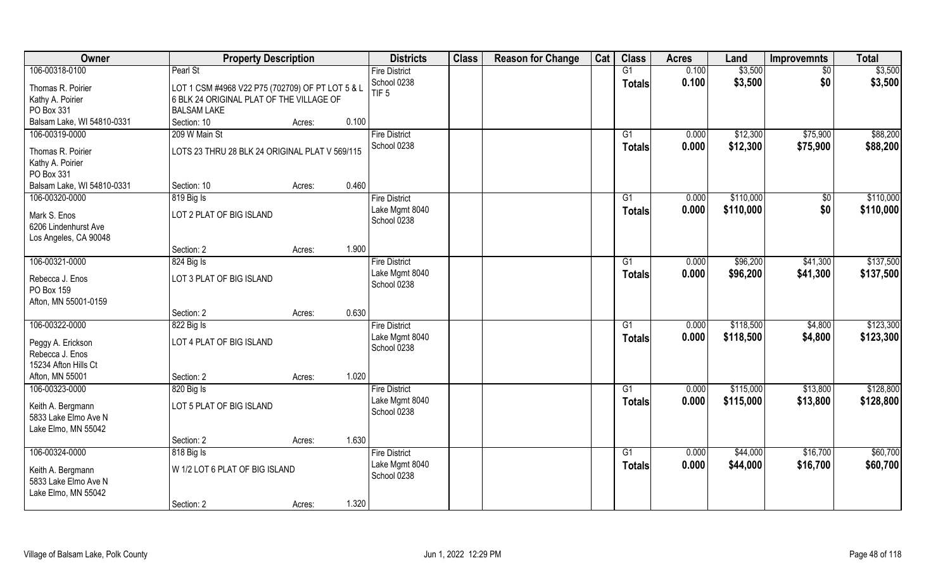| Owner                                | <b>Property Description</b>                      |                 | <b>Districts</b>              | <b>Class</b> | <b>Reason for Change</b> | Cat | <b>Class</b>    | <b>Acres</b> | Land      | <b>Improvemnts</b> | <b>Total</b> |
|--------------------------------------|--------------------------------------------------|-----------------|-------------------------------|--------------|--------------------------|-----|-----------------|--------------|-----------|--------------------|--------------|
| 106-00318-0100                       | Pearl St                                         |                 | <b>Fire District</b>          |              |                          |     | $\overline{G1}$ | 0.100        | \$3,500   | $\overline{50}$    | \$3,500      |
| Thomas R. Poirier                    | LOT 1 CSM #4968 V22 P75 (702709) OF PT LOT 5 & L |                 | School 0238                   |              |                          |     | Totals          | 0.100        | \$3,500   | \$0                | \$3,500      |
| Kathy A. Poirier                     | 6 BLK 24 ORIGINAL PLAT OF THE VILLAGE OF         |                 | TIF <sub>5</sub>              |              |                          |     |                 |              |           |                    |              |
| PO Box 331                           | <b>BALSAM LAKE</b>                               |                 |                               |              |                          |     |                 |              |           |                    |              |
| Balsam Lake, WI 54810-0331           | Section: 10                                      | 0.100<br>Acres: |                               |              |                          |     |                 |              |           |                    |              |
| 106-00319-0000                       | 209 W Main St                                    |                 | <b>Fire District</b>          |              |                          |     | G1              | 0.000        | \$12,300  | \$75,900           | \$88,200     |
|                                      |                                                  |                 | School 0238                   |              |                          |     | <b>Totals</b>   | 0.000        | \$12,300  | \$75,900           | \$88,200     |
| Thomas R. Poirier                    | LOTS 23 THRU 28 BLK 24 ORIGINAL PLAT V 569/115   |                 |                               |              |                          |     |                 |              |           |                    |              |
| Kathy A. Poirier<br>PO Box 331       |                                                  |                 |                               |              |                          |     |                 |              |           |                    |              |
| Balsam Lake, WI 54810-0331           | Section: 10                                      | 0.460<br>Acres: |                               |              |                          |     |                 |              |           |                    |              |
| 106-00320-0000                       | 819 Big Is                                       |                 | <b>Fire District</b>          |              |                          |     | G1              | 0.000        | \$110,000 | $\sqrt{$0}$        | \$110,000    |
|                                      |                                                  |                 | Lake Mgmt 8040                |              |                          |     |                 | 0.000        | \$110,000 | \$0                | \$110,000    |
| Mark S. Enos                         | LOT 2 PLAT OF BIG ISLAND                         |                 | School 0238                   |              |                          |     | <b>Totals</b>   |              |           |                    |              |
| 6206 Lindenhurst Ave                 |                                                  |                 |                               |              |                          |     |                 |              |           |                    |              |
| Los Angeles, CA 90048                |                                                  |                 |                               |              |                          |     |                 |              |           |                    |              |
|                                      | Section: 2                                       | 1.900<br>Acres: |                               |              |                          |     |                 |              |           |                    |              |
| 106-00321-0000                       | 824 Big Is                                       |                 | <b>Fire District</b>          |              |                          |     | G <sub>1</sub>  | 0.000        | \$96,200  | \$41,300           | \$137,500    |
| Rebecca J. Enos                      | LOT 3 PLAT OF BIG ISLAND                         |                 | Lake Mgmt 8040                |              |                          |     | <b>Totals</b>   | 0.000        | \$96,200  | \$41,300           | \$137,500    |
| PO Box 159                           |                                                  |                 | School 0238                   |              |                          |     |                 |              |           |                    |              |
| Afton, MN 55001-0159                 |                                                  |                 |                               |              |                          |     |                 |              |           |                    |              |
|                                      | Section: 2                                       | 0.630<br>Acres: |                               |              |                          |     |                 |              |           |                    |              |
| 106-00322-0000                       | 822 Big Is                                       |                 | <b>Fire District</b>          |              |                          |     | G1              | 0.000        | \$118,500 | \$4,800            | \$123,300    |
|                                      | LOT 4 PLAT OF BIG ISLAND                         |                 | Lake Mgmt 8040                |              |                          |     | <b>Totals</b>   | 0.000        | \$118,500 | \$4,800            | \$123,300    |
| Peggy A. Erickson<br>Rebecca J. Enos |                                                  |                 | School 0238                   |              |                          |     |                 |              |           |                    |              |
| 15234 Afton Hills Ct                 |                                                  |                 |                               |              |                          |     |                 |              |           |                    |              |
| Afton, MN 55001                      | Section: 2                                       | 1.020<br>Acres: |                               |              |                          |     |                 |              |           |                    |              |
| 106-00323-0000                       | 820 Big Is                                       |                 | <b>Fire District</b>          |              |                          |     | G <sub>1</sub>  | 0.000        | \$115,000 | \$13,800           | \$128,800    |
|                                      |                                                  |                 | Lake Mgmt 8040                |              |                          |     | <b>Totals</b>   | 0.000        | \$115,000 | \$13,800           | \$128,800    |
| Keith A. Bergmann                    | LOT 5 PLAT OF BIG ISLAND                         |                 | School 0238                   |              |                          |     |                 |              |           |                    |              |
| 5833 Lake Elmo Ave N                 |                                                  |                 |                               |              |                          |     |                 |              |           |                    |              |
| Lake Elmo, MN 55042                  |                                                  |                 |                               |              |                          |     |                 |              |           |                    |              |
|                                      | Section: 2                                       | 1.630<br>Acres: |                               |              |                          |     |                 |              |           |                    |              |
| 106-00324-0000                       | 818 Big Is                                       |                 | <b>Fire District</b>          |              |                          |     | G1              | 0.000        | \$44,000  | \$16,700           | \$60,700     |
| Keith A. Bergmann                    | W 1/2 LOT 6 PLAT OF BIG ISLAND                   |                 | Lake Mgmt 8040<br>School 0238 |              |                          |     | <b>Totals</b>   | 0.000        | \$44,000  | \$16,700           | \$60,700     |
| 5833 Lake Elmo Ave N                 |                                                  |                 |                               |              |                          |     |                 |              |           |                    |              |
| Lake Elmo, MN 55042                  |                                                  |                 |                               |              |                          |     |                 |              |           |                    |              |
|                                      | Section: 2                                       | 1.320<br>Acres: |                               |              |                          |     |                 |              |           |                    |              |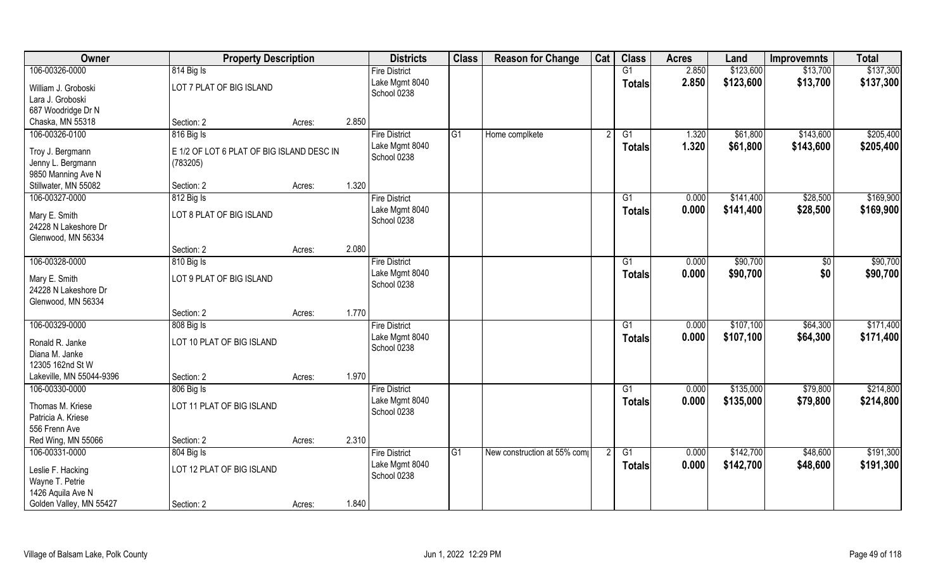| Owner                                                       | <b>Property Description</b>                           |        |       | <b>Districts</b>              | <b>Class</b>    | <b>Reason for Change</b>    | Cat | <b>Class</b>    | <b>Acres</b> | Land      | <b>Improvemnts</b> | <b>Total</b> |
|-------------------------------------------------------------|-------------------------------------------------------|--------|-------|-------------------------------|-----------------|-----------------------------|-----|-----------------|--------------|-----------|--------------------|--------------|
| 106-00326-0000                                              | 814 Big Is                                            |        |       | <b>Fire District</b>          |                 |                             |     | G1              | 2.850        | \$123,600 | \$13,700           | \$137,300    |
| William J. Groboski<br>Lara J. Groboski                     | LOT 7 PLAT OF BIG ISLAND                              |        |       | Lake Mgmt 8040<br>School 0238 |                 |                             |     | <b>Totals</b>   | 2.850        | \$123,600 | \$13,700           | \$137,300    |
| 687 Woodridge Dr N                                          |                                                       |        |       |                               |                 |                             |     |                 |              |           |                    |              |
| Chaska, MN 55318                                            | Section: 2                                            | Acres: | 2.850 |                               |                 |                             |     |                 |              |           |                    |              |
| 106-00326-0100                                              | 816 Big Is                                            |        |       | <b>Fire District</b>          | G1              | Home complkete              |     | G1              | 1.320        | \$61,800  | \$143,600          | \$205,400    |
| Troy J. Bergmann<br>Jenny L. Bergmann<br>9850 Manning Ave N | E 1/2 OF LOT 6 PLAT OF BIG ISLAND DESC IN<br>(783205) |        |       | Lake Mgmt 8040<br>School 0238 |                 |                             |     | <b>Totals</b>   | 1.320        | \$61,800  | \$143,600          | \$205,400    |
| Stillwater, MN 55082                                        | Section: 2                                            | Acres: | 1.320 |                               |                 |                             |     |                 |              |           |                    |              |
| 106-00327-0000                                              | 812 Big Is                                            |        |       | <b>Fire District</b>          |                 |                             |     | G1              | 0.000        | \$141,400 | \$28,500           | \$169,900    |
| Mary E. Smith<br>24228 N Lakeshore Dr<br>Glenwood, MN 56334 | LOT 8 PLAT OF BIG ISLAND                              |        |       | Lake Mgmt 8040<br>School 0238 |                 |                             |     | <b>Totals</b>   | 0.000        | \$141,400 | \$28,500           | \$169,900    |
|                                                             | Section: 2                                            | Acres: | 2.080 |                               |                 |                             |     |                 |              |           |                    |              |
| 106-00328-0000                                              | 810 Big Is                                            |        |       | <b>Fire District</b>          |                 |                             |     | G1              | 0.000        | \$90,700  | \$0                | \$90,700     |
| Mary E. Smith<br>24228 N Lakeshore Dr<br>Glenwood, MN 56334 | LOT 9 PLAT OF BIG ISLAND                              |        |       | Lake Mgmt 8040<br>School 0238 |                 |                             |     | <b>Totals</b>   | 0.000        | \$90,700  | \$0                | \$90,700     |
|                                                             | Section: 2                                            | Acres: | 1.770 |                               |                 |                             |     |                 |              |           |                    |              |
| 106-00329-0000                                              | 808 Big Is                                            |        |       | <b>Fire District</b>          |                 |                             |     | G1              | 0.000        | \$107,100 | \$64,300           | \$171,400    |
| Ronald R. Janke<br>Diana M. Janke<br>12305 162nd St W       | LOT 10 PLAT OF BIG ISLAND                             |        |       | Lake Mgmt 8040<br>School 0238 |                 |                             |     | <b>Totals</b>   | 0.000        | \$107,100 | \$64,300           | \$171,400    |
| Lakeville, MN 55044-9396                                    | Section: 2                                            | Acres: | 1.970 |                               |                 |                             |     |                 |              |           |                    |              |
| 106-00330-0000                                              | 806 Big Is                                            |        |       | <b>Fire District</b>          |                 |                             |     | G1              | 0.000        | \$135,000 | \$79,800           | \$214,800    |
| Thomas M. Kriese<br>Patricia A. Kriese<br>556 Frenn Ave     | LOT 11 PLAT OF BIG ISLAND                             |        |       | Lake Mgmt 8040<br>School 0238 |                 |                             |     | <b>Totals</b>   | 0.000        | \$135,000 | \$79,800           | \$214,800    |
| Red Wing, MN 55066                                          | Section: 2                                            | Acres: | 2.310 |                               |                 |                             |     |                 |              |           |                    |              |
| 106-00331-0000                                              | 804 Big Is                                            |        |       | <b>Fire District</b>          | $\overline{G1}$ | New construction at 55% com |     | $\overline{G1}$ | 0.000        | \$142,700 | \$48,600           | \$191,300    |
| Leslie F. Hacking<br>Wayne T. Petrie<br>1426 Aquila Ave N   | LOT 12 PLAT OF BIG ISLAND                             |        |       | Lake Mgmt 8040<br>School 0238 |                 |                             |     | <b>Totals</b>   | 0.000        | \$142,700 | \$48,600           | \$191,300    |
| Golden Valley, MN 55427                                     | Section: 2                                            | Acres: | 1.840 |                               |                 |                             |     |                 |              |           |                    |              |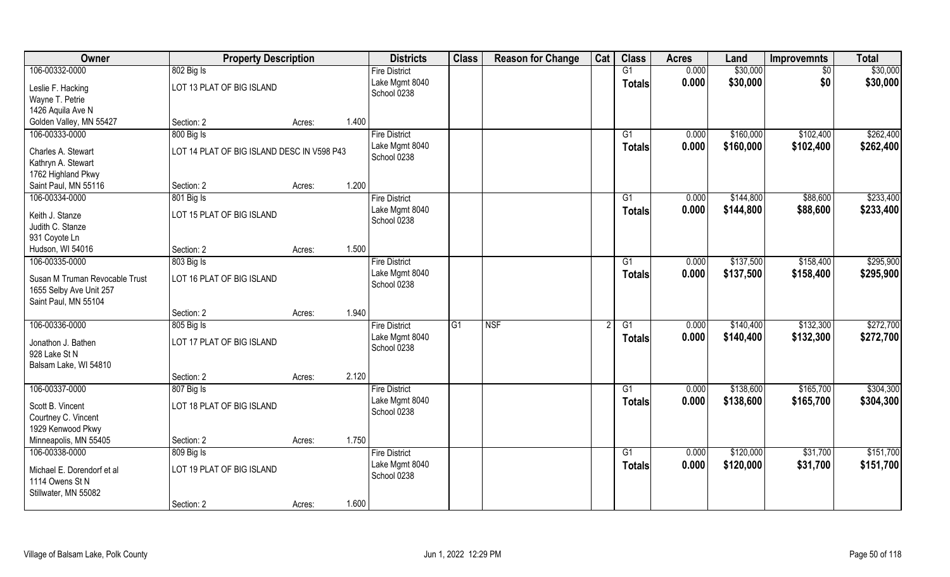| Owner                          | <b>Property Description</b>                |                 | <b>Districts</b>              | <b>Class</b>    | <b>Reason for Change</b> | Cat | <b>Class</b>    | <b>Acres</b> | Land      | <b>Improvemnts</b> | <b>Total</b> |
|--------------------------------|--------------------------------------------|-----------------|-------------------------------|-----------------|--------------------------|-----|-----------------|--------------|-----------|--------------------|--------------|
| 106-00332-0000                 | 802 Big Is                                 |                 | <b>Fire District</b>          |                 |                          |     | G1              | 0.000        | \$30,000  | $\sqrt{6}$         | \$30,000     |
| Leslie F. Hacking              | LOT 13 PLAT OF BIG ISLAND                  |                 | Lake Mgmt 8040                |                 |                          |     | <b>Totals</b>   | 0.000        | \$30,000  | \$0                | \$30,000     |
| Wayne T. Petrie                |                                            |                 | School 0238                   |                 |                          |     |                 |              |           |                    |              |
| 1426 Aquila Ave N              |                                            |                 |                               |                 |                          |     |                 |              |           |                    |              |
| Golden Valley, MN 55427        | Section: 2                                 | 1.400<br>Acres: |                               |                 |                          |     |                 |              |           |                    |              |
| 106-00333-0000                 | 800 Big Is                                 |                 | <b>Fire District</b>          |                 |                          |     | G1              | 0.000        | \$160,000 | \$102,400          | \$262,400    |
| Charles A. Stewart             | LOT 14 PLAT OF BIG ISLAND DESC IN V598 P43 |                 | Lake Mgmt 8040                |                 |                          |     | Totals          | 0.000        | \$160,000 | \$102,400          | \$262,400    |
| Kathryn A. Stewart             |                                            |                 | School 0238                   |                 |                          |     |                 |              |           |                    |              |
| 1762 Highland Pkwy             |                                            |                 |                               |                 |                          |     |                 |              |           |                    |              |
| Saint Paul, MN 55116           | Section: 2                                 | 1.200<br>Acres: |                               |                 |                          |     |                 |              |           |                    |              |
| 106-00334-0000                 | 801 Big Is                                 |                 | <b>Fire District</b>          |                 |                          |     | G1              | 0.000        | \$144,800 | \$88,600           | \$233,400    |
|                                |                                            |                 | Lake Mgmt 8040                |                 |                          |     | <b>Totals</b>   | 0.000        | \$144,800 | \$88,600           | \$233,400    |
| Keith J. Stanze                | LOT 15 PLAT OF BIG ISLAND                  |                 | School 0238                   |                 |                          |     |                 |              |           |                    |              |
| Judith C. Stanze               |                                            |                 |                               |                 |                          |     |                 |              |           |                    |              |
| 931 Coyote Ln                  |                                            |                 |                               |                 |                          |     |                 |              |           |                    |              |
| Hudson, WI 54016               | Section: 2                                 | 1.500<br>Acres: |                               |                 |                          |     |                 |              |           |                    |              |
| 106-00335-0000                 | 803 Big Is                                 |                 | <b>Fire District</b>          |                 |                          |     | G1              | 0.000        | \$137,500 | \$158,400          | \$295,900    |
| Susan M Truman Revocable Trust | LOT 16 PLAT OF BIG ISLAND                  |                 | Lake Mgmt 8040<br>School 0238 |                 |                          |     | <b>Totals</b>   | 0.000        | \$137,500 | \$158,400          | \$295,900    |
| 1655 Selby Ave Unit 257        |                                            |                 |                               |                 |                          |     |                 |              |           |                    |              |
| Saint Paul, MN 55104           |                                            |                 |                               |                 |                          |     |                 |              |           |                    |              |
|                                | Section: 2                                 | 1.940<br>Acres: |                               |                 |                          |     |                 |              |           |                    |              |
| 106-00336-0000                 | 805 Big Is                                 |                 | <b>Fire District</b>          | $\overline{G1}$ | <b>NSF</b>               |     | $\overline{G1}$ | 0.000        | \$140,400 | \$132,300          | \$272,700    |
| Jonathon J. Bathen             | LOT 17 PLAT OF BIG ISLAND                  |                 | Lake Mgmt 8040                |                 |                          |     | <b>Totals</b>   | 0.000        | \$140,400 | \$132,300          | \$272,700    |
| 928 Lake St N                  |                                            |                 | School 0238                   |                 |                          |     |                 |              |           |                    |              |
| Balsam Lake, WI 54810          |                                            |                 |                               |                 |                          |     |                 |              |           |                    |              |
|                                | Section: 2                                 | 2.120<br>Acres: |                               |                 |                          |     |                 |              |           |                    |              |
| 106-00337-0000                 | 807 Big Is                                 |                 | <b>Fire District</b>          |                 |                          |     | G1              | 0.000        | \$138,600 | \$165,700          | \$304,300    |
| Scott B. Vincent               | LOT 18 PLAT OF BIG ISLAND                  |                 | Lake Mgmt 8040                |                 |                          |     | <b>Totals</b>   | 0.000        | \$138,600 | \$165,700          | \$304,300    |
| Courtney C. Vincent            |                                            |                 | School 0238                   |                 |                          |     |                 |              |           |                    |              |
| 1929 Kenwood Pkwy              |                                            |                 |                               |                 |                          |     |                 |              |           |                    |              |
| Minneapolis, MN 55405          | Section: 2                                 | 1.750<br>Acres: |                               |                 |                          |     |                 |              |           |                    |              |
| 106-00338-0000                 | 809 Big Is                                 |                 | <b>Fire District</b>          |                 |                          |     | G1              | 0.000        | \$120,000 | \$31,700           | \$151,700    |
|                                |                                            |                 | Lake Mgmt 8040                |                 |                          |     | <b>Totals</b>   | 0.000        | \$120,000 | \$31,700           | \$151,700    |
| Michael E. Dorendorf et al     | LOT 19 PLAT OF BIG ISLAND                  |                 | School 0238                   |                 |                          |     |                 |              |           |                    |              |
| 1114 Owens St N                |                                            |                 |                               |                 |                          |     |                 |              |           |                    |              |
| Stillwater, MN 55082           |                                            |                 |                               |                 |                          |     |                 |              |           |                    |              |
|                                | Section: 2                                 | 1.600<br>Acres: |                               |                 |                          |     |                 |              |           |                    |              |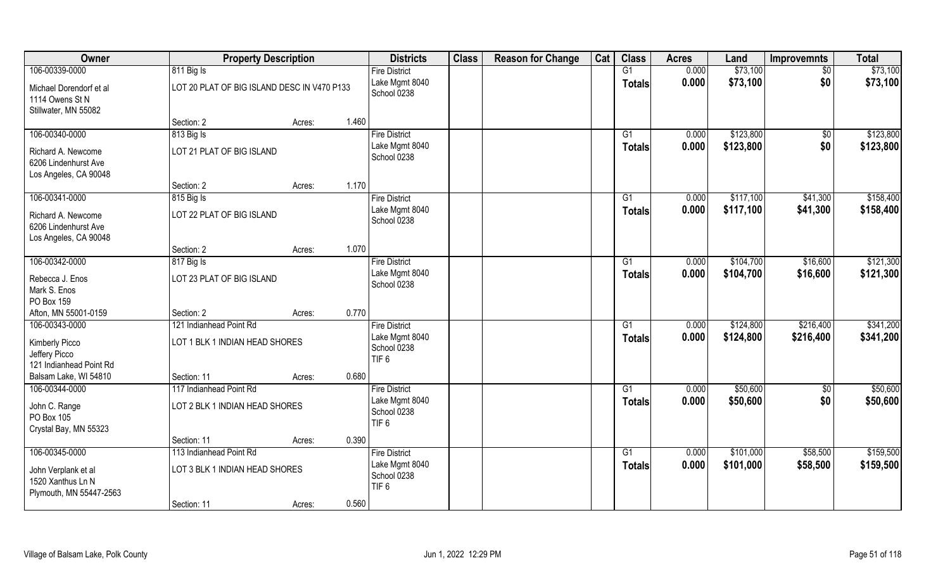| Owner                                                               | <b>Property Description</b>                 |        |       | <b>Districts</b>                                  | <b>Class</b> | <b>Reason for Change</b> | Cat | <b>Class</b>    | <b>Acres</b>   | Land      | <b>Improvemnts</b> | <b>Total</b> |
|---------------------------------------------------------------------|---------------------------------------------|--------|-------|---------------------------------------------------|--------------|--------------------------|-----|-----------------|----------------|-----------|--------------------|--------------|
| 106-00339-0000                                                      | 811 Big Is                                  |        |       | <b>Fire District</b><br>Lake Mgmt 8040            |              |                          |     | G1              | 0.000<br>0.000 | \$73,100  | $\sqrt{$0}$        | \$73,100     |
| Michael Dorendorf et al<br>1114 Owens St N                          | LOT 20 PLAT OF BIG ISLAND DESC IN V470 P133 |        |       | School 0238                                       |              |                          |     | <b>Totals</b>   |                | \$73,100  | \$0                | \$73,100     |
| Stillwater, MN 55082                                                |                                             |        |       |                                                   |              |                          |     |                 |                |           |                    |              |
|                                                                     | Section: 2                                  | Acres: | 1.460 |                                                   |              |                          |     |                 |                |           |                    |              |
| 106-00340-0000                                                      | 813 Big Is                                  |        |       | <b>Fire District</b>                              |              |                          |     | $\overline{G1}$ | 0.000          | \$123,800 | \$0                | \$123,800    |
| Richard A. Newcome<br>6206 Lindenhurst Ave                          | LOT 21 PLAT OF BIG ISLAND                   |        |       | Lake Mgmt 8040<br>School 0238                     |              |                          |     | Totals          | 0.000          | \$123,800 | \$0                | \$123,800    |
| Los Angeles, CA 90048                                               |                                             |        |       |                                                   |              |                          |     |                 |                |           |                    |              |
|                                                                     | Section: 2                                  | Acres: | 1.170 |                                                   |              |                          |     |                 |                |           |                    |              |
| 106-00341-0000                                                      | 815 Big Is                                  |        |       | <b>Fire District</b>                              |              |                          |     | G1              | 0.000          | \$117,100 | \$41,300           | \$158,400    |
| Richard A. Newcome<br>6206 Lindenhurst Ave<br>Los Angeles, CA 90048 | LOT 22 PLAT OF BIG ISLAND                   |        |       | Lake Mgmt 8040<br>School 0238                     |              |                          |     | <b>Totals</b>   | 0.000          | \$117,100 | \$41,300           | \$158,400    |
|                                                                     | Section: 2                                  | Acres: | 1.070 |                                                   |              |                          |     |                 |                |           |                    |              |
| 106-00342-0000                                                      | 817 Big Is                                  |        |       | <b>Fire District</b>                              |              |                          |     | G1              | 0.000          | \$104,700 | \$16,600           | \$121,300    |
| Rebecca J. Enos<br>Mark S. Enos                                     | LOT 23 PLAT OF BIG ISLAND                   |        |       | Lake Mgmt 8040<br>School 0238                     |              |                          |     | <b>Totals</b>   | 0.000          | \$104,700 | \$16,600           | \$121,300    |
| PO Box 159<br>Afton, MN 55001-0159                                  | Section: 2                                  |        | 0.770 |                                                   |              |                          |     |                 |                |           |                    |              |
| 106-00343-0000                                                      | 121 Indianhead Point Rd                     | Acres: |       | <b>Fire District</b>                              |              |                          |     | $\overline{G1}$ | 0.000          | \$124,800 | \$216,400          | \$341,200    |
|                                                                     |                                             |        |       | Lake Mgmt 8040                                    |              |                          |     |                 | 0.000          | \$124,800 | \$216,400          | \$341,200    |
| Kimberly Picco                                                      | LOT 1 BLK 1 INDIAN HEAD SHORES              |        |       | School 0238                                       |              |                          |     | Totals          |                |           |                    |              |
| Jeffery Picco                                                       |                                             |        |       | TIF <sub>6</sub>                                  |              |                          |     |                 |                |           |                    |              |
| 121 Indianhead Point Rd                                             |                                             |        |       |                                                   |              |                          |     |                 |                |           |                    |              |
| Balsam Lake, WI 54810                                               | Section: 11                                 | Acres: | 0.680 |                                                   |              |                          |     |                 |                |           |                    |              |
| 106-00344-0000                                                      | 117 Indianhead Point Rd                     |        |       | <b>Fire District</b>                              |              |                          |     | G1              | 0.000          | \$50,600  | $\sqrt{$0}$        | \$50,600     |
| John C. Range                                                       | LOT 2 BLK 1 INDIAN HEAD SHORES              |        |       | Lake Mgmt 8040<br>School 0238                     |              |                          |     | <b>Totals</b>   | 0.000          | \$50,600  | \$0                | \$50,600     |
| PO Box 105                                                          |                                             |        |       | TIF <sub>6</sub>                                  |              |                          |     |                 |                |           |                    |              |
| Crystal Bay, MN 55323                                               |                                             |        |       |                                                   |              |                          |     |                 |                |           |                    |              |
|                                                                     | Section: 11                                 | Acres: | 0.390 |                                                   |              |                          |     |                 |                |           |                    |              |
| 106-00345-0000                                                      | 113 Indianhead Point Rd                     |        |       | <b>Fire District</b>                              |              |                          |     | $\overline{G1}$ | 0.000          | \$101,000 | \$58,500           | \$159,500    |
| John Verplank et al<br>1520 Xanthus Ln N<br>Plymouth, MN 55447-2563 | LOT 3 BLK 1 INDIAN HEAD SHORES              |        |       | Lake Mgmt 8040<br>School 0238<br>TIF <sub>6</sub> |              |                          |     | Totals          | 0.000          | \$101,000 | \$58,500           | \$159,500    |
|                                                                     | Section: 11                                 | Acres: | 0.560 |                                                   |              |                          |     |                 |                |           |                    |              |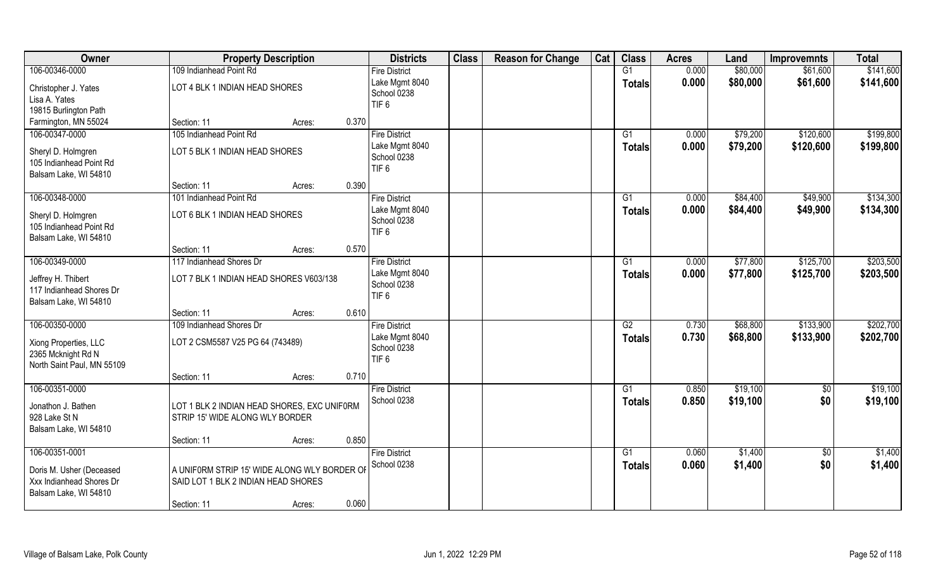| Owner                                                                     | <b>Property Description</b>                                                         | <b>Districts</b>                                  | <b>Class</b> | <b>Reason for Change</b> | Cat | <b>Class</b>        | <b>Acres</b>   | Land               | <b>Improvemnts</b>     | <b>Total</b>       |
|---------------------------------------------------------------------------|-------------------------------------------------------------------------------------|---------------------------------------------------|--------------|--------------------------|-----|---------------------|----------------|--------------------|------------------------|--------------------|
| 106-00346-0000                                                            | 109 Indianhead Point Rd                                                             | <b>Fire District</b>                              |              |                          |     | G1                  | 0.000          | \$80,000           | \$61,600               | \$141,600          |
| Christopher J. Yates<br>Lisa A. Yates                                     | LOT 4 BLK 1 INDIAN HEAD SHORES                                                      | Lake Mgmt 8040<br>School 0238<br>TIF <sub>6</sub> |              |                          |     | <b>Totals</b>       | 0.000          | \$80,000           | \$61,600               | \$141,600          |
| 19815 Burlington Path                                                     |                                                                                     |                                                   |              |                          |     |                     |                |                    |                        |                    |
| Farmington, MN 55024                                                      | Section: 11<br>0.370<br>Acres:                                                      |                                                   |              |                          |     |                     |                |                    |                        |                    |
| 106-00347-0000                                                            | 105 Indianhead Point Rd                                                             | <b>Fire District</b>                              |              |                          |     | G1                  | 0.000          | \$79,200           | \$120,600              | \$199,800          |
| Sheryl D. Holmgren<br>105 Indianhead Point Rd<br>Balsam Lake, WI 54810    | LOT 5 BLK 1 INDIAN HEAD SHORES                                                      | Lake Mgmt 8040<br>School 0238<br>TIF <sub>6</sub> |              |                          |     | <b>Totals</b>       | 0.000          | \$79,200           | \$120,600              | \$199,800          |
|                                                                           | 0.390<br>Section: 11<br>Acres:                                                      |                                                   |              |                          |     |                     |                |                    |                        |                    |
| 106-00348-0000                                                            | 101 Indianhead Point Rd                                                             | <b>Fire District</b>                              |              |                          |     | G1                  | 0.000          | \$84,400           | \$49,900               | \$134,300          |
| Sheryl D. Holmgren<br>105 Indianhead Point Rd<br>Balsam Lake, WI 54810    | LOT 6 BLK 1 INDIAN HEAD SHORES                                                      | Lake Mgmt 8040<br>School 0238<br>TIF <sub>6</sub> |              |                          |     | <b>Totals</b>       | 0.000          | \$84,400           | \$49,900               | \$134,300          |
|                                                                           | 0.570<br>Section: 11<br>Acres:                                                      |                                                   |              |                          |     |                     |                |                    |                        |                    |
| 106-00349-0000                                                            | 117 Indianhead Shores Dr                                                            | <b>Fire District</b>                              |              |                          |     | G1                  | 0.000          | \$77,800           | \$125,700              | \$203,500          |
| Jeffrey H. Thibert<br>117 Indianhead Shores Dr<br>Balsam Lake, WI 54810   | LOT 7 BLK 1 INDIAN HEAD SHORES V603/138                                             | Lake Mgmt 8040<br>School 0238<br>TIF <sub>6</sub> |              |                          |     | <b>Totals</b>       | 0.000          | \$77,800           | \$125,700              | \$203,500          |
|                                                                           | 0.610<br>Section: 11<br>Acres:                                                      |                                                   |              |                          |     |                     |                |                    |                        |                    |
| 106-00350-0000                                                            | 109 Indianhead Shores Dr                                                            | <b>Fire District</b>                              |              |                          |     | $\overline{G2}$     | 0.730          | \$68,800           | \$133,900              | \$202,700          |
| Xiong Properties, LLC<br>2365 Mcknight Rd N<br>North Saint Paul, MN 55109 | LOT 2 CSM5587 V25 PG 64 (743489)                                                    | Lake Mgmt 8040<br>School 0238<br>TIF <sub>6</sub> |              |                          |     | <b>Totals</b>       | 0.730          | \$68,800           | \$133,900              | \$202,700          |
|                                                                           | 0.710<br>Section: 11<br>Acres:                                                      |                                                   |              |                          |     |                     |                |                    |                        |                    |
| 106-00351-0000                                                            |                                                                                     | <b>Fire District</b>                              |              |                          |     | G1                  | 0.850          | \$19,100           | $\sqrt{50}$            | \$19,100           |
| Jonathon J. Bathen<br>928 Lake St N<br>Balsam Lake, WI 54810              | LOT 1 BLK 2 INDIAN HEAD SHORES, EXC UNIFORM<br>STRIP 15' WIDE ALONG WLY BORDER      | School 0238                                       |              |                          |     | <b>Totals</b>       | 0.850          | \$19,100           | \$0                    | \$19,100           |
|                                                                           | 0.850<br>Section: 11<br>Acres:                                                      |                                                   |              |                          |     |                     |                |                    |                        |                    |
| 106-00351-0001<br>Doris M. Usher (Deceased<br>Xxx Indianhead Shores Dr    | A UNIFORM STRIP 15' WIDE ALONG WLY BORDER OF<br>SAID LOT 1 BLK 2 INDIAN HEAD SHORES | <b>Fire District</b><br>School 0238               |              |                          |     | G1<br><b>Totals</b> | 0.060<br>0.060 | \$1,400<br>\$1,400 | $\overline{50}$<br>\$0 | \$1,400<br>\$1,400 |
| Balsam Lake, WI 54810                                                     | 0.060<br>Section: 11<br>Acres:                                                      |                                                   |              |                          |     |                     |                |                    |                        |                    |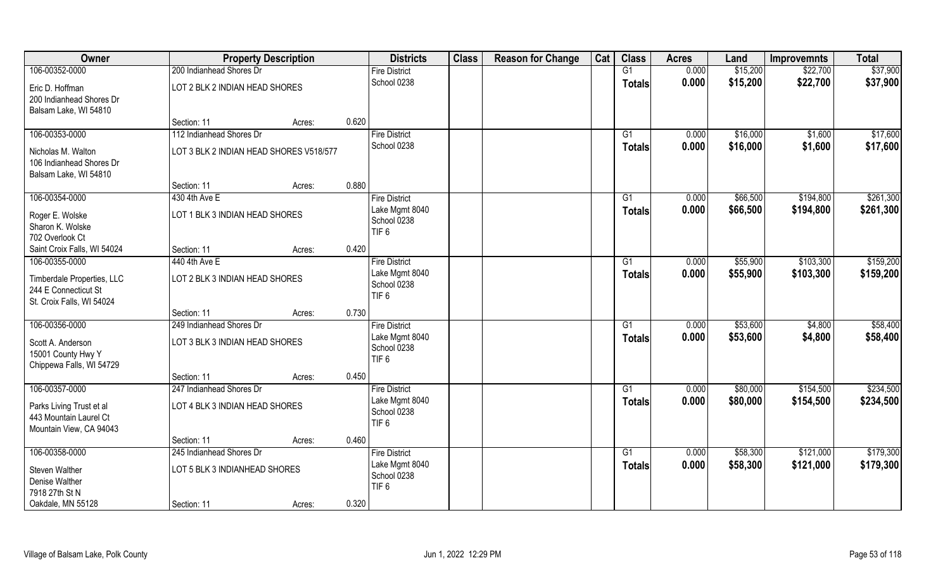| Owner                                                                                 | <b>Property Description</b>                                |        |       | <b>Districts</b>                                                          | <b>Class</b> | <b>Reason for Change</b> | Cat | <b>Class</b>                     | <b>Acres</b>   | Land                 | <b>Improvemnts</b> | <b>Total</b>         |
|---------------------------------------------------------------------------------------|------------------------------------------------------------|--------|-------|---------------------------------------------------------------------------|--------------|--------------------------|-----|----------------------------------|----------------|----------------------|--------------------|----------------------|
| 106-00352-0000                                                                        | 200 Indianhead Shores Dr                                   |        |       | <b>Fire District</b>                                                      |              |                          |     | G1                               | 0.000          | \$15,200             | \$22,700           | \$37,900             |
| Eric D. Hoffman<br>200 Indianhead Shores Dr<br>Balsam Lake, WI 54810                  | LOT 2 BLK 2 INDIAN HEAD SHORES                             |        |       | School 0238                                                               |              |                          |     | <b>Totals</b>                    | 0.000          | \$15,200             | \$22,700           | \$37,900             |
|                                                                                       | Section: 11                                                | Acres: | 0.620 |                                                                           |              |                          |     |                                  |                |                      |                    |                      |
| 106-00353-0000                                                                        | 112 Indianhead Shores Dr                                   |        |       | <b>Fire District</b>                                                      |              |                          |     | G1                               | 0.000          | \$16,000             | \$1,600            | \$17,600             |
| Nicholas M. Walton<br>106 Indianhead Shores Dr<br>Balsam Lake, WI 54810               | LOT 3 BLK 2 INDIAN HEAD SHORES V518/577                    |        |       | School 0238                                                               |              |                          |     | Totals                           | 0.000          | \$16,000             | \$1,600            | \$17,600             |
|                                                                                       | Section: 11                                                | Acres: | 0.880 |                                                                           |              |                          |     |                                  |                |                      |                    |                      |
| 106-00354-0000                                                                        | 430 4th Ave E                                              |        |       | <b>Fire District</b>                                                      |              |                          |     | G1                               | 0.000          | \$66,500             | \$194,800          | \$261,300            |
| Roger E. Wolske<br>Sharon K. Wolske<br>702 Overlook Ct                                | LOT 1 BLK 3 INDIAN HEAD SHORES                             |        |       | Lake Mgmt 8040<br>School 0238<br>TIF <sub>6</sub>                         |              |                          |     | <b>Totals</b>                    | 0.000          | \$66,500             | \$194,800          | \$261,300            |
| Saint Croix Falls, WI 54024                                                           | Section: 11                                                | Acres: | 0.420 |                                                                           |              |                          |     |                                  |                |                      |                    |                      |
| 106-00355-0000                                                                        | 440 4th Ave E                                              |        |       | <b>Fire District</b>                                                      |              |                          |     | G1                               | 0.000          | \$55,900             | \$103,300          | \$159,200            |
| Timberdale Properties, LLC<br>244 E Connecticut St<br>St. Croix Falls, WI 54024       | LOT 2 BLK 3 INDIAN HEAD SHORES                             |        |       | Lake Mgmt 8040<br>School 0238<br>TIF <sub>6</sub>                         |              |                          |     | <b>Totals</b>                    | 0.000          | \$55,900             | \$103,300          | \$159,200            |
|                                                                                       | Section: 11                                                | Acres: | 0.730 |                                                                           |              |                          |     |                                  |                |                      |                    |                      |
| 106-00356-0000<br>Scott A. Anderson<br>15001 County Hwy Y<br>Chippewa Falls, WI 54729 | 249 Indianhead Shores Dr<br>LOT 3 BLK 3 INDIAN HEAD SHORES |        |       | <b>Fire District</b><br>Lake Mgmt 8040<br>School 0238<br>TIF <sub>6</sub> |              |                          |     | $\overline{G1}$<br><b>Totals</b> | 0.000<br>0.000 | \$53,600<br>\$53,600 | \$4,800<br>\$4,800 | \$58,400<br>\$58,400 |
|                                                                                       | Section: 11                                                | Acres: | 0.450 |                                                                           |              |                          |     |                                  |                |                      |                    |                      |
| 106-00357-0000                                                                        | 247 Indianhead Shores Dr                                   |        |       | <b>Fire District</b>                                                      |              |                          |     | G1                               | 0.000          | \$80,000             | \$154,500          | \$234,500            |
| Parks Living Trust et al<br>443 Mountain Laurel Ct<br>Mountain View, CA 94043         | LOT 4 BLK 3 INDIAN HEAD SHORES                             |        |       | Lake Mgmt 8040<br>School 0238<br>TIF <sub>6</sub>                         |              |                          |     | <b>Totals</b>                    | 0.000          | \$80,000             | \$154,500          | \$234,500            |
|                                                                                       | Section: 11                                                | Acres: | 0.460 |                                                                           |              |                          |     |                                  |                |                      |                    |                      |
| 106-00358-0000                                                                        | 245 Indianhead Shores Dr                                   |        |       | <b>Fire District</b>                                                      |              |                          |     | $\overline{G1}$                  | 0.000          | \$58,300             | \$121,000          | \$179,300            |
| Steven Walther<br>Denise Walther<br>7918 27th St N                                    | LOT 5 BLK 3 INDIANHEAD SHORES                              |        |       | Lake Mgmt 8040<br>School 0238<br>TIF <sub>6</sub>                         |              |                          |     | <b>Totals</b>                    | 0.000          | \$58,300             | \$121,000          | \$179,300            |
| Oakdale, MN 55128                                                                     | Section: 11                                                | Acres: | 0.320 |                                                                           |              |                          |     |                                  |                |                      |                    |                      |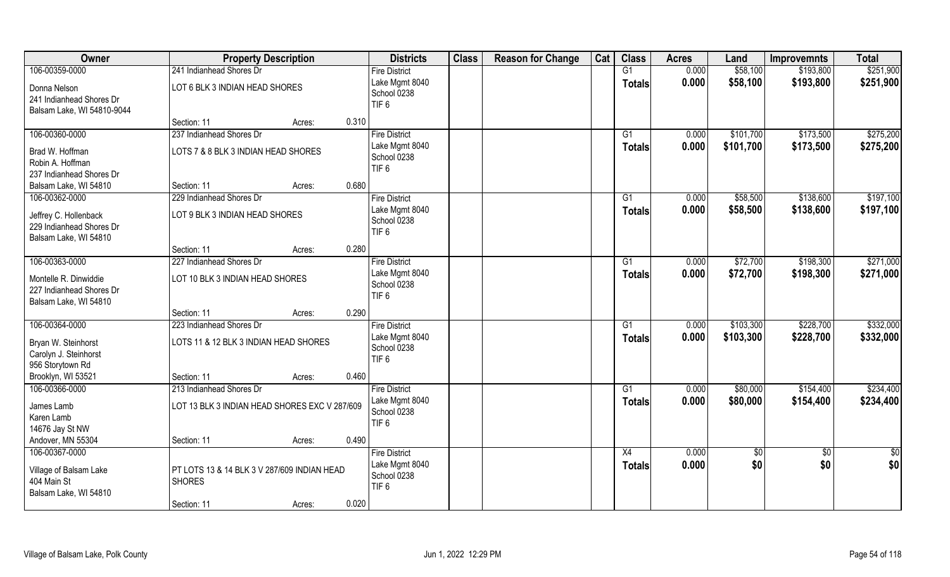| Owner                                                                                        | <b>Property Description</b>                                                                        |       | <b>Districts</b>                                                          | <b>Class</b> | <b>Reason for Change</b> | Cat | <b>Class</b>                     | <b>Acres</b>   | Land                   | <b>Improvemnts</b>     | <b>Total</b>           |
|----------------------------------------------------------------------------------------------|----------------------------------------------------------------------------------------------------|-------|---------------------------------------------------------------------------|--------------|--------------------------|-----|----------------------------------|----------------|------------------------|------------------------|------------------------|
| 106-00359-0000                                                                               | 241 Indianhead Shores Dr                                                                           |       | <b>Fire District</b>                                                      |              |                          |     | G1                               | 0.000          | \$58,100               | \$193,800              | \$251,900              |
| Donna Nelson<br>241 Indianhead Shores Dr<br>Balsam Lake, WI 54810-9044                       | LOT 6 BLK 3 INDIAN HEAD SHORES                                                                     |       | Lake Mgmt 8040<br>School 0238<br>TIF <sub>6</sub>                         |              |                          |     | <b>Totals</b>                    | 0.000          | \$58,100               | \$193,800              | \$251,900              |
|                                                                                              | Section: 11<br>Acres:                                                                              | 0.310 |                                                                           |              |                          |     |                                  |                |                        |                        |                        |
| 106-00360-0000<br>Brad W. Hoffman<br>Robin A. Hoffman<br>237 Indianhead Shores Dr            | 237 Indianhead Shores Dr<br>LOTS 7 & 8 BLK 3 INDIAN HEAD SHORES                                    |       | <b>Fire District</b><br>Lake Mgmt 8040<br>School 0238<br>TIF <sub>6</sub> |              |                          |     | $\overline{G1}$<br><b>Totals</b> | 0.000<br>0.000 | \$101,700<br>\$101,700 | \$173,500<br>\$173,500 | \$275,200<br>\$275,200 |
| Balsam Lake, WI 54810                                                                        | Section: 11<br>Acres:                                                                              | 0.680 |                                                                           |              |                          |     |                                  |                |                        |                        |                        |
| 106-00362-0000                                                                               | 229 Indianhead Shores Dr                                                                           |       | <b>Fire District</b>                                                      |              |                          |     | G1                               | 0.000          | \$58,500               | \$138,600              | \$197,100              |
| Jeffrey C. Hollenback<br>229 Indianhead Shores Dr<br>Balsam Lake, WI 54810                   | LOT 9 BLK 3 INDIAN HEAD SHORES                                                                     |       | Lake Mgmt 8040<br>School 0238<br>TIF <sub>6</sub>                         |              |                          |     | <b>Totals</b>                    | 0.000          | \$58,500               | \$138,600              | \$197,100              |
|                                                                                              | Section: 11<br>Acres:                                                                              | 0.280 |                                                                           |              |                          |     |                                  |                |                        |                        |                        |
| 106-00363-0000<br>Montelle R. Dinwiddie<br>227 Indianhead Shores Dr<br>Balsam Lake, WI 54810 | 227 Indianhead Shores Dr<br>LOT 10 BLK 3 INDIAN HEAD SHORES                                        |       | <b>Fire District</b><br>Lake Mgmt 8040<br>School 0238<br>TIF <sub>6</sub> |              |                          |     | G1<br><b>Totals</b>              | 0.000<br>0.000 | \$72,700<br>\$72,700   | \$198,300<br>\$198,300 | \$271,000<br>\$271,000 |
|                                                                                              | Section: 11<br>Acres:                                                                              | 0.290 |                                                                           |              |                          |     |                                  |                |                        |                        |                        |
| 106-00364-0000<br>Bryan W. Steinhorst<br>Carolyn J. Steinhorst<br>956 Storytown Rd           | 223 Indianhead Shores Dr<br>LOTS 11 & 12 BLK 3 INDIAN HEAD SHORES                                  |       | <b>Fire District</b><br>Lake Mgmt 8040<br>School 0238<br>TIF <sub>6</sub> |              |                          |     | G1<br><b>Totals</b>              | 0.000<br>0.000 | \$103,300<br>\$103,300 | \$228,700<br>\$228,700 | \$332,000<br>\$332,000 |
| Brooklyn, WI 53521                                                                           | Section: 11<br>Acres:                                                                              | 0.460 |                                                                           |              |                          |     |                                  |                |                        |                        |                        |
| 106-00366-0000<br>James Lamb<br>Karen Lamb<br>14676 Jay St NW<br>Andover, MN 55304           | 213 Indianhead Shores Dr<br>LOT 13 BLK 3 INDIAN HEAD SHORES EXC V 287/609<br>Section: 11<br>Acres: | 0.490 | <b>Fire District</b><br>Lake Mgmt 8040<br>School 0238<br>TIF <sub>6</sub> |              |                          |     | G1<br><b>Totals</b>              | 0.000<br>0.000 | \$80,000<br>\$80,000   | \$154,400<br>\$154,400 | \$234,400<br>\$234,400 |
| 106-00367-0000<br>Village of Balsam Lake<br>404 Main St<br>Balsam Lake, WI 54810             | PT LOTS 13 & 14 BLK 3 V 287/609 INDIAN HEAD<br><b>SHORES</b><br>Section: 11<br>Acres:              | 0.020 | <b>Fire District</b><br>Lake Mgmt 8040<br>School 0238<br>TIF <sub>6</sub> |              |                          |     | X4<br><b>Totals</b>              | 0.000<br>0.000 | $\sqrt{6}$<br>\$0      | $\overline{50}$<br>\$0 | \$0<br>\$0             |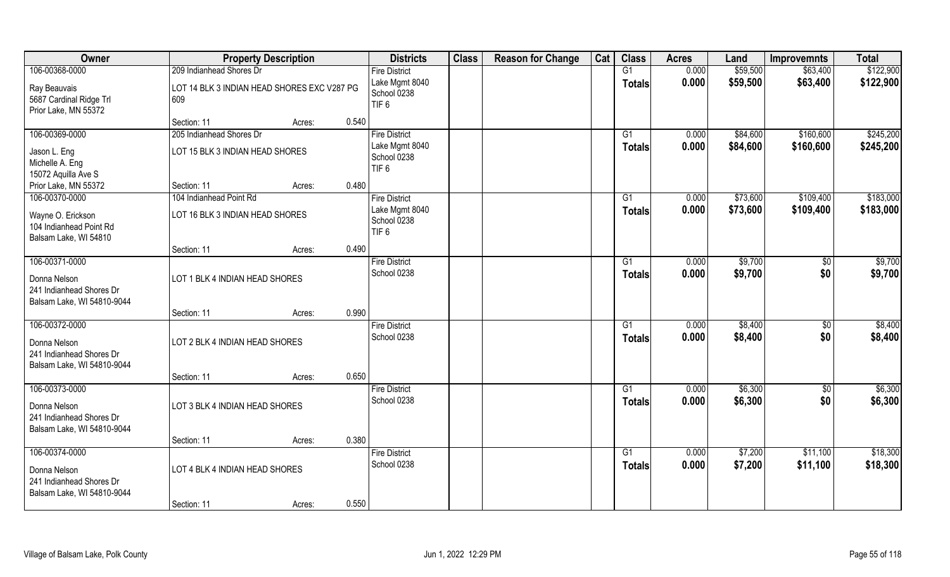| Owner                                                                                            | <b>Property Description</b>                                                                   | <b>Districts</b>                                                          | <b>Class</b> | <b>Reason for Change</b> | Cat | <b>Class</b>              | <b>Acres</b>   | Land                 | <b>Improvemnts</b>     | <b>Total</b>           |
|--------------------------------------------------------------------------------------------------|-----------------------------------------------------------------------------------------------|---------------------------------------------------------------------------|--------------|--------------------------|-----|---------------------------|----------------|----------------------|------------------------|------------------------|
| 106-00368-0000<br>Ray Beauvais<br>5687 Cardinal Ridge Trl<br>Prior Lake, MN 55372                | 209 Indianhead Shores Dr<br>LOT 14 BLK 3 INDIAN HEAD SHORES EXC V287 PG<br>609                | <b>Fire District</b><br>Lake Mgmt 8040<br>School 0238<br>TIF <sub>6</sub> |              |                          |     | G1<br><b>Totals</b>       | 0.000<br>0.000 | \$59,500<br>\$59,500 | \$63,400<br>\$63,400   | \$122,900<br>\$122,900 |
|                                                                                                  | 0.540<br>Section: 11<br>Acres:                                                                |                                                                           |              |                          |     |                           |                |                      |                        |                        |
| 106-00369-0000<br>Jason L. Eng<br>Michelle A. Eng<br>15072 Aquilla Ave S<br>Prior Lake, MN 55372 | 205 Indianhead Shores Dr<br>LOT 15 BLK 3 INDIAN HEAD SHORES<br>0.480<br>Section: 11<br>Acres: | <b>Fire District</b><br>Lake Mgmt 8040<br>School 0238<br>TIF <sub>6</sub> |              |                          |     | $\overline{G1}$<br>Totals | 0.000<br>0.000 | \$84,600<br>\$84,600 | \$160,600<br>\$160,600 | \$245,200<br>\$245,200 |
| 106-00370-0000                                                                                   | 104 Indianhead Point Rd                                                                       | <b>Fire District</b>                                                      |              |                          |     | G1                        | 0.000          | \$73,600             | \$109,400              | \$183,000              |
| Wayne O. Erickson<br>104 Indianhead Point Rd<br>Balsam Lake, WI 54810                            | LOT 16 BLK 3 INDIAN HEAD SHORES                                                               | Lake Mgmt 8040<br>School 0238<br>TIF <sub>6</sub>                         |              |                          |     | <b>Totals</b>             | 0.000          | \$73,600             | \$109,400              | \$183,000              |
|                                                                                                  | 0.490<br>Section: 11<br>Acres:                                                                |                                                                           |              |                          |     |                           |                |                      |                        |                        |
| 106-00371-0000<br>Donna Nelson<br>241 Indianhead Shores Dr<br>Balsam Lake, WI 54810-9044         | LOT 1 BLK 4 INDIAN HEAD SHORES                                                                | <b>Fire District</b><br>School 0238                                       |              |                          |     | G1<br><b>Totals</b>       | 0.000<br>0.000 | \$9,700<br>\$9,700   | $\sqrt{50}$<br>\$0     | \$9,700<br>\$9,700     |
|                                                                                                  | 0.990<br>Section: 11<br>Acres:                                                                |                                                                           |              |                          |     |                           |                |                      |                        |                        |
| 106-00372-0000<br>Donna Nelson<br>241 Indianhead Shores Dr<br>Balsam Lake, WI 54810-9044         | LOT 2 BLK 4 INDIAN HEAD SHORES                                                                | <b>Fire District</b><br>School 0238                                       |              |                          |     | $\overline{G1}$<br>Totals | 0.000<br>0.000 | \$8,400<br>\$8,400   | $\overline{50}$<br>\$0 | \$8,400<br>\$8,400     |
|                                                                                                  | 0.650<br>Section: 11<br>Acres:                                                                |                                                                           |              |                          |     |                           |                |                      |                        |                        |
| 106-00373-0000<br>Donna Nelson<br>241 Indianhead Shores Dr<br>Balsam Lake, WI 54810-9044         | LOT 3 BLK 4 INDIAN HEAD SHORES                                                                | <b>Fire District</b><br>School 0238                                       |              |                          |     | G1<br><b>Totals</b>       | 0.000<br>0.000 | \$6,300<br>\$6,300   | $\sqrt{6}$<br>\$0      | \$6,300<br>\$6,300     |
|                                                                                                  | 0.380<br>Section: 11<br>Acres:                                                                |                                                                           |              |                          |     |                           |                |                      |                        |                        |
| 106-00374-0000<br>Donna Nelson<br>241 Indianhead Shores Dr<br>Balsam Lake, WI 54810-9044         | LOT 4 BLK 4 INDIAN HEAD SHORES<br>0.550<br>Section: 11<br>Acres:                              | <b>Fire District</b><br>School 0238                                       |              |                          |     | G1<br><b>Totals</b>       | 0.000<br>0.000 | \$7,200<br>\$7,200   | \$11,100<br>\$11,100   | \$18,300<br>\$18,300   |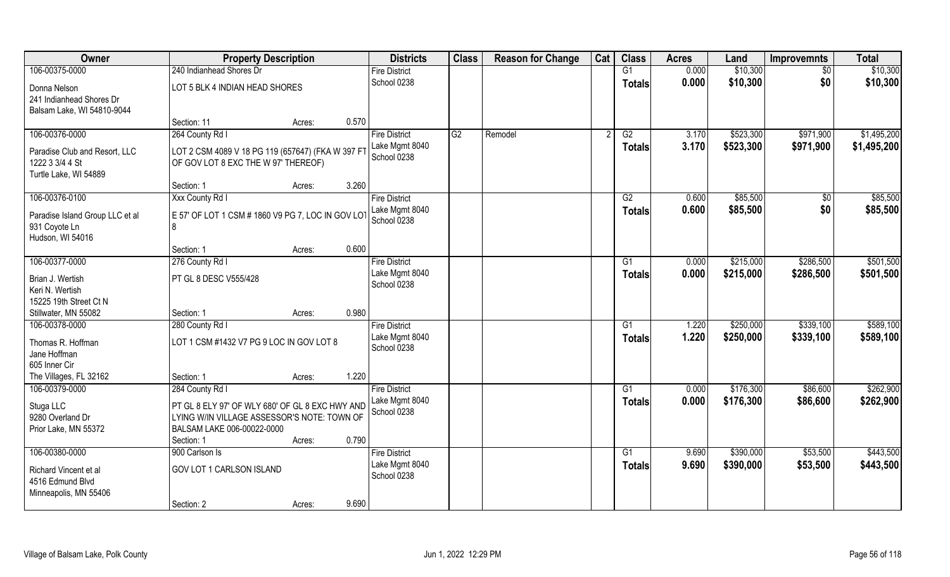| Owner                                                                                          | <b>Property Description</b>                                                                                                                |                 | <b>Districts</b>                                      | <b>Class</b> | <b>Reason for Change</b> | Cat | <b>Class</b>                     | <b>Acres</b>   | Land                   | <b>Improvemnts</b>     | <b>Total</b>               |
|------------------------------------------------------------------------------------------------|--------------------------------------------------------------------------------------------------------------------------------------------|-----------------|-------------------------------------------------------|--------------|--------------------------|-----|----------------------------------|----------------|------------------------|------------------------|----------------------------|
| 106-00375-0000                                                                                 | 240 Indianhead Shores Dr                                                                                                                   |                 | <b>Fire District</b>                                  |              |                          |     | G1                               | 0.000          | \$10,300               | $\sqrt{6}$             | \$10,300                   |
| Donna Nelson<br>241 Indianhead Shores Dr<br>Balsam Lake, WI 54810-9044                         | LOT 5 BLK 4 INDIAN HEAD SHORES                                                                                                             |                 | School 0238                                           |              |                          |     | <b>Totals</b>                    | 0.000          | \$10,300               | \$0                    | \$10,300                   |
|                                                                                                | Section: 11                                                                                                                                | 0.570<br>Acres: |                                                       |              |                          |     |                                  |                |                        |                        |                            |
| 106-00376-0000<br>Paradise Club and Resort, LLC<br>1222 3 3/4 4 St<br>Turtle Lake, WI 54889    | 264 County Rd I<br>LOT 2 CSM 4089 V 18 PG 119 (657647) (FKA W 397 FT<br>OF GOV LOT 8 EXC THE W 97' THEREOF)                                |                 | <b>Fire District</b><br>Lake Mgmt 8040<br>School 0238 | G2           | Remodel                  |     | G2<br>Totals                     | 3.170<br>3.170 | \$523,300<br>\$523,300 | \$971,900<br>\$971,900 | \$1,495,200<br>\$1,495,200 |
|                                                                                                | Section: 1                                                                                                                                 | 3.260<br>Acres: |                                                       |              |                          |     |                                  |                |                        |                        |                            |
| 106-00376-0100<br>Paradise Island Group LLC et al<br>931 Coyote Ln<br>Hudson, WI 54016         | Xxx County Rd I<br>E 57' OF LOT 1 CSM # 1860 V9 PG 7, LOC IN GOV LOT<br>8                                                                  |                 | <b>Fire District</b><br>Lake Mgmt 8040<br>School 0238 |              |                          |     | G2<br><b>Totals</b>              | 0.600<br>0.600 | \$85,500<br>\$85,500   | \$0<br>\$0             | \$85,500<br>\$85,500       |
|                                                                                                | Section: 1                                                                                                                                 | 0.600<br>Acres: |                                                       |              |                          |     |                                  |                |                        |                        |                            |
| 106-00377-0000<br>Brian J. Wertish<br>Keri N. Wertish                                          | 276 County Rd I<br>PT GL 8 DESC V555/428                                                                                                   |                 | <b>Fire District</b><br>Lake Mgmt 8040<br>School 0238 |              |                          |     | G1<br><b>Totals</b>              | 0.000<br>0.000 | \$215,000<br>\$215,000 | \$286,500<br>\$286,500 | \$501,500<br>\$501,500     |
| 15225 19th Street Ct N<br>Stillwater, MN 55082                                                 | Section: 1                                                                                                                                 | 0.980<br>Acres: |                                                       |              |                          |     |                                  |                |                        |                        |                            |
| 106-00378-0000<br>Thomas R. Hoffman<br>Jane Hoffman<br>605 Inner Cir<br>The Villages, FL 32162 | 280 County Rd I<br>LOT 1 CSM #1432 V7 PG 9 LOC IN GOV LOT 8                                                                                | 1.220           | <b>Fire District</b><br>Lake Mgmt 8040<br>School 0238 |              |                          |     | $\overline{G1}$<br><b>Totals</b> | 1.220<br>1.220 | \$250,000<br>\$250,000 | \$339,100<br>\$339,100 | \$589,100<br>\$589,100     |
| 106-00379-0000                                                                                 | Section: 1<br>284 County Rd I                                                                                                              | Acres:          | <b>Fire District</b>                                  |              |                          |     | G1                               | 0.000          | \$176,300              | \$86,600               | \$262,900                  |
| Stuga LLC<br>9280 Overland Dr<br>Prior Lake, MN 55372                                          | PT GL 8 ELY 97' OF WLY 680' OF GL 8 EXC HWY AND<br>LYING W/IN VILLAGE ASSESSOR'S NOTE: TOWN OF<br>BALSAM LAKE 006-00022-0000<br>Section: 1 | 0.790<br>Acres: | Lake Mgmt 8040<br>School 0238                         |              |                          |     | <b>Totals</b>                    | 0.000          | \$176,300              | \$86,600               | \$262,900                  |
| 106-00380-0000<br>Richard Vincent et al<br>4516 Edmund Blvd<br>Minneapolis, MN 55406           | 900 Carlson Is<br>GOV LOT 1 CARLSON ISLAND<br>Section: 2                                                                                   | 9.690<br>Acres: | <b>Fire District</b><br>Lake Mgmt 8040<br>School 0238 |              |                          |     | $\overline{G1}$<br>Totals        | 9.690<br>9.690 | \$390,000<br>\$390,000 | \$53,500<br>\$53,500   | \$443,500<br>\$443,500     |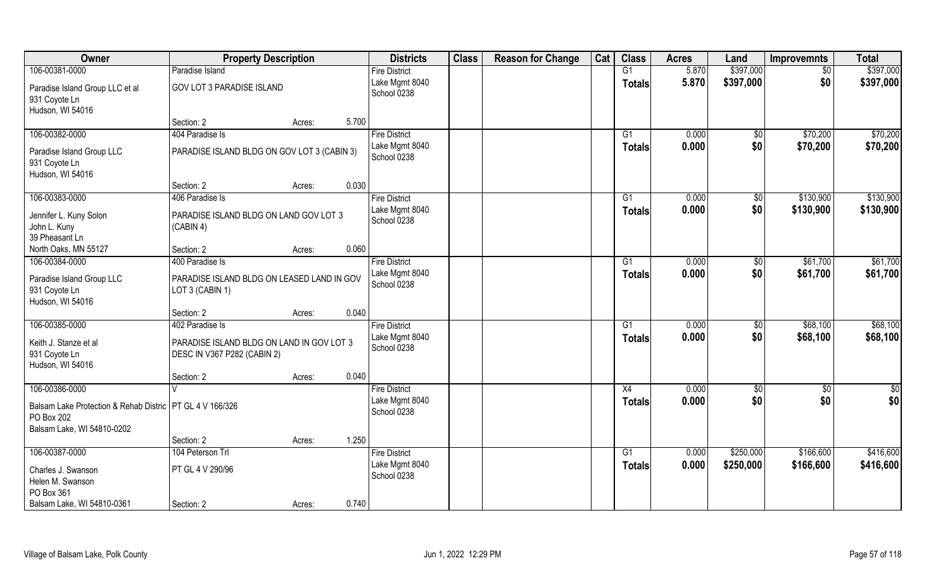| Owner                                                                                                                    | <b>Property Description</b>                                              |       | <b>Districts</b>                                      | <b>Class</b> | <b>Reason for Change</b> | Cat | <b>Class</b>        | <b>Acres</b>   | Land            | <b>Improvemnts</b>     | <b>Total</b>         |
|--------------------------------------------------------------------------------------------------------------------------|--------------------------------------------------------------------------|-------|-------------------------------------------------------|--------------|--------------------------|-----|---------------------|----------------|-----------------|------------------------|----------------------|
| 106-00381-0000                                                                                                           | Paradise Island                                                          |       | <b>Fire District</b>                                  |              |                          |     | G1                  | 5.870          | \$397,000       | $\sqrt{6}$             | \$397,000            |
| Paradise Island Group LLC et al<br>931 Coyote Ln<br>Hudson, WI 54016                                                     | <b>GOV LOT 3 PARADISE ISLAND</b>                                         |       | Lake Mgmt 8040<br>School 0238                         |              |                          |     | <b>Totals</b>       | 5.870          | \$397,000       | \$0                    | \$397,000            |
|                                                                                                                          | Section: 2<br>Acres:                                                     | 5.700 |                                                       |              |                          |     |                     |                |                 |                        |                      |
| 106-00382-0000                                                                                                           | 404 Paradise Is                                                          |       | <b>Fire District</b>                                  |              |                          |     | G1                  | 0.000          | $\overline{50}$ | \$70,200               | \$70,200             |
| Paradise Island Group LLC<br>931 Coyote Ln<br>Hudson, WI 54016                                                           | PARADISE ISLAND BLDG ON GOV LOT 3 (CABIN 3)                              |       | Lake Mgmt 8040<br>School 0238                         |              |                          |     | Totals              | 0.000          | \$0             | \$70,200               | \$70,200             |
|                                                                                                                          | Section: 2<br>Acres:                                                     | 0.030 |                                                       |              |                          |     |                     |                |                 |                        |                      |
| 106-00383-0000                                                                                                           | 406 Paradise Is                                                          |       | <b>Fire District</b>                                  |              |                          |     | G1                  | 0.000          | \$0             | \$130,900              | \$130,900            |
| Jennifer L. Kuny Solon<br>John L. Kuny<br>39 Pheasant Ln                                                                 | PARADISE ISLAND BLDG ON LAND GOV LOT 3<br>(CABIN 4)                      |       | Lake Mgmt 8040<br>School 0238                         |              |                          |     | <b>Totals</b>       | 0.000          | \$0             | \$130,900              | \$130,900            |
| North Oaks, MN 55127                                                                                                     | Section: 2<br>Acres:                                                     | 0.060 |                                                       |              |                          |     |                     |                |                 |                        |                      |
| 106-00384-0000                                                                                                           | 400 Paradise Is                                                          |       | <b>Fire District</b>                                  |              |                          |     | G1                  | 0.000          | \$0             | \$61,700               | \$61,700             |
| Paradise Island Group LLC<br>931 Coyote Ln<br>Hudson, WI 54016                                                           | PARADISE ISLAND BLDG ON LEASED LAND IN GOV<br>LOT 3 (CABIN 1)            |       | Lake Mgmt 8040<br>School 0238                         |              |                          |     | <b>Totals</b>       | 0.000          | \$0             | \$61,700               | \$61,700             |
|                                                                                                                          | Section: 2<br>Acres:                                                     | 0.040 |                                                       |              |                          |     |                     |                |                 |                        |                      |
| 106-00385-0000                                                                                                           | 402 Paradise Is                                                          |       | <b>Fire District</b>                                  |              |                          |     | $\overline{G1}$     | 0.000          | \$0             | \$68,100               | \$68,100             |
| Keith J. Stanze et al<br>931 Coyote Ln<br>Hudson, WI 54016                                                               | PARADISE ISLAND BLDG ON LAND IN GOV LOT 3<br>DESC IN V367 P282 (CABIN 2) |       | Lake Mgmt 8040<br>School 0238                         |              |                          |     | Totals              | 0.000          | \$0             | \$68,100               | \$68,100             |
|                                                                                                                          | Section: 2<br>Acres:                                                     | 0.040 |                                                       |              |                          |     |                     |                |                 |                        |                      |
| 106-00386-0000<br>Balsam Lake Protection & Rehab Distric   PT GL 4 V 166/326<br>PO Box 202<br>Balsam Lake, WI 54810-0202 |                                                                          |       | <b>Fire District</b><br>Lake Mgmt 8040<br>School 0238 |              |                          |     | X4<br><b>Totals</b> | 0.000<br>0.000 | \$0<br>\$0      | $\overline{50}$<br>\$0 | $\frac{1}{2}$<br>\$0 |
|                                                                                                                          | Section: 2<br>Acres:                                                     | 1.250 |                                                       |              |                          |     |                     |                |                 |                        |                      |
| 106-00387-0000                                                                                                           | 104 Peterson Trl                                                         |       | <b>Fire District</b>                                  |              |                          |     | G1                  | 0.000          | \$250,000       | \$166,600              | \$416,600            |
| Charles J. Swanson<br>Helen M. Swanson<br>PO Box 361                                                                     | PT GL 4 V 290/96                                                         |       | Lake Mgmt 8040<br>School 0238                         |              |                          |     | Totals              | 0.000          | \$250,000       | \$166,600              | \$416,600            |
| Balsam Lake, WI 54810-0361                                                                                               | Section: 2<br>Acres:                                                     | 0.740 |                                                       |              |                          |     |                     |                |                 |                        |                      |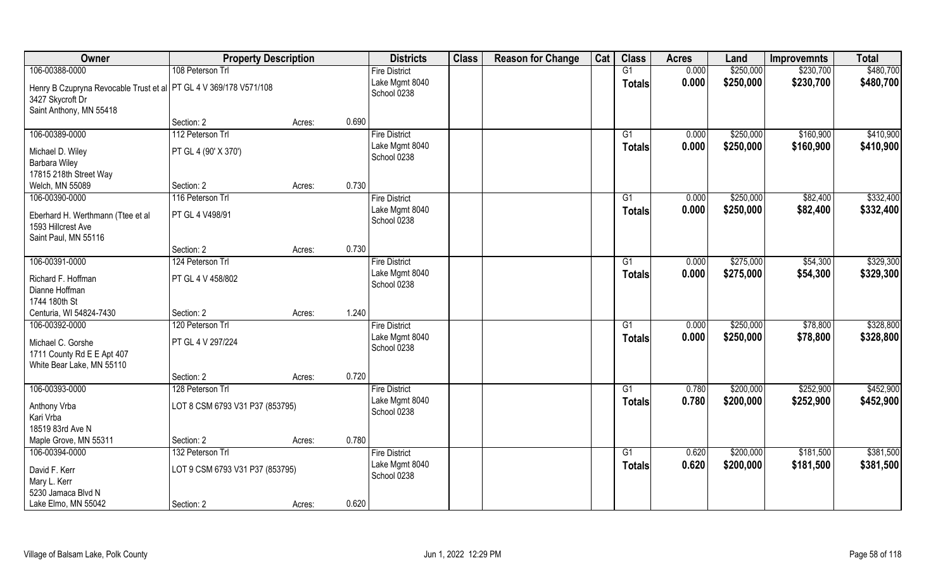| Owner                                                                                                              | <b>Property Description</b>     |        |       | <b>Districts</b>              | <b>Class</b> | <b>Reason for Change</b> | Cat | <b>Class</b>    | <b>Acres</b> | Land      | <b>Improvemnts</b> | <b>Total</b> |
|--------------------------------------------------------------------------------------------------------------------|---------------------------------|--------|-------|-------------------------------|--------------|--------------------------|-----|-----------------|--------------|-----------|--------------------|--------------|
| 106-00388-0000                                                                                                     | 108 Peterson Trl                |        |       | <b>Fire District</b>          |              |                          |     | $\overline{G1}$ | 0.000        | \$250,000 | \$230,700          | \$480,700    |
| Henry B Czupryna Revocable Trust et al   PT GL 4 V 369/178 V571/108<br>3427 Skycroft Dr<br>Saint Anthony, MN 55418 |                                 |        |       | Lake Mgmt 8040<br>School 0238 |              |                          |     | <b>Totals</b>   | 0.000        | \$250,000 | \$230,700          | \$480,700    |
|                                                                                                                    | Section: 2                      | Acres: | 0.690 |                               |              |                          |     |                 |              |           |                    |              |
| 106-00389-0000                                                                                                     | 112 Peterson Trl                |        |       | <b>Fire District</b>          |              |                          |     | $\overline{G1}$ | 0.000        | \$250,000 | \$160,900          | \$410,900    |
| Michael D. Wiley<br>Barbara Wiley                                                                                  | PT GL 4 (90' X 370')            |        |       | Lake Mgmt 8040<br>School 0238 |              |                          |     | <b>Totals</b>   | 0.000        | \$250,000 | \$160,900          | \$410,900    |
| 17815 218th Street Way                                                                                             |                                 |        |       |                               |              |                          |     |                 |              |           |                    |              |
| Welch, MN 55089                                                                                                    | Section: 2                      | Acres: | 0.730 |                               |              |                          |     |                 |              |           |                    |              |
| 106-00390-0000                                                                                                     | 116 Peterson Trl                |        |       | <b>Fire District</b>          |              |                          |     | G1              | 0.000        | \$250,000 | \$82,400           | \$332,400    |
| Eberhard H. Werthmann (Ttee et al<br>1593 Hillcrest Ave<br>Saint Paul, MN 55116                                    | PT GL 4 V498/91                 |        |       | Lake Mgmt 8040<br>School 0238 |              |                          |     | <b>Totals</b>   | 0.000        | \$250,000 | \$82,400           | \$332,400    |
|                                                                                                                    | Section: 2                      | Acres: | 0.730 |                               |              |                          |     |                 |              |           |                    |              |
| 106-00391-0000                                                                                                     | 124 Peterson Trl                |        |       | <b>Fire District</b>          |              |                          |     | G1              | 0.000        | \$275,000 | \$54,300           | \$329,300    |
| Richard F. Hoffman<br>Dianne Hoffman                                                                               | PT GL 4 V 458/802               |        |       | Lake Mgmt 8040<br>School 0238 |              |                          |     | <b>Totals</b>   | 0.000        | \$275,000 | \$54,300           | \$329,300    |
| 1744 180th St                                                                                                      |                                 |        |       |                               |              |                          |     |                 |              |           |                    |              |
| Centuria, WI 54824-7430                                                                                            | Section: 2                      | Acres: | 1.240 |                               |              |                          |     |                 |              |           |                    |              |
| 106-00392-0000                                                                                                     | 120 Peterson Trl                |        |       | <b>Fire District</b>          |              |                          |     | G1              | 0.000        | \$250,000 | \$78,800           | \$328,800    |
| Michael C. Gorshe<br>1711 County Rd E E Apt 407<br>White Bear Lake, MN 55110                                       | PT GL 4 V 297/224               |        |       | Lake Mgmt 8040<br>School 0238 |              |                          |     | <b>Totals</b>   | 0.000        | \$250,000 | \$78,800           | \$328,800    |
|                                                                                                                    | Section: 2                      | Acres: | 0.720 |                               |              |                          |     |                 |              |           |                    |              |
| 106-00393-0000                                                                                                     | 128 Peterson Trl                |        |       | <b>Fire District</b>          |              |                          |     | G1              | 0.780        | \$200,000 | \$252,900          | \$452,900    |
| Anthony Vrba<br>Kari Vrba<br>18519 83rd Ave N                                                                      | LOT 8 CSM 6793 V31 P37 (853795) |        |       | Lake Mgmt 8040<br>School 0238 |              |                          |     | <b>Totals</b>   | 0.780        | \$200,000 | \$252,900          | \$452,900    |
| Maple Grove, MN 55311                                                                                              | Section: 2                      | Acres: | 0.780 |                               |              |                          |     |                 |              |           |                    |              |
| 106-00394-0000                                                                                                     | 132 Peterson Trl                |        |       | <b>Fire District</b>          |              |                          |     | G1              | 0.620        | \$200,000 | \$181,500          | \$381,500    |
| David F. Kerr<br>Mary L. Kerr<br>5230 Jamaca Blvd N                                                                | LOT 9 CSM 6793 V31 P37 (853795) |        |       | Lake Mgmt 8040<br>School 0238 |              |                          |     | <b>Totals</b>   | 0.620        | \$200,000 | \$181,500          | \$381,500    |
| Lake Elmo, MN 55042                                                                                                | Section: 2                      | Acres: | 0.620 |                               |              |                          |     |                 |              |           |                    |              |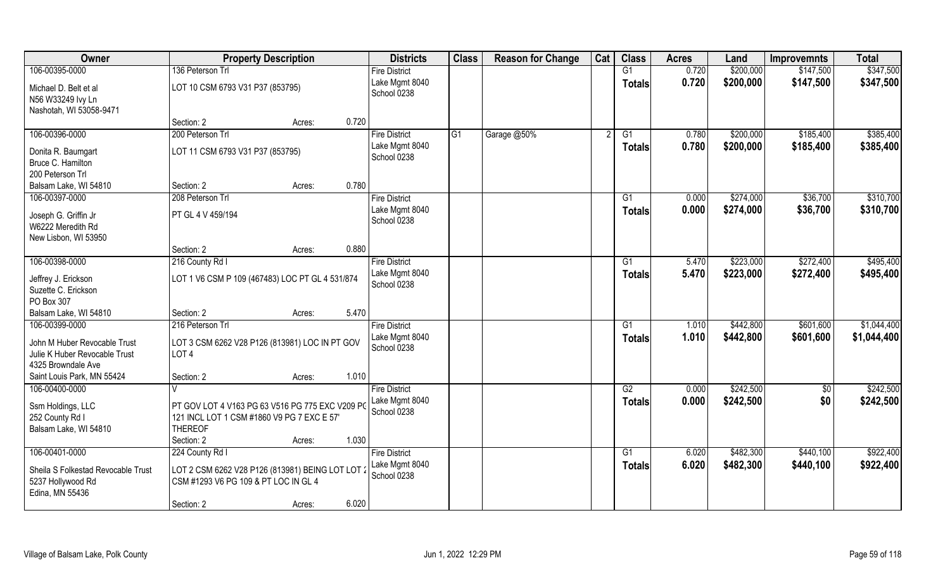| Owner                                                                           | <b>Property Description</b>                                                                                                             |       | <b>Districts</b>                                      | <b>Class</b> | <b>Reason for Change</b> | Cat | <b>Class</b>              | <b>Acres</b>   | Land                   | <b>Improvemnts</b>     | <b>Total</b>               |
|---------------------------------------------------------------------------------|-----------------------------------------------------------------------------------------------------------------------------------------|-------|-------------------------------------------------------|--------------|--------------------------|-----|---------------------------|----------------|------------------------|------------------------|----------------------------|
| 106-00395-0000                                                                  | 136 Peterson Trl                                                                                                                        |       | <b>Fire District</b>                                  |              |                          |     | G1                        | 0.720          | \$200,000              | \$147,500              | \$347,500                  |
| Michael D. Belt et al<br>N56 W33249 Ivy Ln<br>Nashotah, WI 53058-9471           | LOT 10 CSM 6793 V31 P37 (853795)                                                                                                        |       | Lake Mgmt 8040<br>School 0238                         |              |                          |     | <b>Totals</b>             | 0.720          | \$200,000              | \$147,500              | \$347,500                  |
|                                                                                 | Section: 2<br>Acres:                                                                                                                    | 0.720 |                                                       |              |                          |     |                           |                |                        |                        |                            |
| 106-00396-0000                                                                  | 200 Peterson Trl                                                                                                                        |       | <b>Fire District</b><br>Lake Mgmt 8040                | G1           | Garage @50%              |     | G1<br><b>Totals</b>       | 0.780<br>0.780 | \$200,000<br>\$200,000 | \$185,400<br>\$185,400 | \$385,400<br>\$385,400     |
| Donita R. Baumgart<br>Bruce C. Hamilton<br>200 Peterson Trl                     | LOT 11 CSM 6793 V31 P37 (853795)                                                                                                        |       | School 0238                                           |              |                          |     |                           |                |                        |                        |                            |
| Balsam Lake, WI 54810                                                           | Section: 2<br>Acres:                                                                                                                    | 0.780 |                                                       |              |                          |     |                           |                |                        |                        |                            |
| 106-00397-0000                                                                  | 208 Peterson Trl                                                                                                                        |       | <b>Fire District</b>                                  |              |                          |     | G1                        | 0.000          | \$274,000              | \$36,700               | \$310,700                  |
| Joseph G. Griffin Jr<br>W6222 Meredith Rd<br>New Lisbon, WI 53950               | PT GL 4 V 459/194                                                                                                                       |       | Lake Mgmt 8040<br>School 0238                         |              |                          |     | <b>Totals</b>             | 0.000          | \$274,000              | \$36,700               | \$310,700                  |
|                                                                                 | Section: 2<br>Acres:                                                                                                                    | 0.880 |                                                       |              |                          |     |                           |                |                        |                        |                            |
| 106-00398-0000                                                                  | 216 County Rd I                                                                                                                         |       | <b>Fire District</b>                                  |              |                          |     | G1                        | 5.470          | \$223,000              | \$272,400              | \$495,400                  |
| Jeffrey J. Erickson<br>Suzette C. Erickson<br>PO Box 307                        | LOT 1 V6 CSM P 109 (467483) LOC PT GL 4 531/874                                                                                         |       | Lake Mgmt 8040<br>School 0238                         |              |                          |     | <b>Totals</b>             | 5.470          | \$223,000              | \$272,400              | \$495,400                  |
| Balsam Lake, WI 54810                                                           | Section: 2<br>Acres:                                                                                                                    | 5.470 |                                                       |              |                          |     |                           |                |                        |                        |                            |
| 106-00399-0000<br>John M Huber Revocable Trust<br>Julie K Huber Revocable Trust | 216 Peterson Trl<br>LOT 3 CSM 6262 V28 P126 (813981) LOC IN PT GOV<br>LOT <sub>4</sub>                                                  |       | <b>Fire District</b><br>Lake Mgmt 8040<br>School 0238 |              |                          |     | $\overline{G1}$<br>Totals | 1.010<br>1.010 | \$442,800<br>\$442,800 | \$601,600<br>\$601,600 | \$1,044,400<br>\$1,044,400 |
| 4325 Browndale Ave<br>Saint Louis Park, MN 55424                                | Section: 2<br>Acres:                                                                                                                    | 1.010 |                                                       |              |                          |     |                           |                |                        |                        |                            |
| 106-00400-0000                                                                  |                                                                                                                                         |       | <b>Fire District</b>                                  |              |                          |     | G2                        | 0.000          | \$242,500              | $\overline{50}$        | \$242,500                  |
| Ssm Holdings, LLC<br>252 County Rd I<br>Balsam Lake, WI 54810                   | PT GOV LOT 4 V163 PG 63 V516 PG 775 EXC V209 PC<br>121 INCL LOT 1 CSM #1860 V9 PG 7 EXC E 57'<br><b>THEREOF</b><br>Section: 2<br>Acres: | 1.030 | Lake Mgmt 8040<br>School 0238                         |              |                          |     | <b>Totals</b>             | 0.000          | \$242,500              | \$0                    | \$242,500                  |
| 106-00401-0000                                                                  | 224 County Rd I                                                                                                                         |       | <b>Fire District</b>                                  |              |                          |     | G1                        | 6.020          | \$482,300              | \$440,100              | \$922,400                  |
| Sheila S Folkestad Revocable Trust<br>5237 Hollywood Rd<br>Edina, MN 55436      | LOT 2 CSM 6262 V28 P126 (813981) BEING LOT LOT 2<br>CSM #1293 V6 PG 109 & PT LOC IN GL 4                                                |       | Lake Mgmt 8040<br>School 0238                         |              |                          |     | <b>Totals</b>             | 6.020          | \$482,300              | \$440,100              | \$922,400                  |
|                                                                                 | Section: 2<br>Acres:                                                                                                                    | 6.020 |                                                       |              |                          |     |                           |                |                        |                        |                            |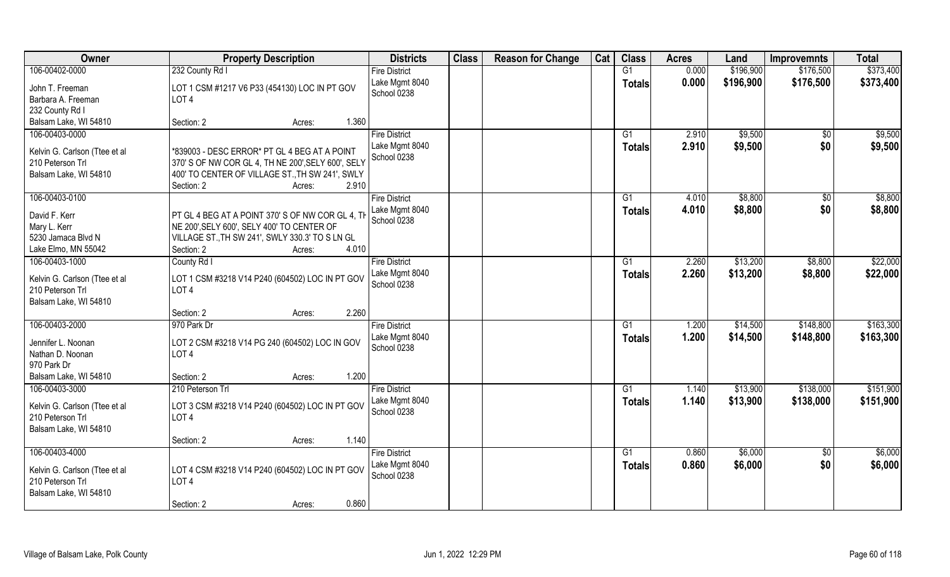| Owner                                             | <b>Property Description</b>                        | <b>Districts</b>     | <b>Class</b> | <b>Reason for Change</b> | Cat | <b>Class</b>  | <b>Acres</b> | Land      | <b>Improvemnts</b> | <b>Total</b> |
|---------------------------------------------------|----------------------------------------------------|----------------------|--------------|--------------------------|-----|---------------|--------------|-----------|--------------------|--------------|
| 106-00402-0000                                    | 232 County Rd I                                    | <b>Fire District</b> |              |                          |     | G1            | 0.000        | \$196,900 | \$176,500          | \$373,400    |
| John T. Freeman                                   | LOT 1 CSM #1217 V6 P33 (454130) LOC IN PT GOV      | Lake Mgmt 8040       |              |                          |     | <b>Totals</b> | 0.000        | \$196,900 | \$176,500          | \$373,400    |
| Barbara A. Freeman                                | LOT <sub>4</sub>                                   | School 0238          |              |                          |     |               |              |           |                    |              |
| 232 County Rd I                                   |                                                    |                      |              |                          |     |               |              |           |                    |              |
| Balsam Lake, WI 54810                             | 1.360<br>Section: 2<br>Acres:                      |                      |              |                          |     |               |              |           |                    |              |
| 106-00403-0000                                    |                                                    | <b>Fire District</b> |              |                          |     | G1            | 2.910        | \$9,500   | \$0                | \$9,500      |
|                                                   |                                                    | Lake Mgmt 8040       |              |                          |     | Totals        | 2.910        | \$9,500   | \$0                | \$9,500      |
| Kelvin G. Carlson (Ttee et al                     | *839003 - DESC ERROR* PT GL 4 BEG AT A POINT       | School 0238          |              |                          |     |               |              |           |                    |              |
| 210 Peterson Trl                                  | 370' S OF NW COR GL 4, TH NE 200', SELY 600', SELY |                      |              |                          |     |               |              |           |                    |              |
| Balsam Lake, WI 54810                             | 400' TO CENTER OF VILLAGE ST., TH SW 241', SWLY    |                      |              |                          |     |               |              |           |                    |              |
|                                                   | Section: 2<br>2.910<br>Acres:                      |                      |              |                          |     |               |              |           |                    |              |
| 106-00403-0100                                    |                                                    | <b>Fire District</b> |              |                          |     | G1            | 4.010        | \$8,800   | \$0                | \$8,800      |
| David F. Kerr                                     | PT GL 4 BEG AT A POINT 370' S OF NW COR GL 4, TH   | Lake Mgmt 8040       |              |                          |     | <b>Totals</b> | 4.010        | \$8,800   | \$0                | \$8,800      |
| Mary L. Kerr                                      | NE 200', SELY 600', SELY 400' TO CENTER OF         | School 0238          |              |                          |     |               |              |           |                    |              |
| 5230 Jamaca Blvd N                                | VILLAGE ST., TH SW 241', SWLY 330.3' TO S LN GL    |                      |              |                          |     |               |              |           |                    |              |
| Lake Elmo, MN 55042                               | 4.010<br>Section: 2<br>Acres:                      |                      |              |                          |     |               |              |           |                    |              |
| 106-00403-1000                                    | County Rd I                                        | <b>Fire District</b> |              |                          |     | G1            | 2.260        | \$13,200  | \$8,800            | \$22,000     |
|                                                   |                                                    | Lake Mgmt 8040       |              |                          |     | <b>Totals</b> | 2.260        | \$13,200  | \$8,800            | \$22,000     |
| Kelvin G. Carlson (Ttee et al                     | LOT 1 CSM #3218 V14 P240 (604502) LOC IN PT GOV    | School 0238          |              |                          |     |               |              |           |                    |              |
| 210 Peterson Trl                                  | LOT <sub>4</sub>                                   |                      |              |                          |     |               |              |           |                    |              |
| Balsam Lake, WI 54810                             |                                                    |                      |              |                          |     |               |              |           |                    |              |
|                                                   | 2.260<br>Section: 2<br>Acres:                      |                      |              |                          |     |               |              |           |                    |              |
| 106-00403-2000                                    | 970 Park Dr                                        | <b>Fire District</b> |              |                          |     | G1            | 1.200        | \$14,500  | \$148,800          | \$163,300    |
| Jennifer L. Noonan                                | LOT 2 CSM #3218 V14 PG 240 (604502) LOC IN GOV     | Lake Mgmt 8040       |              |                          |     | <b>Totals</b> | 1.200        | \$14,500  | \$148,800          | \$163,300    |
| Nathan D. Noonan                                  | LOT <sub>4</sub>                                   | School 0238          |              |                          |     |               |              |           |                    |              |
| 970 Park Dr                                       |                                                    |                      |              |                          |     |               |              |           |                    |              |
| Balsam Lake, WI 54810                             | 1.200<br>Section: 2<br>Acres:                      |                      |              |                          |     |               |              |           |                    |              |
| 106-00403-3000                                    | 210 Peterson Trl                                   | <b>Fire District</b> |              |                          |     | G1            | 1.140        | \$13,900  | \$138,000          | \$151,900    |
|                                                   | LOT 3 CSM #3218 V14 P240 (604502) LOC IN PT GOV    | Lake Mgmt 8040       |              |                          |     | <b>Totals</b> | 1.140        | \$13,900  | \$138,000          | \$151,900    |
| Kelvin G. Carlson (Ttee et al<br>210 Peterson Trl | LOT <sub>4</sub>                                   | School 0238          |              |                          |     |               |              |           |                    |              |
| Balsam Lake, WI 54810                             |                                                    |                      |              |                          |     |               |              |           |                    |              |
|                                                   | 1.140<br>Section: 2<br>Acres:                      |                      |              |                          |     |               |              |           |                    |              |
| 106-00403-4000                                    |                                                    | <b>Fire District</b> |              |                          |     | G1            | 0.860        | \$6,000   | $\overline{50}$    | \$6,000      |
|                                                   |                                                    | Lake Mgmt 8040       |              |                          |     |               | 0.860        | \$6,000   | \$0                | \$6,000      |
| Kelvin G. Carlson (Ttee et al                     | LOT 4 CSM #3218 V14 P240 (604502) LOC IN PT GOV    | School 0238          |              |                          |     | Totals        |              |           |                    |              |
| 210 Peterson Trl                                  | LOT <sub>4</sub>                                   |                      |              |                          |     |               |              |           |                    |              |
| Balsam Lake, WI 54810                             |                                                    |                      |              |                          |     |               |              |           |                    |              |
|                                                   | 0.860<br>Section: 2<br>Acres:                      |                      |              |                          |     |               |              |           |                    |              |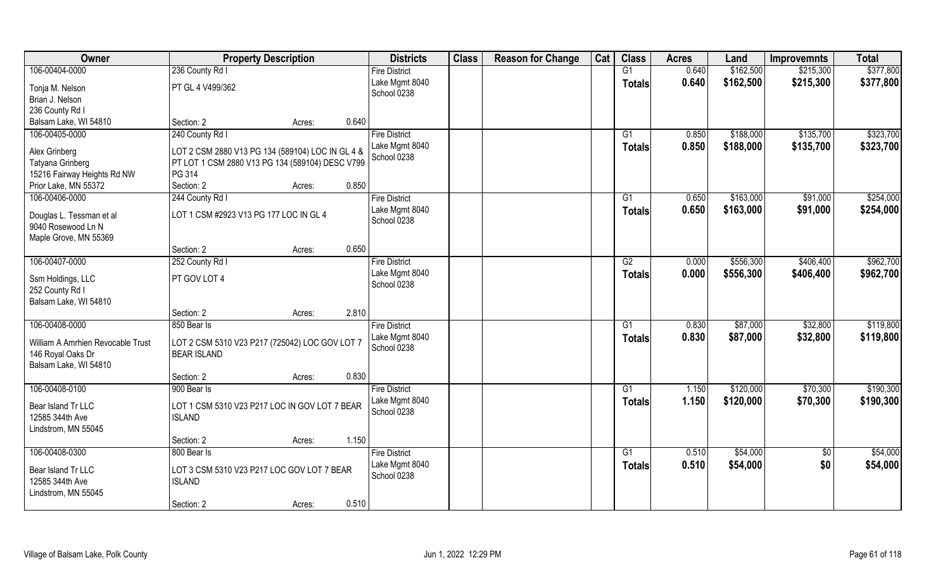| Owner                                 | <b>Property Description</b>                      |        |       | <b>Districts</b>     | <b>Class</b> | <b>Reason for Change</b> | Cat | <b>Class</b>    | <b>Acres</b> | Land      | <b>Improvemnts</b> | <b>Total</b> |
|---------------------------------------|--------------------------------------------------|--------|-------|----------------------|--------------|--------------------------|-----|-----------------|--------------|-----------|--------------------|--------------|
| 106-00404-0000                        | 236 County Rd I                                  |        |       | <b>Fire District</b> |              |                          |     | G1              | 0.640        | \$162,500 | \$215,300          | \$377,800    |
| Tonja M. Nelson                       | PT GL 4 V499/362                                 |        |       | Lake Mgmt 8040       |              |                          |     | <b>Totals</b>   | 0.640        | \$162,500 | \$215,300          | \$377,800    |
| Brian J. Nelson                       |                                                  |        |       | School 0238          |              |                          |     |                 |              |           |                    |              |
| 236 County Rd I                       |                                                  |        |       |                      |              |                          |     |                 |              |           |                    |              |
| Balsam Lake, WI 54810                 | Section: 2                                       | Acres: | 0.640 |                      |              |                          |     |                 |              |           |                    |              |
| 106-00405-0000                        | 240 County Rd I                                  |        |       | <b>Fire District</b> |              |                          |     | G <sub>1</sub>  | 0.850        | \$188,000 | \$135,700          | \$323,700    |
|                                       |                                                  |        |       | Lake Mgmt 8040       |              |                          |     | Totals          | 0.850        | \$188,000 | \$135,700          | \$323,700    |
| Alex Grinberg                         | LOT 2 CSM 2880 V13 PG 134 (589104) LOC IN GL 4 & |        |       | School 0238          |              |                          |     |                 |              |           |                    |              |
| Tatyana Grinberg                      | PT LOT 1 CSM 2880 V13 PG 134 (589104) DESC V799  |        |       |                      |              |                          |     |                 |              |           |                    |              |
| 15216 Fairway Heights Rd NW           | PG 314                                           |        |       |                      |              |                          |     |                 |              |           |                    |              |
| Prior Lake, MN 55372                  | Section: 2                                       | Acres: | 0.850 |                      |              |                          |     |                 |              |           |                    |              |
| 106-00406-0000                        | 244 County Rd I                                  |        |       | <b>Fire District</b> |              |                          |     | G1              | 0.650        | \$163,000 | \$91,000           | \$254,000    |
| Douglas L. Tessman et al              | LOT 1 CSM #2923 V13 PG 177 LOC IN GL 4           |        |       | Lake Mgmt 8040       |              |                          |     | <b>Totals</b>   | 0.650        | \$163,000 | \$91,000           | \$254,000    |
| 9040 Rosewood Ln N                    |                                                  |        |       | School 0238          |              |                          |     |                 |              |           |                    |              |
| Maple Grove, MN 55369                 |                                                  |        |       |                      |              |                          |     |                 |              |           |                    |              |
|                                       | Section: 2                                       | Acres: | 0.650 |                      |              |                          |     |                 |              |           |                    |              |
| 106-00407-0000                        | 252 County Rd I                                  |        |       | <b>Fire District</b> |              |                          |     | G2              | 0.000        | \$556,300 | \$406,400          | \$962,700    |
|                                       |                                                  |        |       | Lake Mgmt 8040       |              |                          |     |                 | 0.000        | \$556,300 | \$406,400          | \$962,700    |
| Ssm Holdings, LLC                     | PT GOV LOT 4                                     |        |       | School 0238          |              |                          |     | <b>Totals</b>   |              |           |                    |              |
| 252 County Rd I                       |                                                  |        |       |                      |              |                          |     |                 |              |           |                    |              |
| Balsam Lake, WI 54810                 |                                                  |        |       |                      |              |                          |     |                 |              |           |                    |              |
|                                       | Section: 2                                       | Acres: | 2.810 |                      |              |                          |     |                 |              |           |                    |              |
| 106-00408-0000                        | 850 Bear Is                                      |        |       | <b>Fire District</b> |              |                          |     | G1              | 0.830        | \$87,000  | \$32,800           | \$119,800    |
| William A Amrhien Revocable Trust     | LOT 2 CSM 5310 V23 P217 (725042) LOC GOV LOT 7   |        |       | Lake Mgmt 8040       |              |                          |     | <b>Totals</b>   | 0.830        | \$87,000  | \$32,800           | \$119,800    |
| 146 Royal Oaks Dr                     | <b>BEAR ISLAND</b>                               |        |       | School 0238          |              |                          |     |                 |              |           |                    |              |
| Balsam Lake, WI 54810                 |                                                  |        |       |                      |              |                          |     |                 |              |           |                    |              |
|                                       | Section: 2                                       | Acres: | 0.830 |                      |              |                          |     |                 |              |           |                    |              |
| 106-00408-0100                        | 900 Bear Is                                      |        |       | <b>Fire District</b> |              |                          |     | $\overline{G1}$ | 1.150        | \$120,000 | \$70,300           | \$190,300    |
|                                       |                                                  |        |       | Lake Mgmt 8040       |              |                          |     |                 | 1.150        | \$120,000 |                    |              |
| Bear Island Tr LLC                    | LOT 1 CSM 5310 V23 P217 LOC IN GOV LOT 7 BEAR    |        |       | School 0238          |              |                          |     | <b>Totals</b>   |              |           | \$70,300           | \$190,300    |
| 12585 344th Ave                       | <b>ISLAND</b>                                    |        |       |                      |              |                          |     |                 |              |           |                    |              |
| Lindstrom, MN 55045                   |                                                  |        |       |                      |              |                          |     |                 |              |           |                    |              |
|                                       | Section: 2                                       | Acres: | 1.150 |                      |              |                          |     |                 |              |           |                    |              |
| 106-00408-0300                        | 800 Bear Is                                      |        |       | <b>Fire District</b> |              |                          |     | G1              | 0.510        | \$54,000  | $\overline{50}$    | \$54,000     |
|                                       | LOT 3 CSM 5310 V23 P217 LOC GOV LOT 7 BEAR       |        |       | Lake Mgmt 8040       |              |                          |     | <b>Totals</b>   | 0.510        | \$54,000  | \$0                | \$54,000     |
| Bear Island Tr LLC<br>12585 344th Ave | <b>ISLAND</b>                                    |        |       | School 0238          |              |                          |     |                 |              |           |                    |              |
| Lindstrom, MN 55045                   |                                                  |        |       |                      |              |                          |     |                 |              |           |                    |              |
|                                       | Section: 2                                       |        | 0.510 |                      |              |                          |     |                 |              |           |                    |              |
|                                       |                                                  | Acres: |       |                      |              |                          |     |                 |              |           |                    |              |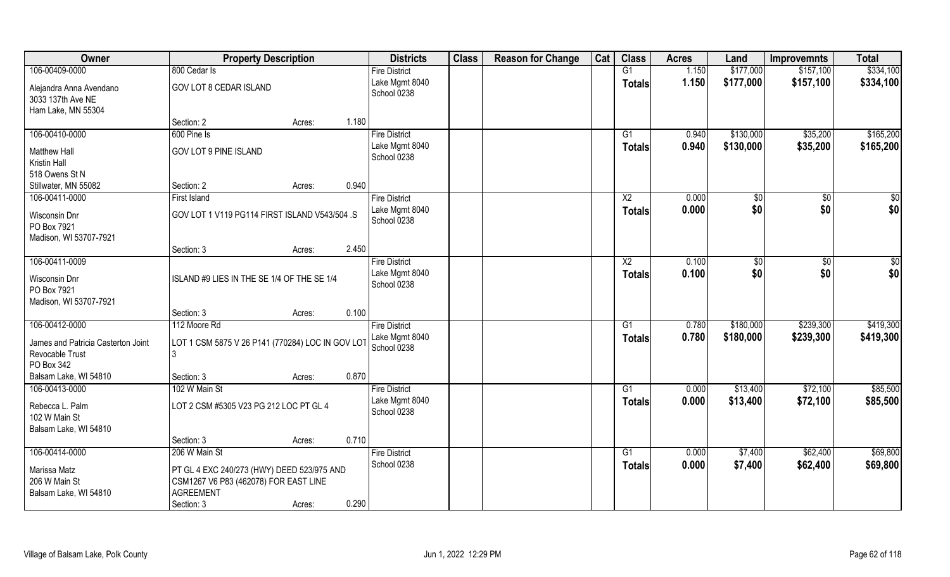| Owner                                                               | <b>Property Description</b>                                                                             |        | <b>Districts</b>              | <b>Class</b> | <b>Reason for Change</b> | Cat | <b>Class</b>    | <b>Acres</b> | Land          | <b>Improvemnts</b> | <b>Total</b>    |
|---------------------------------------------------------------------|---------------------------------------------------------------------------------------------------------|--------|-------------------------------|--------------|--------------------------|-----|-----------------|--------------|---------------|--------------------|-----------------|
| 106-00409-0000                                                      | 800 Cedar Is                                                                                            |        | <b>Fire District</b>          |              |                          |     | G1              | 1.150        | \$177,000     | \$157,100          | \$334,100       |
| Alejandra Anna Avendano<br>3033 137th Ave NE                        | GOV LOT 8 CEDAR ISLAND                                                                                  |        | Lake Mgmt 8040<br>School 0238 |              |                          |     | <b>Totals</b>   | 1.150        | \$177,000     | \$157,100          | \$334,100       |
| Ham Lake, MN 55304                                                  | Section: 2                                                                                              | Acres: | 1.180                         |              |                          |     |                 |              |               |                    |                 |
| 106-00410-0000                                                      | 600 Pine Is                                                                                             |        | <b>Fire District</b>          |              |                          |     | $\overline{G1}$ | 0.940        | \$130,000     | \$35,200           | \$165,200       |
| <b>Matthew Hall</b><br>Kristin Hall                                 | <b>GOV LOT 9 PINE ISLAND</b>                                                                            |        | Lake Mgmt 8040<br>School 0238 |              |                          |     | Totals          | 0.940        | \$130,000     | \$35,200           | \$165,200       |
| 518 Owens St N                                                      |                                                                                                         |        |                               |              |                          |     |                 |              |               |                    |                 |
| Stillwater, MN 55082                                                | Section: 2                                                                                              | Acres: | 0.940                         |              |                          |     |                 |              |               |                    |                 |
| 106-00411-0000                                                      | <b>First Island</b>                                                                                     |        | <b>Fire District</b>          |              |                          |     | $\overline{X2}$ | 0.000        | \$0           | $\overline{50}$    | $\overline{50}$ |
| Wisconsin Dnr<br>PO Box 7921<br>Madison, WI 53707-7921              | GOV LOT 1 V119 PG114 FIRST ISLAND V543/504 .S                                                           |        | Lake Mgmt 8040<br>School 0238 |              |                          |     | <b>Totals</b>   | 0.000        | \$0           | \$0                | \$0             |
|                                                                     | Section: 3                                                                                              | Acres: | 2.450                         |              |                          |     |                 |              |               |                    |                 |
| 106-00411-0009                                                      |                                                                                                         |        | <b>Fire District</b>          |              |                          |     | X <sub>2</sub>  | 0.100        | $\sqrt[6]{3}$ | \$0                | \$0             |
| Wisconsin Dnr<br>PO Box 7921<br>Madison, WI 53707-7921              | ISLAND #9 LIES IN THE SE 1/4 OF THE SE 1/4                                                              |        | Lake Mgmt 8040<br>School 0238 |              |                          |     | <b>Totals</b>   | 0.100        | \$0           | \$0                | \$0             |
|                                                                     | Section: 3                                                                                              | Acres: | 0.100                         |              |                          |     |                 |              |               |                    |                 |
| 106-00412-0000                                                      | 112 Moore Rd                                                                                            |        | <b>Fire District</b>          |              |                          |     | $\overline{G1}$ | 0.780        | \$180,000     | \$239,300          | \$419,300       |
| James and Patricia Casterton Joint<br>Revocable Trust<br>PO Box 342 | LOT 1 CSM 5875 V 26 P141 (770284) LOC IN GOV LOT<br>3                                                   |        | Lake Mgmt 8040<br>School 0238 |              |                          |     | Totals          | 0.780        | \$180,000     | \$239,300          | \$419,300       |
| Balsam Lake, WI 54810                                               | Section: 3                                                                                              | Acres: | 0.870                         |              |                          |     |                 |              |               |                    |                 |
| 106-00413-0000                                                      | 102 W Main St                                                                                           |        | <b>Fire District</b>          |              |                          |     | G1              | 0.000        | \$13,400      | \$72,100           | \$85,500        |
| Rebecca L. Palm<br>102 W Main St<br>Balsam Lake, WI 54810           | LOT 2 CSM #5305 V23 PG 212 LOC PT GL 4                                                                  |        | Lake Mgmt 8040<br>School 0238 |              |                          |     | <b>Totals</b>   | 0.000        | \$13,400      | \$72,100           | \$85,500        |
|                                                                     | Section: 3                                                                                              | Acres: | 0.710                         |              |                          |     |                 |              |               |                    |                 |
| 106-00414-0000                                                      | 206 W Main St                                                                                           |        | <b>Fire District</b>          |              |                          |     | G1              | 0.000        | \$7,400       | \$62,400           | \$69,800        |
| Marissa Matz<br>206 W Main St<br>Balsam Lake, WI 54810              | PT GL 4 EXC 240/273 (HWY) DEED 523/975 AND<br>CSM1267 V6 P83 (462078) FOR EAST LINE<br><b>AGREEMENT</b> |        | School 0238                   |              |                          |     | <b>Totals</b>   | 0.000        | \$7,400       | \$62,400           | \$69,800        |
|                                                                     | Section: 3                                                                                              | Acres: | 0.290                         |              |                          |     |                 |              |               |                    |                 |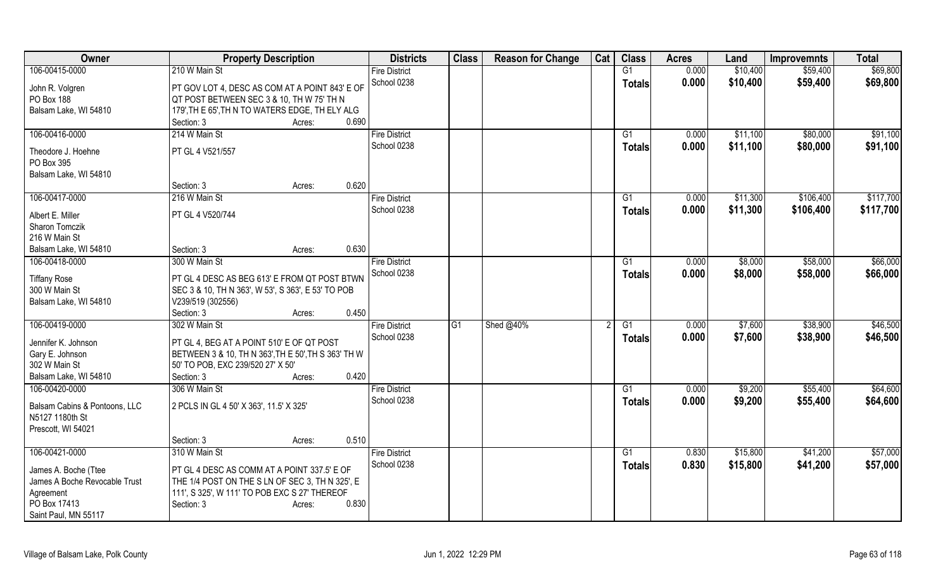| Owner                         | <b>Property Description</b>                         |        |       | <b>Districts</b>     | <b>Class</b> | <b>Reason for Change</b> | Cat | <b>Class</b>    | <b>Acres</b> | Land     | <b>Improvemnts</b> | <b>Total</b> |
|-------------------------------|-----------------------------------------------------|--------|-------|----------------------|--------------|--------------------------|-----|-----------------|--------------|----------|--------------------|--------------|
| 106-00415-0000                | 210 W Main St                                       |        |       | <b>Fire District</b> |              |                          |     | $\overline{G1}$ | 0.000        | \$10,400 | \$59,400           | \$69,800     |
| John R. Volgren               | PT GOV LOT 4, DESC AS COM AT A POINT 843' E OF      |        |       | School 0238          |              |                          |     | <b>Totals</b>   | 0.000        | \$10,400 | \$59,400           | \$69,800     |
| PO Box 188                    | QT POST BETWEEN SEC 3 & 10, TH W 75' TH N           |        |       |                      |              |                          |     |                 |              |          |                    |              |
| Balsam Lake, WI 54810         | 179', TH E 65', TH N TO WATERS EDGE, TH ELY ALG     |        |       |                      |              |                          |     |                 |              |          |                    |              |
|                               | Section: 3                                          | Acres: | 0.690 |                      |              |                          |     |                 |              |          |                    |              |
| 106-00416-0000                | 214 W Main St                                       |        |       | <b>Fire District</b> |              |                          |     | G1              | 0.000        | \$11,100 | \$80,000           | \$91,100     |
|                               |                                                     |        |       | School 0238          |              |                          |     | <b>Totals</b>   | 0.000        | \$11,100 | \$80,000           | \$91,100     |
| Theodore J. Hoehne            | PT GL 4 V521/557                                    |        |       |                      |              |                          |     |                 |              |          |                    |              |
| PO Box 395                    |                                                     |        |       |                      |              |                          |     |                 |              |          |                    |              |
| Balsam Lake, WI 54810         |                                                     |        |       |                      |              |                          |     |                 |              |          |                    |              |
|                               | Section: 3                                          | Acres: | 0.620 |                      |              |                          |     |                 |              |          |                    |              |
| 106-00417-0000                | 216 W Main St                                       |        |       | <b>Fire District</b> |              |                          |     | G1              | 0.000        | \$11,300 | \$106,400          | \$117,700    |
| Albert E. Miller              | PT GL 4 V520/744                                    |        |       | School 0238          |              |                          |     | <b>Totals</b>   | 0.000        | \$11,300 | \$106,400          | \$117,700    |
| <b>Sharon Tomczik</b>         |                                                     |        |       |                      |              |                          |     |                 |              |          |                    |              |
| 216 W Main St                 |                                                     |        |       |                      |              |                          |     |                 |              |          |                    |              |
| Balsam Lake, WI 54810         | Section: 3                                          | Acres: | 0.630 |                      |              |                          |     |                 |              |          |                    |              |
| 106-00418-0000                | 300 W Main St                                       |        |       | <b>Fire District</b> |              |                          |     | $\overline{G1}$ | 0.000        | \$8,000  | \$58,000           | \$66,000     |
|                               |                                                     |        |       | School 0238          |              |                          |     | Totals          | 0.000        | \$8,000  | \$58,000           | \$66,000     |
| <b>Tiffany Rose</b>           | PT GL 4 DESC AS BEG 613' E FROM QT POST BTWN        |        |       |                      |              |                          |     |                 |              |          |                    |              |
| 300 W Main St                 | SEC 3 & 10, TH N 363', W 53', S 363', E 53' TO POB  |        |       |                      |              |                          |     |                 |              |          |                    |              |
| Balsam Lake, WI 54810         | V239/519 (302556)                                   |        |       |                      |              |                          |     |                 |              |          |                    |              |
|                               | Section: 3                                          | Acres: | 0.450 |                      |              |                          |     |                 |              |          |                    |              |
| 106-00419-0000                | 302 W Main St                                       |        |       | <b>Fire District</b> | G1           | Shed @40%                |     | G1              | 0.000        | \$7,600  | \$38,900           | \$46,500     |
| Jennifer K. Johnson           | PT GL 4, BEG AT A POINT 510' E OF QT POST           |        |       | School 0238          |              |                          |     | Totals          | 0.000        | \$7,600  | \$38,900           | \$46,500     |
| Gary E. Johnson               | BETWEEN 3 & 10, TH N 363', TH E 50', TH S 363' TH W |        |       |                      |              |                          |     |                 |              |          |                    |              |
| 302 W Main St                 | 50' TO POB, EXC 239/520 27' X 50'                   |        |       |                      |              |                          |     |                 |              |          |                    |              |
| Balsam Lake, WI 54810         | Section: 3                                          | Acres: | 0.420 |                      |              |                          |     |                 |              |          |                    |              |
| 106-00420-0000                | 306 W Main St                                       |        |       | <b>Fire District</b> |              |                          |     | G1              | 0.000        | \$9,200  | \$55,400           | \$64,600     |
|                               |                                                     |        |       | School 0238          |              |                          |     | <b>Totals</b>   | 0.000        | \$9,200  | \$55,400           | \$64,600     |
| Balsam Cabins & Pontoons, LLC | 2 PCLS IN GL 4 50' X 363', 11.5' X 325'             |        |       |                      |              |                          |     |                 |              |          |                    |              |
| N5127 1180th St               |                                                     |        |       |                      |              |                          |     |                 |              |          |                    |              |
| Prescott, WI 54021            |                                                     |        |       |                      |              |                          |     |                 |              |          |                    |              |
|                               | Section: 3                                          | Acres: | 0.510 |                      |              |                          |     |                 |              |          |                    |              |
| 106-00421-0000                | 310 W Main St                                       |        |       | <b>Fire District</b> |              |                          |     | G1              | 0.830        | \$15,800 | \$41,200           | \$57,000     |
| James A. Boche (Ttee          | PT GL 4 DESC AS COMM AT A POINT 337.5' E OF         |        |       | School 0238          |              |                          |     | <b>Totals</b>   | 0.830        | \$15,800 | \$41,200           | \$57,000     |
| James A Boche Revocable Trust | THE 1/4 POST ON THE S LN OF SEC 3, TH N 325', E     |        |       |                      |              |                          |     |                 |              |          |                    |              |
| Agreement                     | 111', S 325', W 111' TO POB EXC S 27' THEREOF       |        |       |                      |              |                          |     |                 |              |          |                    |              |
| PO Box 17413                  | Section: 3                                          | Acres: | 0.830 |                      |              |                          |     |                 |              |          |                    |              |
| Saint Paul, MN 55117          |                                                     |        |       |                      |              |                          |     |                 |              |          |                    |              |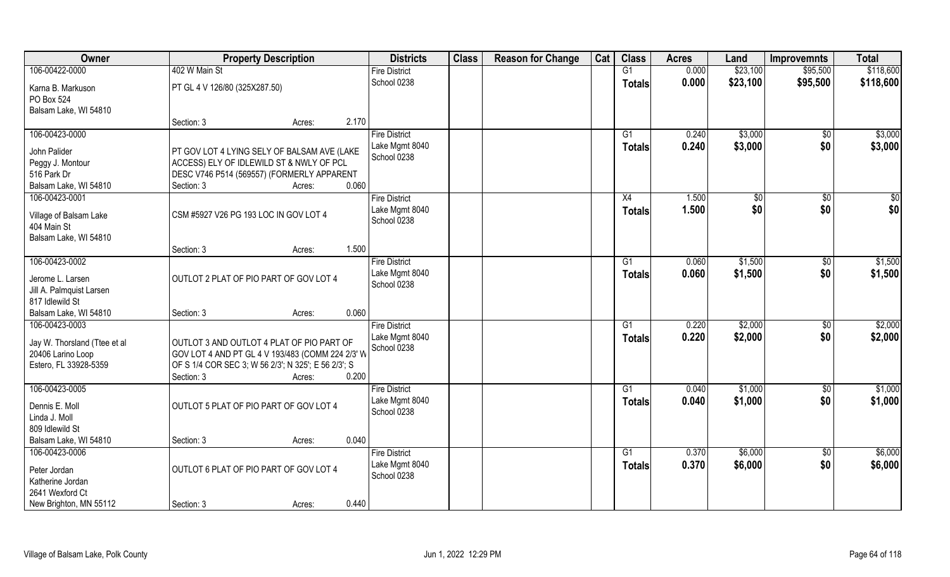| Owner                            | <b>Property Description</b>                         |        | <b>Districts</b>              | <b>Class</b> | <b>Reason for Change</b> | Cat | <b>Class</b>  | <b>Acres</b> | Land     | <b>Improvemnts</b> | <b>Total</b> |
|----------------------------------|-----------------------------------------------------|--------|-------------------------------|--------------|--------------------------|-----|---------------|--------------|----------|--------------------|--------------|
| 106-00422-0000                   | 402 W Main St                                       |        | <b>Fire District</b>          |              |                          |     | G1            | 0.000        | \$23,100 | \$95,500           | \$118,600    |
| Karna B. Markuson                | PT GL 4 V 126/80 (325X287.50)                       |        | School 0238                   |              |                          |     | <b>Totals</b> | 0.000        | \$23,100 | \$95,500           | \$118,600    |
| PO Box 524                       |                                                     |        |                               |              |                          |     |               |              |          |                    |              |
| Balsam Lake, WI 54810            |                                                     |        |                               |              |                          |     |               |              |          |                    |              |
|                                  | Section: 3                                          | Acres: | 2.170                         |              |                          |     |               |              |          |                    |              |
| 106-00423-0000                   |                                                     |        | <b>Fire District</b>          |              |                          |     | G1            | 0.240        | \$3,000  | $\sqrt{6}$         | \$3,000      |
| John Palider                     | PT GOV LOT 4 LYING SELY OF BALSAM AVE (LAKE         |        | Lake Mgmt 8040                |              |                          |     | <b>Totals</b> | 0.240        | \$3,000  | \$0                | \$3,000      |
| Peggy J. Montour                 | ACCESS) ELY OF IDLEWILD ST & NWLY OF PCL            |        | School 0238                   |              |                          |     |               |              |          |                    |              |
| 516 Park Dr                      | DESC V746 P514 (569557) (FORMERLY APPARENT          |        |                               |              |                          |     |               |              |          |                    |              |
| Balsam Lake, WI 54810            | Section: 3                                          | Acres: | 0.060                         |              |                          |     |               |              |          |                    |              |
| 106-00423-0001                   |                                                     |        | <b>Fire District</b>          |              |                          |     | X4            | 1.500        | \$0      | \$0                | \$0          |
|                                  |                                                     |        | Lake Mgmt 8040                |              |                          |     | <b>Totals</b> | 1.500        | \$0      | \$0                | \$0          |
| Village of Balsam Lake           | CSM #5927 V26 PG 193 LOC IN GOV LOT 4               |        | School 0238                   |              |                          |     |               |              |          |                    |              |
| 404 Main St                      |                                                     |        |                               |              |                          |     |               |              |          |                    |              |
| Balsam Lake, WI 54810            |                                                     |        |                               |              |                          |     |               |              |          |                    |              |
|                                  | Section: 3                                          | Acres: | 1.500                         |              |                          |     |               |              |          |                    |              |
| 106-00423-0002                   |                                                     |        | <b>Fire District</b>          |              |                          |     | G1            | 0.060        | \$1,500  | $\sqrt[6]{}$       | \$1,500      |
| Jerome L. Larsen                 | OUTLOT 2 PLAT OF PIO PART OF GOV LOT 4              |        | Lake Mgmt 8040<br>School 0238 |              |                          |     | <b>Totals</b> | 0.060        | \$1,500  | \$0                | \$1,500      |
| Jill A. Palmquist Larsen         |                                                     |        |                               |              |                          |     |               |              |          |                    |              |
| 817 Idlewild St                  |                                                     |        |                               |              |                          |     |               |              |          |                    |              |
| Balsam Lake, WI 54810            | Section: 3                                          | Acres: | 0.060                         |              |                          |     |               |              |          |                    |              |
| 106-00423-0003                   |                                                     |        | <b>Fire District</b>          |              |                          |     | G1            | 0.220        | \$2,000  | $\overline{50}$    | \$2,000      |
| Jay W. Thorsland (Ttee et al     | OUTLOT 3 AND OUTLOT 4 PLAT OF PIO PART OF           |        | Lake Mgmt 8040                |              |                          |     | <b>Totals</b> | 0.220        | \$2,000  | \$0                | \$2,000      |
| 20406 Larino Loop                | GOV LOT 4 AND PT GL 4 V 193/483 (COMM 224 2/3' W    |        | School 0238                   |              |                          |     |               |              |          |                    |              |
| Estero, FL 33928-5359            | OF S 1/4 COR SEC 3; W 56 2/3'; N 325'; E 56 2/3'; S |        |                               |              |                          |     |               |              |          |                    |              |
|                                  | Section: 3                                          | Acres: | 0.200                         |              |                          |     |               |              |          |                    |              |
| 106-00423-0005                   |                                                     |        | <b>Fire District</b>          |              |                          |     | G1            | 0.040        | \$1,000  | \$0                | \$1,000      |
|                                  |                                                     |        | Lake Mgmt 8040                |              |                          |     | <b>Totals</b> | 0.040        | \$1,000  | \$0                | \$1,000      |
| Dennis E. Moll                   | OUTLOT 5 PLAT OF PIO PART OF GOV LOT 4              |        | School 0238                   |              |                          |     |               |              |          |                    |              |
| Linda J. Moll<br>809 Idlewild St |                                                     |        |                               |              |                          |     |               |              |          |                    |              |
| Balsam Lake, WI 54810            |                                                     |        | 0.040                         |              |                          |     |               |              |          |                    |              |
| 106-00423-0006                   | Section: 3                                          | Acres: | <b>Fire District</b>          |              |                          |     | G1            | 0.370        | \$6,000  |                    | \$6,000      |
|                                  |                                                     |        |                               |              |                          |     |               |              |          | $\overline{50}$    |              |
| Peter Jordan                     | OUTLOT 6 PLAT OF PIO PART OF GOV LOT 4              |        | Lake Mgmt 8040<br>School 0238 |              |                          |     | <b>Totals</b> | 0.370        | \$6,000  | \$0                | \$6,000      |
| Katherine Jordan                 |                                                     |        |                               |              |                          |     |               |              |          |                    |              |
| 2641 Wexford Ct                  |                                                     |        |                               |              |                          |     |               |              |          |                    |              |
| New Brighton, MN 55112           | Section: 3                                          | Acres: | 0.440                         |              |                          |     |               |              |          |                    |              |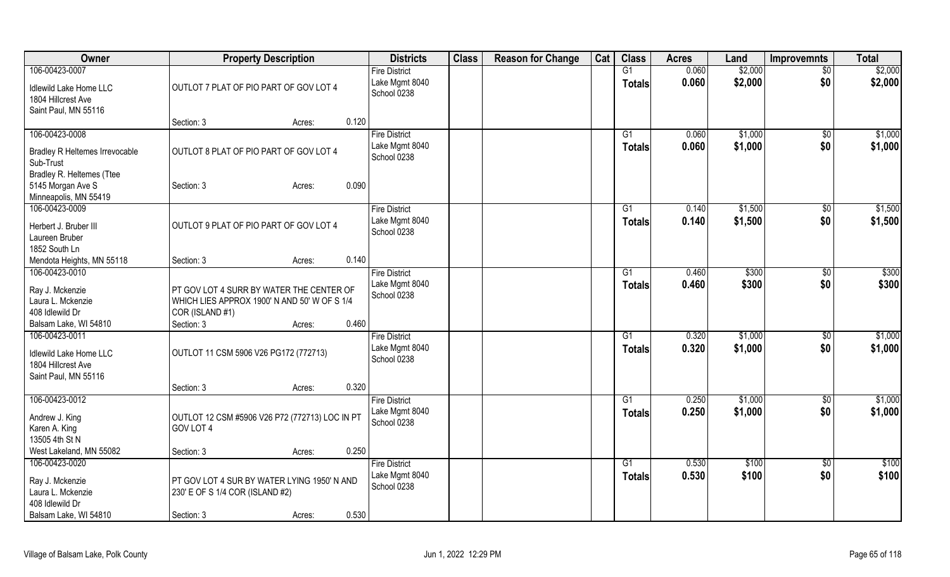| Owner                                 | <b>Property Description</b>                    |        |       | <b>Districts</b>     | <b>Class</b> | <b>Reason for Change</b> | Cat | <b>Class</b>   | <b>Acres</b> | Land    | <b>Improvemnts</b> | <b>Total</b> |
|---------------------------------------|------------------------------------------------|--------|-------|----------------------|--------------|--------------------------|-----|----------------|--------------|---------|--------------------|--------------|
| 106-00423-0007                        |                                                |        |       | <b>Fire District</b> |              |                          |     | G1             | 0.060        | \$2,000 | $\overline{50}$    | \$2,000      |
| Idlewild Lake Home LLC                | OUTLOT 7 PLAT OF PIO PART OF GOV LOT 4         |        |       | Lake Mgmt 8040       |              |                          |     | <b>Totals</b>  | 0.060        | \$2,000 | \$0                | \$2,000      |
| 1804 Hillcrest Ave                    |                                                |        |       | School 0238          |              |                          |     |                |              |         |                    |              |
| Saint Paul, MN 55116                  |                                                |        |       |                      |              |                          |     |                |              |         |                    |              |
|                                       | Section: 3                                     | Acres: | 0.120 |                      |              |                          |     |                |              |         |                    |              |
| 106-00423-0008                        |                                                |        |       | <b>Fire District</b> |              |                          |     | G1             | 0.060        | \$1,000 | $\sqrt[6]{}$       | \$1,000      |
| <b>Bradley R Heltemes Irrevocable</b> | OUTLOT 8 PLAT OF PIO PART OF GOV LOT 4         |        |       | Lake Mgmt 8040       |              |                          |     | <b>Totals</b>  | 0.060        | \$1,000 | \$0                | \$1,000      |
| Sub-Trust                             |                                                |        |       | School 0238          |              |                          |     |                |              |         |                    |              |
| Bradley R. Heltemes (Ttee             |                                                |        |       |                      |              |                          |     |                |              |         |                    |              |
| 5145 Morgan Ave S                     | Section: 3                                     | Acres: | 0.090 |                      |              |                          |     |                |              |         |                    |              |
| Minneapolis, MN 55419                 |                                                |        |       |                      |              |                          |     |                |              |         |                    |              |
| 106-00423-0009                        |                                                |        |       | <b>Fire District</b> |              |                          |     | G <sub>1</sub> | 0.140        | \$1,500 | \$0                | \$1,500      |
| Herbert J. Bruber III                 | OUTLOT 9 PLAT OF PIO PART OF GOV LOT 4         |        |       | Lake Mgmt 8040       |              |                          |     | <b>Totals</b>  | 0.140        | \$1,500 | \$0                | \$1,500      |
| Laureen Bruber                        |                                                |        |       | School 0238          |              |                          |     |                |              |         |                    |              |
| 1852 South Ln                         |                                                |        |       |                      |              |                          |     |                |              |         |                    |              |
| Mendota Heights, MN 55118             | Section: 3                                     | Acres: | 0.140 |                      |              |                          |     |                |              |         |                    |              |
| 106-00423-0010                        |                                                |        |       | <b>Fire District</b> |              |                          |     | G1             | 0.460        | \$300   | $\frac{1}{20}$     | \$300        |
| Ray J. Mckenzie                       | PT GOV LOT 4 SURR BY WATER THE CENTER OF       |        |       | Lake Mgmt 8040       |              |                          |     | <b>Totals</b>  | 0.460        | \$300   | \$0                | \$300        |
| Laura L. Mckenzie                     | WHICH LIES APPROX 1900' N AND 50' W OF S 1/4   |        |       | School 0238          |              |                          |     |                |              |         |                    |              |
| 408 Idlewild Dr                       | COR (ISLAND #1)                                |        |       |                      |              |                          |     |                |              |         |                    |              |
| Balsam Lake, WI 54810                 | Section: 3                                     | Acres: | 0.460 |                      |              |                          |     |                |              |         |                    |              |
| 106-00423-0011                        |                                                |        |       | <b>Fire District</b> |              |                          |     | G1             | 0.320        | \$1,000 | \$0                | \$1,000      |
| Idlewild Lake Home LLC                | OUTLOT 11 CSM 5906 V26 PG172 (772713)          |        |       | Lake Mgmt 8040       |              |                          |     | <b>Totals</b>  | 0.320        | \$1,000 | \$0                | \$1,000      |
| 1804 Hillcrest Ave                    |                                                |        |       | School 0238          |              |                          |     |                |              |         |                    |              |
| Saint Paul, MN 55116                  |                                                |        |       |                      |              |                          |     |                |              |         |                    |              |
|                                       | Section: 3                                     | Acres: | 0.320 |                      |              |                          |     |                |              |         |                    |              |
| 106-00423-0012                        |                                                |        |       | <b>Fire District</b> |              |                          |     | G1             | 0.250        | \$1,000 | \$0                | \$1,000      |
| Andrew J. King                        | OUTLOT 12 CSM #5906 V26 P72 (772713) LOC IN PT |        |       | Lake Mgmt 8040       |              |                          |     | <b>Totals</b>  | 0.250        | \$1,000 | \$0                | \$1,000      |
| Karen A. King                         | GOV LOT 4                                      |        |       | School 0238          |              |                          |     |                |              |         |                    |              |
| 13505 4th St N                        |                                                |        |       |                      |              |                          |     |                |              |         |                    |              |
| West Lakeland, MN 55082               | Section: 3                                     | Acres: | 0.250 |                      |              |                          |     |                |              |         |                    |              |
| 106-00423-0020                        |                                                |        |       | <b>Fire District</b> |              |                          |     | G1             | 0.530        | \$100   | $\sqrt{$0}$        | \$100        |
| Ray J. Mckenzie                       | PT GOV LOT 4 SUR BY WATER LYING 1950'N AND     |        |       | Lake Mgmt 8040       |              |                          |     | <b>Totals</b>  | 0.530        | \$100   | \$0                | \$100        |
| Laura L. Mckenzie                     | 230' E OF S 1/4 COR (ISLAND #2)                |        |       | School 0238          |              |                          |     |                |              |         |                    |              |
| 408 Idlewild Dr                       |                                                |        |       |                      |              |                          |     |                |              |         |                    |              |
| Balsam Lake, WI 54810                 | Section: 3                                     | Acres: | 0.530 |                      |              |                          |     |                |              |         |                    |              |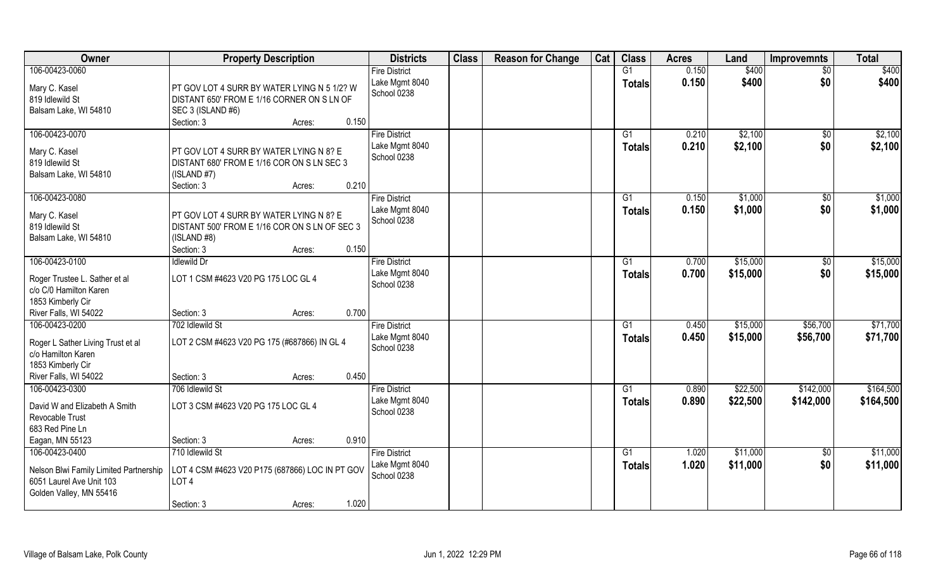| Owner                                                                                                           | <b>Property Description</b>                                                                                                              | <b>Districts</b>                                      | <b>Class</b> | <b>Reason for Change</b> | Cat | <b>Class</b>        | <b>Acres</b>   | Land                 | <b>Improvemnts</b>     | <b>Total</b>           |
|-----------------------------------------------------------------------------------------------------------------|------------------------------------------------------------------------------------------------------------------------------------------|-------------------------------------------------------|--------------|--------------------------|-----|---------------------|----------------|----------------------|------------------------|------------------------|
| 106-00423-0060                                                                                                  |                                                                                                                                          | <b>Fire District</b>                                  |              |                          |     | G1                  | 0.150          | \$400                | $\overline{30}$        | \$400                  |
| Mary C. Kasel<br>819 Idlewild St<br>Balsam Lake, WI 54810                                                       | PT GOV LOT 4 SURR BY WATER LYING N 5 1/2? W<br>DISTANT 650' FROM E 1/16 CORNER ON S LN OF<br>SEC 3 (ISLAND #6)                           | Lake Mgmt 8040<br>School 0238                         |              |                          |     | <b>Totals</b>       | 0.150          | \$400                | \$0                    | \$400                  |
|                                                                                                                 | 0.150<br>Section: 3<br>Acres:                                                                                                            |                                                       |              |                          |     |                     |                |                      |                        |                        |
| 106-00423-0070<br>Mary C. Kasel<br>819 Idlewild St<br>Balsam Lake, WI 54810                                     | PT GOV LOT 4 SURR BY WATER LYING N 8? E<br>DISTANT 680' FROM E 1/16 COR ON S LN SEC 3<br>(ISLAND #7)<br>0.210<br>Section: 3<br>Acres:    | <b>Fire District</b><br>Lake Mgmt 8040<br>School 0238 |              |                          |     | G1<br>Totals        | 0.210<br>0.210 | \$2,100<br>\$2,100   | $\overline{50}$<br>\$0 | \$2,100<br>\$2,100     |
| 106-00423-0080                                                                                                  |                                                                                                                                          | <b>Fire District</b>                                  |              |                          |     | G1                  | 0.150          | \$1,000              | $\sqrt[6]{30}$         | \$1,000                |
| Mary C. Kasel<br>819 Idlewild St<br>Balsam Lake, WI 54810                                                       | PT GOV LOT 4 SURR BY WATER LYING N 8? E<br>DISTANT 500' FROM E 1/16 COR ON S LN OF SEC 3<br>(ISLAND #8)<br>0.150<br>Section: 3<br>Acres: | Lake Mgmt 8040<br>School 0238                         |              |                          |     | <b>Totals</b>       | 0.150          | \$1,000              | \$0                    | \$1,000                |
| 106-00423-0100                                                                                                  | <b>Idlewild Dr</b>                                                                                                                       | <b>Fire District</b>                                  |              |                          |     | G <sub>1</sub>      | 0.700          | \$15,000             | \$0                    | \$15,000               |
| Roger Trustee L. Sather et al<br>c/o C/0 Hamilton Karen<br>1853 Kimberly Cir                                    | LOT 1 CSM #4623 V20 PG 175 LOC GL 4                                                                                                      | Lake Mgmt 8040<br>School 0238                         |              |                          |     | <b>Totals</b>       | 0.700          | \$15,000             | \$0                    | \$15,000               |
| River Falls, WI 54022                                                                                           | 0.700<br>Section: 3<br>Acres:                                                                                                            |                                                       |              |                          |     |                     |                |                      |                        |                        |
| 106-00423-0200<br>Roger L Sather Living Trust et al<br>c/o Hamilton Karen<br>1853 Kimberly Cir                  | 702 Idlewild St<br>LOT 2 CSM #4623 V20 PG 175 (#687866) IN GL 4                                                                          | <b>Fire District</b><br>Lake Mgmt 8040<br>School 0238 |              |                          |     | G1<br><b>Totals</b> | 0.450<br>0.450 | \$15,000<br>\$15,000 | \$56,700<br>\$56,700   | \$71,700<br>\$71,700   |
| River Falls, WI 54022<br>106-00423-0300                                                                         | 0.450<br>Section: 3<br>Acres:<br>706 Idlewild St                                                                                         | <b>Fire District</b>                                  |              |                          |     |                     | 0.890          |                      |                        |                        |
| David W and Elizabeth A Smith<br>Revocable Trust<br>683 Red Pine Ln                                             | LOT 3 CSM #4623 V20 PG 175 LOC GL 4                                                                                                      | Lake Mgmt 8040<br>School 0238                         |              |                          |     | G1<br><b>Totals</b> | 0.890          | \$22,500<br>\$22,500 | \$142,000<br>\$142,000 | \$164,500<br>\$164,500 |
| Eagan, MN 55123                                                                                                 | 0.910<br>Section: 3<br>Acres:                                                                                                            |                                                       |              |                          |     |                     |                |                      |                        |                        |
| 106-00423-0400<br>Nelson Blwi Family Limited Partnership<br>6051 Laurel Ave Unit 103<br>Golden Valley, MN 55416 | 710 Idlewild St<br>LOT 4 CSM #4623 V20 P175 (687866) LOC IN PT GOV<br>LOT <sub>4</sub><br>1.020<br>Section: 3<br>Acres:                  | <b>Fire District</b><br>Lake Mgmt 8040<br>School 0238 |              |                          |     | G1<br><b>Totals</b> | 1.020<br>1.020 | \$11,000<br>\$11,000 | $\sqrt{$0}$<br>\$0     | \$11,000<br>\$11,000   |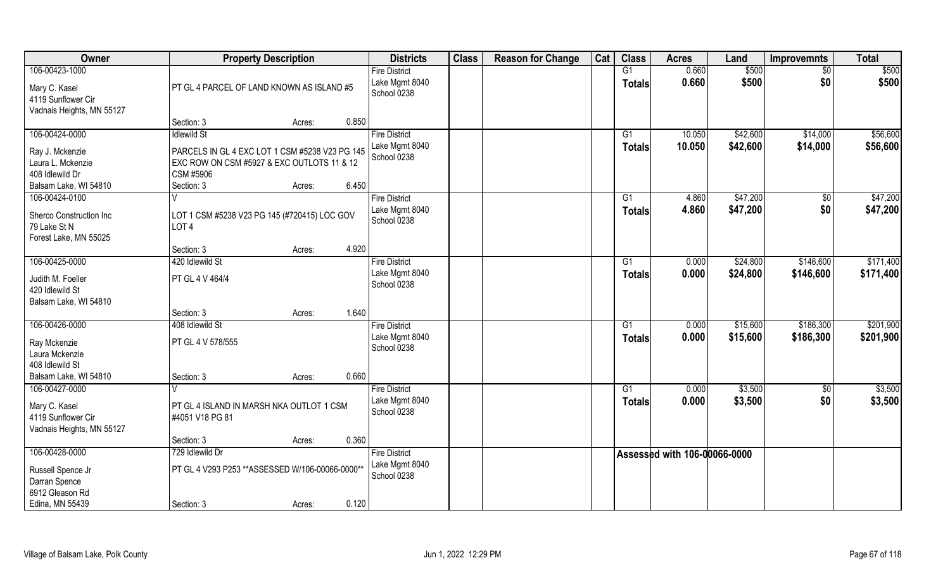| Owner                                                                              |                                                                                                           | <b>Property Description</b> |       | <b>Districts</b>                                      | <b>Class</b> | <b>Reason for Change</b> | Cat | <b>Class</b>        | <b>Acres</b>                 | Land                 | <b>Improvemnts</b>   | <b>Total</b>         |
|------------------------------------------------------------------------------------|-----------------------------------------------------------------------------------------------------------|-----------------------------|-------|-------------------------------------------------------|--------------|--------------------------|-----|---------------------|------------------------------|----------------------|----------------------|----------------------|
| 106-00423-1000<br>Mary C. Kasel<br>4119 Sunflower Cir<br>Vadnais Heights, MN 55127 | PT GL 4 PARCEL OF LAND KNOWN AS ISLAND #5                                                                 |                             |       | <b>Fire District</b><br>Lake Mgmt 8040<br>School 0238 |              |                          |     | G1<br><b>Totals</b> | 0.660<br>0.660               | \$500<br>\$500       | $\sqrt{6}$<br>\$0    | \$500<br>\$500       |
|                                                                                    | Section: 3                                                                                                | Acres:                      | 0.850 |                                                       |              |                          |     |                     |                              |                      |                      |                      |
| 106-00424-0000                                                                     | <b>Idlewild St</b>                                                                                        |                             |       | <b>Fire District</b><br>Lake Mgmt 8040                |              |                          |     | G1                  | 10.050<br>10.050             | \$42,600<br>\$42,600 | \$14,000<br>\$14,000 | \$56,600<br>\$56,600 |
| Ray J. Mckenzie<br>Laura L. Mckenzie<br>408 Idlewild Dr                            | PARCELS IN GL 4 EXC LOT 1 CSM #5238 V23 PG 145<br>EXC ROW ON CSM #5927 & EXC OUTLOTS 11 & 12<br>CSM #5906 |                             |       | School 0238                                           |              |                          |     | Totals              |                              |                      |                      |                      |
| Balsam Lake, WI 54810                                                              | Section: 3                                                                                                | Acres:                      | 6.450 |                                                       |              |                          |     |                     |                              |                      |                      |                      |
| 106-00424-0100<br>Sherco Construction Inc<br>79 Lake St N<br>Forest Lake, MN 55025 | V<br>LOT 1 CSM #5238 V23 PG 145 (#720415) LOC GOV<br>LOT <sub>4</sub>                                     |                             |       | <b>Fire District</b><br>Lake Mgmt 8040<br>School 0238 |              |                          |     | G1<br><b>Totals</b> | 4.860<br>4.860               | \$47,200<br>\$47,200 | \$0<br>\$0           | \$47,200<br>\$47,200 |
|                                                                                    | Section: 3                                                                                                | Acres:                      | 4.920 |                                                       |              |                          |     |                     |                              |                      |                      |                      |
| 106-00425-0000                                                                     | 420 Idlewild St                                                                                           |                             |       | <b>Fire District</b>                                  |              |                          |     | G1                  | 0.000                        | \$24,800             | \$146,600            | \$171,400            |
| Judith M. Foeller<br>420 Idlewild St<br>Balsam Lake, WI 54810                      | PT GL 4 V 464/4                                                                                           |                             |       | Lake Mgmt 8040<br>School 0238                         |              |                          |     | <b>Totals</b>       | 0.000                        | \$24,800             | \$146,600            | \$171,400            |
|                                                                                    | Section: 3                                                                                                | Acres:                      | 1.640 |                                                       |              |                          |     |                     |                              |                      |                      |                      |
| 106-00426-0000                                                                     | 408 Idlewild St                                                                                           |                             |       | <b>Fire District</b>                                  |              |                          |     | G1                  | 0.000                        | \$15,600             | \$186,300            | \$201,900            |
| Ray Mckenzie<br>Laura Mckenzie<br>408 Idlewild St                                  | PT GL 4 V 578/555                                                                                         |                             |       | Lake Mgmt 8040<br>School 0238                         |              |                          |     | <b>Totals</b>       | 0.000                        | \$15,600             | \$186,300            | \$201,900            |
| Balsam Lake, WI 54810                                                              | Section: 3                                                                                                | Acres:                      | 0.660 |                                                       |              |                          |     |                     |                              |                      |                      |                      |
| 106-00427-0000                                                                     |                                                                                                           |                             |       | <b>Fire District</b>                                  |              |                          |     | G1                  | 0.000                        | \$3,500              | \$0                  | \$3,500              |
| Mary C. Kasel<br>4119 Sunflower Cir<br>Vadnais Heights, MN 55127                   | PT GL 4 ISLAND IN MARSH NKA OUTLOT 1 CSM<br>#4051 V18 PG 81                                               |                             |       | Lake Mgmt 8040<br>School 0238                         |              |                          |     | <b>Totals</b>       | 0.000                        | \$3,500              | \$0                  | \$3,500              |
|                                                                                    | Section: 3                                                                                                | Acres:                      | 0.360 |                                                       |              |                          |     |                     |                              |                      |                      |                      |
| 106-00428-0000                                                                     | 729 Idlewild Dr                                                                                           |                             |       | <b>Fire District</b>                                  |              |                          |     |                     | Assessed with 106-00066-0000 |                      |                      |                      |
| Russell Spence Jr<br>Darran Spence<br>6912 Gleason Rd                              | PT GL 4 V293 P253 ** ASSESSED W/106-00066-0000 **                                                         |                             |       | Lake Mgmt 8040<br>School 0238                         |              |                          |     |                     |                              |                      |                      |                      |
| Edina, MN 55439                                                                    | Section: 3                                                                                                | Acres:                      | 0.120 |                                                       |              |                          |     |                     |                              |                      |                      |                      |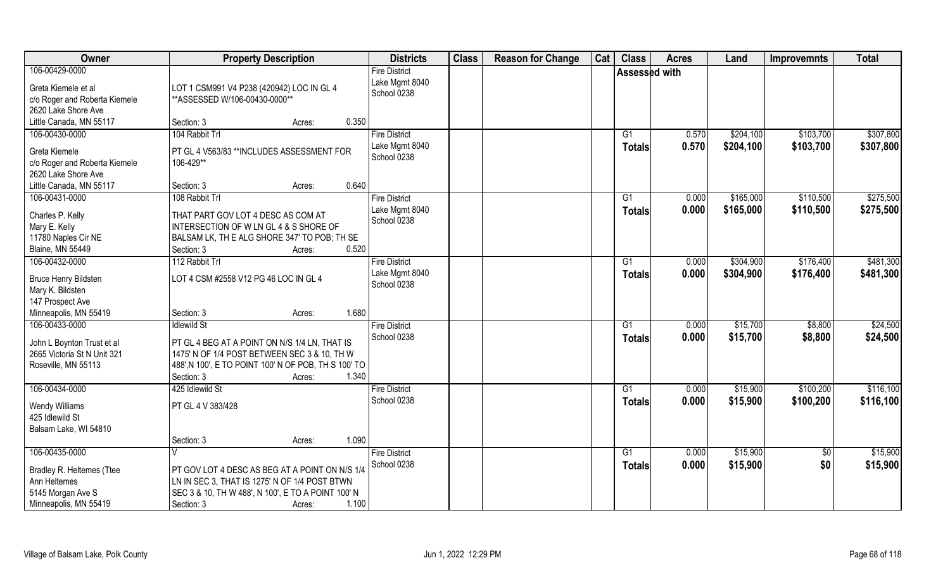| Owner                                                                                                     | <b>Property Description</b>                                                                                                                                                                         | <b>Districts</b>                                      | <b>Class</b> | <b>Reason for Change</b> | Cat | <b>Class</b>              | <b>Acres</b>   | Land                   | <b>Improvemnts</b>     | <b>Total</b>           |
|-----------------------------------------------------------------------------------------------------------|-----------------------------------------------------------------------------------------------------------------------------------------------------------------------------------------------------|-------------------------------------------------------|--------------|--------------------------|-----|---------------------------|----------------|------------------------|------------------------|------------------------|
| 106-00429-0000<br>Greta Kiemele et al<br>c/o Roger and Roberta Kiemele<br>2620 Lake Shore Ave             | LOT 1 CSM991 V4 P238 (420942) LOC IN GL 4<br>** ASSESSED W/106-00430-0000**                                                                                                                         | <b>Fire District</b><br>Lake Mgmt 8040<br>School 0238 |              |                          |     | <b>Assessed with</b>      |                |                        |                        |                        |
| Little Canada, MN 55117                                                                                   | Section: 3<br>Acres:                                                                                                                                                                                | 0.350                                                 |              |                          |     |                           |                |                        |                        |                        |
| 106-00430-0000<br>Greta Kiemele<br>c/o Roger and Roberta Kiemele<br>2620 Lake Shore Ave                   | 104 Rabbit Trl<br>PT GL 4 V563/83 ** INCLUDES ASSESSMENT FOR<br>106-429**                                                                                                                           | <b>Fire District</b><br>Lake Mgmt 8040<br>School 0238 |              |                          |     | $\overline{G1}$<br>Totals | 0.570<br>0.570 | \$204,100<br>\$204,100 | \$103,700<br>\$103,700 | \$307,800<br>\$307,800 |
| Little Canada, MN 55117                                                                                   | Section: 3<br>Acres:                                                                                                                                                                                | 0.640                                                 |              |                          |     |                           |                |                        |                        |                        |
| 106-00431-0000                                                                                            | 108 Rabbit Trl                                                                                                                                                                                      | <b>Fire District</b>                                  |              |                          |     | G1                        | 0.000          | \$165,000              | \$110,500              | \$275,500              |
| Charles P. Kelly<br>Mary E. Kelly<br>11780 Naples Cir NE<br><b>Blaine, MN 55449</b>                       | THAT PART GOV LOT 4 DESC AS COM AT<br>INTERSECTION OF W LN GL 4 & S SHORE OF<br>BALSAM LK, TH E ALG SHORE 347' TO POB; TH SE<br>Section: 3<br>Acres:                                                | Lake Mgmt 8040<br>School 0238<br>0.520                |              |                          |     | <b>Totals</b>             | 0.000          | \$165,000              | \$110,500              | \$275,500              |
| 106-00432-0000                                                                                            | 112 Rabbit Trl                                                                                                                                                                                      | <b>Fire District</b>                                  |              |                          |     | G1                        | 0.000          | \$304,900              | \$176,400              | \$481,300              |
| <b>Bruce Henry Bildsten</b><br>Mary K. Bildsten<br>147 Prospect Ave                                       | LOT 4 CSM #2558 V12 PG 46 LOC IN GL 4                                                                                                                                                               | Lake Mgmt 8040<br>School 0238                         |              |                          |     | <b>Totals</b>             | 0.000          | \$304,900              | \$176,400              | \$481,300              |
| Minneapolis, MN 55419                                                                                     | Section: 3<br>Acres:                                                                                                                                                                                | 1.680                                                 |              |                          |     |                           |                |                        |                        |                        |
| 106-00433-0000<br>John L Boynton Trust et al<br>2665 Victoria St N Unit 321<br>Roseville, MN 55113        | <b>Idlewild St</b><br>PT GL 4 BEG AT A POINT ON N/S 1/4 LN, THAT IS<br>1475' N OF 1/4 POST BETWEEN SEC 3 & 10, TH W<br>488', N 100', E TO POINT 100' N OF POB, TH S 100' TO<br>Section: 3<br>Acres: | <b>Fire District</b><br>School 0238<br>1.340          |              |                          |     | G1<br>Totals              | 0.000<br>0.000 | \$15,700<br>\$15,700   | \$8,800<br>\$8,800     | \$24,500<br>\$24,500   |
| 106-00434-0000                                                                                            | 425 Idlewild St                                                                                                                                                                                     | <b>Fire District</b>                                  |              |                          |     | G1                        | 0.000          | \$15,900               | \$100,200              | \$116,100              |
| <b>Wendy Williams</b><br>425 Idlewild St<br>Balsam Lake, WI 54810                                         | PT GL 4 V 383/428                                                                                                                                                                                   | School 0238                                           |              |                          |     | <b>Totals</b>             | 0.000          | \$15,900               | \$100,200              | \$116,100              |
|                                                                                                           | Section: 3<br>Acres:                                                                                                                                                                                | 1.090                                                 |              |                          |     |                           |                |                        |                        |                        |
| 106-00435-0000<br>Bradley R. Heltemes (Ttee<br>Ann Heltemes<br>5145 Morgan Ave S<br>Minneapolis, MN 55419 | PT GOV LOT 4 DESC AS BEG AT A POINT ON N/S 1/4<br>LN IN SEC 3, THAT IS 1275' N OF 1/4 POST BTWN<br>SEC 3 & 10, TH W 488', N 100', E TO A POINT 100' N<br>Section: 3<br>Acres:                       | <b>Fire District</b><br>School 0238<br>1.100          |              |                          |     | G1<br><b>Totals</b>       | 0.000<br>0.000 | \$15,900<br>\$15,900   | $\overline{50}$<br>\$0 | \$15,900<br>\$15,900   |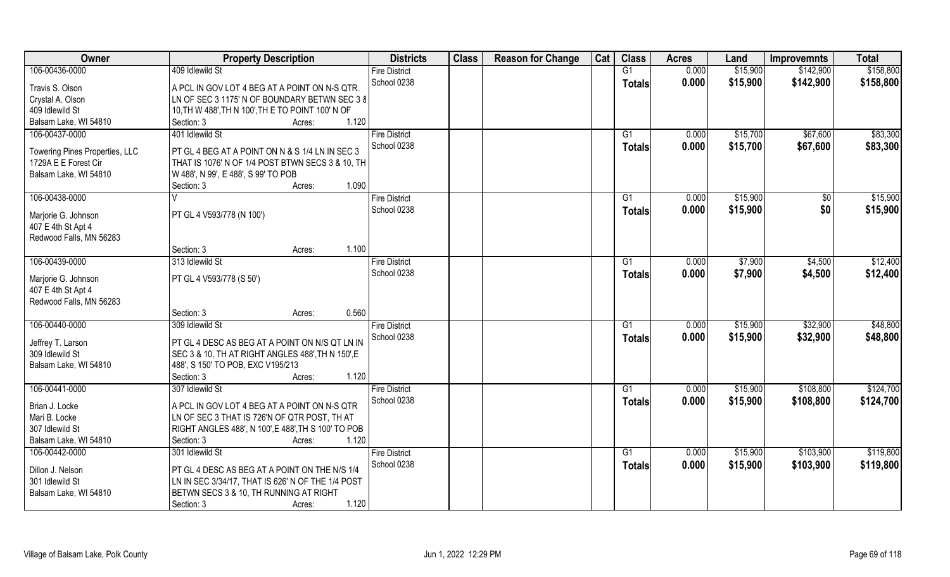| Owner                          | <b>Property Description</b>                         | <b>Districts</b>     | <b>Class</b> | <b>Reason for Change</b> | Cat | <b>Class</b>  | <b>Acres</b> | Land     | <b>Improvemnts</b> | <b>Total</b> |
|--------------------------------|-----------------------------------------------------|----------------------|--------------|--------------------------|-----|---------------|--------------|----------|--------------------|--------------|
| 106-00436-0000                 | 409 Idlewild St                                     | <b>Fire District</b> |              |                          |     | G1            | 0.000        | \$15,900 | \$142,900          | \$158,800    |
| Travis S. Olson                | A PCL IN GOV LOT 4 BEG AT A POINT ON N-S QTR.       | School 0238          |              |                          |     | <b>Totals</b> | 0.000        | \$15,900 | \$142,900          | \$158,800    |
| Crystal A. Olson               | LN OF SEC 3 1175' N OF BOUNDARY BETWN SEC 3 8       |                      |              |                          |     |               |              |          |                    |              |
| 409 Idlewild St                | 10, TH W 488', TH N 100', TH E TO POINT 100' N OF   |                      |              |                          |     |               |              |          |                    |              |
| Balsam Lake, WI 54810          | 1.120<br>Section: 3<br>Acres:                       |                      |              |                          |     |               |              |          |                    |              |
| 106-00437-0000                 | 401 Idlewild St                                     | <b>Fire District</b> |              |                          |     | G1            | 0.000        | \$15,700 | \$67,600           | \$83,300     |
|                                |                                                     | School 0238          |              |                          |     | Totals        | 0.000        | \$15,700 | \$67,600           | \$83,300     |
| Towering Pines Properties, LLC | PT GL 4 BEG AT A POINT ON N & S 1/4 LN IN SEC 3     |                      |              |                          |     |               |              |          |                    |              |
| 1729A E E Forest Cir           | THAT IS 1076' N OF 1/4 POST BTWN SECS 3 & 10, TH    |                      |              |                          |     |               |              |          |                    |              |
| Balsam Lake, WI 54810          | W 488', N 99', E 488', S 99' TO POB                 |                      |              |                          |     |               |              |          |                    |              |
|                                | 1.090<br>Section: 3<br>Acres:                       |                      |              |                          |     |               |              |          |                    |              |
| 106-00438-0000                 |                                                     | <b>Fire District</b> |              |                          |     | G1            | 0.000        | \$15,900 | \$0                | \$15,900     |
| Marjorie G. Johnson            | PT GL 4 V593/778 (N 100')                           | School 0238          |              |                          |     | <b>Totals</b> | 0.000        | \$15,900 | \$0                | \$15,900     |
| 407 E 4th St Apt 4             |                                                     |                      |              |                          |     |               |              |          |                    |              |
| Redwood Falls, MN 56283        |                                                     |                      |              |                          |     |               |              |          |                    |              |
|                                | 1.100<br>Section: 3<br>Acres:                       |                      |              |                          |     |               |              |          |                    |              |
| 106-00439-0000                 | 313 Idlewild St                                     | <b>Fire District</b> |              |                          |     | G1            | 0.000        | \$7,900  | \$4,500            | \$12,400     |
|                                |                                                     | School 0238          |              |                          |     |               |              |          |                    |              |
| Marjorie G. Johnson            | PT GL 4 V593/778 (S 50')                            |                      |              |                          |     | <b>Totals</b> | 0.000        | \$7,900  | \$4,500            | \$12,400     |
| 407 E 4th St Apt 4             |                                                     |                      |              |                          |     |               |              |          |                    |              |
| Redwood Falls, MN 56283        |                                                     |                      |              |                          |     |               |              |          |                    |              |
|                                | 0.560<br>Section: 3<br>Acres:                       |                      |              |                          |     |               |              |          |                    |              |
| 106-00440-0000                 | 309 Idlewild St                                     | <b>Fire District</b> |              |                          |     | G1            | 0.000        | \$15,900 | \$32,900           | \$48,800     |
|                                |                                                     | School 0238          |              |                          |     | <b>Totals</b> | 0.000        | \$15,900 | \$32,900           | \$48,800     |
| Jeffrey T. Larson              | PT GL 4 DESC AS BEG AT A POINT ON N/S QT LN IN      |                      |              |                          |     |               |              |          |                    |              |
| 309 Idlewild St                | SEC 3 & 10, TH AT RIGHT ANGLES 488', TH N 150', E   |                      |              |                          |     |               |              |          |                    |              |
| Balsam Lake, WI 54810          | 488', S 150' TO POB, EXC V195/213                   |                      |              |                          |     |               |              |          |                    |              |
|                                | 1.120<br>Section: 3<br>Acres:                       |                      |              |                          |     |               |              |          |                    |              |
| 106-00441-0000                 | 307 Idlewild St                                     | <b>Fire District</b> |              |                          |     | G1            | 0.000        | \$15,900 | \$108,800          | \$124,700    |
| Brian J. Locke                 | A PCL IN GOV LOT 4 BEG AT A POINT ON N-S QTR        | School 0238          |              |                          |     | <b>Totals</b> | 0.000        | \$15,900 | \$108,800          | \$124,700    |
| Mari B. Locke                  | LN OF SEC 3 THAT IS 726'N OF QTR POST, TH AT        |                      |              |                          |     |               |              |          |                    |              |
| 307 Idlewild St                | RIGHT ANGLES 488', N 100', E 488', TH S 100' TO POB |                      |              |                          |     |               |              |          |                    |              |
| Balsam Lake, WI 54810          | 1.120<br>Section: 3<br>Acres:                       |                      |              |                          |     |               |              |          |                    |              |
| 106-00442-0000                 | 301 Idlewild St                                     | <b>Fire District</b> |              |                          |     | G1            | 0.000        | \$15,900 | \$103,900          | \$119,800    |
|                                |                                                     | School 0238          |              |                          |     | Totals        | 0.000        | \$15,900 | \$103,900          | \$119,800    |
| Dillon J. Nelson               | PT GL 4 DESC AS BEG AT A POINT ON THE N/S 1/4       |                      |              |                          |     |               |              |          |                    |              |
| 301 Idlewild St                | LN IN SEC 3/34/17, THAT IS 626' N OF THE 1/4 POST   |                      |              |                          |     |               |              |          |                    |              |
| Balsam Lake, WI 54810          | BETWN SECS 3 & 10, TH RUNNING AT RIGHT              |                      |              |                          |     |               |              |          |                    |              |
|                                | 1.120<br>Section: 3<br>Acres:                       |                      |              |                          |     |               |              |          |                    |              |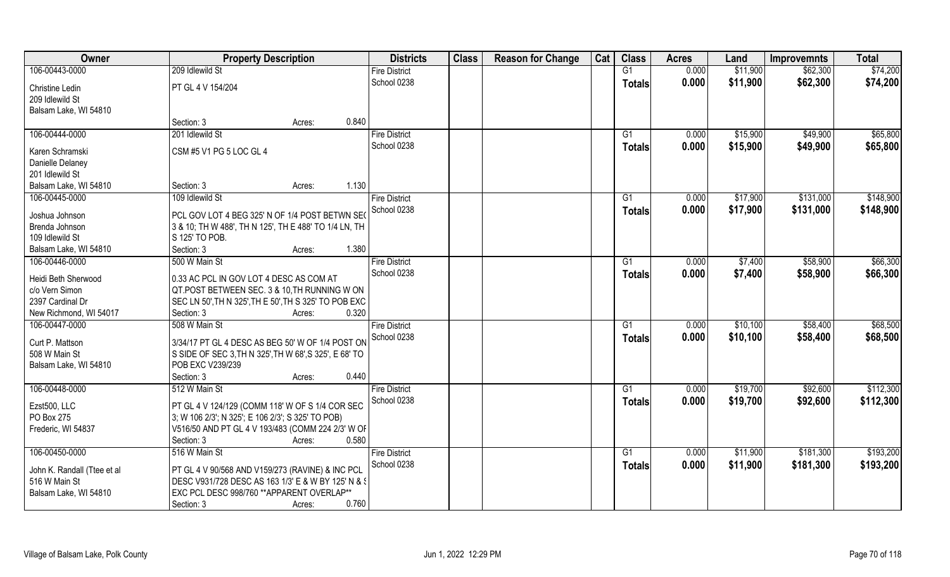| Owner                       | <b>Property Description</b>                            |        |       | <b>Districts</b>     | <b>Class</b> | <b>Reason for Change</b> | Cat | <b>Class</b>    | <b>Acres</b> | Land     | <b>Improvemnts</b> | <b>Total</b> |
|-----------------------------|--------------------------------------------------------|--------|-------|----------------------|--------------|--------------------------|-----|-----------------|--------------|----------|--------------------|--------------|
| 106-00443-0000              | 209 Idlewild St                                        |        |       | <b>Fire District</b> |              |                          |     | G1              | 0.000        | \$11,900 | \$62,300           | \$74,200     |
| <b>Christine Ledin</b>      | PT GL 4 V 154/204                                      |        |       | School 0238          |              |                          |     | <b>Totals</b>   | 0.000        | \$11,900 | \$62,300           | \$74,200     |
| 209 Idlewild St             |                                                        |        |       |                      |              |                          |     |                 |              |          |                    |              |
| Balsam Lake, WI 54810       |                                                        |        | 0.840 |                      |              |                          |     |                 |              |          |                    |              |
|                             | Section: 3                                             | Acres: |       |                      |              |                          |     |                 |              |          |                    |              |
| 106-00444-0000              | 201 Idlewild St                                        |        |       | <b>Fire District</b> |              |                          |     | G1              | 0.000        | \$15,900 | \$49,900           | \$65,800     |
| Karen Schramski             | CSM #5 V1 PG 5 LOC GL 4                                |        |       | School 0238          |              |                          |     | Totals          | 0.000        | \$15,900 | \$49,900           | \$65,800     |
| Danielle Delaney            |                                                        |        |       |                      |              |                          |     |                 |              |          |                    |              |
| 201 Idlewild St             |                                                        |        |       |                      |              |                          |     |                 |              |          |                    |              |
| Balsam Lake, WI 54810       | Section: 3                                             | Acres: | 1.130 |                      |              |                          |     |                 |              |          |                    |              |
| 106-00445-0000              | 109 Idlewild St                                        |        |       | <b>Fire District</b> |              |                          |     | G1              | 0.000        | \$17,900 | \$131,000          | \$148,900    |
| Joshua Johnson              | PCL GOV LOT 4 BEG 325' N OF 1/4 POST BETWN SEO         |        |       | School 0238          |              |                          |     | <b>Totals</b>   | 0.000        | \$17,900 | \$131,000          | \$148,900    |
| Brenda Johnson              | 3 & 10; TH W 488', TH N 125', TH E 488' TO 1/4 LN, TH  |        |       |                      |              |                          |     |                 |              |          |                    |              |
| 109 Idlewild St             | S 125' TO POB.                                         |        |       |                      |              |                          |     |                 |              |          |                    |              |
| Balsam Lake, WI 54810       | Section: 3                                             | Acres: | 1.380 |                      |              |                          |     |                 |              |          |                    |              |
| 106-00446-0000              | 500 W Main St                                          |        |       | <b>Fire District</b> |              |                          |     | G1              | 0.000        | \$7,400  | \$58,900           | \$66,300     |
|                             |                                                        |        |       | School 0238          |              |                          |     | <b>Totals</b>   | 0.000        | \$7,400  | \$58,900           | \$66,300     |
| Heidi Beth Sherwood         | 0.33 AC PCL IN GOV LOT 4 DESC AS COM AT                |        |       |                      |              |                          |     |                 |              |          |                    |              |
| c/o Vern Simon              | QT.POST BETWEEN SEC. 3 & 10, TH RUNNING W ON           |        |       |                      |              |                          |     |                 |              |          |                    |              |
| 2397 Cardinal Dr            | SEC LN 50', TH N 325', TH E 50', TH S 325' TO POB EXC  |        |       |                      |              |                          |     |                 |              |          |                    |              |
| New Richmond, WI 54017      | Section: 3                                             | Acres: | 0.320 |                      |              |                          |     |                 |              |          |                    |              |
| 106-00447-0000              | 508 W Main St                                          |        |       | <b>Fire District</b> |              |                          |     | $\overline{G1}$ | 0.000        | \$10,100 | \$58,400           | \$68,500     |
| Curt P. Mattson             | 3/34/17 PT GL 4 DESC AS BEG 50' W OF 1/4 POST ON       |        |       | School 0238          |              |                          |     | <b>Totals</b>   | 0.000        | \$10,100 | \$58,400           | \$68,500     |
| 508 W Main St               | S SIDE OF SEC 3, TH N 325', TH W 68', S 325', E 68' TO |        |       |                      |              |                          |     |                 |              |          |                    |              |
| Balsam Lake, WI 54810       | POB EXC V239/239                                       |        |       |                      |              |                          |     |                 |              |          |                    |              |
|                             | Section: 3                                             | Acres: | 0.440 |                      |              |                          |     |                 |              |          |                    |              |
| 106-00448-0000              | 512 W Main St                                          |        |       | <b>Fire District</b> |              |                          |     | G1              | 0.000        | \$19,700 | \$92,600           | \$112,300    |
| Ezst500, LLC                | PT GL 4 V 124/129 (COMM 118' W OF S 1/4 COR SEC        |        |       | School 0238          |              |                          |     | <b>Totals</b>   | 0.000        | \$19,700 | \$92,600           | \$112,300    |
| PO Box 275                  | 3; W 106 2/3'; N 325'; E 106 2/3'; S 325' TO POB)      |        |       |                      |              |                          |     |                 |              |          |                    |              |
| Frederic, WI 54837          | V516/50 AND PT GL 4 V 193/483 (COMM 224 2/3' W OF      |        |       |                      |              |                          |     |                 |              |          |                    |              |
|                             | Section: 3                                             | Acres: | 0.580 |                      |              |                          |     |                 |              |          |                    |              |
| 106-00450-0000              | 516 W Main St                                          |        |       | <b>Fire District</b> |              |                          |     | G1              | 0.000        | \$11,900 | \$181,300          | \$193,200    |
|                             |                                                        |        |       | School 0238          |              |                          |     |                 | 0.000        | \$11,900 | \$181,300          | \$193,200    |
| John K. Randall (Ttee et al | PT GL 4 V 90/568 AND V159/273 (RAVINE) & INC PCL       |        |       |                      |              |                          |     | Totals          |              |          |                    |              |
| 516 W Main St               | DESC V931/728 DESC AS 163 1/3' E & W BY 125' N & S     |        |       |                      |              |                          |     |                 |              |          |                    |              |
| Balsam Lake, WI 54810       | EXC PCL DESC 998/760 ** APPARENT OVERLAP**             |        |       |                      |              |                          |     |                 |              |          |                    |              |
|                             | Section: 3                                             | Acres: | 0.760 |                      |              |                          |     |                 |              |          |                    |              |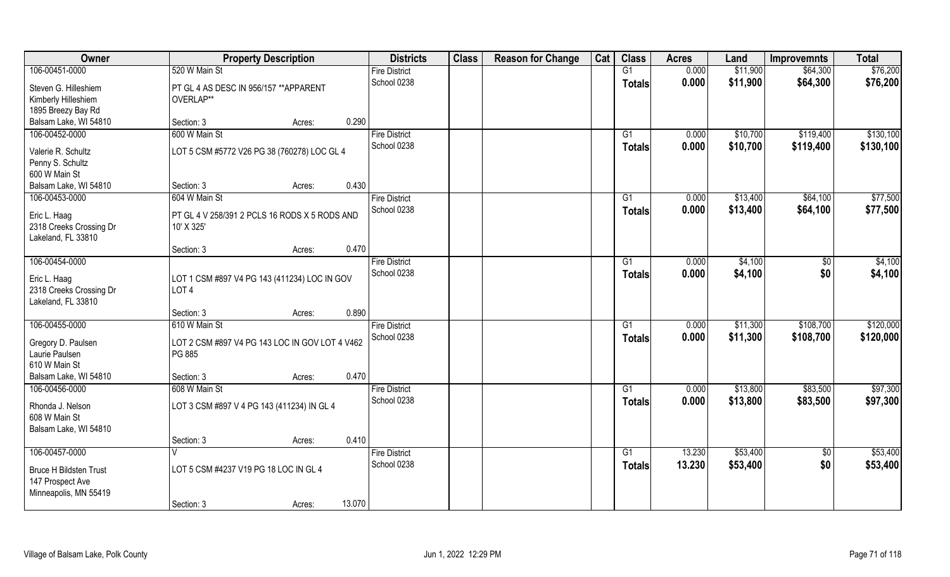| 106-00451-0000<br>520 W Main St<br>G1<br>0.000<br>\$11,900<br>\$64,300<br><b>Fire District</b><br>School 0238<br>0.000<br>\$11,900<br>\$64,300<br><b>Totals</b><br>Steven G. Hilleshiem<br>PT GL 4 AS DESC IN 956/157 ** APPARENT<br>Kimberly Hilleshiem<br>OVERLAP**<br>1895 Breezy Bay Rd<br>Balsam Lake, WI 54810<br>0.290<br>Section: 3<br>Acres:<br>600 W Main St<br>106-00452-0000<br><b>Fire District</b><br>0.000<br>\$10,700<br>\$119,400<br>G1<br>School 0238<br>0.000<br>\$10,700<br>\$119,400<br>\$130,100<br><b>Totals</b><br>LOT 5 CSM #5772 V26 PG 38 (760278) LOC GL 4<br>Valerie R. Schultz<br>Penny S. Schultz<br>600 W Main St<br>0.430<br>Balsam Lake, WI 54810<br>Section: 3<br>Acres:<br>106-00453-0000<br>604 W Main St<br>\$13,400<br>\$64,100<br><b>Fire District</b><br>G1<br>0.000<br>School 0238<br>0.000<br>\$13,400<br>\$64,100<br>Totals<br>Eric L. Haag<br>PT GL 4 V 258/391 2 PCLS 16 RODS X 5 RODS AND<br>2318 Creeks Crossing Dr<br>10' X 325'<br>Lakeland, FL 33810<br>0.470<br>Section: 3<br>Acres:<br>106-00454-0000<br>\$4,100<br><b>Fire District</b><br>0.000<br>$\sqrt[6]{3}$<br>G1<br>School 0238<br>\$0<br>0.000<br>\$4,100<br><b>Totals</b><br>Eric L. Haag<br>LOT 1 CSM #897 V4 PG 143 (411234) LOC IN GOV<br>2318 Creeks Crossing Dr<br>LOT <sub>4</sub><br>Lakeland, FL 33810<br>0.890<br>Section: 3<br>Acres:<br>106-00455-0000<br>610 W Main St<br>0.000<br>\$11,300<br>\$108,700<br><b>Fire District</b><br>G1<br>School 0238<br>0.000<br>\$11,300<br>\$108,700<br><b>Totals</b><br>Gregory D. Paulsen<br>LOT 2 CSM #897 V4 PG 143 LOC IN GOV LOT 4 V462<br>Laurie Paulsen<br>PG 885<br>610 W Main St<br>0.470<br>Balsam Lake, WI 54810<br>Section: 3<br>Acres:<br>\$13,800<br>106-00456-0000<br>608 W Main St<br><b>Fire District</b><br>G1<br>0.000<br>\$83,500<br>School 0238<br>0.000<br>\$13,800<br>\$83,500<br><b>Totals</b><br>LOT 3 CSM #897 V 4 PG 143 (411234) IN GL 4<br>Rhonda J. Nelson<br>608 W Main St<br>Balsam Lake, WI 54810<br>0.410<br>Section: 3<br>Acres:<br>106-00457-0000<br>\$53,400<br><b>Fire District</b><br>$\overline{G1}$<br>13.230<br>$\sqrt{$0}$<br>School 0238<br>13.230<br>\$53,400<br>\$0<br><b>Totals</b><br>LOT 5 CSM #4237 V19 PG 18 LOC IN GL 4<br><b>Bruce H Bildsten Trust</b><br>147 Prospect Ave<br>Minneapolis, MN 55419<br>13.070<br>Section: 3<br>Acres: | Owner | <b>Property Description</b> | <b>Districts</b> | <b>Class</b> | <b>Reason for Change</b> | Cat | <b>Class</b> | <b>Acres</b> | Land | <b>Improvemnts</b> | <b>Total</b> |
|------------------------------------------------------------------------------------------------------------------------------------------------------------------------------------------------------------------------------------------------------------------------------------------------------------------------------------------------------------------------------------------------------------------------------------------------------------------------------------------------------------------------------------------------------------------------------------------------------------------------------------------------------------------------------------------------------------------------------------------------------------------------------------------------------------------------------------------------------------------------------------------------------------------------------------------------------------------------------------------------------------------------------------------------------------------------------------------------------------------------------------------------------------------------------------------------------------------------------------------------------------------------------------------------------------------------------------------------------------------------------------------------------------------------------------------------------------------------------------------------------------------------------------------------------------------------------------------------------------------------------------------------------------------------------------------------------------------------------------------------------------------------------------------------------------------------------------------------------------------------------------------------------------------------------------------------------------------------------------------------------------------------------------------------------------------------------------------------------------------------------------------------------------------------------------------------------------------------------------------------------------------------------------------------------------------------------------------------------------|-------|-----------------------------|------------------|--------------|--------------------------|-----|--------------|--------------|------|--------------------|--------------|
| \$76,200                                                                                                                                                                                                                                                                                                                                                                                                                                                                                                                                                                                                                                                                                                                                                                                                                                                                                                                                                                                                                                                                                                                                                                                                                                                                                                                                                                                                                                                                                                                                                                                                                                                                                                                                                                                                                                                                                                                                                                                                                                                                                                                                                                                                                                                                                                                                                   |       |                             |                  |              |                          |     |              |              |      |                    | \$76,200     |
|                                                                                                                                                                                                                                                                                                                                                                                                                                                                                                                                                                                                                                                                                                                                                                                                                                                                                                                                                                                                                                                                                                                                                                                                                                                                                                                                                                                                                                                                                                                                                                                                                                                                                                                                                                                                                                                                                                                                                                                                                                                                                                                                                                                                                                                                                                                                                            |       |                             |                  |              |                          |     |              |              |      |                    |              |
| \$130,100<br>\$77,500<br>\$77,500<br>\$4,100<br>\$4,100<br>\$120,000<br>\$120,000<br>\$97,300<br>\$97,300<br>\$53,400<br>\$53,400                                                                                                                                                                                                                                                                                                                                                                                                                                                                                                                                                                                                                                                                                                                                                                                                                                                                                                                                                                                                                                                                                                                                                                                                                                                                                                                                                                                                                                                                                                                                                                                                                                                                                                                                                                                                                                                                                                                                                                                                                                                                                                                                                                                                                          |       |                             |                  |              |                          |     |              |              |      |                    |              |
|                                                                                                                                                                                                                                                                                                                                                                                                                                                                                                                                                                                                                                                                                                                                                                                                                                                                                                                                                                                                                                                                                                                                                                                                                                                                                                                                                                                                                                                                                                                                                                                                                                                                                                                                                                                                                                                                                                                                                                                                                                                                                                                                                                                                                                                                                                                                                            |       |                             |                  |              |                          |     |              |              |      |                    |              |
|                                                                                                                                                                                                                                                                                                                                                                                                                                                                                                                                                                                                                                                                                                                                                                                                                                                                                                                                                                                                                                                                                                                                                                                                                                                                                                                                                                                                                                                                                                                                                                                                                                                                                                                                                                                                                                                                                                                                                                                                                                                                                                                                                                                                                                                                                                                                                            |       |                             |                  |              |                          |     |              |              |      |                    |              |
|                                                                                                                                                                                                                                                                                                                                                                                                                                                                                                                                                                                                                                                                                                                                                                                                                                                                                                                                                                                                                                                                                                                                                                                                                                                                                                                                                                                                                                                                                                                                                                                                                                                                                                                                                                                                                                                                                                                                                                                                                                                                                                                                                                                                                                                                                                                                                            |       |                             |                  |              |                          |     |              |              |      |                    |              |
|                                                                                                                                                                                                                                                                                                                                                                                                                                                                                                                                                                                                                                                                                                                                                                                                                                                                                                                                                                                                                                                                                                                                                                                                                                                                                                                                                                                                                                                                                                                                                                                                                                                                                                                                                                                                                                                                                                                                                                                                                                                                                                                                                                                                                                                                                                                                                            |       |                             |                  |              |                          |     |              |              |      |                    |              |
|                                                                                                                                                                                                                                                                                                                                                                                                                                                                                                                                                                                                                                                                                                                                                                                                                                                                                                                                                                                                                                                                                                                                                                                                                                                                                                                                                                                                                                                                                                                                                                                                                                                                                                                                                                                                                                                                                                                                                                                                                                                                                                                                                                                                                                                                                                                                                            |       |                             |                  |              |                          |     |              |              |      |                    |              |
|                                                                                                                                                                                                                                                                                                                                                                                                                                                                                                                                                                                                                                                                                                                                                                                                                                                                                                                                                                                                                                                                                                                                                                                                                                                                                                                                                                                                                                                                                                                                                                                                                                                                                                                                                                                                                                                                                                                                                                                                                                                                                                                                                                                                                                                                                                                                                            |       |                             |                  |              |                          |     |              |              |      |                    |              |
|                                                                                                                                                                                                                                                                                                                                                                                                                                                                                                                                                                                                                                                                                                                                                                                                                                                                                                                                                                                                                                                                                                                                                                                                                                                                                                                                                                                                                                                                                                                                                                                                                                                                                                                                                                                                                                                                                                                                                                                                                                                                                                                                                                                                                                                                                                                                                            |       |                             |                  |              |                          |     |              |              |      |                    |              |
|                                                                                                                                                                                                                                                                                                                                                                                                                                                                                                                                                                                                                                                                                                                                                                                                                                                                                                                                                                                                                                                                                                                                                                                                                                                                                                                                                                                                                                                                                                                                                                                                                                                                                                                                                                                                                                                                                                                                                                                                                                                                                                                                                                                                                                                                                                                                                            |       |                             |                  |              |                          |     |              |              |      |                    |              |
|                                                                                                                                                                                                                                                                                                                                                                                                                                                                                                                                                                                                                                                                                                                                                                                                                                                                                                                                                                                                                                                                                                                                                                                                                                                                                                                                                                                                                                                                                                                                                                                                                                                                                                                                                                                                                                                                                                                                                                                                                                                                                                                                                                                                                                                                                                                                                            |       |                             |                  |              |                          |     |              |              |      |                    |              |
|                                                                                                                                                                                                                                                                                                                                                                                                                                                                                                                                                                                                                                                                                                                                                                                                                                                                                                                                                                                                                                                                                                                                                                                                                                                                                                                                                                                                                                                                                                                                                                                                                                                                                                                                                                                                                                                                                                                                                                                                                                                                                                                                                                                                                                                                                                                                                            |       |                             |                  |              |                          |     |              |              |      |                    |              |
|                                                                                                                                                                                                                                                                                                                                                                                                                                                                                                                                                                                                                                                                                                                                                                                                                                                                                                                                                                                                                                                                                                                                                                                                                                                                                                                                                                                                                                                                                                                                                                                                                                                                                                                                                                                                                                                                                                                                                                                                                                                                                                                                                                                                                                                                                                                                                            |       |                             |                  |              |                          |     |              |              |      |                    |              |
|                                                                                                                                                                                                                                                                                                                                                                                                                                                                                                                                                                                                                                                                                                                                                                                                                                                                                                                                                                                                                                                                                                                                                                                                                                                                                                                                                                                                                                                                                                                                                                                                                                                                                                                                                                                                                                                                                                                                                                                                                                                                                                                                                                                                                                                                                                                                                            |       |                             |                  |              |                          |     |              |              |      |                    |              |
|                                                                                                                                                                                                                                                                                                                                                                                                                                                                                                                                                                                                                                                                                                                                                                                                                                                                                                                                                                                                                                                                                                                                                                                                                                                                                                                                                                                                                                                                                                                                                                                                                                                                                                                                                                                                                                                                                                                                                                                                                                                                                                                                                                                                                                                                                                                                                            |       |                             |                  |              |                          |     |              |              |      |                    |              |
|                                                                                                                                                                                                                                                                                                                                                                                                                                                                                                                                                                                                                                                                                                                                                                                                                                                                                                                                                                                                                                                                                                                                                                                                                                                                                                                                                                                                                                                                                                                                                                                                                                                                                                                                                                                                                                                                                                                                                                                                                                                                                                                                                                                                                                                                                                                                                            |       |                             |                  |              |                          |     |              |              |      |                    |              |
|                                                                                                                                                                                                                                                                                                                                                                                                                                                                                                                                                                                                                                                                                                                                                                                                                                                                                                                                                                                                                                                                                                                                                                                                                                                                                                                                                                                                                                                                                                                                                                                                                                                                                                                                                                                                                                                                                                                                                                                                                                                                                                                                                                                                                                                                                                                                                            |       |                             |                  |              |                          |     |              |              |      |                    |              |
|                                                                                                                                                                                                                                                                                                                                                                                                                                                                                                                                                                                                                                                                                                                                                                                                                                                                                                                                                                                                                                                                                                                                                                                                                                                                                                                                                                                                                                                                                                                                                                                                                                                                                                                                                                                                                                                                                                                                                                                                                                                                                                                                                                                                                                                                                                                                                            |       |                             |                  |              |                          |     |              |              |      |                    |              |
|                                                                                                                                                                                                                                                                                                                                                                                                                                                                                                                                                                                                                                                                                                                                                                                                                                                                                                                                                                                                                                                                                                                                                                                                                                                                                                                                                                                                                                                                                                                                                                                                                                                                                                                                                                                                                                                                                                                                                                                                                                                                                                                                                                                                                                                                                                                                                            |       |                             |                  |              |                          |     |              |              |      |                    |              |
|                                                                                                                                                                                                                                                                                                                                                                                                                                                                                                                                                                                                                                                                                                                                                                                                                                                                                                                                                                                                                                                                                                                                                                                                                                                                                                                                                                                                                                                                                                                                                                                                                                                                                                                                                                                                                                                                                                                                                                                                                                                                                                                                                                                                                                                                                                                                                            |       |                             |                  |              |                          |     |              |              |      |                    |              |
|                                                                                                                                                                                                                                                                                                                                                                                                                                                                                                                                                                                                                                                                                                                                                                                                                                                                                                                                                                                                                                                                                                                                                                                                                                                                                                                                                                                                                                                                                                                                                                                                                                                                                                                                                                                                                                                                                                                                                                                                                                                                                                                                                                                                                                                                                                                                                            |       |                             |                  |              |                          |     |              |              |      |                    |              |
|                                                                                                                                                                                                                                                                                                                                                                                                                                                                                                                                                                                                                                                                                                                                                                                                                                                                                                                                                                                                                                                                                                                                                                                                                                                                                                                                                                                                                                                                                                                                                                                                                                                                                                                                                                                                                                                                                                                                                                                                                                                                                                                                                                                                                                                                                                                                                            |       |                             |                  |              |                          |     |              |              |      |                    |              |
|                                                                                                                                                                                                                                                                                                                                                                                                                                                                                                                                                                                                                                                                                                                                                                                                                                                                                                                                                                                                                                                                                                                                                                                                                                                                                                                                                                                                                                                                                                                                                                                                                                                                                                                                                                                                                                                                                                                                                                                                                                                                                                                                                                                                                                                                                                                                                            |       |                             |                  |              |                          |     |              |              |      |                    |              |
|                                                                                                                                                                                                                                                                                                                                                                                                                                                                                                                                                                                                                                                                                                                                                                                                                                                                                                                                                                                                                                                                                                                                                                                                                                                                                                                                                                                                                                                                                                                                                                                                                                                                                                                                                                                                                                                                                                                                                                                                                                                                                                                                                                                                                                                                                                                                                            |       |                             |                  |              |                          |     |              |              |      |                    |              |
|                                                                                                                                                                                                                                                                                                                                                                                                                                                                                                                                                                                                                                                                                                                                                                                                                                                                                                                                                                                                                                                                                                                                                                                                                                                                                                                                                                                                                                                                                                                                                                                                                                                                                                                                                                                                                                                                                                                                                                                                                                                                                                                                                                                                                                                                                                                                                            |       |                             |                  |              |                          |     |              |              |      |                    |              |
|                                                                                                                                                                                                                                                                                                                                                                                                                                                                                                                                                                                                                                                                                                                                                                                                                                                                                                                                                                                                                                                                                                                                                                                                                                                                                                                                                                                                                                                                                                                                                                                                                                                                                                                                                                                                                                                                                                                                                                                                                                                                                                                                                                                                                                                                                                                                                            |       |                             |                  |              |                          |     |              |              |      |                    |              |
|                                                                                                                                                                                                                                                                                                                                                                                                                                                                                                                                                                                                                                                                                                                                                                                                                                                                                                                                                                                                                                                                                                                                                                                                                                                                                                                                                                                                                                                                                                                                                                                                                                                                                                                                                                                                                                                                                                                                                                                                                                                                                                                                                                                                                                                                                                                                                            |       |                             |                  |              |                          |     |              |              |      |                    |              |
|                                                                                                                                                                                                                                                                                                                                                                                                                                                                                                                                                                                                                                                                                                                                                                                                                                                                                                                                                                                                                                                                                                                                                                                                                                                                                                                                                                                                                                                                                                                                                                                                                                                                                                                                                                                                                                                                                                                                                                                                                                                                                                                                                                                                                                                                                                                                                            |       |                             |                  |              |                          |     |              |              |      |                    |              |
|                                                                                                                                                                                                                                                                                                                                                                                                                                                                                                                                                                                                                                                                                                                                                                                                                                                                                                                                                                                                                                                                                                                                                                                                                                                                                                                                                                                                                                                                                                                                                                                                                                                                                                                                                                                                                                                                                                                                                                                                                                                                                                                                                                                                                                                                                                                                                            |       |                             |                  |              |                          |     |              |              |      |                    |              |
|                                                                                                                                                                                                                                                                                                                                                                                                                                                                                                                                                                                                                                                                                                                                                                                                                                                                                                                                                                                                                                                                                                                                                                                                                                                                                                                                                                                                                                                                                                                                                                                                                                                                                                                                                                                                                                                                                                                                                                                                                                                                                                                                                                                                                                                                                                                                                            |       |                             |                  |              |                          |     |              |              |      |                    |              |
|                                                                                                                                                                                                                                                                                                                                                                                                                                                                                                                                                                                                                                                                                                                                                                                                                                                                                                                                                                                                                                                                                                                                                                                                                                                                                                                                                                                                                                                                                                                                                                                                                                                                                                                                                                                                                                                                                                                                                                                                                                                                                                                                                                                                                                                                                                                                                            |       |                             |                  |              |                          |     |              |              |      |                    |              |
|                                                                                                                                                                                                                                                                                                                                                                                                                                                                                                                                                                                                                                                                                                                                                                                                                                                                                                                                                                                                                                                                                                                                                                                                                                                                                                                                                                                                                                                                                                                                                                                                                                                                                                                                                                                                                                                                                                                                                                                                                                                                                                                                                                                                                                                                                                                                                            |       |                             |                  |              |                          |     |              |              |      |                    |              |
|                                                                                                                                                                                                                                                                                                                                                                                                                                                                                                                                                                                                                                                                                                                                                                                                                                                                                                                                                                                                                                                                                                                                                                                                                                                                                                                                                                                                                                                                                                                                                                                                                                                                                                                                                                                                                                                                                                                                                                                                                                                                                                                                                                                                                                                                                                                                                            |       |                             |                  |              |                          |     |              |              |      |                    |              |
|                                                                                                                                                                                                                                                                                                                                                                                                                                                                                                                                                                                                                                                                                                                                                                                                                                                                                                                                                                                                                                                                                                                                                                                                                                                                                                                                                                                                                                                                                                                                                                                                                                                                                                                                                                                                                                                                                                                                                                                                                                                                                                                                                                                                                                                                                                                                                            |       |                             |                  |              |                          |     |              |              |      |                    |              |
|                                                                                                                                                                                                                                                                                                                                                                                                                                                                                                                                                                                                                                                                                                                                                                                                                                                                                                                                                                                                                                                                                                                                                                                                                                                                                                                                                                                                                                                                                                                                                                                                                                                                                                                                                                                                                                                                                                                                                                                                                                                                                                                                                                                                                                                                                                                                                            |       |                             |                  |              |                          |     |              |              |      |                    |              |
|                                                                                                                                                                                                                                                                                                                                                                                                                                                                                                                                                                                                                                                                                                                                                                                                                                                                                                                                                                                                                                                                                                                                                                                                                                                                                                                                                                                                                                                                                                                                                                                                                                                                                                                                                                                                                                                                                                                                                                                                                                                                                                                                                                                                                                                                                                                                                            |       |                             |                  |              |                          |     |              |              |      |                    |              |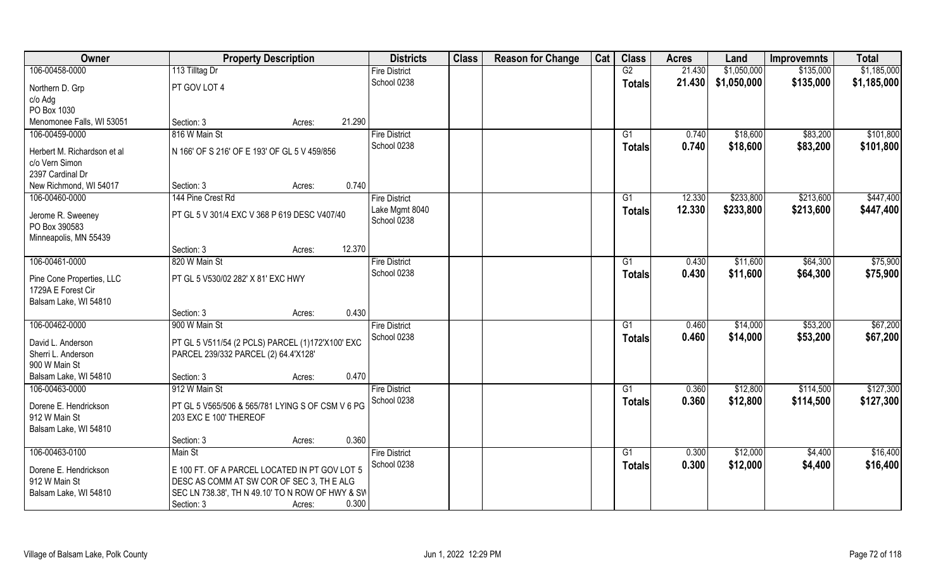| Owner                                  | <b>Property Description</b>                                                                   | <b>Districts</b>     | <b>Class</b> | <b>Reason for Change</b> | Cat | <b>Class</b>  | <b>Acres</b> | Land        | <b>Improvemnts</b> | <b>Total</b> |
|----------------------------------------|-----------------------------------------------------------------------------------------------|----------------------|--------------|--------------------------|-----|---------------|--------------|-------------|--------------------|--------------|
| 106-00458-0000                         | 113 Tilltag Dr                                                                                | <b>Fire District</b> |              |                          |     | G2            | 21.430       | \$1,050,000 | \$135,000          | \$1,185,000  |
| Northern D. Grp                        | PT GOV LOT 4                                                                                  | School 0238          |              |                          |     | Totals        | 21.430       | \$1,050,000 | \$135,000          | \$1,185,000  |
| c/o Adg                                |                                                                                               |                      |              |                          |     |               |              |             |                    |              |
| PO Box 1030                            |                                                                                               |                      |              |                          |     |               |              |             |                    |              |
| Menomonee Falls, WI 53051              | 21.290<br>Section: 3<br>Acres:                                                                |                      |              |                          |     |               |              |             |                    |              |
| 106-00459-0000                         | 816 W Main St                                                                                 | <b>Fire District</b> |              |                          |     | G1            | 0.740        | \$18,600    | \$83,200           | \$101,800    |
| Herbert M. Richardson et al            | N 166' OF S 216' OF E 193' OF GL 5 V 459/856                                                  | School 0238          |              |                          |     | <b>Totals</b> | 0.740        | \$18,600    | \$83,200           | \$101,800    |
| c/o Vern Simon                         |                                                                                               |                      |              |                          |     |               |              |             |                    |              |
| 2397 Cardinal Dr                       |                                                                                               |                      |              |                          |     |               |              |             |                    |              |
| New Richmond, WI 54017                 | 0.740<br>Section: 3<br>Acres:                                                                 |                      |              |                          |     |               |              |             |                    |              |
| 106-00460-0000                         | 144 Pine Crest Rd                                                                             | <b>Fire District</b> |              |                          |     | G1            | 12.330       | \$233,800   | \$213,600          | \$447,400    |
| Jerome R. Sweeney                      | PT GL 5 V 301/4 EXC V 368 P 619 DESC V407/40                                                  | Lake Mgmt 8040       |              |                          |     | <b>Totals</b> | 12.330       | \$233,800   | \$213,600          | \$447,400    |
| PO Box 390583                          |                                                                                               | School 0238          |              |                          |     |               |              |             |                    |              |
| Minneapolis, MN 55439                  |                                                                                               |                      |              |                          |     |               |              |             |                    |              |
|                                        | 12.370<br>Section: 3<br>Acres:                                                                |                      |              |                          |     |               |              |             |                    |              |
| 106-00461-0000                         | 820 W Main St                                                                                 | <b>Fire District</b> |              |                          |     | G1            | 0.430        | \$11,600    | \$64,300           | \$75,900     |
| Pine Cone Properties, LLC              | PT GL 5 V530/02 282' X 81' EXC HWY                                                            | School 0238          |              |                          |     | <b>Totals</b> | 0.430        | \$11,600    | \$64,300           | \$75,900     |
| 1729A E Forest Cir                     |                                                                                               |                      |              |                          |     |               |              |             |                    |              |
| Balsam Lake, WI 54810                  |                                                                                               |                      |              |                          |     |               |              |             |                    |              |
|                                        | 0.430<br>Section: 3<br>Acres:                                                                 |                      |              |                          |     |               |              |             |                    |              |
| 106-00462-0000                         | 900 W Main St                                                                                 | <b>Fire District</b> |              |                          |     | G1            | 0.460        | \$14,000    | \$53,200           | \$67,200     |
| David L. Anderson                      | PT GL 5 V511/54 (2 PCLS) PARCEL (1)172'X100' EXC                                              | School 0238          |              |                          |     | Totals        | 0.460        | \$14,000    | \$53,200           | \$67,200     |
| Sherri L. Anderson                     | PARCEL 239/332 PARCEL (2) 64.4'X128'                                                          |                      |              |                          |     |               |              |             |                    |              |
| 900 W Main St                          |                                                                                               |                      |              |                          |     |               |              |             |                    |              |
| Balsam Lake, WI 54810                  | 0.470<br>Section: 3<br>Acres:                                                                 |                      |              |                          |     |               |              |             |                    |              |
| 106-00463-0000                         | 912 W Main St                                                                                 | <b>Fire District</b> |              |                          |     | G1            | 0.360        | \$12,800    | \$114,500          | \$127,300    |
|                                        |                                                                                               | School 0238          |              |                          |     | <b>Totals</b> | 0.360        | \$12,800    | \$114,500          | \$127,300    |
| Dorene E. Hendrickson<br>912 W Main St | PT GL 5 V565/506 & 565/781 LYING S OF CSM V 6 PG<br>203 EXC E 100' THEREOF                    |                      |              |                          |     |               |              |             |                    |              |
| Balsam Lake, WI 54810                  |                                                                                               |                      |              |                          |     |               |              |             |                    |              |
|                                        | 0.360<br>Section: 3<br>Acres:                                                                 |                      |              |                          |     |               |              |             |                    |              |
| 106-00463-0100                         | Main St                                                                                       | <b>Fire District</b> |              |                          |     | G1            | 0.300        | \$12,000    | \$4,400            | \$16,400     |
|                                        |                                                                                               | School 0238          |              |                          |     | <b>Totals</b> | 0.300        | \$12,000    | \$4,400            | \$16,400     |
| Dorene E. Hendrickson                  | E 100 FT. OF A PARCEL LOCATED IN PT GOV LOT 5                                                 |                      |              |                          |     |               |              |             |                    |              |
| 912 W Main St<br>Balsam Lake, WI 54810 | DESC AS COMM AT SW COR OF SEC 3, TH E ALG<br>SEC LN 738.38', TH N 49.10' TO N ROW OF HWY & SW |                      |              |                          |     |               |              |             |                    |              |
|                                        | 0.300<br>Section: 3<br>Acres:                                                                 |                      |              |                          |     |               |              |             |                    |              |
|                                        |                                                                                               |                      |              |                          |     |               |              |             |                    |              |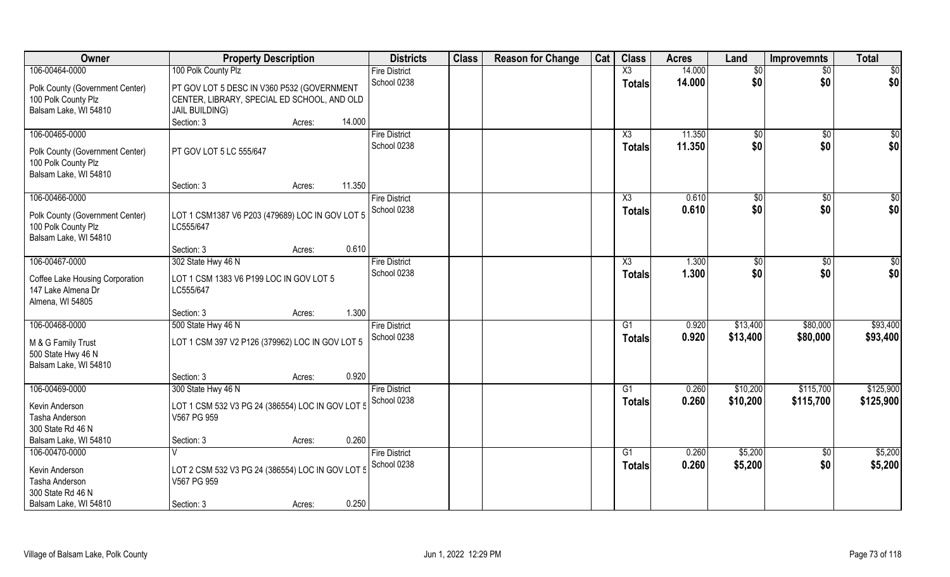| Owner                           | <b>Property Description</b>                      | <b>Districts</b>                    | <b>Class</b> | <b>Reason for Change</b> | Cat | <b>Class</b>    | <b>Acres</b> | Land            | <b>Improvemnts</b>     | <b>Total</b> |
|---------------------------------|--------------------------------------------------|-------------------------------------|--------------|--------------------------|-----|-----------------|--------------|-----------------|------------------------|--------------|
| 106-00464-0000                  | 100 Polk County Plz                              | <b>Fire District</b>                |              |                          |     | X3              | 14.000       | $\overline{50}$ | $\overline{50}$        | \$0          |
| Polk County (Government Center) | PT GOV LOT 5 DESC IN V360 P532 (GOVERNMENT       | School 0238                         |              |                          |     | <b>Totals</b>   | 14.000       | \$0             | \$0                    | \$0          |
| 100 Polk County Plz             | CENTER, LIBRARY, SPECIAL ED SCHOOL, AND OLD      |                                     |              |                          |     |                 |              |                 |                        |              |
| Balsam Lake, WI 54810           | <b>JAIL BUILDING)</b>                            |                                     |              |                          |     |                 |              |                 |                        |              |
|                                 | Section: 3<br>14.000<br>Acres:                   |                                     |              |                          |     |                 |              |                 |                        |              |
| 106-00465-0000                  |                                                  | <b>Fire District</b>                |              |                          |     | X3              | 11.350       | $\sqrt[6]{}$    | \$0                    | \$0          |
| Polk County (Government Center) | PT GOV LOT 5 LC 555/647                          | School 0238                         |              |                          |     | <b>Totals</b>   | 11,350       | \$0             | \$0                    | \$0          |
| 100 Polk County Plz             |                                                  |                                     |              |                          |     |                 |              |                 |                        |              |
| Balsam Lake, WI 54810           |                                                  |                                     |              |                          |     |                 |              |                 |                        |              |
|                                 | 11.350<br>Section: 3<br>Acres:                   |                                     |              |                          |     |                 |              |                 |                        |              |
| 106-00466-0000                  |                                                  | <b>Fire District</b>                |              |                          |     | X3              | 0.610        | \$0             | \$0                    | \$0          |
| Polk County (Government Center) | LOT 1 CSM1387 V6 P203 (479689) LOC IN GOV LOT 5  | School 0238                         |              |                          |     | <b>Totals</b>   | 0.610        | \$0             | \$0                    | \$0          |
| 100 Polk County Plz             | LC555/647                                        |                                     |              |                          |     |                 |              |                 |                        |              |
| Balsam Lake, WI 54810           |                                                  |                                     |              |                          |     |                 |              |                 |                        |              |
|                                 | Section: 3<br>Acres:                             | 0.610                               |              |                          |     |                 |              |                 |                        |              |
| 106-00467-0000                  | 302 State Hwy 46 N                               | <b>Fire District</b>                |              |                          |     | X3              | 1.300        | $\sqrt[6]{3}$   | $\frac{1}{20}$         | \$0          |
| Coffee Lake Housing Corporation | LOT 1 CSM 1383 V6 P199 LOC IN GOV LOT 5          | School 0238                         |              |                          |     | Totals          | 1.300        | \$0             | \$0                    | \$0          |
| 147 Lake Almena Dr              | LC555/647                                        |                                     |              |                          |     |                 |              |                 |                        |              |
| Almena, WI 54805                |                                                  |                                     |              |                          |     |                 |              |                 |                        |              |
|                                 | Section: 3<br>Acres:                             | 1.300                               |              |                          |     |                 |              |                 |                        |              |
| 106-00468-0000                  | 500 State Hwy 46 N                               | <b>Fire District</b>                |              |                          |     | G1              | 0.920        | \$13,400        | \$80,000               | \$93,400     |
| M & G Family Trust              | LOT 1 CSM 397 V2 P126 (379962) LOC IN GOV LOT 5  | School 0238                         |              |                          |     | <b>Totals</b>   | 0.920        | \$13,400        | \$80,000               | \$93,400     |
| 500 State Hwy 46 N              |                                                  |                                     |              |                          |     |                 |              |                 |                        |              |
| Balsam Lake, WI 54810           |                                                  |                                     |              |                          |     |                 |              |                 |                        |              |
|                                 | Section: 3<br>Acres:                             | 0.920                               |              |                          |     |                 |              |                 |                        |              |
| 106-00469-0000                  | 300 State Hwy 46 N                               | <b>Fire District</b>                |              |                          |     | G1              | 0.260        | \$10,200        | \$115,700              | \$125,900    |
| Kevin Anderson                  | LOT 1 CSM 532 V3 PG 24 (386554) LOC IN GOV LOT 5 | School 0238                         |              |                          |     | <b>Totals</b>   | 0.260        | \$10,200        | \$115,700              | \$125,900    |
| Tasha Anderson                  | V567 PG 959                                      |                                     |              |                          |     |                 |              |                 |                        |              |
| 300 State Rd 46 N               |                                                  |                                     |              |                          |     |                 |              |                 |                        |              |
| Balsam Lake, WI 54810           | Section: 3<br>Acres:                             | 0.260                               |              |                          |     |                 |              |                 |                        |              |
| 106-00470-0000                  |                                                  | <b>Fire District</b><br>School 0238 |              |                          |     | $\overline{G1}$ | 0.260        | \$5,200         | $\overline{30}$<br>\$0 | \$5,200      |
| Kevin Anderson                  | LOT 2 CSM 532 V3 PG 24 (386554) LOC IN GOV LOT 5 |                                     |              |                          |     | <b>Totals</b>   | 0.260        | \$5,200         |                        | \$5,200      |
| Tasha Anderson                  | V567 PG 959                                      |                                     |              |                          |     |                 |              |                 |                        |              |
| 300 State Rd 46 N               |                                                  |                                     |              |                          |     |                 |              |                 |                        |              |
| Balsam Lake, WI 54810           | Section: 3<br>Acres:                             | 0.250                               |              |                          |     |                 |              |                 |                        |              |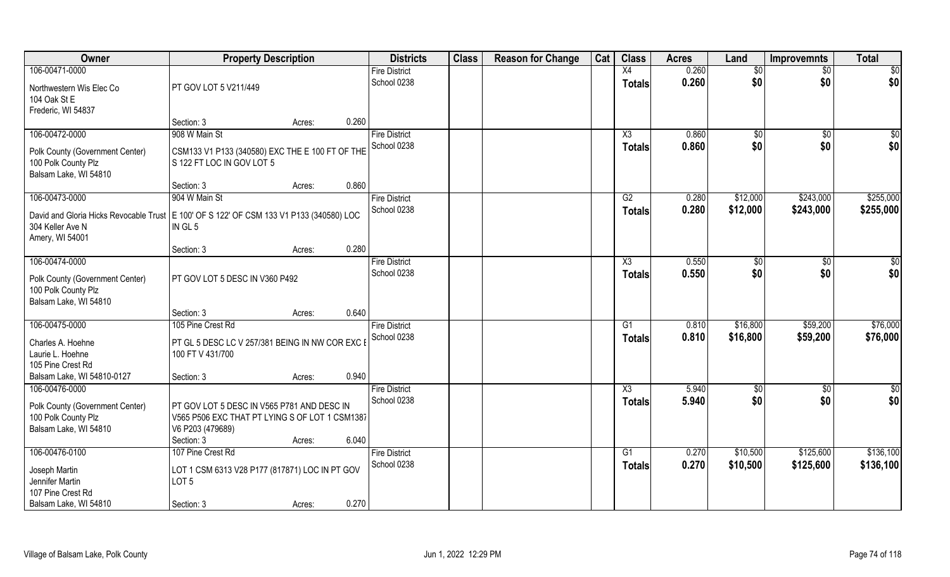| Owner                                                                                                                            | <b>Property Description</b>                                                                                                    |        |       | <b>Districts</b>     | <b>Class</b> | <b>Reason for Change</b> | Cat | <b>Class</b>           | <b>Acres</b> | Land     | <b>Improvemnts</b> | <b>Total</b>  |
|----------------------------------------------------------------------------------------------------------------------------------|--------------------------------------------------------------------------------------------------------------------------------|--------|-------|----------------------|--------------|--------------------------|-----|------------------------|--------------|----------|--------------------|---------------|
| 106-00471-0000                                                                                                                   |                                                                                                                                |        |       | <b>Fire District</b> |              |                          |     | X4                     | 0.260        | \$0      | \$0                | \$0           |
| Northwestern Wis Elec Co<br>104 Oak St E                                                                                         | PT GOV LOT 5 V211/449                                                                                                          |        |       | School 0238          |              |                          |     | <b>Totals</b>          | 0.260        | \$0      | \$0                | \$0           |
| Frederic, WI 54837                                                                                                               |                                                                                                                                |        | 0.260 |                      |              |                          |     |                        |              |          |                    |               |
|                                                                                                                                  | Section: 3                                                                                                                     | Acres: |       |                      |              |                          |     |                        |              |          |                    |               |
| 106-00472-0000                                                                                                                   | 908 W Main St                                                                                                                  |        |       | <b>Fire District</b> |              |                          |     | X3                     | 0.860        | \$0      | $\sqrt[6]{}$       | \$0           |
| Polk County (Government Center)<br>100 Polk County Plz<br>Balsam Lake, WI 54810                                                  | CSM133 V1 P133 (340580) EXC THE E 100 FT OF THE<br>S 122 FT LOC IN GOV LOT 5                                                   |        |       | School 0238          |              |                          |     | <b>Totals</b>          | 0.860        | \$0      | \$0                | \$0           |
|                                                                                                                                  | Section: 3                                                                                                                     | Acres: | 0.860 |                      |              |                          |     |                        |              |          |                    |               |
| 106-00473-0000                                                                                                                   | 904 W Main St                                                                                                                  |        |       | <b>Fire District</b> |              |                          |     | G2                     | 0.280        | \$12,000 | \$243,000          | \$255,000     |
| David and Gloria Hicks Revocable Trust   E 100' OF S 122' OF CSM 133 V1 P133 (340580) LOC<br>304 Keller Ave N<br>Amery, WI 54001 | IN GL 5                                                                                                                        |        |       | School 0238          |              |                          |     | <b>Totals</b>          | 0.280        | \$12,000 | \$243,000          | \$255,000     |
|                                                                                                                                  | Section: 3                                                                                                                     | Acres: | 0.280 |                      |              |                          |     |                        |              |          |                    |               |
| 106-00474-0000                                                                                                                   |                                                                                                                                |        |       | <b>Fire District</b> |              |                          |     | X3                     | 0.550        | \$0      | \$0                | \$0           |
| Polk County (Government Center)<br>100 Polk County Plz<br>Balsam Lake, WI 54810                                                  | PT GOV LOT 5 DESC IN V360 P492                                                                                                 |        |       | School 0238          |              |                          |     | <b>Totals</b>          | 0.550        | \$0      | \$0                | \$0           |
|                                                                                                                                  | Section: 3                                                                                                                     | Acres: | 0.640 |                      |              |                          |     |                        |              |          |                    |               |
| 106-00475-0000                                                                                                                   | 105 Pine Crest Rd                                                                                                              |        |       | <b>Fire District</b> |              |                          |     | G1                     | 0.810        | \$16,800 | \$59,200           | \$76,000      |
| Charles A. Hoehne                                                                                                                | PT GL 5 DESC LC V 257/381 BEING IN NW COR EXC E                                                                                |        |       | School 0238          |              |                          |     | <b>Totals</b>          | 0.810        | \$16,800 | \$59,200           | \$76,000      |
| Laurie L. Hoehne                                                                                                                 | 100 FT V 431/700                                                                                                               |        |       |                      |              |                          |     |                        |              |          |                    |               |
| 105 Pine Crest Rd                                                                                                                |                                                                                                                                |        |       |                      |              |                          |     |                        |              |          |                    |               |
| Balsam Lake, WI 54810-0127                                                                                                       | Section: 3                                                                                                                     | Acres: | 0.940 |                      |              |                          |     |                        |              |          |                    |               |
| 106-00476-0000                                                                                                                   |                                                                                                                                |        |       | <b>Fire District</b> |              |                          |     | $\overline{\text{X3}}$ | 5.940        | \$0      | \$0                | $\frac{1}{2}$ |
| Polk County (Government Center)<br>100 Polk County Plz<br>Balsam Lake, WI 54810                                                  | PT GOV LOT 5 DESC IN V565 P781 AND DESC IN<br>V565 P506 EXC THAT PT LYING S OF LOT 1 CSM1387<br>V6 P203 (479689)<br>Section: 3 | Acres: | 6.040 | School 0238          |              |                          |     | <b>Totals</b>          | 5.940        | \$0      | \$0                | \$0           |
| 106-00476-0100                                                                                                                   | 107 Pine Crest Rd                                                                                                              |        |       | <b>Fire District</b> |              |                          |     | $\overline{G1}$        | 0.270        | \$10,500 | \$125,600          | \$136,100     |
| Joseph Martin<br>Jennifer Martin<br>107 Pine Crest Rd                                                                            | LOT 1 CSM 6313 V28 P177 (817871) LOC IN PT GOV<br>LOT <sub>5</sub>                                                             |        |       | School 0238          |              |                          |     | <b>Totals</b>          | 0.270        | \$10,500 | \$125,600          | \$136,100     |
| Balsam Lake, WI 54810                                                                                                            | Section: 3                                                                                                                     | Acres: | 0.270 |                      |              |                          |     |                        |              |          |                    |               |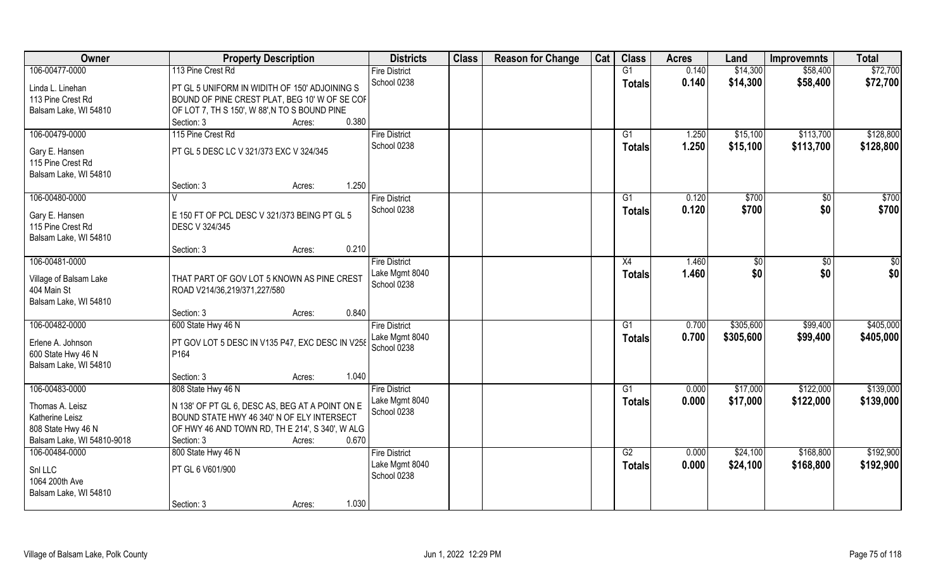| Owner                                                                                  | <b>Property Description</b>                                                                                                                                    |        | <b>Districts</b>                       | <b>Class</b> | <b>Reason for Change</b> | Cat | <b>Class</b>    | <b>Acres</b> | Land      | <b>Improvemnts</b> | <b>Total</b> |
|----------------------------------------------------------------------------------------|----------------------------------------------------------------------------------------------------------------------------------------------------------------|--------|----------------------------------------|--------------|--------------------------|-----|-----------------|--------------|-----------|--------------------|--------------|
| 106-00477-0000                                                                         | 113 Pine Crest Rd                                                                                                                                              |        | <b>Fire District</b>                   |              |                          |     | G1              | 0.140        | \$14,300  | \$58,400           | \$72,700     |
| Linda L. Linehan<br>113 Pine Crest Rd<br>Balsam Lake, WI 54810                         | PT GL 5 UNIFORM IN WIDITH OF 150' ADJOINING S<br>BOUND OF PINE CREST PLAT, BEG 10' W OF SE COF<br>OF LOT 7, TH S 150', W 88', N TO S BOUND PINE                |        | School 0238                            |              |                          |     | <b>Totals</b>   | 0.140        | \$14,300  | \$58,400           | \$72,700     |
|                                                                                        | Section: 3                                                                                                                                                     | Acres: | 0.380                                  |              |                          |     |                 |              |           |                    |              |
| 106-00479-0000                                                                         | 115 Pine Crest Rd                                                                                                                                              |        | <b>Fire District</b>                   |              |                          |     | G1              | 1.250        | \$15,100  | \$113,700          | \$128,800    |
| Gary E. Hansen<br>115 Pine Crest Rd<br>Balsam Lake, WI 54810                           | PT GL 5 DESC LC V 321/373 EXC V 324/345                                                                                                                        |        | School 0238                            |              |                          |     | Totals          | 1.250        | \$15,100  | \$113,700          | \$128,800    |
|                                                                                        | Section: 3                                                                                                                                                     | Acres: | 1.250                                  |              |                          |     |                 |              |           |                    |              |
| 106-00480-0000                                                                         |                                                                                                                                                                |        | <b>Fire District</b>                   |              |                          |     | $\overline{G1}$ | 0.120        | \$700     | $\overline{50}$    | \$700        |
| Gary E. Hansen<br>115 Pine Crest Rd<br>Balsam Lake, WI 54810                           | E 150 FT OF PCL DESC V 321/373 BEING PT GL 5<br>DESC V 324/345                                                                                                 |        | School 0238                            |              |                          |     | <b>Totals</b>   | 0.120        | \$700     | \$0                | \$700        |
|                                                                                        | Section: 3                                                                                                                                                     | Acres: | 0.210                                  |              |                          |     |                 |              |           |                    |              |
| 106-00481-0000                                                                         |                                                                                                                                                                |        | <b>Fire District</b>                   |              |                          |     | X4              | 1.460        | \$0       | $\overline{50}$    | \$0          |
| Village of Balsam Lake<br>404 Main St<br>Balsam Lake, WI 54810                         | THAT PART OF GOV LOT 5 KNOWN AS PINE CREST<br>ROAD V214/36,219/371,227/580                                                                                     |        | Lake Mgmt 8040<br>School 0238          |              |                          |     | <b>Totals</b>   | 1.460        | \$0       | \$0                | \$0          |
|                                                                                        | Section: 3                                                                                                                                                     | Acres: | 0.840                                  |              |                          |     |                 |              |           |                    |              |
| 106-00482-0000                                                                         | 600 State Hwy 46 N                                                                                                                                             |        | <b>Fire District</b>                   |              |                          |     | G1              | 0.700        | \$305,600 | \$99,400           | \$405,000    |
| Erlene A. Johnson<br>600 State Hwy 46 N<br>Balsam Lake, WI 54810                       | PT GOV LOT 5 DESC IN V135 P47, EXC DESC IN V258<br>P <sub>164</sub>                                                                                            |        | Lake Mgmt 8040<br>School 0238          |              |                          |     | <b>Totals</b>   | 0.700        | \$305,600 | \$99,400           | \$405,000    |
|                                                                                        | Section: 3                                                                                                                                                     | Acres: | 1.040                                  |              |                          |     |                 |              |           |                    |              |
| 106-00483-0000                                                                         | 808 State Hwy 46 N                                                                                                                                             |        | <b>Fire District</b>                   |              |                          |     | G1              | 0.000        | \$17,000  | \$122,000          | \$139,000    |
| Thomas A. Leisz<br>Katherine Leisz<br>808 State Hwy 46 N<br>Balsam Lake, WI 54810-9018 | N 138' OF PT GL 6, DESC AS, BEG AT A POINT ON E<br>BOUND STATE HWY 46 340' N OF ELY INTERSECT<br>OF HWY 46 AND TOWN RD, TH E 214', S 340', W ALG<br>Section: 3 | Acres: | Lake Mgmt 8040<br>School 0238<br>0.670 |              |                          |     | <b>Totals</b>   | 0.000        | \$17,000  | \$122,000          | \$139,000    |
| 106-00484-0000                                                                         | 800 State Hwy 46 N                                                                                                                                             |        | <b>Fire District</b>                   |              |                          |     | G2              | 0.000        | \$24,100  | \$168,800          | \$192,900    |
| Snl LLC<br>1064 200th Ave<br>Balsam Lake, WI 54810                                     | PT GL 6 V601/900                                                                                                                                               |        | Lake Mgmt 8040<br>School 0238          |              |                          |     | <b>Totals</b>   | 0.000        | \$24,100  | \$168,800          | \$192,900    |
|                                                                                        | Section: 3                                                                                                                                                     | Acres: | 1.030                                  |              |                          |     |                 |              |           |                    |              |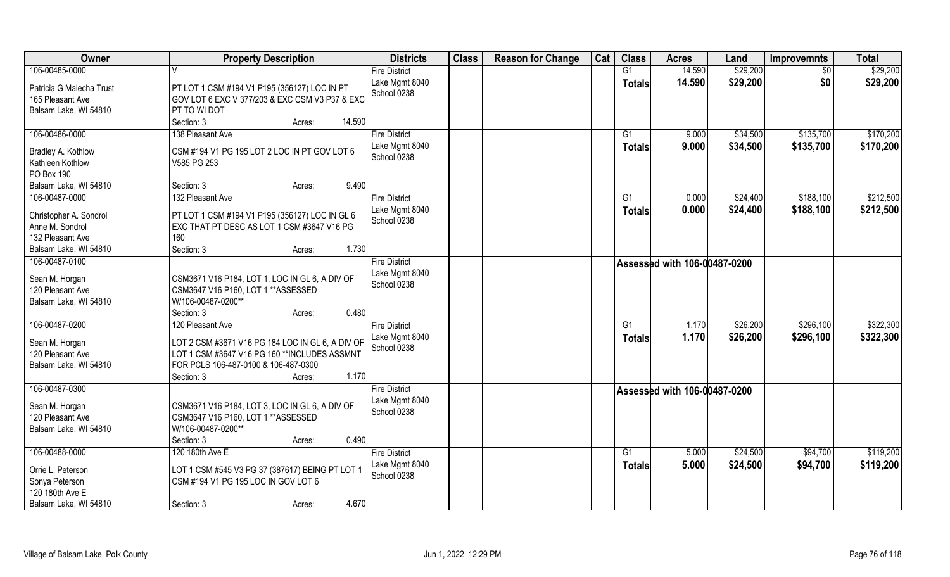| Owner                    | <b>Property Description</b>                                                                    | <b>Districts</b>     | <b>Class</b> | <b>Reason for Change</b> | Cat | <b>Class</b>  | <b>Acres</b>                 | Land     | <b>Improvemnts</b> | <b>Total</b> |
|--------------------------|------------------------------------------------------------------------------------------------|----------------------|--------------|--------------------------|-----|---------------|------------------------------|----------|--------------------|--------------|
| 106-00485-0000           |                                                                                                | <b>Fire District</b> |              |                          |     | G1            | 14.590                       | \$29,200 | $\overline{50}$    | \$29,200     |
| Patricia G Malecha Trust |                                                                                                | Lake Mgmt 8040       |              |                          |     | <b>Totals</b> | 14.590                       | \$29,200 | \$0                | \$29,200     |
|                          | PT LOT 1 CSM #194 V1 P195 (356127) LOC IN PT<br>GOV LOT 6 EXC V 377/203 & EXC CSM V3 P37 & EXC | School 0238          |              |                          |     |               |                              |          |                    |              |
| 165 Pleasant Ave         | PT TO WI DOT                                                                                   |                      |              |                          |     |               |                              |          |                    |              |
| Balsam Lake, WI 54810    |                                                                                                |                      |              |                          |     |               |                              |          |                    |              |
|                          | 14.590<br>Section: 3<br>Acres:                                                                 |                      |              |                          |     |               |                              |          |                    |              |
| 106-00486-0000           | 138 Pleasant Ave                                                                               | <b>Fire District</b> |              |                          |     | G1            | 9.000                        | \$34,500 | \$135,700          | \$170,200    |
| Bradley A. Kothlow       | CSM #194 V1 PG 195 LOT 2 LOC IN PT GOV LOT 6                                                   | Lake Mgmt 8040       |              |                          |     | <b>Totals</b> | 9.000                        | \$34,500 | \$135,700          | \$170,200    |
| Kathleen Kothlow         | V585 PG 253                                                                                    | School 0238          |              |                          |     |               |                              |          |                    |              |
| PO Box 190               |                                                                                                |                      |              |                          |     |               |                              |          |                    |              |
| Balsam Lake, WI 54810    | 9.490<br>Section: 3<br>Acres:                                                                  |                      |              |                          |     |               |                              |          |                    |              |
| 106-00487-0000           | 132 Pleasant Ave                                                                               | <b>Fire District</b> |              |                          |     | G1            | 0.000                        | \$24,400 | \$188,100          | \$212,500    |
|                          |                                                                                                | Lake Mgmt 8040       |              |                          |     | <b>Totals</b> | 0.000                        | \$24,400 | \$188,100          | \$212,500    |
| Christopher A. Sondrol   | PT LOT 1 CSM #194 V1 P195 (356127) LOC IN GL 6                                                 | School 0238          |              |                          |     |               |                              |          |                    |              |
| Anne M. Sondrol          | EXC THAT PT DESC AS LOT 1 CSM #3647 V16 PG                                                     |                      |              |                          |     |               |                              |          |                    |              |
| 132 Pleasant Ave         | 160                                                                                            |                      |              |                          |     |               |                              |          |                    |              |
| Balsam Lake, WI 54810    | 1.730<br>Section: 3<br>Acres:                                                                  |                      |              |                          |     |               |                              |          |                    |              |
| 106-00487-0100           |                                                                                                | <b>Fire District</b> |              |                          |     |               | Assessed with 106-00487-0200 |          |                    |              |
| Sean M. Horgan           | CSM3671 V16 P184, LOT 1, LOC IN GL 6, A DIV OF                                                 | Lake Mgmt 8040       |              |                          |     |               |                              |          |                    |              |
| 120 Pleasant Ave         | CSM3647 V16 P160, LOT 1 ** ASSESSED                                                            | School 0238          |              |                          |     |               |                              |          |                    |              |
| Balsam Lake, WI 54810    | W/106-00487-0200**                                                                             |                      |              |                          |     |               |                              |          |                    |              |
|                          | 0.480<br>Section: 3                                                                            |                      |              |                          |     |               |                              |          |                    |              |
|                          | Acres:                                                                                         |                      |              |                          |     |               |                              |          |                    |              |
| 106-00487-0200           | 120 Pleasant Ave                                                                               | <b>Fire District</b> |              |                          |     | G1            | 1.170                        | \$26,200 | \$296,100          | \$322,300    |
| Sean M. Horgan           | LOT 2 CSM #3671 V16 PG 184 LOC IN GL 6, A DIV OF                                               | Lake Mgmt 8040       |              |                          |     | <b>Totals</b> | 1.170                        | \$26,200 | \$296,100          | \$322,300    |
| 120 Pleasant Ave         | LOT 1 CSM #3647 V16 PG 160 ** INCLUDES ASSMNT                                                  | School 0238          |              |                          |     |               |                              |          |                    |              |
| Balsam Lake, WI 54810    | FOR PCLS 106-487-0100 & 106-487-0300                                                           |                      |              |                          |     |               |                              |          |                    |              |
|                          | 1.170<br>Section: 3<br>Acres:                                                                  |                      |              |                          |     |               |                              |          |                    |              |
| 106-00487-0300           |                                                                                                | <b>Fire District</b> |              |                          |     |               | Assessed with 106-00487-0200 |          |                    |              |
|                          |                                                                                                | Lake Mgmt 8040       |              |                          |     |               |                              |          |                    |              |
| Sean M. Horgan           | CSM3671 V16 P184, LOT 3, LOC IN GL 6, A DIV OF                                                 | School 0238          |              |                          |     |               |                              |          |                    |              |
| 120 Pleasant Ave         | CSM3647 V16 P160, LOT 1 ** ASSESSED                                                            |                      |              |                          |     |               |                              |          |                    |              |
| Balsam Lake, WI 54810    | W/106-00487-0200**                                                                             |                      |              |                          |     |               |                              |          |                    |              |
|                          | 0.490<br>Section: 3<br>Acres:                                                                  |                      |              |                          |     |               |                              |          |                    |              |
| 106-00488-0000           | 120 180th Ave E                                                                                | <b>Fire District</b> |              |                          |     | G1            | 5.000                        | \$24,500 | \$94,700           | \$119,200    |
| Orrie L. Peterson        | LOT 1 CSM #545 V3 PG 37 (387617) BEING PT LOT 1                                                | Lake Mgmt 8040       |              |                          |     | Totals        | 5.000                        | \$24,500 | \$94,700           | \$119,200    |
| Sonya Peterson           | CSM #194 V1 PG 195 LOC IN GOV LOT 6                                                            | School 0238          |              |                          |     |               |                              |          |                    |              |
| 120 180th Ave E          |                                                                                                |                      |              |                          |     |               |                              |          |                    |              |
| Balsam Lake, WI 54810    | 4.670                                                                                          |                      |              |                          |     |               |                              |          |                    |              |
|                          | Section: 3<br>Acres:                                                                           |                      |              |                          |     |               |                              |          |                    |              |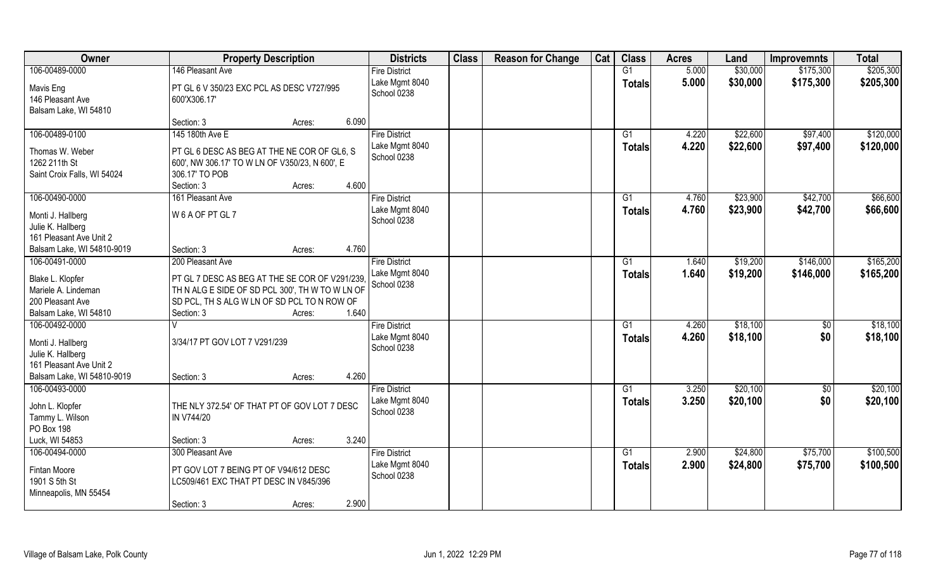| Owner                                                                                | <b>Property Description</b>                                                                                                                                             |       | <b>Districts</b>                                      | <b>Class</b> | <b>Reason for Change</b> | Cat | <b>Class</b>        | <b>Acres</b>   | Land                 | <b>Improvemnts</b>   | <b>Total</b>           |
|--------------------------------------------------------------------------------------|-------------------------------------------------------------------------------------------------------------------------------------------------------------------------|-------|-------------------------------------------------------|--------------|--------------------------|-----|---------------------|----------------|----------------------|----------------------|------------------------|
| 106-00489-0000                                                                       | 146 Pleasant Ave                                                                                                                                                        |       | <b>Fire District</b>                                  |              |                          |     | G1                  | 5.000          | \$30,000             | \$175,300            | \$205,300              |
| Mavis Eng<br>146 Pleasant Ave<br>Balsam Lake, WI 54810                               | PT GL 6 V 350/23 EXC PCL AS DESC V727/995<br>600'X306.17'                                                                                                               |       | Lake Mgmt 8040<br>School 0238                         |              |                          |     | <b>Totals</b>       | 5.000          | \$30,000             | \$175,300            | \$205,300              |
|                                                                                      | Section: 3<br>Acres:                                                                                                                                                    | 6.090 |                                                       |              |                          |     |                     |                |                      |                      |                        |
| 106-00489-0100                                                                       | 145 180th Ave E                                                                                                                                                         |       | <b>Fire District</b><br>Lake Mgmt 8040                |              |                          |     | $\overline{G1}$     | 4.220<br>4.220 | \$22,600<br>\$22,600 | \$97,400<br>\$97,400 | \$120,000<br>\$120,000 |
| Thomas W. Weber<br>1262 211th St<br>Saint Croix Falls, WI 54024                      | PT GL 6 DESC AS BEG AT THE NE COR OF GL6, S<br>600', NW 306.17' TO W LN OF V350/23, N 600', E<br>306.17' TO POB<br>Section: 3<br>Acres:                                 | 4.600 | School 0238                                           |              |                          |     | Totals              |                |                      |                      |                        |
| 106-00490-0000                                                                       | 161 Pleasant Ave                                                                                                                                                        |       | <b>Fire District</b>                                  |              |                          |     | G1                  | 4.760          | \$23,900             | \$42,700             | \$66,600               |
| Monti J. Hallberg<br>Julie K. Hallberg<br>161 Pleasant Ave Unit 2                    | W 6 A OF PT GL 7                                                                                                                                                        |       | Lake Mgmt 8040<br>School 0238                         |              |                          |     | <b>Totals</b>       | 4.760          | \$23,900             | \$42,700             | \$66,600               |
| Balsam Lake, WI 54810-9019                                                           | Section: 3<br>Acres:                                                                                                                                                    | 4.760 |                                                       |              |                          |     |                     |                |                      |                      |                        |
| 106-00491-0000                                                                       | 200 Pleasant Ave                                                                                                                                                        |       | <b>Fire District</b>                                  |              |                          |     | G1                  | 1.640          | \$19,200             | \$146,000            | \$165,200              |
| Blake L. Klopfer<br>Mariele A. Lindeman<br>200 Pleasant Ave<br>Balsam Lake, WI 54810 | PT GL 7 DESC AS BEG AT THE SE COR OF V291/239<br>TH N ALG E SIDE OF SD PCL 300', TH W TO W LN OF<br>SD PCL, TH S ALG W LN OF SD PCL TO N ROW OF<br>Section: 3<br>Acres: | 1.640 | Lake Mgmt 8040<br>School 0238                         |              |                          |     | <b>Totals</b>       | 1.640          | \$19,200             | \$146,000            | \$165,200              |
| 106-00492-0000                                                                       |                                                                                                                                                                         |       | <b>Fire District</b>                                  |              |                          |     | $\overline{G1}$     | 4.260          | \$18,100             | \$0                  | \$18,100               |
| Monti J. Hallberg<br>Julie K. Hallberg<br>161 Pleasant Ave Unit 2                    | 3/34/17 PT GOV LOT 7 V291/239                                                                                                                                           |       | Lake Mgmt 8040<br>School 0238                         |              |                          |     | <b>Totals</b>       | 4.260          | \$18,100             | \$0                  | \$18,100               |
| Balsam Lake, WI 54810-9019<br>106-00493-0000                                         | Section: 3<br>Acres:                                                                                                                                                    | 4.260 | <b>Fire District</b>                                  |              |                          |     | G1                  | 3.250          | \$20,100             | $\overline{60}$      | \$20,100               |
| John L. Klopfer<br>Tammy L. Wilson<br>PO Box 198                                     | THE NLY 372.54' OF THAT PT OF GOV LOT 7 DESC<br>IN V744/20                                                                                                              |       | Lake Mgmt 8040<br>School 0238                         |              |                          |     | <b>Totals</b>       | 3.250          | \$20,100             | \$0                  | \$20,100               |
| Luck, WI 54853                                                                       | Section: 3<br>Acres:                                                                                                                                                    | 3.240 |                                                       |              |                          |     |                     |                |                      |                      |                        |
| 106-00494-0000<br><b>Fintan Moore</b><br>1901 S 5th St<br>Minneapolis, MN 55454      | 300 Pleasant Ave<br>PT GOV LOT 7 BEING PT OF V94/612 DESC<br>LC509/461 EXC THAT PT DESC IN V845/396<br>Section: 3<br>Acres:                                             | 2.900 | <b>Fire District</b><br>Lake Mgmt 8040<br>School 0238 |              |                          |     | G1<br><b>Totals</b> | 2.900<br>2.900 | \$24,800<br>\$24,800 | \$75,700<br>\$75,700 | \$100,500<br>\$100,500 |
|                                                                                      |                                                                                                                                                                         |       |                                                       |              |                          |     |                     |                |                      |                      |                        |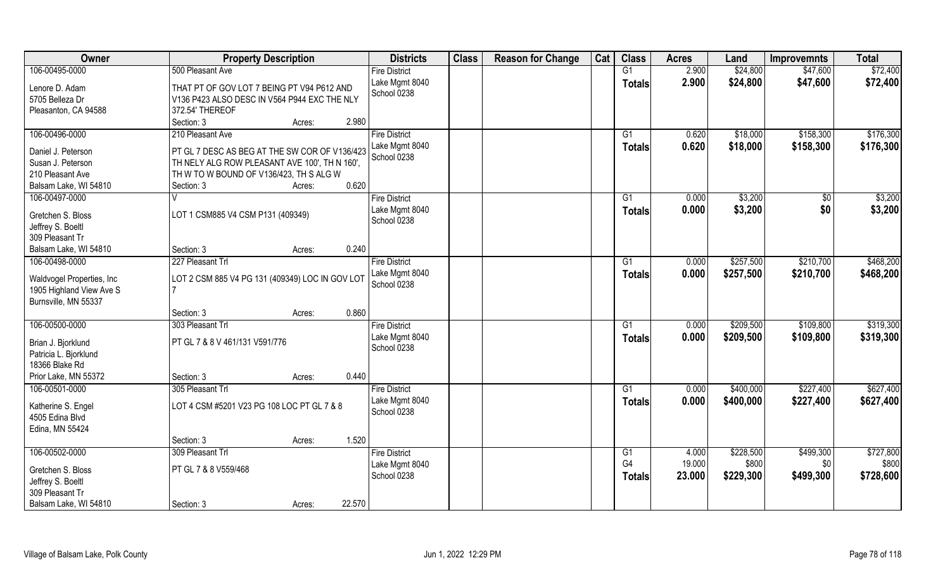| Owner                      |                                                 | <b>Property Description</b> |        | <b>Districts</b>              | <b>Class</b> | <b>Reason for Change</b> | Cat | <b>Class</b>  | <b>Acres</b> | Land      | <b>Improvemnts</b> | <b>Total</b> |
|----------------------------|-------------------------------------------------|-----------------------------|--------|-------------------------------|--------------|--------------------------|-----|---------------|--------------|-----------|--------------------|--------------|
| 106-00495-0000             | 500 Pleasant Ave                                |                             |        | <b>Fire District</b>          |              |                          |     | G1            | 2.900        | \$24,800  | \$47,600           | \$72,400     |
| Lenore D. Adam             | THAT PT OF GOV LOT 7 BEING PT V94 P612 AND      |                             |        | Lake Mgmt 8040                |              |                          |     | <b>Totals</b> | 2.900        | \$24,800  | \$47,600           | \$72,400     |
| 5705 Belleza Dr            | V136 P423 ALSO DESC IN V564 P944 EXC THE NLY    |                             |        | School 0238                   |              |                          |     |               |              |           |                    |              |
| Pleasanton, CA 94588       | 372.54' THEREOF                                 |                             |        |                               |              |                          |     |               |              |           |                    |              |
|                            | Section: 3                                      | Acres:                      | 2.980  |                               |              |                          |     |               |              |           |                    |              |
| 106-00496-0000             | 210 Pleasant Ave                                |                             |        | <b>Fire District</b>          |              |                          |     | G1            | 0.620        | \$18,000  | \$158,300          | \$176,300    |
| Daniel J. Peterson         | PT GL 7 DESC AS BEG AT THE SW COR OF V136/423   |                             |        | Lake Mgmt 8040                |              |                          |     | <b>Totals</b> | 0.620        | \$18,000  | \$158,300          | \$176,300    |
| Susan J. Peterson          | TH NELY ALG ROW PLEASANT AVE 100', TH N 160',   |                             |        | School 0238                   |              |                          |     |               |              |           |                    |              |
| 210 Pleasant Ave           | TH W TO W BOUND OF V136/423, TH S ALG W         |                             |        |                               |              |                          |     |               |              |           |                    |              |
| Balsam Lake, WI 54810      | Section: 3                                      | Acres:                      | 0.620  |                               |              |                          |     |               |              |           |                    |              |
| 106-00497-0000             | V                                               |                             |        | <b>Fire District</b>          |              |                          |     | G1            | 0.000        | \$3,200   | \$0                | \$3,200      |
|                            |                                                 |                             |        | Lake Mgmt 8040                |              |                          |     | <b>Totals</b> | 0.000        | \$3,200   | \$0                | \$3,200      |
| Gretchen S. Bloss          | LOT 1 CSM885 V4 CSM P131 (409349)               |                             |        | School 0238                   |              |                          |     |               |              |           |                    |              |
| Jeffrey S. Boeltl          |                                                 |                             |        |                               |              |                          |     |               |              |           |                    |              |
| 309 Pleasant Tr            |                                                 |                             | 0.240  |                               |              |                          |     |               |              |           |                    |              |
| Balsam Lake, WI 54810      | Section: 3                                      | Acres:                      |        |                               |              |                          |     |               |              |           |                    |              |
| 106-00498-0000             | 227 Pleasant Trl                                |                             |        | <b>Fire District</b>          |              |                          |     | G1            | 0.000        | \$257,500 | \$210,700          | \$468,200    |
| Waldvogel Properties, Inc. | LOT 2 CSM 885 V4 PG 131 (409349) LOC IN GOV LOT |                             |        | Lake Mgmt 8040<br>School 0238 |              |                          |     | <b>Totals</b> | 0.000        | \$257,500 | \$210,700          | \$468,200    |
| 1905 Highland View Ave S   |                                                 |                             |        |                               |              |                          |     |               |              |           |                    |              |
| Burnsville, MN 55337       |                                                 |                             |        |                               |              |                          |     |               |              |           |                    |              |
|                            | Section: 3                                      | Acres:                      | 0.860  |                               |              |                          |     |               |              |           |                    |              |
| 106-00500-0000             | 303 Pleasant Trl                                |                             |        | <b>Fire District</b>          |              |                          |     | G1            | 0.000        | \$209,500 | \$109,800          | \$319,300    |
| Brian J. Bjorklund         | PT GL 7 & 8 V 461/131 V591/776                  |                             |        | Lake Mgmt 8040                |              |                          |     | <b>Totals</b> | 0.000        | \$209,500 | \$109,800          | \$319,300    |
| Patricia L. Bjorklund      |                                                 |                             |        | School 0238                   |              |                          |     |               |              |           |                    |              |
| 18366 Blake Rd             |                                                 |                             |        |                               |              |                          |     |               |              |           |                    |              |
| Prior Lake, MN 55372       | Section: 3                                      | Acres:                      | 0.440  |                               |              |                          |     |               |              |           |                    |              |
| 106-00501-0000             | 305 Pleasant Trl                                |                             |        | <b>Fire District</b>          |              |                          |     | G1            | 0.000        | \$400,000 | \$227,400          | \$627,400    |
| Katherine S. Engel         | LOT 4 CSM #5201 V23 PG 108 LOC PT GL 7 & 8      |                             |        | Lake Mgmt 8040                |              |                          |     | <b>Totals</b> | 0.000        | \$400,000 | \$227,400          | \$627,400    |
| 4505 Edina Blvd            |                                                 |                             |        | School 0238                   |              |                          |     |               |              |           |                    |              |
| Edina, MN 55424            |                                                 |                             |        |                               |              |                          |     |               |              |           |                    |              |
|                            | Section: 3                                      | Acres:                      | 1.520  |                               |              |                          |     |               |              |           |                    |              |
| 106-00502-0000             | 309 Pleasant Trl                                |                             |        | <b>Fire District</b>          |              |                          |     | G1            | 4.000        | \$228,500 | \$499,300          | \$727,800    |
|                            |                                                 |                             |        | Lake Mgmt 8040                |              |                          |     | G4            | 19.000       | \$800     | \$0                | \$800        |
| Gretchen S. Bloss          | PT GL 7 & 8 V559/468                            |                             |        | School 0238                   |              |                          |     | <b>Totals</b> | 23.000       | \$229,300 | \$499,300          | \$728,600    |
| Jeffrey S. Boeltl          |                                                 |                             |        |                               |              |                          |     |               |              |           |                    |              |
| 309 Pleasant Tr            |                                                 |                             |        |                               |              |                          |     |               |              |           |                    |              |
| Balsam Lake, WI 54810      | Section: 3                                      | Acres:                      | 22.570 |                               |              |                          |     |               |              |           |                    |              |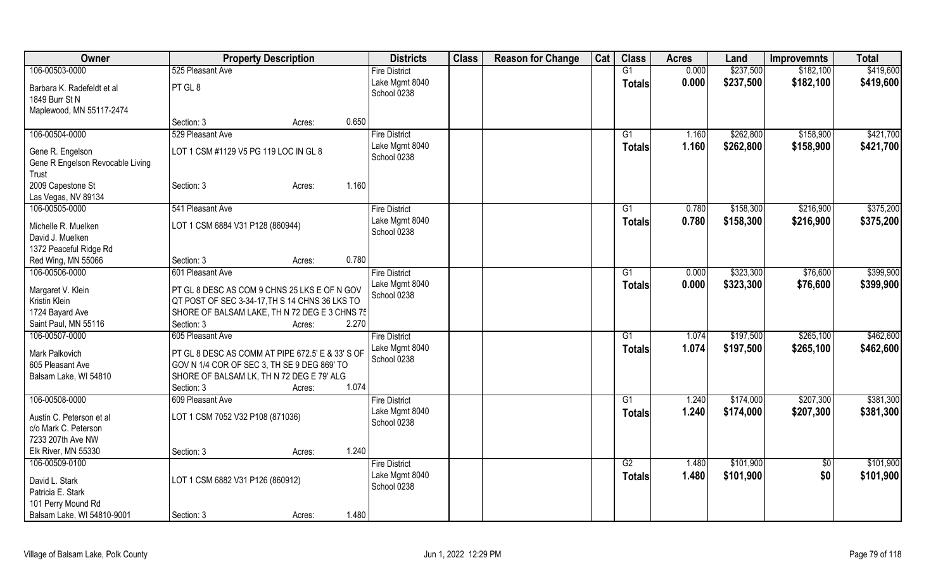| Owner                            | <b>Property Description</b>                             |        | <b>Districts</b>              | <b>Class</b> | <b>Reason for Change</b> | Cat | <b>Class</b>    | <b>Acres</b> | Land      | <b>Improvemnts</b> | <b>Total</b> |
|----------------------------------|---------------------------------------------------------|--------|-------------------------------|--------------|--------------------------|-----|-----------------|--------------|-----------|--------------------|--------------|
| 106-00503-0000                   | 525 Pleasant Ave                                        |        | <b>Fire District</b>          |              |                          |     | $\overline{G1}$ | 0.000        | \$237,500 | \$182,100          | \$419,600    |
| Barbara K. Radefeldt et al       | PT GL 8                                                 |        | Lake Mgmt 8040                |              |                          |     | <b>Totals</b>   | 0.000        | \$237,500 | \$182,100          | \$419,600    |
| 1849 Burr St N                   |                                                         |        | School 0238                   |              |                          |     |                 |              |           |                    |              |
| Maplewood, MN 55117-2474         |                                                         |        |                               |              |                          |     |                 |              |           |                    |              |
|                                  | Section: 3                                              | Acres: | 0.650                         |              |                          |     |                 |              |           |                    |              |
| 106-00504-0000                   | 529 Pleasant Ave                                        |        | <b>Fire District</b>          |              |                          |     | G1              | 1.160        | \$262,800 | \$158,900          | \$421,700    |
|                                  |                                                         |        | Lake Mgmt 8040                |              |                          |     |                 | 1.160        |           |                    |              |
| Gene R. Engelson                 | LOT 1 CSM #1129 V5 PG 119 LOC IN GL 8                   |        | School 0238                   |              |                          |     | <b>Totals</b>   |              | \$262,800 | \$158,900          | \$421,700    |
| Gene R Engelson Revocable Living |                                                         |        |                               |              |                          |     |                 |              |           |                    |              |
| Trust                            |                                                         |        |                               |              |                          |     |                 |              |           |                    |              |
| 2009 Capestone St                | Section: 3                                              | Acres: | 1.160                         |              |                          |     |                 |              |           |                    |              |
| Las Vegas, NV 89134              |                                                         |        |                               |              |                          |     |                 |              |           |                    |              |
| 106-00505-0000                   | 541 Pleasant Ave                                        |        | <b>Fire District</b>          |              |                          |     | G1              | 0.780        | \$158,300 | \$216,900          | \$375,200    |
| Michelle R. Muelken              | LOT 1 CSM 6884 V31 P128 (860944)                        |        | Lake Mgmt 8040                |              |                          |     | <b>Totals</b>   | 0.780        | \$158,300 | \$216,900          | \$375,200    |
| David J. Muelken                 |                                                         |        | School 0238                   |              |                          |     |                 |              |           |                    |              |
| 1372 Peaceful Ridge Rd           |                                                         |        |                               |              |                          |     |                 |              |           |                    |              |
| Red Wing, MN 55066               | Section: 3                                              | Acres: | 0.780                         |              |                          |     |                 |              |           |                    |              |
| 106-00506-0000                   | 601 Pleasant Ave                                        |        |                               |              |                          |     |                 |              |           |                    |              |
|                                  |                                                         |        | <b>Fire District</b>          |              |                          |     | G1              | 0.000        | \$323,300 | \$76,600           | \$399,900    |
| Margaret V. Klein                | PT GL 8 DESC AS COM 9 CHNS 25 LKS E OF N GOV            |        | Lake Mgmt 8040<br>School 0238 |              |                          |     | <b>Totals</b>   | 0.000        | \$323,300 | \$76,600           | \$399,900    |
| Kristin Klein                    | QT POST OF SEC 3-34-17, TH S 14 CHNS 36 LKS TO          |        |                               |              |                          |     |                 |              |           |                    |              |
| 1724 Bayard Ave                  | SHORE OF BALSAM LAKE, TH N 72 DEG E 3 CHNS 75           |        |                               |              |                          |     |                 |              |           |                    |              |
| Saint Paul, MN 55116             | Section: 3                                              | Acres: | 2.270                         |              |                          |     |                 |              |           |                    |              |
| 106-00507-0000                   | 605 Pleasant Ave                                        |        | <b>Fire District</b>          |              |                          |     | G1              | 1.074        | \$197,500 | \$265,100          | \$462,600    |
|                                  |                                                         |        | Lake Mgmt 8040                |              |                          |     | <b>Totals</b>   | 1.074        | \$197,500 | \$265,100          | \$462,600    |
| Mark Palkovich                   | PT GL 8 DESC AS COMM AT PIPE 672.5' E & 33' S OF        |        | School 0238                   |              |                          |     |                 |              |           |                    |              |
| 605 Pleasant Ave                 | GOV N 1/4 COR OF SEC 3, TH SE 9 DEG 869' TO             |        |                               |              |                          |     |                 |              |           |                    |              |
| Balsam Lake, WI 54810            | SHORE OF BALSAM LK, TH N 72 DEG E 79' ALG<br>Section: 3 |        | 1.074                         |              |                          |     |                 |              |           |                    |              |
|                                  |                                                         | Acres: |                               |              |                          |     |                 |              |           |                    |              |
| 106-00508-0000                   | 609 Pleasant Ave                                        |        | <b>Fire District</b>          |              |                          |     | G1              | 1.240        | \$174,000 | \$207,300          | \$381,300    |
| Austin C. Peterson et al         | LOT 1 CSM 7052 V32 P108 (871036)                        |        | Lake Mgmt 8040                |              |                          |     | <b>Totals</b>   | 1.240        | \$174,000 | \$207,300          | \$381,300    |
| c/o Mark C. Peterson             |                                                         |        | School 0238                   |              |                          |     |                 |              |           |                    |              |
| 7233 207th Ave NW                |                                                         |        |                               |              |                          |     |                 |              |           |                    |              |
| Elk River, MN 55330              | Section: 3                                              | Acres: | 1.240                         |              |                          |     |                 |              |           |                    |              |
| 106-00509-0100                   |                                                         |        | <b>Fire District</b>          |              |                          |     | $\overline{G2}$ | 1.480        | \$101,900 | $\sqrt{6}$         | \$101,900    |
|                                  |                                                         |        | Lake Mgmt 8040                |              |                          |     | <b>Totals</b>   | 1.480        | \$101,900 | \$0                | \$101,900    |
| David L. Stark                   | LOT 1 CSM 6882 V31 P126 (860912)                        |        | School 0238                   |              |                          |     |                 |              |           |                    |              |
| Patricia E. Stark                |                                                         |        |                               |              |                          |     |                 |              |           |                    |              |
| 101 Perry Mound Rd               |                                                         |        |                               |              |                          |     |                 |              |           |                    |              |
| Balsam Lake, WI 54810-9001       | Section: 3                                              | Acres: | 1.480                         |              |                          |     |                 |              |           |                    |              |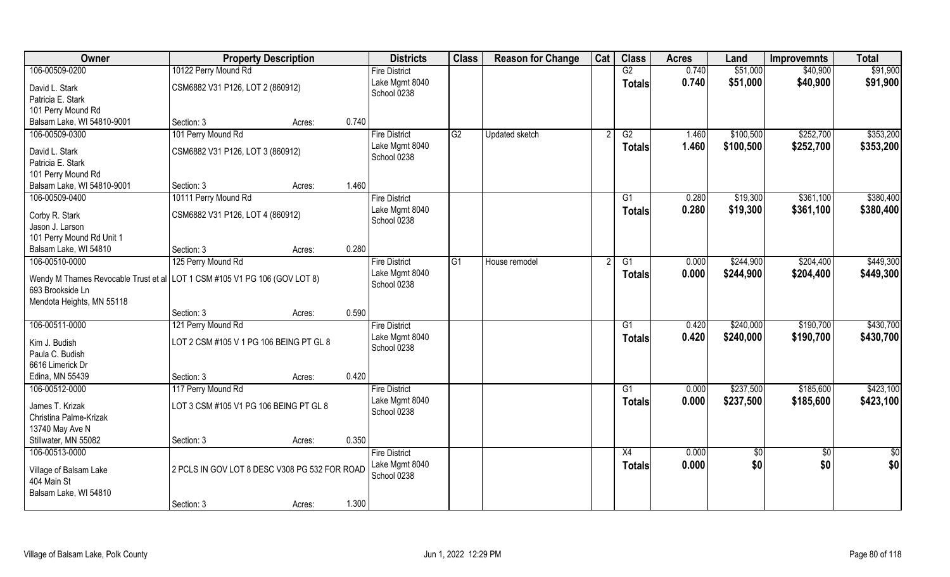| Owner                                                                     | <b>Property Description</b>                   |        |       | <b>Districts</b>     | <b>Class</b> | <b>Reason for Change</b> | Cat | <b>Class</b>  | <b>Acres</b> | Land            | <b>Improvemnts</b> | <b>Total</b>  |
|---------------------------------------------------------------------------|-----------------------------------------------|--------|-------|----------------------|--------------|--------------------------|-----|---------------|--------------|-----------------|--------------------|---------------|
| 106-00509-0200                                                            | 10122 Perry Mound Rd                          |        |       | <b>Fire District</b> |              |                          |     | G2            | 0.740        | \$51,000        | \$40,900           | \$91,900      |
| David L. Stark                                                            | CSM6882 V31 P126, LOT 2 (860912)              |        |       | Lake Mgmt 8040       |              |                          |     | <b>Totals</b> | 0.740        | \$51,000        | \$40,900           | \$91,900      |
| Patricia E. Stark                                                         |                                               |        |       | School 0238          |              |                          |     |               |              |                 |                    |               |
| 101 Perry Mound Rd                                                        |                                               |        |       |                      |              |                          |     |               |              |                 |                    |               |
| Balsam Lake, WI 54810-9001                                                | Section: 3                                    | Acres: | 0.740 |                      |              |                          |     |               |              |                 |                    |               |
| 106-00509-0300                                                            | 101 Perry Mound Rd                            |        |       | <b>Fire District</b> | G2           | <b>Updated sketch</b>    |     | G2            | 1.460        | \$100,500       | \$252,700          | \$353,200     |
|                                                                           |                                               |        |       | Lake Mgmt 8040       |              |                          |     | <b>Totals</b> | 1.460        | \$100,500       | \$252,700          | \$353,200     |
| David L. Stark                                                            | CSM6882 V31 P126, LOT 3 (860912)              |        |       | School 0238          |              |                          |     |               |              |                 |                    |               |
| Patricia E. Stark                                                         |                                               |        |       |                      |              |                          |     |               |              |                 |                    |               |
| 101 Perry Mound Rd                                                        |                                               |        |       |                      |              |                          |     |               |              |                 |                    |               |
| Balsam Lake, WI 54810-9001                                                | Section: 3                                    | Acres: | 1.460 |                      |              |                          |     |               |              |                 |                    |               |
| 106-00509-0400                                                            | 10111 Perry Mound Rd                          |        |       | <b>Fire District</b> |              |                          |     | G1            | 0.280        | \$19,300        | \$361,100          | \$380,400     |
| Corby R. Stark                                                            | CSM6882 V31 P126, LOT 4 (860912)              |        |       | Lake Mgmt 8040       |              |                          |     | <b>Totals</b> | 0.280        | \$19,300        | \$361,100          | \$380,400     |
| Jason J. Larson                                                           |                                               |        |       | School 0238          |              |                          |     |               |              |                 |                    |               |
| 101 Perry Mound Rd Unit 1                                                 |                                               |        |       |                      |              |                          |     |               |              |                 |                    |               |
| Balsam Lake, WI 54810                                                     | Section: 3                                    | Acres: | 0.280 |                      |              |                          |     |               |              |                 |                    |               |
| 106-00510-0000                                                            | 125 Perry Mound Rd                            |        |       | <b>Fire District</b> | G1           | House remodel            |     | G1            | 0.000        | \$244,900       | \$204,400          | \$449,300     |
|                                                                           |                                               |        |       | Lake Mgmt 8040       |              |                          |     | <b>Totals</b> | 0.000        | \$244,900       | \$204,400          | \$449,300     |
| Wendy M Thames Revocable Trust et al LOT 1 CSM #105 V1 PG 106 (GOV LOT 8) |                                               |        |       | School 0238          |              |                          |     |               |              |                 |                    |               |
| 693 Brookside Ln                                                          |                                               |        |       |                      |              |                          |     |               |              |                 |                    |               |
| Mendota Heights, MN 55118                                                 | Section: 3                                    |        | 0.590 |                      |              |                          |     |               |              |                 |                    |               |
|                                                                           |                                               | Acres: |       |                      |              |                          |     |               |              | \$240,000       |                    | \$430,700     |
| 106-00511-0000                                                            | 121 Perry Mound Rd                            |        |       | <b>Fire District</b> |              |                          |     | G1            | 0.420        |                 | \$190,700          |               |
| Kim J. Budish                                                             | LOT 2 CSM #105 V 1 PG 106 BEING PT GL 8       |        |       | Lake Mgmt 8040       |              |                          |     | <b>Totals</b> | 0.420        | \$240,000       | \$190,700          | \$430,700     |
| Paula C. Budish                                                           |                                               |        |       | School 0238          |              |                          |     |               |              |                 |                    |               |
| 6616 Limerick Dr                                                          |                                               |        |       |                      |              |                          |     |               |              |                 |                    |               |
| Edina, MN 55439                                                           | Section: 3                                    | Acres: | 0.420 |                      |              |                          |     |               |              |                 |                    |               |
| 106-00512-0000                                                            | 117 Perry Mound Rd                            |        |       | <b>Fire District</b> |              |                          |     | G1            | 0.000        | \$237,500       | \$185,600          | \$423,100     |
| James T. Krizak                                                           | LOT 3 CSM #105 V1 PG 106 BEING PT GL 8        |        |       | Lake Mgmt 8040       |              |                          |     | <b>Totals</b> | 0.000        | \$237,500       | \$185,600          | \$423,100     |
| Christina Palme-Krizak                                                    |                                               |        |       | School 0238          |              |                          |     |               |              |                 |                    |               |
| 13740 May Ave N                                                           |                                               |        |       |                      |              |                          |     |               |              |                 |                    |               |
| Stillwater, MN 55082                                                      | Section: 3                                    | Acres: | 0.350 |                      |              |                          |     |               |              |                 |                    |               |
| 106-00513-0000                                                            |                                               |        |       | <b>Fire District</b> |              |                          |     | X4            | 0.000        | $\overline{50}$ | $\sqrt{6}$         | $\frac{1}{6}$ |
|                                                                           |                                               |        |       | Lake Mgmt 8040       |              |                          |     |               | 0.000        |                 | \$0                |               |
| Village of Balsam Lake                                                    | 2 PCLS IN GOV LOT 8 DESC V308 PG 532 FOR ROAD |        |       | School 0238          |              |                          |     | <b>Totals</b> |              | \$0             |                    | \$0           |
| 404 Main St                                                               |                                               |        |       |                      |              |                          |     |               |              |                 |                    |               |
| Balsam Lake, WI 54810                                                     |                                               |        |       |                      |              |                          |     |               |              |                 |                    |               |
|                                                                           | Section: 3                                    | Acres: | 1.300 |                      |              |                          |     |               |              |                 |                    |               |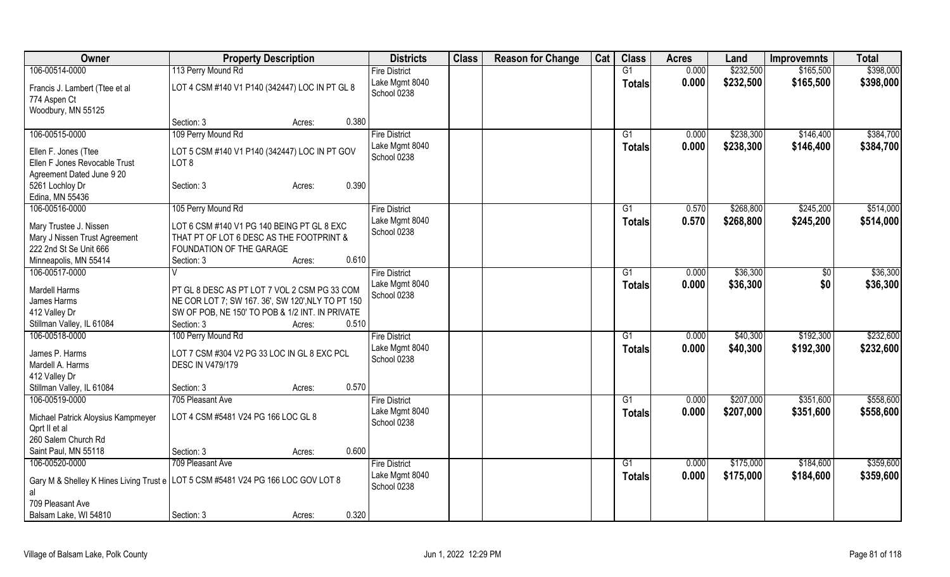| Owner                                                                            | <b>Property Description</b>                                                                          |                 | <b>Districts</b>              | <b>Class</b> | <b>Reason for Change</b> | Cat | <b>Class</b>    | <b>Acres</b> | Land      | <b>Improvemnts</b> | <b>Total</b> |
|----------------------------------------------------------------------------------|------------------------------------------------------------------------------------------------------|-----------------|-------------------------------|--------------|--------------------------|-----|-----------------|--------------|-----------|--------------------|--------------|
| 106-00514-0000                                                                   | 113 Perry Mound Rd                                                                                   |                 | <b>Fire District</b>          |              |                          |     | $\overline{G1}$ | 0.000        | \$232,500 | \$165,500          | \$398,000    |
| Francis J. Lambert (Ttee et al                                                   | LOT 4 CSM #140 V1 P140 (342447) LOC IN PT GL 8                                                       |                 | Lake Mgmt 8040                |              |                          |     | <b>Totals</b>   | 0.000        | \$232,500 | \$165,500          | \$398,000    |
| 774 Aspen Ct                                                                     |                                                                                                      |                 | School 0238                   |              |                          |     |                 |              |           |                    |              |
| Woodbury, MN 55125                                                               |                                                                                                      |                 |                               |              |                          |     |                 |              |           |                    |              |
|                                                                                  | Section: 3                                                                                           | 0.380<br>Acres: |                               |              |                          |     |                 |              |           |                    |              |
| 106-00515-0000                                                                   | 109 Perry Mound Rd                                                                                   |                 | <b>Fire District</b>          |              |                          |     | G1              | 0.000        | \$238,300 | \$146,400          | \$384,700    |
|                                                                                  |                                                                                                      |                 | Lake Mgmt 8040                |              |                          |     | <b>Totals</b>   | 0.000        | \$238,300 | \$146,400          | \$384,700    |
| Ellen F. Jones (Ttee                                                             | LOT 5 CSM #140 V1 P140 (342447) LOC IN PT GOV                                                        |                 | School 0238                   |              |                          |     |                 |              |           |                    |              |
| Ellen F Jones Revocable Trust                                                    | LOT <sub>8</sub>                                                                                     |                 |                               |              |                          |     |                 |              |           |                    |              |
| Agreement Dated June 9 20                                                        |                                                                                                      |                 |                               |              |                          |     |                 |              |           |                    |              |
| 5261 Lochloy Dr                                                                  | Section: 3                                                                                           | 0.390<br>Acres: |                               |              |                          |     |                 |              |           |                    |              |
| Edina, MN 55436                                                                  |                                                                                                      |                 |                               |              |                          |     |                 |              |           |                    |              |
| 106-00516-0000                                                                   | 105 Perry Mound Rd                                                                                   |                 | <b>Fire District</b>          |              |                          |     | G1              | 0.570        | \$268,800 | \$245,200          | \$514,000    |
| Mary Trustee J. Nissen                                                           | LOT 6 CSM #140 V1 PG 140 BEING PT GL 8 EXC                                                           |                 | Lake Mgmt 8040<br>School 0238 |              |                          |     | <b>Totals</b>   | 0.570        | \$268,800 | \$245,200          | \$514,000    |
| Mary J Nissen Trust Agreement                                                    | THAT PT OF LOT 6 DESC AS THE FOOTPRINT &                                                             |                 |                               |              |                          |     |                 |              |           |                    |              |
| 222 2nd St Se Unit 666                                                           | FOUNDATION OF THE GARAGE                                                                             |                 |                               |              |                          |     |                 |              |           |                    |              |
| Minneapolis, MN 55414                                                            | Section: 3                                                                                           | 0.610<br>Acres: |                               |              |                          |     |                 |              |           |                    |              |
| 106-00517-0000                                                                   |                                                                                                      |                 | <b>Fire District</b>          |              |                          |     | G1              | 0.000        | \$36,300  | \$0                | \$36,300     |
|                                                                                  |                                                                                                      |                 | Lake Mgmt 8040                |              |                          |     | <b>Totals</b>   | 0.000        | \$36,300  | \$0                | \$36,300     |
| <b>Mardell Harms</b>                                                             | PT GL 8 DESC AS PT LOT 7 VOL 2 CSM PG 33 COM                                                         |                 | School 0238                   |              |                          |     |                 |              |           |                    |              |
| James Harms<br>412 Valley Dr                                                     | NE COR LOT 7; SW 167. 36', SW 120', NLY TO PT 150<br>SW OF POB, NE 150' TO POB & 1/2 INT. IN PRIVATE |                 |                               |              |                          |     |                 |              |           |                    |              |
|                                                                                  |                                                                                                      | 0.510           |                               |              |                          |     |                 |              |           |                    |              |
| Stillman Valley, IL 61084<br>106-00518-0000                                      | Section: 3                                                                                           | Acres:          | <b>Fire District</b>          |              |                          |     |                 |              | \$40,300  | \$192,300          | \$232,600    |
|                                                                                  | 100 Perry Mound Rd                                                                                   |                 | Lake Mgmt 8040                |              |                          |     | G1              | 0.000        |           |                    |              |
| James P. Harms                                                                   | LOT 7 CSM #304 V2 PG 33 LOC IN GL 8 EXC PCL                                                          |                 | School 0238                   |              |                          |     | <b>Totals</b>   | 0.000        | \$40,300  | \$192,300          | \$232,600    |
| Mardell A. Harms                                                                 | <b>DESC IN V479/179</b>                                                                              |                 |                               |              |                          |     |                 |              |           |                    |              |
| 412 Valley Dr                                                                    |                                                                                                      |                 |                               |              |                          |     |                 |              |           |                    |              |
| Stillman Valley, IL 61084                                                        | Section: 3                                                                                           | 0.570<br>Acres: |                               |              |                          |     |                 |              |           |                    |              |
| 106-00519-0000                                                                   | 705 Pleasant Ave                                                                                     |                 | <b>Fire District</b>          |              |                          |     | G1              | 0.000        | \$207,000 | \$351,600          | \$558,600    |
| Michael Patrick Aloysius Kampmeyer                                               | LOT 4 CSM #5481 V24 PG 166 LOC GL 8                                                                  |                 | Lake Mgmt 8040                |              |                          |     | <b>Totals</b>   | 0.000        | \$207,000 | \$351,600          | \$558,600    |
| Qprt II et al                                                                    |                                                                                                      |                 | School 0238                   |              |                          |     |                 |              |           |                    |              |
| 260 Salem Church Rd                                                              |                                                                                                      |                 |                               |              |                          |     |                 |              |           |                    |              |
| Saint Paul, MN 55118                                                             | Section: 3                                                                                           | 0.600<br>Acres: |                               |              |                          |     |                 |              |           |                    |              |
| 106-00520-0000                                                                   | 709 Pleasant Ave                                                                                     |                 | <b>Fire District</b>          |              |                          |     | $\overline{G1}$ | 0.000        | \$175,000 | \$184,600          | \$359,600    |
|                                                                                  |                                                                                                      |                 | Lake Mgmt 8040                |              |                          |     |                 | 0.000        | \$175,000 | \$184,600          | \$359,600    |
| Gary M & Shelley K Hines Living Trust e LOT 5 CSM #5481 V24 PG 166 LOC GOV LOT 8 |                                                                                                      |                 | School 0238                   |              |                          |     | <b>Totals</b>   |              |           |                    |              |
| al                                                                               |                                                                                                      |                 |                               |              |                          |     |                 |              |           |                    |              |
| 709 Pleasant Ave                                                                 |                                                                                                      |                 |                               |              |                          |     |                 |              |           |                    |              |
| Balsam Lake, WI 54810                                                            | Section: 3                                                                                           | 0.320<br>Acres: |                               |              |                          |     |                 |              |           |                    |              |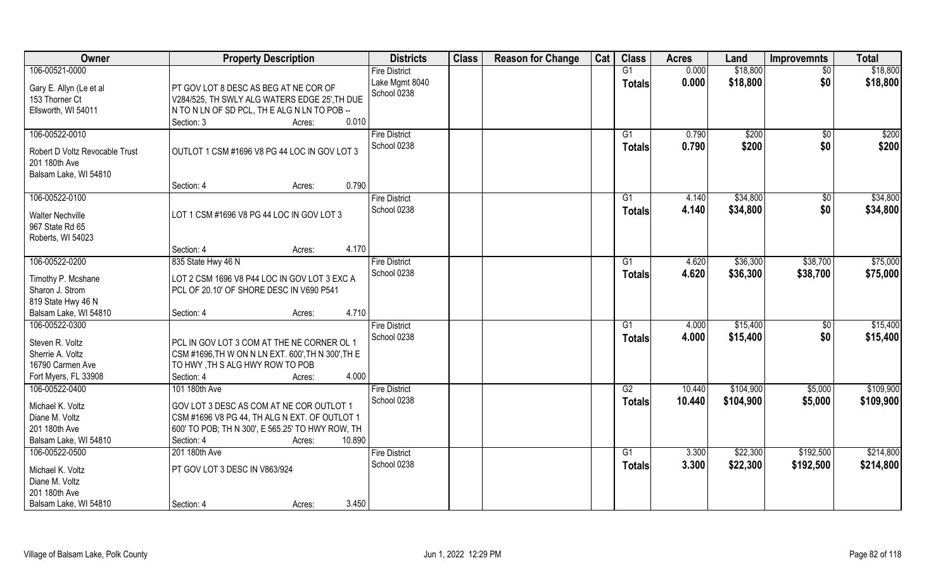| <b>Owner</b>                                                                                      | <b>Property Description</b>                                                                                                                                                     | <b>Districts</b>                    | <b>Class</b> | <b>Reason for Change</b> | Cat | <b>Class</b>        | <b>Acres</b>   | Land                 | <b>Improvemnts</b>    | <b>Total</b>         |
|---------------------------------------------------------------------------------------------------|---------------------------------------------------------------------------------------------------------------------------------------------------------------------------------|-------------------------------------|--------------|--------------------------|-----|---------------------|----------------|----------------------|-----------------------|----------------------|
| 106-00521-0000                                                                                    |                                                                                                                                                                                 | <b>Fire District</b>                |              |                          |     | G1                  | 0.000          | \$18,800             | $\overline{50}$       | \$18,800             |
| Gary E. Allyn (Le et al<br>153 Thorner Ct<br>Ellsworth, WI 54011                                  | PT GOV LOT 8 DESC AS BEG AT NE COR OF<br>V284/525, TH SWLY ALG WATERS EDGE 25', TH DUE<br>N TO N LN OF SD PCL, THE ALG N LN TO POB --<br>Section: 3<br>0.010<br>Acres:          | Lake Mgmt 8040<br>School 0238       |              |                          |     | <b>Totals</b>       | 0.000          | \$18,800             | \$0                   | \$18,800             |
| 106-00522-0010<br>Robert D Voltz Revocable Trust<br>201 180th Ave<br>Balsam Lake, WI 54810        | OUTLOT 1 CSM #1696 V8 PG 44 LOC IN GOV LOT 3<br>0.790                                                                                                                           | <b>Fire District</b><br>School 0238 |              |                          |     | G1<br><b>Totals</b> | 0.790<br>0.790 | \$200<br>\$200       | \$0<br>\$0            | \$200<br>\$200       |
| 106-00522-0100                                                                                    | Section: 4<br>Acres:                                                                                                                                                            |                                     |              |                          |     |                     | 4.140          | \$34,800             |                       | \$34,800             |
| <b>Walter Nechville</b><br>967 State Rd 65<br>Roberts, WI 54023                                   | LOT 1 CSM #1696 V8 PG 44 LOC IN GOV LOT 3                                                                                                                                       | <b>Fire District</b><br>School 0238 |              |                          |     | G1<br><b>Totals</b> | 4.140          | \$34,800             | $\sqrt[6]{30}$<br>\$0 | \$34,800             |
|                                                                                                   | 4.170<br>Section: 4<br>Acres:                                                                                                                                                   |                                     |              |                          |     |                     |                |                      |                       |                      |
| 106-00522-0200                                                                                    | 835 State Hwy 46 N                                                                                                                                                              | <b>Fire District</b>                |              |                          |     | G <sub>1</sub>      | 4.620          | \$36,300             | \$38,700              | \$75,000             |
| Timothy P. Mcshane<br>Sharon J. Strom<br>819 State Hwy 46 N                                       | LOT 2 CSM 1696 V8 P44 LOC IN GOV LOT 3 EXC A<br>PCL OF 20.10' OF SHORE DESC IN V690 P541                                                                                        | School 0238                         |              |                          |     | <b>Totals</b>       | 4.620          | \$36,300             | \$38,700              | \$75,000             |
| Balsam Lake, WI 54810                                                                             | 4.710<br>Section: 4<br>Acres:                                                                                                                                                   |                                     |              |                          |     |                     |                |                      |                       |                      |
| 106-00522-0300<br>Steven R. Voltz<br>Sherrie A. Voltz<br>16790 Carmen Ave<br>Fort Myers, FL 33908 | PCL IN GOV LOT 3 COM AT THE NE CORNER OL 1<br>CSM #1696, TH W ON N LN EXT. 600', TH N 300', TH E<br>TO HWY, TH S ALG HWY ROW TO POB<br>4.000<br>Section: 4<br>Acres:            | <b>Fire District</b><br>School 0238 |              |                          |     | G1<br><b>Totals</b> | 4.000<br>4.000 | \$15,400<br>\$15,400 | $\sqrt[6]{30}$<br>\$0 | \$15,400<br>\$15,400 |
| 106-00522-0400                                                                                    | 101 180th Ave                                                                                                                                                                   | <b>Fire District</b>                |              |                          |     | G2                  | 10.440         | \$104,900            | \$5,000               | \$109,900            |
| Michael K. Voltz<br>Diane M. Voltz<br>201 180th Ave<br>Balsam Lake, WI 54810                      | GOV LOT 3 DESC AS COM AT NE COR OUTLOT 1<br>CSM #1696 V8 PG 44, TH ALG N EXT. OF OUTLOT 1<br>600' TO POB; TH N 300', E 565.25' TO HWY ROW, TH<br>10.890<br>Section: 4<br>Acres: | School 0238                         |              |                          |     | <b>Totals</b>       | 10.440         | \$104,900            | \$5,000               | \$109,900            |
| 106-00522-0500                                                                                    | 201 180th Ave                                                                                                                                                                   | <b>Fire District</b>                |              |                          |     | $\overline{G1}$     | 3.300          | \$22,300             | \$192,500             | \$214,800            |
| Michael K. Voltz<br>Diane M. Voltz<br>201 180th Ave<br>Balsam Lake, WI 54810                      | PT GOV LOT 3 DESC IN V863/924<br>3.450<br>Section: 4<br>Acres:                                                                                                                  | School 0238                         |              |                          |     | <b>Totals</b>       | 3.300          | \$22,300             | \$192,500             | \$214,800            |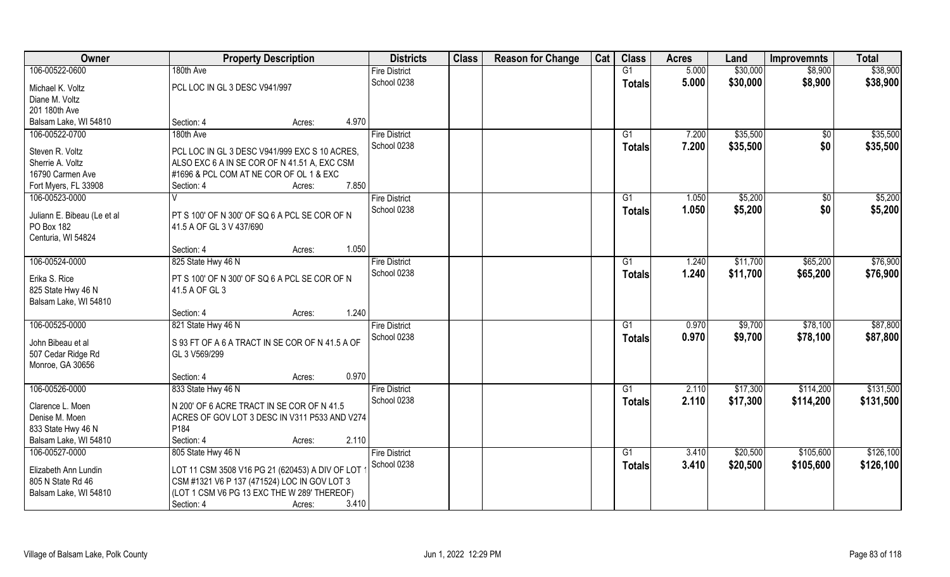| Owner                       | <b>Property Description</b>                     | <b>Districts</b>     | <b>Class</b> | <b>Reason for Change</b> | Cat | <b>Class</b>  | <b>Acres</b> | Land     | <b>Improvemnts</b> | <b>Total</b> |
|-----------------------------|-------------------------------------------------|----------------------|--------------|--------------------------|-----|---------------|--------------|----------|--------------------|--------------|
| 106-00522-0600              | 180th Ave                                       | <b>Fire District</b> |              |                          |     | G1            | 5.000        | \$30,000 | \$8,900            | \$38,900     |
| Michael K. Voltz            | PCL LOC IN GL 3 DESC V941/997                   | School 0238          |              |                          |     | <b>Totals</b> | 5.000        | \$30,000 | \$8,900            | \$38,900     |
| Diane M. Voltz              |                                                 |                      |              |                          |     |               |              |          |                    |              |
| 201 180th Ave               |                                                 |                      |              |                          |     |               |              |          |                    |              |
| Balsam Lake, WI 54810       | 4.970<br>Section: 4<br>Acres:                   |                      |              |                          |     |               |              |          |                    |              |
| 106-00522-0700              | 180th Ave                                       | <b>Fire District</b> |              |                          |     | G1            | 7.200        | \$35,500 | \$0                | \$35,500     |
|                             |                                                 | School 0238          |              |                          |     | <b>Totals</b> | 7.200        | \$35,500 | \$0                | \$35,500     |
| Steven R. Voltz             | PCL LOC IN GL 3 DESC V941/999 EXC S 10 ACRES.   |                      |              |                          |     |               |              |          |                    |              |
| Sherrie A. Voltz            | ALSO EXC 6 A IN SE COR OF N 41.51 A, EXC CSM    |                      |              |                          |     |               |              |          |                    |              |
| 16790 Carmen Ave            | #1696 & PCL COM AT NE COR OF OL 1 & EXC         |                      |              |                          |     |               |              |          |                    |              |
| Fort Myers, FL 33908        | 7.850<br>Section: 4<br>Acres:                   |                      |              |                          |     |               |              |          |                    |              |
| 106-00523-0000              | $\vee$                                          | <b>Fire District</b> |              |                          |     | G1            | 1.050        | \$5,200  | \$0                | \$5,200      |
| Juliann E. Bibeau (Le et al | PT S 100' OF N 300' OF SQ 6 A PCL SE COR OF N   | School 0238          |              |                          |     | <b>Totals</b> | 1.050        | \$5,200  | \$0                | \$5,200      |
| PO Box 182                  | 41.5 A OF GL 3 V 437/690                        |                      |              |                          |     |               |              |          |                    |              |
| Centuria, WI 54824          |                                                 |                      |              |                          |     |               |              |          |                    |              |
|                             | 1.050<br>Section: 4<br>Acres:                   |                      |              |                          |     |               |              |          |                    |              |
| 106-00524-0000              | 825 State Hwy 46 N                              | <b>Fire District</b> |              |                          |     | G1            | 1.240        | \$11,700 | \$65,200           | \$76,900     |
|                             |                                                 | School 0238          |              |                          |     | <b>Totals</b> | 1.240        | \$11,700 | \$65,200           | \$76,900     |
| Erika S. Rice               | PT S 100' OF N 300' OF SQ 6 A PCL SE COR OF N   |                      |              |                          |     |               |              |          |                    |              |
| 825 State Hwy 46 N          | 41.5 A OF GL 3                                  |                      |              |                          |     |               |              |          |                    |              |
| Balsam Lake, WI 54810       |                                                 |                      |              |                          |     |               |              |          |                    |              |
|                             | 1.240<br>Section: 4<br>Acres:                   |                      |              |                          |     |               |              |          |                    |              |
| 106-00525-0000              | 821 State Hwy 46 N                              | <b>Fire District</b> |              |                          |     | G1            | 0.970        | \$9,700  | \$78,100           | \$87,800     |
| John Bibeau et al           | S 93 FT OF A 6 A TRACT IN SE COR OF N 41.5 A OF | School 0238          |              |                          |     | Totals        | 0.970        | \$9,700  | \$78,100           | \$87,800     |
| 507 Cedar Ridge Rd          | GL 3 V569/299                                   |                      |              |                          |     |               |              |          |                    |              |
| Monroe, GA 30656            |                                                 |                      |              |                          |     |               |              |          |                    |              |
|                             | 0.970<br>Section: 4<br>Acres:                   |                      |              |                          |     |               |              |          |                    |              |
| 106-00526-0000              | 833 State Hwy 46 N                              | <b>Fire District</b> |              |                          |     | G1            | 2.110        | \$17,300 | \$114,200          | \$131,500    |
|                             |                                                 | School 0238          |              |                          |     | <b>Totals</b> | 2.110        | \$17,300 | \$114,200          | \$131,500    |
| Clarence L. Moen            | N 200' OF 6 ACRE TRACT IN SE COR OF N 41.5      |                      |              |                          |     |               |              |          |                    |              |
| Denise M. Moen              | ACRES OF GOV LOT 3 DESC IN V311 P533 AND V274   |                      |              |                          |     |               |              |          |                    |              |
| 833 State Hwy 46 N          | P184                                            |                      |              |                          |     |               |              |          |                    |              |
| Balsam Lake, WI 54810       | 2.110<br>Section: 4<br>Acres:                   |                      |              |                          |     |               |              |          |                    |              |
| 106-00527-0000              | 805 State Hwy 46 N                              | <b>Fire District</b> |              |                          |     | G1            | 3.410        | \$20,500 | \$105,600          | \$126,100    |
| Elizabeth Ann Lundin        | LOT 11 CSM 3508 V16 PG 21 (620453) A DIV OF LOT | School 0238          |              |                          |     | Totals        | 3.410        | \$20,500 | \$105,600          | \$126,100    |
| 805 N State Rd 46           | CSM #1321 V6 P 137 (471524) LOC IN GOV LOT 3    |                      |              |                          |     |               |              |          |                    |              |
| Balsam Lake, WI 54810       | (LOT 1 CSM V6 PG 13 EXC THE W 289' THEREOF)     |                      |              |                          |     |               |              |          |                    |              |
|                             | Section: 4<br>3.410<br>Acres:                   |                      |              |                          |     |               |              |          |                    |              |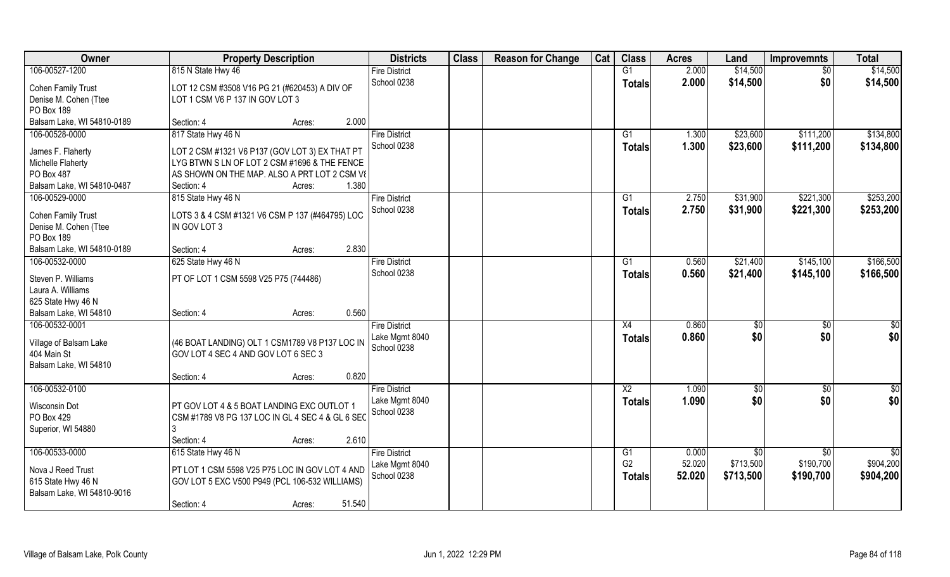| Owner                                              | <b>Property Description</b>                                     |        |        | <b>Districts</b>              | <b>Class</b> | <b>Reason for Change</b> | Cat | <b>Class</b>           | <b>Acres</b> | Land            | <b>Improvemnts</b> | <b>Total</b>    |
|----------------------------------------------------|-----------------------------------------------------------------|--------|--------|-------------------------------|--------------|--------------------------|-----|------------------------|--------------|-----------------|--------------------|-----------------|
| 106-00527-1200                                     | 815 N State Hwy 46                                              |        |        | <b>Fire District</b>          |              |                          |     | G1                     | 2.000        | \$14,500        | $\sqrt{$0}$        | \$14,500        |
| <b>Cohen Family Trust</b>                          | LOT 12 CSM #3508 V16 PG 21 (#620453) A DIV OF                   |        |        | School 0238                   |              |                          |     | <b>Totals</b>          | 2.000        | \$14,500        | \$0                | \$14,500        |
| Denise M. Cohen (Ttee                              | LOT 1 CSM V6 P 137 IN GOV LOT 3                                 |        |        |                               |              |                          |     |                        |              |                 |                    |                 |
| PO Box 189                                         |                                                                 |        |        |                               |              |                          |     |                        |              |                 |                    |                 |
| Balsam Lake, WI 54810-0189                         | Section: 4                                                      | Acres: | 2.000  |                               |              |                          |     |                        |              |                 |                    |                 |
| 106-00528-0000                                     | 817 State Hwy 46 N                                              |        |        | <b>Fire District</b>          |              |                          |     | G1                     | 1.300        | \$23,600        | \$111,200          | \$134,800       |
| James F. Flaherty                                  | LOT 2 CSM #1321 V6 P137 (GOV LOT 3) EX THAT PT                  |        |        | School 0238                   |              |                          |     | <b>Totals</b>          | 1.300        | \$23,600        | \$111,200          | \$134,800       |
| Michelle Flaherty                                  | LYG BTWN S LN OF LOT 2 CSM #1696 & THE FENCE                    |        |        |                               |              |                          |     |                        |              |                 |                    |                 |
| PO Box 487                                         | AS SHOWN ON THE MAP. ALSO A PRT LOT 2 CSM VE                    |        |        |                               |              |                          |     |                        |              |                 |                    |                 |
| Balsam Lake, WI 54810-0487                         | Section: 4                                                      | Acres: | 1.380  |                               |              |                          |     |                        |              |                 |                    |                 |
| 106-00529-0000                                     | 815 State Hwy 46 N                                              |        |        | <b>Fire District</b>          |              |                          |     | G1                     | 2.750        | \$31,900        | \$221,300          | \$253,200       |
|                                                    |                                                                 |        |        | School 0238                   |              |                          |     | <b>Totals</b>          | 2.750        | \$31,900        | \$221,300          | \$253,200       |
| <b>Cohen Family Trust</b><br>Denise M. Cohen (Ttee | LOTS 3 & 4 CSM #1321 V6 CSM P 137 (#464795) LOC<br>IN GOV LOT 3 |        |        |                               |              |                          |     |                        |              |                 |                    |                 |
| PO Box 189                                         |                                                                 |        |        |                               |              |                          |     |                        |              |                 |                    |                 |
| Balsam Lake, WI 54810-0189                         | Section: 4                                                      | Acres: | 2.830  |                               |              |                          |     |                        |              |                 |                    |                 |
| 106-00532-0000                                     | 625 State Hwy 46 N                                              |        |        | <b>Fire District</b>          |              |                          |     | G1                     | 0.560        | \$21,400        | \$145,100          | \$166,500       |
|                                                    |                                                                 |        |        | School 0238                   |              |                          |     | <b>Totals</b>          | 0.560        | \$21,400        | \$145,100          | \$166,500       |
| Steven P. Williams                                 | PT OF LOT 1 CSM 5598 V25 P75 (744486)                           |        |        |                               |              |                          |     |                        |              |                 |                    |                 |
| Laura A. Williams                                  |                                                                 |        |        |                               |              |                          |     |                        |              |                 |                    |                 |
| 625 State Hwy 46 N                                 |                                                                 |        |        |                               |              |                          |     |                        |              |                 |                    |                 |
| Balsam Lake, WI 54810                              | Section: 4                                                      | Acres: | 0.560  |                               |              |                          |     |                        |              |                 |                    |                 |
| 106-00532-0001                                     |                                                                 |        |        | <b>Fire District</b>          |              |                          |     | X4                     | 0.860        | \$0             | \$0                | $\overline{50}$ |
| Village of Balsam Lake                             | (46 BOAT LANDING) OLT 1 CSM1789 V8 P137 LOC IN                  |        |        | Lake Mgmt 8040<br>School 0238 |              |                          |     | <b>Totals</b>          | 0.860        | \$0             | \$0                | \$0             |
| 404 Main St                                        | GOV LOT 4 SEC 4 AND GOV LOT 6 SEC 3                             |        |        |                               |              |                          |     |                        |              |                 |                    |                 |
| Balsam Lake, WI 54810                              |                                                                 |        |        |                               |              |                          |     |                        |              |                 |                    |                 |
|                                                    | Section: 4                                                      | Acres: | 0.820  |                               |              |                          |     |                        |              |                 |                    |                 |
| 106-00532-0100                                     |                                                                 |        |        | <b>Fire District</b>          |              |                          |     | $\overline{\text{X2}}$ | 1.090        | \$0             | \$0                | \$0             |
| <b>Wisconsin Dot</b>                               | PT GOV LOT 4 & 5 BOAT LANDING EXC OUTLOT 1                      |        |        | Lake Mgmt 8040                |              |                          |     | <b>Totals</b>          | 1.090        | \$0             | \$0                | \$0             |
| PO Box 429                                         | CSM #1789 V8 PG 137 LOC IN GL 4 SEC 4 & GL 6 SEC                |        |        | School 0238                   |              |                          |     |                        |              |                 |                    |                 |
| Superior, WI 54880                                 |                                                                 |        |        |                               |              |                          |     |                        |              |                 |                    |                 |
|                                                    | Section: 4                                                      | Acres: | 2.610  |                               |              |                          |     |                        |              |                 |                    |                 |
| 106-00533-0000                                     | 615 State Hwy 46 N                                              |        |        | <b>Fire District</b>          |              |                          |     | G1                     | 0.000        | $\overline{50}$ | $\overline{50}$    | $\overline{50}$ |
| Nova J Reed Trust                                  | PT LOT 1 CSM 5598 V25 P75 LOC IN GOV LOT 4 AND                  |        |        | Lake Mgmt 8040                |              |                          |     | G <sub>2</sub>         | 52.020       | \$713,500       | \$190,700          | \$904,200       |
| 615 State Hwy 46 N                                 | GOV LOT 5 EXC V500 P949 (PCL 106-532 WILLIAMS)                  |        |        | School 0238                   |              |                          |     | <b>Totals</b>          | 52.020       | \$713,500       | \$190,700          | \$904,200       |
| Balsam Lake, WI 54810-9016                         |                                                                 |        |        |                               |              |                          |     |                        |              |                 |                    |                 |
|                                                    | Section: 4                                                      | Acres: | 51.540 |                               |              |                          |     |                        |              |                 |                    |                 |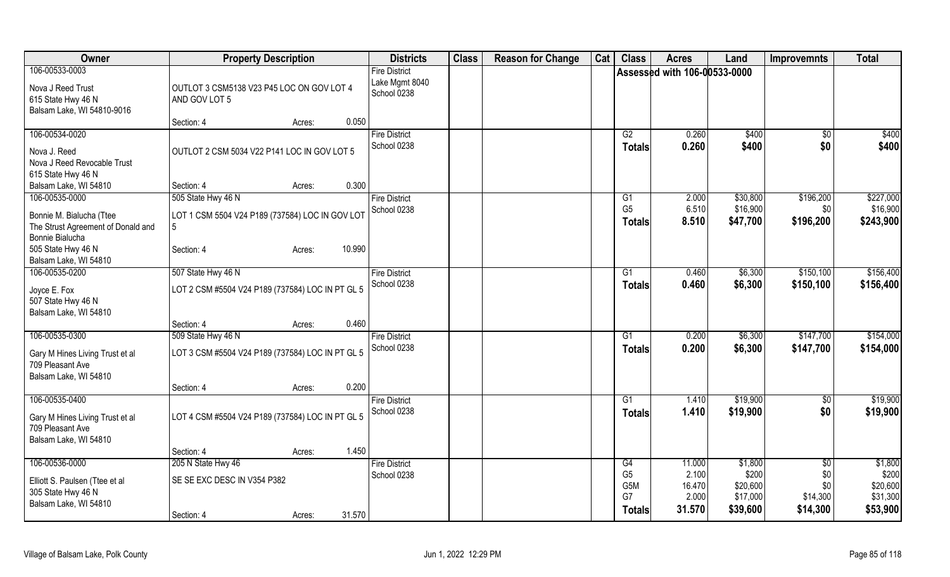| Owner                                               | <b>Property Description</b>                      |                  | <b>Districts</b>                    | <b>Class</b> | <b>Reason for Change</b> | Cat | <b>Class</b>         | <b>Acres</b>                 | Land             | <b>Improvemnts</b>     | <b>Total</b>     |
|-----------------------------------------------------|--------------------------------------------------|------------------|-------------------------------------|--------------|--------------------------|-----|----------------------|------------------------------|------------------|------------------------|------------------|
| 106-00533-0003                                      |                                                  |                  | <b>Fire District</b>                |              |                          |     |                      | Assessed with 106-00533-0000 |                  |                        |                  |
| Nova J Reed Trust                                   | OUTLOT 3 CSM5138 V23 P45 LOC ON GOV LOT 4        |                  | Lake Mgmt 8040<br>School 0238       |              |                          |     |                      |                              |                  |                        |                  |
| 615 State Hwy 46 N                                  | AND GOV LOT 5                                    |                  |                                     |              |                          |     |                      |                              |                  |                        |                  |
| Balsam Lake, WI 54810-9016                          | Section: 4                                       | 0.050<br>Acres:  |                                     |              |                          |     |                      |                              |                  |                        |                  |
| 106-00534-0020                                      |                                                  |                  | <b>Fire District</b>                |              |                          |     | G2                   | 0.260                        | \$400            | \$0                    | \$400            |
|                                                     |                                                  |                  | School 0238                         |              |                          |     | <b>Totals</b>        | 0.260                        | \$400            | \$0                    | \$400            |
| Nova J. Reed<br>Nova J Reed Revocable Trust         | OUTLOT 2 CSM 5034 V22 P141 LOC IN GOV LOT 5      |                  |                                     |              |                          |     |                      |                              |                  |                        |                  |
| 615 State Hwy 46 N                                  |                                                  |                  |                                     |              |                          |     |                      |                              |                  |                        |                  |
| Balsam Lake, WI 54810                               | Section: 4                                       | 0.300<br>Acres:  |                                     |              |                          |     |                      |                              |                  |                        |                  |
| 106-00535-0000                                      | 505 State Hwy 46 N                               |                  | <b>Fire District</b>                |              |                          |     | G <sub>1</sub>       | 2.000                        | \$30,800         | \$196,200              | \$227,000        |
| Bonnie M. Bialucha (Ttee                            | LOT 1 CSM 5504 V24 P189 (737584) LOC IN GOV LOT  |                  | School 0238                         |              |                          |     | G <sub>5</sub>       | 6.510                        | \$16,900         | \$0                    | \$16,900         |
| The Strust Agreement of Donald and                  | 5                                                |                  |                                     |              |                          |     | Totals               | 8.510                        | \$47,700         | \$196,200              | \$243,900        |
| Bonnie Bialucha                                     |                                                  |                  |                                     |              |                          |     |                      |                              |                  |                        |                  |
| 505 State Hwy 46 N                                  | Section: 4                                       | 10.990<br>Acres: |                                     |              |                          |     |                      |                              |                  |                        |                  |
| Balsam Lake, WI 54810<br>106-00535-0200             |                                                  |                  |                                     |              |                          |     |                      |                              | \$6,300          | \$150,100              | \$156,400        |
|                                                     | 507 State Hwy 46 N                               |                  | <b>Fire District</b><br>School 0238 |              |                          |     | G1                   | 0.460<br>0.460               | \$6,300          | \$150,100              | \$156,400        |
| Joyce E. Fox                                        | LOT 2 CSM #5504 V24 P189 (737584) LOC IN PT GL 5 |                  |                                     |              |                          |     | <b>Totals</b>        |                              |                  |                        |                  |
| 507 State Hwy 46 N                                  |                                                  |                  |                                     |              |                          |     |                      |                              |                  |                        |                  |
| Balsam Lake, WI 54810                               | Section: 4                                       | 0.460<br>Acres:  |                                     |              |                          |     |                      |                              |                  |                        |                  |
| 106-00535-0300                                      | 509 State Hwy 46 N                               |                  | <b>Fire District</b>                |              |                          |     | G1                   | 0.200                        | \$6,300          | \$147,700              | \$154,000        |
|                                                     |                                                  |                  | School 0238                         |              |                          |     | Totals               | 0.200                        | \$6,300          | \$147,700              | \$154,000        |
| Gary M Hines Living Trust et al<br>709 Pleasant Ave | LOT 3 CSM #5504 V24 P189 (737584) LOC IN PT GL 5 |                  |                                     |              |                          |     |                      |                              |                  |                        |                  |
| Balsam Lake, WI 54810                               |                                                  |                  |                                     |              |                          |     |                      |                              |                  |                        |                  |
|                                                     | Section: 4                                       | 0.200<br>Acres:  |                                     |              |                          |     |                      |                              |                  |                        |                  |
| 106-00535-0400                                      |                                                  |                  | <b>Fire District</b>                |              |                          |     | G1                   | 1.410                        | \$19,900         | \$0                    | \$19,900         |
| Gary M Hines Living Trust et al                     | LOT 4 CSM #5504 V24 P189 (737584) LOC IN PT GL 5 |                  | School 0238                         |              |                          |     | <b>Totals</b>        | 1.410                        | \$19,900         | \$0                    | \$19,900         |
| 709 Pleasant Ave                                    |                                                  |                  |                                     |              |                          |     |                      |                              |                  |                        |                  |
| Balsam Lake, WI 54810                               |                                                  |                  |                                     |              |                          |     |                      |                              |                  |                        |                  |
|                                                     | Section: 4                                       | 1.450<br>Acres:  |                                     |              |                          |     |                      |                              |                  |                        |                  |
| 106-00536-0000                                      | 205 N State Hwy 46                               |                  | <b>Fire District</b>                |              |                          |     | G4<br>G <sub>5</sub> | 11.000<br>2.100              | \$1,800<br>\$200 | $\overline{50}$<br>\$0 | \$1,800<br>\$200 |
| Elliott S. Paulsen (Ttee et al                      | SE SE EXC DESC IN V354 P382                      |                  | School 0238                         |              |                          |     | G <sub>5</sub> M     | 16.470                       | \$20,600         | \$0                    | \$20,600         |
| 305 State Hwy 46 N                                  |                                                  |                  |                                     |              |                          |     | G7                   | 2.000                        | \$17,000         | \$14,300               | \$31,300         |
| Balsam Lake, WI 54810                               |                                                  | 31.570           |                                     |              |                          |     | <b>Totals</b>        | 31.570                       | \$39,600         | \$14,300               | \$53,900         |
|                                                     | Section: 4                                       | Acres:           |                                     |              |                          |     |                      |                              |                  |                        |                  |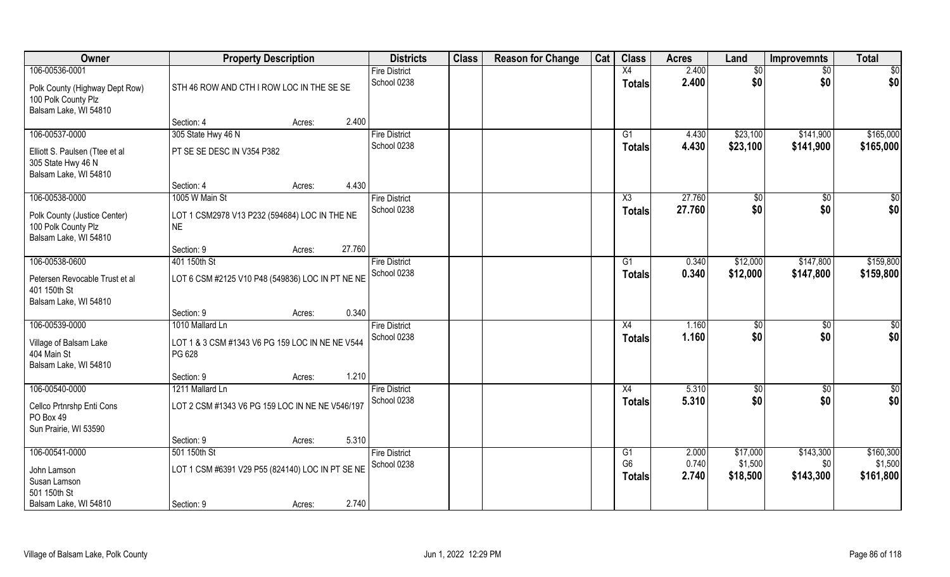| Owner                                  | <b>Property Description</b>                      |        |        | <b>Districts</b>                    | <b>Class</b> | <b>Reason for Change</b> | Cat | <b>Class</b>    | <b>Acres</b> | Land            | <b>Improvemnts</b> | <b>Total</b>    |
|----------------------------------------|--------------------------------------------------|--------|--------|-------------------------------------|--------------|--------------------------|-----|-----------------|--------------|-----------------|--------------------|-----------------|
| 106-00536-0001                         |                                                  |        |        | <b>Fire District</b>                |              |                          |     | X4              | 2.400        | $\overline{50}$ | $\sqrt{$0}$        | $\overline{50}$ |
| Polk County (Highway Dept Row)         | STH 46 ROW AND CTH I ROW LOC IN THE SE SE        |        |        | School 0238                         |              |                          |     | <b>Totals</b>   | 2.400        | \$0             | \$0                | \$0             |
| 100 Polk County Plz                    |                                                  |        |        |                                     |              |                          |     |                 |              |                 |                    |                 |
| Balsam Lake, WI 54810                  |                                                  |        |        |                                     |              |                          |     |                 |              |                 |                    |                 |
|                                        | Section: 4                                       | Acres: | 2.400  |                                     |              |                          |     |                 |              |                 |                    |                 |
| 106-00537-0000                         | 305 State Hwy 46 N                               |        |        | <b>Fire District</b>                |              |                          |     | G1              | 4.430        | \$23,100        | \$141,900          | \$165,000       |
| Elliott S. Paulsen (Ttee et al         | PT SE SE DESC IN V354 P382                       |        |        | School 0238                         |              |                          |     | Totals          | 4.430        | \$23,100        | \$141,900          | \$165,000       |
| 305 State Hwy 46 N                     |                                                  |        |        |                                     |              |                          |     |                 |              |                 |                    |                 |
| Balsam Lake, WI 54810                  |                                                  |        |        |                                     |              |                          |     |                 |              |                 |                    |                 |
|                                        | Section: 4                                       | Acres: | 4.430  |                                     |              |                          |     |                 |              |                 |                    |                 |
| 106-00538-0000                         | 1005 W Main St                                   |        |        | <b>Fire District</b>                |              |                          |     | X3              | 27.760       | \$0             | $\sqrt[6]{3}$      | \$0             |
| Polk County (Justice Center)           | LOT 1 CSM2978 V13 P232 (594684) LOC IN THE NE    |        |        | School 0238                         |              |                          |     | <b>Totals</b>   | 27.760       | \$0             | \$0                | \$0             |
| 100 Polk County Plz                    | <b>NE</b>                                        |        |        |                                     |              |                          |     |                 |              |                 |                    |                 |
| Balsam Lake, WI 54810                  |                                                  |        |        |                                     |              |                          |     |                 |              |                 |                    |                 |
|                                        | Section: 9                                       | Acres: | 27.760 |                                     |              |                          |     |                 |              |                 |                    |                 |
| 106-00538-0600                         | 401 150th St                                     |        |        | <b>Fire District</b><br>School 0238 |              |                          |     | G1              | 0.340        | \$12,000        | \$147,800          | \$159,800       |
| Petersen Revocable Trust et al         | LOT 6 CSM #2125 V10 P48 (549836) LOC IN PT NE NE |        |        |                                     |              |                          |     | <b>Totals</b>   | 0.340        | \$12,000        | \$147,800          | \$159,800       |
| 401 150th St                           |                                                  |        |        |                                     |              |                          |     |                 |              |                 |                    |                 |
| Balsam Lake, WI 54810                  |                                                  |        |        |                                     |              |                          |     |                 |              |                 |                    |                 |
| 106-00539-0000                         | Section: 9<br>1010 Mallard Ln                    | Acres: | 0.340  | <b>Fire District</b>                |              |                          |     | X4              | 1.160        | \$0             | $\overline{50}$    | $\overline{50}$ |
|                                        |                                                  |        |        | School 0238                         |              |                          |     | Totals          | 1.160        | \$0             | \$0                | \$0             |
| Village of Balsam Lake                 | LOT 1 & 3 CSM #1343 V6 PG 159 LOC IN NE NE V544  |        |        |                                     |              |                          |     |                 |              |                 |                    |                 |
| 404 Main St                            | PG 628                                           |        |        |                                     |              |                          |     |                 |              |                 |                    |                 |
| Balsam Lake, WI 54810                  | Section: 9                                       | Acres: | 1.210  |                                     |              |                          |     |                 |              |                 |                    |                 |
| 106-00540-0000                         | 1211 Mallard Ln                                  |        |        | <b>Fire District</b>                |              |                          |     | X4              | 5.310        | \$0             | $\sqrt{$0}$        | \$0             |
|                                        |                                                  |        |        | School 0238                         |              |                          |     | <b>Totals</b>   | 5.310        | \$0             | \$0                | \$0             |
| Cellco Prtnrshp Enti Cons<br>PO Box 49 | LOT 2 CSM #1343 V6 PG 159 LOC IN NE NE V546/197  |        |        |                                     |              |                          |     |                 |              |                 |                    |                 |
| Sun Prairie, WI 53590                  |                                                  |        |        |                                     |              |                          |     |                 |              |                 |                    |                 |
|                                        | Section: 9                                       | Acres: | 5.310  |                                     |              |                          |     |                 |              |                 |                    |                 |
| 106-00541-0000                         | 501 150th St                                     |        |        | <b>Fire District</b>                |              |                          |     | $\overline{G1}$ | 2.000        | \$17,000        | \$143,300          | \$160,300       |
| John Lamson                            | LOT 1 CSM #6391 V29 P55 (824140) LOC IN PT SE NE |        |        | School 0238                         |              |                          |     | G <sub>6</sub>  | 0.740        | \$1,500         | \$0                | \$1,500         |
| Susan Lamson                           |                                                  |        |        |                                     |              |                          |     | <b>Totals</b>   | 2.740        | \$18,500        | \$143,300          | \$161,800       |
| 501 150th St                           |                                                  |        |        |                                     |              |                          |     |                 |              |                 |                    |                 |
| Balsam Lake, WI 54810                  | Section: 9                                       | Acres: | 2.740  |                                     |              |                          |     |                 |              |                 |                    |                 |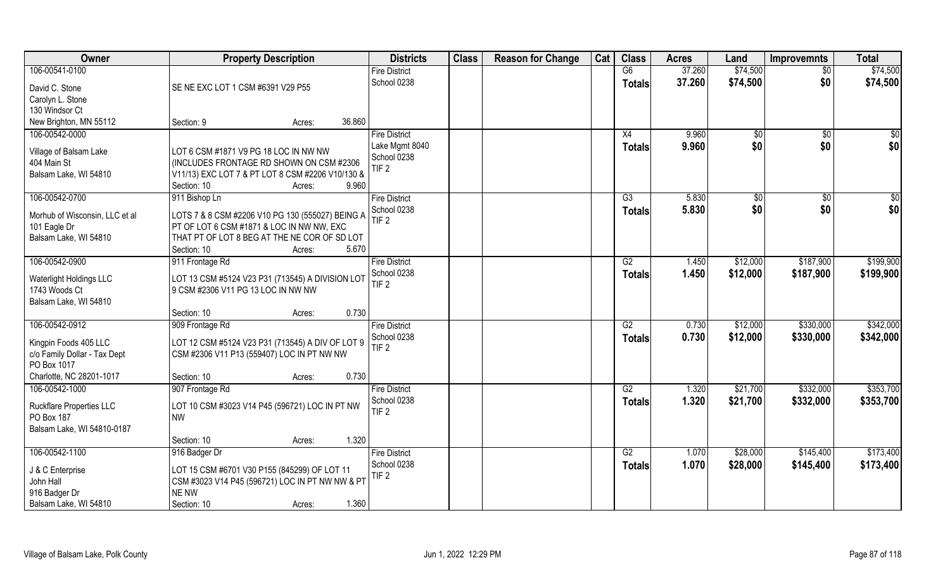| Owner                                    | <b>Property Description</b>                                                                   | <b>Districts</b>     | <b>Class</b> | <b>Reason for Change</b> | Cat | <b>Class</b>  | <b>Acres</b> | Land          | <b>Improvemnts</b> | <b>Total</b> |
|------------------------------------------|-----------------------------------------------------------------------------------------------|----------------------|--------------|--------------------------|-----|---------------|--------------|---------------|--------------------|--------------|
| 106-00541-0100                           |                                                                                               | <b>Fire District</b> |              |                          |     | G6            | 37.260       | \$74,500      | $\overline{50}$    | \$74,500     |
| David C. Stone                           | SE NE EXC LOT 1 CSM #6391 V29 P55                                                             | School 0238          |              |                          |     | Totals        | 37.260       | \$74,500      | \$0                | \$74,500     |
| Carolyn L. Stone                         |                                                                                               |                      |              |                          |     |               |              |               |                    |              |
| 130 Windsor Ct                           |                                                                                               |                      |              |                          |     |               |              |               |                    |              |
| New Brighton, MN 55112                   | 36.860<br>Section: 9<br>Acres:                                                                |                      |              |                          |     |               |              |               |                    |              |
| 106-00542-0000                           |                                                                                               | <b>Fire District</b> |              |                          |     | X4            | 9.960        | $\sqrt[6]{}$  | \$0                | \$0          |
| Village of Balsam Lake                   | LOT 6 CSM #1871 V9 PG 18 LOC IN NW NW                                                         | Lake Mgmt 8040       |              |                          |     | Totals        | 9.960        | \$0           | \$0                | \$0          |
| 404 Main St                              | (INCLUDES FRONTAGE RD SHOWN ON CSM #2306                                                      | School 0238          |              |                          |     |               |              |               |                    |              |
| Balsam Lake, WI 54810                    | V11/13) EXC LOT 7 & PT LOT 8 CSM #2206 V10/130 &                                              | TIF <sub>2</sub>     |              |                          |     |               |              |               |                    |              |
|                                          | 9.960<br>Section: 10<br>Acres:                                                                |                      |              |                          |     |               |              |               |                    |              |
| 106-00542-0700                           | 911 Bishop Ln                                                                                 | <b>Fire District</b> |              |                          |     | G3            | 5.830        | $\sqrt[6]{3}$ | $\sqrt[6]{30}$     | \$0          |
| Morhub of Wisconsin, LLC et al           |                                                                                               | School 0238          |              |                          |     | <b>Totals</b> | 5.830        | \$0           | \$0                | \$0          |
| 101 Eagle Dr                             | LOTS 7 & 8 CSM #2206 V10 PG 130 (555027) BEING A<br>PT OF LOT 6 CSM #1871 & LOC IN NW NW, EXC | TIF <sub>2</sub>     |              |                          |     |               |              |               |                    |              |
| Balsam Lake, WI 54810                    | THAT PT OF LOT 8 BEG AT THE NE COR OF SD LOT                                                  |                      |              |                          |     |               |              |               |                    |              |
|                                          | 5.670<br>Section: 10<br>Acres:                                                                |                      |              |                          |     |               |              |               |                    |              |
| 106-00542-0900                           | 911 Frontage Rd                                                                               | <b>Fire District</b> |              |                          |     | G2            | 1.450        | \$12,000      | \$187,900          | \$199,900    |
|                                          |                                                                                               | School 0238          |              |                          |     | <b>Totals</b> | 1.450        | \$12,000      | \$187,900          | \$199,900    |
| Waterlight Holdings LLC<br>1743 Woods Ct | LOT 13 CSM #5124 V23 P31 (713545) A DIVISION LOT<br>9 CSM #2306 V11 PG 13 LOC IN NW NW        | TIF <sub>2</sub>     |              |                          |     |               |              |               |                    |              |
| Balsam Lake, WI 54810                    |                                                                                               |                      |              |                          |     |               |              |               |                    |              |
|                                          | 0.730<br>Section: 10<br>Acres:                                                                |                      |              |                          |     |               |              |               |                    |              |
| 106-00542-0912                           | 909 Frontage Rd                                                                               | <b>Fire District</b> |              |                          |     | G2            | 0.730        | \$12,000      | \$330,000          | \$342,000    |
|                                          |                                                                                               | School 0238          |              |                          |     | <b>Totals</b> | 0.730        | \$12,000      | \$330,000          | \$342,000    |
| Kingpin Foods 405 LLC                    | LOT 12 CSM #5124 V23 P31 (713545) A DIV OF LOT 9                                              | TIF <sub>2</sub>     |              |                          |     |               |              |               |                    |              |
| c/o Family Dollar - Tax Dept             | CSM #2306 V11 P13 (559407) LOC IN PT NW NW                                                    |                      |              |                          |     |               |              |               |                    |              |
| PO Box 1017<br>Charlotte, NC 28201-1017  | 0.730<br>Section: 10                                                                          |                      |              |                          |     |               |              |               |                    |              |
| 106-00542-1000                           | Acres:<br>907 Frontage Rd                                                                     | <b>Fire District</b> |              |                          |     | G2            | 1.320        | \$21,700      | \$332,000          | \$353,700    |
|                                          |                                                                                               | School 0238          |              |                          |     | <b>Totals</b> | 1.320        | \$21,700      | \$332,000          | \$353,700    |
| <b>Ruckflare Properties LLC</b>          | LOT 10 CSM #3023 V14 P45 (596721) LOC IN PT NW                                                | TIF <sub>2</sub>     |              |                          |     |               |              |               |                    |              |
| PO Box 187                               | <b>NW</b>                                                                                     |                      |              |                          |     |               |              |               |                    |              |
| Balsam Lake, WI 54810-0187               |                                                                                               |                      |              |                          |     |               |              |               |                    |              |
| 106-00542-1100                           | 1.320<br>Section: 10<br>Acres:                                                                | <b>Fire District</b> |              |                          |     | G2            | 1.070        | \$28,000      | \$145,400          | \$173,400    |
|                                          | 916 Badger Dr                                                                                 | School 0238          |              |                          |     |               | 1.070        | \$28,000      | \$145,400          | \$173,400    |
| J & C Enterprise                         | LOT 15 CSM #6701 V30 P155 (845299) OF LOT 11                                                  | TIF <sub>2</sub>     |              |                          |     | Totals        |              |               |                    |              |
| John Hall                                | CSM #3023 V14 P45 (596721) LOC IN PT NW NW & PT                                               |                      |              |                          |     |               |              |               |                    |              |
| 916 Badger Dr                            | NE NW                                                                                         |                      |              |                          |     |               |              |               |                    |              |
| Balsam Lake, WI 54810                    | 1.360<br>Section: 10<br>Acres:                                                                |                      |              |                          |     |               |              |               |                    |              |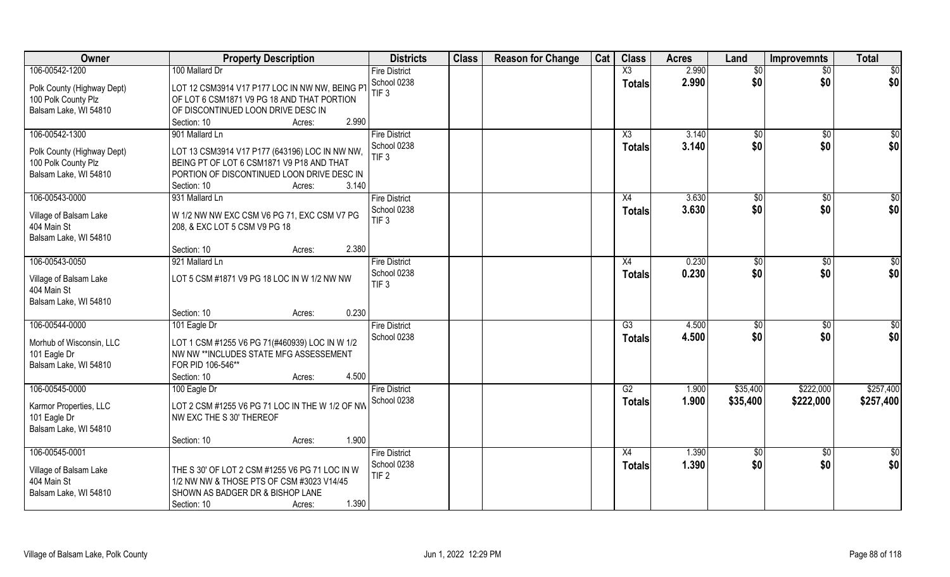| Owner                      | <b>Property Description</b>                     | <b>Districts</b>     | <b>Class</b> | <b>Reason for Change</b> | Cat | <b>Class</b>    | <b>Acres</b> | Land            | <b>Improvemnts</b> | <b>Total</b>    |
|----------------------------|-------------------------------------------------|----------------------|--------------|--------------------------|-----|-----------------|--------------|-----------------|--------------------|-----------------|
| 106-00542-1200             | 100 Mallard Dr                                  | <b>Fire District</b> |              |                          |     | X3              | 2.990        | $\overline{50}$ | $\overline{50}$    | $\overline{50}$ |
| Polk County (Highway Dept) | LOT 12 CSM3914 V17 P177 LOC IN NW NW, BEING PT  | School 0238          |              |                          |     | <b>Totals</b>   | 2.990        | \$0             | \$0                | \$0             |
| 100 Polk County Plz        | OF LOT 6 CSM1871 V9 PG 18 AND THAT PORTION      | TIF <sub>3</sub>     |              |                          |     |                 |              |                 |                    |                 |
| Balsam Lake, WI 54810      | OF DISCONTINUED LOON DRIVE DESC IN              |                      |              |                          |     |                 |              |                 |                    |                 |
|                            | 2.990<br>Section: 10<br>Acres:                  |                      |              |                          |     |                 |              |                 |                    |                 |
| 106-00542-1300             | 901 Mallard Ln                                  | <b>Fire District</b> |              |                          |     | X3              | 3.140        | \$0             | \$0                | \$0             |
|                            |                                                 | School 0238          |              |                          |     | <b>Totals</b>   | 3.140        | \$0             | \$0                | \$0             |
| Polk County (Highway Dept) | LOT 13 CSM3914 V17 P177 (643196) LOC IN NW NW,  | TIF <sub>3</sub>     |              |                          |     |                 |              |                 |                    |                 |
| 100 Polk County Plz        | BEING PT OF LOT 6 CSM1871 V9 P18 AND THAT       |                      |              |                          |     |                 |              |                 |                    |                 |
| Balsam Lake, WI 54810      | PORTION OF DISCONTINUED LOON DRIVE DESC IN      |                      |              |                          |     |                 |              |                 |                    |                 |
|                            | 3.140<br>Section: 10<br>Acres:                  |                      |              |                          |     |                 |              |                 |                    |                 |
| 106-00543-0000             | 931 Mallard Ln                                  | <b>Fire District</b> |              |                          |     | X4              | 3.630        | \$0             | $\overline{50}$    | \$0             |
| Village of Balsam Lake     | W 1/2 NW NW EXC CSM V6 PG 71, EXC CSM V7 PG     | School 0238          |              |                          |     | <b>Totals</b>   | 3.630        | \$0             | \$0                | \$0             |
| 404 Main St                | 208, & EXC LOT 5 CSM V9 PG 18                   | TIF <sub>3</sub>     |              |                          |     |                 |              |                 |                    |                 |
| Balsam Lake, WI 54810      |                                                 |                      |              |                          |     |                 |              |                 |                    |                 |
|                            | 2.380<br>Section: 10<br>Acres:                  |                      |              |                          |     |                 |              |                 |                    |                 |
| 106-00543-0050             | 921 Mallard Ln                                  | <b>Fire District</b> |              |                          |     | X4              | 0.230        | \$0             | \$0                | \$              |
|                            |                                                 | School 0238          |              |                          |     | <b>Totals</b>   | 0.230        | \$0             | \$0                | \$0             |
| Village of Balsam Lake     | LOT 5 CSM #1871 V9 PG 18 LOC IN W 1/2 NW NW     | TIF <sub>3</sub>     |              |                          |     |                 |              |                 |                    |                 |
| 404 Main St                |                                                 |                      |              |                          |     |                 |              |                 |                    |                 |
| Balsam Lake, WI 54810      |                                                 |                      |              |                          |     |                 |              |                 |                    |                 |
|                            | 0.230<br>Section: 10<br>Acres:                  |                      |              |                          |     |                 |              |                 |                    |                 |
| 106-00544-0000             | 101 Eagle Dr                                    | <b>Fire District</b> |              |                          |     | $\overline{G3}$ | 4.500        | \$0             | $\overline{50}$    | $\sqrt{50}$     |
| Morhub of Wisconsin, LLC   | LOT 1 CSM #1255 V6 PG 71(#460939) LOC IN W 1/2  | School 0238          |              |                          |     | <b>Totals</b>   | 4.500        | \$0             | \$0                | \$0             |
| 101 Eagle Dr               | NW NW **INCLUDES STATE MFG ASSESSEMENT          |                      |              |                          |     |                 |              |                 |                    |                 |
| Balsam Lake, WI 54810      | FOR PID 106-546**                               |                      |              |                          |     |                 |              |                 |                    |                 |
|                            | 4.500<br>Section: 10<br>Acres:                  |                      |              |                          |     |                 |              |                 |                    |                 |
| 106-00545-0000             | 100 Eagle Dr                                    | <b>Fire District</b> |              |                          |     | G2              | 1.900        | \$35,400        | \$222,000          | \$257,400       |
|                            |                                                 | School 0238          |              |                          |     | <b>Totals</b>   | 1.900        | \$35,400        | \$222,000          | \$257,400       |
| Karmor Properties, LLC     | LOT 2 CSM #1255 V6 PG 71 LOC IN THE W 1/2 OF NW |                      |              |                          |     |                 |              |                 |                    |                 |
| 101 Eagle Dr               | NW EXC THE S 30' THEREOF                        |                      |              |                          |     |                 |              |                 |                    |                 |
| Balsam Lake, WI 54810      |                                                 |                      |              |                          |     |                 |              |                 |                    |                 |
|                            | 1.900<br>Section: 10<br>Acres:                  |                      |              |                          |     |                 |              |                 |                    |                 |
| 106-00545-0001             |                                                 | <b>Fire District</b> |              |                          |     | X4              | 1.390        | \$0             | $\overline{30}$    | \$0             |
| Village of Balsam Lake     | THE S 30' OF LOT 2 CSM #1255 V6 PG 71 LOC IN W  | School 0238          |              |                          |     | Totals          | 1.390        | \$0             | \$0                | \$0             |
| 404 Main St                | 1/2 NW NW & THOSE PTS OF CSM #3023 V14/45       | TIF <sub>2</sub>     |              |                          |     |                 |              |                 |                    |                 |
| Balsam Lake, WI 54810      | SHOWN AS BADGER DR & BISHOP LANE                |                      |              |                          |     |                 |              |                 |                    |                 |
|                            | 1.390<br>Section: 10<br>Acres:                  |                      |              |                          |     |                 |              |                 |                    |                 |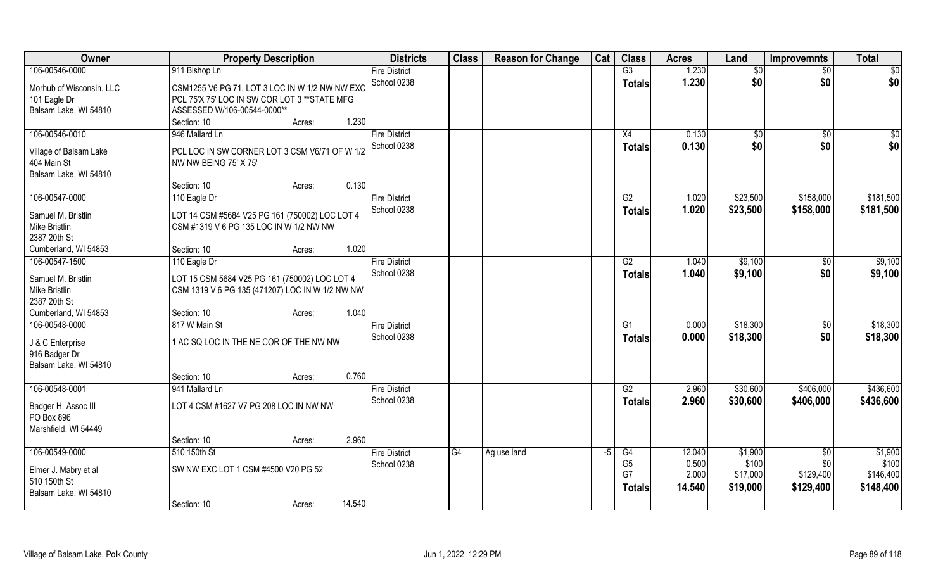| Owner                    | <b>Property Description</b>                     | <b>Districts</b>     | <b>Class</b>    | <b>Reason for Change</b> | Cat  | <b>Class</b>   | <b>Acres</b> | Land         | <b>Improvemnts</b> | <b>Total</b>    |
|--------------------------|-------------------------------------------------|----------------------|-----------------|--------------------------|------|----------------|--------------|--------------|--------------------|-----------------|
| 106-00546-0000           | 911 Bishop Ln                                   | <b>Fire District</b> |                 |                          |      | G3             | 1.230        | $\sqrt[6]{}$ | $\overline{50}$    | $\overline{50}$ |
| Morhub of Wisconsin, LLC | CSM1255 V6 PG 71, LOT 3 LOC IN W 1/2 NW NW EXC  | School 0238          |                 |                          |      | <b>Totals</b>  | 1.230        | \$0          | \$0                | \$0             |
| 101 Eagle Dr             | PCL 75'X 75' LOC IN SW COR LOT 3 ** STATE MFG   |                      |                 |                          |      |                |              |              |                    |                 |
| Balsam Lake, WI 54810    | ASSESSED W/106-00544-0000**                     |                      |                 |                          |      |                |              |              |                    |                 |
|                          | 1.230<br>Section: 10<br>Acres:                  |                      |                 |                          |      |                |              |              |                    |                 |
| 106-00546-0010           | 946 Mallard Ln                                  | <b>Fire District</b> |                 |                          |      | X4             | 0.130        | $\sqrt[6]{}$ | $\overline{50}$    | $\sqrt{50}$     |
| Village of Balsam Lake   | PCL LOC IN SW CORNER LOT 3 CSM V6/71 OF W 1/2   | School 0238          |                 |                          |      | <b>Totals</b>  | 0.130        | \$0          | \$0                | \$0             |
| 404 Main St              | NW NW BEING 75' X 75'                           |                      |                 |                          |      |                |              |              |                    |                 |
| Balsam Lake, WI 54810    |                                                 |                      |                 |                          |      |                |              |              |                    |                 |
|                          | 0.130<br>Section: 10<br>Acres:                  |                      |                 |                          |      |                |              |              |                    |                 |
| 106-00547-0000           | 110 Eagle Dr                                    | <b>Fire District</b> |                 |                          |      | G2             | 1.020        | \$23,500     | \$158,000          | \$181,500       |
| Samuel M. Bristlin       | LOT 14 CSM #5684 V25 PG 161 (750002) LOC LOT 4  | School 0238          |                 |                          |      | <b>Totals</b>  | 1.020        | \$23,500     | \$158,000          | \$181,500       |
| Mike Bristlin            | CSM #1319 V 6 PG 135 LOC IN W 1/2 NW NW         |                      |                 |                          |      |                |              |              |                    |                 |
| 2387 20th St             |                                                 |                      |                 |                          |      |                |              |              |                    |                 |
| Cumberland, WI 54853     | 1.020<br>Section: 10<br>Acres:                  |                      |                 |                          |      |                |              |              |                    |                 |
| 106-00547-1500           | 110 Eagle Dr                                    | <b>Fire District</b> |                 |                          |      | G2             | 1.040        | \$9,100      | $\sqrt[6]{3}$      | \$9,100         |
| Samuel M. Bristlin       | LOT 15 CSM 5684 V25 PG 161 (750002) LOC LOT 4   | School 0238          |                 |                          |      | <b>Totals</b>  | 1.040        | \$9,100      | \$0                | \$9,100         |
| Mike Bristlin            | CSM 1319 V 6 PG 135 (471207) LOC IN W 1/2 NW NW |                      |                 |                          |      |                |              |              |                    |                 |
| 2387 20th St             |                                                 |                      |                 |                          |      |                |              |              |                    |                 |
| Cumberland, WI 54853     | 1.040<br>Section: 10<br>Acres:                  |                      |                 |                          |      |                |              |              |                    |                 |
| 106-00548-0000           | 817 W Main St                                   | <b>Fire District</b> |                 |                          |      | G1             | 0.000        | \$18,300     | $\sqrt[6]{30}$     | \$18,300        |
| J & C Enterprise         | 1 AC SQ LOC IN THE NE COR OF THE NW NW          | School 0238          |                 |                          |      | <b>Totals</b>  | 0.000        | \$18,300     | \$0                | \$18,300        |
| 916 Badger Dr            |                                                 |                      |                 |                          |      |                |              |              |                    |                 |
| Balsam Lake, WI 54810    |                                                 |                      |                 |                          |      |                |              |              |                    |                 |
|                          | 0.760<br>Section: 10<br>Acres:                  |                      |                 |                          |      |                |              |              |                    |                 |
| 106-00548-0001           | 941 Mallard Ln                                  | <b>Fire District</b> |                 |                          |      | G2             | 2.960        | \$30,600     | \$406,000          | \$436,600       |
| Badger H. Assoc III      | LOT 4 CSM #1627 V7 PG 208 LOC IN NW NW          | School 0238          |                 |                          |      | <b>Totals</b>  | 2.960        | \$30,600     | \$406,000          | \$436,600       |
| PO Box 896               |                                                 |                      |                 |                          |      |                |              |              |                    |                 |
| Marshfield, WI 54449     |                                                 |                      |                 |                          |      |                |              |              |                    |                 |
|                          | 2.960<br>Section: 10<br>Acres:                  |                      |                 |                          |      |                |              |              |                    |                 |
| 106-00549-0000           | 510 150th St                                    | <b>Fire District</b> | $\overline{G4}$ | Ag use land              | $-5$ | G4             | 12.040       | \$1,900      | $\overline{50}$    | \$1,900         |
| Elmer J. Mabry et al     | SW NW EXC LOT 1 CSM #4500 V20 PG 52             | School 0238          |                 |                          |      | G <sub>5</sub> | 0.500        | \$100        | \$0                | \$100           |
| 510 150th St             |                                                 |                      |                 |                          |      | G7             | 2.000        | \$17,000     | \$129,400          | \$146,400       |
| Balsam Lake, WI 54810    |                                                 |                      |                 |                          |      | <b>Totals</b>  | 14.540       | \$19,000     | \$129,400          | \$148,400       |
|                          | 14.540<br>Section: 10<br>Acres:                 |                      |                 |                          |      |                |              |              |                    |                 |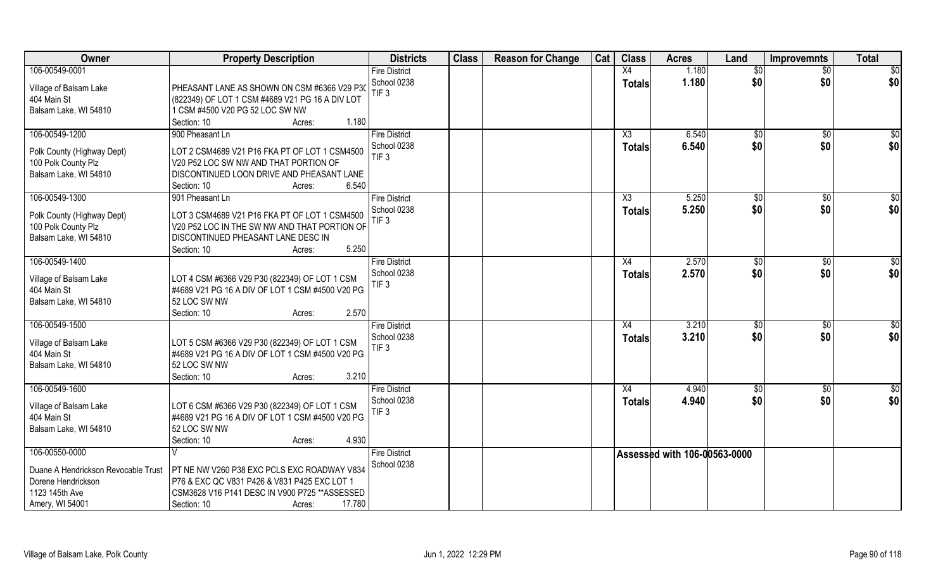| 106-00549-0001<br>1.180<br><b>Fire District</b><br>X4<br>$\overline{50}$<br>$\overline{50}$<br>\$0<br>\$0<br>\$0<br>School 0238<br>1.180<br>\$0<br><b>Totals</b><br>PHEASANT LANE AS SHOWN ON CSM #6366 V29 P30<br>Village of Balsam Lake<br>TIF <sub>3</sub><br>(822349) OF LOT 1 CSM #4689 V21 PG 16 A DIV LOT<br>404 Main St<br>Balsam Lake, WI 54810<br>1 CSM #4500 V20 PG 52 LOC SW NW<br>1.180<br>Section: 10<br>Acres: |
|-------------------------------------------------------------------------------------------------------------------------------------------------------------------------------------------------------------------------------------------------------------------------------------------------------------------------------------------------------------------------------------------------------------------------------|
|                                                                                                                                                                                                                                                                                                                                                                                                                               |
|                                                                                                                                                                                                                                                                                                                                                                                                                               |
|                                                                                                                                                                                                                                                                                                                                                                                                                               |
|                                                                                                                                                                                                                                                                                                                                                                                                                               |
|                                                                                                                                                                                                                                                                                                                                                                                                                               |
| 106-00549-1200<br>900 Pheasant Ln<br><b>Fire District</b><br>6.540<br>$\sqrt{50}$<br>X3<br>\$0<br>\$0                                                                                                                                                                                                                                                                                                                         |
| \$0<br>\$0<br>School 0238<br>6.540<br>\$0<br><b>Totals</b>                                                                                                                                                                                                                                                                                                                                                                    |
| LOT 2 CSM4689 V21 P16 FKA PT OF LOT 1 CSM4500<br>Polk County (Highway Dept)<br>TIF <sub>3</sub>                                                                                                                                                                                                                                                                                                                               |
| 100 Polk County Plz<br>V20 P52 LOC SW NW AND THAT PORTION OF                                                                                                                                                                                                                                                                                                                                                                  |
| Balsam Lake, WI 54810<br>DISCONTINUED LOON DRIVE AND PHEASANT LANE                                                                                                                                                                                                                                                                                                                                                            |
| 6.540<br>Section: 10<br>Acres:                                                                                                                                                                                                                                                                                                                                                                                                |
| 106-00549-1300<br>X3<br>5.250<br>\$0<br>$\overline{50}$<br>\$0<br>901 Pheasant Ln<br><b>Fire District</b>                                                                                                                                                                                                                                                                                                                     |
| \$0<br>\$0<br>\$0<br>5.250<br>School 0238<br><b>Totals</b><br>LOT 3 CSM4689 V21 P16 FKA PT OF LOT 1 CSM4500<br>Polk County (Highway Dept)                                                                                                                                                                                                                                                                                     |
| TIF <sub>3</sub><br>V20 P52 LOC IN THE SW NW AND THAT PORTION OF<br>100 Polk County Plz                                                                                                                                                                                                                                                                                                                                       |
| Balsam Lake, WI 54810<br>DISCONTINUED PHEASANT LANE DESC IN                                                                                                                                                                                                                                                                                                                                                                   |
| 5.250<br>Section: 10<br>Acres:                                                                                                                                                                                                                                                                                                                                                                                                |
| 106-00549-1400<br><b>Fire District</b><br>2.570<br>\$<br>\$0<br>\$0<br>X4                                                                                                                                                                                                                                                                                                                                                     |
| 2.570<br>\$0<br>\$0<br>\$0<br>School 0238<br><b>Totals</b>                                                                                                                                                                                                                                                                                                                                                                    |
| LOT 4 CSM #6366 V29 P30 (822349) OF LOT 1 CSM<br>Village of Balsam Lake<br>TIF <sub>3</sub>                                                                                                                                                                                                                                                                                                                                   |
| 404 Main St<br>#4689 V21 PG 16 A DIV OF LOT 1 CSM #4500 V20 PG                                                                                                                                                                                                                                                                                                                                                                |
| 52 LOC SW NW<br>Balsam Lake, WI 54810                                                                                                                                                                                                                                                                                                                                                                                         |
| 2.570<br>Section: 10<br>Acres:                                                                                                                                                                                                                                                                                                                                                                                                |
| 106-00549-1500<br>3.210<br>\$0<br>$\overline{50}$<br><b>Fire District</b><br>X4<br>$\overline{50}$                                                                                                                                                                                                                                                                                                                            |
| \$0<br>School 0238<br>3.210<br>\$0<br>\$0<br><b>Totals</b><br>LOT 5 CSM #6366 V29 P30 (822349) OF LOT 1 CSM<br>Village of Balsam Lake                                                                                                                                                                                                                                                                                         |
| TIF <sub>3</sub><br>404 Main St<br>#4689 V21 PG 16 A DIV OF LOT 1 CSM #4500 V20 PG                                                                                                                                                                                                                                                                                                                                            |
| Balsam Lake, WI 54810<br>52 LOC SW NW                                                                                                                                                                                                                                                                                                                                                                                         |
| 3.210<br>Section: 10<br>Acres:                                                                                                                                                                                                                                                                                                                                                                                                |
| 106-00549-1600<br>\$0<br><b>Fire District</b><br>X4<br>4.940<br>\$0<br>\$0                                                                                                                                                                                                                                                                                                                                                    |
| \$0<br>\$0<br>\$0<br>School 0238<br>4.940<br><b>Totals</b>                                                                                                                                                                                                                                                                                                                                                                    |
| Village of Balsam Lake<br>LOT 6 CSM #6366 V29 P30 (822349) OF LOT 1 CSM<br>TIF <sub>3</sub>                                                                                                                                                                                                                                                                                                                                   |
| #4689 V21 PG 16 A DIV OF LOT 1 CSM #4500 V20 PG<br>404 Main St                                                                                                                                                                                                                                                                                                                                                                |
| Balsam Lake, WI 54810<br>52 LOC SW NW                                                                                                                                                                                                                                                                                                                                                                                         |
| 4.930<br>Section: 10<br>Acres:                                                                                                                                                                                                                                                                                                                                                                                                |
| 106-00550-0000<br><b>Fire District</b><br>Assessed with 106-00563-0000                                                                                                                                                                                                                                                                                                                                                        |
| School 0238<br>Duane A Hendrickson Revocable Trust<br>PT NE NW V260 P38 EXC PCLS EXC ROADWAY V834                                                                                                                                                                                                                                                                                                                             |
| Dorene Hendrickson<br>P76 & EXC QC V831 P426 & V831 P425 EXC LOT 1                                                                                                                                                                                                                                                                                                                                                            |
| 1123 145th Ave<br>CSM3628 V16 P141 DESC IN V900 P725 ** ASSESSED                                                                                                                                                                                                                                                                                                                                                              |
| 17.780<br>Amery, WI 54001<br>Section: 10<br>Acres:                                                                                                                                                                                                                                                                                                                                                                            |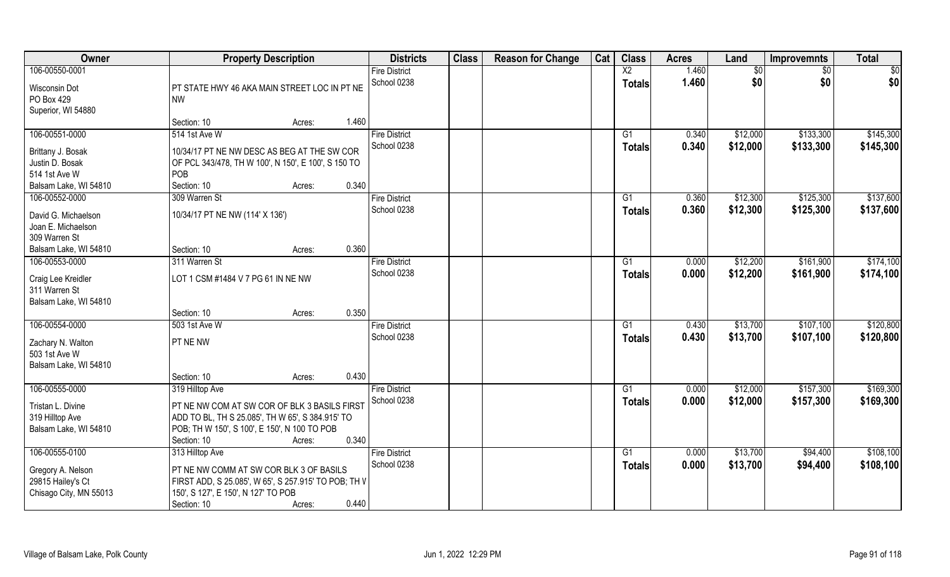| Owner                                                            |                                                                                                                                                                 | <b>Property Description</b> |       | <b>Districts</b>                    | <b>Class</b> | <b>Reason for Change</b> | Cat | <b>Class</b>    | <b>Acres</b>   | Land                 | <b>Improvemnts</b>     | <b>Total</b>           |
|------------------------------------------------------------------|-----------------------------------------------------------------------------------------------------------------------------------------------------------------|-----------------------------|-------|-------------------------------------|--------------|--------------------------|-----|-----------------|----------------|----------------------|------------------------|------------------------|
| 106-00550-0001                                                   |                                                                                                                                                                 |                             |       | <b>Fire District</b>                |              |                          |     | $\overline{X2}$ | 1.460          | \$0                  | \$0                    | \$0                    |
| Wisconsin Dot<br>PO Box 429<br>Superior, WI 54880                | PT STATE HWY 46 AKA MAIN STREET LOC IN PT NE<br><b>NW</b>                                                                                                       |                             |       | School 0238                         |              |                          |     | <b>Totals</b>   | 1.460          | \$0                  | \$0                    | \$0                    |
|                                                                  | Section: 10                                                                                                                                                     | Acres:                      | 1.460 |                                     |              |                          |     |                 |                |                      |                        |                        |
| 106-00551-0000                                                   | 514 1st Ave W                                                                                                                                                   |                             |       | <b>Fire District</b><br>School 0238 |              |                          |     | G1<br>Totals    | 0.340<br>0.340 | \$12,000<br>\$12,000 | \$133,300<br>\$133,300 | \$145,300<br>\$145,300 |
| Brittany J. Bosak                                                | 10/34/17 PT NE NW DESC AS BEG AT THE SW COR                                                                                                                     |                             |       |                                     |              |                          |     |                 |                |                      |                        |                        |
| Justin D. Bosak                                                  | OF PCL 343/478, TH W 100', N 150', E 100', S 150 TO                                                                                                             |                             |       |                                     |              |                          |     |                 |                |                      |                        |                        |
| 514 1st Ave W                                                    | <b>POB</b>                                                                                                                                                      |                             |       |                                     |              |                          |     |                 |                |                      |                        |                        |
| Balsam Lake, WI 54810                                            | Section: 10                                                                                                                                                     | Acres:                      | 0.340 |                                     |              |                          |     |                 |                |                      |                        |                        |
| 106-00552-0000                                                   | 309 Warren St                                                                                                                                                   |                             |       | <b>Fire District</b>                |              |                          |     | G1              | 0.360          | \$12,300             | \$125,300              | \$137,600              |
| David G. Michaelson                                              | 10/34/17 PT NE NW (114' X 136')                                                                                                                                 |                             |       | School 0238                         |              |                          |     | <b>Totals</b>   | 0.360          | \$12,300             | \$125,300              | \$137,600              |
| Joan E. Michaelson                                               |                                                                                                                                                                 |                             |       |                                     |              |                          |     |                 |                |                      |                        |                        |
| 309 Warren St                                                    |                                                                                                                                                                 |                             |       |                                     |              |                          |     |                 |                |                      |                        |                        |
| Balsam Lake, WI 54810                                            | Section: 10                                                                                                                                                     | Acres:                      | 0.360 |                                     |              |                          |     |                 |                |                      |                        |                        |
| 106-00553-0000                                                   | 311 Warren St                                                                                                                                                   |                             |       | <b>Fire District</b>                |              |                          |     | G1              | 0.000          | \$12,200             | \$161,900              | \$174,100              |
| Craig Lee Kreidler<br>311 Warren St                              | LOT 1 CSM #1484 V 7 PG 61 IN NE NW                                                                                                                              |                             |       | School 0238                         |              |                          |     | <b>Totals</b>   | 0.000          | \$12,200             | \$161,900              | \$174,100              |
| Balsam Lake, WI 54810                                            |                                                                                                                                                                 |                             |       |                                     |              |                          |     |                 |                |                      |                        |                        |
|                                                                  | Section: 10                                                                                                                                                     | Acres:                      | 0.350 |                                     |              |                          |     |                 |                |                      |                        |                        |
| 106-00554-0000                                                   | 503 1st Ave W                                                                                                                                                   |                             |       | <b>Fire District</b>                |              |                          |     | G1              | 0.430          | \$13,700             | \$107,100              | \$120,800              |
| Zachary N. Walton                                                | PT NE NW                                                                                                                                                        |                             |       | School 0238                         |              |                          |     | <b>Totals</b>   | 0.430          | \$13,700             | \$107,100              | \$120,800              |
| 503 1st Ave W                                                    |                                                                                                                                                                 |                             |       |                                     |              |                          |     |                 |                |                      |                        |                        |
| Balsam Lake, WI 54810                                            |                                                                                                                                                                 |                             |       |                                     |              |                          |     |                 |                |                      |                        |                        |
|                                                                  | Section: 10                                                                                                                                                     | Acres:                      | 0.430 |                                     |              |                          |     |                 |                |                      |                        |                        |
| 106-00555-0000                                                   | 319 Hilltop Ave                                                                                                                                                 |                             |       | <b>Fire District</b>                |              |                          |     | G1              | 0.000          | \$12,000             | \$157,300              | \$169,300              |
| Tristan L. Divine<br>319 Hilltop Ave<br>Balsam Lake, WI 54810    | PT NE NW COM AT SW COR OF BLK 3 BASILS FIRST<br>ADD TO BL, TH S 25.085', TH W 65', S 384.915' TO<br>POB; TH W 150', S 100', E 150', N 100 TO POB<br>Section: 10 | Acres:                      | 0.340 | School 0238                         |              |                          |     | <b>Totals</b>   | 0.000          | \$12,000             | \$157,300              | \$169,300              |
| 106-00555-0100                                                   | 313 Hilltop Ave                                                                                                                                                 |                             |       | <b>Fire District</b>                |              |                          |     | G1              | 0.000          | \$13,700             | \$94,400               | \$108,100              |
| Gregory A. Nelson<br>29815 Hailey's Ct<br>Chisago City, MN 55013 | PT NE NW COMM AT SW COR BLK 3 OF BASILS<br>FIRST ADD, S 25.085', W 65', S 257.915' TO POB; TH V<br>150', S 127', E 150', N 127' TO POB<br>Section: 10           | Acres:                      | 0.440 | School 0238                         |              |                          |     | <b>Totals</b>   | 0.000          | \$13,700             | \$94,400               | \$108,100              |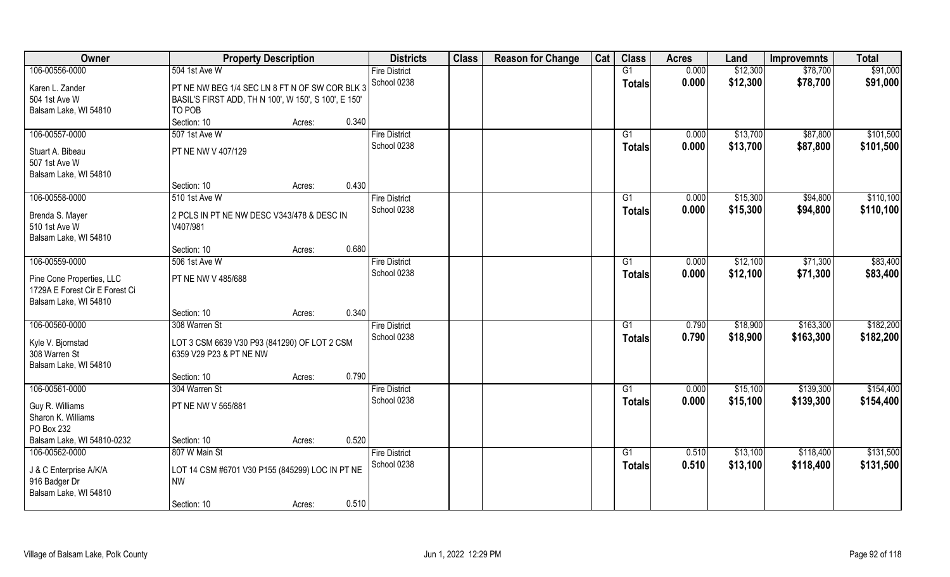| Owner                                                       | <b>Property Description</b>                          |        |       | <b>Districts</b>     | <b>Class</b> | <b>Reason for Change</b> | Cat | <b>Class</b>  | <b>Acres</b> | Land     | <b>Improvemnts</b> | <b>Total</b> |
|-------------------------------------------------------------|------------------------------------------------------|--------|-------|----------------------|--------------|--------------------------|-----|---------------|--------------|----------|--------------------|--------------|
| 106-00556-0000                                              | 504 1st Ave W                                        |        |       | <b>Fire District</b> |              |                          |     | G1            | 0.000        | \$12,300 | \$78,700           | \$91,000     |
| Karen L. Zander                                             | PT NE NW BEG 1/4 SEC LN 8 FT N OF SW COR BLK 3       |        |       | School 0238          |              |                          |     | <b>Totals</b> | 0.000        | \$12,300 | \$78,700           | \$91,000     |
| 504 1st Ave W                                               | BASIL'S FIRST ADD, TH N 100', W 150', S 100', E 150' |        |       |                      |              |                          |     |               |              |          |                    |              |
| Balsam Lake, WI 54810                                       | TO POB                                               |        |       |                      |              |                          |     |               |              |          |                    |              |
|                                                             | Section: 10                                          | Acres: | 0.340 |                      |              |                          |     |               |              |          |                    |              |
| 106-00557-0000                                              | 507 1st Ave W                                        |        |       | <b>Fire District</b> |              |                          |     | G1            | 0.000        | \$13,700 | \$87,800           | \$101,500    |
|                                                             |                                                      |        |       | School 0238          |              |                          |     | Totals        | 0.000        | \$13,700 | \$87,800           | \$101,500    |
| Stuart A. Bibeau                                            | PT NE NW V 407/129                                   |        |       |                      |              |                          |     |               |              |          |                    |              |
| 507 1st Ave W                                               |                                                      |        |       |                      |              |                          |     |               |              |          |                    |              |
| Balsam Lake, WI 54810                                       |                                                      |        |       |                      |              |                          |     |               |              |          |                    |              |
|                                                             | Section: 10                                          | Acres: | 0.430 |                      |              |                          |     |               |              |          |                    |              |
| 106-00558-0000                                              | 510 1st Ave W                                        |        |       | <b>Fire District</b> |              |                          |     | G1            | 0.000        | \$15,300 | \$94,800           | \$110,100    |
| Brenda S. Mayer                                             | 2 PCLS IN PT NE NW DESC V343/478 & DESC IN           |        |       | School 0238          |              |                          |     | <b>Totals</b> | 0.000        | \$15,300 | \$94,800           | \$110,100    |
| 510 1st Ave W                                               | V407/981                                             |        |       |                      |              |                          |     |               |              |          |                    |              |
| Balsam Lake, WI 54810                                       |                                                      |        |       |                      |              |                          |     |               |              |          |                    |              |
|                                                             | Section: 10                                          | Acres: | 0.680 |                      |              |                          |     |               |              |          |                    |              |
| 106-00559-0000                                              | 506 1st Ave W                                        |        |       | <b>Fire District</b> |              |                          |     | G1            | 0.000        | \$12,100 | \$71,300           | \$83,400     |
|                                                             | PT NE NW V 485/688                                   |        |       | School 0238          |              |                          |     | <b>Totals</b> | 0.000        | \$12,100 | \$71,300           | \$83,400     |
| Pine Cone Properties, LLC<br>1729A E Forest Cir E Forest Ci |                                                      |        |       |                      |              |                          |     |               |              |          |                    |              |
| Balsam Lake, WI 54810                                       |                                                      |        |       |                      |              |                          |     |               |              |          |                    |              |
|                                                             | Section: 10                                          | Acres: | 0.340 |                      |              |                          |     |               |              |          |                    |              |
| 106-00560-0000                                              | 308 Warren St                                        |        |       | <b>Fire District</b> |              |                          |     | G1            | 0.790        | \$18,900 | \$163,300          | \$182,200    |
|                                                             |                                                      |        |       | School 0238          |              |                          |     | <b>Totals</b> | 0.790        | \$18,900 | \$163,300          | \$182,200    |
| Kyle V. Bjornstad                                           | LOT 3 CSM 6639 V30 P93 (841290) OF LOT 2 CSM         |        |       |                      |              |                          |     |               |              |          |                    |              |
| 308 Warren St                                               | 6359 V29 P23 & PT NE NW                              |        |       |                      |              |                          |     |               |              |          |                    |              |
| Balsam Lake, WI 54810                                       |                                                      |        |       |                      |              |                          |     |               |              |          |                    |              |
|                                                             | Section: 10                                          | Acres: | 0.790 |                      |              |                          |     |               |              |          |                    |              |
| 106-00561-0000                                              | 304 Warren St                                        |        |       | <b>Fire District</b> |              |                          |     | G1            | 0.000        | \$15,100 | \$139,300          | \$154,400    |
| Guy R. Williams                                             | PT NE NW V 565/881                                   |        |       | School 0238          |              |                          |     | <b>Totals</b> | 0.000        | \$15,100 | \$139,300          | \$154,400    |
| Sharon K. Williams                                          |                                                      |        |       |                      |              |                          |     |               |              |          |                    |              |
| PO Box 232                                                  |                                                      |        |       |                      |              |                          |     |               |              |          |                    |              |
| Balsam Lake, WI 54810-0232                                  | Section: 10                                          | Acres: | 0.520 |                      |              |                          |     |               |              |          |                    |              |
| 106-00562-0000                                              | 807 W Main St                                        |        |       | <b>Fire District</b> |              |                          |     | G1            | 0.510        | \$13,100 | \$118,400          | \$131,500    |
|                                                             |                                                      |        |       | School 0238          |              |                          |     | <b>Totals</b> | 0.510        | \$13,100 | \$118,400          | \$131,500    |
| J & C Enterprise A/K/A                                      | LOT 14 CSM #6701 V30 P155 (845299) LOC IN PT NE      |        |       |                      |              |                          |     |               |              |          |                    |              |
| 916 Badger Dr                                               | <b>NW</b>                                            |        |       |                      |              |                          |     |               |              |          |                    |              |
| Balsam Lake, WI 54810                                       | Section: 10                                          |        | 0.510 |                      |              |                          |     |               |              |          |                    |              |
|                                                             |                                                      | Acres: |       |                      |              |                          |     |               |              |          |                    |              |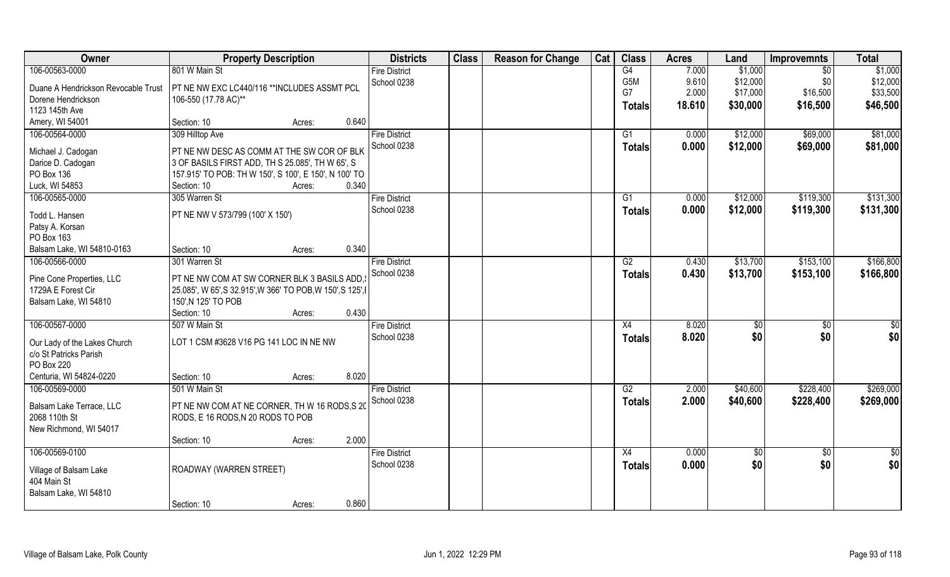| Owner                                 | <b>Property Description</b>                                 |        |       | <b>Districts</b>     | <b>Class</b> | <b>Reason for Change</b> | Cat | <b>Class</b>     | <b>Acres</b> | Land       | <b>Improvemnts</b> | <b>Total</b>  |
|---------------------------------------|-------------------------------------------------------------|--------|-------|----------------------|--------------|--------------------------|-----|------------------|--------------|------------|--------------------|---------------|
| 106-00563-0000                        | 801 W Main St                                               |        |       | <b>Fire District</b> |              |                          |     | G4               | 7.000        | \$1,000    | \$0                | \$1,000       |
| Duane A Hendrickson Revocable Trust   | PT NE NW EXC LC440/116 ** INCLUDES ASSMT PCL                |        |       | School 0238          |              |                          |     | G <sub>5</sub> M | 9.610        | \$12,000   | \$0                | \$12,000      |
| Dorene Hendrickson                    | 106-550 (17.78 AC)**                                        |        |       |                      |              |                          |     | G7               | 2.000        | \$17,000   | \$16,500           | \$33,500      |
| 1123 145th Ave                        |                                                             |        |       |                      |              |                          |     | <b>Totals</b>    | 18.610       | \$30,000   | \$16,500           | \$46,500      |
| Amery, WI 54001                       | Section: 10                                                 | Acres: | 0.640 |                      |              |                          |     |                  |              |            |                    |               |
| 106-00564-0000                        | 309 Hilltop Ave                                             |        |       | <b>Fire District</b> |              |                          |     | G1               | 0.000        | \$12,000   | \$69,000           | \$81,000      |
|                                       |                                                             |        |       | School 0238          |              |                          |     | <b>Totals</b>    | 0.000        | \$12,000   | \$69,000           | \$81,000      |
| Michael J. Cadogan                    | PT NE NW DESC AS COMM AT THE SW COR OF BLK                  |        |       |                      |              |                          |     |                  |              |            |                    |               |
| Darice D. Cadogan                     | 3 OF BASILS FIRST ADD, TH S 25.085', TH W 65', S            |        |       |                      |              |                          |     |                  |              |            |                    |               |
| PO Box 136                            | 157.915' TO POB: TH W 150', S 100', E 150', N 100' TO       |        |       |                      |              |                          |     |                  |              |            |                    |               |
| Luck, WI 54853                        | Section: 10                                                 | Acres: | 0.340 |                      |              |                          |     |                  |              |            |                    |               |
| 106-00565-0000                        | 305 Warren St                                               |        |       | <b>Fire District</b> |              |                          |     | G1               | 0.000        | \$12,000   | \$119,300          | \$131,300     |
| Todd L. Hansen                        | PT NE NW V 573/799 (100' X 150')                            |        |       | School 0238          |              |                          |     | <b>Totals</b>    | 0.000        | \$12,000   | \$119,300          | \$131,300     |
| Patsy A. Korsan                       |                                                             |        |       |                      |              |                          |     |                  |              |            |                    |               |
| PO Box 163                            |                                                             |        |       |                      |              |                          |     |                  |              |            |                    |               |
| Balsam Lake, WI 54810-0163            | Section: 10                                                 | Acres: | 0.340 |                      |              |                          |     |                  |              |            |                    |               |
| 106-00566-0000                        | 301 Warren St                                               |        |       | <b>Fire District</b> |              |                          |     | G2               | 0.430        | \$13,700   | \$153,100          | \$166,800     |
|                                       |                                                             |        |       | School 0238          |              |                          |     | <b>Totals</b>    | 0.430        | \$13,700   | \$153,100          | \$166,800     |
| Pine Cone Properties, LLC             | PT NE NW COM AT SW CORNER BLK 3 BASILS ADD,                 |        |       |                      |              |                          |     |                  |              |            |                    |               |
| 1729A E Forest Cir                    | 25.085', W 65', S 32.915', W 366' TO POB, W 150', S 125', I |        |       |                      |              |                          |     |                  |              |            |                    |               |
| Balsam Lake, WI 54810                 | 150', N 125' TO POB                                         |        |       |                      |              |                          |     |                  |              |            |                    |               |
|                                       | Section: 10                                                 | Acres: | 0.430 |                      |              |                          |     |                  |              |            |                    |               |
| 106-00567-0000                        | 507 W Main St                                               |        |       | <b>Fire District</b> |              |                          |     | X4               | 8.020        | \$         | \$0                | \$0           |
| Our Lady of the Lakes Church          | LOT 1 CSM #3628 V16 PG 141 LOC IN NE NW                     |        |       | School 0238          |              |                          |     | <b>Totals</b>    | 8.020        | \$0        | \$0                | \$0           |
| c/o St Patricks Parish                |                                                             |        |       |                      |              |                          |     |                  |              |            |                    |               |
| PO Box 220                            |                                                             |        |       |                      |              |                          |     |                  |              |            |                    |               |
| Centuria, WI 54824-0220               | Section: 10                                                 | Acres: | 8.020 |                      |              |                          |     |                  |              |            |                    |               |
| 106-00569-0000                        | 501 W Main St                                               |        |       | <b>Fire District</b> |              |                          |     | G2               | 2.000        | \$40,600   | \$228,400          | \$269,000     |
|                                       |                                                             |        |       | School 0238          |              |                          |     |                  | 2.000        |            |                    |               |
| Balsam Lake Terrace, LLC              | PT NE NW COM AT NE CORNER, TH W 16 RODS, S 20               |        |       |                      |              |                          |     | <b>Totals</b>    |              | \$40,600   | \$228,400          | \$269,000     |
| 2068 110th St                         | RODS, E 16 RODS, N 20 RODS TO POB                           |        |       |                      |              |                          |     |                  |              |            |                    |               |
| New Richmond, WI 54017                |                                                             |        |       |                      |              |                          |     |                  |              |            |                    |               |
|                                       | Section: 10                                                 | Acres: | 2.000 |                      |              |                          |     |                  |              |            |                    |               |
| 106-00569-0100                        |                                                             |        |       | <b>Fire District</b> |              |                          |     | X4               | 0.000        | $\sqrt{6}$ | $\overline{50}$    | $\frac{1}{2}$ |
|                                       |                                                             |        |       | School 0238          |              |                          |     | <b>Totals</b>    | 0.000        | \$0        | \$0                | \$0           |
| Village of Balsam Lake<br>404 Main St | ROADWAY (WARREN STREET)                                     |        |       |                      |              |                          |     |                  |              |            |                    |               |
| Balsam Lake, WI 54810                 |                                                             |        |       |                      |              |                          |     |                  |              |            |                    |               |
|                                       |                                                             |        | 0.860 |                      |              |                          |     |                  |              |            |                    |               |
|                                       | Section: 10                                                 | Acres: |       |                      |              |                          |     |                  |              |            |                    |               |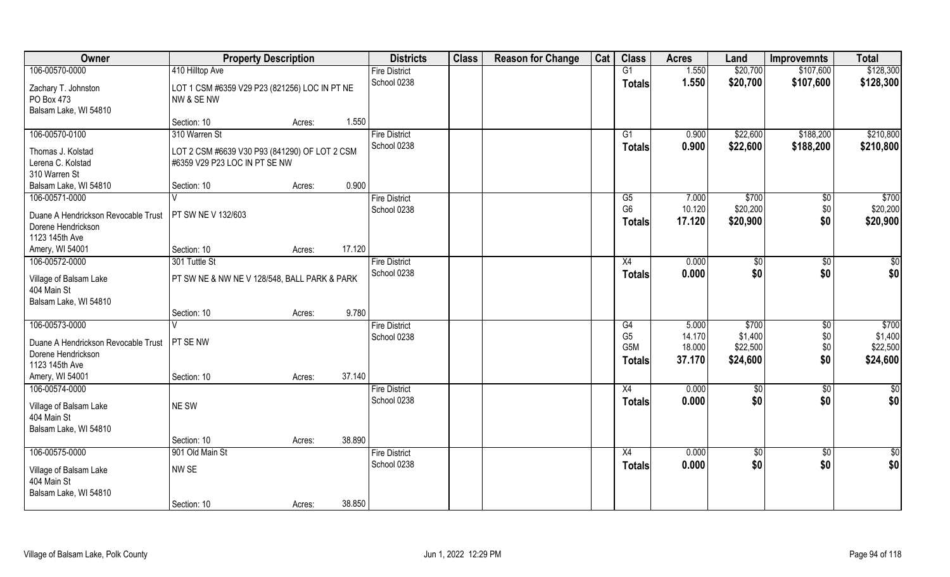| Owner                                                                                         | <b>Property Description</b>                                                    |                  | <b>Districts</b>                    | <b>Class</b> | <b>Reason for Change</b> | Cat | <b>Class</b>                                 | <b>Acres</b>                        | Land                                     | <b>Improvemnts</b>                   | <b>Total</b>                             |
|-----------------------------------------------------------------------------------------------|--------------------------------------------------------------------------------|------------------|-------------------------------------|--------------|--------------------------|-----|----------------------------------------------|-------------------------------------|------------------------------------------|--------------------------------------|------------------------------------------|
| 106-00570-0000                                                                                | 410 Hilltop Ave                                                                |                  | <b>Fire District</b>                |              |                          |     | G1                                           | 1.550                               | \$20,700                                 | \$107,600                            | \$128,300                                |
| Zachary T. Johnston<br>PO Box 473<br>Balsam Lake, WI 54810                                    | LOT 1 CSM #6359 V29 P23 (821256) LOC IN PT NE<br>NW & SE NW                    |                  | School 0238                         |              |                          |     | <b>Totals</b>                                | 1.550                               | \$20,700                                 | \$107,600                            | \$128,300                                |
|                                                                                               | Section: 10                                                                    | 1.550<br>Acres:  |                                     |              |                          |     |                                              |                                     |                                          |                                      |                                          |
| 106-00570-0100                                                                                | 310 Warren St                                                                  |                  | <b>Fire District</b>                |              |                          |     | G1                                           | 0.900                               | \$22,600                                 | \$188,200                            | \$210,800                                |
| Thomas J. Kolstad<br>Lerena C. Kolstad<br>310 Warren St                                       | LOT 2 CSM #6639 V30 P93 (841290) OF LOT 2 CSM<br>#6359 V29 P23 LOC IN PT SE NW |                  | School 0238                         |              |                          |     | Totals                                       | 0.900                               | \$22,600                                 | \$188,200                            | \$210,800                                |
| Balsam Lake, WI 54810                                                                         | Section: 10                                                                    | 0.900<br>Acres:  |                                     |              |                          |     |                                              |                                     |                                          |                                      |                                          |
| 106-00571-0000<br>Duane A Hendrickson Revocable Trust<br>Dorene Hendrickson<br>1123 145th Ave | PT SW NE V 132/603                                                             |                  | <b>Fire District</b><br>School 0238 |              |                          |     | G5<br>G <sub>6</sub><br><b>Totals</b>        | 7.000<br>10.120<br>17.120           | \$700<br>\$20,200<br>\$20,900            | \$0<br>\$0<br>\$0                    | \$700<br>\$20,200<br>\$20,900            |
| Amery, WI 54001                                                                               | Section: 10                                                                    | 17.120<br>Acres: |                                     |              |                          |     |                                              |                                     |                                          |                                      |                                          |
| 106-00572-0000                                                                                | 301 Tuttle St                                                                  |                  | <b>Fire District</b>                |              |                          |     | X4                                           | 0.000                               | \$0                                      | $\sqrt[6]{3}$                        | $\sqrt{50}$                              |
| Village of Balsam Lake<br>404 Main St<br>Balsam Lake, WI 54810                                | PT SW NE & NW NE V 128/548, BALL PARK & PARK                                   |                  | School 0238                         |              |                          |     | <b>Totals</b>                                | 0.000                               | \$0                                      | \$0                                  | \$0                                      |
|                                                                                               | Section: 10                                                                    | 9.780<br>Acres:  |                                     |              |                          |     |                                              |                                     |                                          |                                      |                                          |
| 106-00573-0000<br>Duane A Hendrickson Revocable Trust<br>Dorene Hendrickson<br>1123 145th Ave | PT SE NW                                                                       |                  | <b>Fire District</b><br>School 0238 |              |                          |     | G4<br>G <sub>5</sub><br>G5M<br><b>Totals</b> | 5.000<br>14.170<br>18.000<br>37.170 | \$700<br>\$1,400<br>\$22,500<br>\$24,600 | $\overline{50}$<br>\$0<br>\$0<br>\$0 | \$700<br>\$1,400<br>\$22,500<br>\$24,600 |
| Amery, WI 54001                                                                               | Section: 10                                                                    | 37.140<br>Acres: |                                     |              |                          |     |                                              |                                     |                                          |                                      |                                          |
| 106-00574-0000<br>Village of Balsam Lake<br>404 Main St<br>Balsam Lake, WI 54810              | NE SW                                                                          |                  | <b>Fire District</b><br>School 0238 |              |                          |     | X4<br><b>Totals</b>                          | 0.000<br>0.000                      | \$0<br>\$0                               | $\sqrt{$0}$<br>\$0                   | \$0<br>\$0                               |
|                                                                                               | Section: 10                                                                    | 38.890<br>Acres: |                                     |              |                          |     |                                              |                                     |                                          |                                      |                                          |
| 106-00575-0000                                                                                | 901 Old Main St                                                                |                  | <b>Fire District</b>                |              |                          |     | X4                                           | 0.000                               | $\sqrt{50}$                              | $\sqrt{$0}$                          | \$0                                      |
| Village of Balsam Lake<br>404 Main St<br>Balsam Lake, WI 54810                                | NW SE                                                                          |                  | School 0238                         |              |                          |     | <b>Totals</b>                                | 0.000                               | \$0                                      | \$0                                  | \$0                                      |
|                                                                                               | Section: 10                                                                    | 38.850<br>Acres: |                                     |              |                          |     |                                              |                                     |                                          |                                      |                                          |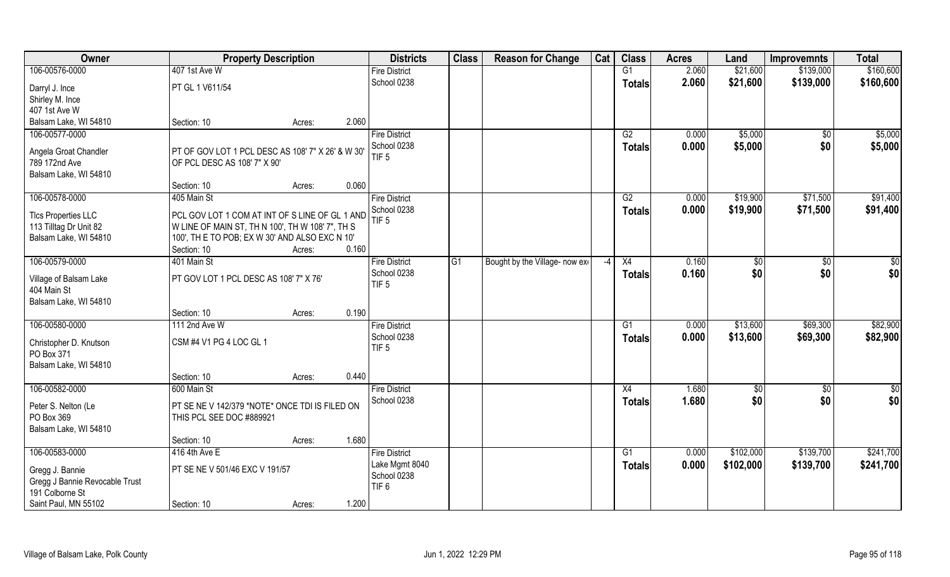| Owner                          | <b>Property Description</b>                                   |                 | <b>Districts</b>     | <b>Class</b>    | <b>Reason for Change</b>       | Cat | <b>Class</b>  | <b>Acres</b> | Land          | <b>Improvemnts</b> | <b>Total</b>    |
|--------------------------------|---------------------------------------------------------------|-----------------|----------------------|-----------------|--------------------------------|-----|---------------|--------------|---------------|--------------------|-----------------|
| 106-00576-0000                 | 407 1st Ave W                                                 |                 | <b>Fire District</b> |                 |                                |     | G1            | 2.060        | \$21,600      | \$139,000          | \$160,600       |
| Darryl J. Ince                 | PT GL 1 V611/54                                               |                 | School 0238          |                 |                                |     | <b>Totals</b> | 2.060        | \$21,600      | \$139,000          | \$160,600       |
| Shirley M. Ince                |                                                               |                 |                      |                 |                                |     |               |              |               |                    |                 |
| 407 1st Ave W                  |                                                               |                 |                      |                 |                                |     |               |              |               |                    |                 |
| Balsam Lake, WI 54810          | Section: 10                                                   | 2.060<br>Acres: |                      |                 |                                |     |               |              |               |                    |                 |
| 106-00577-0000                 |                                                               |                 | <b>Fire District</b> |                 |                                |     | G2            | 0.000        | \$5,000       | \$0                | \$5,000         |
| Angela Groat Chandler          | PT OF GOV LOT 1 PCL DESC AS 108' 7" X 26' & W 30              |                 | School 0238          |                 |                                |     | Totals        | 0.000        | \$5,000       | \$0                | \$5,000         |
| 789 172nd Ave                  | OF PCL DESC AS 108' 7" X 90'                                  |                 | TIF <sub>5</sub>     |                 |                                |     |               |              |               |                    |                 |
| Balsam Lake, WI 54810          |                                                               |                 |                      |                 |                                |     |               |              |               |                    |                 |
|                                | Section: 10                                                   | 0.060<br>Acres: |                      |                 |                                |     |               |              |               |                    |                 |
| 106-00578-0000                 | 405 Main St                                                   |                 | <b>Fire District</b> |                 |                                |     | G2            | 0.000        | \$19,900      | \$71,500           | \$91,400        |
|                                |                                                               |                 | School 0238          |                 |                                |     | <b>Totals</b> | 0.000        | \$19,900      | \$71,500           | \$91,400        |
| <b>TIcs Properties LLC</b>     | PCL GOV LOT 1 COM AT INT OF S LINE OF GL 1 AND                |                 | TIF <sub>5</sub>     |                 |                                |     |               |              |               |                    |                 |
| 113 Tilltag Dr Unit 82         | W LINE OF MAIN ST, TH N 100', TH W 108' 7", TH S              |                 |                      |                 |                                |     |               |              |               |                    |                 |
| Balsam Lake, WI 54810          | 100', TH E TO POB; EX W 30' AND ALSO EXC N 10'<br>Section: 10 | 0.160<br>Acres: |                      |                 |                                |     |               |              |               |                    |                 |
| 106-00579-0000                 | 401 Main St                                                   |                 | <b>Fire District</b> | $\overline{G1}$ | Bought by the Village- now exe | -4  | X4            | 0.160        | \$0           | $\sqrt{50}$        | \$0             |
|                                |                                                               |                 | School 0238          |                 |                                |     |               | 0.160        | \$0           | \$0                | \$0             |
| Village of Balsam Lake         | PT GOV LOT 1 PCL DESC AS 108' 7" X 76'                        |                 | TIF <sub>5</sub>     |                 |                                |     | <b>Totals</b> |              |               |                    |                 |
| 404 Main St                    |                                                               |                 |                      |                 |                                |     |               |              |               |                    |                 |
| Balsam Lake, WI 54810          |                                                               |                 |                      |                 |                                |     |               |              |               |                    |                 |
|                                | Section: 10                                                   | 0.190<br>Acres: |                      |                 |                                |     |               |              |               |                    |                 |
| 106-00580-0000                 | 111 2nd Ave W                                                 |                 | <b>Fire District</b> |                 |                                |     | G1            | 0.000        | \$13,600      | \$69,300           | \$82,900        |
| Christopher D. Knutson         | CSM #4 V1 PG 4 LOC GL 1                                       |                 | School 0238          |                 |                                |     | <b>Totals</b> | 0.000        | \$13,600      | \$69,300           | \$82,900        |
| PO Box 371                     |                                                               |                 | TIF <sub>5</sub>     |                 |                                |     |               |              |               |                    |                 |
| Balsam Lake, WI 54810          |                                                               |                 |                      |                 |                                |     |               |              |               |                    |                 |
|                                | Section: 10                                                   | 0.440<br>Acres: |                      |                 |                                |     |               |              |               |                    |                 |
| 106-00582-0000                 | 600 Main St                                                   |                 | <b>Fire District</b> |                 |                                |     | X4            | 1.680        | $\frac{6}{5}$ | $\overline{50}$    | $\overline{50}$ |
| Peter S. Nelton (Le            | PT SE NE V 142/379 *NOTE* ONCE TDI IS FILED ON                |                 | School 0238          |                 |                                |     | <b>Totals</b> | 1.680        | \$0           | \$0                | \$0             |
| PO Box 369                     | THIS PCL SEE DOC #889921                                      |                 |                      |                 |                                |     |               |              |               |                    |                 |
| Balsam Lake, WI 54810          |                                                               |                 |                      |                 |                                |     |               |              |               |                    |                 |
|                                | Section: 10                                                   | 1.680<br>Acres: |                      |                 |                                |     |               |              |               |                    |                 |
| 106-00583-0000                 | 416 4th Ave E                                                 |                 | <b>Fire District</b> |                 |                                |     | G1            | 0.000        | \$102,000     | \$139,700          | \$241,700       |
| Gregg J. Bannie                | PT SE NE V 501/46 EXC V 191/57                                |                 | Lake Mgmt 8040       |                 |                                |     | <b>Totals</b> | 0.000        | \$102,000     | \$139,700          | \$241,700       |
| Gregg J Bannie Revocable Trust |                                                               |                 | School 0238          |                 |                                |     |               |              |               |                    |                 |
| 191 Colborne St                |                                                               |                 | TIF <sub>6</sub>     |                 |                                |     |               |              |               |                    |                 |
| Saint Paul, MN 55102           | Section: 10                                                   | 1.200<br>Acres: |                      |                 |                                |     |               |              |               |                    |                 |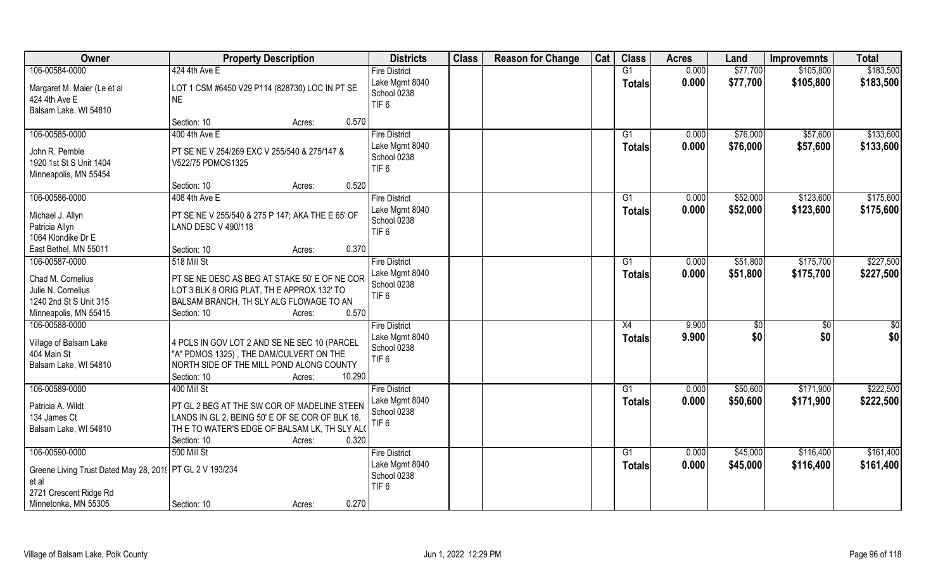| Owner                                                      | <b>Property Description</b>                      | <b>Districts</b>                | <b>Class</b> | <b>Reason for Change</b> | Cat | <b>Class</b>    | <b>Acres</b> | Land            | <b>Improvemnts</b> | <b>Total</b>    |
|------------------------------------------------------------|--------------------------------------------------|---------------------------------|--------------|--------------------------|-----|-----------------|--------------|-----------------|--------------------|-----------------|
| 106-00584-0000                                             | 424 4th Ave E                                    | <b>Fire District</b>            |              |                          |     | G1              | 0.000        | \$77,700        | \$105,800          | \$183,500       |
| Margaret M. Maier (Le et al                                | LOT 1 CSM #6450 V29 P114 (828730) LOC IN PT SE   | Lake Mgmt 8040                  |              |                          |     | <b>Totals</b>   | 0.000        | \$77,700        | \$105,800          | \$183,500       |
| 424 4th Ave E                                              | <b>NE</b>                                        | School 0238                     |              |                          |     |                 |              |                 |                    |                 |
| Balsam Lake, WI 54810                                      |                                                  | TIF <sub>6</sub>                |              |                          |     |                 |              |                 |                    |                 |
|                                                            | 0.570<br>Section: 10<br>Acres:                   |                                 |              |                          |     |                 |              |                 |                    |                 |
| 106-00585-0000                                             | 400 4th Ave E                                    | <b>Fire District</b>            |              |                          |     | $\overline{G1}$ | 0.000        | \$76,000        | \$57,600           | \$133,600       |
|                                                            |                                                  | Lake Mgmt 8040                  |              |                          |     | Totals          | 0.000        | \$76,000        | \$57,600           | \$133,600       |
| John R. Pemble                                             | PT SE NE V 254/269 EXC V 255/540 & 275/147 &     | School 0238                     |              |                          |     |                 |              |                 |                    |                 |
| 1920 1st St S Unit 1404                                    | V522/75 PDMOS1325                                | TIF <sub>6</sub>                |              |                          |     |                 |              |                 |                    |                 |
| Minneapolis, MN 55454                                      | 0.520<br>Section: 10                             |                                 |              |                          |     |                 |              |                 |                    |                 |
| 106-00586-0000                                             | Acres:<br>408 4th Ave E                          | <b>Fire District</b>            |              |                          |     | G1              | 0.000        | \$52,000        | \$123,600          | \$175,600       |
|                                                            |                                                  | Lake Mgmt 8040                  |              |                          |     |                 |              |                 |                    |                 |
| Michael J. Allyn                                           | PT SE NE V 255/540 & 275 P 147; AKA THE E 65' OF | School 0238                     |              |                          |     | <b>Totals</b>   | 0.000        | \$52,000        | \$123,600          | \$175,600       |
| Patricia Allyn                                             | LAND DESC V 490/118                              | TIF <sub>6</sub>                |              |                          |     |                 |              |                 |                    |                 |
| 1064 Klondike Dr E                                         |                                                  |                                 |              |                          |     |                 |              |                 |                    |                 |
| East Bethel, MN 55011                                      | 0.370<br>Section: 10<br>Acres:                   |                                 |              |                          |     |                 |              |                 |                    |                 |
| 106-00587-0000                                             | 518 Mill St                                      | <b>Fire District</b>            |              |                          |     | G1              | 0.000        | \$51,800        | \$175,700          | \$227,500       |
| Chad M. Cornelius                                          | PT SE NE DESC AS BEG AT STAKE 50' E OF NE COR    | Lake Mgmt 8040                  |              |                          |     | <b>Totals</b>   | 0.000        | \$51,800        | \$175,700          | \$227,500       |
| Julie N. Cornelius                                         | LOT 3 BLK 8 ORIG PLAT, TH E APPROX 132' TO       | School 0238                     |              |                          |     |                 |              |                 |                    |                 |
| 1240 2nd St S Unit 315                                     | BALSAM BRANCH, TH SLY ALG FLOWAGE TO AN          | TIF <sub>6</sub>                |              |                          |     |                 |              |                 |                    |                 |
| Minneapolis, MN 55415                                      | 0.570<br>Section: 10<br>Acres:                   |                                 |              |                          |     |                 |              |                 |                    |                 |
| 106-00588-0000                                             |                                                  | <b>Fire District</b>            |              |                          |     | $\overline{X4}$ | 9.900        | $\overline{50}$ | $\overline{50}$    | $\overline{50}$ |
|                                                            |                                                  | Lake Mgmt 8040                  |              |                          |     | Totals          | 9.900        | \$0             | \$0                | \$0             |
| Village of Balsam Lake                                     | 4 PCLS IN GOV LOT 2 AND SE NE SEC 10 (PARCEL     | School 0238                     |              |                          |     |                 |              |                 |                    |                 |
| 404 Main St                                                | "A" PDMOS 1325), THE DAM/CULVERT ON THE          | TIF <sub>6</sub>                |              |                          |     |                 |              |                 |                    |                 |
| Balsam Lake, WI 54810                                      | NORTH SIDE OF THE MILL POND ALONG COUNTY         |                                 |              |                          |     |                 |              |                 |                    |                 |
|                                                            | Section: 10<br>10.290<br>Acres:                  |                                 |              |                          |     |                 |              |                 |                    |                 |
| 106-00589-0000                                             | 400 Mill St                                      | <b>Fire District</b>            |              |                          |     | G1              | 0.000        | \$50,600        | \$171,900          | \$222,500       |
| Patricia A. Wildt                                          | PT GL 2 BEG AT THE SW COR OF MADELINE STEEN      | Lake Mgmt 8040                  |              |                          |     | <b>Totals</b>   | 0.000        | \$50,600        | \$171,900          | \$222,500       |
| 134 James Ct                                               | LANDS IN GL 2, BEING 50' E OF SE COR OF BLK 16,  | School 0238<br>TIF <sub>6</sub> |              |                          |     |                 |              |                 |                    |                 |
| Balsam Lake, WI 54810                                      | TH E TO WATER'S EDGE OF BALSAM LK, TH SLY ALO    |                                 |              |                          |     |                 |              |                 |                    |                 |
|                                                            | 0.320<br>Section: 10<br>Acres:                   |                                 |              |                          |     |                 |              |                 |                    |                 |
| 106-00590-0000                                             | 500 Mill St                                      | <b>Fire District</b>            |              |                          |     | G1              | 0.000        | \$45,000        | \$116,400          | \$161,400       |
| Greene Living Trust Dated May 28, 2019   PT GL 2 V 193/234 |                                                  | Lake Mgmt 8040                  |              |                          |     | <b>Totals</b>   | 0.000        | \$45,000        | \$116,400          | \$161,400       |
| et al                                                      |                                                  | School 0238                     |              |                          |     |                 |              |                 |                    |                 |
| 2721 Crescent Ridge Rd                                     |                                                  | TIF <sub>6</sub>                |              |                          |     |                 |              |                 |                    |                 |
| Minnetonka, MN 55305                                       | 0.270<br>Section: 10<br>Acres:                   |                                 |              |                          |     |                 |              |                 |                    |                 |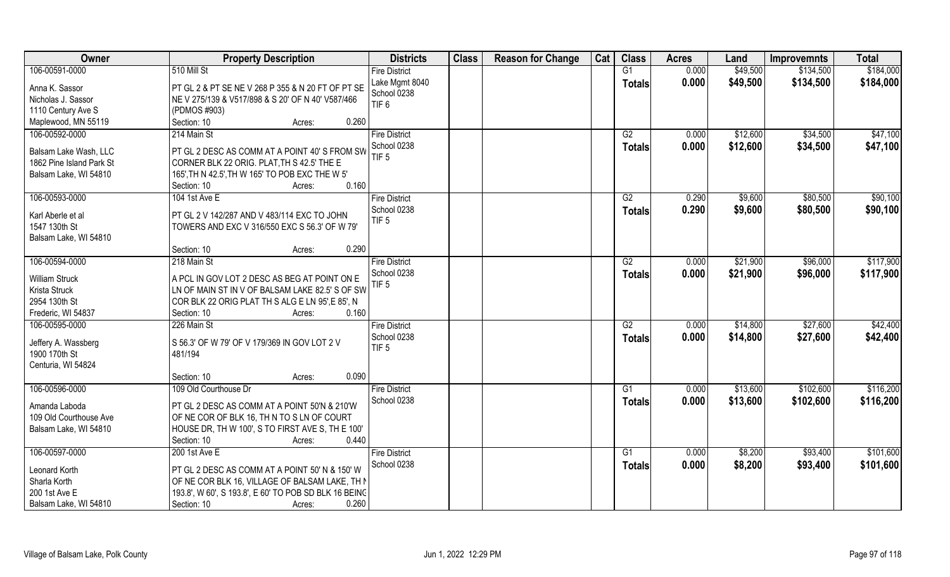| Owner                    | <b>Property Description</b>                           | <b>Districts</b>     | <b>Class</b> | <b>Reason for Change</b> | Cat | <b>Class</b>  | <b>Acres</b> | Land     | <b>Improvemnts</b> | <b>Total</b> |
|--------------------------|-------------------------------------------------------|----------------------|--------------|--------------------------|-----|---------------|--------------|----------|--------------------|--------------|
| 106-00591-0000           | 510 Mill St                                           | <b>Fire District</b> |              |                          |     | G1            | 0.000        | \$49,500 | \$134,500          | \$184,000    |
| Anna K. Sassor           | PT GL 2 & PT SE NE V 268 P 355 & N 20 FT OF PT SE     | Lake Mgmt 8040       |              |                          |     | <b>Totals</b> | 0.000        | \$49,500 | \$134,500          | \$184,000    |
| Nicholas J. Sassor       | NE V 275/139 & V517/898 & S 20' OF N 40' V587/466     | School 0238          |              |                          |     |               |              |          |                    |              |
| 1110 Century Ave S       | (PDMOS #903)                                          | TIF <sub>6</sub>     |              |                          |     |               |              |          |                    |              |
| Maplewood, MN 55119      | Section: 10<br>0.260<br>Acres:                        |                      |              |                          |     |               |              |          |                    |              |
| 106-00592-0000           | 214 Main St                                           | <b>Fire District</b> |              |                          |     | G2            | 0.000        | \$12,600 | \$34,500           | \$47,100     |
|                          |                                                       | School 0238          |              |                          |     | Totals        | 0.000        | \$12,600 | \$34,500           | \$47,100     |
| Balsam Lake Wash, LLC    | PT GL 2 DESC AS COMM AT A POINT 40' S FROM SW         | TIF <sub>5</sub>     |              |                          |     |               |              |          |                    |              |
| 1862 Pine Island Park St | CORNER BLK 22 ORIG. PLAT, TH S 42.5' THE E            |                      |              |                          |     |               |              |          |                    |              |
| Balsam Lake, WI 54810    | 165', TH N 42.5', TH W 165' TO POB EXC THE W 5'       |                      |              |                          |     |               |              |          |                    |              |
|                          | 0.160<br>Section: 10<br>Acres:                        |                      |              |                          |     |               |              |          |                    |              |
| 106-00593-0000           | 104 1st Ave E                                         | <b>Fire District</b> |              |                          |     | G2            | 0.290        | \$9,600  | \$80,500           | \$90,100     |
| Karl Aberle et al        | PT GL 2 V 142/287 AND V 483/114 EXC TO JOHN           | School 0238          |              |                          |     | <b>Totals</b> | 0.290        | \$9,600  | \$80,500           | \$90,100     |
| 1547 130th St            | TOWERS AND EXC V 316/550 EXC S 56.3' OF W 79'         | TIF <sub>5</sub>     |              |                          |     |               |              |          |                    |              |
| Balsam Lake, WI 54810    |                                                       |                      |              |                          |     |               |              |          |                    |              |
|                          | 0.290<br>Section: 10<br>Acres:                        |                      |              |                          |     |               |              |          |                    |              |
| 106-00594-0000           | 218 Main St                                           | <b>Fire District</b> |              |                          |     | G2            | 0.000        | \$21,900 | \$96,000           | \$117,900    |
|                          |                                                       | School 0238          |              |                          |     | <b>Totals</b> | 0.000        | \$21,900 | \$96,000           | \$117,900    |
| <b>William Struck</b>    | A PCL IN GOV LOT 2 DESC AS BEG AT POINT ON E          | TIF <sub>5</sub>     |              |                          |     |               |              |          |                    |              |
| Krista Struck            | LN OF MAIN ST IN V OF BALSAM LAKE 82.5' S OF SW       |                      |              |                          |     |               |              |          |                    |              |
| 2954 130th St            | COR BLK 22 ORIG PLAT TH S ALG E LN 95', E 85', N      |                      |              |                          |     |               |              |          |                    |              |
| Frederic, WI 54837       | Section: 10<br>0.160<br>Acres:                        |                      |              |                          |     |               |              |          |                    |              |
| 106-00595-0000           | 226 Main St                                           | <b>Fire District</b> |              |                          |     | G2            | 0.000        | \$14,800 | \$27,600           | \$42,400     |
| Jeffery A. Wassberg      | S 56.3' OF W 79' OF V 179/369 IN GOV LOT 2 V          | School 0238          |              |                          |     | <b>Totals</b> | 0.000        | \$14,800 | \$27,600           | \$42,400     |
| 1900 170th St            | 481/194                                               | TIF <sub>5</sub>     |              |                          |     |               |              |          |                    |              |
| Centuria, WI 54824       |                                                       |                      |              |                          |     |               |              |          |                    |              |
|                          | 0.090<br>Section: 10<br>Acres:                        |                      |              |                          |     |               |              |          |                    |              |
| 106-00596-0000           | 109 Old Courthouse Dr                                 | <b>Fire District</b> |              |                          |     | G1            | 0.000        | \$13,600 | \$102,600          | \$116,200    |
|                          |                                                       | School 0238          |              |                          |     | <b>Totals</b> | 0.000        | \$13,600 | \$102,600          | \$116,200    |
| Amanda Laboda            | PT GL 2 DESC AS COMM AT A POINT 50'N & 210'W          |                      |              |                          |     |               |              |          |                    |              |
| 109 Old Courthouse Ave   | OF NE COR OF BLK 16, TH N TO S LN OF COURT            |                      |              |                          |     |               |              |          |                    |              |
| Balsam Lake, WI 54810    | HOUSE DR, TH W 100', S TO FIRST AVE S, TH E 100'      |                      |              |                          |     |               |              |          |                    |              |
|                          | 0.440<br>Section: 10<br>Acres:                        |                      |              |                          |     |               |              |          |                    |              |
| 106-00597-0000           | 200 1st Ave E                                         | <b>Fire District</b> |              |                          |     | G1            | 0.000        | \$8,200  | \$93,400           | \$101,600    |
| Leonard Korth            | PT GL 2 DESC AS COMM AT A POINT 50' N & 150' W        | School 0238          |              |                          |     | <b>Totals</b> | 0.000        | \$8,200  | \$93,400           | \$101,600    |
| Sharla Korth             | OF NE COR BLK 16, VILLAGE OF BALSAM LAKE, TH N        |                      |              |                          |     |               |              |          |                    |              |
| 200 1st Ave E            | 193.8', W 60', S 193.8', E 60' TO POB SD BLK 16 BEING |                      |              |                          |     |               |              |          |                    |              |
| Balsam Lake, WI 54810    | 0.260<br>Section: 10<br>Acres:                        |                      |              |                          |     |               |              |          |                    |              |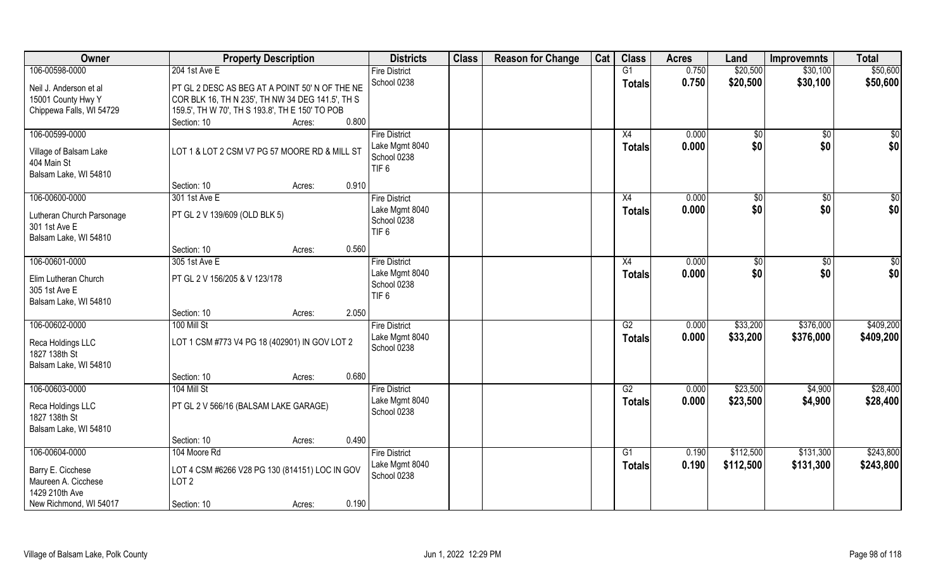| Owner                              | <b>Property Description</b>                      | <b>Districts</b>     | <b>Class</b> | <b>Reason for Change</b> | Cat | <b>Class</b>  | <b>Acres</b> | Land         | <b>Improvemnts</b> | <b>Total</b> |
|------------------------------------|--------------------------------------------------|----------------------|--------------|--------------------------|-----|---------------|--------------|--------------|--------------------|--------------|
| 106-00598-0000                     | 204 1st Ave E                                    | <b>Fire District</b> |              |                          |     | G1            | 0.750        | \$20,500     | \$30,100           | \$50,600     |
| Neil J. Anderson et al             | PT GL 2 DESC AS BEG AT A POINT 50' N OF THE NE   | School 0238          |              |                          |     | <b>Totals</b> | 0.750        | \$20,500     | \$30,100           | \$50,600     |
| 15001 County Hwy Y                 | COR BLK 16, TH N 235', TH NW 34 DEG 141.5', TH S |                      |              |                          |     |               |              |              |                    |              |
| Chippewa Falls, WI 54729           | 159.5', TH W 70', TH S 193.8', TH E 150' TO POB  |                      |              |                          |     |               |              |              |                    |              |
|                                    | 0.800<br>Section: 10<br>Acres:                   |                      |              |                          |     |               |              |              |                    |              |
| 106-00599-0000                     |                                                  | <b>Fire District</b> |              |                          |     | X4            | 0.000        | $\sqrt[6]{}$ | $\overline{50}$    | \$0          |
| Village of Balsam Lake             | LOT 1 & LOT 2 CSM V7 PG 57 MOORE RD & MILL ST    | Lake Mgmt 8040       |              |                          |     | <b>Totals</b> | 0.000        | \$0          | \$0                | \$0          |
| 404 Main St                        |                                                  | School 0238          |              |                          |     |               |              |              |                    |              |
| Balsam Lake, WI 54810              |                                                  | TIF <sub>6</sub>     |              |                          |     |               |              |              |                    |              |
|                                    | 0.910<br>Section: 10<br>Acres:                   |                      |              |                          |     |               |              |              |                    |              |
| 106-00600-0000                     | 301 1st Ave E                                    | <b>Fire District</b> |              |                          |     | X4            | 0.000        | \$0          | $\sqrt[6]{30}$     | \$0          |
|                                    |                                                  | Lake Mgmt 8040       |              |                          |     | <b>Totals</b> | 0.000        | \$0          | \$0                | \$0          |
| Lutheran Church Parsonage          | PT GL 2 V 139/609 (OLD BLK 5)                    | School 0238          |              |                          |     |               |              |              |                    |              |
| 301 1st Ave E                      |                                                  | TIF <sub>6</sub>     |              |                          |     |               |              |              |                    |              |
| Balsam Lake, WI 54810              | 0.560<br>Section: 10                             |                      |              |                          |     |               |              |              |                    |              |
| 106-00601-0000                     | Acres:<br>305 1st Ave E                          | <b>Fire District</b> |              |                          |     | X4            | 0.000        |              |                    |              |
|                                    |                                                  | Lake Mgmt 8040       |              |                          |     |               | 0.000        | \$0<br>\$0   | \$0<br>\$0         | \$0<br>\$0   |
| Elim Lutheran Church               | PT GL 2 V 156/205 & V 123/178                    | School 0238          |              |                          |     | <b>Totals</b> |              |              |                    |              |
| 305 1st Ave E                      |                                                  | TIF <sub>6</sub>     |              |                          |     |               |              |              |                    |              |
| Balsam Lake, WI 54810              |                                                  |                      |              |                          |     |               |              |              |                    |              |
|                                    | 2.050<br>Section: 10<br>Acres:                   |                      |              |                          |     |               |              |              |                    |              |
| 106-00602-0000                     | 100 Mill St                                      | <b>Fire District</b> |              |                          |     | G2            | 0.000        | \$33,200     | \$376,000          | \$409,200    |
| Reca Holdings LLC                  | LOT 1 CSM #773 V4 PG 18 (402901) IN GOV LOT 2    | Lake Mgmt 8040       |              |                          |     | Totals        | 0.000        | \$33,200     | \$376,000          | \$409,200    |
| 1827 138th St                      |                                                  | School 0238          |              |                          |     |               |              |              |                    |              |
| Balsam Lake, WI 54810              |                                                  |                      |              |                          |     |               |              |              |                    |              |
|                                    | 0.680<br>Section: 10<br>Acres:                   |                      |              |                          |     |               |              |              |                    |              |
| 106-00603-0000                     | 104 Mill St                                      | <b>Fire District</b> |              |                          |     | G2            | 0.000        | \$23,500     | \$4,900            | \$28,400     |
|                                    |                                                  | Lake Mgmt 8040       |              |                          |     | <b>Totals</b> | 0.000        | \$23,500     | \$4,900            | \$28,400     |
| Reca Holdings LLC<br>1827 138th St | PT GL 2 V 566/16 (BALSAM LAKE GARAGE)            | School 0238          |              |                          |     |               |              |              |                    |              |
| Balsam Lake, WI 54810              |                                                  |                      |              |                          |     |               |              |              |                    |              |
|                                    | 0.490<br>Section: 10<br>Acres:                   |                      |              |                          |     |               |              |              |                    |              |
| 106-00604-0000                     | 104 Moore Rd                                     | <b>Fire District</b> |              |                          |     | G1            | 0.190        | \$112,500    | \$131,300          | \$243,800    |
|                                    |                                                  | Lake Mgmt 8040       |              |                          |     | Totals        | 0.190        | \$112,500    | \$131,300          | \$243,800    |
| Barry E. Cicchese                  | LOT 4 CSM #6266 V28 PG 130 (814151) LOC IN GOV   | School 0238          |              |                          |     |               |              |              |                    |              |
| Maureen A. Cicchese                | LOT <sub>2</sub>                                 |                      |              |                          |     |               |              |              |                    |              |
| 1429 210th Ave                     |                                                  |                      |              |                          |     |               |              |              |                    |              |
| New Richmond, WI 54017             | 0.190<br>Section: 10<br>Acres:                   |                      |              |                          |     |               |              |              |                    |              |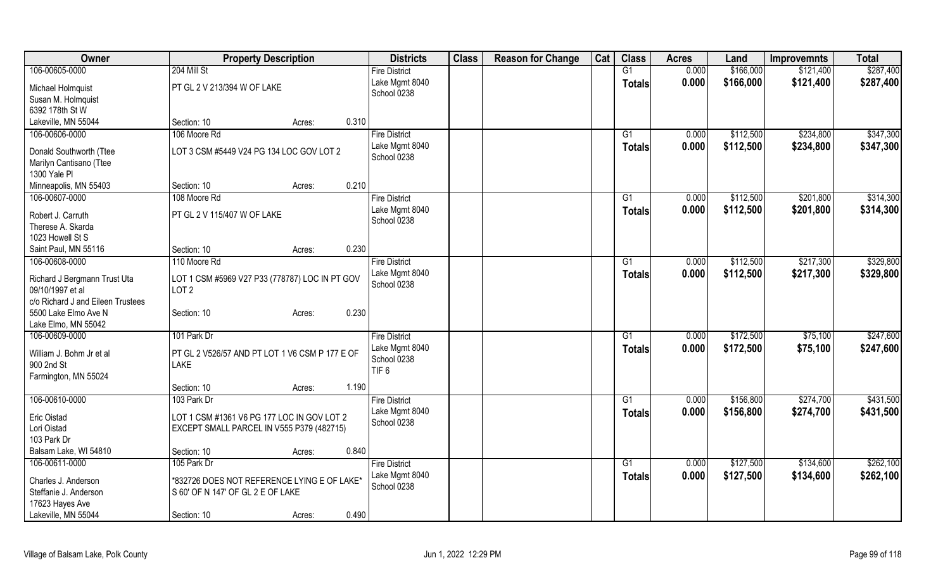| Owner                                   | <b>Property Description</b>                    |        |       | <b>Districts</b>     | <b>Class</b> | <b>Reason for Change</b> | Cat | <b>Class</b>    | <b>Acres</b> | Land      | <b>Improvemnts</b> | <b>Total</b> |
|-----------------------------------------|------------------------------------------------|--------|-------|----------------------|--------------|--------------------------|-----|-----------------|--------------|-----------|--------------------|--------------|
| 106-00605-0000                          | 204 Mill St                                    |        |       | <b>Fire District</b> |              |                          |     | G1              | 0.000        | \$166,000 | \$121,400          | \$287,400    |
| Michael Holmquist                       | PT GL 2 V 213/394 W OF LAKE                    |        |       | Lake Mgmt 8040       |              |                          |     | <b>Totals</b>   | 0.000        | \$166,000 | \$121,400          | \$287,400    |
| Susan M. Holmquist                      |                                                |        |       | School 0238          |              |                          |     |                 |              |           |                    |              |
| 6392 178th St W                         |                                                |        |       |                      |              |                          |     |                 |              |           |                    |              |
| Lakeville, MN 55044                     | Section: 10                                    | Acres: | 0.310 |                      |              |                          |     |                 |              |           |                    |              |
| 106-00606-0000                          | 106 Moore Rd                                   |        |       | <b>Fire District</b> |              |                          |     | G1              | 0.000        | \$112,500 | \$234,800          | \$347,300    |
|                                         |                                                |        |       | Lake Mgmt 8040       |              |                          |     | <b>Totals</b>   | 0.000        | \$112,500 | \$234,800          | \$347,300    |
| Donald Southworth (Ttee                 | LOT 3 CSM #5449 V24 PG 134 LOC GOV LOT 2       |        |       | School 0238          |              |                          |     |                 |              |           |                    |              |
| Marilyn Cantisano (Ttee<br>1300 Yale Pl |                                                |        |       |                      |              |                          |     |                 |              |           |                    |              |
| Minneapolis, MN 55403                   | Section: 10                                    | Acres: | 0.210 |                      |              |                          |     |                 |              |           |                    |              |
| 106-00607-0000                          | 108 Moore Rd                                   |        |       | <b>Fire District</b> |              |                          |     | G1              | 0.000        | \$112,500 | \$201,800          | \$314,300    |
|                                         |                                                |        |       | Lake Mgmt 8040       |              |                          |     |                 | 0.000        | \$112,500 | \$201,800          | \$314,300    |
| Robert J. Carruth                       | PT GL 2 V 115/407 W OF LAKE                    |        |       | School 0238          |              |                          |     | Totals          |              |           |                    |              |
| Therese A. Skarda                       |                                                |        |       |                      |              |                          |     |                 |              |           |                    |              |
| 1023 Howell St S                        |                                                |        |       |                      |              |                          |     |                 |              |           |                    |              |
| Saint Paul, MN 55116                    | Section: 10                                    | Acres: | 0.230 |                      |              |                          |     |                 |              |           |                    |              |
| 106-00608-0000                          | 110 Moore Rd                                   |        |       | <b>Fire District</b> |              |                          |     | $\overline{G1}$ | 0.000        | \$112,500 | \$217,300          | \$329,800    |
| Richard J Bergmann Trust Uta            | LOT 1 CSM #5969 V27 P33 (778787) LOC IN PT GOV |        |       | Lake Mgmt 8040       |              |                          |     | <b>Totals</b>   | 0.000        | \$112,500 | \$217,300          | \$329,800    |
| 09/10/1997 et al                        | LOT <sub>2</sub>                               |        |       | School 0238          |              |                          |     |                 |              |           |                    |              |
| c/o Richard J and Eileen Trustees       |                                                |        |       |                      |              |                          |     |                 |              |           |                    |              |
| 5500 Lake Elmo Ave N                    | Section: 10                                    | Acres: | 0.230 |                      |              |                          |     |                 |              |           |                    |              |
| Lake Elmo, MN 55042                     |                                                |        |       |                      |              |                          |     |                 |              |           |                    |              |
| 106-00609-0000                          | 101 Park Dr                                    |        |       | <b>Fire District</b> |              |                          |     | G1              | 0.000        | \$172,500 | \$75,100           | \$247,600    |
| William J. Bohm Jr et al                | PT GL 2 V526/57 AND PT LOT 1 V6 CSM P 177 E OF |        |       | Lake Mgmt 8040       |              |                          |     | <b>Totals</b>   | 0.000        | \$172,500 | \$75,100           | \$247,600    |
| 900 2nd St                              | <b>LAKE</b>                                    |        |       | School 0238          |              |                          |     |                 |              |           |                    |              |
| Farmington, MN 55024                    |                                                |        |       | TIF <sub>6</sub>     |              |                          |     |                 |              |           |                    |              |
|                                         | Section: 10                                    | Acres: | 1.190 |                      |              |                          |     |                 |              |           |                    |              |
| 106-00610-0000                          | 103 Park Dr                                    |        |       | <b>Fire District</b> |              |                          |     | G1              | 0.000        | \$156,800 | \$274,700          | \$431,500    |
|                                         | LOT 1 CSM #1361 V6 PG 177 LOC IN GOV LOT 2     |        |       | Lake Mgmt 8040       |              |                          |     | Totals          | 0.000        | \$156,800 | \$274,700          | \$431,500    |
| Eric Oistad<br>Lori Oistad              | EXCEPT SMALL PARCEL IN V555 P379 (482715)      |        |       | School 0238          |              |                          |     |                 |              |           |                    |              |
| 103 Park Dr                             |                                                |        |       |                      |              |                          |     |                 |              |           |                    |              |
| Balsam Lake, WI 54810                   | Section: 10                                    | Acres: | 0.840 |                      |              |                          |     |                 |              |           |                    |              |
| 106-00611-0000                          | 105 Park Dr                                    |        |       | <b>Fire District</b> |              |                          |     | $\overline{G1}$ | 0.000        | \$127,500 | \$134,600          | \$262,100    |
|                                         |                                                |        |       | Lake Mgmt 8040       |              |                          |     | <b>Totals</b>   | 0.000        | \$127,500 | \$134,600          | \$262,100    |
| Charles J. Anderson                     | *832726 DOES NOT REFERENCE LYING E OF LAKE*    |        |       | School 0238          |              |                          |     |                 |              |           |                    |              |
| Steffanie J. Anderson                   | S 60' OF N 147' OF GL 2 E OF LAKE              |        |       |                      |              |                          |     |                 |              |           |                    |              |
| 17623 Hayes Ave                         |                                                |        |       |                      |              |                          |     |                 |              |           |                    |              |
| Lakeville, MN 55044                     | Section: 10                                    | Acres: | 0.490 |                      |              |                          |     |                 |              |           |                    |              |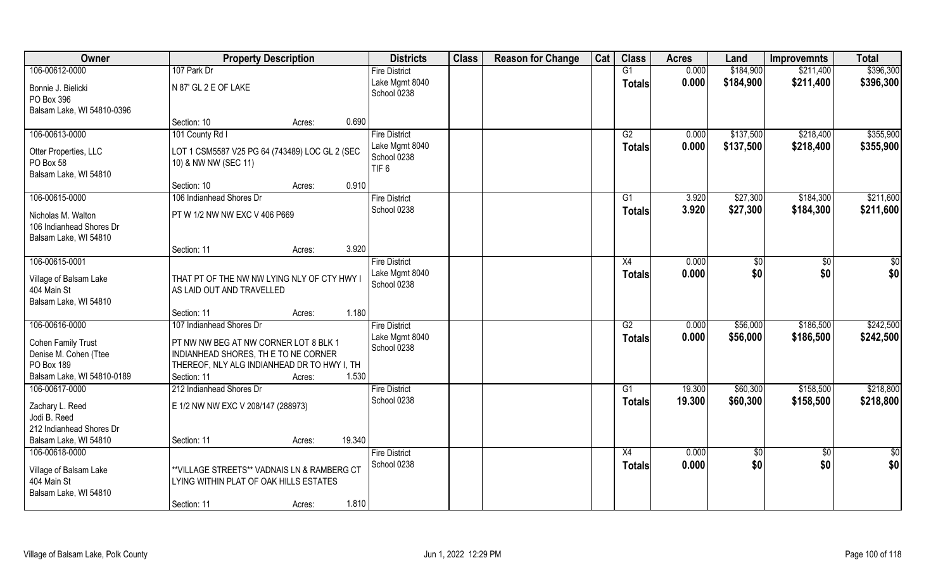| Owner                                              | <b>Property Description</b>                                                  | <b>Districts</b>     | <b>Class</b> | <b>Reason for Change</b> | Cat | <b>Class</b>    | <b>Acres</b> | Land      | <b>Improvemnts</b> | <b>Total</b> |
|----------------------------------------------------|------------------------------------------------------------------------------|----------------------|--------------|--------------------------|-----|-----------------|--------------|-----------|--------------------|--------------|
| 106-00612-0000                                     | 107 Park Dr                                                                  | <b>Fire District</b> |              |                          |     | G1              | 0.000        | \$184,900 | \$211,400          | \$396,300    |
| Bonnie J. Bielicki                                 | N 87' GL 2 E OF LAKE                                                         | Lake Mgmt 8040       |              |                          |     | <b>Totals</b>   | 0.000        | \$184,900 | \$211,400          | \$396,300    |
| PO Box 396                                         |                                                                              | School 0238          |              |                          |     |                 |              |           |                    |              |
| Balsam Lake, WI 54810-0396                         |                                                                              |                      |              |                          |     |                 |              |           |                    |              |
|                                                    | 0.690<br>Section: 10<br>Acres:                                               |                      |              |                          |     |                 |              |           |                    |              |
| 106-00613-0000                                     | 101 County Rd I                                                              | <b>Fire District</b> |              |                          |     | G2              | 0.000        | \$137,500 | \$218,400          | \$355,900    |
| Otter Properties, LLC                              | LOT 1 CSM5587 V25 PG 64 (743489) LOC GL 2 (SEC                               | Lake Mgmt 8040       |              |                          |     | <b>Totals</b>   | 0.000        | \$137,500 | \$218,400          | \$355,900    |
| PO Box 58                                          | 10) & NW NW (SEC 11)                                                         | School 0238          |              |                          |     |                 |              |           |                    |              |
| Balsam Lake, WI 54810                              |                                                                              | TIF <sub>6</sub>     |              |                          |     |                 |              |           |                    |              |
|                                                    | Section: 10<br>0.910<br>Acres:                                               |                      |              |                          |     |                 |              |           |                    |              |
| 106-00615-0000                                     | 106 Indianhead Shores Dr                                                     | <b>Fire District</b> |              |                          |     | G1              | 3.920        | \$27,300  | \$184,300          | \$211,600    |
| Nicholas M. Walton                                 | PT W 1/2 NW NW EXC V 406 P669                                                | School 0238          |              |                          |     | <b>Totals</b>   | 3.920        | \$27,300  | \$184,300          | \$211,600    |
| 106 Indianhead Shores Dr                           |                                                                              |                      |              |                          |     |                 |              |           |                    |              |
| Balsam Lake, WI 54810                              |                                                                              |                      |              |                          |     |                 |              |           |                    |              |
|                                                    | 3.920<br>Section: 11<br>Acres:                                               |                      |              |                          |     |                 |              |           |                    |              |
| 106-00615-0001                                     |                                                                              | <b>Fire District</b> |              |                          |     | X4              | 0.000        | \$0       | $\sqrt{50}$        | \$0          |
| Village of Balsam Lake                             | THAT PT OF THE NW NW LYING NLY OF CTY HWY I                                  | Lake Mgmt 8040       |              |                          |     | <b>Totals</b>   | 0.000        | \$0       | \$0                | \$0          |
| 404 Main St                                        | AS LAID OUT AND TRAVELLED                                                    | School 0238          |              |                          |     |                 |              |           |                    |              |
| Balsam Lake, WI 54810                              |                                                                              |                      |              |                          |     |                 |              |           |                    |              |
|                                                    | 1.180<br>Section: 11<br>Acres:                                               |                      |              |                          |     |                 |              |           |                    |              |
| 106-00616-0000                                     | 107 Indianhead Shores Dr                                                     | <b>Fire District</b> |              |                          |     | $\overline{G2}$ | 0.000        | \$56,000  | \$186,500          | \$242,500    |
|                                                    |                                                                              | Lake Mgmt 8040       |              |                          |     | <b>Totals</b>   | 0.000        | \$56,000  | \$186,500          | \$242,500    |
| <b>Cohen Family Trust</b><br>Denise M. Cohen (Ttee | PT NW NW BEG AT NW CORNER LOT 8 BLK 1<br>INDIANHEAD SHORES, THE TO NE CORNER | School 0238          |              |                          |     |                 |              |           |                    |              |
| PO Box 189                                         | THEREOF, NLY ALG INDIANHEAD DR TO HWY I, TH                                  |                      |              |                          |     |                 |              |           |                    |              |
| Balsam Lake, WI 54810-0189                         | 1.530<br>Section: 11<br>Acres:                                               |                      |              |                          |     |                 |              |           |                    |              |
| 106-00617-0000                                     | 212 Indianhead Shores Dr                                                     | <b>Fire District</b> |              |                          |     | G1              | 19.300       | \$60,300  | \$158,500          | \$218,800    |
|                                                    |                                                                              | School 0238          |              |                          |     | <b>Totals</b>   | 19.300       | \$60,300  | \$158,500          | \$218,800    |
| Zachary L. Reed                                    | E 1/2 NW NW EXC V 208/147 (288973)                                           |                      |              |                          |     |                 |              |           |                    |              |
| Jodi B. Reed                                       |                                                                              |                      |              |                          |     |                 |              |           |                    |              |
| 212 Indianhead Shores Dr                           |                                                                              |                      |              |                          |     |                 |              |           |                    |              |
| Balsam Lake, WI 54810                              | 19.340<br>Section: 11<br>Acres:                                              |                      |              |                          |     |                 |              |           |                    |              |
| 106-00618-0000                                     |                                                                              | <b>Fire District</b> |              |                          |     | X4              | 0.000        | \$0       | $\sqrt[6]{30}$     | \$0          |
| Village of Balsam Lake                             | ** VILLAGE STREETS** VADNAIS LN & RAMBERG CT                                 | School 0238          |              |                          |     | <b>Totals</b>   | 0.000        | \$0       | \$0                | \$0          |
| 404 Main St                                        | LYING WITHIN PLAT OF OAK HILLS ESTATES                                       |                      |              |                          |     |                 |              |           |                    |              |
| Balsam Lake, WI 54810                              |                                                                              |                      |              |                          |     |                 |              |           |                    |              |
|                                                    | 1.810<br>Section: 11<br>Acres:                                               |                      |              |                          |     |                 |              |           |                    |              |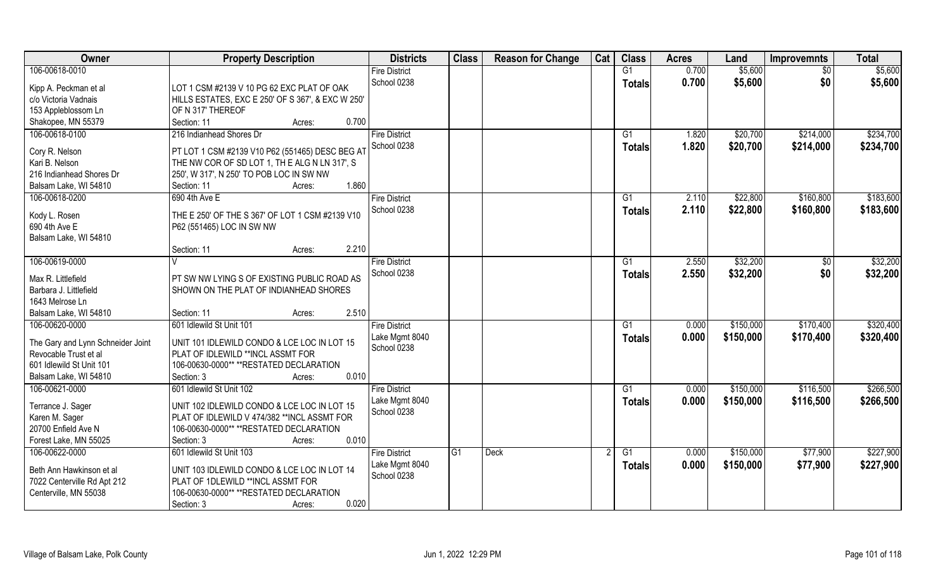| Owner                                   | <b>Property Description</b>                       | <b>Districts</b>              | <b>Class</b>   | <b>Reason for Change</b> | Cat | <b>Class</b>   | <b>Acres</b> | Land      | <b>Improvemnts</b> | <b>Total</b> |
|-----------------------------------------|---------------------------------------------------|-------------------------------|----------------|--------------------------|-----|----------------|--------------|-----------|--------------------|--------------|
| 106-00618-0010                          |                                                   | <b>Fire District</b>          |                |                          |     | G1             | 0.700        | \$5,600   | $\overline{50}$    | \$5,600      |
| Kipp A. Peckman et al                   | LOT 1 CSM #2139 V 10 PG 62 EXC PLAT OF OAK        | School 0238                   |                |                          |     | <b>Totals</b>  | 0.700        | \$5,600   | \$0                | \$5,600      |
| c/o Victoria Vadnais                    | HILLS ESTATES, EXC E 250' OF S 367', & EXC W 250' |                               |                |                          |     |                |              |           |                    |              |
| 153 Appleblossom Ln                     | OF N 317' THEREOF                                 |                               |                |                          |     |                |              |           |                    |              |
| Shakopee, MN 55379                      | 0.700<br>Section: 11<br>Acres:                    |                               |                |                          |     |                |              |           |                    |              |
| 106-00618-0100                          | 216 Indianhead Shores Dr                          | <b>Fire District</b>          |                |                          |     | G <sub>1</sub> | 1.820        | \$20,700  | \$214,000          | \$234,700    |
|                                         |                                                   | School 0238                   |                |                          |     | <b>Totals</b>  | 1.820        | \$20,700  | \$214,000          | \$234,700    |
| Cory R. Nelson                          | PT LOT 1 CSM #2139 V10 P62 (551465) DESC BEG AT   |                               |                |                          |     |                |              |           |                    |              |
| Kari B. Nelson                          | THE NW COR OF SD LOT 1, TH E ALG N LN 317', S     |                               |                |                          |     |                |              |           |                    |              |
| 216 Indianhead Shores Dr                | 250', W 317', N 250' TO POB LOC IN SW NW          |                               |                |                          |     |                |              |           |                    |              |
| Balsam Lake, WI 54810                   | 1.860<br>Section: 11<br>Acres:                    |                               |                |                          |     |                |              |           |                    |              |
| 106-00618-0200                          | 690 4th Ave E                                     | <b>Fire District</b>          |                |                          |     | G <sub>1</sub> | 2.110        | \$22,800  | \$160,800          | \$183,600    |
| Kody L. Rosen                           | THE E 250' OF THE S 367' OF LOT 1 CSM #2139 V10   | School 0238                   |                |                          |     | <b>Totals</b>  | 2.110        | \$22,800  | \$160,800          | \$183,600    |
| 690 4th Ave E                           | P62 (551465) LOC IN SW NW                         |                               |                |                          |     |                |              |           |                    |              |
| Balsam Lake, WI 54810                   |                                                   |                               |                |                          |     |                |              |           |                    |              |
|                                         | 2.210<br>Section: 11<br>Acres:                    |                               |                |                          |     |                |              |           |                    |              |
| 106-00619-0000                          | $\mathsf{V}$                                      | <b>Fire District</b>          |                |                          |     | G <sub>1</sub> | 2.550        | \$32,200  | \$0                | \$32,200     |
|                                         |                                                   | School 0238                   |                |                          |     | <b>Totals</b>  | 2.550        | \$32,200  | \$0                | \$32,200     |
| Max R. Littlefield                      | PT SW NW LYING S OF EXISTING PUBLIC ROAD AS       |                               |                |                          |     |                |              |           |                    |              |
| Barbara J. Littlefield                  | SHOWN ON THE PLAT OF INDIANHEAD SHORES            |                               |                |                          |     |                |              |           |                    |              |
| 1643 Melrose Ln                         | 2.510                                             |                               |                |                          |     |                |              |           |                    |              |
| Balsam Lake, WI 54810<br>106-00620-0000 | Section: 11<br>Acres:<br>601 Idlewild St Unit 101 |                               |                |                          |     | G1             | 0.000        | \$150,000 | \$170,400          | \$320,400    |
|                                         |                                                   | <b>Fire District</b>          |                |                          |     |                |              |           |                    |              |
| The Gary and Lynn Schneider Joint       | UNIT 101 IDLEWILD CONDO & LCE LOC IN LOT 15       | Lake Mgmt 8040<br>School 0238 |                |                          |     | <b>Totals</b>  | 0.000        | \$150,000 | \$170,400          | \$320,400    |
| Revocable Trust et al                   | PLAT OF IDLEWILD **INCL ASSMT FOR                 |                               |                |                          |     |                |              |           |                    |              |
| 601 Idlewild St Unit 101                | 106-00630-0000** **RESTATED DECLARATION           |                               |                |                          |     |                |              |           |                    |              |
| Balsam Lake, WI 54810                   | 0.010<br>Section: 3<br>Acres:                     |                               |                |                          |     |                |              |           |                    |              |
| 106-00621-0000                          | 601 Idlewild St Unit 102                          | <b>Fire District</b>          |                |                          |     | G <sub>1</sub> | 0.000        | \$150,000 | \$116,500          | \$266,500    |
| Terrance J. Sager                       | UNIT 102 IDLEWILD CONDO & LCE LOC IN LOT 15       | Lake Mgmt 8040                |                |                          |     | <b>Totals</b>  | 0.000        | \$150,000 | \$116,500          | \$266,500    |
| Karen M. Sager                          | PLAT OF IDLEWILD V 474/382 ** INCL ASSMT FOR      | School 0238                   |                |                          |     |                |              |           |                    |              |
| 20700 Enfield Ave N                     | 106-00630-0000** **RESTATED DECLARATION           |                               |                |                          |     |                |              |           |                    |              |
| Forest Lake, MN 55025                   | 0.010<br>Section: 3<br>Acres:                     |                               |                |                          |     |                |              |           |                    |              |
| 106-00622-0000                          | 601 Idlewild St Unit 103                          | <b>Fire District</b>          | G <sub>1</sub> | <b>Deck</b>              |     | G1             | 0.000        | \$150,000 | \$77,900           | \$227,900    |
|                                         |                                                   | Lake Mgmt 8040                |                |                          |     | <b>Totals</b>  | 0.000        | \$150,000 | \$77,900           | \$227,900    |
| Beth Ann Hawkinson et al                | UNIT 103 IDLEWILD CONDO & LCE LOC IN LOT 14       | School 0238                   |                |                          |     |                |              |           |                    |              |
| 7022 Centerville Rd Apt 212             | PLAT OF 1DLEWILD **INCL ASSMT FOR                 |                               |                |                          |     |                |              |           |                    |              |
| Centerville, MN 55038                   | 106-00630-0000** **RESTATED DECLARATION           |                               |                |                          |     |                |              |           |                    |              |
|                                         | 0.020<br>Section: 3<br>Acres:                     |                               |                |                          |     |                |              |           |                    |              |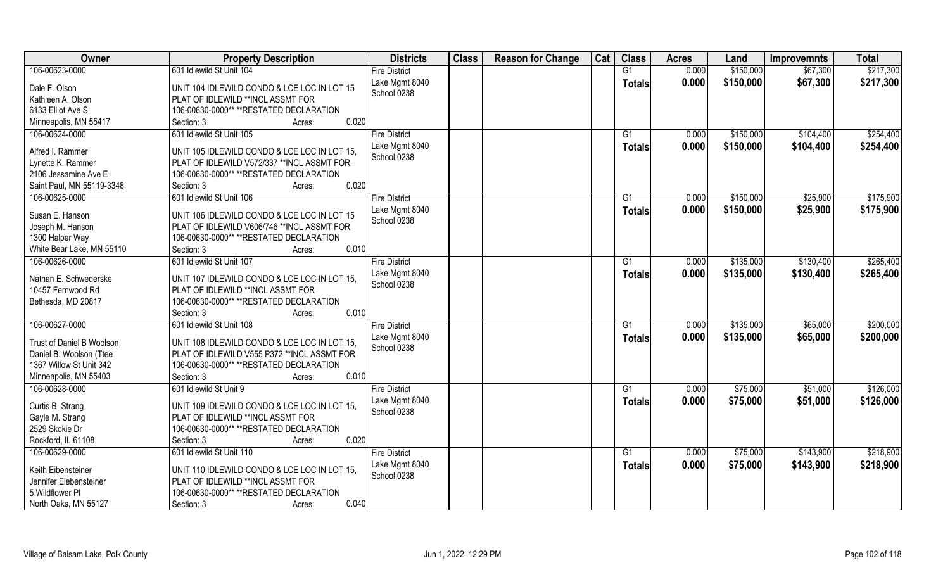| Owner                                        | <b>Property Description</b>                                                       | <b>Districts</b>              | <b>Class</b> | <b>Reason for Change</b> | Cat | <b>Class</b>  | <b>Acres</b> | Land      | <b>Improvemnts</b> | <b>Total</b> |
|----------------------------------------------|-----------------------------------------------------------------------------------|-------------------------------|--------------|--------------------------|-----|---------------|--------------|-----------|--------------------|--------------|
| 106-00623-0000                               | 601 Idlewild St Unit 104                                                          | <b>Fire District</b>          |              |                          |     | G1            | 0.000        | \$150,000 | \$67,300           | \$217,300    |
| Dale F. Olson                                | UNIT 104 IDLEWILD CONDO & LCE LOC IN LOT 15                                       | Lake Mgmt 8040                |              |                          |     | <b>Totals</b> | 0.000        | \$150,000 | \$67,300           | \$217,300    |
| Kathleen A. Olson                            | PLAT OF IDLEWILD **INCL ASSMT FOR                                                 | School 0238                   |              |                          |     |               |              |           |                    |              |
| 6133 Elliot Ave S                            | 106-00630-0000** **RESTATED DECLARATION                                           |                               |              |                          |     |               |              |           |                    |              |
| Minneapolis, MN 55417                        | 0.020<br>Section: 3<br>Acres:                                                     |                               |              |                          |     |               |              |           |                    |              |
| 106-00624-0000                               | 601 Idlewild St Unit 105                                                          | <b>Fire District</b>          |              |                          |     | G1            | 0.000        | \$150,000 | \$104,400          | \$254,400    |
|                                              |                                                                                   | Lake Mgmt 8040                |              |                          |     | Totals        | 0.000        | \$150,000 | \$104,400          | \$254,400    |
| Alfred I. Rammer                             | UNIT 105 IDLEWILD CONDO & LCE LOC IN LOT 15.                                      | School 0238                   |              |                          |     |               |              |           |                    |              |
| Lynette K. Rammer                            | PLAT OF IDLEWILD V572/337 ** INCL ASSMT FOR                                       |                               |              |                          |     |               |              |           |                    |              |
| 2106 Jessamine Ave E                         | 106-00630-0000** **RESTATED DECLARATION                                           |                               |              |                          |     |               |              |           |                    |              |
| Saint Paul, MN 55119-3348                    | 0.020<br>Section: 3<br>Acres:                                                     |                               |              |                          |     |               |              |           |                    |              |
| 106-00625-0000                               | 601 Idlewild St Unit 106                                                          | <b>Fire District</b>          |              |                          |     | G1            | 0.000        | \$150,000 | \$25,900           | \$175,900    |
| Susan E. Hanson                              | UNIT 106 IDLEWILD CONDO & LCE LOC IN LOT 15                                       | Lake Mgmt 8040                |              |                          |     | <b>Totals</b> | 0.000        | \$150,000 | \$25,900           | \$175,900    |
| Joseph M. Hanson                             | PLAT OF IDLEWILD V606/746 ** INCL ASSMT FOR                                       | School 0238                   |              |                          |     |               |              |           |                    |              |
| 1300 Halper Way                              | 106-00630-0000** **RESTATED DECLARATION                                           |                               |              |                          |     |               |              |           |                    |              |
| White Bear Lake, MN 55110                    | 0.010<br>Section: 3<br>Acres:                                                     |                               |              |                          |     |               |              |           |                    |              |
| 106-00626-0000                               | 601 Idlewild St Unit 107                                                          | <b>Fire District</b>          |              |                          |     | G1            | 0.000        | \$135,000 | \$130,400          | \$265,400    |
|                                              |                                                                                   | Lake Mgmt 8040                |              |                          |     |               | 0.000        | \$135,000 | \$130,400          | \$265,400    |
| Nathan E. Schwederske                        | UNIT 107 IDLEWILD CONDO & LCE LOC IN LOT 15,                                      | School 0238                   |              |                          |     | <b>Totals</b> |              |           |                    |              |
| 10457 Fernwood Rd                            | PLAT OF IDLEWILD **INCL ASSMT FOR                                                 |                               |              |                          |     |               |              |           |                    |              |
| Bethesda, MD 20817                           | 106-00630-0000** **RESTATED DECLARATION                                           |                               |              |                          |     |               |              |           |                    |              |
|                                              | 0.010<br>Section: 3<br>Acres:                                                     |                               |              |                          |     |               |              |           |                    |              |
| 106-00627-0000                               | 601 Idlewild St Unit 108                                                          | <b>Fire District</b>          |              |                          |     | G1            | 0.000        | \$135,000 | \$65,000           | \$200,000    |
| Trust of Daniel B Woolson                    | UNIT 108 IDLEWILD CONDO & LCE LOC IN LOT 15,                                      | Lake Mgmt 8040                |              |                          |     | <b>Totals</b> | 0.000        | \$135,000 | \$65,000           | \$200,000    |
| Daniel B. Woolson (Ttee                      | PLAT OF IDLEWILD V555 P372 ** INCL ASSMT FOR                                      | School 0238                   |              |                          |     |               |              |           |                    |              |
| 1367 Willow St Unit 342                      | 106-00630-0000** **RESTATED DECLARATION                                           |                               |              |                          |     |               |              |           |                    |              |
| Minneapolis, MN 55403                        | 0.010<br>Section: 3<br>Acres:                                                     |                               |              |                          |     |               |              |           |                    |              |
| 106-00628-0000                               | 601 Idlewild St Unit 9                                                            | <b>Fire District</b>          |              |                          |     | G1            | 0.000        | \$75,000  | \$51,000           | \$126,000    |
|                                              |                                                                                   |                               |              |                          |     |               |              |           |                    |              |
| Curtis B. Strang                             | UNIT 109 IDLEWILD CONDO & LCE LOC IN LOT 15.                                      | Lake Mgmt 8040<br>School 0238 |              |                          |     | Totals        | 0.000        | \$75,000  | \$51,000           | \$126,000    |
| Gayle M. Strang                              | PLAT OF IDLEWILD **INCL ASSMT FOR                                                 |                               |              |                          |     |               |              |           |                    |              |
| 2529 Skokie Dr                               | 106-00630-0000** **RESTATED DECLARATION                                           |                               |              |                          |     |               |              |           |                    |              |
| Rockford, IL 61108                           | 0.020<br>Section: 3<br>Acres:                                                     |                               |              |                          |     |               |              |           |                    |              |
| 106-00629-0000                               | 601 Idlewild St Unit 110                                                          | <b>Fire District</b>          |              |                          |     | G1            | 0.000        | \$75,000  | \$143,900          | \$218,900    |
|                                              |                                                                                   | Lake Mgmt 8040                |              |                          |     | <b>Totals</b> | 0.000        | \$75,000  | \$143,900          | \$218,900    |
| Keith Eibensteiner<br>Jennifer Eiebensteiner | UNIT 110 IDLEWILD CONDO & LCE LOC IN LOT 15.<br>PLAT OF IDLEWILD **INCL ASSMT FOR | School 0238                   |              |                          |     |               |              |           |                    |              |
| 5 Wildflower PI                              | 106-00630-0000** **RESTATED DECLARATION                                           |                               |              |                          |     |               |              |           |                    |              |
| North Oaks, MN 55127                         | 0.040                                                                             |                               |              |                          |     |               |              |           |                    |              |
|                                              | Section: 3<br>Acres:                                                              |                               |              |                          |     |               |              |           |                    |              |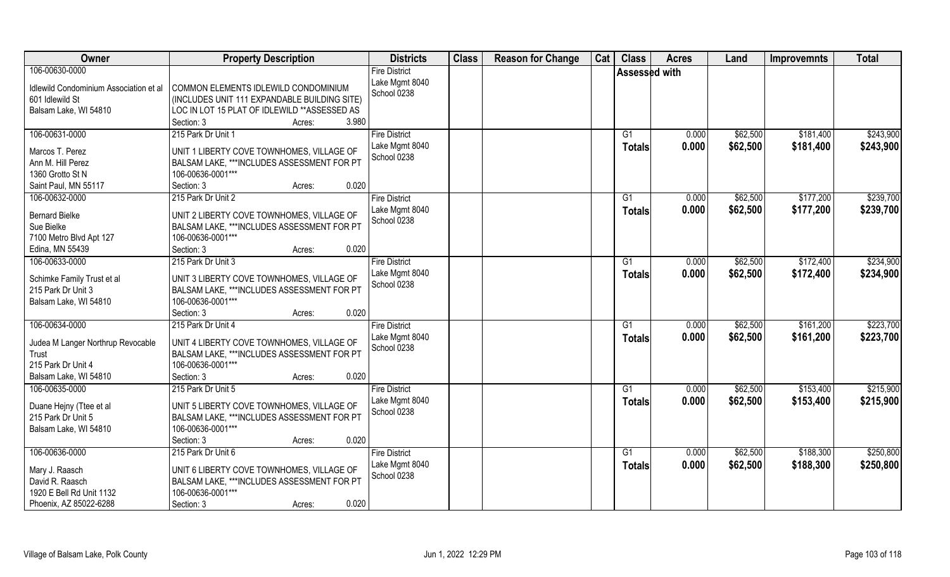| Owner                                                                                                       | <b>Property Description</b>                                                                                                                                            | <b>Districts</b>                                      | <b>Class</b> | <b>Reason for Change</b> | Cat | <b>Class</b>         | <b>Acres</b>   | Land                 | <b>Improvemnts</b>     | <b>Total</b>           |
|-------------------------------------------------------------------------------------------------------------|------------------------------------------------------------------------------------------------------------------------------------------------------------------------|-------------------------------------------------------|--------------|--------------------------|-----|----------------------|----------------|----------------------|------------------------|------------------------|
| 106-00630-0000<br>Idlewild Condominium Association et al<br>601 Idlewild St<br>Balsam Lake, WI 54810        | COMMON ELEMENTS IDLEWILD CONDOMINIUM<br>(INCLUDES UNIT 111 EXPANDABLE BUILDING SITE)<br>LOC IN LOT 15 PLAT OF IDLEWILD ** ASSESSED AS<br>3.980<br>Section: 3<br>Acres: | <b>Fire District</b><br>Lake Mgmt 8040<br>School 0238 |              |                          |     | <b>Assessed with</b> |                |                      |                        |                        |
| 106-00631-0000<br>Marcos T. Perez<br>Ann M. Hill Perez<br>1360 Grotto St N<br>Saint Paul, MN 55117          | 215 Park Dr Unit 1<br>UNIT 1 LIBERTY COVE TOWNHOMES, VILLAGE OF<br>BALSAM LAKE, ***INCLUDES ASSESSMENT FOR PT<br>106-00636-0001***<br>0.020<br>Section: 3<br>Acres:    | <b>Fire District</b><br>Lake Mgmt 8040<br>School 0238 |              |                          |     | G1<br>Totals         | 0.000<br>0.000 | \$62,500<br>\$62,500 | \$181,400<br>\$181,400 | \$243,900<br>\$243,900 |
| 106-00632-0000<br><b>Bernard Bielke</b><br>Sue Bielke<br>7100 Metro Blvd Apt 127<br>Edina, MN 55439         | 215 Park Dr Unit 2<br>UNIT 2 LIBERTY COVE TOWNHOMES, VILLAGE OF<br>BALSAM LAKE, ***INCLUDES ASSESSMENT FOR PT<br>106-00636-0001***<br>Section: 3<br>0.020<br>Acres:    | <b>Fire District</b><br>Lake Mgmt 8040<br>School 0238 |              |                          |     | G1<br><b>Totals</b>  | 0.000<br>0.000 | \$62,500<br>\$62,500 | \$177,200<br>\$177,200 | \$239,700<br>\$239,700 |
| 106-00633-0000<br>Schimke Family Trust et al<br>215 Park Dr Unit 3<br>Balsam Lake, WI 54810                 | 215 Park Dr Unit 3<br>UNIT 3 LIBERTY COVE TOWNHOMES, VILLAGE OF<br>BALSAM LAKE, ***INCLUDES ASSESSMENT FOR PT<br>106-00636-0001***<br>Section: 3<br>0.020<br>Acres:    | <b>Fire District</b><br>Lake Mgmt 8040<br>School 0238 |              |                          |     | G1<br><b>Totals</b>  | 0.000<br>0.000 | \$62,500<br>\$62,500 | \$172,400<br>\$172,400 | \$234,900<br>\$234,900 |
| 106-00634-0000<br>Judea M Langer Northrup Revocable<br>Trust<br>215 Park Dr Unit 4<br>Balsam Lake, WI 54810 | 215 Park Dr Unit 4<br>UNIT 4 LIBERTY COVE TOWNHOMES, VILLAGE OF<br>BALSAM LAKE, ***INCLUDES ASSESSMENT FOR PT<br>106-00636-0001***<br>Section: 3<br>0.020<br>Acres:    | <b>Fire District</b><br>Lake Mgmt 8040<br>School 0238 |              |                          |     | G1<br><b>Totals</b>  | 0.000<br>0.000 | \$62,500<br>\$62,500 | \$161,200<br>\$161,200 | \$223,700<br>\$223,700 |
| 106-00635-0000<br>Duane Hejny (Ttee et al<br>215 Park Dr Unit 5<br>Balsam Lake, WI 54810                    | 215 Park Dr Unit 5<br>UNIT 5 LIBERTY COVE TOWNHOMES, VILLAGE OF<br>BALSAM LAKE, ***INCLUDES ASSESSMENT FOR PT<br>106-00636-0001***<br>0.020<br>Section: 3<br>Acres:    | <b>Fire District</b><br>Lake Mgmt 8040<br>School 0238 |              |                          |     | G1<br><b>Totals</b>  | 0.000<br>0.000 | \$62,500<br>\$62,500 | \$153,400<br>\$153,400 | \$215,900<br>\$215,900 |
| 106-00636-0000<br>Mary J. Raasch<br>David R. Raasch<br>1920 E Bell Rd Unit 1132<br>Phoenix, AZ 85022-6288   | 215 Park Dr Unit 6<br>UNIT 6 LIBERTY COVE TOWNHOMES, VILLAGE OF<br>BALSAM LAKE, ***INCLUDES ASSESSMENT FOR PT<br>106-00636-0001***<br>0.020<br>Section: 3<br>Acres:    | <b>Fire District</b><br>Lake Mgmt 8040<br>School 0238 |              |                          |     | G1<br><b>Totals</b>  | 0.000<br>0.000 | \$62,500<br>\$62,500 | \$188,300<br>\$188,300 | \$250,800<br>\$250,800 |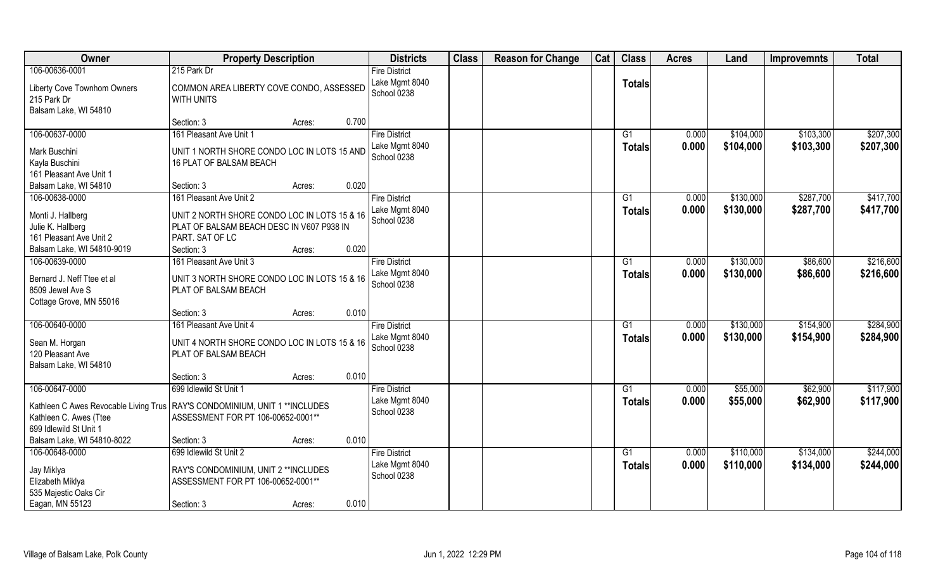| Owner                                                                                                             |                                                                                                                                                       | <b>Property Description</b> | <b>Districts</b>                                               | <b>Class</b> | <b>Reason for Change</b> | Cat | <b>Class</b>        | <b>Acres</b>   | Land                   | <b>Improvemnts</b>     | <b>Total</b>           |
|-------------------------------------------------------------------------------------------------------------------|-------------------------------------------------------------------------------------------------------------------------------------------------------|-----------------------------|----------------------------------------------------------------|--------------|--------------------------|-----|---------------------|----------------|------------------------|------------------------|------------------------|
| 106-00636-0001<br>Liberty Cove Townhom Owners<br>215 Park Dr<br>Balsam Lake, WI 54810                             | 215 Park Dr<br>COMMON AREA LIBERTY COVE CONDO, ASSESSED<br><b>WITH UNITS</b>                                                                          |                             | <b>Fire District</b><br>Lake Mgmt 8040<br>School 0238          |              |                          |     | <b>Totals</b>       |                |                        |                        |                        |
|                                                                                                                   | Section: 3                                                                                                                                            | Acres:                      | 0.700                                                          |              |                          |     |                     |                |                        |                        |                        |
| 106-00637-0000<br>Mark Buschini<br>Kayla Buschini<br>161 Pleasant Ave Unit 1                                      | 161 Pleasant Ave Unit 1<br>UNIT 1 NORTH SHORE CONDO LOC IN LOTS 15 AND<br>16 PLAT OF BALSAM BEACH                                                     |                             | <b>Fire District</b><br>Lake Mgmt 8040<br>School 0238          |              |                          |     | G1<br>Totals        | 0.000<br>0.000 | \$104,000<br>\$104,000 | \$103,300<br>\$103,300 | \$207,300<br>\$207,300 |
| Balsam Lake, WI 54810                                                                                             | Section: 3                                                                                                                                            | Acres:                      | 0.020                                                          |              |                          |     |                     |                |                        |                        |                        |
| 106-00638-0000<br>Monti J. Hallberg<br>Julie K. Hallberg<br>161 Pleasant Ave Unit 2<br>Balsam Lake, WI 54810-9019 | 161 Pleasant Ave Unit 2<br>UNIT 2 NORTH SHORE CONDO LOC IN LOTS 15 & 16<br>PLAT OF BALSAM BEACH DESC IN V607 P938 IN<br>PART. SAT OF LC<br>Section: 3 | Acres:                      | <b>Fire District</b><br>Lake Mgmt 8040<br>School 0238<br>0.020 |              |                          |     | G1<br><b>Totals</b> | 0.000<br>0.000 | \$130,000<br>\$130,000 | \$287,700<br>\$287,700 | \$417,700<br>\$417,700 |
| 106-00639-0000                                                                                                    | 161 Pleasant Ave Unit 3                                                                                                                               |                             | <b>Fire District</b>                                           |              |                          |     | G1                  | 0.000          | \$130,000              | \$86,600               | \$216,600              |
| Bernard J. Neff Ttee et al<br>8509 Jewel Ave S<br>Cottage Grove, MN 55016                                         | UNIT 3 NORTH SHORE CONDO LOC IN LOTS 15 & 16<br>PLAT OF BALSAM BEACH                                                                                  |                             | Lake Mgmt 8040<br>School 0238                                  |              |                          |     | <b>Totals</b>       | 0.000          | \$130,000              | \$86,600               | \$216,600              |
|                                                                                                                   | Section: 3                                                                                                                                            | Acres:                      | 0.010                                                          |              |                          |     |                     |                |                        |                        |                        |
| 106-00640-0000<br>Sean M. Horgan<br>120 Pleasant Ave<br>Balsam Lake, WI 54810                                     | 161 Pleasant Ave Unit 4<br>UNIT 4 NORTH SHORE CONDO LOC IN LOTS 15 & 16<br>PLAT OF BALSAM BEACH                                                       |                             | <b>Fire District</b><br>Lake Mgmt 8040<br>School 0238          |              |                          |     | G1<br><b>Totals</b> | 0.000<br>0.000 | \$130,000<br>\$130,000 | \$154,900<br>\$154,900 | \$284,900<br>\$284,900 |
|                                                                                                                   | Section: 3                                                                                                                                            | Acres:                      | 0.010                                                          |              |                          |     |                     |                |                        |                        |                        |
| 106-00647-0000<br>Kathleen C Awes Revocable Living Trus<br>Kathleen C. Awes (Ttee<br>699 Idlewild St Unit 1       | 699 Idlewild St Unit 1<br>RAY'S CONDOMINIUM, UNIT 1 ** INCLUDES<br>ASSESSMENT FOR PT 106-00652-0001**                                                 |                             | <b>Fire District</b><br>Lake Mgmt 8040<br>School 0238          |              |                          |     | G1<br><b>Totals</b> | 0.000<br>0.000 | \$55,000<br>\$55,000   | \$62,900<br>\$62,900   | \$117,900<br>\$117,900 |
| Balsam Lake, WI 54810-8022                                                                                        | Section: 3                                                                                                                                            | Acres:                      | 0.010                                                          |              |                          |     |                     |                |                        |                        |                        |
| 106-00648-0000<br>Jay Miklya<br>Elizabeth Miklya<br>535 Majestic Oaks Cir<br>Eagan, MN 55123                      | 699 Idlewild St Unit 2<br>RAY'S CONDOMINIUM, UNIT 2 ** INCLUDES<br>ASSESSMENT FOR PT 106-00652-0001**<br>Section: 3                                   | Acres:                      | <b>Fire District</b><br>Lake Mgmt 8040<br>School 0238<br>0.010 |              |                          |     | G1<br>Totals        | 0.000<br>0.000 | \$110,000<br>\$110,000 | \$134,000<br>\$134,000 | \$244,000<br>\$244,000 |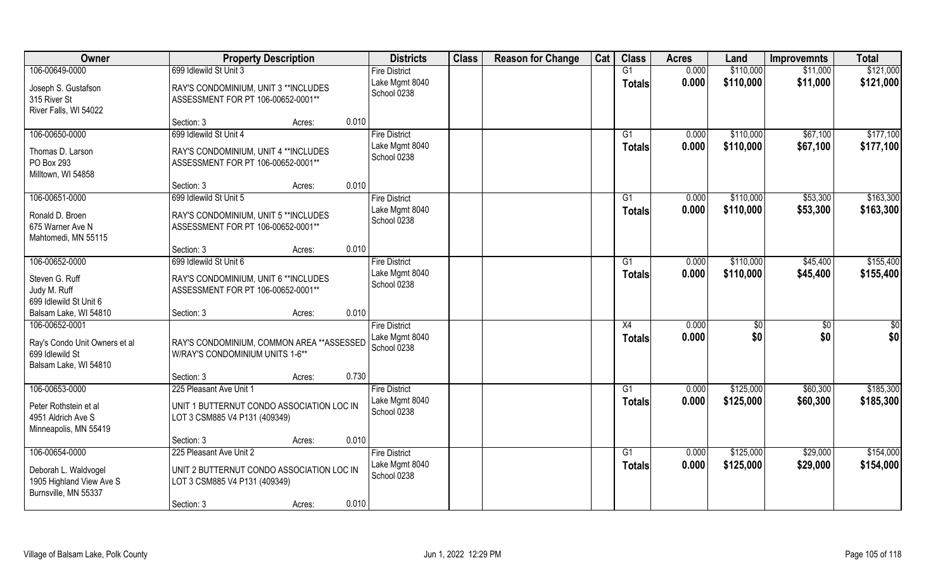| Owner                                                                                       |                                                                                             | <b>Property Description</b> |       | <b>Districts</b>                                      | <b>Class</b> | <b>Reason for Change</b> | Cat | <b>Class</b>        | <b>Acres</b>   | Land      | <b>Improvemnts</b> | <b>Total</b>         |
|---------------------------------------------------------------------------------------------|---------------------------------------------------------------------------------------------|-----------------------------|-------|-------------------------------------------------------|--------------|--------------------------|-----|---------------------|----------------|-----------|--------------------|----------------------|
| 106-00649-0000                                                                              | 699 Idlewild St Unit 3                                                                      |                             |       | <b>Fire District</b>                                  |              |                          |     | G1                  | 0.000          | \$110,000 | \$11,000           | \$121,000            |
| Joseph S. Gustafson<br>315 River St<br>River Falls, WI 54022                                | RAY'S CONDOMINIUM, UNIT 3 ** INCLUDES<br>ASSESSMENT FOR PT 106-00652-0001**                 |                             |       | Lake Mgmt 8040<br>School 0238                         |              |                          |     | <b>Totals</b>       | 0.000          | \$110,000 | \$11,000           | \$121,000            |
|                                                                                             | Section: 3                                                                                  | Acres:                      | 0.010 |                                                       |              |                          |     |                     |                |           |                    |                      |
| 106-00650-0000                                                                              | 699 Idlewild St Unit 4                                                                      |                             |       | <b>Fire District</b>                                  |              |                          |     | G1                  | 0.000          | \$110,000 | \$67,100           | \$177,100            |
| Thomas D. Larson<br>PO Box 293<br>Milltown, WI 54858                                        | RAY'S CONDOMINIUM, UNIT 4 ** INCLUDES<br>ASSESSMENT FOR PT 106-00652-0001**                 |                             |       | Lake Mgmt 8040<br>School 0238                         |              |                          |     | <b>Totals</b>       | 0.000          | \$110,000 | \$67,100           | \$177,100            |
|                                                                                             | Section: 3                                                                                  | Acres:                      | 0.010 |                                                       |              |                          |     |                     |                |           |                    |                      |
| 106-00651-0000                                                                              | 699 Idlewild St Unit 5                                                                      |                             |       | <b>Fire District</b>                                  |              |                          |     | G1                  | 0.000          | \$110,000 | \$53,300           | \$163,300            |
| Ronald D. Broen<br>675 Warner Ave N<br>Mahtomedi, MN 55115                                  | RAY'S CONDOMINIUM, UNIT 5 ** INCLUDES<br>ASSESSMENT FOR PT 106-00652-0001**                 |                             |       | Lake Mgmt 8040<br>School 0238                         |              |                          |     | <b>Totals</b>       | 0.000          | \$110,000 | \$53,300           | \$163,300            |
|                                                                                             | Section: 3                                                                                  | Acres:                      | 0.010 |                                                       |              |                          |     |                     |                |           |                    |                      |
| 106-00652-0000                                                                              | 699 Idlewild St Unit 6                                                                      |                             |       | <b>Fire District</b>                                  |              |                          |     | G1                  | 0.000          | \$110,000 | \$45,400           | \$155,400            |
| Steven G. Ruff<br>Judy M. Ruff<br>699 Idlewild St Unit 6                                    | RAY'S CONDOMINIUM, UNIT 6 ** INCLUDES<br>ASSESSMENT FOR PT 106-00652-0001**                 |                             |       | Lake Mgmt 8040<br>School 0238                         |              |                          |     | Totals              | 0.000          | \$110,000 | \$45,400           | \$155,400            |
| Balsam Lake, WI 54810                                                                       | Section: 3                                                                                  | Acres:                      | 0.010 |                                                       |              |                          |     |                     |                |           |                    |                      |
| 106-00652-0001<br>Ray's Condo Unit Owners et al<br>699 Idlewild St<br>Balsam Lake, WI 54810 | RAY'S CONDOMINIUM, COMMON AREA ** ASSESSED<br>W/RAY'S CONDOMINIUM UNITS 1-6**<br>Section: 3 | Acres:                      | 0.730 | <b>Fire District</b><br>Lake Mgmt 8040<br>School 0238 |              |                          |     | X4<br><b>Totals</b> | 0.000<br>0.000 | \$<br>\$0 | \$0<br>\$0         | $\frac{6}{3}$<br>\$0 |
| 106-00653-0000                                                                              | 225 Pleasant Ave Unit 1                                                                     |                             |       | <b>Fire District</b>                                  |              |                          |     | G1                  | 0.000          | \$125,000 | \$60,300           | \$185,300            |
| Peter Rothstein et al<br>4951 Aldrich Ave S<br>Minneapolis, MN 55419                        | UNIT 1 BUTTERNUT CONDO ASSOCIATION LOC IN<br>LOT 3 CSM885 V4 P131 (409349)                  |                             |       | Lake Mgmt 8040<br>School 0238                         |              |                          |     | <b>Totals</b>       | 0.000          | \$125,000 | \$60,300           | \$185,300            |
|                                                                                             | Section: 3                                                                                  | Acres:                      | 0.010 |                                                       |              |                          |     |                     |                |           |                    |                      |
| 106-00654-0000                                                                              | 225 Pleasant Ave Unit 2                                                                     |                             |       | <b>Fire District</b>                                  |              |                          |     | G1                  | 0.000          | \$125,000 | \$29,000           | \$154,000            |
| Deborah L. Waldvogel<br>1905 Highland View Ave S<br>Burnsville, MN 55337                    | UNIT 2 BUTTERNUT CONDO ASSOCIATION LOC IN<br>LOT 3 CSM885 V4 P131 (409349)                  |                             |       | Lake Mgmt 8040<br>School 0238                         |              |                          |     | <b>Totals</b>       | 0.000          | \$125,000 | \$29,000           | \$154,000            |
|                                                                                             | Section: 3                                                                                  | Acres:                      | 0.010 |                                                       |              |                          |     |                     |                |           |                    |                      |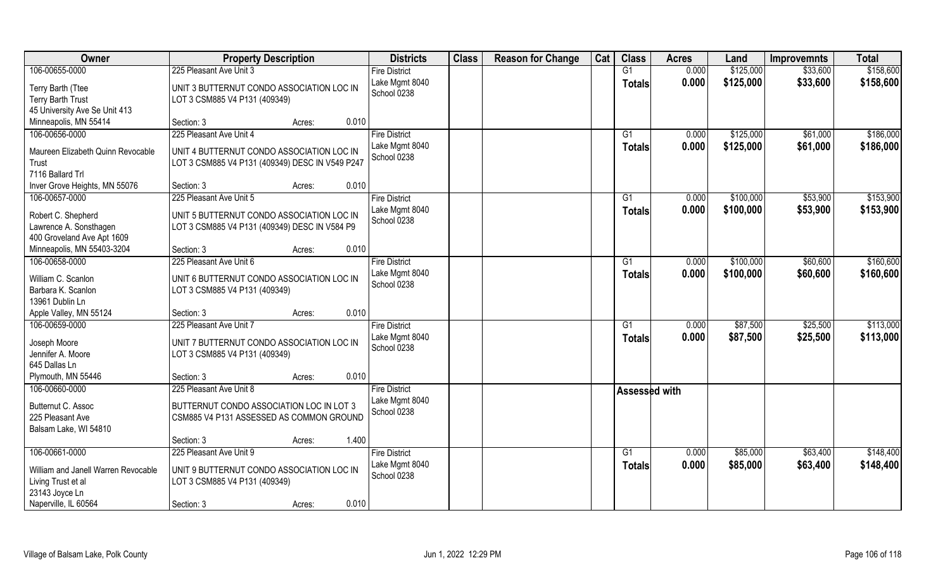| Owner                                                                       | <b>Property Description</b>                                                                  |       | <b>Districts</b>              | <b>Class</b> | <b>Reason for Change</b> | Cat | <b>Class</b>         | <b>Acres</b> | Land      | <b>Improvemnts</b> | <b>Total</b> |
|-----------------------------------------------------------------------------|----------------------------------------------------------------------------------------------|-------|-------------------------------|--------------|--------------------------|-----|----------------------|--------------|-----------|--------------------|--------------|
| 106-00655-0000                                                              | 225 Pleasant Ave Unit 3                                                                      |       | <b>Fire District</b>          |              |                          |     | G1                   | 0.000        | \$125,000 | \$33,600           | \$158,600    |
| Terry Barth (Ttee<br><b>Terry Barth Trust</b>                               | UNIT 3 BUTTERNUT CONDO ASSOCIATION LOC IN<br>LOT 3 CSM885 V4 P131 (409349)                   |       | Lake Mgmt 8040<br>School 0238 |              |                          |     | <b>Totals</b>        | 0.000        | \$125,000 | \$33,600           | \$158,600    |
| 45 University Ave Se Unit 413                                               |                                                                                              |       |                               |              |                          |     |                      |              |           |                    |              |
| Minneapolis, MN 55414                                                       | Section: 3<br>Acres:                                                                         | 0.010 |                               |              |                          |     |                      |              |           |                    |              |
| 106-00656-0000                                                              | 225 Pleasant Ave Unit 4                                                                      |       | <b>Fire District</b>          |              |                          |     | G1                   | 0.000        | \$125,000 | \$61,000           | \$186,000    |
| Maureen Elizabeth Quinn Revocable<br>Trust                                  | UNIT 4 BUTTERNUT CONDO ASSOCIATION LOC IN<br>LOT 3 CSM885 V4 P131 (409349) DESC IN V549 P247 |       | Lake Mgmt 8040<br>School 0238 |              |                          |     | <b>Totals</b>        | 0.000        | \$125,000 | \$61,000           | \$186,000    |
| 7116 Ballard Trl                                                            |                                                                                              |       |                               |              |                          |     |                      |              |           |                    |              |
| Inver Grove Heights, MN 55076                                               | Section: 3<br>Acres:                                                                         | 0.010 |                               |              |                          |     |                      |              |           |                    |              |
| 106-00657-0000                                                              | 225 Pleasant Ave Unit 5                                                                      |       | <b>Fire District</b>          |              |                          |     | G1                   | 0.000        | \$100,000 | \$53,900           | \$153,900    |
| Robert C. Shepherd<br>Lawrence A. Sonsthagen                                | UNIT 5 BUTTERNUT CONDO ASSOCIATION LOC IN<br>LOT 3 CSM885 V4 P131 (409349) DESC IN V584 P9   |       | Lake Mgmt 8040<br>School 0238 |              |                          |     | <b>Totals</b>        | 0.000        | \$100,000 | \$53,900           | \$153,900    |
| 400 Groveland Ave Apt 1609                                                  |                                                                                              |       |                               |              |                          |     |                      |              |           |                    |              |
| Minneapolis, MN 55403-3204                                                  | Section: 3<br>Acres:                                                                         | 0.010 |                               |              |                          |     |                      |              |           |                    |              |
| 106-00658-0000                                                              | 225 Pleasant Ave Unit 6                                                                      |       | <b>Fire District</b>          |              |                          |     | G <sub>1</sub>       | 0.000        | \$100,000 | \$60,600           | \$160,600    |
| William C. Scanlon<br>Barbara K. Scanlon<br>13961 Dublin Ln                 | UNIT 6 BUTTERNUT CONDO ASSOCIATION LOC IN<br>LOT 3 CSM885 V4 P131 (409349)                   |       | Lake Mgmt 8040<br>School 0238 |              |                          |     | <b>Totals</b>        | 0.000        | \$100,000 | \$60,600           | \$160,600    |
| Apple Valley, MN 55124                                                      | Section: 3<br>Acres:                                                                         | 0.010 |                               |              |                          |     |                      |              |           |                    |              |
| 106-00659-0000                                                              | 225 Pleasant Ave Unit 7                                                                      |       | <b>Fire District</b>          |              |                          |     | G1                   | 0.000        | \$87,500  | \$25,500           | \$113,000    |
| Joseph Moore<br>Jennifer A. Moore<br>645 Dallas Ln                          | UNIT 7 BUTTERNUT CONDO ASSOCIATION LOC IN<br>LOT 3 CSM885 V4 P131 (409349)                   |       | Lake Mgmt 8040<br>School 0238 |              |                          |     | <b>Totals</b>        | 0.000        | \$87,500  | \$25,500           | \$113,000    |
| Plymouth, MN 55446                                                          | Section: 3<br>Acres:                                                                         | 0.010 |                               |              |                          |     |                      |              |           |                    |              |
| 106-00660-0000                                                              | 225 Pleasant Ave Unit 8                                                                      |       | <b>Fire District</b>          |              |                          |     | <b>Assessed with</b> |              |           |                    |              |
| Butternut C. Assoc<br>225 Pleasant Ave<br>Balsam Lake, WI 54810             | BUTTERNUT CONDO ASSOCIATION LOC IN LOT 3<br>CSM885 V4 P131 ASSESSED AS COMMON GROUND         |       | Lake Mgmt 8040<br>School 0238 |              |                          |     |                      |              |           |                    |              |
|                                                                             | Section: 3<br>Acres:                                                                         | 1.400 |                               |              |                          |     |                      |              |           |                    |              |
| 106-00661-0000                                                              | 225 Pleasant Ave Unit 9                                                                      |       | <b>Fire District</b>          |              |                          |     | G1                   | 0.000        | \$85,000  | \$63,400           | \$148,400    |
| William and Janell Warren Revocable<br>Living Trust et al<br>23143 Joyce Ln | UNIT 9 BUTTERNUT CONDO ASSOCIATION LOC IN<br>LOT 3 CSM885 V4 P131 (409349)                   |       | Lake Mgmt 8040<br>School 0238 |              |                          |     | <b>Totals</b>        | 0.000        | \$85,000  | \$63,400           | \$148,400    |
| Naperville, IL 60564                                                        | Section: 3<br>Acres:                                                                         | 0.010 |                               |              |                          |     |                      |              |           |                    |              |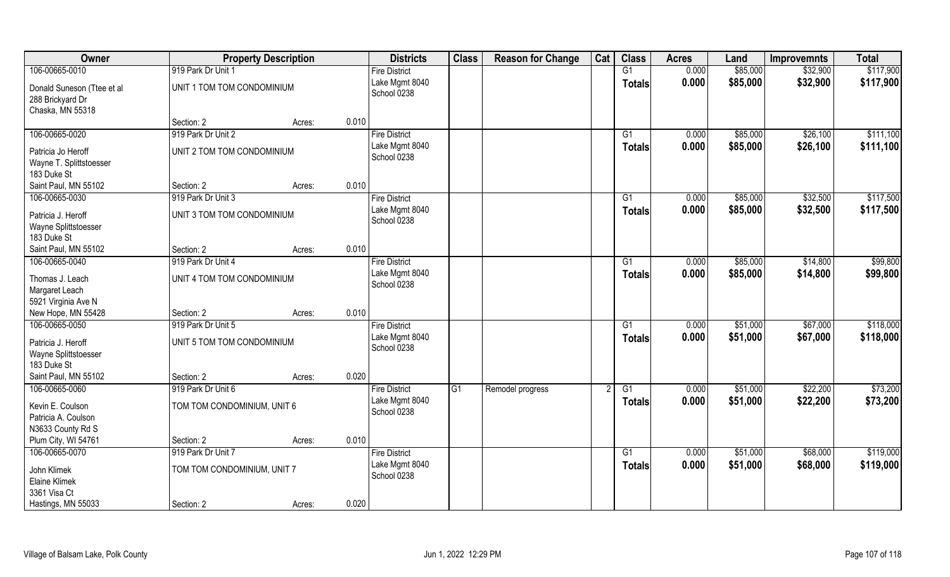| Owner                                                              |                             | <b>Property Description</b> |       | <b>Districts</b>              | <b>Class</b> | <b>Reason for Change</b> | Cat | <b>Class</b>    | <b>Acres</b> | Land     | <b>Improvemnts</b> | <b>Total</b> |
|--------------------------------------------------------------------|-----------------------------|-----------------------------|-------|-------------------------------|--------------|--------------------------|-----|-----------------|--------------|----------|--------------------|--------------|
| 106-00665-0010                                                     | 919 Park Dr Unit 1          |                             |       | <b>Fire District</b>          |              |                          |     | G1              | 0.000        | \$85,000 | \$32,900           | \$117,900    |
| Donald Suneson (Ttee et al<br>288 Brickyard Dr<br>Chaska, MN 55318 | UNIT 1 TOM TOM CONDOMINIUM  |                             |       | Lake Mgmt 8040<br>School 0238 |              |                          |     | <b>Totals</b>   | 0.000        | \$85,000 | \$32,900           | \$117,900    |
|                                                                    | Section: 2                  | Acres:                      | 0.010 |                               |              |                          |     |                 |              |          |                    |              |
| 106-00665-0020                                                     | 919 Park Dr Unit 2          |                             |       | <b>Fire District</b>          |              |                          |     | G1              | 0.000        | \$85,000 | \$26,100           | \$111,100    |
| Patricia Jo Heroff<br>Wayne T. Splittstoesser<br>183 Duke St       | UNIT 2 TOM TOM CONDOMINIUM  |                             |       | Lake Mgmt 8040<br>School 0238 |              |                          |     | Totals          | 0.000        | \$85,000 | \$26,100           | \$111,100    |
| Saint Paul, MN 55102                                               | Section: 2                  | Acres:                      | 0.010 |                               |              |                          |     |                 |              |          |                    |              |
| 106-00665-0030                                                     | 919 Park Dr Unit 3          |                             |       | <b>Fire District</b>          |              |                          |     | G1              | 0.000        | \$85,000 | \$32,500           | \$117,500    |
| Patricia J. Heroff<br>Wayne Splittstoesser<br>183 Duke St          | UNIT 3 TOM TOM CONDOMINIUM  |                             |       | Lake Mgmt 8040<br>School 0238 |              |                          |     | <b>Totals</b>   | 0.000        | \$85,000 | \$32,500           | \$117,500    |
| Saint Paul, MN 55102                                               | Section: 2                  | Acres:                      | 0.010 |                               |              |                          |     |                 |              |          |                    |              |
| 106-00665-0040                                                     | 919 Park Dr Unit 4          |                             |       | <b>Fire District</b>          |              |                          |     | G1              | 0.000        | \$85,000 | \$14,800           | \$99,800     |
| Thomas J. Leach<br>Margaret Leach<br>5921 Virginia Ave N           | UNIT 4 TOM TOM CONDOMINIUM  |                             |       | Lake Mgmt 8040<br>School 0238 |              |                          |     | Totals          | 0.000        | \$85,000 | \$14,800           | \$99,800     |
| New Hope, MN 55428                                                 | Section: 2                  | Acres:                      | 0.010 |                               |              |                          |     |                 |              |          |                    |              |
| 106-00665-0050                                                     | 919 Park Dr Unit 5          |                             |       | <b>Fire District</b>          |              |                          |     | $\overline{G1}$ | 0.000        | \$51,000 | \$67,000           | \$118,000    |
| Patricia J. Heroff<br>Wayne Splittstoesser<br>183 Duke St          | UNIT 5 TOM TOM CONDOMINIUM  |                             |       | Lake Mgmt 8040<br>School 0238 |              |                          |     | <b>Totals</b>   | 0.000        | \$51,000 | \$67,000           | \$118,000    |
| Saint Paul, MN 55102                                               | Section: 2                  | Acres:                      | 0.020 |                               |              |                          |     |                 |              |          |                    |              |
| 106-00665-0060                                                     | 919 Park Dr Unit 6          |                             |       | <b>Fire District</b>          | G1           | Remodel progress         |     | G1              | 0.000        | \$51,000 | \$22,200           | \$73,200     |
| Kevin E. Coulson<br>Patricia A. Coulson<br>N3633 County Rd S       | TOM TOM CONDOMINIUM, UNIT 6 |                             |       | Lake Mgmt 8040<br>School 0238 |              |                          |     | <b>Totals</b>   | 0.000        | \$51,000 | \$22,200           | \$73,200     |
| Plum City, WI 54761                                                | Section: 2                  | Acres:                      | 0.010 |                               |              |                          |     |                 |              |          |                    |              |
| 106-00665-0070                                                     | 919 Park Dr Unit 7          |                             |       | <b>Fire District</b>          |              |                          |     | $\overline{G1}$ | 0.000        | \$51,000 | \$68,000           | \$119,000    |
| John Klimek<br>Elaine Klimek<br>3361 Visa Ct                       | TOM TOM CONDOMINIUM, UNIT 7 |                             |       | Lake Mgmt 8040<br>School 0238 |              |                          |     | Totals          | 0.000        | \$51,000 | \$68,000           | \$119,000    |
| Hastings, MN 55033                                                 | Section: 2                  | Acres:                      | 0.020 |                               |              |                          |     |                 |              |          |                    |              |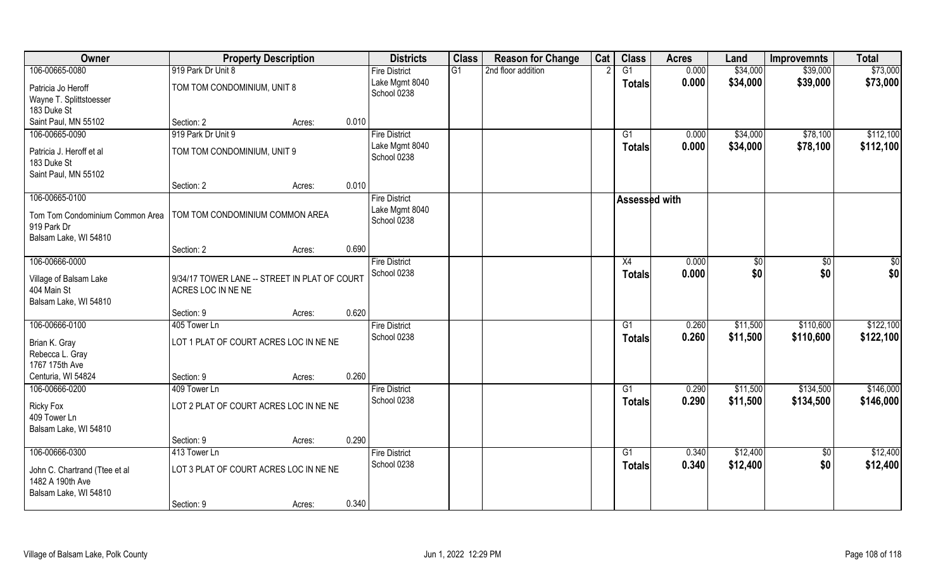| Owner                                     | <b>Property Description</b>                   |        |       | <b>Districts</b>     | <b>Class</b> | <b>Reason for Change</b> | Cat | <b>Class</b>  | <b>Acres</b> | Land          | <b>Improvemnts</b> | <b>Total</b> |
|-------------------------------------------|-----------------------------------------------|--------|-------|----------------------|--------------|--------------------------|-----|---------------|--------------|---------------|--------------------|--------------|
| 106-00665-0080                            | 919 Park Dr Unit 8                            |        |       | <b>Fire District</b> | G1           | 2nd floor addition       |     | G1            | 0.000        | \$34,000      | \$39,000           | \$73,000     |
| Patricia Jo Heroff                        | TOM TOM CONDOMINIUM, UNIT 8                   |        |       | Lake Mgmt 8040       |              |                          |     | <b>Totals</b> | 0.000        | \$34,000      | \$39,000           | \$73,000     |
| Wayne T. Splittstoesser                   |                                               |        |       | School 0238          |              |                          |     |               |              |               |                    |              |
| 183 Duke St                               |                                               |        |       |                      |              |                          |     |               |              |               |                    |              |
| Saint Paul, MN 55102                      | Section: 2                                    | Acres: | 0.010 |                      |              |                          |     |               |              |               |                    |              |
| 106-00665-0090                            | 919 Park Dr Unit 9                            |        |       | <b>Fire District</b> |              |                          |     | G1            | 0.000        | \$34,000      | \$78,100           | \$112,100    |
| Patricia J. Heroff et al                  | TOM TOM CONDOMINIUM, UNIT 9                   |        |       | Lake Mgmt 8040       |              |                          |     | <b>Totals</b> | 0.000        | \$34,000      | \$78,100           | \$112,100    |
| 183 Duke St                               |                                               |        |       | School 0238          |              |                          |     |               |              |               |                    |              |
| Saint Paul, MN 55102                      |                                               |        |       |                      |              |                          |     |               |              |               |                    |              |
|                                           | Section: 2                                    | Acres: | 0.010 |                      |              |                          |     |               |              |               |                    |              |
| 106-00665-0100                            |                                               |        |       | <b>Fire District</b> |              |                          |     | Assessed with |              |               |                    |              |
| Tom Tom Condominium Common Area           | TOM TOM CONDOMINIUM COMMON AREA               |        |       | Lake Mgmt 8040       |              |                          |     |               |              |               |                    |              |
| 919 Park Dr                               |                                               |        |       | School 0238          |              |                          |     |               |              |               |                    |              |
| Balsam Lake, WI 54810                     |                                               |        |       |                      |              |                          |     |               |              |               |                    |              |
|                                           | Section: 2                                    | Acres: | 0.690 |                      |              |                          |     |               |              |               |                    |              |
| 106-00666-0000                            |                                               |        |       | <b>Fire District</b> |              |                          |     | X4            | 0.000        | $\sqrt[6]{3}$ | \$0                | \$0          |
| Village of Balsam Lake                    | 9/34/17 TOWER LANE -- STREET IN PLAT OF COURT |        |       | School 0238          |              |                          |     | <b>Totals</b> | 0.000        | \$0           | \$0                | \$0          |
| 404 Main St                               | ACRES LOC IN NE NE                            |        |       |                      |              |                          |     |               |              |               |                    |              |
| Balsam Lake, WI 54810                     |                                               |        |       |                      |              |                          |     |               |              |               |                    |              |
|                                           | Section: 9                                    | Acres: | 0.620 |                      |              |                          |     |               |              |               |                    |              |
| 106-00666-0100                            | 405 Tower Ln                                  |        |       | <b>Fire District</b> |              |                          |     | G1            | 0.260        | \$11,500      | \$110,600          | \$122,100    |
|                                           | LOT 1 PLAT OF COURT ACRES LOC IN NE NE        |        |       | School 0238          |              |                          |     | <b>Totals</b> | 0.260        | \$11,500      | \$110,600          | \$122,100    |
| Brian K. Gray<br>Rebecca L. Gray          |                                               |        |       |                      |              |                          |     |               |              |               |                    |              |
| 1767 175th Ave                            |                                               |        |       |                      |              |                          |     |               |              |               |                    |              |
| Centuria, WI 54824                        | Section: 9                                    | Acres: | 0.260 |                      |              |                          |     |               |              |               |                    |              |
| 106-00666-0200                            | 409 Tower Ln                                  |        |       | <b>Fire District</b> |              |                          |     | G1            | 0.290        | \$11,500      | \$134,500          | \$146,000    |
|                                           |                                               |        |       | School 0238          |              |                          |     | <b>Totals</b> | 0.290        | \$11,500      | \$134,500          | \$146,000    |
| Ricky Fox<br>409 Tower Ln                 | LOT 2 PLAT OF COURT ACRES LOC IN NE NE        |        |       |                      |              |                          |     |               |              |               |                    |              |
| Balsam Lake, WI 54810                     |                                               |        |       |                      |              |                          |     |               |              |               |                    |              |
|                                           | Section: 9                                    | Acres: | 0.290 |                      |              |                          |     |               |              |               |                    |              |
| 106-00666-0300                            | 413 Tower Ln                                  |        |       | <b>Fire District</b> |              |                          |     | G1            | 0.340        | \$12,400      | $\overline{50}$    | \$12,400     |
|                                           |                                               |        |       | School 0238          |              |                          |     | <b>Totals</b> | 0.340        | \$12,400      | \$0                | \$12,400     |
| John C. Chartrand (Ttee et al             | LOT 3 PLAT OF COURT ACRES LOC IN NE NE        |        |       |                      |              |                          |     |               |              |               |                    |              |
| 1482 A 190th Ave<br>Balsam Lake, WI 54810 |                                               |        |       |                      |              |                          |     |               |              |               |                    |              |
|                                           | Section: 9                                    | Acres: | 0.340 |                      |              |                          |     |               |              |               |                    |              |
|                                           |                                               |        |       |                      |              |                          |     |               |              |               |                    |              |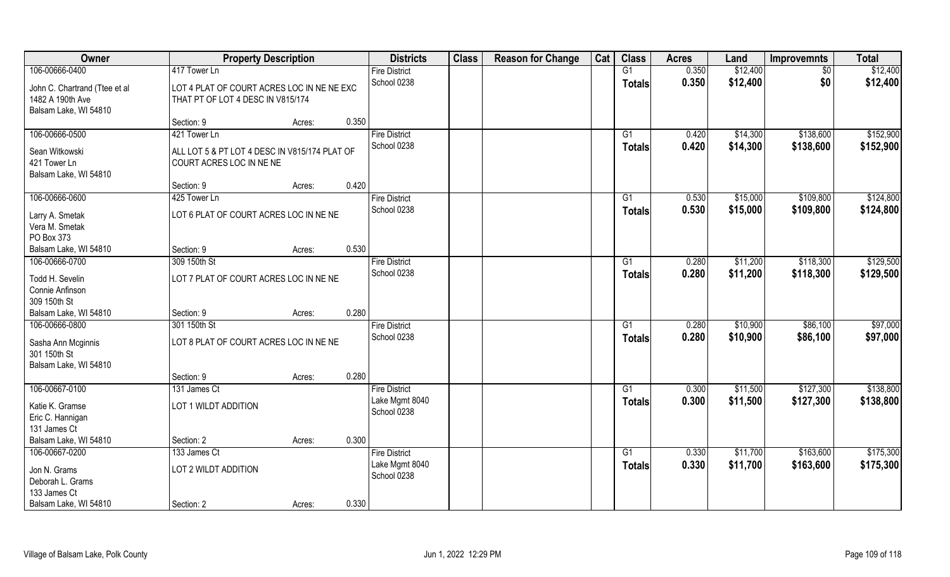| Owner                         | <b>Property Description</b>                   |        |       | <b>Districts</b>     | <b>Class</b> | <b>Reason for Change</b> | Cat | <b>Class</b>  | <b>Acres</b> | Land     | <b>Improvemnts</b> | <b>Total</b> |
|-------------------------------|-----------------------------------------------|--------|-------|----------------------|--------------|--------------------------|-----|---------------|--------------|----------|--------------------|--------------|
| 106-00666-0400                | 417 Tower Ln                                  |        |       | <b>Fire District</b> |              |                          |     | G1            | 0.350        | \$12,400 | \$0                | \$12,400     |
| John C. Chartrand (Ttee et al | LOT 4 PLAT OF COURT ACRES LOC IN NE NE EXC    |        |       | School 0238          |              |                          |     | <b>Totals</b> | 0.350        | \$12,400 | \$0                | \$12,400     |
| 1482 A 190th Ave              | THAT PT OF LOT 4 DESC IN V815/174             |        |       |                      |              |                          |     |               |              |          |                    |              |
| Balsam Lake, WI 54810         |                                               |        |       |                      |              |                          |     |               |              |          |                    |              |
|                               | Section: 9                                    | Acres: | 0.350 |                      |              |                          |     |               |              |          |                    |              |
| 106-00666-0500                | 421 Tower Ln                                  |        |       | <b>Fire District</b> |              |                          |     | G1            | 0.420        | \$14,300 | \$138,600          | \$152,900    |
| Sean Witkowski                | ALL LOT 5 & PT LOT 4 DESC IN V815/174 PLAT OF |        |       | School 0238          |              |                          |     | <b>Totals</b> | 0.420        | \$14,300 | \$138,600          | \$152,900    |
| 421 Tower Ln                  | COURT ACRES LOC IN NE NE                      |        |       |                      |              |                          |     |               |              |          |                    |              |
| Balsam Lake, WI 54810         |                                               |        |       |                      |              |                          |     |               |              |          |                    |              |
|                               | Section: 9                                    | Acres: | 0.420 |                      |              |                          |     |               |              |          |                    |              |
| 106-00666-0600                | 425 Tower Ln                                  |        |       | <b>Fire District</b> |              |                          |     | G1            | 0.530        | \$15,000 | \$109,800          | \$124,800    |
| Larry A. Smetak               | LOT 6 PLAT OF COURT ACRES LOC IN NE NE        |        |       | School 0238          |              |                          |     | <b>Totals</b> | 0.530        | \$15,000 | \$109,800          | \$124,800    |
| Vera M. Smetak                |                                               |        |       |                      |              |                          |     |               |              |          |                    |              |
| PO Box 373                    |                                               |        |       |                      |              |                          |     |               |              |          |                    |              |
| Balsam Lake, WI 54810         | Section: 9                                    | Acres: | 0.530 |                      |              |                          |     |               |              |          |                    |              |
| 106-00666-0700                | 309 150th St                                  |        |       | <b>Fire District</b> |              |                          |     | G1            | 0.280        | \$11,200 | \$118,300          | \$129,500    |
| Todd H. Sevelin               | LOT 7 PLAT OF COURT ACRES LOC IN NE NE        |        |       | School 0238          |              |                          |     | <b>Totals</b> | 0.280        | \$11,200 | \$118,300          | \$129,500    |
| Connie Anfinson               |                                               |        |       |                      |              |                          |     |               |              |          |                    |              |
| 309 150th St                  |                                               |        |       |                      |              |                          |     |               |              |          |                    |              |
| Balsam Lake, WI 54810         | Section: 9                                    | Acres: | 0.280 |                      |              |                          |     |               |              |          |                    |              |
| 106-00666-0800                | 301 150th St                                  |        |       | <b>Fire District</b> |              |                          |     | G1            | 0.280        | \$10,900 | \$86,100           | \$97,000     |
| Sasha Ann Mcginnis            | LOT 8 PLAT OF COURT ACRES LOC IN NE NE        |        |       | School 0238          |              |                          |     | <b>Totals</b> | 0.280        | \$10,900 | \$86,100           | \$97,000     |
| 301 150th St                  |                                               |        |       |                      |              |                          |     |               |              |          |                    |              |
| Balsam Lake, WI 54810         |                                               |        |       |                      |              |                          |     |               |              |          |                    |              |
|                               | Section: 9                                    | Acres: | 0.280 |                      |              |                          |     |               |              |          |                    |              |
| 106-00667-0100                | 131 James Ct                                  |        |       | <b>Fire District</b> |              |                          |     | G1            | 0.300        | \$11,500 | \$127,300          | \$138,800    |
| Katie K. Gramse               | LOT 1 WILDT ADDITION                          |        |       | Lake Mgmt 8040       |              |                          |     | <b>Totals</b> | 0.300        | \$11,500 | \$127,300          | \$138,800    |
| Eric C. Hannigan              |                                               |        |       | School 0238          |              |                          |     |               |              |          |                    |              |
| 131 James Ct                  |                                               |        |       |                      |              |                          |     |               |              |          |                    |              |
| Balsam Lake, WI 54810         | Section: 2                                    | Acres: | 0.300 |                      |              |                          |     |               |              |          |                    |              |
| 106-00667-0200                | 133 James Ct                                  |        |       | <b>Fire District</b> |              |                          |     | G1            | 0.330        | \$11,700 | \$163,600          | \$175,300    |
| Jon N. Grams                  | LOT 2 WILDT ADDITION                          |        |       | Lake Mgmt 8040       |              |                          |     | <b>Totals</b> | 0.330        | \$11,700 | \$163,600          | \$175,300    |
| Deborah L. Grams              |                                               |        |       | School 0238          |              |                          |     |               |              |          |                    |              |
| 133 James Ct                  |                                               |        |       |                      |              |                          |     |               |              |          |                    |              |
| Balsam Lake, WI 54810         | Section: 2                                    | Acres: | 0.330 |                      |              |                          |     |               |              |          |                    |              |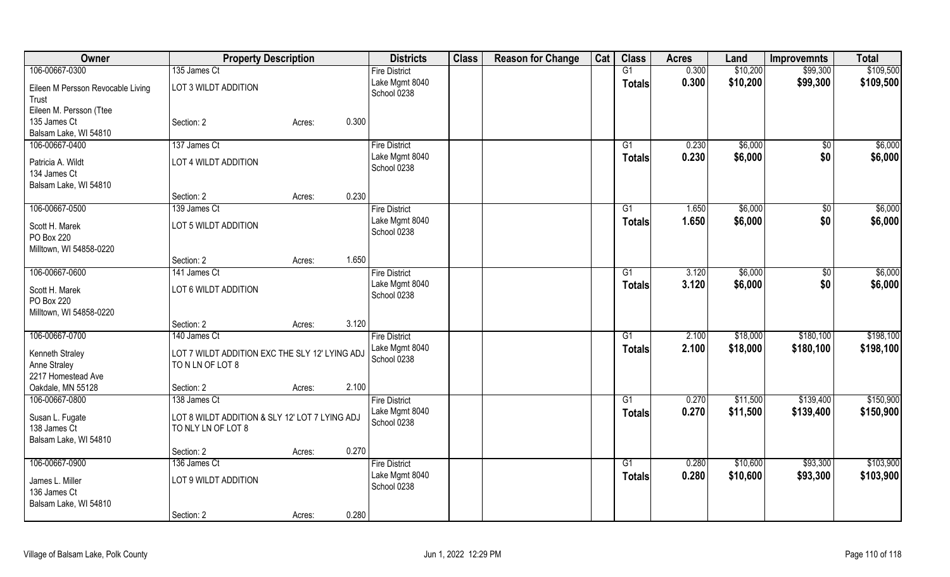| Owner                             | <b>Property Description</b>                    |        |       | <b>Districts</b>              | <b>Class</b> | <b>Reason for Change</b> | Cat | <b>Class</b>    | <b>Acres</b> | Land     | <b>Improvemnts</b> | <b>Total</b> |
|-----------------------------------|------------------------------------------------|--------|-------|-------------------------------|--------------|--------------------------|-----|-----------------|--------------|----------|--------------------|--------------|
| 106-00667-0300                    | 135 James Ct                                   |        |       | <b>Fire District</b>          |              |                          |     | $\overline{G1}$ | 0.300        | \$10,200 | \$99,300           | \$109,500    |
| Eileen M Persson Revocable Living | LOT 3 WILDT ADDITION                           |        |       | Lake Mgmt 8040                |              |                          |     | <b>Totals</b>   | 0.300        | \$10,200 | \$99,300           | \$109,500    |
| Trust                             |                                                |        |       | School 0238                   |              |                          |     |                 |              |          |                    |              |
| Eileen M. Persson (Ttee           |                                                |        |       |                               |              |                          |     |                 |              |          |                    |              |
| 135 James Ct                      | Section: 2                                     | Acres: | 0.300 |                               |              |                          |     |                 |              |          |                    |              |
| Balsam Lake, WI 54810             |                                                |        |       |                               |              |                          |     |                 |              |          |                    |              |
| 106-00667-0400                    | 137 James Ct                                   |        |       | <b>Fire District</b>          |              |                          |     | G1              | 0.230        | \$6,000  | $\overline{50}$    | \$6,000      |
|                                   |                                                |        |       | Lake Mgmt 8040                |              |                          |     | <b>Totals</b>   | 0.230        | \$6,000  | \$0                | \$6,000      |
| Patricia A. Wildt                 | LOT 4 WILDT ADDITION                           |        |       | School 0238                   |              |                          |     |                 |              |          |                    |              |
| 134 James Ct                      |                                                |        |       |                               |              |                          |     |                 |              |          |                    |              |
| Balsam Lake, WI 54810             |                                                |        |       |                               |              |                          |     |                 |              |          |                    |              |
|                                   | Section: 2                                     | Acres: | 0.230 |                               |              |                          |     |                 |              |          |                    |              |
| 106-00667-0500                    | 139 James Ct                                   |        |       | <b>Fire District</b>          |              |                          |     | G1              | 1.650        | \$6,000  | $\sqrt[6]{}$       | \$6,000      |
| Scott H. Marek                    | LOT 5 WILDT ADDITION                           |        |       | Lake Mgmt 8040                |              |                          |     | <b>Totals</b>   | 1.650        | \$6,000  | \$0                | \$6,000      |
| PO Box 220                        |                                                |        |       | School 0238                   |              |                          |     |                 |              |          |                    |              |
| Milltown, WI 54858-0220           |                                                |        |       |                               |              |                          |     |                 |              |          |                    |              |
|                                   | Section: 2                                     | Acres: | 1.650 |                               |              |                          |     |                 |              |          |                    |              |
| 106-00667-0600                    | 141 James Ct                                   |        |       | <b>Fire District</b>          |              |                          |     | G1              | 3.120        | \$6,000  | \$0                | \$6,000      |
|                                   |                                                |        |       | Lake Mgmt 8040                |              |                          |     | <b>Totals</b>   | 3.120        | \$6,000  | \$0                | \$6,000      |
| Scott H. Marek                    | LOT 6 WILDT ADDITION                           |        |       | School 0238                   |              |                          |     |                 |              |          |                    |              |
| PO Box 220                        |                                                |        |       |                               |              |                          |     |                 |              |          |                    |              |
| Milltown, WI 54858-0220           |                                                |        |       |                               |              |                          |     |                 |              |          |                    |              |
|                                   | Section: 2                                     | Acres: | 3.120 |                               |              |                          |     |                 |              |          |                    |              |
| 106-00667-0700                    | 140 James Ct                                   |        |       | <b>Fire District</b>          |              |                          |     | $\overline{G1}$ | 2.100        | \$18,000 | \$180,100          | \$198,100    |
| Kenneth Straley                   | LOT 7 WILDT ADDITION EXC THE SLY 12' LYING ADJ |        |       | Lake Mgmt 8040                |              |                          |     | <b>Totals</b>   | 2.100        | \$18,000 | \$180,100          | \$198,100    |
| Anne Straley                      | TO N LN OF LOT 8                               |        |       | School 0238                   |              |                          |     |                 |              |          |                    |              |
| 2217 Homestead Ave                |                                                |        |       |                               |              |                          |     |                 |              |          |                    |              |
| Oakdale, MN 55128                 | Section: 2                                     | Acres: | 2.100 |                               |              |                          |     |                 |              |          |                    |              |
| 106-00667-0800                    | 138 James Ct                                   |        |       | <b>Fire District</b>          |              |                          |     | G1              | 0.270        | \$11,500 | \$139,400          | \$150,900    |
|                                   |                                                |        |       | Lake Mgmt 8040                |              |                          |     | Totals          | 0.270        | \$11,500 | \$139,400          | \$150,900    |
| Susan L. Fugate<br>138 James Ct   | LOT 8 WILDT ADDITION & SLY 12' LOT 7 LYING ADJ |        |       | School 0238                   |              |                          |     |                 |              |          |                    |              |
| Balsam Lake, WI 54810             | TO NLY LN OF LOT 8                             |        |       |                               |              |                          |     |                 |              |          |                    |              |
|                                   | Section: 2                                     |        | 0.270 |                               |              |                          |     |                 |              |          |                    |              |
|                                   |                                                | Acres: |       |                               |              |                          |     |                 |              |          |                    | \$103,900    |
| 106-00667-0900                    | 136 James Ct                                   |        |       | <b>Fire District</b>          |              |                          |     | G1              | 0.280        | \$10,600 | \$93,300           |              |
| James L. Miller                   | LOT 9 WILDT ADDITION                           |        |       | Lake Mgmt 8040<br>School 0238 |              |                          |     | <b>Totals</b>   | 0.280        | \$10,600 | \$93,300           | \$103,900    |
| 136 James Ct                      |                                                |        |       |                               |              |                          |     |                 |              |          |                    |              |
| Balsam Lake, WI 54810             |                                                |        |       |                               |              |                          |     |                 |              |          |                    |              |
|                                   | Section: 2                                     | Acres: | 0.280 |                               |              |                          |     |                 |              |          |                    |              |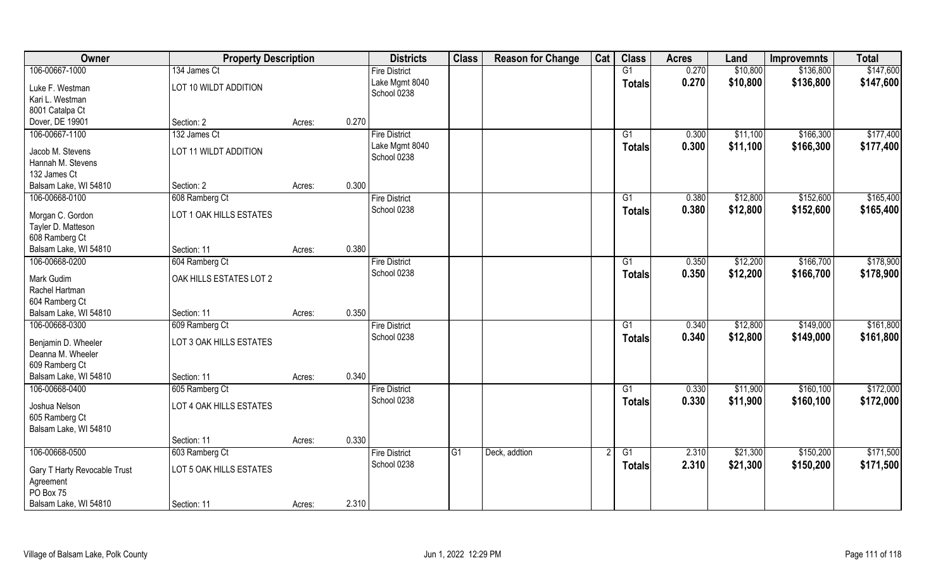| Owner                              | <b>Property Description</b> |        |       | <b>Districts</b>              | <b>Class</b> | <b>Reason for Change</b> | Cat | <b>Class</b>    | <b>Acres</b> | Land     | <b>Improvemnts</b> | <b>Total</b> |
|------------------------------------|-----------------------------|--------|-------|-------------------------------|--------------|--------------------------|-----|-----------------|--------------|----------|--------------------|--------------|
| 106-00667-1000                     | 134 James Ct                |        |       | <b>Fire District</b>          |              |                          |     | G1              | 0.270        | \$10,800 | \$136,800          | \$147,600    |
| Luke F. Westman<br>Kari L. Westman | LOT 10 WILDT ADDITION       |        |       | Lake Mgmt 8040<br>School 0238 |              |                          |     | <b>Totals</b>   | 0.270        | \$10,800 | \$136,800          | \$147,600    |
| 8001 Catalpa Ct                    |                             |        |       |                               |              |                          |     |                 |              |          |                    |              |
| Dover, DE 19901                    | Section: 2                  | Acres: | 0.270 |                               |              |                          |     |                 |              |          |                    |              |
| 106-00667-1100                     | 132 James Ct                |        |       | <b>Fire District</b>          |              |                          |     | G1              | 0.300        | \$11,100 | \$166,300          | \$177,400    |
| Jacob M. Stevens                   | LOT 11 WILDT ADDITION       |        |       | Lake Mgmt 8040                |              |                          |     | <b>Totals</b>   | 0.300        | \$11,100 | \$166,300          | \$177,400    |
| Hannah M. Stevens                  |                             |        |       | School 0238                   |              |                          |     |                 |              |          |                    |              |
| 132 James Ct                       |                             |        |       |                               |              |                          |     |                 |              |          |                    |              |
| Balsam Lake, WI 54810              | Section: 2                  | Acres: | 0.300 |                               |              |                          |     |                 |              |          |                    |              |
| 106-00668-0100                     | 608 Ramberg Ct              |        |       | <b>Fire District</b>          |              |                          |     | G1              | 0.380        | \$12,800 | \$152,600          | \$165,400    |
| Morgan C. Gordon                   | LOT 1 OAK HILLS ESTATES     |        |       | School 0238                   |              |                          |     | <b>Totals</b>   | 0.380        | \$12,800 | \$152,600          | \$165,400    |
| Tayler D. Matteson                 |                             |        |       |                               |              |                          |     |                 |              |          |                    |              |
| 608 Ramberg Ct                     |                             |        |       |                               |              |                          |     |                 |              |          |                    |              |
| Balsam Lake, WI 54810              | Section: 11                 | Acres: | 0.380 |                               |              |                          |     |                 |              |          |                    |              |
| 106-00668-0200                     | 604 Ramberg Ct              |        |       | <b>Fire District</b>          |              |                          |     | G1              | 0.350        | \$12,200 | \$166,700          | \$178,900    |
| Mark Gudim                         | OAK HILLS ESTATES LOT 2     |        |       | School 0238                   |              |                          |     | <b>Totals</b>   | 0.350        | \$12,200 | \$166,700          | \$178,900    |
| Rachel Hartman                     |                             |        |       |                               |              |                          |     |                 |              |          |                    |              |
| 604 Ramberg Ct                     |                             |        |       |                               |              |                          |     |                 |              |          |                    |              |
| Balsam Lake, WI 54810              | Section: 11                 | Acres: | 0.350 |                               |              |                          |     |                 |              |          |                    |              |
| 106-00668-0300                     | 609 Ramberg Ct              |        |       | <b>Fire District</b>          |              |                          |     | G1              | 0.340        | \$12,800 | \$149,000          | \$161,800    |
| Benjamin D. Wheeler                | LOT 3 OAK HILLS ESTATES     |        |       | School 0238                   |              |                          |     | <b>Totals</b>   | 0.340        | \$12,800 | \$149,000          | \$161,800    |
| Deanna M. Wheeler                  |                             |        |       |                               |              |                          |     |                 |              |          |                    |              |
| 609 Ramberg Ct                     |                             |        |       |                               |              |                          |     |                 |              |          |                    |              |
| Balsam Lake, WI 54810              | Section: 11                 | Acres: | 0.340 |                               |              |                          |     |                 |              |          |                    |              |
| 106-00668-0400                     | 605 Ramberg Ct              |        |       | <b>Fire District</b>          |              |                          |     | G1              | 0.330        | \$11,900 | \$160, 100         | \$172,000    |
| Joshua Nelson                      | LOT 4 OAK HILLS ESTATES     |        |       | School 0238                   |              |                          |     | <b>Totals</b>   | 0.330        | \$11,900 | \$160,100          | \$172,000    |
| 605 Ramberg Ct                     |                             |        |       |                               |              |                          |     |                 |              |          |                    |              |
| Balsam Lake, WI 54810              |                             |        |       |                               |              |                          |     |                 |              |          |                    |              |
|                                    | Section: 11                 | Acres: | 0.330 |                               |              |                          |     |                 |              |          |                    |              |
| 106-00668-0500                     | 603 Ramberg Ct              |        |       | <b>Fire District</b>          | G1           | Deck, addtion            |     | $\overline{G1}$ | 2.310        | \$21,300 | \$150,200          | \$171,500    |
| Gary T Harty Revocable Trust       | LOT 5 OAK HILLS ESTATES     |        |       | School 0238                   |              |                          |     | <b>Totals</b>   | 2.310        | \$21,300 | \$150,200          | \$171,500    |
| Agreement                          |                             |        |       |                               |              |                          |     |                 |              |          |                    |              |
| PO Box 75                          |                             |        |       |                               |              |                          |     |                 |              |          |                    |              |
| Balsam Lake, WI 54810              | Section: 11                 | Acres: | 2.310 |                               |              |                          |     |                 |              |          |                    |              |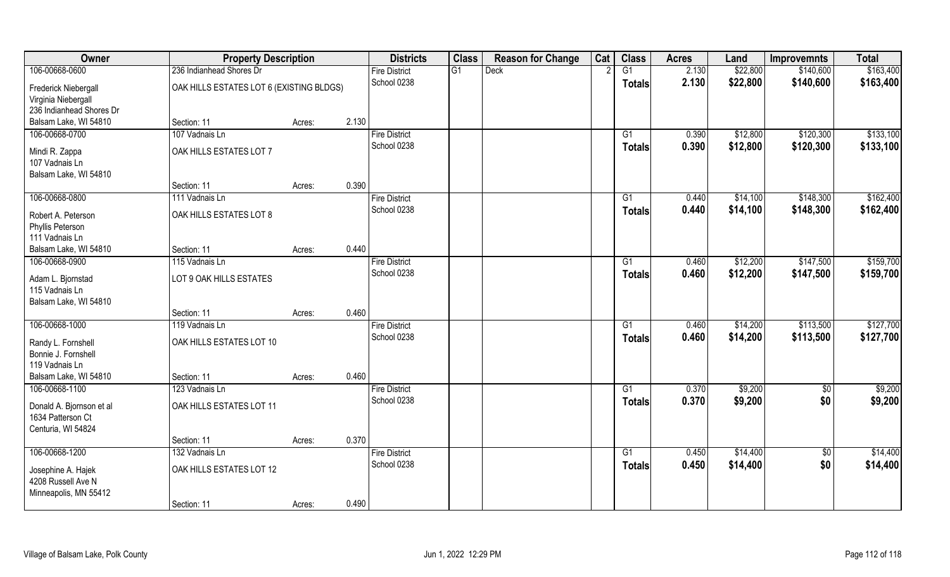| Owner                                                               | <b>Property Description</b>              |        |       | <b>Districts</b>     | <b>Class</b> |             | <b>Reason for Change</b> | Cat | <b>Class</b>    | <b>Acres</b> | Land     | <b>Improvemnts</b> | <b>Total</b> |
|---------------------------------------------------------------------|------------------------------------------|--------|-------|----------------------|--------------|-------------|--------------------------|-----|-----------------|--------------|----------|--------------------|--------------|
| 106-00668-0600                                                      | 236 Indianhead Shores Dr                 |        |       | <b>Fire District</b> | G1           | <b>Deck</b> |                          |     | $\overline{G1}$ | 2.130        | \$22,800 | \$140,600          | \$163,400    |
| Frederick Niebergall<br>Virginia Niebergall                         | OAK HILLS ESTATES LOT 6 (EXISTING BLDGS) |        |       | School 0238          |              |             |                          |     | <b>Totals</b>   | 2.130        | \$22,800 | \$140,600          | \$163,400    |
| 236 Indianhead Shores Dr                                            |                                          |        |       |                      |              |             |                          |     |                 |              |          |                    |              |
| Balsam Lake, WI 54810                                               | Section: 11                              | Acres: | 2.130 |                      |              |             |                          |     |                 |              |          |                    |              |
| 106-00668-0700                                                      | 107 Vadnais Ln                           |        |       | <b>Fire District</b> |              |             |                          |     | G1              | 0.390        | \$12,800 | \$120,300          | \$133,100    |
| Mindi R. Zappa<br>107 Vadnais Ln                                    | OAK HILLS ESTATES LOT 7                  |        |       | School 0238          |              |             |                          |     | Totals          | 0.390        | \$12,800 | \$120,300          | \$133,100    |
| Balsam Lake, WI 54810                                               |                                          |        |       |                      |              |             |                          |     |                 |              |          |                    |              |
|                                                                     | Section: 11                              | Acres: | 0.390 |                      |              |             |                          |     |                 |              |          |                    |              |
| 106-00668-0800                                                      | 111 Vadnais Ln                           |        |       | <b>Fire District</b> |              |             |                          |     | G1              | 0.440        | \$14,100 | \$148,300          | \$162,400    |
| Robert A. Peterson<br>Phyllis Peterson<br>111 Vadnais Ln            | OAK HILLS ESTATES LOT 8                  |        |       | School 0238          |              |             |                          |     | <b>Totals</b>   | 0.440        | \$14,100 | \$148,300          | \$162,400    |
| Balsam Lake, WI 54810                                               | Section: 11                              | Acres: | 0.440 |                      |              |             |                          |     |                 |              |          |                    |              |
| 106-00668-0900                                                      | 115 Vadnais Ln                           |        |       | <b>Fire District</b> |              |             |                          |     | G1              | 0.460        | \$12,200 | \$147,500          | \$159,700    |
|                                                                     |                                          |        |       | School 0238          |              |             |                          |     | <b>Totals</b>   | 0.460        | \$12,200 | \$147,500          | \$159,700    |
| Adam L. Bjornstad<br>115 Vadnais Ln<br>Balsam Lake, WI 54810        | LOT 9 OAK HILLS ESTATES                  |        |       |                      |              |             |                          |     |                 |              |          |                    |              |
|                                                                     | Section: 11                              | Acres: | 0.460 |                      |              |             |                          |     |                 |              |          |                    |              |
| 106-00668-1000                                                      | 119 Vadnais Ln                           |        |       | <b>Fire District</b> |              |             |                          |     | $\overline{G1}$ | 0.460        | \$14,200 | \$113,500          | \$127,700    |
| Randy L. Fornshell<br>Bonnie J. Fornshell<br>119 Vadnais Ln         | OAK HILLS ESTATES LOT 10                 |        |       | School 0238          |              |             |                          |     | Totals          | 0.460        | \$14,200 | \$113,500          | \$127,700    |
| Balsam Lake, WI 54810                                               | Section: 11                              | Acres: | 0.460 |                      |              |             |                          |     |                 |              |          |                    |              |
| 106-00668-1100                                                      | 123 Vadnais Ln                           |        |       | <b>Fire District</b> |              |             |                          |     | G1              | 0.370        | \$9,200  | $\overline{50}$    | \$9,200      |
| Donald A. Bjornson et al<br>1634 Patterson Ct<br>Centuria, WI 54824 | OAK HILLS ESTATES LOT 11                 |        |       | School 0238          |              |             |                          |     | <b>Totals</b>   | 0.370        | \$9,200  | \$0                | \$9,200      |
|                                                                     | Section: 11                              | Acres: | 0.370 |                      |              |             |                          |     |                 |              |          |                    |              |
| 106-00668-1200                                                      | 132 Vadnais Ln                           |        |       | <b>Fire District</b> |              |             |                          |     | G1              | 0.450        | \$14,400 | $\overline{50}$    | \$14,400     |
|                                                                     |                                          |        |       | School 0238          |              |             |                          |     | <b>Totals</b>   | 0.450        | \$14,400 | \$0                | \$14,400     |
| Josephine A. Hajek<br>4208 Russell Ave N<br>Minneapolis, MN 55412   | OAK HILLS ESTATES LOT 12                 |        |       |                      |              |             |                          |     |                 |              |          |                    |              |
|                                                                     | Section: 11                              | Acres: | 0.490 |                      |              |             |                          |     |                 |              |          |                    |              |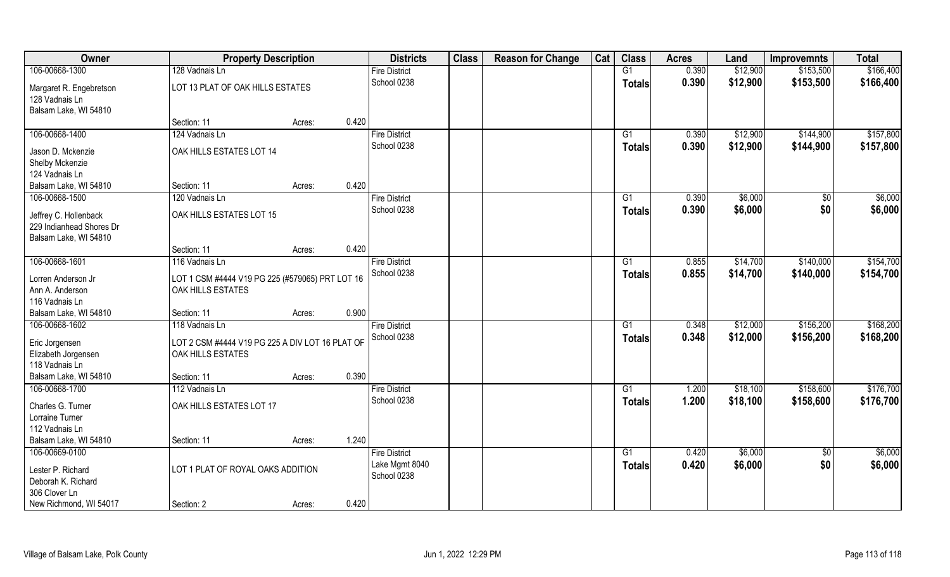| Owner                             | <b>Property Description</b>                     |        |       | <b>Districts</b>     | <b>Class</b> | <b>Reason for Change</b> | Cat | <b>Class</b>    | <b>Acres</b> | Land     | <b>Improvemnts</b> | <b>Total</b> |
|-----------------------------------|-------------------------------------------------|--------|-------|----------------------|--------------|--------------------------|-----|-----------------|--------------|----------|--------------------|--------------|
| 106-00668-1300                    | 128 Vadnais Ln                                  |        |       | <b>Fire District</b> |              |                          |     | G1              | 0.390        | \$12,900 | \$153,500          | \$166,400    |
| Margaret R. Engebretson           | LOT 13 PLAT OF OAK HILLS ESTATES                |        |       | School 0238          |              |                          |     | <b>Totals</b>   | 0.390        | \$12,900 | \$153,500          | \$166,400    |
| 128 Vadnais Ln                    |                                                 |        |       |                      |              |                          |     |                 |              |          |                    |              |
| Balsam Lake, WI 54810             |                                                 |        |       |                      |              |                          |     |                 |              |          |                    |              |
|                                   | Section: 11                                     | Acres: | 0.420 |                      |              |                          |     |                 |              |          |                    |              |
| 106-00668-1400                    | 124 Vadnais Ln                                  |        |       | <b>Fire District</b> |              |                          |     | G1              | 0.390        | \$12,900 | \$144,900          | \$157,800    |
|                                   | OAK HILLS ESTATES LOT 14                        |        |       | School 0238          |              |                          |     | Totals          | 0.390        | \$12,900 | \$144,900          | \$157,800    |
| Jason D. Mckenzie                 |                                                 |        |       |                      |              |                          |     |                 |              |          |                    |              |
| Shelby Mckenzie<br>124 Vadnais Ln |                                                 |        |       |                      |              |                          |     |                 |              |          |                    |              |
| Balsam Lake, WI 54810             | Section: 11                                     | Acres: | 0.420 |                      |              |                          |     |                 |              |          |                    |              |
| 106-00668-1500                    |                                                 |        |       | <b>Fire District</b> |              |                          |     |                 | 0.390        | \$6,000  |                    |              |
|                                   | 120 Vadnais Ln                                  |        |       |                      |              |                          |     | G1              |              |          | \$0                | \$6,000      |
| Jeffrey C. Hollenback             | OAK HILLS ESTATES LOT 15                        |        |       | School 0238          |              |                          |     | <b>Totals</b>   | 0.390        | \$6,000  | \$0                | \$6,000      |
| 229 Indianhead Shores Dr          |                                                 |        |       |                      |              |                          |     |                 |              |          |                    |              |
| Balsam Lake, WI 54810             |                                                 |        |       |                      |              |                          |     |                 |              |          |                    |              |
|                                   | Section: 11                                     | Acres: | 0.420 |                      |              |                          |     |                 |              |          |                    |              |
| 106-00668-1601                    | 116 Vadnais Ln                                  |        |       | <b>Fire District</b> |              |                          |     | G1              | 0.855        | \$14,700 | \$140,000          | \$154,700    |
| Lorren Anderson Jr                | LOT 1 CSM #4444 V19 PG 225 (#579065) PRT LOT 16 |        |       | School 0238          |              |                          |     | <b>Totals</b>   | 0.855        | \$14,700 | \$140,000          | \$154,700    |
| Ann A. Anderson                   | OAK HILLS ESTATES                               |        |       |                      |              |                          |     |                 |              |          |                    |              |
| 116 Vadnais Ln                    |                                                 |        |       |                      |              |                          |     |                 |              |          |                    |              |
| Balsam Lake, WI 54810             | Section: 11                                     | Acres: | 0.900 |                      |              |                          |     |                 |              |          |                    |              |
| 106-00668-1602                    | 118 Vadnais Ln                                  |        |       | <b>Fire District</b> |              |                          |     | $\overline{G1}$ | 0.348        | \$12,000 | \$156,200          | \$168,200    |
|                                   |                                                 |        |       | School 0238          |              |                          |     |                 | 0.348        | \$12,000 | \$156,200          | \$168,200    |
| Eric Jorgensen                    | LOT 2 CSM #4444 V19 PG 225 A DIV LOT 16 PLAT OF |        |       |                      |              |                          |     | Totals          |              |          |                    |              |
| Elizabeth Jorgensen               | OAK HILLS ESTATES                               |        |       |                      |              |                          |     |                 |              |          |                    |              |
| 118 Vadnais Ln                    |                                                 |        |       |                      |              |                          |     |                 |              |          |                    |              |
| Balsam Lake, WI 54810             | Section: 11                                     | Acres: | 0.390 |                      |              |                          |     |                 |              |          |                    |              |
| 106-00668-1700                    | 112 Vadnais Ln                                  |        |       | <b>Fire District</b> |              |                          |     | G1              | 1.200        | \$18,100 | \$158,600          | \$176,700    |
| Charles G. Turner                 | OAK HILLS ESTATES LOT 17                        |        |       | School 0238          |              |                          |     | <b>Totals</b>   | 1.200        | \$18,100 | \$158,600          | \$176,700    |
| Lorraine Turner                   |                                                 |        |       |                      |              |                          |     |                 |              |          |                    |              |
| 112 Vadnais Ln                    |                                                 |        |       |                      |              |                          |     |                 |              |          |                    |              |
| Balsam Lake, WI 54810             | Section: 11                                     | Acres: | 1.240 |                      |              |                          |     |                 |              |          |                    |              |
| 106-00669-0100                    |                                                 |        |       | <b>Fire District</b> |              |                          |     | G1              | 0.420        | \$6,000  | $\overline{50}$    | \$6,000      |
|                                   |                                                 |        |       | Lake Mgmt 8040       |              |                          |     | <b>Totals</b>   | 0.420        | \$6,000  | \$0                | \$6,000      |
| Lester P. Richard                 | LOT 1 PLAT OF ROYAL OAKS ADDITION               |        |       | School 0238          |              |                          |     |                 |              |          |                    |              |
| Deborah K. Richard                |                                                 |        |       |                      |              |                          |     |                 |              |          |                    |              |
| 306 Clover Ln                     |                                                 |        |       |                      |              |                          |     |                 |              |          |                    |              |
| New Richmond, WI 54017            | Section: 2                                      | Acres: | 0.420 |                      |              |                          |     |                 |              |          |                    |              |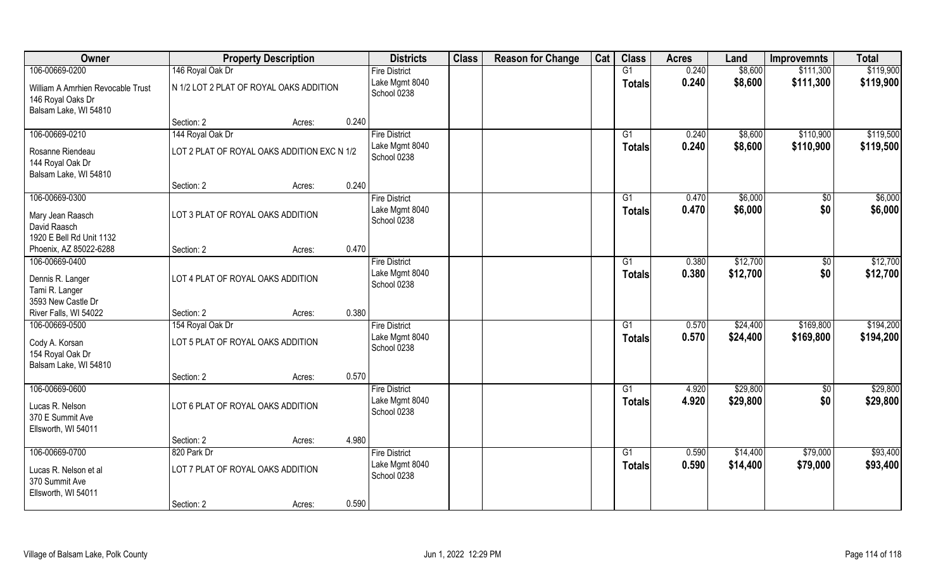| Owner                                                                           |                                             | <b>Property Description</b> |       | <b>Districts</b>              | <b>Class</b> | <b>Reason for Change</b> | Cat | <b>Class</b>    | <b>Acres</b> | Land     | <b>Improvemnts</b> | <b>Total</b> |
|---------------------------------------------------------------------------------|---------------------------------------------|-----------------------------|-------|-------------------------------|--------------|--------------------------|-----|-----------------|--------------|----------|--------------------|--------------|
| 106-00669-0200                                                                  | 146 Royal Oak Dr                            |                             |       | <b>Fire District</b>          |              |                          |     | G1              | 0.240        | \$8,600  | \$111,300          | \$119,900    |
| William A Amrhien Revocable Trust<br>146 Royal Oaks Dr<br>Balsam Lake, WI 54810 | N 1/2 LOT 2 PLAT OF ROYAL OAKS ADDITION     |                             |       | Lake Mgmt 8040<br>School 0238 |              |                          |     | <b>Totals</b>   | 0.240        | \$8,600  | \$111,300          | \$119,900    |
|                                                                                 | Section: 2                                  | Acres:                      | 0.240 |                               |              |                          |     |                 |              |          |                    |              |
| 106-00669-0210                                                                  | 144 Royal Oak Dr                            |                             |       | <b>Fire District</b>          |              |                          |     | G1              | 0.240        | \$8,600  | \$110,900          | \$119,500    |
| Rosanne Riendeau<br>144 Royal Oak Dr<br>Balsam Lake, WI 54810                   | LOT 2 PLAT OF ROYAL OAKS ADDITION EXC N 1/2 |                             |       | Lake Mgmt 8040<br>School 0238 |              |                          |     | <b>Totals</b>   | 0.240        | \$8,600  | \$110,900          | \$119,500    |
|                                                                                 | Section: 2                                  | Acres:                      | 0.240 |                               |              |                          |     |                 |              |          |                    |              |
| 106-00669-0300                                                                  |                                             |                             |       | <b>Fire District</b>          |              |                          |     | G1              | 0.470        | \$6,000  | \$0                | \$6,000      |
| Mary Jean Raasch<br>David Raasch<br>1920 E Bell Rd Unit 1132                    | LOT 3 PLAT OF ROYAL OAKS ADDITION           |                             |       | Lake Mgmt 8040<br>School 0238 |              |                          |     | <b>Totals</b>   | 0.470        | \$6,000  | \$0                | \$6,000      |
| Phoenix, AZ 85022-6288                                                          | Section: 2                                  | Acres:                      | 0.470 |                               |              |                          |     |                 |              |          |                    |              |
| 106-00669-0400                                                                  |                                             |                             |       | <b>Fire District</b>          |              |                          |     | G1              | 0.380        | \$12,700 | \$0                | \$12,700     |
| Dennis R. Langer<br>Tami R. Langer<br>3593 New Castle Dr                        | LOT 4 PLAT OF ROYAL OAKS ADDITION           |                             |       | Lake Mgmt 8040<br>School 0238 |              |                          |     | <b>Totals</b>   | 0.380        | \$12,700 | \$0                | \$12,700     |
| River Falls, WI 54022                                                           | Section: 2                                  | Acres:                      | 0.380 |                               |              |                          |     |                 |              |          |                    |              |
| 106-00669-0500                                                                  | 154 Royal Oak Dr                            |                             |       | <b>Fire District</b>          |              |                          |     | G1              | 0.570        | \$24,400 | \$169,800          | \$194,200    |
| Cody A. Korsan<br>154 Royal Oak Dr<br>Balsam Lake, WI 54810                     | LOT 5 PLAT OF ROYAL OAKS ADDITION           |                             |       | Lake Mgmt 8040<br>School 0238 |              |                          |     | <b>Totals</b>   | 0.570        | \$24,400 | \$169,800          | \$194,200    |
|                                                                                 | Section: 2                                  | Acres:                      | 0.570 |                               |              |                          |     |                 |              |          |                    |              |
| 106-00669-0600                                                                  |                                             |                             |       | <b>Fire District</b>          |              |                          |     | G1              | 4.920        | \$29,800 | $\overline{50}$    | \$29,800     |
| Lucas R. Nelson<br>370 E Summit Ave<br>Ellsworth, WI 54011                      | LOT 6 PLAT OF ROYAL OAKS ADDITION           |                             |       | Lake Mgmt 8040<br>School 0238 |              |                          |     | <b>Totals</b>   | 4.920        | \$29,800 | \$0                | \$29,800     |
|                                                                                 | Section: 2                                  | Acres:                      | 4.980 |                               |              |                          |     |                 |              |          |                    |              |
| 106-00669-0700                                                                  | 820 Park Dr                                 |                             |       | <b>Fire District</b>          |              |                          |     | $\overline{G1}$ | 0.590        | \$14,400 | \$79,000           | \$93,400     |
| Lucas R. Nelson et al<br>370 Summit Ave<br>Ellsworth, WI 54011                  | LOT 7 PLAT OF ROYAL OAKS ADDITION           |                             |       | Lake Mgmt 8040<br>School 0238 |              |                          |     | <b>Totals</b>   | 0.590        | \$14,400 | \$79,000           | \$93,400     |
|                                                                                 | Section: 2                                  | Acres:                      | 0.590 |                               |              |                          |     |                 |              |          |                    |              |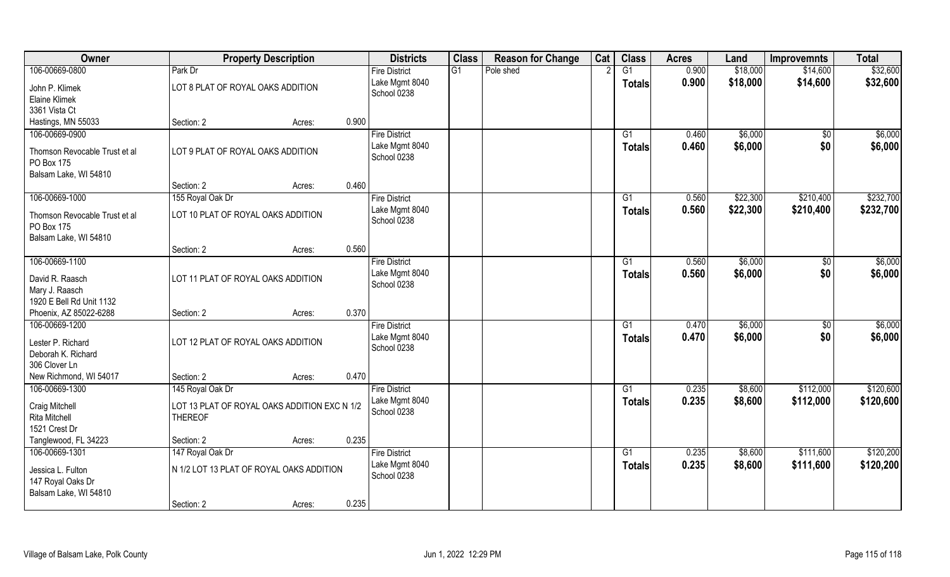| Owner                                                                      |                                                                | <b>Property Description</b> |       | <b>Districts</b>                                      | <b>Class</b> | <b>Reason for Change</b> | Cat | <b>Class</b>                     | <b>Acres</b>   | Land               | <b>Improvemnts</b>     | <b>Total</b>       |
|----------------------------------------------------------------------------|----------------------------------------------------------------|-----------------------------|-------|-------------------------------------------------------|--------------|--------------------------|-----|----------------------------------|----------------|--------------------|------------------------|--------------------|
| 106-00669-0800                                                             | Park Dr                                                        |                             |       | <b>Fire District</b>                                  | G1           | Pole shed                |     | $\overline{G1}$                  | 0.900          | \$18,000           | \$14,600               | \$32,600           |
| John P. Klimek<br>Elaine Klimek<br>3361 Vista Ct                           | LOT 8 PLAT OF ROYAL OAKS ADDITION                              |                             |       | Lake Mgmt 8040<br>School 0238                         |              |                          |     | <b>Totals</b>                    | 0.900          | \$18,000           | \$14,600               | \$32,600           |
| Hastings, MN 55033                                                         | Section: 2                                                     | Acres:                      | 0.900 |                                                       |              |                          |     |                                  |                |                    |                        |                    |
| 106-00669-0900                                                             |                                                                |                             |       | <b>Fire District</b>                                  |              |                          |     | G1                               | 0.460          | \$6,000            | $\overline{50}$        | \$6,000            |
| Thomson Revocable Trust et al<br>PO Box 175<br>Balsam Lake, WI 54810       | LOT 9 PLAT OF ROYAL OAKS ADDITION                              |                             |       | Lake Mgmt 8040<br>School 0238                         |              |                          |     | <b>Totals</b>                    | 0.460          | \$6,000            | \$0                    | \$6,000            |
|                                                                            | Section: 2                                                     | Acres:                      | 0.460 |                                                       |              |                          |     |                                  |                |                    |                        |                    |
| 106-00669-1000                                                             | 155 Royal Oak Dr                                               |                             |       | <b>Fire District</b>                                  |              |                          |     | G1                               | 0.560          | \$22,300           | \$210,400              | \$232,700          |
| Thomson Revocable Trust et al<br>PO Box 175<br>Balsam Lake, WI 54810       | LOT 10 PLAT OF ROYAL OAKS ADDITION                             |                             |       | Lake Mgmt 8040<br>School 0238                         |              |                          |     | <b>Totals</b>                    | 0.560          | \$22,300           | \$210,400              | \$232,700          |
|                                                                            | Section: 2                                                     | Acres:                      | 0.560 |                                                       |              |                          |     |                                  |                |                    |                        |                    |
| 106-00669-1100                                                             |                                                                |                             |       | <b>Fire District</b>                                  |              |                          |     | G1                               | 0.560          | \$6,000            | $\sqrt{50}$            | \$6,000            |
| David R. Raasch<br>Mary J. Raasch<br>1920 E Bell Rd Unit 1132              | LOT 11 PLAT OF ROYAL OAKS ADDITION                             |                             |       | Lake Mgmt 8040<br>School 0238                         |              |                          |     | <b>Totals</b>                    | 0.560          | \$6,000            | \$0                    | \$6,000            |
| Phoenix, AZ 85022-6288                                                     | Section: 2                                                     | Acres:                      | 0.370 |                                                       |              |                          |     |                                  |                |                    |                        |                    |
| 106-00669-1200<br>Lester P. Richard<br>Deborah K. Richard<br>306 Clover Ln | LOT 12 PLAT OF ROYAL OAKS ADDITION                             |                             |       | <b>Fire District</b><br>Lake Mgmt 8040<br>School 0238 |              |                          |     | $\overline{G1}$<br><b>Totals</b> | 0.470<br>0.470 | \$6,000<br>\$6,000 | $\overline{50}$<br>\$0 | \$6,000<br>\$6,000 |
| New Richmond, WI 54017                                                     | Section: 2                                                     | Acres:                      | 0.470 |                                                       |              |                          |     |                                  |                |                    |                        |                    |
| 106-00669-1300                                                             | 145 Royal Oak Dr                                               |                             |       | <b>Fire District</b>                                  |              |                          |     | G1                               | 0.235          | \$8,600            | \$112,000              | \$120,600          |
| Craig Mitchell<br>Rita Mitchell<br>1521 Crest Dr                           | LOT 13 PLAT OF ROYAL OAKS ADDITION EXC N 1/2<br><b>THEREOF</b> |                             |       | Lake Mgmt 8040<br>School 0238                         |              |                          |     | <b>Totals</b>                    | 0.235          | \$8,600            | \$112,000              | \$120,600          |
| Tanglewood, FL 34223                                                       | Section: 2                                                     | Acres:                      | 0.235 |                                                       |              |                          |     |                                  |                |                    |                        |                    |
| 106-00669-1301                                                             | 147 Royal Oak Dr                                               |                             |       | <b>Fire District</b>                                  |              |                          |     | $\overline{G1}$                  | 0.235          | \$8,600            | \$111,600              | \$120,200          |
| Jessica L. Fulton<br>147 Royal Oaks Dr<br>Balsam Lake, WI 54810            | N 1/2 LOT 13 PLAT OF ROYAL OAKS ADDITION                       |                             |       | Lake Mgmt 8040<br>School 0238                         |              |                          |     | <b>Totals</b>                    | 0.235          | \$8,600            | \$111,600              | \$120,200          |
|                                                                            | Section: 2                                                     | Acres:                      | 0.235 |                                                       |              |                          |     |                                  |                |                    |                        |                    |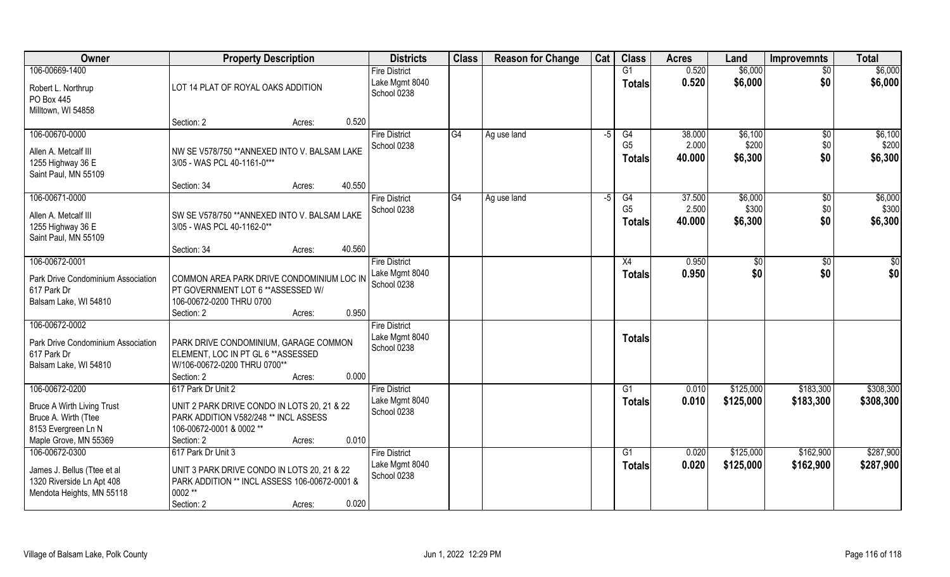| Owner                                                                                                                       | <b>Property Description</b>                                                                                                                                             | <b>Districts</b>                                      | <b>Class</b> | <b>Reason for Change</b> | Cat  | <b>Class</b>                          | <b>Acres</b>              | Land                        | <b>Improvemnts</b>           | <b>Total</b>                |
|-----------------------------------------------------------------------------------------------------------------------------|-------------------------------------------------------------------------------------------------------------------------------------------------------------------------|-------------------------------------------------------|--------------|--------------------------|------|---------------------------------------|---------------------------|-----------------------------|------------------------------|-----------------------------|
| 106-00669-1400<br>Robert L. Northrup<br>PO Box 445                                                                          | LOT 14 PLAT OF ROYAL OAKS ADDITION                                                                                                                                      | <b>Fire District</b><br>Lake Mgmt 8040<br>School 0238 |              |                          |      | G1<br><b>Totals</b>                   | 0.520<br>0.520            | \$6,000<br>\$6,000          | $\overline{50}$<br>\$0       | \$6,000<br>\$6,000          |
| Milltown, WI 54858                                                                                                          | 0.520<br>Section: 2<br>Acres:                                                                                                                                           |                                                       |              |                          |      |                                       |                           |                             |                              |                             |
| 106-00670-0000<br>Allen A. Metcalf III<br>1255 Highway 36 E<br>Saint Paul, MN 55109                                         | NW SE V578/750 ** ANNEXED INTO V. BALSAM LAKE<br>3/05 - WAS PCL 40-1161-0***<br>40.550<br>Section: 34<br>Acres:                                                         | <b>Fire District</b><br>School 0238                   | G4           | Ag use land              | $-5$ | G4<br>G <sub>5</sub><br><b>Totals</b> | 38.000<br>2.000<br>40.000 | \$6,100<br>\$200<br>\$6,300 | \$0<br>\$0<br>\$0            | \$6,100<br>\$200<br>\$6,300 |
| 106-00671-0000<br>Allen A. Metcalf III<br>1255 Highway 36 E<br>Saint Paul, MN 55109                                         | SW SE V578/750 ** ANNEXED INTO V. BALSAM LAKE<br>3/05 - WAS PCL 40-1162-0**<br>40.560<br>Section: 34<br>Acres:                                                          | <b>Fire District</b><br>School 0238                   | G4           | Ag use land              | $-5$ | G4<br>G <sub>5</sub><br><b>Totals</b> | 37.500<br>2.500<br>40.000 | \$6,000<br>\$300<br>\$6,300 | $\sqrt[6]{30}$<br>\$0<br>\$0 | \$6,000<br>\$300<br>\$6,300 |
| 106-00672-0001<br>Park Drive Condominium Association<br>617 Park Dr<br>Balsam Lake, WI 54810                                | COMMON AREA PARK DRIVE CONDOMINIUM LOC IN<br>PT GOVERNMENT LOT 6 ** ASSESSED W/<br>106-00672-0200 THRU 0700<br>0.950<br>Section: 2<br>Acres:                            | <b>Fire District</b><br>Lake Mgmt 8040<br>School 0238 |              |                          |      | X4<br><b>Totals</b>                   | 0.950<br>0.950            | $\sqrt[6]{3}$<br>\$0        | $\sqrt[6]{3}$<br>\$0         | \$0<br>\$0                  |
| 106-00672-0002<br>Park Drive Condominium Association<br>617 Park Dr<br>Balsam Lake, WI 54810                                | PARK DRIVE CONDOMINIUM, GARAGE COMMON<br>ELEMENT, LOC IN PT GL 6 ** ASSESSED<br>W/106-00672-0200 THRU 0700**<br>0.000<br>Section: 2<br>Acres:                           | <b>Fire District</b><br>Lake Mgmt 8040<br>School 0238 |              |                          |      | <b>Totals</b>                         |                           |                             |                              |                             |
| 106-00672-0200<br><b>Bruce A Wirth Living Trust</b><br>Bruce A. Wirth (Ttee<br>8153 Evergreen Ln N<br>Maple Grove, MN 55369 | 617 Park Dr Unit 2<br>UNIT 2 PARK DRIVE CONDO IN LOTS 20, 21 & 22<br>PARK ADDITION V582/248 ** INCL ASSESS<br>106-00672-0001 & 0002 **<br>0.010<br>Section: 2<br>Acres: | <b>Fire District</b><br>Lake Mgmt 8040<br>School 0238 |              |                          |      | G1<br><b>Totals</b>                   | 0.010<br>0.010            | \$125,000<br>\$125,000      | \$183,300<br>\$183,300       | \$308,300<br>\$308,300      |
| 106-00672-0300<br>James J. Bellus (Ttee et al<br>1320 Riverside Ln Apt 408<br>Mendota Heights, MN 55118                     | 617 Park Dr Unit 3<br>UNIT 3 PARK DRIVE CONDO IN LOTS 20, 21 & 22<br>PARK ADDITION ** INCL ASSESS 106-00672-0001 &<br>0002 **<br>0.020<br>Section: 2<br>Acres:          | <b>Fire District</b><br>Lake Mgmt 8040<br>School 0238 |              |                          |      | G <sub>1</sub><br><b>Totals</b>       | 0.020<br>0.020            | \$125,000<br>\$125,000      | \$162,900<br>\$162,900       | \$287,900<br>\$287,900      |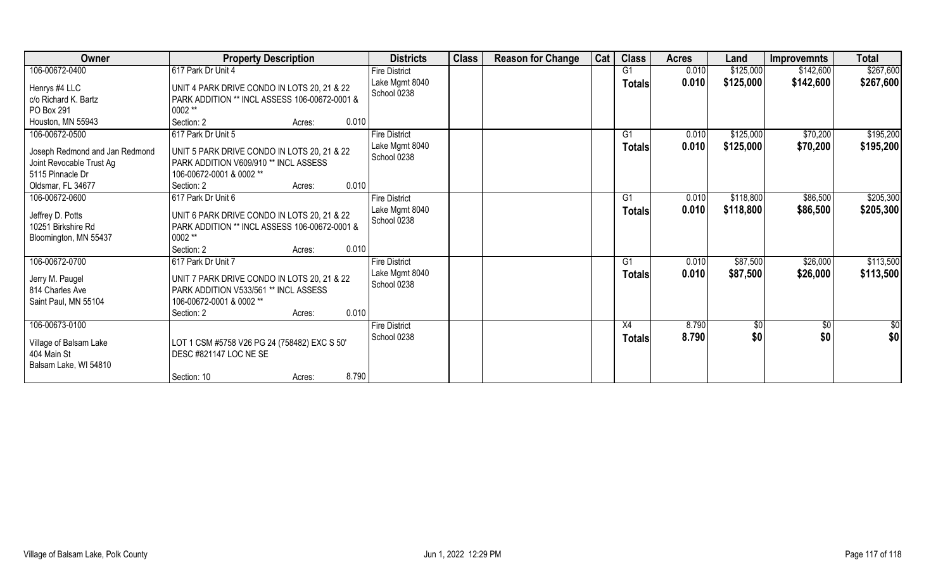| Owner                                                                                                                 | <b>Property Description</b>                                                                                                                                             | <b>Districts</b>                                      | <b>Class</b> | <b>Reason for Change</b> | Cat | <b>Class</b>                    | <b>Acres</b>   | Land                   | <b>Improvemnts</b>   | <b>Total</b>           |
|-----------------------------------------------------------------------------------------------------------------------|-------------------------------------------------------------------------------------------------------------------------------------------------------------------------|-------------------------------------------------------|--------------|--------------------------|-----|---------------------------------|----------------|------------------------|----------------------|------------------------|
| 106-00672-0400                                                                                                        | 617 Park Dr Unit 4                                                                                                                                                      | <b>Fire District</b>                                  |              |                          |     | G <sub>1</sub>                  | 0.010          | \$125,000              | \$142,600            | \$267,600              |
| Henrys #4 LLC<br>c/o Richard K. Bartz<br>PO Box 291<br>Houston, MN 55943                                              | UNIT 4 PARK DRIVE CONDO IN LOTS 20, 21 & 22<br>PARK ADDITION ** INCL ASSESS 106-00672-0001 &<br>0002 **<br>0.010<br>Section: 2<br>Acres:                                | Lake Mgmt 8040<br>School 0238                         |              |                          |     | <b>Totals</b>                   | 0.010          | \$125,000              | \$142,600            | \$267,600              |
| 106-00672-0500<br>Joseph Redmond and Jan Redmond<br>Joint Revocable Trust Ag<br>5115 Pinnacle Dr<br>Oldsmar, FL 34677 | 617 Park Dr Unit 5<br>UNIT 5 PARK DRIVE CONDO IN LOTS 20, 21 & 22<br>PARK ADDITION V609/910 ** INCL ASSESS<br>106-00672-0001 & 0002 **<br>0.010<br>Section: 2<br>Acres: | <b>Fire District</b><br>Lake Mgmt 8040<br>School 0238 |              |                          |     | G <sub>1</sub><br><b>Totals</b> | 0.010<br>0.010 | \$125,000<br>\$125,000 | \$70,200<br>\$70,200 | \$195,200<br>\$195,200 |
| 106-00672-0600<br>Jeffrey D. Potts<br>10251 Birkshire Rd<br>Bloomington, MN 55437                                     | 617 Park Dr Unit 6<br>UNIT 6 PARK DRIVE CONDO IN LOTS 20, 21 & 22<br>PARK ADDITION ** INCL ASSESS 106-00672-0001 &<br>0002 **<br>0.010<br>Section: 2<br>Acres:          | <b>Fire District</b><br>Lake Mgmt 8040<br>School 0238 |              |                          |     | G1<br><b>Totals</b>             | 0.010<br>0.010 | \$118,800<br>\$118,800 | \$86,500<br>\$86,500 | \$205,300<br>\$205,300 |
| 106-00672-0700<br>Jerry M. Paugel<br>814 Charles Ave<br>Saint Paul, MN 55104                                          | 617 Park Dr Unit 7<br>UNIT 7 PARK DRIVE CONDO IN LOTS 20, 21 & 22<br>PARK ADDITION V533/561 ** INCL ASSESS<br>106-00672-0001 & 0002 **<br>0.010<br>Section: 2<br>Acres: | <b>Fire District</b><br>Lake Mgmt 8040<br>School 0238 |              |                          |     | G <sub>1</sub><br><b>Totals</b> | 0.010<br>0.010 | \$87,500<br>\$87,500   | \$26,000<br>\$26,000 | \$113,500<br>\$113,500 |
| 106-00673-0100<br>Village of Balsam Lake<br>404 Main St<br>Balsam Lake, WI 54810                                      | LOT 1 CSM #5758 V26 PG 24 (758482) EXC S 50'<br>DESC #821147 LOC NE SE<br>8.790<br>Section: 10<br>Acres:                                                                | <b>Fire District</b><br>School 0238                   |              |                          |     | X4<br><b>Totals</b>             | 8.790<br>8.790 | $\sqrt[6]{30}$<br>\$0  | $\sqrt[6]{3}$<br>\$0 | \$0<br>\$0             |